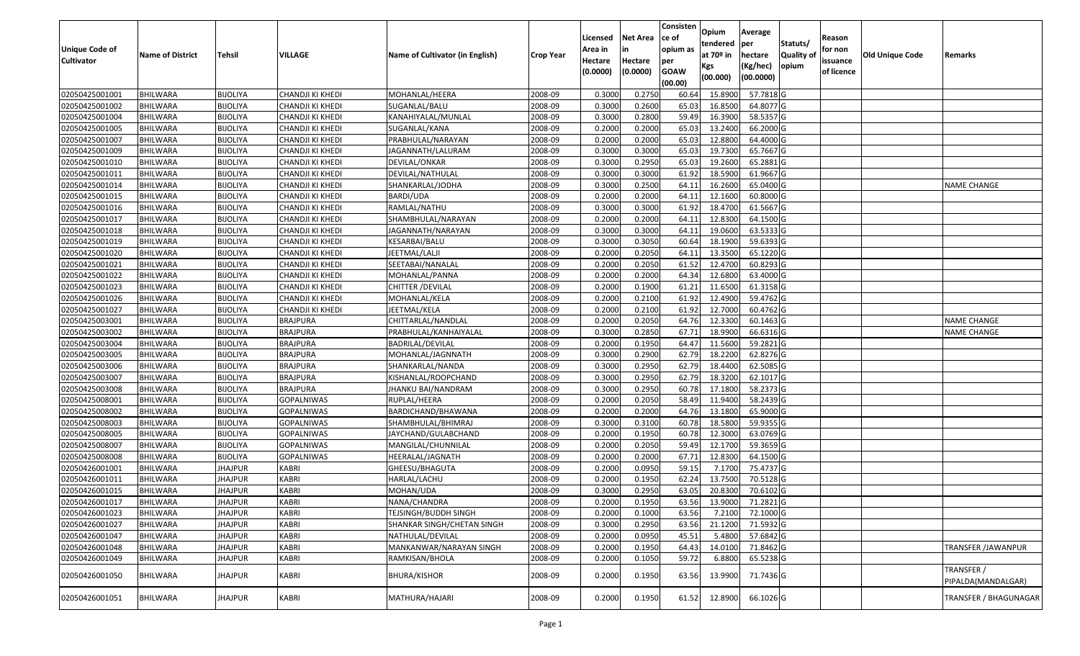| <b>Unique Code of</b><br><b>Cultivator</b> | <b>Name of District</b> | <b>Tehsil</b>   | VILLAGE           | Name of Cultivator (in English) | <b>Crop Year</b> | Licensed<br>Area in<br>Hectare<br>(0.0000) | <b>Net Area</b><br>in<br>Hectare<br>(0.0000) | Consisten<br>ce of<br>opium as<br>per<br><b>GOAW</b><br>(00.00) | Opium<br>tendered<br>at $70°$ in<br>Kgs<br>(00.000) | Average<br>per<br>hectare<br>(Kg/hec)<br>(00.0000) | Statuts/<br>Quality of<br>opium | Reason<br>for non<br>issuance<br>of licence | <b>Old Unique Code</b> | Remarks                          |
|--------------------------------------------|-------------------------|-----------------|-------------------|---------------------------------|------------------|--------------------------------------------|----------------------------------------------|-----------------------------------------------------------------|-----------------------------------------------------|----------------------------------------------------|---------------------------------|---------------------------------------------|------------------------|----------------------------------|
| 02050425001001                             | <b>BHILWARA</b>         | <b>BIJOLIYA</b> | CHANDJI KI KHEDI  | MOHANLAL/HEERA                  | 2008-09          | 0.3000                                     | 0.2750                                       | 60.64                                                           | 15.8900                                             | 57.7818 G                                          |                                 |                                             |                        |                                  |
| 02050425001002                             | <b>BHILWARA</b>         | <b>BIJOLIYA</b> | CHANDJI KI KHEDI  | SUGANLAL/BALU                   | 2008-09          | 0.3000                                     | 0.2600                                       | 65.03                                                           | 16.8500                                             | 64.8077 G                                          |                                 |                                             |                        |                                  |
| 02050425001004                             | BHILWARA                | <b>BIJOLIYA</b> | CHANDJI KI KHEDI  | KANAHIYALAL/MUNLAL              | 2008-09          | 0.3000                                     | 0.2800                                       | 59.49                                                           | 16.3900                                             | 58.5357 G                                          |                                 |                                             |                        |                                  |
| 02050425001005                             | <b>BHILWARA</b>         | <b>BIJOLIYA</b> | CHANDJI KI KHEDI  | SUGANLAL/KANA                   | 2008-09          | 0.2000                                     | 0.2000                                       | 65.03                                                           | 13.2400                                             | 66.2000 G                                          |                                 |                                             |                        |                                  |
| 02050425001007                             | <b>BHILWARA</b>         | <b>BIJOLIYA</b> | CHANDJI KI KHEDI  | PRABHULAL/NARAYAN               | 2008-09          | 0.2000                                     | 0.2000                                       | 65.03                                                           | 12.8800                                             | 64.4000 G                                          |                                 |                                             |                        |                                  |
| 02050425001009                             | <b>BHILWARA</b>         | <b>BIJOLIYA</b> | CHANDJI KI KHEDI  | JAGANNATH/LALURAM               | 2008-09          | 0.3000                                     | 0.3000                                       | 65.03                                                           | 19.7300                                             | 65.7667 G                                          |                                 |                                             |                        |                                  |
| 02050425001010                             | BHILWARA                | <b>BIJOLIYA</b> | CHANDJI KI KHEDI  | DEVILAL/ONKAR                   | 2008-09          | 0.3000                                     | 0.2950                                       | 65.03                                                           | 19.2600                                             | 65.2881 G                                          |                                 |                                             |                        |                                  |
| 02050425001011                             | <b>BHILWARA</b>         | <b>BIJOLIYA</b> | CHANDJI KI KHEDI  | DEVILAL/NATHULAL                | 2008-09          | 0.3000                                     | 0.3000                                       | 61.92                                                           | 18.5900                                             | 61.9667 G                                          |                                 |                                             |                        |                                  |
| 02050425001014                             | <b>BHILWARA</b>         | <b>BIJOLIYA</b> | CHANDJI KI KHEDI  | SHANKARLAL/JODHA                | 2008-09          | 0.3000                                     | 0.2500                                       | 64.1                                                            | 16.2600                                             | 65.0400 G                                          |                                 |                                             |                        | <b>NAME CHANGE</b>               |
| 02050425001015                             | <b>BHILWARA</b>         | <b>BIJOLIYA</b> | CHANDJI KI KHEDI  | BARDI/UDA                       | 2008-09          | 0.2000                                     | 0.2000                                       | 64.1                                                            | 12.1600                                             | 60.8000 G                                          |                                 |                                             |                        |                                  |
| 02050425001016                             | <b>BHILWARA</b>         | <b>BIJOLIYA</b> | CHANDJI KI KHEDI  | RAMLAL/NATHU                    | 2008-09          | 0.3000                                     | 0.3000                                       | 61.92                                                           | 18.4700                                             | 61.5667 G                                          |                                 |                                             |                        |                                  |
| 02050425001017                             | <b>BHILWARA</b>         | <b>BIJOLIYA</b> | CHANDJI KI KHEDI  | SHAMBHULAL/NARAYAN              | 2008-09          | 0.2000                                     | 0.2000                                       | 64.1                                                            | 12.8300                                             | 64.1500 G                                          |                                 |                                             |                        |                                  |
| 02050425001018                             | <b>BHILWARA</b>         | <b>BIJOLIYA</b> | CHANDJI KI KHEDI  | JAGANNATH/NARAYAN               | 2008-09          | 0.3000                                     | 0.3000                                       | 64.1                                                            | 19.0600                                             | 63.5333 G                                          |                                 |                                             |                        |                                  |
| 02050425001019                             | BHILWARA                | <b>BIJOLIYA</b> | CHANDJI KI KHEDI  | KESARBAI/BALU                   | 2008-09          | 0.3000                                     | 0.3050                                       | 60.64                                                           | 18.1900                                             | 59.6393 G                                          |                                 |                                             |                        |                                  |
| 02050425001020                             | <b>BHILWARA</b>         | <b>BIJOLIYA</b> | CHANDJI KI KHEDI  | JEETMAL/LALJI                   | 2008-09          | 0.2000                                     | 0.2050                                       | 64.1                                                            | 13.3500                                             | 65.1220G                                           |                                 |                                             |                        |                                  |
| 02050425001021                             | <b>BHILWARA</b>         | <b>BIJOLIYA</b> | CHANDJI KI KHEDI  | SEETABAI/NANALAL                | 2008-09          | 0.2000                                     | 0.2050                                       | 61.52                                                           | 12.4700                                             | 60.8293 G                                          |                                 |                                             |                        |                                  |
| 02050425001022                             | <b>BHILWARA</b>         | <b>BIJOLIYA</b> | CHANDJI KI KHEDI  | MOHANLAL/PANNA                  | 2008-09          | 0.2000                                     | 0.2000                                       | 64.34                                                           | 12.6800                                             | 63.4000 G                                          |                                 |                                             |                        |                                  |
| 02050425001023                             | <b>BHILWARA</b>         | <b>BIJOLIYA</b> | CHANDJI KI KHEDI  | CHITTER / DEVILAL               | 2008-09          | 0.2000                                     | 0.1900                                       | 61.2                                                            | 11.6500                                             | 61.3158 G                                          |                                 |                                             |                        |                                  |
| 02050425001026                             | <b>BHILWARA</b>         | <b>BIJOLIYA</b> | CHANDJI KI KHEDI  | MOHANLAL/KELA                   | 2008-09          | 0.2000                                     | 0.2100                                       | 61.92                                                           | 12.4900                                             | 59.4762 G                                          |                                 |                                             |                        |                                  |
| 02050425001027                             | BHILWARA                | <b>BIJOLIYA</b> | CHANDJI KI KHEDI  | JEETMAL/KELA                    | 2008-09          | 0.2000                                     | 0.2100                                       | 61.92                                                           | 12.7000                                             | 60.4762 G                                          |                                 |                                             |                        |                                  |
| 02050425003001                             | <b>BHILWARA</b>         | <b>BIJOLIYA</b> | <b>BRAJPURA</b>   | CHITTARLAL/NANDLAL              | 2008-09          | 0.2000                                     | 0.2050                                       | 64.76                                                           | 12.3300                                             | 60.1463 G                                          |                                 |                                             |                        | <b>NAME CHANGE</b>               |
| 02050425003002                             | <b>BHILWARA</b>         | <b>BIJOLIYA</b> | <b>BRAJPURA</b>   | PRABHULAL/KANHAIYALAL           | 2008-09          | 0.3000                                     | 0.2850                                       | 67.7                                                            | 18.9900                                             | 66.6316 G                                          |                                 |                                             |                        | <b>NAME CHANGE</b>               |
| 02050425003004                             | <b>BHILWARA</b>         | <b>BIJOLIYA</b> | <b>BRAJPURA</b>   | BADRILAL/DEVILAL                | 2008-09          | 0.2000                                     | 0.1950                                       | 64.47                                                           | 11.5600                                             | 59.2821 G                                          |                                 |                                             |                        |                                  |
| 02050425003005                             | BHILWARA                | <b>BIJOLIYA</b> | <b>BRAJPURA</b>   | MOHANLAL/JAGNNATH               | 2008-09          | 0.3000                                     | 0.2900                                       | 62.79                                                           | 18.2200                                             | 62.8276 G                                          |                                 |                                             |                        |                                  |
| 02050425003006                             | <b>BHILWARA</b>         | <b>BIJOLIYA</b> | <b>BRAJPURA</b>   | SHANKARLAL/NANDA                | 2008-09          | 0.3000                                     | 0.2950                                       | 62.79                                                           | 18.4400                                             | 62.5085 G                                          |                                 |                                             |                        |                                  |
| 02050425003007                             | BHILWARA                | <b>BIJOLIYA</b> | <b>BRAJPURA</b>   | KISHANLAL/ROOPCHAND             | 2008-09          | 0.3000                                     | 0.2950                                       | 62.79                                                           | 18.3200                                             | 62.1017 G                                          |                                 |                                             |                        |                                  |
| 02050425003008                             | <b>BHILWARA</b>         | <b>BIJOLIYA</b> | <b>BRAJPURA</b>   | JHANKU BAI/NANDRAM              | 2008-09          | 0.3000                                     | 0.2950                                       | 60.78                                                           | 17.1800                                             | 58.2373 G                                          |                                 |                                             |                        |                                  |
| 02050425008001                             | BHILWARA                | <b>BIJOLIYA</b> | <b>GOPALNIWAS</b> | RUPLAL/HEERA                    | 2008-09          | 0.2000                                     | 0.2050                                       | 58.49                                                           | 11.9400                                             | 58.2439 G                                          |                                 |                                             |                        |                                  |
| 02050425008002                             | <b>BHILWARA</b>         | <b>BIJOLIYA</b> | <b>GOPALNIWAS</b> | BARDICHAND/BHAWANA              | 2008-09          | 0.2000                                     | 0.2000                                       | 64.76                                                           | 13.1800                                             | 65.9000 G                                          |                                 |                                             |                        |                                  |
| 02050425008003                             | <b>BHILWARA</b>         | <b>BIJOLIYA</b> | <b>GOPALNIWAS</b> | SHAMBHULAL/BHIMRAJ              | 2008-09          | 0.3000                                     | 0.3100                                       | 60.78                                                           | 18.5800                                             | 59.9355 G                                          |                                 |                                             |                        |                                  |
| 02050425008005                             | <b>BHILWARA</b>         | <b>BIJOLIYA</b> | <b>GOPALNIWAS</b> | JAYCHAND/GULABCHAND             | 2008-09          | 0.2000                                     | 0.1950                                       | 60.78                                                           | 12.3000                                             | 63.0769 G                                          |                                 |                                             |                        |                                  |
| 02050425008007                             | BHILWARA                | <b>BIJOLIYA</b> | <b>GOPALNIWAS</b> | MANGILAL/CHUNNILAL              | 2008-09          | 0.2000                                     | 0.2050                                       | 59.49                                                           | 12.1700                                             | 59.3659 G                                          |                                 |                                             |                        |                                  |
| 02050425008008                             | <b>BHILWARA</b>         | <b>BIJOLIYA</b> | <b>GOPALNIWAS</b> | HEERALAL/JAGNATH                | 2008-09          | 0.2000                                     | 0.2000                                       | 67.72                                                           | 12.8300                                             | 64.1500 G                                          |                                 |                                             |                        |                                  |
| 02050426001001                             | <b>BHILWARA</b>         | <b>JHAJPUR</b>  | <b>KABRI</b>      | GHEESU/BHAGUTA                  | 2008-09          | 0.2000                                     | 0.0950                                       | 59.15                                                           | 7.1700                                              | 75.4737 G                                          |                                 |                                             |                        |                                  |
| 02050426001011                             | BHILWARA                | JHAJPUR         | <b>KABRI</b>      | HARLAL/LACHU                    | 2008-09          | 0.2000                                     | 0.1950                                       | 62.24                                                           | 13.7500                                             | 70.5128 G                                          |                                 |                                             |                        |                                  |
| 02050426001015                             | <b>BHILWARA</b>         | JHAJPUR         | <b>KABRI</b>      | MOHAN/UDA                       | 2008-09          | 0.3000                                     | 0.2950                                       | 63.05                                                           | 20.8300                                             | 70.6102G                                           |                                 |                                             |                        |                                  |
| 02050426001017                             | <b>BHILWARA</b>         | <b>JHAJPUR</b>  | <b>KABRI</b>      | NANA/CHANDRA                    | 2008-09          | 0.2000                                     | 0.1950                                       | 63.56                                                           | 13.9000                                             | 71.2821 G                                          |                                 |                                             |                        |                                  |
| 02050426001023                             | <b>BHILWARA</b>         | <b>JHAJPUR</b>  | <b>KABRI</b>      | TEJSINGH/BUDDH SINGH            | 2008-09          | 0.2000                                     | 0.1000                                       | 63.56                                                           | 7.2100                                              | 72.1000 G                                          |                                 |                                             |                        |                                  |
| 02050426001027                             | <b>BHILWARA</b>         | <b>JHAJPUR</b>  | <b>KABRI</b>      | SHANKAR SINGH/CHETAN SINGH      | 2008-09          | 0.3000                                     | 0.2950                                       | 63.56                                                           | 21.1200                                             | 71.5932 G                                          |                                 |                                             |                        |                                  |
| 02050426001047                             | <b>BHILWARA</b>         | <b>JHAJPUR</b>  | <b>KABRI</b>      | NATHULAL/DEVILAL                | 2008-09          | 0.2000                                     | 0.0950                                       | 45.51                                                           | 5.4800                                              | 57.6842 G                                          |                                 |                                             |                        |                                  |
| 02050426001048                             | <b>BHILWARA</b>         | <b>JHAJPUR</b>  | <b>KABRI</b>      | MANKANWAR/NARAYAN SINGH         | 2008-09          | 0.2000                                     | 0.1950                                       | 64.43                                                           | 14.0100                                             | 71.8462 G                                          |                                 |                                             |                        | <b>TRANSFER /JAWANPUR</b>        |
| 02050426001049                             | <b>BHILWARA</b>         | <b>JHAJPUR</b>  | <b>KABRI</b>      | RAMKISAN/BHOLA                  | 2008-09          | 0.2000                                     | 0.1050                                       | 59.72                                                           | 6.8800                                              | 65.5238 G                                          |                                 |                                             |                        |                                  |
| 02050426001050                             | <b>BHILWARA</b>         | <b>JHAJPUR</b>  | <b>KABRI</b>      | <b>BHURA/KISHOR</b>             | 2008-09          | 0.2000                                     | 0.1950                                       | 63.56                                                           | 13.9900                                             | 71.7436 G                                          |                                 |                                             |                        | TRANSFER /<br>PIPALDA(MANDALGAR) |
| 02050426001051                             | <b>BHILWARA</b>         | <b>JHAJPUR</b>  | <b>KABRI</b>      | MATHURA/HAJARI                  | 2008-09          | 0.2000                                     | 0.1950                                       | 61.52                                                           | 12.8900                                             | 66.1026 G                                          |                                 |                                             |                        | TRANSFER / BHAGUNAGAR            |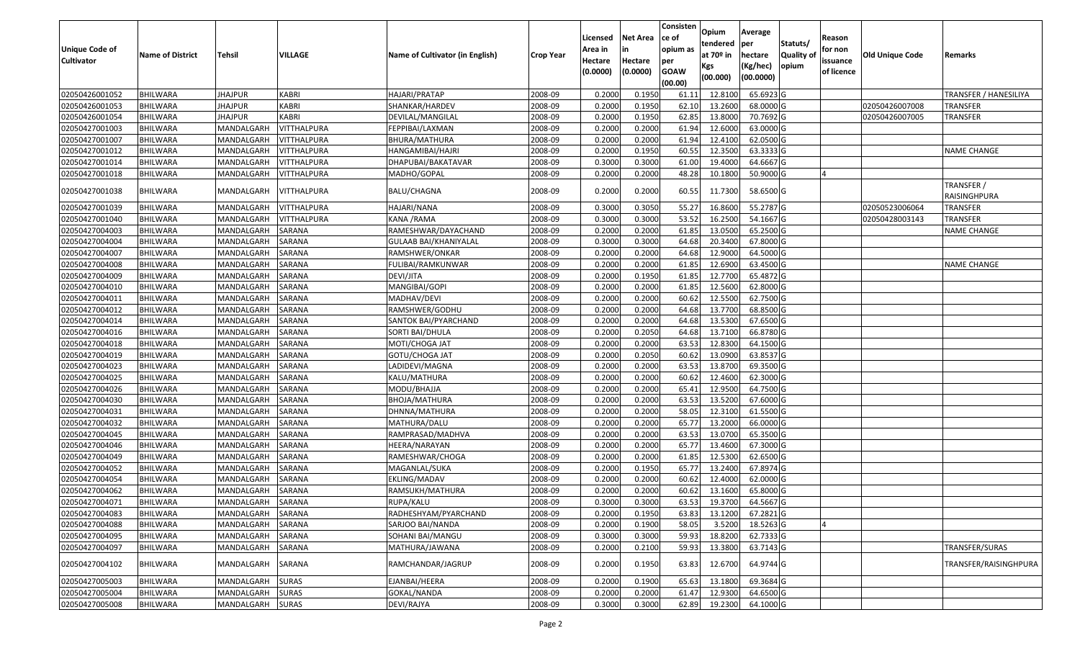|                                            |                                    |                          |                    |                                        |                    | Licensed                       | <b>Net Area</b>           | Consisten<br>ce of             | Opium<br>tendered            | Average<br>per         | Statuts/                  | Reason                            |                 |                            |
|--------------------------------------------|------------------------------------|--------------------------|--------------------|----------------------------------------|--------------------|--------------------------------|---------------------------|--------------------------------|------------------------------|------------------------|---------------------------|-----------------------------------|-----------------|----------------------------|
| <b>Unique Code of</b><br><b>Cultivator</b> | <b>Name of District</b>            | Tehsil                   | VILLAGE            | <b>Name of Cultivator (in English)</b> | <b>Crop Year</b>   | Area in<br>Hectare<br>(0.0000) | in<br>Hectare<br>(0.0000) | opium as<br>per<br><b>GOAW</b> | at 70 <sup>o</sup> in<br>Kgs | hectare<br>(Kg/hec)    | <b>Quality o</b><br>opium | for non<br>issuance<br>of licence | Old Unique Code | Remarks                    |
|                                            |                                    |                          |                    |                                        |                    |                                |                           | (00.00)                        | (00.000)                     | (00.0000)              |                           |                                   |                 |                            |
| 02050426001052                             | <b>BHILWARA</b>                    | <b>JHAJPUR</b>           | KABRI              | HAJARI/PRATAP                          | 2008-09            | 0.2000                         | 0.1950                    | 61.1                           | 12.8100                      | 65.6923 G              |                           |                                   |                 | TRANSFER / HANESILIYA      |
| 02050426001053                             | <b>BHILWARA</b>                    | <b>JHAJPUR</b>           | <b>KABRI</b>       | SHANKAR/HARDEV                         | 2008-09            | 0.2000                         | 0.1950                    | 62.10                          | 13.2600                      | 68.0000 G              |                           |                                   | 02050426007008  | TRANSFER                   |
| 02050426001054                             | <b>BHILWARA</b>                    | <b>JHAJPUR</b>           | <b>KABRI</b>       | DEVILAL/MANGILAL                       | 2008-09            | 0.2000                         | 0.1950                    | 62.85                          | 13.8000                      | 70.7692 G              |                           |                                   | 02050426007005  | TRANSFER                   |
| 02050427001003                             | <b>BHILWARA</b>                    | MANDALGARH               | VITTHALPURA        | FEPPIBAI/LAXMAN                        | 2008-09            | 0.2000                         | 0.2000                    | 61.94                          | 12.6000                      | 63.0000 G              |                           |                                   |                 |                            |
| 02050427001007                             | <b>BHILWARA</b>                    | MANDALGARH               | VITTHALPURA        | BHURA/MATHURA                          | 2008-09            | 0.2000                         | 0.2000                    | 61.94                          | 12.4100                      | 62.0500 G              |                           |                                   |                 |                            |
| 02050427001012                             | <b>BHILWARA</b>                    | MANDALGARH               | <b>VITTHALPURA</b> | HANGAMIBAI/HAJRI                       | 2008-09            | 0.2000                         | 0.1950                    | 60.55                          | 12.3500                      | 63.3333 G              |                           |                                   |                 | <b>NAME CHANGE</b>         |
| 02050427001014                             | BHILWARA                           | MANDALGARH               | VITTHALPURA        | DHAPUBAI/BAKATAVAR                     | 2008-09            | 0.3000                         | 0.3000                    | 61.00                          | 19.4000                      | 64.6667 G              |                           |                                   |                 |                            |
| 02050427001018                             | <b>BHILWARA</b>                    | MANDALGARH               | <b>VITTHALPURA</b> | MADHO/GOPAL                            | 2008-09            | 0.2000                         | 0.2000                    | 48.28                          | 10.1800                      | 50.9000 G              |                           |                                   |                 |                            |
| 02050427001038                             | <b>BHILWARA</b>                    | MANDALGARH               | VITTHALPURA        | BALU/CHAGNA                            | 2008-09            | 0.2000                         | 0.2000                    | 60.55                          | 11.7300                      | 58.6500 G              |                           |                                   |                 | TRANSFER /<br>RAISINGHPURA |
| 02050427001039                             | <b>BHILWARA</b>                    | MANDALGARH               | <b>VITTHALPURA</b> | HAJARI/NANA                            | 2008-09            | 0.3000                         | 0.3050                    | 55.27                          | 16.8600                      | 55.2787 G              |                           |                                   | 02050523006064  | TRANSFER                   |
| 02050427001040                             | <b>BHILWARA</b>                    | MANDALGARH               | VITTHALPURA        | KANA /RAMA                             | 2008-09            | 0.3000                         | 0.3000                    | 53.52                          | 16.2500                      | 54.1667 G              |                           |                                   | 02050428003143  | TRANSFER                   |
| 02050427004003                             | <b>BHILWARA</b>                    | MANDALGARH               | SARANA             | RAMESHWAR/DAYACHAND                    | 2008-09            | 0.2000                         | 0.2000                    | 61.85                          | 13.0500                      | 65.2500 G              |                           |                                   |                 | <b>NAME CHANGE</b>         |
| 02050427004004                             | <b>BHILWARA</b>                    | MANDALGARH               | <b>SARANA</b>      | GULAAB BAI/KHANIYALAL                  | 2008-09            | 0.3000                         | 0.3000                    | 64.68                          | 20.3400                      | 67.8000 G              |                           |                                   |                 |                            |
| 02050427004007                             | <b>BHILWARA</b>                    | MANDALGARH               | SARANA             | RAMSHWER/ONKAR                         | 2008-09            | 0.2000                         | 0.2000                    | 64.68                          | 12.9000                      | 64.5000 G              |                           |                                   |                 |                            |
| 02050427004008                             | <b>BHILWARA</b>                    | MANDALGARH               | SARANA             | FULIBAI/RAMKUNWAR                      | 2008-09            | 0.2000                         | 0.2000                    | 61.85                          | 12.6900                      | 63.4500 G              |                           |                                   |                 | <b>NAME CHANGE</b>         |
| 02050427004009                             | <b>BHILWARA</b>                    | MANDALGARH               | SARANA             | DEVI/JITA                              | 2008-09            | 0.2000                         | 0.1950                    | 61.85                          | 12.7700                      | 65.4872 G              |                           |                                   |                 |                            |
| 02050427004010                             | <b>BHILWARA</b>                    | MANDALGARH               | SARANA             | MANGIBAI/GOPI                          | 2008-09            | 0.2000                         | 0.2000                    | 61.85                          | 12.5600                      | 62.8000 G              |                           |                                   |                 |                            |
| 02050427004011                             | <b>BHILWARA</b>                    | MANDALGARH               | SARANA             | MADHAV/DEVI                            | 2008-09            | 0.2000                         | 0.2000                    | 60.62                          | 12.5500                      | 62.7500 G              |                           |                                   |                 |                            |
| 02050427004012                             | <b>BHILWARA</b>                    | MANDALGARH               | SARANA             | RAMSHWER/GODHU                         | 2008-09            | 0.2000                         | 0.2000                    | 64.68                          | 13.7700                      | 68.8500 G              |                           |                                   |                 |                            |
| 02050427004014                             | <b>BHILWARA</b>                    | MANDALGARH               | SARANA             | SANTOK BAI/PYARCHAND                   | 2008-09            | 0.2000                         | 0.2000                    | 64.68                          | 13.5300                      | 67.6500 G              |                           |                                   |                 |                            |
| 02050427004016                             | <b>BHILWARA</b>                    | MANDALGARH               | SARANA             | SORTI BAI/DHULA                        | 2008-09            | 0.2000                         | 0.2050                    | 64.68                          | 13.7100                      | 66.8780 G              |                           |                                   |                 |                            |
| 02050427004018                             | <b>BHILWARA</b>                    | MANDALGARH               | SARANA             | MOTI/CHOGA JAT                         | 2008-09            | 0.2000                         | 0.2000                    | 63.53                          | 12.8300                      | 64.1500 G              |                           |                                   |                 |                            |
| 02050427004019                             | <b>BHILWARA</b>                    | MANDALGARH               | SARANA             | GOTU/CHOGA JAT                         | 2008-09            | 0.2000                         | 0.2050                    | 60.62                          | 13.0900                      | 63.8537 G              |                           |                                   |                 |                            |
| 02050427004023                             | <b>BHILWARA</b>                    | MANDALGARH               | SARANA             | LADIDEVI/MAGNA                         | 2008-09            | 0.2000                         | 0.2000                    | 63.53                          | 13.8700                      | 69.3500 G              |                           |                                   |                 |                            |
| 02050427004025<br>02050427004026           | <b>BHILWARA</b>                    | MANDALGARH<br>MANDALGARH | SARANA             | KALU/MATHURA                           | 2008-09            | 0.2000<br>0.2000               | 0.2000<br>0.2000          | 60.62<br>65.41                 | 12.4600<br>12.9500           | 62.3000 G<br>64.7500 G |                           |                                   |                 |                            |
| 02050427004030                             | <b>BHILWARA</b><br><b>BHILWARA</b> | MANDALGARH               | SARANA<br>SARANA   | MODU/BHAJJA                            | 2008-09<br>2008-09 | 0.2000                         | 0.2000                    | 63.53                          | 13.5200                      | 67.6000 G              |                           |                                   |                 |                            |
| 02050427004031                             | <b>BHILWARA</b>                    | MANDALGARH               | SARANA             | BHOJA/MATHURA<br>DHNNA/MATHURA         | 2008-09            | 0.2000                         | 0.2000                    | 58.05                          | 12.3100                      | 61.5500 G              |                           |                                   |                 |                            |
| 02050427004032                             | <b>BHILWARA</b>                    | MANDALGARH               | SARANA             | MATHURA/DALU                           | 2008-09            | 0.2000                         | 0.2000                    | 65.77                          | 13.2000                      | 66.0000 G              |                           |                                   |                 |                            |
| 02050427004045                             | <b>BHILWARA</b>                    | MANDALGARH               | SARANA             | RAMPRASAD/MADHVA                       | 2008-09            | 0.2000                         | 0.2000                    | 63.53                          | 13.0700                      | 65.3500 G              |                           |                                   |                 |                            |
| 02050427004046                             | <b>BHILWARA</b>                    | MANDALGARH               | SARANA             | HEERA/NARAYAN                          | 2008-09            | 0.2000                         | 0.2000                    | 65.77                          | 13.4600                      | 67.3000 G              |                           |                                   |                 |                            |
| 02050427004049                             | <b>BHILWARA</b>                    | MANDALGARH               | SARANA             | RAMESHWAR/CHOGA                        | 2008-09            | 0.2000                         | 0.2000                    | 61.85                          | 12.5300                      | 62.6500 G              |                           |                                   |                 |                            |
| 02050427004052                             | <b>BHILWARA</b>                    | MANDALGARH               | SARANA             | MAGANLAL/SUKA                          | 2008-09            | 0.2000                         | 0.1950                    | 65.77                          | 13.2400                      | 67.8974 G              |                           |                                   |                 |                            |
| 02050427004054                             | <b>BHILWARA</b>                    | MANDALGARH               | SARANA             | EKLING/MADAV                           | 2008-09            | 0.2000                         | 0.2000                    | 60.62                          | 12.4000                      | 62.0000 G              |                           |                                   |                 |                            |
| 02050427004062                             | <b>BHILWARA</b>                    | MANDALGARH               | SARANA             | RAMSUKH/MATHURA                        | 2008-09            | 0.2000                         | 0.2000                    | 60.62                          | 13.1600                      | 65.8000 G              |                           |                                   |                 |                            |
| 02050427004071                             | <b>BHILWARA</b>                    | MANDALGARH               | SARANA             | RUPA/KALU                              | 2008-09            | 0.3000                         | 0.3000                    |                                | 63.53 19.3700                | 64.5667 G              |                           |                                   |                 |                            |
| 02050427004083                             | <b>BHILWARA</b>                    | MANDALGARH               | SARANA             | RADHESHYAM/PYARCHAND                   | 2008-09            | 0.2000                         | 0.1950                    | 63.83                          | 13.1200                      | 67.2821 G              |                           |                                   |                 |                            |
| 02050427004088                             | <b>BHILWARA</b>                    | MANDALGARH               | SARANA             | SARJOO BAI/NANDA                       | 2008-09            | 0.2000                         | 0.1900                    | 58.05                          | 3.5200                       | 18.5263 G              |                           |                                   |                 |                            |
| 02050427004095                             | <b>BHILWARA</b>                    | MANDALGARH               | SARANA             | SOHANI BAI/MANGU                       | 2008-09            | 0.3000                         | 0.3000                    | 59.93                          | 18.8200                      | 62.7333 G              |                           |                                   |                 |                            |
| 02050427004097                             | <b>BHILWARA</b>                    | MANDALGARH               | SARANA             | MATHURA/JAWANA                         | 2008-09            | 0.2000                         | 0.2100                    | 59.93                          | 13.3800                      | 63.7143 G              |                           |                                   |                 | TRANSFER/SURAS             |
| 02050427004102                             | <b>BHILWARA</b>                    | MANDALGARH               | SARANA             | RAMCHANDAR/JAGRUP                      | 2008-09            | 0.2000                         | 0.1950                    | 63.83                          | 12.6700                      | 64.9744 G              |                           |                                   |                 | TRANSFER/RAISINGHPURA      |
| 02050427005003                             | <b>BHILWARA</b>                    | MANDALGARH               | <b>SURAS</b>       | EJANBAI/HEERA                          | 2008-09            | 0.2000                         | 0.1900                    | 65.63                          | 13.1800                      | 69.3684 G              |                           |                                   |                 |                            |
| 02050427005004                             | <b>BHILWARA</b>                    | MANDALGARH               | <b>SURAS</b>       | GOKAL/NANDA                            | 2008-09            | 0.2000                         | 0.2000                    | 61.47                          | 12.9300                      | 64.6500 G              |                           |                                   |                 |                            |
| 02050427005008                             | <b>BHILWARA</b>                    | MANDALGARH               | <b>SURAS</b>       | DEVI/RAJYA                             | 2008-09            | 0.3000                         | 0.3000                    | 62.89                          | 19.2300                      | 64.1000 G              |                           |                                   |                 |                            |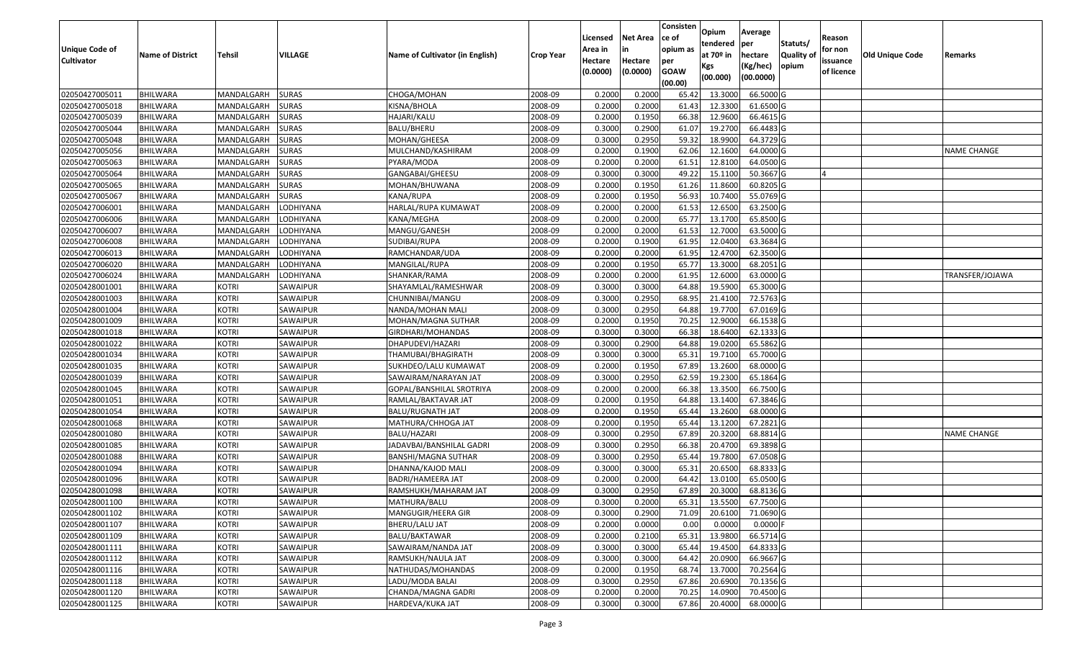|                                  |                             |                              |                              |                                               |                    |                  |                  | Consisten      | Opium              | Average                |                  |            |                 |                    |
|----------------------------------|-----------------------------|------------------------------|------------------------------|-----------------------------------------------|--------------------|------------------|------------------|----------------|--------------------|------------------------|------------------|------------|-----------------|--------------------|
|                                  |                             |                              |                              |                                               |                    | Licensed         | <b>Net Area</b>  | ce of          | tendered           | per                    | Statuts/         | Reason     |                 |                    |
| Unique Code of                   | <b>Name of District</b>     | <b>Tehsil</b>                | VILLAGE                      | Name of Cultivator (in English)               | <b>Crop Year</b>   | Area in          |                  | opium as       | at $70°$ in        | hectare                | <b>Quality o</b> | for non    | Old Unique Code | Remarks            |
| <b>Cultivator</b>                |                             |                              |                              |                                               |                    | Hectare          | Hectare          | per            | Kgs                | (Kg/hec)               | opium            | issuance   |                 |                    |
|                                  |                             |                              |                              |                                               |                    | (0.0000)         | (0.0000)         | <b>GOAW</b>    | (00.000)           | (00.0000)              |                  | of licence |                 |                    |
|                                  |                             |                              |                              |                                               |                    |                  |                  | (00.00)        |                    |                        |                  |            |                 |                    |
| 02050427005011                   | BHILWARA                    | MANDALGARH                   | <b>SURAS</b>                 | CHOGA/MOHAN                                   | 2008-09            | 0.2000           | 0.2000           | 65.42          | 13.300             | 66.5000G               |                  |            |                 |                    |
| 02050427005018                   | <b>BHILWARA</b>             | MANDALGARH                   | <b>SURAS</b>                 | KISNA/BHOLA                                   | 2008-09            | 0.2000           | 0.2000           | 61.43          | 12.3300            | 61.6500 G              |                  |            |                 |                    |
| 02050427005039                   | BHILWARA                    | MANDALGARH                   | <b>SURAS</b>                 | HAJARI/KALU                                   | 2008-09            | 0.2000           | 0.1950           | 66.38          | 12.9600            | 66.4615 G              |                  |            |                 |                    |
| 02050427005044                   | <b>BHILWARA</b>             | MANDALGARH                   | <b>SURAS</b>                 | BALU/BHERU                                    | 2008-09            | 0.3000           | 0.2900           | 61.07          | 19.2700            | 66.4483 G              |                  |            |                 |                    |
| 02050427005048<br>02050427005056 | BHILWARA<br><b>BHILWARA</b> | MANDALGARH<br>MANDALGARH     | <b>SURAS</b><br><b>SURAS</b> | MOHAN/GHEESA                                  | 2008-09            | 0.3000<br>0.2000 | 0.2950<br>0.1900 | 59.32<br>62.06 | 18.9900<br>12.1600 | 64.3729 G<br>64.0000 G |                  |            |                 |                    |
|                                  |                             |                              | <b>SURAS</b>                 | MULCHAND/KASHIRAM                             | 2008-09            | 0.2000           | 0.2000           | 61.5           | 12.8100            | 64.0500 G              |                  |            |                 | <b>NAME CHANGE</b> |
| 02050427005063<br>02050427005064 | BHILWARA<br><b>BHILWARA</b> | MANDALGARH<br>MANDALGARH     | <b>SURAS</b>                 | PYARA/MODA<br>GANGABAI/GHEESU                 | 2008-09<br>2008-09 | 0.3000           | 0.3000           | 49.22          | 15.1100            | 50.3667 G              |                  |            |                 |                    |
|                                  |                             |                              |                              |                                               | 2008-09            | 0.2000           | 0.1950           |                | 11.8600            | 60.8205 G              |                  |            |                 |                    |
| 02050427005065                   | BHILWARA                    | MANDALGARH                   | <b>SURAS</b>                 | MOHAN/BHUWANA                                 |                    |                  |                  | 61.26          |                    |                        |                  |            |                 |                    |
| 02050427005067                   | <b>BHILWARA</b>             | MANDALGARH                   | <b>SURAS</b>                 | KANA/RUPA                                     | 2008-09            | 0.2000<br>0.2000 | 0.1950           | 56.93          | 10.7400            | 55.0769 G              |                  |            |                 |                    |
| 02050427006001                   | BHILWARA<br><b>BHILWARA</b> | MANDALGARH<br>MANDALGARH     | LODHIYANA                    | HARLAL/RUPA KUMAWAT                           | 2008-09            | 0.2000           | 0.2000<br>0.2000 | 61.53<br>65.77 | 12.6500<br>13.1700 | 63.2500 G<br>65.8500 G |                  |            |                 |                    |
| 02050427006006                   |                             |                              | LODHIYANA                    | KANA/MEGHA                                    | 2008-09            |                  |                  |                |                    |                        |                  |            |                 |                    |
| 02050427006007<br>02050427006008 | <b>BHILWARA</b>             | MANDALGARH                   | LODHIYANA                    | MANGU/GANESH                                  | 2008-09            | 0.2000           | 0.2000           | 61.53          | 12.7000            | 63.5000G               |                  |            |                 |                    |
|                                  | <b>BHILWARA</b>             | MANDALGARH                   | LODHIYANA                    | SUDIBAI/RUPA                                  | 2008-09            | 0.2000           | 0.1900           | 61.95          | 12.0400            | 63.3684 G              |                  |            |                 |                    |
| 02050427006013                   | BHILWARA                    | MANDALGARH                   | LODHIYANA                    | RAMCHANDAR/UDA                                | 2008-09            | 0.2000           | 0.2000           | 61.95          | 12.4700            | 62.3500 G              |                  |            |                 |                    |
| 02050427006020                   | <b>BHILWARA</b>             | MANDALGARH                   | LODHIYANA                    | MANGILAL/RUPA                                 | 2008-09            | 0.2000           | 0.1950           | 65.77          | 13.3000            | 68.2051 G<br>63.0000G  |                  |            |                 |                    |
| 02050427006024                   | BHILWARA                    | MANDALGARH                   | LODHIYANA                    | SHANKAR/RAMA                                  | 2008-09            | 0.2000           | 0.2000           | 61.95          | 12.6000            |                        |                  |            |                 | TRANSFER/JOJAWA    |
| 02050428001001                   | BHILWARA                    | <b>KOTRI</b>                 | SAWAIPUR                     | SHAYAMLAL/RAMESHWAR                           | 2008-09            | 0.3000           | 0.3000           | 64.88          | 19.5900            | 65.3000G               |                  |            |                 |                    |
| 02050428001003                   | <b>BHILWARA</b>             | <b>KOTRI</b>                 | SAWAIPUR                     | CHUNNIBAI/MANGU                               | 2008-09            | 0.300            | 0.2950           | 68.95          | 21.4100            | 72.5763 G              |                  |            |                 |                    |
| 02050428001004                   | BHILWARA                    | <b>KOTRI</b>                 | SAWAIPUR                     | NANDA/MOHAN MALI                              | 2008-09            | 0.3000           | 0.2950           | 64.88          | 19.7700            | 67.0169 G              |                  |            |                 |                    |
| 02050428001009                   | <b>BHILWARA</b>             | <b>KOTRI</b>                 | SAWAIPUR                     | MOHAN/MAGNA SUTHAR                            | 2008-09            | 0.2000           | 0.1950           | 70.25          | 12.9000            | 66.1538 G              |                  |            |                 |                    |
| 02050428001018                   | <b>BHILWARA</b>             | <b>KOTRI</b>                 | SAWAIPUR                     | GIRDHARI/MOHANDAS                             | 2008-09            | 0.300            | 0.3000           | 66.38          | 18.6400            | 62.1333 G              |                  |            |                 |                    |
| 02050428001022                   | <b>BHILWARA</b>             | <b>KOTRI</b>                 | SAWAIPUR                     | DHAPUDEVI/HAZARI                              | 2008-09            | 0.3000<br>0.3000 | 0.2900<br>0.3000 | 64.88<br>65.3  | 19.0200<br>19.7100 | 65.5862 G<br>65.7000 G |                  |            |                 |                    |
| 02050428001034                   | <b>BHILWARA</b>             | <b>KOTRI</b>                 | SAWAIPUR                     | THAMUBAI/BHAGIRATH                            | 2008-09            |                  |                  |                |                    |                        |                  |            |                 |                    |
| 02050428001035                   | <b>BHILWARA</b>             | <b>KOTRI</b>                 | SAWAIPUR                     | SUKHDEO/LALU KUMAWAT                          | 2008-09            | 0.2000           | 0.1950           | 67.89          | 13.2600            | 68.0000G               |                  |            |                 |                    |
| 02050428001039<br>02050428001045 | BHILWARA<br><b>BHILWARA</b> | <b>KOTRI</b><br><b>KOTRI</b> | SAWAIPUR                     | SAWAIRAM/NARAYAN JAT                          | 2008-09            | 0.3000<br>0.2000 | 0.2950<br>0.2000 | 62.59<br>66.38 | 19.2300<br>13.3500 | 65.1864 G<br>66.7500 G |                  |            |                 |                    |
|                                  |                             |                              | SAWAIPUR                     | GOPAL/BANSHILAL SROTRIYA                      | 2008-09            | 0.2000           | 0.1950           | 64.88          | 13.1400            | 67.3846 G              |                  |            |                 |                    |
| 02050428001051                   | BHILWARA<br><b>BHILWARA</b> | <b>KOTRI</b><br><b>KOTRI</b> | SAWAIPUR<br>SAWAIPUR         | RAMLAL/BAKTAVAR JAT                           | 2008-09            | 0.2000           | 0.1950           | 65.44          |                    | 68.0000G               |                  |            |                 |                    |
| 02050428001054<br>02050428001068 | BHILWARA                    | <b>KOTRI</b>                 | SAWAIPUR                     | <b>BALU/RUGNATH JAT</b><br>MATHURA/CHHOGA JAT | 2008-09<br>2008-09 | 0.2000           | 0.1950           | 65.44          | 13.2600<br>13.1200 | 67.2821 G              |                  |            |                 |                    |
| 02050428001080                   | BHILWARA                    | <b>KOTRI</b>                 | SAWAIPUR                     | BALU/HAZARI                                   | 2008-09            | 0.3000           | 0.2950           | 67.89          | 20.3200            | 68.8814 G              |                  |            |                 | <b>NAME CHANGE</b> |
| 02050428001085                   |                             | <b>KOTRI</b>                 | SAWAIPUR                     | JADAVBAI/BANSHILAL GADRI                      | 2008-09            | 0.3000           | 0.2950           | 66.38          | 20.4700            | 69.3898 G              |                  |            |                 |                    |
| 02050428001088                   | BHILWARA<br><b>BHILWARA</b> | <b>KOTRI</b>                 | SAWAIPUR                     | BANSHI/MAGNA SUTHAR                           | 2008-09            | 0.3000           | 0.2950           | 65.44          | 19.7800            | 67.0508G               |                  |            |                 |                    |
| 02050428001094                   | BHILWARA                    | <b>KOTRI</b>                 | SAWAIPUR                     | DHANNA/KAJOD MALI                             | 2008-09            | 0.3000           | 0.3000           | 65.3           | 20.6500            | 68.8333 G              |                  |            |                 |                    |
| 02050428001096                   | BHILWARA                    | <b>KOTRI</b>                 | SAWAIPUR                     | BADRI/HAMEERA JAT                             | 2008-09            | 0.2000           | 0.2000           | 64.42          | 13.0100            | 65.0500 G              |                  |            |                 |                    |
| 02050428001098                   | BHILWARA                    | <b>KOTRI</b>                 | SAWAIPUR                     | RAMSHUKH/MAHARAM JAT                          | 2008-09            | 0.3000           | 0.2950           | 67.89          | 20.3000            | 68.8136 G              |                  |            |                 |                    |
| 02050428001100                   | <b>BHILWARA</b>             | <b>KOTRI</b>                 | SAWAIPUR                     | MATHURA/BALU                                  | 2008-09            | 0.3000           | 0.2000           |                | 65.31 13.5500      | 67.7500 G              |                  |            |                 |                    |
| 02050428001102                   | <b>BHILWARA</b>             | <b>KOTRI</b>                 | SAWAIPUR                     | MANGUGIR/HEERA GIR                            | 2008-09            | 0.3000           | 0.2900           | 71.09          | 20.6100            | 71.0690 G              |                  |            |                 |                    |
| 02050428001107                   | <b>BHILWARA</b>             | <b>KOTRI</b>                 | SAWAIPUR                     | <b>BHERU/LALU JAT</b>                         | 2008-09            | 0.2000           | 0.0000           | 0.00           | 0.0000             | $0.0000$ F             |                  |            |                 |                    |
| 02050428001109                   | <b>BHILWARA</b>             | <b>KOTRI</b>                 | SAWAIPUR                     | BALU/BAKTAWAR                                 | 2008-09            | 0.2000           | 0.2100           | 65.31          | 13.9800            | 66.5714 G              |                  |            |                 |                    |
| 02050428001111                   | <b>BHILWARA</b>             | <b>KOTRI</b>                 | SAWAIPUR                     | SAWAIRAM/NANDA JAT                            | 2008-09            | 0.3000           | 0.3000           | 65.44          | 19.4500            | 64.8333 G              |                  |            |                 |                    |
| 02050428001112                   | <b>BHILWARA</b>             | <b>KOTRI</b>                 | SAWAIPUR                     | RAMSUKH/NAULA JAT                             | 2008-09            | 0.3000           | 0.3000           | 64.42          | 20.0900            | 66.9667 G              |                  |            |                 |                    |
| 02050428001116                   | <b>BHILWARA</b>             | <b>KOTRI</b>                 | SAWAIPUR                     | NATHUDAS/MOHANDAS                             | 2008-09            | 0.2000           | 0.1950           | 68.74          | 13.7000            | 70.2564 G              |                  |            |                 |                    |
| 02050428001118                   | <b>BHILWARA</b>             | <b>KOTRI</b>                 | SAWAIPUR                     | LADU/MODA BALAI                               | 2008-09            | 0.3000           | 0.2950           | 67.86          | 20.6900            | 70.1356 G              |                  |            |                 |                    |
| 02050428001120                   | <b>BHILWARA</b>             | <b>KOTRI</b>                 | SAWAIPUR                     | CHANDA/MAGNA GADRI                            | 2008-09            | 0.2000           | 0.2000           | 70.25          | 14.0900            | 70.4500 G              |                  |            |                 |                    |
| 02050428001125                   | <b>BHILWARA</b>             | <b>KOTRI</b>                 | SAWAIPUR                     | HARDEVA/KUKA JAT                              | 2008-09            | 0.3000           | 0.3000           | 67.86          | 20.4000            | 68.0000 G              |                  |            |                 |                    |
|                                  |                             |                              |                              |                                               |                    |                  |                  |                |                    |                        |                  |            |                 |                    |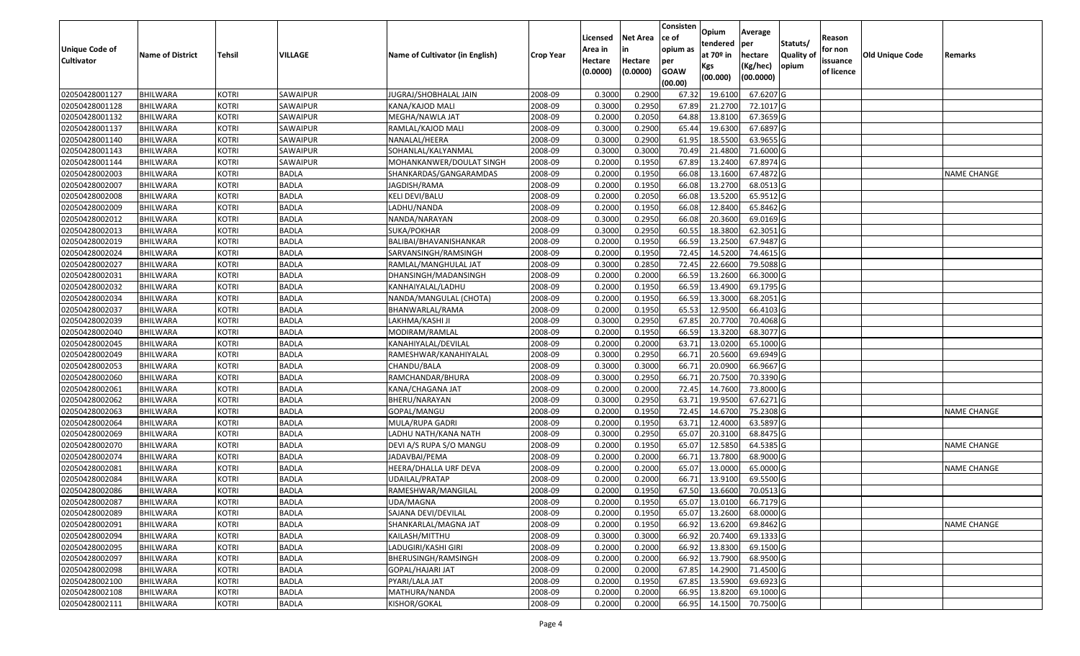|                                  |                         |               |                             |                                     |                  |          |                 | Consisten   | Opium         | Average   |                  |            |                        |                    |
|----------------------------------|-------------------------|---------------|-----------------------------|-------------------------------------|------------------|----------|-----------------|-------------|---------------|-----------|------------------|------------|------------------------|--------------------|
|                                  |                         |               |                             |                                     |                  | Licensed | <b>Net Area</b> | ce of       | tendered      | per       | Statuts/         | Reason     |                        |                    |
| <b>Unique Code of</b>            | <b>Name of District</b> | <b>Tehsil</b> | VILLAGE                     | Name of Cultivator (in English)     | <b>Crop Year</b> | Area in  | in              | opium as    | at $70°$ in   | hectare   | <b>Quality o</b> | for non    | <b>Old Unique Code</b> | Remarks            |
| <b>Cultivator</b>                |                         |               |                             |                                     |                  | Hectare  | Hectare         | per         | Kgs           | (Kg/hec)  | opium            | issuance   |                        |                    |
|                                  |                         |               |                             |                                     |                  | (0.0000) | (0.0000)        | <b>GOAW</b> | (00.000)      | (00.0000) |                  | of licence |                        |                    |
|                                  |                         |               |                             |                                     |                  |          |                 | (00.00)     |               |           |                  |            |                        |                    |
| 02050428001127                   | <b>BHILWARA</b>         | <b>KOTRI</b>  | SAWAIPUR                    | JUGRAJ/SHOBHALAL JAIN               | 2008-09          | 0.3000   | 0.2900          | 67.32       | 19.6100       | 67.6207 G |                  |            |                        |                    |
| 02050428001128                   | <b>BHILWARA</b>         | <b>KOTRI</b>  | SAWAIPUR                    | KANA/KAJOD MALI                     | 2008-09          | 0.3000   | 0.2950          | 67.89       | 21.2700       | 72.1017 G |                  |            |                        |                    |
| 02050428001132                   | <b>BHILWARA</b>         | <b>KOTRI</b>  | SAWAIPUR<br><b>SAWAIPUR</b> | MEGHA/NAWLA JAT                     | 2008-09          | 0.2000   | 0.2050          | 64.88       | 13.8100       | 67.3659 G |                  |            |                        |                    |
| 02050428001137<br>02050428001140 | <b>BHILWARA</b>         | <b>KOTRI</b>  |                             | RAMLAL/KAJOD MALI                   | 2008-09          | 0.3000   | 0.2900          | 65.44       | 19.6300       | 67.6897 G |                  |            |                        |                    |
|                                  | BHILWARA                | <b>KOTRI</b>  | SAWAIPUR                    | NANALAL/HEERA<br>SOHANLAL/KALYANMAL | 2008-09          | 0.3000   | 0.2900          | 61.95       | 18.5500       | 63.9655 G |                  |            |                        |                    |
| 02050428001143                   | <b>BHILWARA</b>         | <b>KOTRI</b>  | SAWAIPUR                    |                                     | 2008-09          | 0.3000   | 0.3000          | 70.49       | 21.4800       | 71.6000G  |                  |            |                        |                    |
| 02050428001144                   | BHILWARA                | <b>KOTRI</b>  | SAWAIPUR                    | MOHANKANWER/DOULAT SINGH            | 2008-09          | 0.2000   | 0.1950          | 67.89       | 13.2400       | 67.8974 G |                  |            |                        |                    |
| 02050428002003                   | <b>BHILWARA</b>         | <b>KOTRI</b>  | <b>BADLA</b>                | SHANKARDAS/GANGARAMDAS              | 2008-09          | 0.2000   | 0.1950          | 66.08       | 13.1600       | 67.4872 G |                  |            |                        | <b>NAME CHANGE</b> |
| 02050428002007                   | BHILWARA                | <b>KOTRI</b>  | <b>BADLA</b>                | JAGDISH/RAMA                        | 2008-09          | 0.2000   | 0.1950          | 66.08       | 13.2700       | 68.0513 G |                  |            |                        |                    |
| 02050428002008                   | BHILWARA                | <b>KOTRI</b>  | <b>BADLA</b>                | KELI DEVI/BALU                      | 2008-09          | 0.2000   | 0.2050          | 66.08       | 13.5200       | 65.9512G  |                  |            |                        |                    |
| 02050428002009                   | BHILWARA                | <b>KOTRI</b>  | <b>BADLA</b>                | LADHU/NANDA                         | 2008-09          | 0.2000   | 0.1950          | 66.08       | 12.8400       | 65.8462 G |                  |            |                        |                    |
| 02050428002012                   | <b>BHILWARA</b>         | <b>KOTRI</b>  | <b>BADLA</b>                | NANDA/NARAYAN                       | 2008-09          | 0.3000   | 0.2950          | 66.08       | 20.3600       | 69.0169 G |                  |            |                        |                    |
| 02050428002013                   | <b>BHILWARA</b>         | <b>KOTRI</b>  | <b>BADLA</b>                | SUKA/POKHAR                         | 2008-09          | 0.3000   | 0.2950          | 60.55       | 18.3800       | 62.3051 G |                  |            |                        |                    |
| 02050428002019                   | <b>BHILWARA</b>         | <b>KOTRI</b>  | <b>BADLA</b>                | BALIBAI/BHAVANISHANKAR              | 2008-09          | 0.2000   | 0.1950          | 66.59       | 13.2500       | 67.9487 G |                  |            |                        |                    |
| 02050428002024                   | BHILWARA                | <b>KOTRI</b>  | <b>BADLA</b>                | SARVANSINGH/RAMSINGH                | 2008-09          | 0.2000   | 0.1950          | 72.45       | 14.5200       | 74.4615 G |                  |            |                        |                    |
| 02050428002027                   | <b>BHILWARA</b>         | <b>KOTRI</b>  | <b>BADLA</b>                | RAMLAL/MANGHULAL JAT                | 2008-09          | 0.3000   | 0.2850          | 72.45       | 22.6600       | 79.5088 G |                  |            |                        |                    |
| 02050428002031                   | <b>BHILWARA</b>         | <b>KOTRI</b>  | <b>BADLA</b>                | DHANSINGH/MADANSINGH                | 2008-09          | 0.2000   | 0.2000          | 66.59       | 13.2600       | 66.3000 G |                  |            |                        |                    |
| 02050428002032                   | <b>BHILWARA</b>         | <b>KOTRI</b>  | <b>BADLA</b>                | KANHAIYALAL/LADHU                   | 2008-09          | 0.2000   | 0.1950          | 66.59       | 13.4900       | 69.1795 G |                  |            |                        |                    |
| 02050428002034                   | BHILWARA                | <b>KOTRI</b>  | <b>BADLA</b>                | NANDA/MANGULAL (CHOTA)              | 2008-09          | 0.2000   | 0.1950          | 66.59       | 13.3000       | 68.2051 G |                  |            |                        |                    |
| 02050428002037                   | BHILWARA                | <b>KOTRI</b>  | <b>BADLA</b>                | BHANWARLAL/RAMA                     | 2008-09          | 0.2000   | 0.1950          | 65.5        | 12.9500       | 66.4103 G |                  |            |                        |                    |
| 02050428002039                   | BHILWARA                | <b>KOTRI</b>  | <b>BADLA</b>                | LAKHMA/KASHI JI                     | 2008-09          | 0.3000   | 0.2950          | 67.85       | 20.7700       | 70.4068G  |                  |            |                        |                    |
| 02050428002040                   | BHILWARA                | <b>KOTRI</b>  | <b>BADLA</b>                | MODIRAM/RAMLAL                      | 2008-09          | 0.2000   | 0.1950          | 66.59       | 13.3200       | 68.3077 G |                  |            |                        |                    |
| 02050428002045                   | <b>BHILWARA</b>         | <b>KOTRI</b>  | <b>BADLA</b>                | KANAHIYALAL/DEVILAL                 | 2008-09          | 0.2000   | 0.2000          | 63.7        | 13.0200       | 65.1000G  |                  |            |                        |                    |
| 02050428002049                   | BHILWARA                | <b>KOTRI</b>  | <b>BADLA</b>                | RAMESHWAR/KANAHIYALAL               | 2008-09          | 0.3000   | 0.2950          | 66.7        | 20.5600       | 69.6949 G |                  |            |                        |                    |
| 02050428002053                   | <b>BHILWARA</b>         | <b>KOTRI</b>  | <b>BADLA</b>                | CHANDU/BALA                         | 2008-09          | 0.3000   | 0.3000          | 66.7        | 20.0900       | 66.9667 G |                  |            |                        |                    |
| 02050428002060                   | BHILWARA                | <b>KOTRI</b>  | <b>BADLA</b>                | RAMCHANDAR/BHURA                    | 2008-09          | 0.3000   | 0.2950          | 66.7        | 20.7500       | 70.3390 G |                  |            |                        |                    |
| 02050428002061                   | <b>BHILWARA</b>         | <b>KOTRI</b>  | <b>BADLA</b>                | KANA/CHAGANA JAT                    | 2008-09          | 0.2000   | 0.2000          | 72.45       | 14.7600       | 73.8000G  |                  |            |                        |                    |
| 02050428002062                   | <b>BHILWARA</b>         | <b>KOTRI</b>  | <b>BADLA</b>                | BHERU/NARAYAN                       | 2008-09          | 0.3000   | 0.2950          | 63.7        | 19.9500       | 67.6271 G |                  |            |                        |                    |
| 02050428002063                   | <b>BHILWARA</b>         | <b>KOTRI</b>  | <b>BADLA</b>                | GOPAL/MANGU                         | 2008-09          | 0.2000   | 0.1950          | 72.45       | 14.6700       | 75.2308 G |                  |            |                        | <b>NAME CHANGE</b> |
| 02050428002064                   | BHILWARA                | <b>KOTRI</b>  | <b>BADLA</b>                | MULA/RUPA GADRI                     | 2008-09          | 0.2000   | 0.1950          | 63.7        | 12.4000       | 63.5897 G |                  |            |                        |                    |
| 02050428002069                   | <b>BHILWARA</b>         | <b>KOTRI</b>  | <b>BADLA</b>                | LADHU NATH/KANA NATH                | 2008-09          | 0.3000   | 0.2950          | 65.07       | 20.3100       | 68.8475 G |                  |            |                        |                    |
| 02050428002070                   | BHILWARA                | <b>KOTRI</b>  | <b>BADLA</b>                | DEVI A/S RUPA S/O MANGU             | 2008-09          | 0.2000   | 0.1950          | 65.07       | 12.5850       | 64.5385 G |                  |            |                        | <b>NAME CHANGE</b> |
| 02050428002074                   | <b>BHILWARA</b>         | <b>KOTRI</b>  | <b>BADLA</b>                | JADAVBAI/PEMA                       | 2008-09          | 0.2000   | 0.2000          | 66.7        | 13.7800       | 68.9000 G |                  |            |                        |                    |
| 02050428002081                   | BHILWARA                | <b>KOTRI</b>  | <b>BADLA</b>                | HEERA/DHALLA URF DEVA               | 2008-09          | 0.2000   | 0.2000          | 65.07       | 13.000        | 65.0000G  |                  |            |                        | <b>NAME CHANGE</b> |
| 02050428002084                   | BHILWARA                | <b>KOTRI</b>  | <b>BADLA</b>                | JDAILAL/PRATAP                      | 2008-09          | 0.2000   | 0.2000          | 66.7        | 13.9100       | 69.5500 G |                  |            |                        |                    |
| 02050428002086                   | BHILWARA                | <b>KOTRI</b>  | <b>BADLA</b>                | RAMESHWAR/MANGILAL                  | 2008-09          | 0.2000   | 0.1950          | 67.50       | 13.6600       | 70.0513 G |                  |            |                        |                    |
| 02050428002087                   | <b>BHILWARA</b>         | <b>KOTRI</b>  | <b>BADLA</b>                | UDA/MAGNA                           | 2008-09          | 0.2000   | 0.1950          |             | 65.07 13.0100 | 66.7179 G |                  |            |                        |                    |
| 02050428002089                   | <b>BHILWARA</b>         | <b>KOTRI</b>  | <b>BADLA</b>                | SAJANA DEVI/DEVILAL                 | 2008-09          | 0.2000   | 0.1950          | 65.07       | 13.2600       | 68.0000 G |                  |            |                        |                    |
| 02050428002091                   | <b>BHILWARA</b>         | <b>KOTRI</b>  | <b>BADLA</b>                | SHANKARLAL/MAGNA JAT                | 2008-09          | 0.2000   | 0.1950          | 66.92       | 13.6200       | 69.8462 G |                  |            |                        | <b>NAME CHANGE</b> |
| 02050428002094                   | <b>BHILWARA</b>         | <b>KOTRI</b>  | <b>BADLA</b>                | KAILASH/MITTHU                      | 2008-09          | 0.3000   | 0.3000          | 66.92       | 20.7400       | 69.1333 G |                  |            |                        |                    |
| 02050428002095                   | <b>BHILWARA</b>         | <b>KOTRI</b>  | <b>BADLA</b>                | LADUGIRI/KASHI GIRI                 | 2008-09          | 0.2000   | 0.2000          | 66.92       | 13.8300       | 69.1500 G |                  |            |                        |                    |
| 02050428002097                   | <b>BHILWARA</b>         | <b>KOTRI</b>  | <b>BADLA</b>                | BHERUSINGH/RAMSINGH                 | 2008-09          | 0.2000   | 0.2000          | 66.92       | 13.7900       | 68.9500 G |                  |            |                        |                    |
| 02050428002098                   | <b>BHILWARA</b>         | <b>KOTRI</b>  | <b>BADLA</b>                | <b>GOPAL/HAJARI JAT</b>             | 2008-09          | 0.2000   | 0.2000          | 67.85       | 14.2900       | 71.4500 G |                  |            |                        |                    |
| 02050428002100                   | <b>BHILWARA</b>         | <b>KOTRI</b>  | <b>BADLA</b>                | PYARI/LALA JAT                      | 2008-09          | 0.2000   | 0.1950          | 67.85       | 13.5900       | 69.6923 G |                  |            |                        |                    |
| 02050428002108                   | <b>BHILWARA</b>         | <b>KOTRI</b>  | BADLA                       | MATHURA/NANDA                       | 2008-09          | 0.2000   | 0.2000          | 66.95       | 13.8200       | 69.1000 G |                  |            |                        |                    |
| 02050428002111                   | <b>BHILWARA</b>         | <b>KOTRI</b>  | <b>BADLA</b>                | KISHOR/GOKAL                        | 2008-09          | 0.2000   | 0.2000          | 66.95       | 14.1500       | 70.7500 G |                  |            |                        |                    |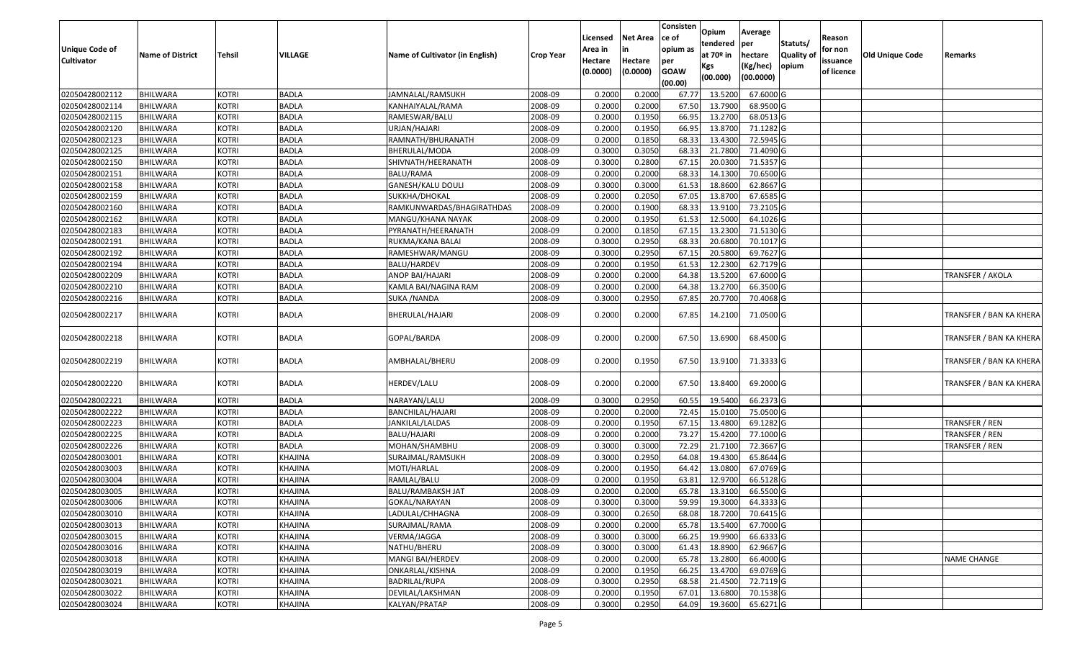| Unique Code of |                         |              |              |                                 |                  | Licensed<br>Area in | Net Area            | Consisten<br>ce of<br>opium as | Opium<br>tendered            | Average<br>per                   | Statuts/            | Reason<br>for non      |                        |                         |
|----------------|-------------------------|--------------|--------------|---------------------------------|------------------|---------------------|---------------------|--------------------------------|------------------------------|----------------------------------|---------------------|------------------------|------------------------|-------------------------|
| Cultivator     | <b>Name of District</b> | Tehsil       | VILLAGE      | Name of Cultivator (in English) | <b>Crop Year</b> | Hectare<br>(0.0000) | Hectare<br>(0.0000) | per<br><b>GOAW</b><br>(00.00)  | at 70º in<br>Kgs<br>(00.000) | hectare<br>(Kg/hec)<br>(00.0000) | Quality of<br>opium | issuance<br>of licence | <b>Old Unique Code</b> | Remarks                 |
| 02050428002112 | <b>BHILWARA</b>         | <b>KOTRI</b> | <b>BADLA</b> | JAMNALAL/RAMSUKH                | 2008-09          | 0.2000              | 0.2000              | 67.77                          | 13.5200                      | 67.6000 G                        |                     |                        |                        |                         |
| 02050428002114 | <b>BHILWARA</b>         | <b>KOTRI</b> | <b>BADLA</b> | KANHAIYALAL/RAMA                | 2008-09          | 0.2000              | 0.2000              | 67.50                          | 13.7900                      | 68.9500 G                        |                     |                        |                        |                         |
| 02050428002115 | BHILWARA                | <b>KOTRI</b> | <b>BADLA</b> | RAMESWAR/BALU                   | 2008-09          | 0.2000              | 0.1950              | 66.95                          | 13.2700                      | 68.0513 G                        |                     |                        |                        |                         |
| 02050428002120 | <b>BHILWARA</b>         | <b>KOTRI</b> | <b>BADLA</b> | URJAN/HAJARI                    | 2008-09          | 0.2000              | 0.1950              | 66.95                          | 13.8700                      | 71.1282 G                        |                     |                        |                        |                         |
| 02050428002123 | <b>BHILWARA</b>         | <b>KOTRI</b> | <b>BADLA</b> | RAMNATH/BHURANATH               | 2008-09          | 0.2000              | 0.1850              | 68.33                          | 13.430                       | 72.5945 G                        |                     |                        |                        |                         |
| 02050428002125 | <b>BHILWARA</b>         | <b>KOTRI</b> | <b>BADLA</b> | BHERULAL/MODA                   | 2008-09          | 0.3000              | 0.3050              | 68.33                          | 21.7800                      | 71.4090 G                        |                     |                        |                        |                         |
| 02050428002150 | BHILWARA                | <b>KOTRI</b> | <b>BADLA</b> | SHIVNATH/HEERANATH              | 2008-09          | 0.3000              | 0.2800              | 67.1                           | 20.0300                      | 71.5357 G                        |                     |                        |                        |                         |
| 02050428002151 | <b>BHILWARA</b>         | <b>KOTRI</b> | <b>BADLA</b> | BALU/RAMA                       | 2008-09          | 0.2000              | 0.2000              | 68.33                          | 14.1300                      | 70.6500 G                        |                     |                        |                        |                         |
| 02050428002158 | BHILWARA                | <b>KOTRI</b> | <b>BADLA</b> | GANESH/KALU DOULI               | 2008-09          | 0.3000              | 0.3000              | 61.53                          | 18.8600                      | 62.8667 G                        |                     |                        |                        |                         |
| 02050428002159 | <b>BHILWARA</b>         | <b>KOTRI</b> | <b>BADLA</b> | SUKKHA/DHOKAL                   | 2008-09          | 0.2000              | 0.2050              | 67.05                          | 13.8700                      | 67.6585 G                        |                     |                        |                        |                         |
| 02050428002160 | BHILWARA                | <b>KOTRI</b> | <b>BADLA</b> | RAMKUNWARDAS/BHAGIRATHDAS       | 2008-09          | 0.2000              | 0.1900              | 68.33                          | 13.9100                      | 73.2105 G                        |                     |                        |                        |                         |
| 02050428002162 | <b>BHILWARA</b>         | <b>KOTRI</b> | <b>BADLA</b> | MANGU/KHANA NAYAK               | 2008-09          | 0.2000              | 0.1950              | 61.53                          | 12.5000                      | 64.1026 G                        |                     |                        |                        |                         |
| 02050428002183 | <b>BHILWARA</b>         | <b>KOTRI</b> | <b>BADLA</b> | PYRANATH/HEERANATH              | 2008-09          | 0.2000              | 0.1850              | 67.15                          | 13.2300                      | 71.5130 G                        |                     |                        |                        |                         |
| 02050428002191 | <b>BHILWARA</b>         | <b>KOTRI</b> | <b>BADLA</b> | RUKMA/KANA BALAI                | 2008-09          | 0.3000              | 0.2950              | 68.33                          | 20.6800                      | 70.1017 G                        |                     |                        |                        |                         |
| 02050428002192 | <b>BHILWARA</b>         | <b>KOTRI</b> | <b>BADLA</b> | RAMESHWAR/MANGU                 | 2008-09          | 0.3000              | 0.2950              | 67.15                          | 20.5800                      | 69.7627 G                        |                     |                        |                        |                         |
| 02050428002194 | <b>BHILWARA</b>         | <b>KOTRI</b> | <b>BADLA</b> | BALU/HARDEV                     | 2008-09          | 0.2000              | 0.1950              | 61.53                          | 12.2300                      | 62.7179 G                        |                     |                        |                        |                         |
| 02050428002209 | <b>BHILWARA</b>         | <b>KOTRI</b> | <b>BADLA</b> | ANOP BAI/HAJARI                 | 2008-09          | 0.2000              | 0.2000              | 64.38                          | 13.5200                      | 67.6000 G                        |                     |                        |                        | <b>TRANSFER / AKOLA</b> |
| 02050428002210 | <b>BHILWARA</b>         | <b>KOTRI</b> | <b>BADLA</b> | KAMLA BAI/NAGINA RAM            | 2008-09          | 0.2000              | 0.2000              | 64.38                          | 13.2700                      | 66.3500 G                        |                     |                        |                        |                         |
| 02050428002216 | <b>BHILWARA</b>         | <b>KOTRI</b> | <b>BADLA</b> | SUKA /NANDA                     | 2008-09          | 0.3000              | 0.2950              | 67.85                          | 20.7700                      | 70.4068 G                        |                     |                        |                        |                         |
| 02050428002217 | <b>BHILWARA</b>         | <b>KOTRI</b> | <b>BADLA</b> | BHERULAL/HAJARI                 | 2008-09          | 0.2000              | 0.2000              | 67.85                          | 14.2100                      | 71.0500 G                        |                     |                        |                        | TRANSFER / BAN KA KHERA |
| 02050428002218 | BHILWARA                | <b>KOTRI</b> | BADLA        | GOPAL/BARDA                     | 2008-09          | 0.2000              | 0.2000              | 67.50                          | 13.6900                      | 68.4500 G                        |                     |                        |                        | TRANSFER / BAN KA KHERA |
| 02050428002219 | BHILWARA                | <b>KOTRI</b> | BADLA        | AMBHALAL/BHERU                  | 2008-09          | 0.2000              | 0.1950              | 67.50                          | 13.9100                      | 71.3333 G                        |                     |                        |                        | TRANSFER / BAN KA KHERA |
| 02050428002220 | <b>BHILWARA</b>         | KOTRI        | BADLA        | HERDEV/LALU                     | 2008-09          | 0.2000              | 0.2000              | 67.50                          | 13.8400                      | 69.2000 G                        |                     |                        |                        | TRANSFER / BAN KA KHERA |
| 02050428002221 | <b>BHILWARA</b>         | <b>KOTRI</b> | <b>BADLA</b> | NARAYAN/LALU                    | 2008-09          | 0.3000              | 0.2950              | 60.55                          | 19.5400                      | 66.2373 G                        |                     |                        |                        |                         |
| 02050428002222 | <b>BHILWARA</b>         | <b>KOTRI</b> | <b>BADLA</b> | BANCHILAL/HAJARI                | 2008-09          | 0.2000              | 0.2000              | 72.45                          | 15.0100                      | 75.0500 G                        |                     |                        |                        |                         |
| 02050428002223 | <b>BHILWARA</b>         | <b>KOTRI</b> | <b>BADLA</b> | JANKILAL/LALDAS                 | 2008-09          | 0.2000              | 0.1950              | 67.15                          | 13.4800                      | 69.1282 G                        |                     |                        |                        | TRANSFER / REN          |
| 02050428002225 | <b>BHILWARA</b>         | <b>KOTRI</b> | <b>BADLA</b> | BALU/HAJARI                     | 2008-09          | 0.2000              | 0.2000              | 73.27                          | 15.4200                      | 77.1000 G                        |                     |                        |                        | TRANSFER / REN          |
| 02050428002226 | BHILWARA                | <b>KOTRI</b> | <b>BADLA</b> | MOHAN/SHAMBHU                   | 2008-09          | 0.3000              | 0.3000              | 72.29                          | 21.7100                      | 72.3667 G                        |                     |                        |                        | TRANSFER / REN          |
| 02050428003001 | <b>BHILWARA</b>         | <b>KOTRI</b> | KHAJINA      | SURAJMAL/RAMSUKH                | 2008-09          | 0.3000              | 0.2950              | 64.08                          | 19.4300                      | 65.8644 G                        |                     |                        |                        |                         |
| 02050428003003 | <b>BHILWARA</b>         | <b>KOTRI</b> | KHAJINA      | MOTI/HARLAL                     | 2008-09          | 0.2000              | 0.1950              | 64.42                          | 13.0800                      | 67.0769 G                        |                     |                        |                        |                         |
| 02050428003004 | BHILWARA                | <b>KOTRI</b> | KHAJINA      | RAMLAL/BALU                     | 2008-09          | 0.2000              | 0.1950              | 63.81                          | 12.970                       | 66.5128 G                        |                     |                        |                        |                         |
| 02050428003005 | <b>BHILWARA</b>         | <b>KOTRI</b> | KHAJINA      | BALU/RAMBAKSH JAT               | 2008-09          | 0.2000              | 0.2000              | 65.78                          | 13.3100                      | 66.5500 G                        |                     |                        |                        |                         |
| 02050428003006 | <b>BHILWARA</b>         | <b>KOTRI</b> | KHAJINA      | GOKAL/NARAYAN                   | 2008-09          | 0.3000              | 0.3000              | 59.99                          | 19.3000                      | 64.3333 G                        |                     |                        |                        |                         |
| 02050428003010 | <b>BHILWARA</b>         | <b>KOTRI</b> | KHAJINA      | LADULAL/CHHAGNA                 | 2008-09          | 0.3000              | 0.2650              | 68.08                          | 18.7200                      | 70.6415 G                        |                     |                        |                        |                         |
| 02050428003013 | <b>BHILWARA</b>         | <b>KOTRI</b> | KHAJINA      | SURAJMAL/RAMA                   | 2008-09          | 0.2000              | 0.2000              | 65.78                          | 13.5400                      | 67.7000 G                        |                     |                        |                        |                         |
| 02050428003015 | <b>BHILWARA</b>         | <b>KOTRI</b> | KHAJINA      | VERMA/JAGGA                     | 2008-09          | 0.3000              | 0.3000              | 66.25                          | 19.9900                      | 66.6333 G                        |                     |                        |                        |                         |
| 02050428003016 | <b>BHILWARA</b>         | <b>KOTRI</b> | KHAJINA      | NATHU/BHERU                     | 2008-09          | 0.3000              | 0.3000              | 61.43                          | 18.8900                      | 62.9667 G                        |                     |                        |                        |                         |
| 02050428003018 | <b>BHILWARA</b>         | <b>KOTRI</b> | KHAJINA      | MANGI BAI/HERDEV                | 2008-09          | 0.2000              | 0.2000              | 65.78                          | 13.2800                      | 66.4000 G                        |                     |                        |                        | <b>NAME CHANGE</b>      |
| 02050428003019 | <b>BHILWARA</b>         | <b>KOTRI</b> | KHAJINA      | ONKARLAL/KISHNA                 | 2008-09          | 0.2000              | 0.1950              | 66.25                          | 13.4700                      | 69.0769 G                        |                     |                        |                        |                         |
| 02050428003021 | <b>BHILWARA</b>         | <b>KOTRI</b> | KHAJINA      | BADRILAL/RUPA                   | 2008-09          | 0.3000              | 0.2950              | 68.58                          | 21.4500                      | 72.7119 G                        |                     |                        |                        |                         |
| 02050428003022 | <b>BHILWARA</b>         | <b>KOTRI</b> | KHAJINA      | DEVILAL/LAKSHMAN                | 2008-09          | 0.2000              | 0.1950              | 67.01                          | 13.6800                      | 70.1538 G                        |                     |                        |                        |                         |
| 02050428003024 | <b>BHILWARA</b>         | <b>KOTRI</b> | KHAJINA      | KALYAN/PRATAP                   | 2008-09          | 0.3000              | 0.2950              | 64.09                          | 19.3600                      | 65.6271 G                        |                     |                        |                        |                         |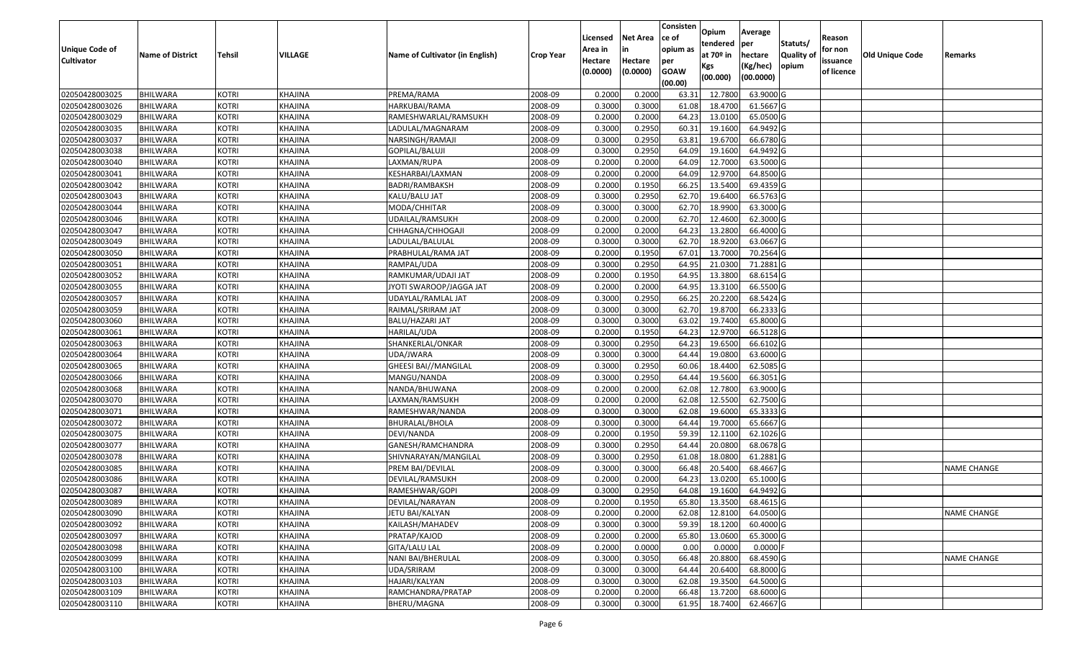|                                  |                                    |                              |                    |                                               |                    |                  |                  | Consisten      | Opium              | Average                 |                  |            |                        |                    |
|----------------------------------|------------------------------------|------------------------------|--------------------|-----------------------------------------------|--------------------|------------------|------------------|----------------|--------------------|-------------------------|------------------|------------|------------------------|--------------------|
|                                  |                                    |                              |                    |                                               |                    | Licensed         | <b>Net Area</b>  | ce of          | tendered           | per                     | Statuts/         | Reason     |                        |                    |
| Unique Code of                   | <b>Name of District</b>            | <b>Tehsil</b>                | VILLAGE            | Name of Cultivator (in English)               | <b>Crop Year</b>   | Area in          | in               | opium as       | at $70°$ in        | hectare                 | <b>Quality o</b> | for non    | <b>Old Unique Code</b> | Remarks            |
| <b>Cultivator</b>                |                                    |                              |                    |                                               |                    | Hectare          | Hectare          | per            | Kgs                | (Kg/hec)                | opium            | issuance   |                        |                    |
|                                  |                                    |                              |                    |                                               |                    | (0.0000)         | (0.0000)         | <b>GOAW</b>    | (00.000)           | (00.0000)               |                  | of licence |                        |                    |
|                                  |                                    |                              |                    |                                               |                    |                  |                  | (00.00)        |                    |                         |                  |            |                        |                    |
| 02050428003025<br>02050428003026 | <b>BHILWARA</b>                    | <b>KOTRI</b>                 | KHAJINA            | PREMA/RAMA                                    | 2008-09            | 0.2000<br>0.3000 | 0.2000<br>0.3000 | 63.3           | 12.7800<br>18.4700 | 63.9000 G<br>61.5667 G  |                  |            |                        |                    |
|                                  | <b>BHILWARA</b><br>BHILWARA        | <b>KOTRI</b><br><b>KOTRI</b> | KHAJINA<br>KHAJINA | HARKUBAI/RAMA                                 | 2008-09            | 0.2000           | 0.2000           | 61.08<br>64.23 | 13.0100            | 65.0500 G               |                  |            |                        |                    |
| 02050428003029<br>02050428003035 | <b>BHILWARA</b>                    | <b>KOTRI</b>                 | <b>KHAJINA</b>     | RAMESHWARLAL/RAMSUKH<br>LADULAL/MAGNARAM      | 2008-09<br>2008-09 | 0.3000           | 0.2950           | 60.3           | 19.1600            | 64.9492 G               |                  |            |                        |                    |
| 02050428003037                   | BHILWARA                           | <b>KOTRI</b>                 | KHAJINA            | NARSINGH/RAMAJI                               | 2008-09            | 0.3000           | 0.2950           | 63.8           | 19.6700            | 66.6780 G               |                  |            |                        |                    |
| 02050428003038                   | <b>BHILWARA</b>                    | <b>KOTRI</b>                 | KHAJINA            | GOPILAL/BALUJI                                | 2008-09            | 0.3000           | 0.2950           | 64.09          | 19.1600            | 64.9492 G               |                  |            |                        |                    |
| 02050428003040                   | BHILWARA                           | <b>KOTRI</b>                 | KHAJINA            |                                               | 2008-09            | 0.2000           | 0.2000           | 64.09          | 12.7000            | 63.5000 G               |                  |            |                        |                    |
| 02050428003041                   | <b>BHILWARA</b>                    | <b>KOTRI</b>                 | <b>KHAJINA</b>     | LAXMAN/RUPA<br>KESHARBAI/LAXMAN               | 2008-09            | 0.2000           | 0.2000           | 64.09          | 12.9700            | 64.8500 G               |                  |            |                        |                    |
| 02050428003042                   | BHILWARA                           | <b>KOTRI</b>                 | KHAJINA            | BADRI/RAMBAKSH                                | 2008-09            | 0.2000           | 0.1950           | 66.25          | 13.5400            | 69.4359 G               |                  |            |                        |                    |
| 02050428003043                   | BHILWARA                           | <b>KOTRI</b>                 | KHAJINA            | KALU/BALU JAT                                 | 2008-09            | 0.3000           | 0.2950           | 62.70          | 19.6400            | 66.5763 G               |                  |            |                        |                    |
| 02050428003044                   | BHILWARA                           | <b>KOTRI</b>                 | KHAJINA            | MODA/CHHITAR                                  | 2008-09            | 0.3000           | 0.3000           | 62.70          | 18.9900            | 63.3000 G               |                  |            |                        |                    |
| 02050428003046                   | <b>BHILWARA</b>                    | <b>KOTRI</b>                 | KHAJINA            | UDAILAL/RAMSUKH                               | 2008-09            | 0.2000           | 0.2000           | 62.70          | 12.4600            | 62.3000G                |                  |            |                        |                    |
| 02050428003047                   | <b>BHILWARA</b>                    | <b>KOTRI</b>                 |                    |                                               |                    | 0.2000           | 0.2000           | 64.23          | 13.2800            | 66.4000 G               |                  |            |                        |                    |
| 02050428003049                   |                                    | <b>KOTRI</b>                 | KHAJINA            | CHHAGNA/CHHOGAJI                              | 2008-09<br>2008-09 | 0.3000           | 0.3000           | 62.70          | 18.9200            | 63.0667 G               |                  |            |                        |                    |
|                                  | BHILWARA                           | <b>KOTRI</b>                 | KHAJINA<br>KHAJINA | LADULAL/BALULAL                               |                    | 0.2000           | 0.1950           | 67.01          | 13.7000            | 70.2564 G               |                  |            |                        |                    |
| 02050428003050                   | BHILWARA<br><b>BHILWARA</b>        | <b>KOTRI</b>                 | KHAJINA            | PRABHULAL/RAMA JAT                            | 2008-09<br>2008-09 | 0.3000           | 0.2950           | 64.95          | 21.0300            | 71.2881 G               |                  |            |                        |                    |
| 02050428003051                   |                                    |                              |                    | RAMPAL/UDA                                    |                    | 0.2000           | 0.1950           | 64.95          | 13.3800            | 68.6154 G               |                  |            |                        |                    |
| 02050428003052<br>02050428003055 | <b>BHILWARA</b><br>BHILWARA        | <b>KOTRI</b><br><b>KOTRI</b> | KHAJINA<br>KHAJINA | RAMKUMAR/UDAJI JAT<br>JYOTI SWAROOP/JAGGA JAT | 2008-09<br>2008-09 | 0.2000           | 0.2000           | 64.95          | 13.3100            | 66.5500 G               |                  |            |                        |                    |
|                                  |                                    |                              |                    |                                               |                    |                  |                  |                |                    |                         |                  |            |                        |                    |
| 02050428003057                   | BHILWARA                           | <b>KOTRI</b>                 | KHAJINA            | UDAYLAL/RAMLAL JAT                            | 2008-09            | 0.3000           | 0.2950           | 66.25<br>62.70 | 20.2200            | 68.5424 G<br>66.2333 G  |                  |            |                        |                    |
| 02050428003059                   | BHILWARA                           | <b>KOTRI</b>                 | KHAJINA            | RAIMAL/SRIRAM JAT                             | 2008-09            | 0.3000           | 0.3000           |                | 19.8700            |                         |                  |            |                        |                    |
| 02050428003060                   | <b>BHILWARA</b>                    | <b>KOTRI</b>                 | KHAJINA            | BALU/HAZARI JAT                               | 2008-09            | 0.3000           | 0.3000           | 63.02          | 19.7400            | 65.8000 G               |                  |            |                        |                    |
| 02050428003061                   | BHILWARA                           | <b>KOTRI</b>                 | KHAJINA            | HARILAL/UDA                                   | 2008-09            | 0.2000<br>0.3000 | 0.1950           | 64.23          | 12.9700            | 66.5128 G               |                  |            |                        |                    |
| 02050428003063                   | <b>BHILWARA</b>                    | <b>KOTRI</b><br><b>KOTRI</b> | KHAJINA            | SHANKERLAL/ONKAR                              | 2008-09            | 0.3000           | 0.2950<br>0.3000 | 64.23<br>64.44 | 19.6500            | 66.6102 G<br>63.6000 G  |                  |            |                        |                    |
| 02050428003064                   | BHILWARA                           |                              | KHAJINA            | UDA/JWARA                                     | 2008-09            |                  |                  |                | 19.0800            |                         |                  |            |                        |                    |
| 02050428003065                   | <b>BHILWARA</b>                    | <b>KOTRI</b>                 | <b>KHAJINA</b>     | <b>GHEESI BAI//MANGILAL</b>                   | 2008-09            | 0.3000           | 0.2950           | 60.06          | 18.4400            | 62.5085 G               |                  |            |                        |                    |
| 02050428003066                   | BHILWARA                           | <b>KOTRI</b>                 | KHAJINA            | MANGU/NANDA                                   | 2008-09            | 0.3000           | 0.2950           | 64.44          | 19.5600            | 66.3051G                |                  |            |                        |                    |
| 02050428003068                   | <b>BHILWARA</b>                    | <b>KOTRI</b>                 | KHAJINA            | NANDA/BHUWANA                                 | 2008-09            | 0.2000<br>0.2000 | 0.2000<br>0.2000 | 62.08<br>62.08 | 12.7800<br>12.5500 | 63.9000 G<br>62.7500 G  |                  |            |                        |                    |
| 02050428003070                   | BHILWARA<br><b>BHILWARA</b>        | <b>KOTRI</b><br><b>KOTRI</b> | KHAJINA<br>KHAJINA | LAXMAN/RAMSUKH                                | 2008-09<br>2008-09 | 0.3000           | 0.3000           | 62.08          | 19.6000            |                         |                  |            |                        |                    |
| 02050428003071<br>02050428003072 | <b>BHILWARA</b>                    | <b>KOTRI</b>                 | KHAJINA            | RAMESHWAR/NANDA                               | 2008-09            | 0.3000           | 0.3000           | 64.44          | 19.7000            | 65.3333 G<br>65.6667 G  |                  |            |                        |                    |
| 02050428003075                   |                                    | <b>KOTRI</b>                 | KHAJINA            | BHURALAL/BHOLA                                | 2008-09            | 0.2000           | 0.1950           | 59.39          | 12.1100            | 62.1026 G               |                  |            |                        |                    |
|                                  | BHILWARA                           |                              |                    | DEVI/NANDA                                    |                    | 0.3000           | 0.2950           | 64.4           | 20.0800            | 68.0678 G               |                  |            |                        |                    |
| 02050428003077<br>02050428003078 | BHILWARA<br><b>BHILWARA</b>        | <b>KOTRI</b><br><b>KOTRI</b> | KHAJINA<br>KHAJINA | GANESH/RAMCHANDRA<br>SHIVNARAYAN/MANGILAL     | 2008-09<br>2008-09 | 0.3000           | 0.2950           | 61.08          | 18.0800            | 61.2881 G               |                  |            |                        |                    |
| 02050428003085                   | BHILWARA                           | <b>KOTRI</b>                 | KHAJINA            | PREM BAI/DEVILAL                              | 2008-09            | 0.3000           | 0.3000           | 66.48          | 20.5400            | 68.4667 G               |                  |            |                        | <b>NAME CHANGE</b> |
| 02050428003086                   | BHILWARA                           | <b>KOTRI</b>                 | <b>KHAJINA</b>     | DEVILAL/RAMSUKH                               | 2008-09            | 0.2000           | 0.2000           | 64.23          | 13.0200            | 65.1000 G               |                  |            |                        |                    |
| 02050428003087                   | BHILWARA                           | <b>KOTRI</b>                 | KHAJINA            |                                               | 2008-09            | 0.3000           | 0.2950           | 64.08          | 19.1600            | 64.9492 G               |                  |            |                        |                    |
| 02050428003089                   | <b>BHILWARA</b>                    | <b>KOTRI</b>                 | KHAJINA            | RAMESHWAR/GOPI<br>DEVILAL/NARAYAN             | 2008-09            | 0.2000           | 0.1950           | 65.80          | 13.3500            | 68.4615 G               |                  |            |                        |                    |
|                                  |                                    |                              |                    |                                               | 2008-09            | 0.2000           |                  |                | 12.8100            |                         |                  |            |                        | <b>NAME CHANGE</b> |
| 02050428003090                   | <b>BHILWARA</b>                    | <b>KOTRI</b>                 | KHAJINA            | JETU BAI/KALYAN                               |                    |                  | 0.2000           | 62.08          |                    | 64.0500 G               |                  |            |                        |                    |
| 02050428003092                   | <b>BHILWARA</b>                    | <b>KOTRI</b>                 | KHAJINA            | KAILASH/MAHADEV                               | 2008-09            | 0.3000           | 0.3000           | 59.39          | 18.1200            | 60.4000 G               |                  |            |                        |                    |
| 02050428003097                   | <b>BHILWARA</b>                    | <b>KOTRI</b>                 | KHAJINA            | PRATAP/KAJOD                                  | 2008-09            | 0.2000           | 0.2000           | 65.80          | 13.0600            | 65.3000 G               |                  |            |                        |                    |
| 02050428003098<br>02050428003099 | <b>BHILWARA</b><br><b>BHILWARA</b> | <b>KOTRI</b><br><b>KOTRI</b> | KHAJINA            | GITA/LALU LAL<br>NANI BAI/BHERULAL            | 2008-09<br>2008-09 | 0.2000<br>0.3000 | 0.0000<br>0.3050 | 0.00<br>66.48  | 0.0000<br>20.8800  | $0.0000$ F<br>68.4590 G |                  |            |                        | <b>NAME CHANGE</b> |
|                                  |                                    |                              | <b>KHAJINA</b>     |                                               |                    |                  |                  |                |                    |                         |                  |            |                        |                    |
| 02050428003100                   | <b>BHILWARA</b>                    | <b>KOTRI</b>                 | KHAJINA            | UDA/SRIRAM                                    | 2008-09            | 0.3000           | 0.3000           | 64.44          | 20.6400            | 68.8000 G               |                  |            |                        |                    |
| 02050428003103                   | <b>BHILWARA</b>                    | <b>KOTRI</b>                 | KHAJINA            | HAJARI/KALYAN                                 | 2008-09            | 0.3000           | 0.3000           | 62.08          | 19.3500            | 64.5000 G               |                  |            |                        |                    |
| 02050428003109                   | <b>BHILWARA</b>                    | <b>KOTRI</b>                 | KHAJINA            | RAMCHANDRA/PRATAP                             | 2008-09            | 0.2000           | 0.2000           | 66.48          | 13.7200            | 68.6000 G               |                  |            |                        |                    |
| 02050428003110                   | <b>BHILWARA</b>                    | <b>KOTRI</b>                 | KHAJINA            | BHERU/MAGNA                                   | 2008-09            | 0.3000           | 0.3000           | 61.95          | 18.7400            | 62.4667 G               |                  |            |                        |                    |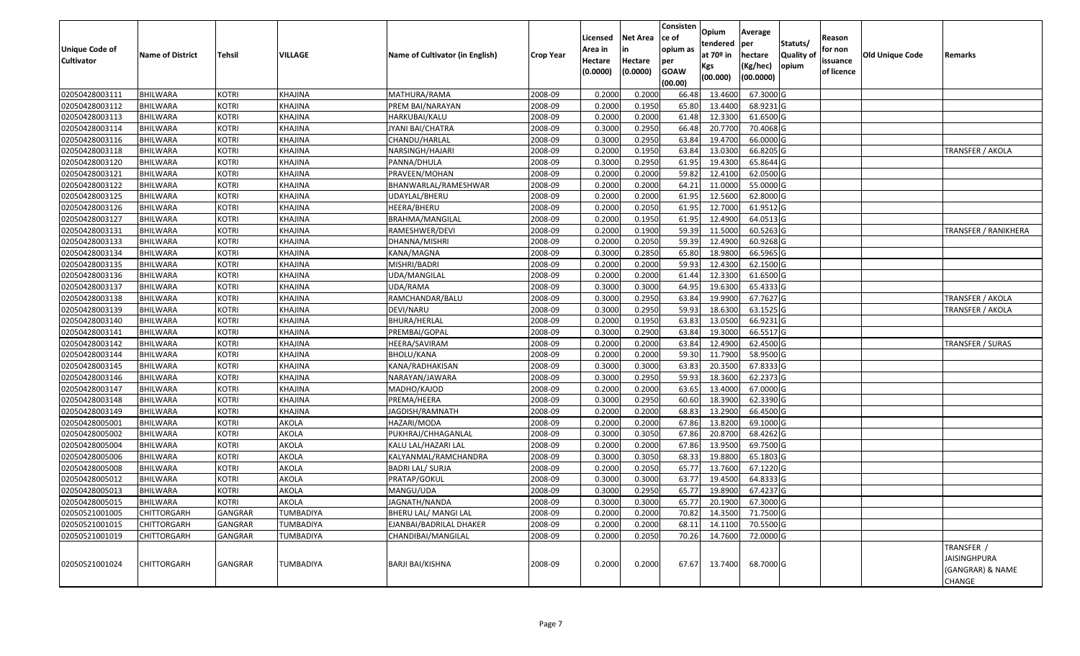| <b>Unique Code of</b><br><b>Cultivator</b> | <b>Name of District</b> | Tehsil         | VILLAGE          | Name of Cultivator (in English) | <b>Crop Year</b> | Licensed<br>Area in<br>Hectare | Net Area<br>in<br>Hectare | Consisten<br>ce of<br>opium as<br>per | Opium<br>tendered<br>at 70º in<br>Kgs | Average<br>per<br>hectare<br>(Kg/hec) | Statuts/<br><b>Quality of</b><br>opium | Reason<br>for non<br>issuance | Old Unique Code | Remarks                                                         |
|--------------------------------------------|-------------------------|----------------|------------------|---------------------------------|------------------|--------------------------------|---------------------------|---------------------------------------|---------------------------------------|---------------------------------------|----------------------------------------|-------------------------------|-----------------|-----------------------------------------------------------------|
|                                            |                         |                |                  |                                 |                  | (0.0000)                       | (0.0000)                  | <b>GOAW</b><br>(00.00)                | (00.000)                              | (00.0000)                             |                                        | of licence                    |                 |                                                                 |
| 02050428003111                             | <b>BHILWARA</b>         | <b>KOTRI</b>   | KHAJINA          | MATHURA/RAMA                    | 2008-09          | 0.2000                         | 0.2000                    | 66.48                                 | 13.4600                               | 67.3000 G                             |                                        |                               |                 |                                                                 |
| 02050428003112                             | BHILWARA                | <b>KOTRI</b>   | KHAJINA          | PREM BAI/NARAYAN                | 2008-09          | 0.2000                         | 0.1950                    | 65.80                                 | 13.4400                               | 68.9231 G                             |                                        |                               |                 |                                                                 |
| 02050428003113                             | BHILWARA                | <b>KOTRI</b>   | KHAJINA          | HARKUBAI/KALU                   | 2008-09          | 0.2000                         | 0.2000                    | 61.48                                 | 12.3300                               | 61.6500 G                             |                                        |                               |                 |                                                                 |
| 02050428003114                             | <b>BHILWARA</b>         | <b>KOTRI</b>   | KHAJINA          | JYANI BAI/CHATRA                | 2008-09          | 0.3000                         | 0.2950                    | 66.48                                 | 20.7700                               | 70.4068 G                             |                                        |                               |                 |                                                                 |
| 02050428003116                             | BHILWARA                | <b>KOTRI</b>   | KHAJINA          | CHANDU/HARLAL                   | 2008-09          | 0.3000                         | 0.2950                    | 63.84                                 | 19.4700                               | 66.0000 G                             |                                        |                               |                 |                                                                 |
| 02050428003118                             | <b>BHILWARA</b>         | <b>KOTRI</b>   | KHAJINA          | NARSINGH/HAJARI                 | 2008-09          | 0.2000                         | 0.1950                    | 63.84                                 | 13.0300                               | 66.8205 G                             |                                        |                               |                 | TRANSFER / AKOLA                                                |
| 02050428003120                             | BHILWARA                | <b>KOTRI</b>   | KHAJINA          | PANNA/DHULA                     | 2008-09          | 0.3000                         | 0.2950                    | 61.95                                 | 19.4300                               | 65.8644 G                             |                                        |                               |                 |                                                                 |
| 02050428003121                             | <b>BHILWARA</b>         | <b>KOTRI</b>   | KHAJINA          | PRAVEEN/MOHAN                   | 2008-09          | 0.2000                         | 0.2000                    | 59.82                                 | 12.4100                               | 62.0500 G                             |                                        |                               |                 |                                                                 |
| 02050428003122                             | BHILWARA                | <b>KOTRI</b>   | KHAJINA          | BHANWARLAL/RAMESHWAR            | 2008-09          | 0.2000                         | 0.2000                    | 64.21                                 | 11.000                                | 55.0000 G                             |                                        |                               |                 |                                                                 |
| 02050428003125                             | BHILWARA                | <b>KOTRI</b>   | KHAJINA          | UDAYLAL/BHERU                   | 2008-09          | 0.2000                         | 0.2000                    | 61.95                                 | 12.5600                               | 62.8000 G                             |                                        |                               |                 |                                                                 |
| 02050428003126                             | BHILWARA                | <b>KOTRI</b>   | KHAJINA          | HEERA/BHERU                     | 2008-09          | 0.2000                         | 0.2050                    | 61.95                                 | 12.7000                               | 61.9512 G                             |                                        |                               |                 |                                                                 |
| 02050428003127                             | <b>BHILWARA</b>         | <b>KOTRI</b>   | KHAJINA          | BRAHMA/MANGILAL                 | 2008-09          | 0.2000                         | 0.1950                    | 61.95                                 | 12.4900                               | 64.0513 G                             |                                        |                               |                 |                                                                 |
| 02050428003131                             | <b>BHILWARA</b>         | <b>KOTRI</b>   | KHAJINA          | RAMESHWER/DEVI                  | 2008-09          | 0.2000                         | 0.1900                    | 59.39                                 | 11.5000                               | 60.5263 G                             |                                        |                               |                 | <b>TRANSFER / RANIKHERA</b>                                     |
| 02050428003133                             | <b>BHILWARA</b>         | <b>KOTRI</b>   | KHAJINA          | DHANNA/MISHRI                   | 2008-09          | 0.2000                         | 0.2050                    | 59.39                                 | 12.4900                               | 60.9268 G                             |                                        |                               |                 |                                                                 |
| 02050428003134                             | BHILWARA                | <b>KOTRI</b>   | KHAJINA          | KANA/MAGNA                      | 2008-09          | 0.3000                         | 0.2850                    | 65.80                                 | 18.9800                               | 66.5965 G                             |                                        |                               |                 |                                                                 |
| 02050428003135                             | <b>BHILWARA</b>         | <b>KOTRI</b>   | KHAJINA          | MISHRI/BADRI                    | 2008-09          | 0.2000                         | 0.2000                    | 59.93                                 | 12.4300                               | 62.1500 G                             |                                        |                               |                 |                                                                 |
| 02050428003136                             | <b>BHILWARA</b>         | <b>KOTRI</b>   | KHAJINA          | UDA/MANGILAL                    | 2008-09          | 0.2000                         | 0.2000                    | 61.44                                 | 12.3300                               | 61.6500 G                             |                                        |                               |                 |                                                                 |
| 02050428003137                             | <b>BHILWARA</b>         | <b>KOTRI</b>   | KHAJINA          | UDA/RAMA                        | 2008-09          | 0.3000                         | 0.3000                    | 64.95                                 | 19.6300                               | 65.4333 G                             |                                        |                               |                 |                                                                 |
| 02050428003138                             | BHILWARA                | <b>KOTRI</b>   | KHAJINA          | RAMCHANDAR/BALU                 | 2008-09          | 0.3000                         | 0.2950                    | 63.84                                 | 19.9900                               | 67.7627 G                             |                                        |                               |                 | TRANSFER / AKOLA                                                |
| 02050428003139                             | BHILWARA                | <b>KOTRI</b>   | KHAJINA          | DEVI/NARU                       | 2008-09          | 0.3000                         | 0.2950                    | 59.93                                 | 18.6300                               | 63.1525 G                             |                                        |                               |                 | TRANSFER / AKOLA                                                |
| 02050428003140                             | <b>BHILWARA</b>         | <b>KOTRI</b>   | <b>KHAJINA</b>   | BHURA/HERLAL                    | 2008-09          | 0.2000                         | 0.1950                    | 63.83                                 | 13.0500                               | 66.9231 G                             |                                        |                               |                 |                                                                 |
| 02050428003141                             | BHILWARA                | <b>KOTRI</b>   | KHAJINA          | PREMBAI/GOPAL                   | 2008-09          | 0.3000                         | 0.2900                    | 63.84                                 | 19.3000                               | 66.5517 G                             |                                        |                               |                 |                                                                 |
| 02050428003142                             | <b>BHILWARA</b>         | <b>KOTRI</b>   | KHAJINA          | HEERA/SAVIRAM                   | 2008-09          | 0.2000                         | 0.2000                    | 63.84                                 | 12.4900                               | 62.4500 G                             |                                        |                               |                 | TRANSFER / SURAS                                                |
| 02050428003144                             | <b>BHILWARA</b>         | <b>KOTRI</b>   | KHAJINA          | <b>BHOLU/KANA</b>               | 2008-09          | 0.2000                         | 0.2000                    | 59.30                                 | 11.7900                               | 58.9500 G                             |                                        |                               |                 |                                                                 |
| 02050428003145                             | <b>BHILWARA</b>         | <b>KOTRI</b>   | KHAJINA          | KANA/RADHAKISAN                 | 2008-09          | 0.3000                         | 0.3000                    | 63.83                                 | 20.3500                               | 67.8333 G                             |                                        |                               |                 |                                                                 |
| 02050428003146                             | <b>BHILWARA</b>         | <b>KOTRI</b>   | KHAJINA          | NARAYAN/JAWARA                  | 2008-09          | 0.3000                         | 0.2950                    | 59.93                                 | 18.3600                               | 62.2373 G                             |                                        |                               |                 |                                                                 |
| 02050428003147                             | <b>BHILWARA</b>         | <b>KOTRI</b>   | KHAJINA          | MADHO/KAJOD                     | 2008-09          | 0.2000                         | 0.2000                    | 63.65                                 | 13.4000                               | 67.0000 G                             |                                        |                               |                 |                                                                 |
| 02050428003148                             | BHILWARA                | <b>KOTRI</b>   | KHAJINA          | PREMA/HEERA                     | 2008-09          | 0.3000                         | 0.2950                    | 60.60                                 | 18.3900                               | 62.3390 G                             |                                        |                               |                 |                                                                 |
| 02050428003149                             | <b>BHILWARA</b>         | <b>KOTRI</b>   | KHAJINA          | JAGDISH/RAMNATH                 | 2008-09          | 0.2000                         | 0.2000                    | 68.83                                 | 13.2900                               | 66.4500 G                             |                                        |                               |                 |                                                                 |
| 02050428005001                             | BHILWARA                | <b>KOTRI</b>   | AKOLA            | HAZARI/MODA                     | 2008-09          | 0.2000                         | 0.2000                    | 67.86                                 | 13.8200                               | 69.1000 G                             |                                        |                               |                 |                                                                 |
| 02050428005002                             | <b>BHILWARA</b>         | <b>KOTRI</b>   | AKOLA            | PUKHRAJ/CHHAGANLAL              | 2008-09          | 0.3000                         | 0.3050                    | 67.86                                 | 20.8700                               | 68.4262 G                             |                                        |                               |                 |                                                                 |
| 02050428005004                             | <b>BHILWARA</b>         | <b>KOTRI</b>   | AKOLA            | KALU LAL/HAZARI LAL             | 2008-09          | 0.2000                         | 0.2000                    | 67.86                                 | 13.9500                               | 69.7500 G                             |                                        |                               |                 |                                                                 |
| 02050428005006                             | <b>BHILWARA</b>         | <b>KOTRI</b>   | AKOLA            | KALYANMAL/RAMCHANDRA            | 2008-09          | 0.3000                         | 0.3050                    | 68.33                                 | 19.8800                               | 65.1803 G                             |                                        |                               |                 |                                                                 |
| 02050428005008                             | BHILWARA                | <b>KOTRI</b>   | AKOLA            | <b>BADRI LAL/ SURJA</b>         | 2008-09          | 0.2000                         | 0.2050                    | 65.77                                 | 13.7600                               | 67.1220 G                             |                                        |                               |                 |                                                                 |
| 02050428005012                             | <b>BHILWARA</b>         | <b>KOTRI</b>   | AKOLA            | PRATAP/GOKUL                    | 2008-09          | 0.3000                         | 0.3000                    | 63.77                                 | 19.4500                               | 64.8333 G                             |                                        |                               |                 |                                                                 |
| 02050428005013                             | <b>BHILWARA</b>         | <b>KOTRI</b>   | AKOLA            | MANGU/UDA                       | 2008-09          | 0.3000                         | 0.2950                    | 65.77                                 | 19.8900                               | 67.4237 G                             |                                        |                               |                 |                                                                 |
| 02050428005015                             | BHILWARA                | <b>KOTRI</b>   | AKOLA            | JAGNATH/NANDA                   | 2008-09          | 0.3000                         | 0.3000                    | 65.77                                 | 20.1900                               | 67.3000 G                             |                                        |                               |                 |                                                                 |
| 02050521001005                             | <b>CHITTORGARH</b>      | <b>GANGRAR</b> | <b>TUMBADIYA</b> | BHERU LAL/ MANGI LAL            | 2008-09          | 0.2000                         | 0.2000                    | 70.82                                 | 14.3500                               | 71.7500 G                             |                                        |                               |                 |                                                                 |
| 02050521001015                             | <b>CHITTORGARH</b>      | <b>GANGRAR</b> | TUMBADIYA        | EJANBAI/BADRILAL DHAKER         | 2008-09          | 0.2000                         | 0.2000                    | 68.11                                 | 14.1100                               | 70.5500 G                             |                                        |                               |                 |                                                                 |
| 02050521001019                             | <b>CHITTORGARH</b>      | <b>GANGRAR</b> | <b>TUMBADIYA</b> | CHANDIBAI/MANGILAL              | 2008-09          | 0.2000                         | 0.2050                    | 70.26                                 | 14.7600                               | 72.0000 G                             |                                        |                               |                 |                                                                 |
| 02050521001024                             | <b>CHITTORGARH</b>      | <b>GANGRAR</b> | TUMBADIYA        | <b>BARJI BAI/KISHNA</b>         | 2008-09          | 0.2000                         | 0.2000                    | 67.67                                 | 13.7400                               | 68.7000 G                             |                                        |                               |                 | TRANSFER /<br><b>JAISINGHPURA</b><br>(GANGRAR) & NAME<br>CHANGE |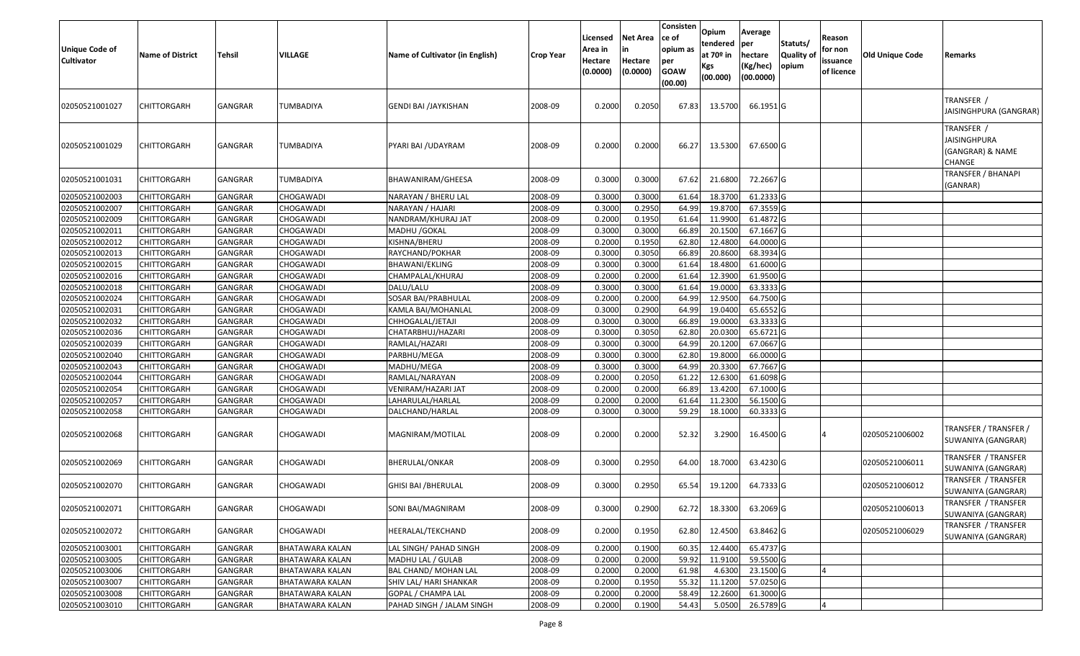| <b>Unique Code of</b><br><b>Cultivator</b> | <b>Name of District</b> | <b>Tehsil</b>  | VILLAGE                | Name of Cultivator (in English) | <b>Crop Year</b> | Licensed<br>Area in<br>Hectare<br>(0.0000) | <b>Net Area</b><br>in<br>Hectare<br>(0.0000) | Consisten<br>ce of<br>opium as<br>per<br><b>GOAW</b><br>(00.00) | Opium<br>tendered<br>at $70°$ in<br>Kgs<br>(00.000) | Average<br>per<br>hectare<br>(Kg/hec)<br>(00.0000) | Statuts/<br>Quality of<br>opium | Reason<br>for non<br>issuance<br>of licence | <b>Old Unique Code</b> | Remarks                                                         |
|--------------------------------------------|-------------------------|----------------|------------------------|---------------------------------|------------------|--------------------------------------------|----------------------------------------------|-----------------------------------------------------------------|-----------------------------------------------------|----------------------------------------------------|---------------------------------|---------------------------------------------|------------------------|-----------------------------------------------------------------|
| 02050521001027                             | CHITTORGARH             | GANGRAR        | TUMBADIYA              | GENDI BAI /JAYKISHAN            | 2008-09          | 0.2000                                     | 0.2050                                       | 67.83                                                           | 13.5700                                             | 66.1951 G                                          |                                 |                                             |                        | TRANSFER /<br>JAISINGHPURA (GANGRAR)                            |
| 02050521001029                             | CHITTORGARH             | <b>GANGRAR</b> | TUMBADIYA              | PYARI BAI / UDAYRAM             | 2008-09          | 0.2000                                     | 0.2000                                       | 66.27                                                           | 13.5300                                             | 67.6500 G                                          |                                 |                                             |                        | TRANSFER /<br><b>JAISINGHPURA</b><br>(GANGRAR) & NAME<br>CHANGE |
| 02050521001031                             | CHITTORGARH             | <b>GANGRAR</b> | TUMBADIYA              | BHAWANIRAM/GHEESA               | 2008-09          | 0.3000                                     | 0.3000                                       | 67.62                                                           | 21.6800                                             | 72.2667 G                                          |                                 |                                             |                        | TRANSFER / BHANAPI<br>(GANRAR)                                  |
| 02050521002003                             | CHITTORGARH             | <b>GANGRAR</b> | CHOGAWADI              | NARAYAN / BHERU LAL             | 2008-09          | 0.300                                      | 0.3000                                       | 61.64                                                           | 18.3700                                             | 61.2333 G                                          |                                 |                                             |                        |                                                                 |
| 02050521002007                             | CHITTORGARH             | <b>GANGRAR</b> | CHOGAWADI              | NARAYAN / HAJARI                | 2008-09          | 0.3000                                     | 0.2950                                       | 64.99                                                           | 19.8700                                             | 67.3559 G                                          |                                 |                                             |                        |                                                                 |
| 02050521002009                             | CHITTORGARH             | <b>GANGRAR</b> | CHOGAWADI              | NANDRAM/KHURAJ JAT              | 2008-09          | 0.2000                                     | 0.1950                                       | 61.64                                                           | 11.9900                                             | 61.4872 G                                          |                                 |                                             |                        |                                                                 |
| 02050521002011                             | <b>CHITTORGARH</b>      | <b>GANGRAR</b> | CHOGAWADI              | MADHU / GOKAL                   | 2008-09          | 0.3000                                     | 0.3000                                       | 66.89                                                           | 20.1500                                             | 67.1667 G                                          |                                 |                                             |                        |                                                                 |
| 02050521002012                             | <b>CHITTORGARH</b>      | <b>GANGRAR</b> | CHOGAWADI              | KISHNA/BHERU                    | 2008-09          | 0.2000                                     | 0.1950                                       | 62.80                                                           | 12.4800                                             | 64.0000 G                                          |                                 |                                             |                        |                                                                 |
| 02050521002013                             | <b>CHITTORGARH</b>      | <b>GANGRAR</b> | CHOGAWADI              | RAYCHAND/POKHAR                 | 2008-09          | 0.3000                                     | 0.3050                                       | 66.89                                                           | 20.8600                                             | 68.3934 G                                          |                                 |                                             |                        |                                                                 |
| 02050521002015                             | <b>CHITTORGARH</b>      | <b>GANGRAR</b> | CHOGAWADI              | BHAWANI/EKLING                  | 2008-09          | 0.3000                                     | 0.3000                                       | 61.64                                                           | 18.4800                                             | 61.6000 G                                          |                                 |                                             |                        |                                                                 |
| 02050521002016                             | CHITTORGARH             | <b>GANGRAR</b> | CHOGAWADI              | CHAMPALAL/KHURAJ                | 2008-09          | 0.2000                                     | 0.2000                                       | 61.64                                                           | 12.3900                                             | 61.9500 G                                          |                                 |                                             |                        |                                                                 |
| 02050521002018                             | <b>CHITTORGARH</b>      | <b>GANGRAR</b> | CHOGAWADI              | DALU/LALU                       | 2008-09          | 0.3000                                     | 0.3000                                       | 61.64                                                           | 19.0000                                             | 63.3333 G                                          |                                 |                                             |                        |                                                                 |
| 02050521002024                             | CHITTORGARH             | GANGRAR        | CHOGAWADI              | SOSAR BAI/PRABHULAL             | 2008-09          | 0.2000                                     | 0.2000                                       | 64.99                                                           | 12.9500                                             | 64.7500 G                                          |                                 |                                             |                        |                                                                 |
| 02050521002031                             | CHITTORGARH             | GANGRAR        | CHOGAWADI              | KAMLA BAI/MOHANLAL              | 2008-09          | 0.3000                                     | 0.2900                                       | 64.99                                                           | 19.0400                                             | 65.6552 G                                          |                                 |                                             |                        |                                                                 |
| 02050521002032                             | CHITTORGARH             | <b>GANGRAR</b> | CHOGAWADI              | CHHOGALAL/JETAJI                | 2008-09          | 0.3000                                     | 0.3000                                       | 66.89                                                           | 19.0000                                             | 63.3333 G                                          |                                 |                                             |                        |                                                                 |
| 02050521002036                             | CHITTORGARH             | <b>GANGRAR</b> | CHOGAWADI              | CHATARBHUJ/HAZARI               | 2008-09          | 0.3000                                     | 0.3050                                       | 62.80                                                           | 20.030                                              | 65.6721 G                                          |                                 |                                             |                        |                                                                 |
| 02050521002039                             | CHITTORGARH             | GANGRAR        | CHOGAWADI              | RAMLAL/HAZARI                   | 2008-09          | 0.3000                                     | 0.3000                                       | 64.99                                                           | 20.1200                                             | 67.0667 G                                          |                                 |                                             |                        |                                                                 |
| 02050521002040                             | CHITTORGARH             | <b>GANGRAR</b> | CHOGAWADI              | PARBHU/MEGA                     | 2008-09          | 0.3000                                     | 0.3000                                       | 62.80                                                           | 19.8000                                             | 66.0000G                                           |                                 |                                             |                        |                                                                 |
| 02050521002043                             | <b>CHITTORGARH</b>      | <b>GANGRAR</b> | CHOGAWADI              | MADHU/MEGA                      | 2008-09          | 0.3000                                     | 0.3000                                       | 64.99                                                           | 20.3300                                             | 67.7667 G                                          |                                 |                                             |                        |                                                                 |
| 02050521002044                             | CHITTORGARH             | GANGRAR        | CHOGAWADI              | RAMLAL/NARAYAN                  | 2008-09          | 0.2000                                     | 0.2050                                       | 61.22                                                           | 12.6300                                             | 61.6098 G                                          |                                 |                                             |                        |                                                                 |
| 02050521002054                             | CHITTORGARH             | GANGRAR        | CHOGAWADI              | VENIRAM/HAZARI JAT              | 2008-09          | 0.2000                                     | 0.2000                                       | 66.89                                                           | 13.4200                                             | 67.1000 G                                          |                                 |                                             |                        |                                                                 |
| 02050521002057                             | CHITTORGARH             | GANGRAR        | CHOGAWADI              | LAHARULAL/HARLAL                | 2008-09          | 0.2000                                     | 0.2000                                       | 61.64                                                           | 11.2300                                             | 56.1500 G                                          |                                 |                                             |                        |                                                                 |
| 02050521002058                             | CHITTORGARH             | <b>GANGRAR</b> | CHOGAWADI              | DALCHAND/HARLAL                 | 2008-09          | 0.3000                                     | 0.3000                                       | 59.29                                                           | 18.1000                                             | 60.3333 G                                          |                                 |                                             |                        |                                                                 |
| 02050521002068                             | CHITTORGARH             | GANGRAR        | CHOGAWADI              | MAGNIRAM/MOTILAL                | 2008-09          | 0.2000                                     | 0.2000                                       | 52.32                                                           | 3.2900                                              | 16.4500 G                                          |                                 |                                             | 02050521006002         | TRANSFER / TRANSFER /<br>SUWANIYA (GANGRAR)                     |
| 02050521002069                             | <b>CHITTORGARH</b>      | <b>GANGRAR</b> | CHOGAWADI              | BHERULAL/ONKAR                  | 2008-09          | 0.3000                                     | 0.2950                                       | 64.00                                                           | 18.7000                                             | 63.4230 G                                          |                                 |                                             | 02050521006011         | TRANSFER / TRANSFER<br>SUWANIYA (GANGRAR)                       |
| 02050521002070                             | CHITTORGARH             | GANGRAR        | CHOGAWADI              | <b>GHISI BAI / BHERULAL</b>     | 2008-09          | 0.3000                                     | 0.2950                                       | 65.54                                                           | 19.1200                                             | 64.7333 G                                          |                                 |                                             | 02050521006012         | TRANSFER / TRANSFER<br>SUWANIYA (GANGRAR)                       |
| 02050521002071                             | <b>CHITTORGARH</b>      | GANGRAR        | CHOGAWADI              | SONI BAI/MAGNIRAM               | 2008-09          | 0.3000                                     | 0.2900                                       | 62.72                                                           | 18.3300                                             | 63.2069 G                                          |                                 |                                             | 02050521006013         | TRANSFER / TRANSFER<br>SUWANIYA (GANGRAR)                       |
| 02050521002072                             | <b>CHITTORGARH</b>      | GANGRAR        | CHOGAWADI              | HEERALAL/TEKCHAND               | 2008-09          | 0.2000                                     | 0.1950                                       | 62.80                                                           | 12.4500                                             | 63.8462 G                                          |                                 |                                             | 02050521006029         | TRANSFER / TRANSFER<br>SUWANIYA (GANGRAR)                       |
| 02050521003001                             | CHITTORGARH             | <b>GANGRAR</b> | BHATAWARA KALAN        | LAL SINGH/ PAHAD SINGH          | 2008-09          | 0.2000                                     | 0.1900                                       | 60.35                                                           | 12.4400                                             | 65.4737 G                                          |                                 |                                             |                        |                                                                 |
| 02050521003005                             | <b>CHITTORGARH</b>      | <b>GANGRAR</b> | <b>BHATAWARA KALAN</b> | MADHU LAL / GULAB               | 2008-09          | 0.2000                                     | 0.2000                                       | 59.92                                                           | 11.9100                                             | 59.5500 G                                          |                                 |                                             |                        |                                                                 |
| 02050521003006                             | <b>CHITTORGARH</b>      | <b>GANGRAR</b> | BHATAWARA KALAN        | <b>BAL CHAND/ MOHAN LAL</b>     | 2008-09          | 0.2000                                     | 0.2000                                       | 61.98                                                           | 4.6300                                              | 23.1500 G                                          |                                 |                                             |                        |                                                                 |
| 02050521003007                             | <b>CHITTORGARH</b>      | <b>GANGRAR</b> | BHATAWARA KALAN        | SHIV LAL/ HARI SHANKAR          | 2008-09          | 0.2000                                     | 0.1950                                       | 55.32                                                           | 11.1200                                             | 57.0250 G                                          |                                 |                                             |                        |                                                                 |
| 02050521003008                             | CHITTORGARH             | <b>GANGRAR</b> | BHATAWARA KALAN        | GOPAL / CHAMPA LAL              | 2008-09          | 0.2000                                     | 0.2000                                       | 58.49                                                           | 12.2600                                             | 61.3000 G                                          |                                 |                                             |                        |                                                                 |
| 02050521003010                             | CHITTORGARH             | GANGRAR        | BHATAWARA KALAN        | PAHAD SINGH / JALAM SINGH       | 2008-09          | 0.2000                                     | 0.1900                                       | 54.43                                                           | 5.0500                                              | 26.5789 G                                          |                                 |                                             |                        |                                                                 |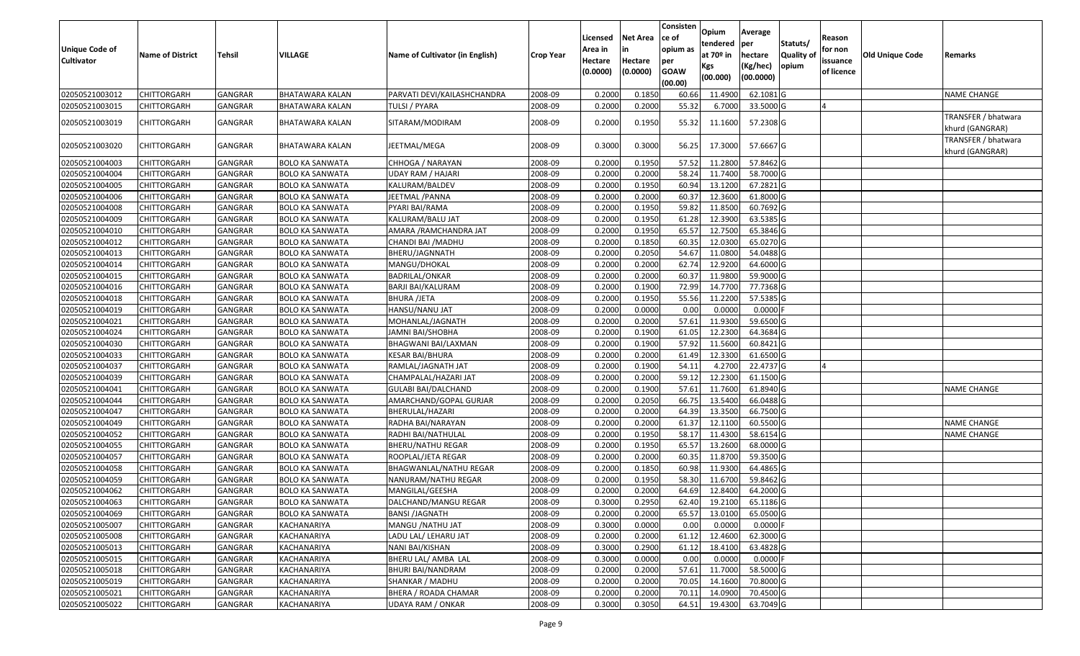| <b>Unique Code of</b><br><b>Cultivator</b> | <b>Name of District</b> | <b>Tehsil</b> | VILLAGE                | Name of Cultivator (in English) | <b>Crop Year</b> | Licensed<br>Area in<br>Hectare<br>(0.0000) | <b>Net Area</b><br>in<br>Hectare<br>(0.0000) | Consisten<br>ce of<br>opium as<br>per<br><b>GOAW</b><br>(00.00) | Opium<br>tendered<br>at 70º in<br>Kgs<br>(00.000) | Average<br>per<br>hectare<br>(Kg/hec)<br>(00.0000) | Statuts/<br><b>Quality of</b><br>opium | Reason<br>for non<br>issuance<br>of licence | Old Unique Code | Remarks                                |
|--------------------------------------------|-------------------------|---------------|------------------------|---------------------------------|------------------|--------------------------------------------|----------------------------------------------|-----------------------------------------------------------------|---------------------------------------------------|----------------------------------------------------|----------------------------------------|---------------------------------------------|-----------------|----------------------------------------|
| 02050521003012                             | <b>CHITTORGARH</b>      | GANGRAR       | BHATAWARA KALAN        | PARVATI DEVI/KAILASHCHANDRA     | 2008-09          | 0.2000                                     | 0.1850                                       | 60.66                                                           | 11.4900                                           | 62.1081 G                                          |                                        |                                             |                 | <b>NAME CHANGE</b>                     |
| 02050521003015                             | <b>CHITTORGARH</b>      | GANGRAR       | BHATAWARA KALAN        | TULSI / PYARA                   | 2008-09          | 0.2000                                     | 0.2000                                       | 55.32                                                           | 6.7000                                            | 33.5000 G                                          |                                        |                                             |                 |                                        |
| 02050521003019                             | <b>CHITTORGARH</b>      | GANGRAR       | BHATAWARA KALAN        | SITARAM/MODIRAM                 | 2008-09          | 0.2000                                     | 0.1950                                       | 55.32                                                           | 11.1600                                           | 57.2308 G                                          |                                        |                                             |                 | TRANSFER / bhatwara<br>khurd (GANGRAR) |
| 02050521003020                             | <b>CHITTORGARH</b>      | GANGRAR       | BHATAWARA KALAN        | JEETMAL/MEGA                    | 2008-09          | 0.3000                                     | 0.3000                                       | 56.25                                                           | 17.3000                                           | 57.6667 G                                          |                                        |                                             |                 | TRANSFER / bhatwara<br>khurd (GANGRAR) |
| 02050521004003                             | <b>CHITTORGARH</b>      | GANGRAR       | BOLO KA SANWATA        | CHHOGA / NARAYAN                | 2008-09          | 0.2000                                     | 0.1950                                       | 57.52                                                           | 11.2800                                           | 57.8462 G                                          |                                        |                                             |                 |                                        |
| 02050521004004                             | <b>CHITTORGARH</b>      | GANGRAR       | BOLO KA SANWATA        | <b>UDAY RAM / HAJARI</b>        | 2008-09          | 0.2000                                     | 0.2000                                       | 58.24                                                           | 11.7400                                           | 58.7000 G                                          |                                        |                                             |                 |                                        |
| 02050521004005                             | <b>CHITTORGARH</b>      | GANGRAR       | <b>BOLO KA SANWATA</b> | KALURAM/BALDEV                  | 2008-09          | 0.2000                                     | 0.1950                                       | 60.94                                                           | 13.1200                                           | 67.2821 G                                          |                                        |                                             |                 |                                        |
| 02050521004006                             | <b>CHITTORGARH</b>      | GANGRAR       | <b>BOLO KA SANWATA</b> | JEETMAL / PANNA                 | 2008-09          | 0.2000                                     | 0.2000                                       | 60.37                                                           | 12.3600                                           | 61.8000 G                                          |                                        |                                             |                 |                                        |
| 02050521004008                             | <b>CHITTORGARH</b>      | GANGRAR       | BOLO KA SANWATA        | PYARI BAI/RAMA                  | 2008-09          | 0.2000                                     | 0.1950                                       | 59.82                                                           | 11.8500                                           | 60.7692 G                                          |                                        |                                             |                 |                                        |
| 02050521004009                             | <b>CHITTORGARH</b>      | GANGRAR       | <b>BOLO KA SANWATA</b> | KALURAM/BALU JAT                | 2008-09          | 0.2000                                     | 0.1950                                       | 61.28                                                           | 12.3900                                           | 63.5385 G                                          |                                        |                                             |                 |                                        |
| 02050521004010                             | <b>CHITTORGARH</b>      | GANGRAR       | <b>BOLO KA SANWATA</b> | AMARA / RAMCHANDRA JAT          | 2008-09          | 0.2000                                     | 0.1950                                       | 65.57                                                           | 12.7500                                           | 65.3846 G                                          |                                        |                                             |                 |                                        |
| 02050521004012                             | <b>CHITTORGARH</b>      | GANGRAR       | <b>BOLO KA SANWATA</b> | CHANDI BAI / MADHU              | 2008-09          | 0.2000                                     | 0.1850                                       | 60.35                                                           | 12.0300                                           | 65.0270 G                                          |                                        |                                             |                 |                                        |
| 02050521004013                             | <b>CHITTORGARH</b>      | GANGRAR       | <b>BOLO KA SANWATA</b> | BHERU/JAGNNATH                  | 2008-09          | 0.2000                                     | 0.2050                                       | 54.67                                                           | 11.0800                                           | 54.0488 G                                          |                                        |                                             |                 |                                        |
| 02050521004014                             | <b>CHITTORGARH</b>      | GANGRAR       | <b>BOLO KA SANWATA</b> | MANGU/DHOKAL                    | 2008-09          | 0.2000                                     | 0.2000                                       | 62.7                                                            | 12.9200                                           | 64.6000 G                                          |                                        |                                             |                 |                                        |
| 02050521004015                             | <b>CHITTORGARH</b>      | GANGRAR       | <b>BOLO KA SANWATA</b> | <b>BADRILAL/ONKAR</b>           | 2008-09          | 0.2000                                     | 0.2000                                       | 60.37                                                           | 11.9800                                           | 59.9000 G                                          |                                        |                                             |                 |                                        |
| 02050521004016                             | <b>CHITTORGARH</b>      | GANGRAR       | <b>BOLO KA SANWATA</b> | BARJI BAI/KALURAM               | 2008-09          | 0.2000                                     | 0.1900                                       | 72.99                                                           | 14.7700                                           | 77.7368 G                                          |                                        |                                             |                 |                                        |
| 02050521004018                             | <b>CHITTORGARH</b>      | GANGRAR       | BOLO KA SANWATA        | <b>BHURA /JETA</b>              | 2008-09          | 0.2000                                     | 0.1950                                       | 55.56                                                           | 11.2200                                           | 57.5385 G                                          |                                        |                                             |                 |                                        |
| 02050521004019                             | <b>CHITTORGARH</b>      | GANGRAR       | <b>BOLO KA SANWATA</b> | HANSU/NANU JAT                  | 2008-09          | 0.2000                                     | 0.0000                                       | 0.00                                                            | 0.0000                                            | $0.0000$ F                                         |                                        |                                             |                 |                                        |
| 02050521004021                             | <b>CHITTORGARH</b>      | GANGRAR       | <b>BOLO KA SANWATA</b> | MOHANLAL/JAGNATH                | 2008-09          | 0.2000                                     | 0.2000                                       | 57.61                                                           | 11.9300                                           | 59.6500 G                                          |                                        |                                             |                 |                                        |
| 02050521004024                             | <b>CHITTORGARH</b>      | GANGRAR       | BOLO KA SANWATA        | JAMNI BAI/SHOBHA                | 2008-09          | 0.2000                                     | 0.1900                                       | 61.05                                                           | 12.2300                                           | 64.3684 G                                          |                                        |                                             |                 |                                        |
| 02050521004030                             | <b>CHITTORGARH</b>      | GANGRAR       | BOLO KA SANWATA        | BHAGWANI BAI/LAXMAN             | 2008-09          | 0.2000                                     | 0.1900                                       | 57.92                                                           | 11.5600                                           | 60.8421 G                                          |                                        |                                             |                 |                                        |
| 02050521004033                             | <b>CHITTORGARH</b>      | GANGRAR       | BOLO KA SANWATA        | KESAR BAI/BHURA                 | 2008-09          | 0.2000                                     | 0.2000                                       | 61.49                                                           | 12.3300                                           | 61.6500 G                                          |                                        |                                             |                 |                                        |
| 02050521004037                             | <b>CHITTORGARH</b>      | GANGRAR       | <b>BOLO KA SANWATA</b> | RAMLAL/JAGNATH JAT              | 2008-09          | 0.2000                                     | 0.1900                                       | 54.11                                                           | 4.2700                                            | 22.4737 G                                          |                                        |                                             |                 |                                        |
| 02050521004039                             | <b>CHITTORGARH</b>      | GANGRAR       | <b>BOLO KA SANWATA</b> | CHAMPALAL/HAZARI JAT            | 2008-09          | 0.2000                                     | 0.2000                                       | 59.12                                                           | 12.2300                                           | 61.1500 G                                          |                                        |                                             |                 |                                        |
| 02050521004041                             | <b>CHITTORGARH</b>      | GANGRAR       | BOLO KA SANWATA        | GULABI BAI/DALCHAND             | 2008-09          | 0.2000                                     | 0.1900                                       | 57.61                                                           | 11.7600                                           | 61.8940 G                                          |                                        |                                             |                 | <b>NAME CHANGE</b>                     |
| 02050521004044                             | <b>CHITTORGARH</b>      | GANGRAR       | BOLO KA SANWATA        | AMARCHAND/GOPAL GURJAR          | 2008-09          | 0.2000                                     | 0.2050                                       | 66.75                                                           | 13.5400                                           | 66.0488 G                                          |                                        |                                             |                 |                                        |
| 02050521004047                             | <b>CHITTORGARH</b>      | GANGRAR       | <b>BOLO KA SANWATA</b> | BHERULAL/HAZARI                 | 2008-09          | 0.2000                                     | 0.2000                                       | 64.39                                                           | 13.3500                                           | 66.7500 G                                          |                                        |                                             |                 |                                        |
| 02050521004049                             | <b>CHITTORGARH</b>      | GANGRAR       | BOLO KA SANWATA        | RADHA BAI/NARAYAN               | 2008-09          | 0.2000                                     | 0.2000                                       | 61.37                                                           | 12.1100                                           | 60.5500 G                                          |                                        |                                             |                 | <b>NAME CHANGE</b>                     |
| 02050521004052                             | <b>CHITTORGARH</b>      | GANGRAR       | <b>BOLO KA SANWATA</b> | RADHI BAI/NATHULAL              | 2008-09          | 0.2000                                     | 0.1950                                       | 58.1                                                            | 11.4300                                           | 58.6154 G                                          |                                        |                                             |                 | NAME CHANGE                            |
| 02050521004055                             | <b>CHITTORGARH</b>      | GANGRAR       | <b>BOLO KA SANWATA</b> | <b>BHERU/NATHU REGAR</b>        | 2008-09          | 0.2000                                     | 0.1950                                       | 65.57                                                           | 13.2600                                           | 68.0000 G                                          |                                        |                                             |                 |                                        |
| 02050521004057                             | <b>CHITTORGARH</b>      | GANGRAR       | <b>BOLO KA SANWATA</b> | ROOPLAL/JETA REGAR              | 2008-09          | 0.2000                                     | 0.2000                                       | 60.35                                                           | 11.8700                                           | 59.3500 G                                          |                                        |                                             |                 |                                        |
| 02050521004058                             | <b>CHITTORGARH</b>      | GANGRAR       | <b>BOLO KA SANWATA</b> | BHAGWANLAL/NATHU REGAR          | 2008-09          | 0.2000                                     | 0.1850                                       | 60.98                                                           | 11.9300                                           | 64.4865 G                                          |                                        |                                             |                 |                                        |
| 02050521004059                             | <b>CHITTORGARH</b>      | GANGRAR       | <b>BOLO KA SANWATA</b> | NANURAM/NATHU REGAR             | 2008-09          | 0.2000                                     | 0.1950                                       | 58.30                                                           | 11.6700                                           | 59.8462 G                                          |                                        |                                             |                 |                                        |
| 02050521004062                             | <b>CHITTORGARH</b>      | GANGRAR       | BOLO KA SANWATA        | MANGILAL/GEESHA                 | 2008-09          | 0.2000                                     | 0.2000                                       | 64.69                                                           | 12.8400                                           | 64.2000 G                                          |                                        |                                             |                 |                                        |
| 02050521004063                             | CHITTORGARH             | GANGRAR       | <b>BOLO KA SANWATA</b> | DALCHAND/MANGU REGAR            | 2008-09          | 0.3000                                     | 0.2950                                       | 62.40                                                           | 19.2100                                           | 65.1186 G                                          |                                        |                                             |                 |                                        |
| 02050521004069                             | <b>CHITTORGARH</b>      | GANGRAR       | <b>BOLO KA SANWATA</b> | <b>BANSI /JAGNATH</b>           | 2008-09          | 0.2000                                     | 0.2000                                       | 65.57                                                           | 13.0100                                           | 65.0500 G                                          |                                        |                                             |                 |                                        |
| 02050521005007                             | <b>CHITTORGARH</b>      | GANGRAR       | KACHANARIYA            | MANGU / NATHU JAT               | 2008-09          | 0.3000                                     | 0.0000                                       | 0.00                                                            | 0.0000                                            | $0.0000$ F                                         |                                        |                                             |                 |                                        |
| 02050521005008                             | <b>CHITTORGARH</b>      | GANGRAR       | KACHANARIYA            | LADU LAL/ LEHARU JAT            | 2008-09          | 0.2000                                     | 0.2000                                       | 61.12                                                           | 12.4600                                           | 62.3000 G                                          |                                        |                                             |                 |                                        |
| 02050521005013                             | <b>CHITTORGARH</b>      | GANGRAR       | KACHANARIYA            | NANI BAI/KISHAN                 | 2008-09          | 0.3000                                     | 0.2900                                       | 61.12                                                           | 18.4100                                           | 63.4828 G                                          |                                        |                                             |                 |                                        |
| 02050521005015                             | <b>CHITTORGARH</b>      | GANGRAR       | KACHANARIYA            | BHERU LAL/ AMBA LAL             | 2008-09          | 0.3000                                     | 0.0000                                       | 0.00                                                            | 0.0000                                            | $0.0000$ F                                         |                                        |                                             |                 |                                        |
| 02050521005018                             | <b>CHITTORGARH</b>      | GANGRAR       | KACHANARIYA            | BHURI BAI/NANDRAM               | 2008-09          | 0.2000                                     | 0.2000                                       | 57.61                                                           | 11.7000                                           | 58.5000 G                                          |                                        |                                             |                 |                                        |
| 02050521005019                             | <b>CHITTORGARH</b>      | GANGRAR       | KACHANARIYA            | SHANKAR / MADHU                 | 2008-09          | 0.2000                                     | 0.2000                                       | 70.05                                                           | 14.1600                                           | 70.8000 G                                          |                                        |                                             |                 |                                        |
| 02050521005021                             | <b>CHITTORGARH</b>      | GANGRAR       | KACHANARIYA            | BHERA / ROADA CHAMAR            | 2008-09          | 0.2000                                     | 0.2000                                       | 70.11                                                           | 14.0900                                           | 70.4500 G                                          |                                        |                                             |                 |                                        |
| 02050521005022                             | <b>CHITTORGARH</b>      | GANGRAR       | KACHANARIYA            | <b>UDAYA RAM / ONKAR</b>        | 2008-09          | 0.3000                                     | 0.3050                                       | 64.51                                                           | 19.4300                                           | 63.7049 G                                          |                                        |                                             |                 |                                        |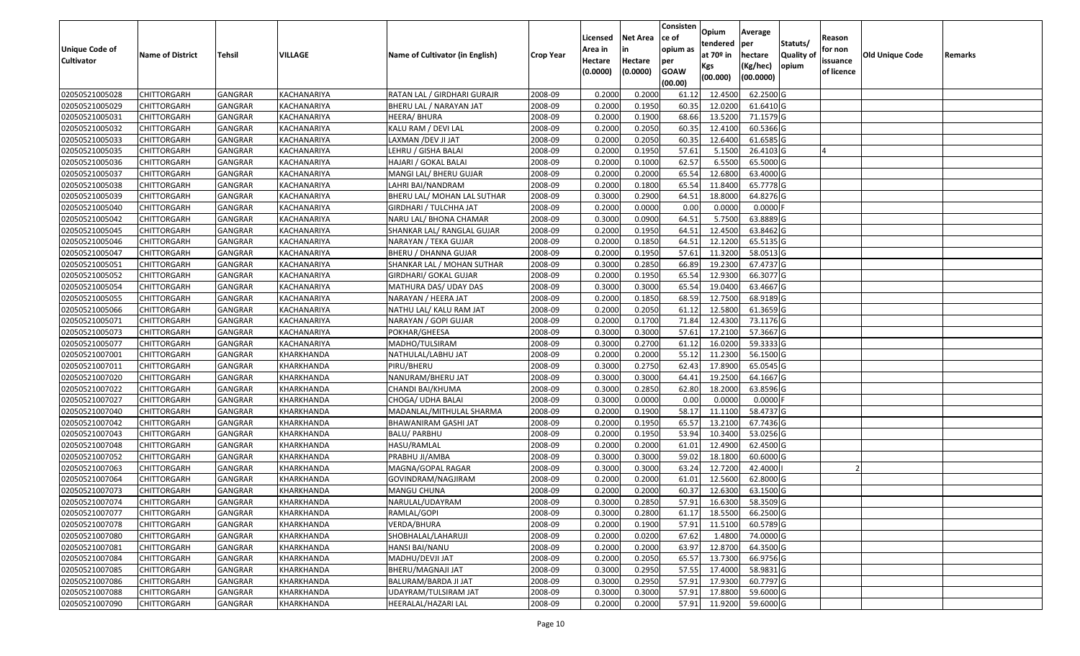| <b>Unique Code of</b><br><b>Cultivator</b> | <b>Name of District</b> | Tehsil         | VILLAGE     | Name of Cultivator (in English) | <b>Crop Year</b> | Licensed<br>Area in<br>Hectare<br>(0.0000) | <b>Net Area</b><br>in<br>Hectare<br>(0.0000) | Consisten<br>ce of<br>opium as<br>per<br><b>GOAW</b> | Opium<br>tendered<br>at 70º in<br>Kgs | Average<br>per<br>hectare<br>(Kg/hec) | Statuts/<br>Quality of<br>opium | Reason<br>for non<br>issuance<br>of licence | Old Unique Code | Remarks |
|--------------------------------------------|-------------------------|----------------|-------------|---------------------------------|------------------|--------------------------------------------|----------------------------------------------|------------------------------------------------------|---------------------------------------|---------------------------------------|---------------------------------|---------------------------------------------|-----------------|---------|
|                                            |                         |                |             |                                 |                  |                                            |                                              | (00.00)                                              | (00.000)                              | (00.0000)                             |                                 |                                             |                 |         |
| 02050521005028                             | <b>CHITTORGARH</b>      | <b>GANGRAR</b> | KACHANARIYA | RATAN LAL / GIRDHARI GURAJR     | 2008-09          | 0.2000                                     | 0.2000                                       | 61.12                                                | 12.4500                               | 62.2500 G                             |                                 |                                             |                 |         |
| 02050521005029                             | <b>CHITTORGARH</b>      | GANGRAR        | KACHANARIYA | BHERU LAL / NARAYAN JAT         | 2008-09          | 0.2000                                     | 0.1950                                       | 60.35                                                | 12.0200                               | 61.6410 G                             |                                 |                                             |                 |         |
| 02050521005031                             | <b>CHITTORGARH</b>      | GANGRAR        | KACHANARIYA | HEERA/ BHURA                    | 2008-09          | 0.2000                                     | 0.1900                                       | 68.66                                                | 13.5200                               | 71.1579 G                             |                                 |                                             |                 |         |
| 02050521005032                             | <b>CHITTORGARH</b>      | <b>GANGRAR</b> | KACHANARIYA | KALU RAM / DEVI LAL             | 2008-09          | 0.2000                                     | 0.2050                                       | 60.35                                                | 12.4100                               | 60.5366 G                             |                                 |                                             |                 |         |
| 02050521005033                             | <b>CHITTORGARH</b>      | GANGRAR        | KACHANARIYA | LAXMAN / DEV JI JAT             | 2008-09          | 0.2000                                     | 0.2050                                       | 60.3                                                 | 12.6400                               | 61.6585 G                             |                                 |                                             |                 |         |
| 02050521005035                             | <b>CHITTORGARH</b>      | <b>GANGRAR</b> | KACHANARIYA | LEHRU / GISHA BALAI             | 2008-09          | 0.2000                                     | 0.1950                                       | 57.61                                                | 5.1500                                | 26.4103 G                             |                                 |                                             |                 |         |
| 02050521005036                             | CHITTORGARH             | GANGRAR        | KACHANARIYA | HAJARI / GOKAL BALAI            | 2008-09          | 0.2000                                     | 0.1000                                       | 62.57                                                | 6.5500                                | 65.5000 G                             |                                 |                                             |                 |         |
| 02050521005037                             | <b>CHITTORGARH</b>      | GANGRAR        | KACHANARIYA | MANGI LAL/ BHERU GUJAR          | 2008-09          | 0.2000                                     | 0.2000                                       | 65.54                                                | 12.6800                               | 63.4000 G                             |                                 |                                             |                 |         |
| 02050521005038                             | <b>CHITTORGARH</b>      | GANGRAR        | KACHANARIYA | LAHRI BAI/NANDRAM               | 2008-09          | 0.2000                                     | 0.1800                                       | 65.54                                                | 11.8400                               | 65.7778 G                             |                                 |                                             |                 |         |
| 02050521005039                             | <b>CHITTORGARH</b>      | GANGRAR        | KACHANARIYA | BHERU LAL/ MOHAN LAL SUTHAR     | 2008-09          | 0.3000                                     | 0.2900                                       | 64.5                                                 | 18.8000                               | 64.8276 G                             |                                 |                                             |                 |         |
| 02050521005040                             | <b>CHITTORGARH</b>      | GANGRAR        | KACHANARIYA | GIRDHARI / TULCHHA JAT          | 2008-09          | 0.2000                                     | 0.0000                                       | 0.00                                                 | 0.0000                                | 0.0000                                |                                 |                                             |                 |         |
| 02050521005042                             | <b>CHITTORGARH</b>      | GANGRAR        | KACHANARIYA | NARU LAL/ BHONA CHAMAR          | 2008-09          | 0.3000                                     | 0.0900                                       | 64.51                                                | 5.7500                                | 63.8889 G                             |                                 |                                             |                 |         |
| 02050521005045                             | <b>CHITTORGARH</b>      | GANGRAR        | KACHANARIYA | SHANKAR LAL/ RANGLAL GUJAR      | 2008-09          | 0.2000                                     | 0.1950                                       | 64.51                                                | 12.4500                               | 63.8462 G                             |                                 |                                             |                 |         |
| 02050521005046                             | <b>CHITTORGARH</b>      | GANGRAR        | KACHANARIYA | NARAYAN / TEKA GUJAR            | 2008-09          | 0.2000                                     | 0.1850                                       | 64.51                                                | 12.1200                               | 65.5135 G                             |                                 |                                             |                 |         |
| 02050521005047                             | CHITTORGARH             | GANGRAR        | KACHANARIYA | BHERU / DHANNA GUJAR            | 2008-09          | 0.2000                                     | 0.1950                                       | 57.61                                                | 11.3200                               | 58.0513 G                             |                                 |                                             |                 |         |
| 02050521005051                             | <b>CHITTORGARH</b>      | GANGRAR        | KACHANARIYA | SHANKAR LAL / MOHAN SUTHAR      | 2008-09          | 0.3000                                     | 0.2850                                       | 66.89                                                | 19.2300                               | 67.4737 G                             |                                 |                                             |                 |         |
| 02050521005052                             | <b>CHITTORGARH</b>      | GANGRAR        | KACHANARIYA | GIRDHARI/ GOKAL GUJAR           | 2008-09          | 0.2000                                     | 0.1950                                       | 65.54                                                | 12.9300                               | 66.3077 G                             |                                 |                                             |                 |         |
| 02050521005054                             | <b>CHITTORGARH</b>      | GANGRAR        | KACHANARIYA | MATHURA DAS/ UDAY DAS           | 2008-09          | 0.3000                                     | 0.3000                                       | 65.54                                                | 19.0400                               | 63.4667 G                             |                                 |                                             |                 |         |
| 02050521005055                             | <b>CHITTORGARH</b>      | GANGRAR        | KACHANARIYA | NARAYAN / HEERA JAT             | 2008-09          | 0.2000                                     | 0.1850                                       | 68.59                                                | 12.7500                               | 68.9189 G                             |                                 |                                             |                 |         |
| 02050521005066                             | <b>CHITTORGARH</b>      | <b>GANGRAR</b> | KACHANARIYA | NATHU LAL/ KALU RAM JAT         | 2008-09          | 0.2000                                     | 0.2050                                       | 61.12                                                | 12.5800                               | 61.3659 G                             |                                 |                                             |                 |         |
| 02050521005071                             | <b>CHITTORGARH</b>      | GANGRAR        | KACHANARIYA | NARAYAN / GOPI GUJAR            | 2008-09          | 0.2000                                     | 0.1700                                       | 71.84                                                | 12.4300                               | 73.1176 G                             |                                 |                                             |                 |         |
| 02050521005073                             | <b>CHITTORGARH</b>      | GANGRAR        | KACHANARIYA | POKHAR/GHEESA                   | 2008-09          | 0.3000                                     | 0.3000                                       | 57.61                                                | 17.2100                               | 57.3667 G                             |                                 |                                             |                 |         |
| 02050521005077                             | <b>CHITTORGARH</b>      | GANGRAR        | KACHANARIYA | MADHO/TULSIRAM                  | 2008-09          | 0.3000                                     | 0.2700                                       | 61.12                                                | 16.0200                               | 59.3333 G                             |                                 |                                             |                 |         |
| 02050521007001                             | <b>CHITTORGARH</b>      | GANGRAR        | KHARKHANDA  | NATHULAL/LABHU JAT              | 2008-09          | 0.2000                                     | 0.2000                                       | 55.12                                                | 11.2300                               | 56.1500 G                             |                                 |                                             |                 |         |
| 02050521007011                             | <b>CHITTORGARH</b>      | GANGRAR        | KHARKHANDA  | PIRU/BHERU                      | 2008-09          | 0.3000                                     | 0.2750                                       | 62.43                                                | 17.8900                               | 65.0545 G                             |                                 |                                             |                 |         |
| 02050521007020                             | <b>CHITTORGARH</b>      | GANGRAR        | KHARKHANDA  | NANURAM/BHERU JAT               | 2008-09          | 0.3000                                     | 0.3000                                       | 64.41                                                | 19.2500                               | 64.1667 G                             |                                 |                                             |                 |         |
| 02050521007022                             | <b>CHITTORGARH</b>      | GANGRAR        | KHARKHANDA  | CHANDI BAI/KHUMA                | 2008-09          | 0.3000                                     | 0.2850                                       | 62.80                                                | 18.2000                               | 63.8596 G                             |                                 |                                             |                 |         |
| 02050521007027                             | <b>CHITTORGARH</b>      | GANGRAR        | KHARKHANDA  | CHOGA/ UDHA BALAI               | 2008-09          | 0.3000                                     | 0.0000                                       | 0.00                                                 | 0.0000                                | 0.0000                                |                                 |                                             |                 |         |
| 02050521007040                             | <b>CHITTORGARH</b>      | <b>GANGRAR</b> | KHARKHANDA  | MADANLAL/MITHULAL SHARMA        | 2008-09          | 0.2000                                     | 0.1900                                       | 58.17                                                | 11.1100                               | 58.4737 G                             |                                 |                                             |                 |         |
| 02050521007042                             | <b>CHITTORGARH</b>      | <b>GANGRAR</b> | KHARKHANDA  | BHAWANIRAM GASHI JAT            | 2008-09          | 0.2000                                     | 0.1950                                       | 65.57                                                | 13.2100                               | 67.7436 G                             |                                 |                                             |                 |         |
| 02050521007043                             | <b>CHITTORGARH</b>      | GANGRAR        | KHARKHANDA  | BALU/ PARBHU                    | 2008-09          | 0.2000                                     | 0.1950                                       | 53.94                                                | 10.3400                               | 53.0256 G                             |                                 |                                             |                 |         |
| 02050521007048                             | CHITTORGARH             | GANGRAR        | KHARKHANDA  | HASU/RAMLAL                     | 2008-09          | 0.2000                                     | 0.2000                                       | 61.01                                                | 12.4900                               | 62.4500 G                             |                                 |                                             |                 |         |
| 02050521007052                             | <b>CHITTORGARH</b>      | GANGRAR        | KHARKHANDA  | PRABHU JI/AMBA                  | 2008-09          | 0.3000                                     | 0.3000                                       | 59.02                                                | 18.1800                               | 60.6000 G                             |                                 |                                             |                 |         |
| 02050521007063                             | <b>CHITTORGARH</b>      | GANGRAR        | KHARKHANDA  | MAGNA/GOPAL RAGAR               | 2008-09          | 0.3000                                     | 0.3000                                       | 63.24                                                | 12.7200                               | 42.4000                               |                                 |                                             |                 |         |
| 02050521007064                             | CHITTORGARH             | GANGRAR        | KHARKHANDA  | GOVINDRAM/NAGJIRAM              | 2008-09          | 0.2000                                     | 0.2000                                       | 61.0                                                 | 12.5600                               | 62.8000 G                             |                                 |                                             |                 |         |
| 02050521007073                             | <b>CHITTORGARH</b>      | GANGRAR        | KHARKHANDA  | MANGU CHUNA                     | 2008-09          | 0.2000                                     | 0.2000                                       | 60.37                                                | 12.6300                               | 63.1500 G                             |                                 |                                             |                 |         |
| 02050521007074                             | <b>CHITTORGARH</b>      | GANGRAR        | KHARKHANDA  | NARULAL/UDAYRAM                 | 2008-09          | 0.3000                                     | 0.2850                                       |                                                      | 57.91 16.6300                         | 58.3509 G                             |                                 |                                             |                 |         |
| 02050521007077                             | <b>CHITTORGARH</b>      | <b>GANGRAR</b> | KHARKHANDA  | RAMLAL/GOPI                     | 2008-09          | 0.3000                                     | 0.2800                                       | 61.17                                                | 18.5500                               | 66.2500 G                             |                                 |                                             |                 |         |
| 02050521007078                             | <b>CHITTORGARH</b>      | GANGRAR        | KHARKHANDA  | VERDA/BHURA                     | 2008-09          | 0.2000                                     | 0.1900                                       | 57.91                                                | 11.5100                               | 60.5789 G                             |                                 |                                             |                 |         |
| 02050521007080                             | <b>CHITTORGARH</b>      | GANGRAR        | KHARKHANDA  | SHOBHALAL/LAHARUJI              | 2008-09          | 0.2000                                     | 0.0200                                       | 67.62                                                | 1.4800                                | 74.0000G                              |                                 |                                             |                 |         |
| 02050521007081                             | <b>CHITTORGARH</b>      | GANGRAR        | KHARKHANDA  | HANSI BAI/NANU                  | 2008-09          | 0.2000                                     | 0.2000                                       | 63.97                                                | 12.8700                               | 64.3500 G                             |                                 |                                             |                 |         |
| 02050521007084                             | <b>CHITTORGARH</b>      | <b>GANGRAR</b> | KHARKHANDA  | MADHU/DEVJI JAT                 | 2008-09          | 0.2000                                     | 0.2050                                       | 65.57                                                | 13.7300                               | 66.9756 G                             |                                 |                                             |                 |         |
| 02050521007085                             | <b>CHITTORGARH</b>      | GANGRAR        | KHARKHANDA  | BHERU/MAGNAJI JAT               | 2008-09          | 0.3000                                     | 0.2950                                       | 57.55                                                | 17.4000                               | 58.9831 G                             |                                 |                                             |                 |         |
| 02050521007086                             | <b>CHITTORGARH</b>      | GANGRAR        | KHARKHANDA  | BALURAM/BARDA JI JAT            | 2008-09          | 0.3000                                     | 0.2950                                       | 57.91                                                | 17.9300                               | 60.7797 G                             |                                 |                                             |                 |         |
| 02050521007088                             | <b>CHITTORGARH</b>      | GANGRAR        | KHARKHANDA  | UDAYRAM/TULSIRAM JAT            | 2008-09          | 0.3000                                     | 0.3000                                       | 57.91                                                | 17.8800                               | 59.6000 G                             |                                 |                                             |                 |         |
| 02050521007090                             | <b>CHITTORGARH</b>      | GANGRAR        | KHARKHANDA  | HEERALAL/HAZARI LAL             | 2008-09          | 0.2000                                     | 0.2000                                       |                                                      | 57.91 11.9200                         | 59.6000 G                             |                                 |                                             |                 |         |
|                                            |                         |                |             |                                 |                  |                                            |                                              |                                                      |                                       |                                       |                                 |                                             |                 |         |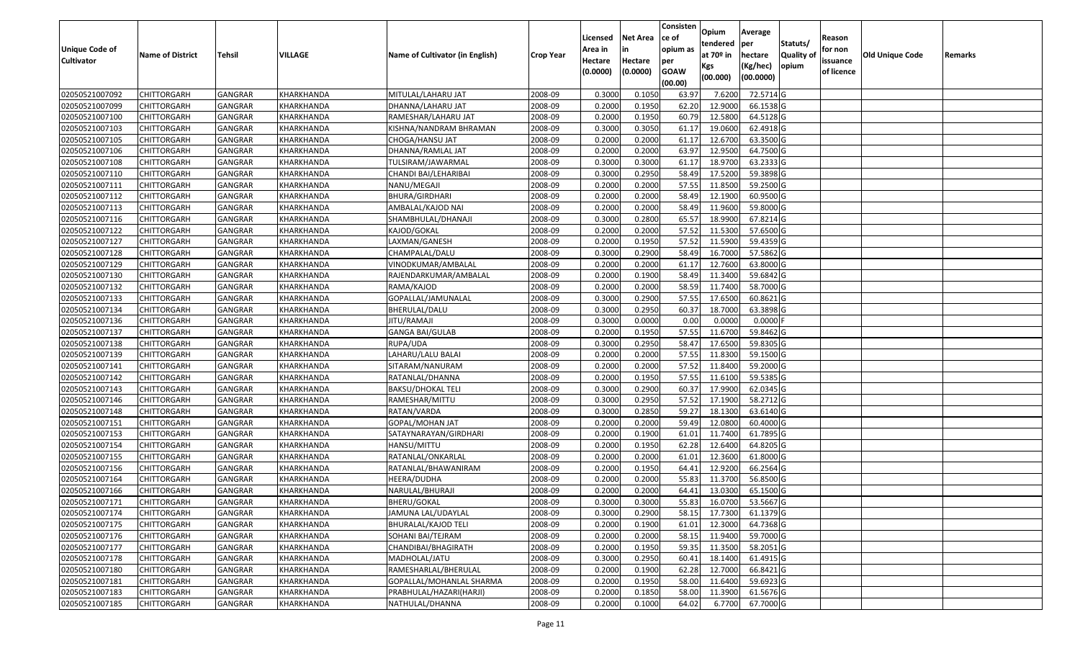| <b>Unique Code of</b> |                         |                |            |                                 |                  | Licensed<br>Area in | <b>Net Area</b><br>in | Consisten<br>lce of<br>opium as | Opium<br>tendered            | Average<br>per                   | Statuts/                  | Reason<br>for non      |                 |         |
|-----------------------|-------------------------|----------------|------------|---------------------------------|------------------|---------------------|-----------------------|---------------------------------|------------------------------|----------------------------------|---------------------------|------------------------|-----------------|---------|
| <b>Cultivator</b>     | <b>Name of District</b> | Tehsil         | VILLAGE    | Name of Cultivator (in English) | <b>Crop Year</b> | Hectare<br>(0.0000) | Hectare<br>(0.0000)   | per<br><b>GOAW</b><br>(00.00)   | at 70º in<br>Kgs<br>(00.000) | hectare<br>(Kg/hec)<br>(00.0000) | <b>Quality o</b><br>opium | issuance<br>of licence | Old Unique Code | Remarks |
| 02050521007092        | <b>CHITTORGARH</b>      | GANGRAR        | KHARKHANDA | MITULAL/LAHARU JAT              | 2008-09          | 0.3000              | 0.105                 | 63.97                           | 7.6200                       | 72.5714 G                        |                           |                        |                 |         |
| 02050521007099        | <b>CHITTORGARH</b>      | GANGRAR        | KHARKHANDA | DHANNA/LAHARU JAT               | 2008-09          | 0.2000              | 0.1950                | 62.20                           | 12.9000                      | 66.1538 G                        |                           |                        |                 |         |
| 02050521007100        | <b>CHITTORGARH</b>      | GANGRAR        | KHARKHANDA | RAMESHAR/LAHARU JAT             | 2008-09          | 0.2000              | 0.1950                | 60.79                           | 12.5800                      | 64.5128 G                        |                           |                        |                 |         |
| 02050521007103        | <b>CHITTORGARH</b>      | <b>GANGRAR</b> | KHARKHANDA | KISHNA/NANDRAM BHRAMAN          | 2008-09          | 0.3000              | 0.3050                | 61.17                           | 19.0600                      | 62.4918 G                        |                           |                        |                 |         |
| 02050521007105        | <b>CHITTORGARH</b>      | GANGRAR        | KHARKHANDA | CHOGA/HANSU JAT                 | 2008-09          | 0.2000              | 0.2000                | 61.17                           | 12.6700                      | 63.3500 G                        |                           |                        |                 |         |
| 02050521007106        | <b>CHITTORGARH</b>      | <b>GANGRAR</b> | KHARKHANDA | DHANNA/RAMLAL JAT               | 2008-09          | 0.2000              | 0.2000                | 63.97                           | 12.9500                      | 64.7500 G                        |                           |                        |                 |         |
| 02050521007108        | CHITTORGARH             | GANGRAR        | KHARKHANDA | TULSIRAM/JAWARMAL               | 2008-09          | 0.3000              | 0.3000                | 61.17                           | 18.9700                      | 63.2333 G                        |                           |                        |                 |         |
| 02050521007110        | <b>CHITTORGARH</b>      | GANGRAR        | KHARKHANDA | CHANDI BAI/LEHARIBAI            | 2008-09          | 0.3000              | 0.2950                | 58.49                           | 17.5200                      | 59.3898 G                        |                           |                        |                 |         |
| 02050521007111        | <b>CHITTORGARH</b>      | GANGRAR        | KHARKHANDA | NANU/MEGAJI                     | 2008-09          | 0.2000              | 0.2000                | 57.55                           | 11.8500                      | 59.2500 G                        |                           |                        |                 |         |
| 02050521007112        | <b>CHITTORGARH</b>      | GANGRAR        | KHARKHANDA | BHURA/GIRDHARI                  | 2008-09          | 0.2000              | 0.2000                | 58.49                           | 12.1900                      | 60.9500 G                        |                           |                        |                 |         |
| 02050521007113        | <b>CHITTORGARH</b>      | GANGRAR        | KHARKHANDA | AMBALAL/KAJOD NAI               | 2008-09          | 0.2000              | 0.2000                | 58.49                           | 11.9600                      | 59.8000 G                        |                           |                        |                 |         |
| 02050521007116        | <b>CHITTORGARH</b>      | GANGRAR        | KHARKHANDA | SHAMBHULAL/DHANAJI              | 2008-09          | 0.3000              | 0.2800                | 65.57                           | 18.9900                      | 67.8214 G                        |                           |                        |                 |         |
| 02050521007122        | <b>CHITTORGARH</b>      | GANGRAR        | KHARKHANDA | KAJOD/GOKAL                     | 2008-09          | 0.2000              | 0.2000                | 57.52                           | 11.5300                      | 57.6500 G                        |                           |                        |                 |         |
| 02050521007127        | <b>CHITTORGARH</b>      | GANGRAR        | KHARKHANDA | LAXMAN/GANESH                   | 2008-09          | 0.2000              | 0.1950                | 57.52                           | 11.5900                      | 59.4359 G                        |                           |                        |                 |         |
| 02050521007128        | CHITTORGARH             | GANGRAR        | KHARKHANDA | CHAMPALAL/DALU                  | 2008-09          | 0.3000              | 0.2900                | 58.49                           | 16.7000                      | 57.5862 G                        |                           |                        |                 |         |
| 02050521007129        | <b>CHITTORGARH</b>      | GANGRAR        | KHARKHANDA | VINODKUMAR/AMBALAL              | 2008-09          | 0.2000              | 0.2000                | 61.17                           | 12.7600                      | 63.8000 G                        |                           |                        |                 |         |
| 02050521007130        | <b>CHITTORGARH</b>      | GANGRAR        | KHARKHANDA | RAJENDARKUMAR/AMBALAL           | 2008-09          | 0.2000              | 0.1900                | 58.49                           | 11.3400                      | 59.6842 G                        |                           |                        |                 |         |
| 02050521007132        | <b>CHITTORGARH</b>      | GANGRAR        | KHARKHANDA | RAMA/KAJOD                      | 2008-09          | 0.2000              | 0.2000                | 58.59                           | 11.7400                      | 58.7000 G                        |                           |                        |                 |         |
| 02050521007133        | <b>CHITTORGARH</b>      | GANGRAR        | KHARKHANDA | GOPALLAL/JAMUNALAL              | 2008-09          | 0.3000              | 0.2900                | 57.55                           | 17.6500                      | 60.8621 G                        |                           |                        |                 |         |
| 02050521007134        | <b>CHITTORGARH</b>      | <b>GANGRAR</b> | KHARKHANDA | BHERULAL/DALU                   | 2008-09          | 0.3000              | 0.2950                | 60.37                           | 18.7000                      | 63.3898 G                        |                           |                        |                 |         |
| 02050521007136        | <b>CHITTORGARH</b>      | GANGRAR        | KHARKHANDA | <b>JITU/RAMAJI</b>              | 2008-09          | 0.3000              | 0.0000                | 0.00                            | 0.0000                       | 0.0000                           |                           |                        |                 |         |
| 02050521007137        | <b>CHITTORGARH</b>      | GANGRAR        | KHARKHANDA | GANGA BAI/GULAB                 | 2008-09          | 0.2000              | 0.1950                | 57.55                           | 11.6700                      | 59.8462 G                        |                           |                        |                 |         |
| 02050521007138        | <b>CHITTORGARH</b>      | GANGRAR        | KHARKHANDA | RUPA/UDA                        | 2008-09          | 0.3000              | 0.2950                | 58.47                           | 17.6500                      | 59.8305 G                        |                           |                        |                 |         |
| 02050521007139        | <b>CHITTORGARH</b>      | GANGRAR        | KHARKHANDA | LAHARU/LALU BALAI               | 2008-09          | 0.2000              | 0.2000                | 57.55                           | 11.8300                      | 59.1500 G                        |                           |                        |                 |         |
| 02050521007141        | <b>CHITTORGARH</b>      | <b>GANGRAR</b> | KHARKHANDA | SITARAM/NANURAM                 | 2008-09          | 0.2000              | 0.2000                | 57.52                           | 11.8400                      | 59.2000 G                        |                           |                        |                 |         |
| 02050521007142        | <b>CHITTORGARH</b>      | GANGRAR        | KHARKHANDA | RATANLAL/DHANNA                 | 2008-09          | 0.2000              | 0.1950                | 57.55                           | 11.6100                      | 59.5385 G                        |                           |                        |                 |         |
| 02050521007143        | <b>CHITTORGARH</b>      | <b>GANGRAR</b> | KHARKHANDA | BAKSU/DHOKAL TELI               | 2008-09          | 0.3000              | 0.2900                | 60.3                            | 17.9900                      | 62.0345 G                        |                           |                        |                 |         |
| 02050521007146        | <b>CHITTORGARH</b>      | GANGRAR        | KHARKHANDA | RAMESHAR/MITTU                  | 2008-09          | 0.3000              | 0.2950                | 57.52                           | 17.1900                      | 58.2712 G                        |                           |                        |                 |         |
| 02050521007148        | <b>CHITTORGARH</b>      | <b>GANGRAR</b> | KHARKHANDA | RATAN/VARDA                     | 2008-09          | 0.3000              | 0.2850                | 59.27                           | 18.1300                      | 63.6140 G                        |                           |                        |                 |         |
| 02050521007151        | <b>CHITTORGARH</b>      | <b>GANGRAR</b> | KHARKHANDA | GOPAL/MOHAN JAT                 | 2008-09          | 0.2000              | 0.2000                | 59.49                           | 12.0800                      | 60.4000 G                        |                           |                        |                 |         |
| 02050521007153        | <b>CHITTORGARH</b>      | GANGRAR        | KHARKHANDA | SATAYNARAYAN/GIRDHARI           | 2008-09          | 0.2000              | 0.1900                | 61.0                            | 11.7400                      | 61.7895 G                        |                           |                        |                 |         |
| 02050521007154        | CHITTORGARH             | GANGRAR        | KHARKHANDA | HANSU/MITTU                     | 2008-09          | 0.2000              | 0.1950                | 62.28                           | 12.6400                      | 64.8205 G                        |                           |                        |                 |         |
| 02050521007155        | <b>CHITTORGARH</b>      | GANGRAR        | KHARKHANDA | RATANLAL/ONKARLAL               | 2008-09          | 0.2000              | 0.2000                | 61.01                           | 12.3600                      | 61.8000 G                        |                           |                        |                 |         |
| 02050521007156        | <b>CHITTORGARH</b>      | GANGRAR        | KHARKHANDA | RATANLAL/BHAWANIRAM             | 2008-09          | 0.2000              | 0.1950                | 64.41                           | 12.9200                      | 66.2564 G                        |                           |                        |                 |         |
| 02050521007164        | <b>CHITTORGARH</b>      | GANGRAR        | KHARKHANDA | HEERA/DUDHA                     | 2008-09          | 0.2000              | 0.2000                | 55.83                           | 11.3700                      | 56.8500 G                        |                           |                        |                 |         |
| 02050521007166        | <b>CHITTORGARH</b>      | GANGRAR        | KHARKHANDA | NARULAL/BHURAJI                 | 2008-09          | 0.2000              | 0.2000                | 64.41                           | 13.0300                      | 65.1500 G                        |                           |                        |                 |         |
| 02050521007171        | <b>CHITTORGARH</b>      | GANGRAR        | KHARKHANDA | <b>BHERU/GOKAL</b>              | 2008-09          | 0.3000              | 0.3000                |                                 |                              | 55.83 16.0700 53.5667 G          |                           |                        |                 |         |
| 02050521007174        | <b>CHITTORGARH</b>      | <b>GANGRAR</b> | KHARKHANDA | JAMUNA LAL/UDAYLAL              | 2008-09          | 0.3000              | 0.2900                | 58.15                           | 17.7300                      | 61.1379 G                        |                           |                        |                 |         |
| 02050521007175        | CHITTORGARH             | GANGRAR        | KHARKHANDA | <b>BHURALAL/KAJOD TELI</b>      | 2008-09          | 0.2000              | 0.1900                | 61.01                           | 12.3000                      | 64.7368 G                        |                           |                        |                 |         |
| 02050521007176        | <b>CHITTORGARH</b>      | GANGRAR        | KHARKHANDA | SOHANI BAI/TEJRAM               | 2008-09          | 0.2000              | 0.2000                | 58.15                           | 11.9400                      | 59.7000 G                        |                           |                        |                 |         |
| 02050521007177        | <b>CHITTORGARH</b>      | GANGRAR        | KHARKHANDA | CHANDIBAI/BHAGIRATH             | 2008-09          | 0.2000              | 0.1950                | 59.35                           | 11.3500                      | 58.2051 G                        |                           |                        |                 |         |
| 02050521007178        | <b>CHITTORGARH</b>      | <b>GANGRAR</b> | KHARKHANDA | MADHOLAL/JATU                   | 2008-09          | 0.3000              | 0.2950                | 60.41                           | 18.1400                      | 61.4915 G                        |                           |                        |                 |         |
| 02050521007180        | <b>CHITTORGARH</b>      | GANGRAR        | KHARKHANDA | RAMESHARLAL/BHERULAL            | 2008-09          | 0.2000              | 0.1900                | 62.28                           | 12.7000                      | 66.8421 G                        |                           |                        |                 |         |
| 02050521007181        | <b>CHITTORGARH</b>      | GANGRAR        | KHARKHANDA | GOPALLAL/MOHANLAL SHARMA        | 2008-09          | 0.2000              | 0.1950                | 58.00                           | 11.6400                      | 59.6923 G                        |                           |                        |                 |         |
| 02050521007183        | <b>CHITTORGARH</b>      | GANGRAR        | KHARKHANDA | PRABHULAL/HAZARI(HARJI)         | 2008-09          | 0.2000              | 0.1850                | 58.00                           | 11.3900                      | 61.5676 G                        |                           |                        |                 |         |
| 02050521007185        | <b>CHITTORGARH</b>      | GANGRAR        | KHARKHANDA | NATHULAL/DHANNA                 | 2008-09          | 0.2000              | 0.1000                | 64.02                           | 6.7700                       | 67.7000 G                        |                           |                        |                 |         |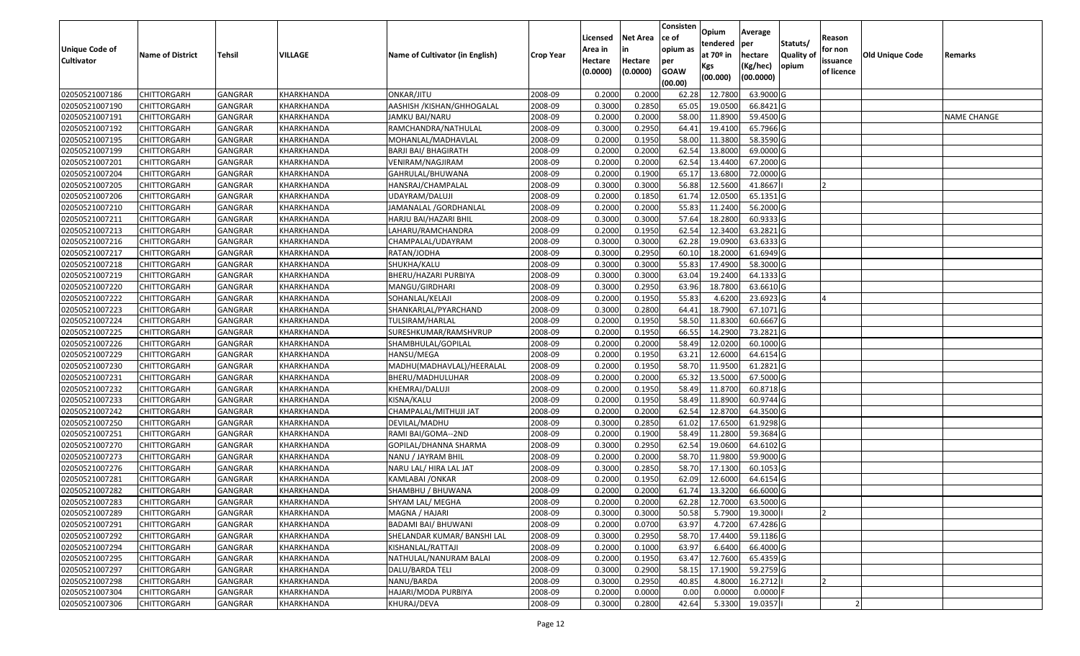| <b>Unique Code of</b><br><b>Cultivator</b> | <b>Name of District</b> | Tehsil         | VILLAGE    | Name of Cultivator (in English) | <b>Crop Year</b> | Licensed<br>Area in<br>Hectare<br>(0.0000) | <b>Net Area</b><br>in<br>Hectare<br>(0.0000) | Consisten<br>ce of<br>opium as<br>per<br><b>GOAW</b> | Opium<br>tendered<br>at 70º in<br>Kgs | Average<br>per<br>hectare<br>(Kg/hec) | Statuts/<br>Quality of<br>opium | Reason<br>for non<br>issuance<br>of licence | Old Unique Code | Remarks            |
|--------------------------------------------|-------------------------|----------------|------------|---------------------------------|------------------|--------------------------------------------|----------------------------------------------|------------------------------------------------------|---------------------------------------|---------------------------------------|---------------------------------|---------------------------------------------|-----------------|--------------------|
|                                            |                         |                |            |                                 |                  |                                            |                                              | (00.00)                                              | (00.000)                              | (00.0000)                             |                                 |                                             |                 |                    |
| 02050521007186                             | <b>CHITTORGARH</b>      | <b>GANGRAR</b> | KHARKHANDA | ONKAR/JITU                      | 2008-09          | 0.2000                                     | 0.2000                                       | 62.28                                                | 12.7800                               | 63.9000 G                             |                                 |                                             |                 |                    |
| 02050521007190                             | <b>CHITTORGARH</b>      | GANGRAR        | KHARKHANDA | AASHISH / KISHAN/GHHOGALAL      | 2008-09          | 0.3000                                     | 0.2850                                       | 65.05                                                | 19.0500                               | 66.8421 G                             |                                 |                                             |                 |                    |
| 02050521007191                             | <b>CHITTORGARH</b>      | GANGRAR        | KHARKHANDA | JAMKU BAI/NARU                  | 2008-09          | 0.2000                                     | 0.2000                                       | 58.00                                                | 11.8900                               | 59.4500 G                             |                                 |                                             |                 | <b>NAME CHANGE</b> |
| 02050521007192                             | <b>CHITTORGARH</b>      | <b>GANGRAR</b> | KHARKHANDA | RAMCHANDRA/NATHULAL             | 2008-09          | 0.3000                                     | 0.2950                                       | 64.41                                                | 19.4100                               | 65.7966 G                             |                                 |                                             |                 |                    |
| 02050521007195                             | <b>CHITTORGARH</b>      | GANGRAR        | KHARKHANDA | MOHANLAL/MADHAVLAL              | 2008-09          | 0.2000                                     | 0.1950                                       | 58.00                                                | 11.3800                               | 58.3590 G                             |                                 |                                             |                 |                    |
| 02050521007199                             | <b>CHITTORGARH</b>      | <b>GANGRAR</b> | KHARKHANDA | <b>BARJI BAI/ BHAGIRATH</b>     | 2008-09          | 0.2000                                     | 0.2000                                       | 62.54                                                | 13.8000                               | 69.0000 G                             |                                 |                                             |                 |                    |
| 02050521007201                             | CHITTORGARH             | GANGRAR        | KHARKHANDA | VENIRAM/NAGJIRAM                | 2008-09          | 0.2000                                     | 0.2000                                       | 62.54                                                | 13.4400                               | 67.2000 G                             |                                 |                                             |                 |                    |
| 02050521007204                             | <b>CHITTORGARH</b>      | GANGRAR        | KHARKHANDA | GAHRULAL/BHUWANA                | 2008-09          | 0.2000                                     | 0.1900                                       | 65.17                                                | 13.6800                               | 72.0000 G                             |                                 |                                             |                 |                    |
| 02050521007205                             | <b>CHITTORGARH</b>      | GANGRAR        | KHARKHANDA | HANSRAJ/CHAMPALAL               | 2008-09          | 0.3000                                     | 0.3000                                       | 56.88                                                | 12.5600                               | 41.8667                               |                                 |                                             |                 |                    |
| 02050521007206                             | <b>CHITTORGARH</b>      | GANGRAR        | KHARKHANDA | UDAYRAM/DALUJI                  | 2008-09          | 0.2000                                     | 0.1850                                       | 61.74                                                | 12.0500                               | 65.1351 G                             |                                 |                                             |                 |                    |
| 02050521007210                             | <b>CHITTORGARH</b>      | GANGRAR        | KHARKHANDA | JAMANALAL / GORDHANLAL          | 2008-09          | 0.2000                                     | 0.2000                                       | 55.83                                                | 11.2400                               | 56.2000 G                             |                                 |                                             |                 |                    |
| 02050521007211                             | <b>CHITTORGARH</b>      | GANGRAR        | KHARKHANDA | HARJU BAI/HAZARI BHIL           | 2008-09          | 0.3000                                     | 0.3000                                       | 57.64                                                | 18.2800                               | 60.9333 G                             |                                 |                                             |                 |                    |
| 02050521007213                             | <b>CHITTORGARH</b>      | GANGRAR        | KHARKHANDA | LAHARU/RAMCHANDRA               | 2008-09          | 0.2000                                     | 0.1950                                       | 62.54                                                | 12.3400                               | 63.2821 G                             |                                 |                                             |                 |                    |
| 02050521007216                             | <b>CHITTORGARH</b>      | GANGRAR        | KHARKHANDA | CHAMPALAL/UDAYRAM               | 2008-09          | 0.3000                                     | 0.3000                                       | 62.28                                                | 19.0900                               | 63.6333 G                             |                                 |                                             |                 |                    |
| 02050521007217                             | CHITTORGARH             | GANGRAR        | KHARKHANDA | RATAN/JODHA                     | 2008-09          | 0.3000                                     | 0.2950                                       | 60.10                                                | 18.2000                               | 61.6949 G                             |                                 |                                             |                 |                    |
| 02050521007218                             | <b>CHITTORGARH</b>      | GANGRAR        | KHARKHANDA | SHUKHA/KALU                     | 2008-09          | 0.3000                                     | 0.3000                                       | 55.83                                                | 17.4900                               | 58.3000 G                             |                                 |                                             |                 |                    |
| 02050521007219                             | <b>CHITTORGARH</b>      | GANGRAR        | KHARKHANDA | BHERU/HAZARI PURBIYA            | 2008-09          | 0.3000                                     | 0.3000                                       | 63.04                                                | 19.2400                               | 64.1333 G                             |                                 |                                             |                 |                    |
| 02050521007220                             | <b>CHITTORGARH</b>      | GANGRAR        | KHARKHANDA | MANGU/GIRDHARI                  | 2008-09          | 0.3000                                     | 0.2950                                       | 63.96                                                | 18.7800                               | 63.6610 G                             |                                 |                                             |                 |                    |
| 02050521007222                             | <b>CHITTORGARH</b>      | GANGRAR        | KHARKHANDA | SOHANLAL/KELAJI                 | 2008-09          | 0.2000                                     | 0.1950                                       | 55.83                                                | 4.6200                                | 23.6923 G                             |                                 |                                             |                 |                    |
| 02050521007223                             | <b>CHITTORGARH</b>      | <b>GANGRAR</b> | KHARKHANDA | SHANKARLAL/PYARCHAND            | 2008-09          | 0.3000                                     | 0.2800                                       | 64.41                                                | 18.7900                               | 67.1071 G                             |                                 |                                             |                 |                    |
| 02050521007224                             | <b>CHITTORGARH</b>      | GANGRAR        | KHARKHANDA | TULSIRAM/HARLAL                 | 2008-09          | 0.2000                                     | 0.1950                                       | 58.50                                                | 11.8300                               | 60.6667 G                             |                                 |                                             |                 |                    |
| 02050521007225                             | <b>CHITTORGARH</b>      | GANGRAR        | KHARKHANDA | SURESHKUMAR/RAMSHVRUP           | 2008-09          | 0.2000                                     | 0.1950                                       | 66.55                                                | 14.2900                               | 73.2821 G                             |                                 |                                             |                 |                    |
| 02050521007226                             | <b>CHITTORGARH</b>      | GANGRAR        | KHARKHANDA | SHAMBHULAL/GOPILAL              | 2008-09          | 0.2000                                     | 0.2000                                       | 58.49                                                | 12.0200                               | 60.1000 G                             |                                 |                                             |                 |                    |
| 02050521007229                             | <b>CHITTORGARH</b>      | GANGRAR        | KHARKHANDA | HANSU/MEGA                      | 2008-09          | 0.2000                                     | 0.1950                                       | 63.21                                                | 12.6000                               | 64.6154 G                             |                                 |                                             |                 |                    |
| 02050521007230                             | <b>CHITTORGARH</b>      | GANGRAR        | KHARKHANDA | MADHU(MADHAVLAL)/HEERALAL       | 2008-09          | 0.2000                                     | 0.1950                                       | 58.70                                                | 11.9500                               | 61.2821 G                             |                                 |                                             |                 |                    |
| 02050521007231                             | <b>CHITTORGARH</b>      | GANGRAR        | KHARKHANDA | BHERU/MADHULUHAR                | 2008-09          | 0.2000                                     | 0.2000                                       | 65.32                                                | 13.5000                               | 67.5000 G                             |                                 |                                             |                 |                    |
| 02050521007232                             | <b>CHITTORGARH</b>      | GANGRAR        | KHARKHANDA | KHEMRAJ/DALUJI                  | 2008-09          | 0.2000                                     | 0.1950                                       | 58.49                                                | 11.8700                               | 60.8718 G                             |                                 |                                             |                 |                    |
| 02050521007233                             | <b>CHITTORGARH</b>      | GANGRAR        | KHARKHANDA | KISNA/KALU                      | 2008-09          | 0.2000                                     | 0.1950                                       | 58.49                                                | 11.8900                               | 60.9744 G                             |                                 |                                             |                 |                    |
| 02050521007242                             | <b>CHITTORGARH</b>      | <b>GANGRAR</b> | KHARKHANDA | CHAMPALAL/MITHUJI JAT           | 2008-09          | 0.2000                                     | 0.2000                                       | 62.54                                                | 12.8700                               | 64.3500 G                             |                                 |                                             |                 |                    |
| 02050521007250                             | <b>CHITTORGARH</b>      | <b>GANGRAR</b> | KHARKHANDA | DEVILAL/MADHU                   | 2008-09          | 0.3000                                     | 0.2850                                       | 61.02                                                | 17.6500                               | 61.9298 G                             |                                 |                                             |                 |                    |
| 02050521007251                             | <b>CHITTORGARH</b>      | GANGRAR        | KHARKHANDA | RAMI BAI/GOMA--2ND              | 2008-09          | 0.2000                                     | 0.1900                                       | 58.49                                                | 11.2800                               | 59.3684 G                             |                                 |                                             |                 |                    |
| 02050521007270                             | CHITTORGARH             | GANGRAR        | KHARKHANDA | GOPILAL/DHANNA SHARMA           | 2008-09          | 0.3000                                     | 0.2950                                       | 62.54                                                | 19.0600                               | 64.6102 G                             |                                 |                                             |                 |                    |
| 02050521007273                             | <b>CHITTORGARH</b>      | GANGRAR        | KHARKHANDA | NANU / JAYRAM BHIL              | 2008-09          | 0.2000                                     | 0.2000                                       | 58.70                                                | 11.9800                               | 59.9000 G                             |                                 |                                             |                 |                    |
| 02050521007276                             | <b>CHITTORGARH</b>      | GANGRAR        | KHARKHANDA | NARU LAL/ HIRA LAL JAT          | 2008-09          | 0.3000                                     | 0.2850                                       | 58.70                                                | 17.1300                               | 60.1053 G                             |                                 |                                             |                 |                    |
| 02050521007281                             | CHITTORGARH             | GANGRAR        | KHARKHANDA | KAMLABAI /ONKAR                 | 2008-09          | 0.2000                                     | 0.1950                                       | 62.09                                                | 12.6000                               | 64.6154 G                             |                                 |                                             |                 |                    |
| 02050521007282                             | <b>CHITTORGARH</b>      | GANGRAR        | KHARKHANDA | SHAMBHU / BHUWANA               | 2008-09          | 0.2000                                     | 0.2000                                       | 61.74                                                | 13.3200                               | 66.6000 G                             |                                 |                                             |                 |                    |
| 02050521007283                             | <b>CHITTORGARH</b>      | GANGRAR        | KHARKHANDA | SHYAM LAL/ MEGHA                | 2008-09          | 0.2000                                     | 0.2000                                       | 62.28                                                | 12.7000                               | 63.5000 G                             |                                 |                                             |                 |                    |
| 02050521007289                             | <b>CHITTORGARH</b>      | GANGRAR        | KHARKHANDA | MAGNA / HAJARI                  | 2008-09          | 0.3000                                     | 0.3000                                       | 50.58                                                | 5.7900                                | 19.3000                               |                                 |                                             |                 |                    |
| 02050521007291                             | <b>CHITTORGARH</b>      | GANGRAR        | KHARKHANDA | BADAMI BAI/ BHUWANI             | 2008-09          | 0.2000                                     | 0.0700                                       | 63.97                                                | 4.7200                                | 67.4286 G                             |                                 |                                             |                 |                    |
| 02050521007292                             | <b>CHITTORGARH</b>      | GANGRAR        | KHARKHANDA | SHELANDAR KUMAR/ BANSHI LAL     | 2008-09          | 0.3000                                     | 0.2950                                       | 58.70                                                | 17.4400                               | 59.1186 G                             |                                 |                                             |                 |                    |
| 02050521007294                             | <b>CHITTORGARH</b>      | GANGRAR        | KHARKHANDA | KISHANLAL/RATTAJI               | 2008-09          | 0.2000                                     | 0.1000                                       | 63.97                                                | 6.6400                                | 66.4000 G                             |                                 |                                             |                 |                    |
| 02050521007295                             | <b>CHITTORGARH</b>      | <b>GANGRAR</b> | KHARKHANDA | NATHULAL/NANURAM BALAI          | 2008-09          | 0.2000                                     | 0.1950                                       | 63.47                                                | 12.7600                               | 65.4359 G                             |                                 |                                             |                 |                    |
| 02050521007297                             | <b>CHITTORGARH</b>      | GANGRAR        | KHARKHANDA | DALU/BARDA TELI                 | 2008-09          | 0.3000                                     | 0.2900                                       | 58.15                                                | 17.1900                               | 59.2759 G                             |                                 |                                             |                 |                    |
| 02050521007298                             | <b>CHITTORGARH</b>      | GANGRAR        | KHARKHANDA | NANU/BARDA                      | 2008-09          | 0.3000                                     | 0.2950                                       | 40.85                                                | 4.8000                                | 16.2712                               |                                 |                                             |                 |                    |
| 02050521007304                             | <b>CHITTORGARH</b>      | GANGRAR        | KHARKHANDA | HAJARI/MODA PURBIYA             | 2008-09          | 0.2000                                     | 0.0000                                       | 0.00                                                 | 0.0000                                | 0.0000                                |                                 |                                             |                 |                    |
| 02050521007306                             | <b>CHITTORGARH</b>      | <b>GANGRAR</b> | KHARKHANDA | KHURAJ/DEVA                     | 2008-09          | 0.3000                                     | 0.2800                                       | 42.64                                                | 5.3300                                | 19.0357                               |                                 |                                             |                 |                    |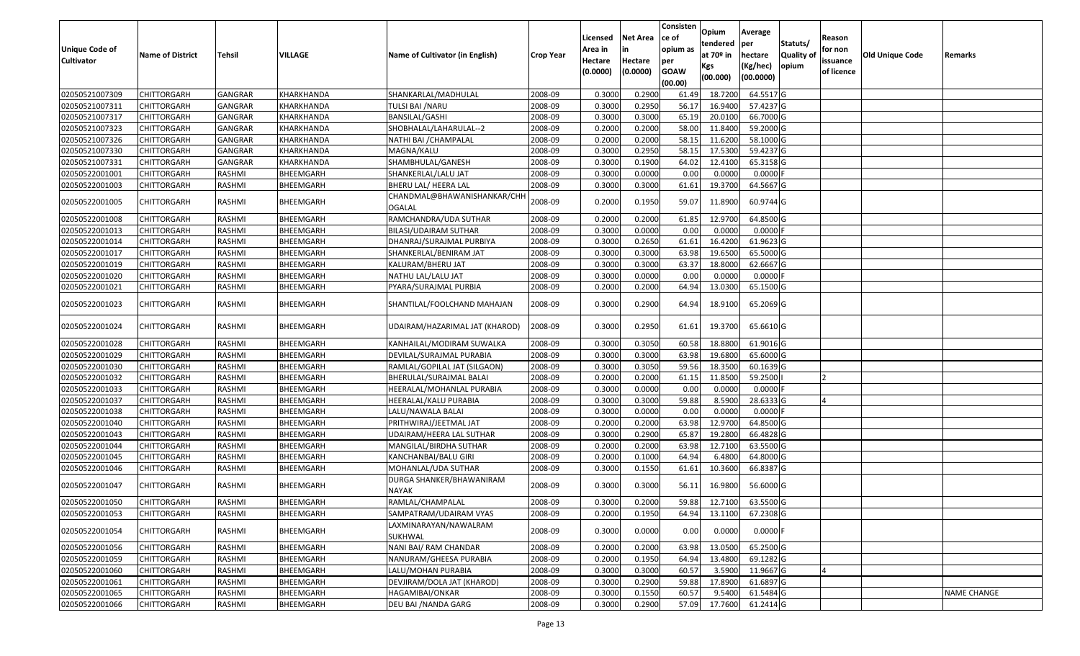| <b>Unique Code of</b><br><b>Cultivator</b> | <b>Name of District</b> | <b>Tehsil</b>  | VILLAGE    | Name of Cultivator (in English)       | <b>Crop Year</b> | Licensed<br>Area in<br>Hectare<br>(0.0000) | <b>Net Area</b><br>in<br>Hectare<br>(0.0000) | Consisten<br>ce of<br>opium as<br>per<br><b>GOAW</b><br>(00.00) | Opium<br>tendered<br>at $70°$ in<br>Kgs<br>(00.000) | Average<br>per<br>hectare<br>(Kg/hec)<br>(00.0000) | Statuts/<br>Quality of<br>opium | Reason<br>for non<br>issuance<br>of licence | <b>Old Unique Code</b> | Remarks            |
|--------------------------------------------|-------------------------|----------------|------------|---------------------------------------|------------------|--------------------------------------------|----------------------------------------------|-----------------------------------------------------------------|-----------------------------------------------------|----------------------------------------------------|---------------------------------|---------------------------------------------|------------------------|--------------------|
| 02050521007309                             | <b>CHITTORGARH</b>      | <b>GANGRAR</b> | KHARKHANDA | SHANKARLAL/MADHULAL                   | 2008-09          | 0.3000                                     | 0.2900                                       | 61.49                                                           | 18.7200                                             | 64.5517 G                                          |                                 |                                             |                        |                    |
| 02050521007311                             | CHITTORGARH             | <b>GANGRAR</b> | KHARKHANDA | TULSI BAI / NARU                      | 2008-09          | 0.3000                                     | 0.2950                                       | 56.17                                                           | 16.9400                                             | 57.4237 G                                          |                                 |                                             |                        |                    |
| 02050521007317                             | CHITTORGARH             | GANGRAR        | KHARKHANDA | BANSILAL/GASHI                        | 2008-09          | 0.3000                                     | 0.3000                                       | 65.19                                                           | 20.0100                                             | 66.7000 G                                          |                                 |                                             |                        |                    |
| 02050521007323                             | <b>CHITTORGARH</b>      | <b>GANGRAR</b> | KHARKHANDA | SHOBHALAL/LAHARULAL--2                | 2008-09          | 0.2000                                     | 0.2000                                       | 58.00                                                           | 11.8400                                             | 59.2000 G                                          |                                 |                                             |                        |                    |
| 02050521007326                             | <b>CHITTORGARH</b>      | <b>GANGRAR</b> | KHARKHANDA | NATHI BAI / CHAMPALAL                 | 2008-09          | 0.2000                                     | 0.2000                                       | 58.15                                                           | 11.6200                                             | 58.1000 G                                          |                                 |                                             |                        |                    |
| 02050521007330                             | <b>CHITTORGARH</b>      | <b>GANGRAR</b> | KHARKHANDA | MAGNA/KALU                            | 2008-09          | 0.3000                                     | 0.2950                                       | 58.15                                                           | 17.5300                                             | 59.4237 G                                          |                                 |                                             |                        |                    |
| 02050521007331                             | <b>CHITTORGARH</b>      | <b>GANGRAR</b> | KHARKHANDA | SHAMBHULAL/GANESH                     | 2008-09          | 0.3000                                     | 0.1900                                       | 64.02                                                           | 12.4100                                             | 65.3158 G                                          |                                 |                                             |                        |                    |
| 02050522001001                             | <b>CHITTORGARH</b>      | RASHMI         | BHEEMGARH  | SHANKERLAL/LALU JAT                   | 2008-09          | 0.3000                                     | 0.0000                                       | 0.00                                                            | 0.0000                                              | $0.0000$ F                                         |                                 |                                             |                        |                    |
| 02050522001003                             | <b>CHITTORGARH</b>      | RASHMI         | BHEEMGARH  | BHERU LAL/ HEERA LAL                  | 2008-09          | 0.3000                                     | 0.3000                                       | 61.61                                                           | 19.3700                                             | 64.5667 G                                          |                                 |                                             |                        |                    |
| 02050522001005                             | CHITTORGARH             | RASHMI         | BHEEMGARH  | CHANDMAL@BHAWANISHANKAR/CHF<br>OGALAL | 2008-09          | 0.2000                                     | 0.1950                                       | 59.07                                                           | 11.8900                                             | 60.9744 G                                          |                                 |                                             |                        |                    |
| 02050522001008                             | <b>CHITTORGARH</b>      | RASHMI         | BHEEMGARH  | RAMCHANDRA/UDA SUTHAR                 | 2008-09          | 0.2000                                     | 0.2000                                       | 61.85                                                           | 12.9700                                             | 64.8500 G                                          |                                 |                                             |                        |                    |
| 02050522001013                             | CHITTORGARH             | RASHMI         | BHEEMGARH  | <b>BILASI/UDAIRAM SUTHAR</b>          | 2008-09          | 0.3000                                     | 0.0000                                       | 0.00                                                            | 0.0000                                              | $0.0000$ F                                         |                                 |                                             |                        |                    |
| 02050522001014                             | CHITTORGARH             | RASHMI         | BHEEMGARH  | DHANRAJ/SURAJMAL PURBIYA              | 2008-09          | 0.3000                                     | 0.2650                                       | 61.61                                                           | 16.4200                                             | 61.9623 G                                          |                                 |                                             |                        |                    |
| 02050522001017                             | CHITTORGARH             | RASHMI         | BHEEMGARH  | SHANKERLAL/BENIRAM JAT                | 2008-09          | 0.3000                                     | 0.3000                                       | 63.98                                                           | 19.6500                                             | 65.5000 G                                          |                                 |                                             |                        |                    |
| 02050522001019                             | <b>CHITTORGARH</b>      | RASHMI         | BHEEMGARH  | KALURAM/BHERU JAT                     | 2008-09          | 0.3000                                     | 0.3000                                       | 63.37                                                           | 18.8000                                             | 62.6667 G                                          |                                 |                                             |                        |                    |
| 02050522001020                             | CHITTORGARH             | RASHMI         | BHEEMGARH  | NATHU LAL/LALU JAT                    | 2008-09          | 0.3000                                     | 0.0000                                       | 0.00                                                            | 0.0000                                              | $0.0000$ F                                         |                                 |                                             |                        |                    |
| 02050522001021                             | CHITTORGARH             | RASHMI         | BHEEMGARH  | PYARA/SURAJMAL PURBIA                 | 2008-09          | 0.2000                                     | 0.2000                                       | 64.94                                                           | 13.0300                                             | 65.1500 G                                          |                                 |                                             |                        |                    |
| 02050522001023                             | CHITTORGARH             | RASHMI         | BHEEMGARH  | SHANTILAL/FOOLCHAND MAHAJAN           | 2008-09          | 0.3000                                     | 0.2900                                       | 64.94                                                           | 18.9100                                             | 65.2069 G                                          |                                 |                                             |                        |                    |
| 02050522001024                             | CHITTORGARH             | RASHMI         | BHEEMGARH  | UDAIRAM/HAZARIMAL JAT (KHAROD)        | 2008-09          | 0.3000                                     | 0.2950                                       | 61.61                                                           | 19.3700                                             | 65.6610 G                                          |                                 |                                             |                        |                    |
| 02050522001028                             | <b>CHITTORGARH</b>      | RASHMI         | BHEEMGARH  | KANHAILAL/MODIRAM SUWALKA             | 2008-09          | 0.3000                                     | 0.3050                                       | 60.58                                                           | 18.8800                                             | 61.9016 G                                          |                                 |                                             |                        |                    |
| 02050522001029                             | <b>CHITTORGARH</b>      | RASHMI         | BHEEMGARH  | DEVILAL/SURAJMAL PURABIA              | 2008-09          | 0.3000                                     | 0.3000                                       | 63.98                                                           | 19.6800                                             | 65.6000 G                                          |                                 |                                             |                        |                    |
| 02050522001030                             | <b>CHITTORGARH</b>      | RASHMI         | BHEEMGARH  | RAMLAL/GOPILAL JAT (SILGAON)          | 2008-09          | 0.3000                                     | 0.3050                                       | 59.56                                                           | 18.3500                                             | 60.1639 G                                          |                                 |                                             |                        |                    |
| 02050522001032                             | <b>CHITTORGARH</b>      | RASHMI         | BHEEMGARH  | BHERULAL/SURAJMAL BALAI               | 2008-09          | 0.2000                                     | 0.2000                                       | 61.15                                                           | 11.8500                                             | 59.2500                                            |                                 |                                             |                        |                    |
| 02050522001033                             | CHITTORGARH             | RASHMI         | BHEEMGARH  | HEERALAL/MOHANLAL PURABIA             | 2008-09          | 0.3000                                     | 0.0000                                       | 0.00                                                            | 0.0000                                              | 0.0000F                                            |                                 |                                             |                        |                    |
| 02050522001037                             | <b>CHITTORGARH</b>      | RASHMI         | BHEEMGARH  | HEERALAL/KALU PURABIA                 | 2008-09          | 0.3000                                     | 0.3000                                       | 59.88                                                           | 8.5900                                              | 28.6333 G                                          |                                 |                                             |                        |                    |
| 02050522001038                             | CHITTORGARH             | RASHMI         | BHEEMGARH  | LALU/NAWALA BALAI                     | 2008-09          | 0.3000                                     | 0.0000                                       | 0.00                                                            | 0.0000                                              | $0.0000$ F                                         |                                 |                                             |                        |                    |
| 02050522001040                             | <b>CHITTORGARH</b>      | RASHMI         | BHEEMGARH  | PRITHWIRAJ/JEETMAL JAT                | 2008-09          | 0.2000                                     | 0.2000                                       | 63.98                                                           | 12.9700                                             | 64.8500 G                                          |                                 |                                             |                        |                    |
| 02050522001043                             | <b>CHITTORGARH</b>      | RASHMI         | BHEEMGARH  | UDAIRAM/HEERA LAL SUTHAR              | 2008-09          | 0.3000                                     | 0.2900                                       | 65.87                                                           | 19.2800                                             | 66.4828 G                                          |                                 |                                             |                        |                    |
| 02050522001044                             | CHITTORGARH             | RASHMI         | BHEEMGARH  | MANGILAL/BIRDHA SUTHAR                | 2008-09          | 0.2000                                     | 0.2000                                       | 63.98                                                           | 12.7100                                             | 63.5500 G                                          |                                 |                                             |                        |                    |
| 02050522001045                             | CHITTORGARH             | RASHMI         | BHEEMGARH  | KANCHANBAI/BALU GIRI                  | 2008-09          | 0.2000                                     | 0.1000                                       | 64.94                                                           | 6.4800                                              | 64.8000 G                                          |                                 |                                             |                        |                    |
| 02050522001046                             | CHITTORGARH             | RASHMI         | BHEEMGARH  | MOHANLAL/UDA SUTHAR                   | 2008-09          | 0.3000                                     | 0.1550                                       | 61.61                                                           | 10.3600                                             | 66.8387 G                                          |                                 |                                             |                        |                    |
| 02050522001047                             | CHITTORGARH             | RASHMI         | BHEEMGARH  | DURGA SHANKER/BHAWANIRAM<br>NAYAK     | 2008-09          | 0.3000                                     | 0.3000                                       | 56.11                                                           | 16.9800                                             | 56.6000 G                                          |                                 |                                             |                        |                    |
| 02050522001050                             | CHITTORGARH             | RASHMI         | BHEEMGARH  | RAMLAL/CHAMPALAL                      | 2008-09          | 0.3000                                     | 0.2000                                       | 59.88                                                           | 12.7100                                             | 63.5500 G                                          |                                 |                                             |                        |                    |
| 02050522001053                             | <b>CHITTORGARH</b>      | RASHMI         | BHEEMGARH  | SAMPATRAM/UDAIRAM VYAS                | 2008-09          | 0.2000                                     | 0.1950                                       | 64.94                                                           | 13.1100                                             | 67.2308 G                                          |                                 |                                             |                        |                    |
| 02050522001054                             | CHITTORGARH             | RASHMI         | BHEEMGARH  | LAXMINARAYAN/NAWALRAM<br>SUKHWAL      | 2008-09          | 0.3000                                     | 0.0000                                       | 0.00                                                            | 0.0000                                              | $0.0000$ F                                         |                                 |                                             |                        |                    |
| 02050522001056                             | CHITTORGARH             | RASHMI         | BHEEMGARH  | NANI BAI/ RAM CHANDAR                 | 2008-09          | 0.2000                                     | 0.2000                                       | 63.98                                                           | 13.0500                                             | 65.2500 G                                          |                                 |                                             |                        |                    |
| 02050522001059                             | <b>CHITTORGARH</b>      | RASHMI         | BHEEMGARH  | NANURAM/GHEESA PURABIA                | 2008-09          | 0.2000                                     | 0.1950                                       | 64.94                                                           | 13.4800                                             | 69.1282 G                                          |                                 |                                             |                        |                    |
| 02050522001060                             | <b>CHITTORGARH</b>      | RASHMI         | BHEEMGARH  | LALU/MOHAN PURABIA                    | 2008-09          | 0.3000                                     | 0.3000                                       | 60.57                                                           | 3.5900                                              | 11.9667 G                                          |                                 |                                             |                        |                    |
| 02050522001061                             | <b>CHITTORGARH</b>      | RASHMI         | BHEEMGARH  | DEVJIRAM/DOLA JAT (KHAROD)            | 2008-09          | 0.3000                                     | 0.2900                                       | 59.88                                                           | 17.8900                                             | 61.6897 G                                          |                                 |                                             |                        |                    |
| 02050522001065                             | <b>CHITTORGARH</b>      | RASHMI         | BHEEMGARH  | HAGAMIBAI/ONKAR                       | 2008-09          | 0.3000                                     | 0.1550                                       | 60.57                                                           | 9.5400                                              | 61.5484 G                                          |                                 |                                             |                        | <b>NAME CHANGE</b> |
| 02050522001066                             | <b>CHITTORGARH</b>      | RASHMI         | BHEEMGARH  | DEU BAI / NANDA GARG                  | 2008-09          | 0.3000                                     | 0.2900                                       | 57.09                                                           | 17.7600                                             | $61.2414$ G                                        |                                 |                                             |                        |                    |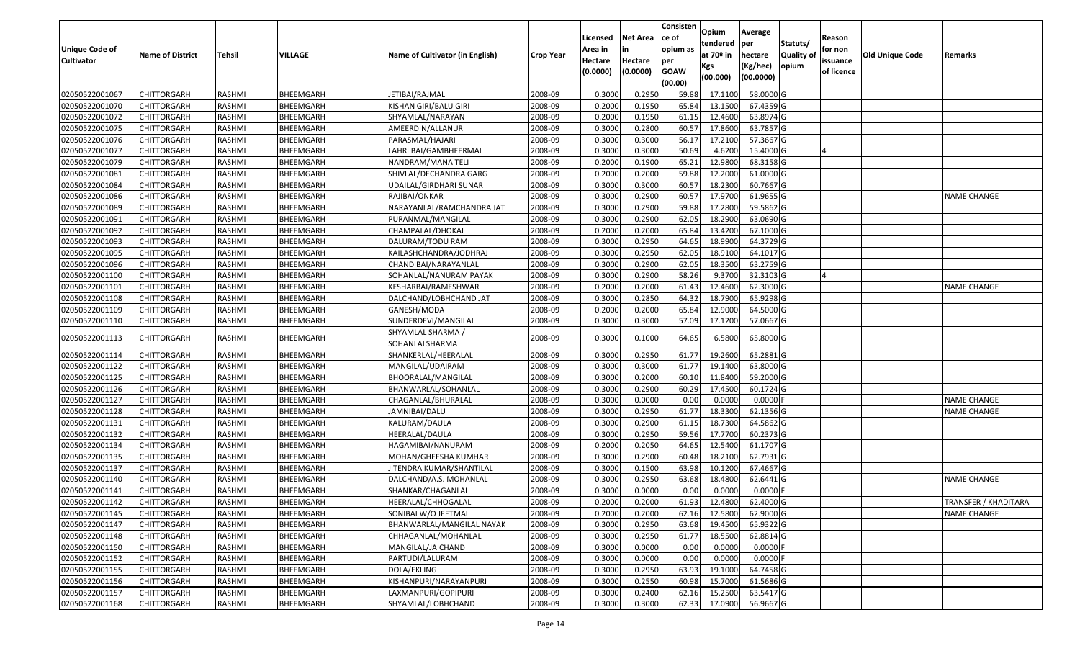| <b>Unique Code of</b><br><b>Cultivator</b> | <b>Name of District</b> | <b>Tehsil</b> | VILLAGE   | Name of Cultivator (in English)     | <b>Crop Year</b> | Licensed<br>Area in<br>Hectare<br>(0.0000) | <b>Net Area</b><br>in<br>Hectare<br>(0.0000) | Consisten<br>ce of<br>opium as<br>per<br><b>GOAW</b><br>(00.00) | Opium<br>tendered<br>at 70º in<br>Kgs<br>(00.000) | Average<br><b>per</b><br>hectare<br>(Kg/hec)<br>(00.0000) | Statuts/<br><b>Quality of</b><br>opium | Reason<br>for non<br>issuance<br>of licence | <b>Old Unique Code</b> | Remarks              |
|--------------------------------------------|-------------------------|---------------|-----------|-------------------------------------|------------------|--------------------------------------------|----------------------------------------------|-----------------------------------------------------------------|---------------------------------------------------|-----------------------------------------------------------|----------------------------------------|---------------------------------------------|------------------------|----------------------|
| 02050522001067                             | <b>CHITTORGARH</b>      | RASHMI        | BHEEMGARH | JETIBAI/RAJMAL                      | 2008-09          | 0.3000                                     | 0.2950                                       | 59.88                                                           | 17.1100                                           | 58.0000 G                                                 |                                        |                                             |                        |                      |
| 02050522001070                             | <b>CHITTORGARH</b>      | RASHMI        | BHEEMGARH | KISHAN GIRI/BALU GIRI               | 2008-09          | 0.2000                                     | 0.1950                                       | 65.84                                                           | 13.1500                                           | 67.4359 G                                                 |                                        |                                             |                        |                      |
| 02050522001072                             | <b>CHITTORGARH</b>      | RASHMI        | BHEEMGARH | SHYAMLAL/NARAYAN                    | 2008-09          | 0.2000                                     | 0.1950                                       | 61.15                                                           | 12.4600                                           | 63.8974 G                                                 |                                        |                                             |                        |                      |
| 02050522001075                             | <b>CHITTORGARH</b>      | RASHMI        | BHEEMGARH | AMEERDIN/ALLANUR                    | 2008-09          | 0.3000                                     | 0.2800                                       | 60.57                                                           | 17.8600                                           | 63.7857 G                                                 |                                        |                                             |                        |                      |
| 02050522001076                             | <b>CHITTORGARH</b>      | RASHMI        | BHEEMGARH | PARASMAL/HAJARI                     | 2008-09          | 0.3000                                     | 0.3000                                       | 56.17                                                           | 17.2100                                           | 57.3667 G                                                 |                                        |                                             |                        |                      |
| 02050522001077                             | <b>CHITTORGARH</b>      | RASHMI        | BHEEMGARH | LAHRI BAI/GAMBHEERMAL               | 2008-09          | 0.3000                                     | 0.3000                                       | 50.69                                                           | 4.6200                                            | 15.4000 G                                                 |                                        |                                             |                        |                      |
| 02050522001079                             | <b>CHITTORGARH</b>      | RASHMI        | BHEEMGARH | NANDRAM/MANA TELI                   | 2008-09          | 0.2000                                     | 0.1900                                       | 65.21                                                           | 12.9800                                           | 68.3158 G                                                 |                                        |                                             |                        |                      |
| 02050522001081                             | <b>CHITTORGARH</b>      | RASHMI        | BHEEMGARH | SHIVLAL/DECHANDRA GARG              | 2008-09          | 0.2000                                     | 0.2000                                       | 59.88                                                           | 12.2000                                           | 61.0000 G                                                 |                                        |                                             |                        |                      |
| 02050522001084                             | <b>CHITTORGARH</b>      | RASHMI        | BHEEMGARH | UDAILAL/GIRDHARI SUNAR              | 2008-09          | 0.3000                                     | 0.3000                                       | 60.57                                                           | 18.2300                                           | 60.7667 G                                                 |                                        |                                             |                        |                      |
| 02050522001086                             | <b>CHITTORGARH</b>      | RASHMI        | BHEEMGARH | RAJIBAI/ONKAR                       | 2008-09          | 0.3000                                     | 0.2900                                       | 60.57                                                           | 17.9700                                           | 61.9655 G                                                 |                                        |                                             |                        | NAME CHANGE          |
| 02050522001089                             | <b>CHITTORGARH</b>      | RASHMI        | BHEEMGARH | NARAYANLAL/RAMCHANDRA JAT           | 2008-09          | 0.3000                                     | 0.2900                                       | 59.88                                                           | 17.2800                                           | 59.5862 G                                                 |                                        |                                             |                        |                      |
| 02050522001091                             | <b>CHITTORGARH</b>      | RASHMI        | BHEEMGARH | PURANMAL/MANGILAL                   | 2008-09          | 0.3000                                     | 0.2900                                       | 62.05                                                           | 18.2900                                           | 63.0690 G                                                 |                                        |                                             |                        |                      |
| 02050522001092                             | <b>CHITTORGARH</b>      | RASHMI        | BHEEMGARH | CHAMPALAL/DHOKAL                    | 2008-09          | 0.2000                                     | 0.2000                                       | 65.84                                                           | 13.4200                                           | 67.1000 G                                                 |                                        |                                             |                        |                      |
| 02050522001093                             | <b>CHITTORGARH</b>      | RASHMI        | BHEEMGARH | DALURAM/TODU RAM                    | 2008-09          | 0.3000                                     | 0.2950                                       | 64.65                                                           | 18.9900                                           | 64.3729 G                                                 |                                        |                                             |                        |                      |
| 02050522001095                             | <b>CHITTORGARH</b>      | RASHMI        | BHEEMGARH | KAILASHCHANDRA/JODHRAJ              | 2008-09          | 0.3000                                     | 0.2950                                       | 62.05                                                           | 18.9100                                           | 64.1017 G                                                 |                                        |                                             |                        |                      |
| 02050522001096                             | <b>CHITTORGARH</b>      | RASHMI        | BHEEMGARH | CHANDIBAI/NARAYANLAL                | 2008-09          | 0.3000                                     | 0.2900                                       | 62.05                                                           | 18.3500                                           | 63.2759 G                                                 |                                        |                                             |                        |                      |
| 02050522001100                             | <b>CHITTORGARH</b>      | RASHMI        | BHEEMGARH | SOHANLAL/NANURAM PAYAK              | 2008-09          | 0.3000                                     | 0.2900                                       | 58.26                                                           | 9.3700                                            | 32.3103 G                                                 |                                        |                                             |                        |                      |
| 02050522001101                             | <b>CHITTORGARH</b>      | RASHMI        | BHEEMGARH | KESHARBAI/RAMESHWAR                 | 2008-09          | 0.2000                                     | 0.2000                                       | 61.43                                                           | 12.4600                                           | 62.3000 G                                                 |                                        |                                             |                        | <b>NAME CHANGE</b>   |
| 02050522001108                             | <b>CHITTORGARH</b>      | RASHMI        | BHEEMGARH | DALCHAND/LOBHCHAND JAT              | 2008-09          | 0.3000                                     | 0.2850                                       | 64.32                                                           | 18.7900                                           | 65.9298 G                                                 |                                        |                                             |                        |                      |
| 02050522001109                             | <b>CHITTORGARH</b>      | RASHMI        | BHEEMGARH | GANESH/MODA                         | 2008-09          | 0.2000                                     | 0.2000                                       | 65.84                                                           | 12.9000                                           | 64.5000 G                                                 |                                        |                                             |                        |                      |
| 02050522001110                             | <b>CHITTORGARH</b>      | RASHMI        | BHEEMGARH | SUNDERDEVI/MANGILAL                 | 2008-09          | 0.3000                                     | 0.3000                                       | 57.09                                                           | 17.1200                                           | 57.0667 G                                                 |                                        |                                             |                        |                      |
| 02050522001113                             | <b>CHITTORGARH</b>      | RASHMI        | BHEEMGARH | SHYAMLAL SHARMA /<br>SOHANLALSHARMA | 2008-09          | 0.3000                                     | 0.1000                                       | 64.65                                                           | 6.5800                                            | 65.8000 G                                                 |                                        |                                             |                        |                      |
| 02050522001114                             | <b>CHITTORGARH</b>      | RASHMI        | BHEEMGARH | SHANKERLAL/HEERALAL                 | 2008-09          | 0.3000                                     | 0.2950                                       | 61.77                                                           | 19.2600                                           | 65.2881 G                                                 |                                        |                                             |                        |                      |
| 02050522001122                             | <b>CHITTORGARH</b>      | RASHMI        | BHEEMGARH | MANGILAL/UDAIRAM                    | 2008-09          | 0.3000                                     | 0.3000                                       | 61.77                                                           | 19.1400                                           | 63.8000 G                                                 |                                        |                                             |                        |                      |
| 02050522001125                             | <b>CHITTORGARH</b>      | RASHMI        | BHEEMGARH | BHOORALAL/MANGILAL                  | 2008-09          | 0.3000                                     | 0.2000                                       | 60.10                                                           | 11.8400                                           | 59.2000 G                                                 |                                        |                                             |                        |                      |
| 02050522001126                             | <b>CHITTORGARH</b>      | RASHMI        | BHEEMGARH | BHANWARLAL/SOHANLAL                 | 2008-09          | 0.3000                                     | 0.2900                                       | 60.29                                                           | 17.4500                                           | 60.1724 G                                                 |                                        |                                             |                        |                      |
| 02050522001127                             | <b>CHITTORGARH</b>      | RASHMI        | BHEEMGARH | CHAGANLAL/BHURALAL                  | 2008-09          | 0.3000                                     | 0.0000                                       | 0.00                                                            | 0.0000                                            | $0.0000$ F                                                |                                        |                                             |                        | <b>NAME CHANGE</b>   |
| 02050522001128                             | <b>CHITTORGARH</b>      | RASHMI        | BHEEMGARH | JAMNIBAI/DALU                       | 2008-09          | 0.3000                                     | 0.2950                                       | 61.77                                                           | 18.3300                                           | 62.1356 G                                                 |                                        |                                             |                        | NAME CHANGE          |
| 02050522001131                             | <b>CHITTORGARH</b>      | RASHMI        | BHEEMGARH | KALURAM/DAULA                       | 2008-09          | 0.3000                                     | 0.2900                                       | 61.15                                                           | 18.7300                                           | 64.5862 G                                                 |                                        |                                             |                        |                      |
| 02050522001132                             | <b>CHITTORGARH</b>      | RASHMI        | BHEEMGARH | HEERALAL/DAULA                      | 2008-09          | 0.3000                                     | 0.2950                                       | 59.56                                                           | 17.7700                                           | 60.2373 G                                                 |                                        |                                             |                        |                      |
| 02050522001134                             | <b>CHITTORGARH</b>      | RASHMI        | BHEEMGARH | HAGAMIBAI/NANURAM                   | 2008-09          | 0.2000                                     | 0.2050                                       | 64.65                                                           | 12.5400                                           | 61.1707 G                                                 |                                        |                                             |                        |                      |
| 02050522001135                             | <b>CHITTORGARH</b>      | RASHMI        | BHEEMGARH | MOHAN/GHEESHA KUMHAR                | 2008-09          | 0.3000                                     | 0.2900                                       | 60.48                                                           | 18.2100                                           | 62.7931 G                                                 |                                        |                                             |                        |                      |
| 02050522001137                             | <b>CHITTORGARH</b>      | RASHMI        | BHEEMGARH | JITENDRA KUMAR/SHANTILAL            | 2008-09          | 0.3000                                     | 0.1500                                       | 63.98                                                           | 10.1200                                           | 67.4667 G                                                 |                                        |                                             |                        |                      |
| 02050522001140                             | <b>CHITTORGARH</b>      | RASHMI        | BHEEMGARH | DALCHAND/A.S. MOHANLAL              | 2008-09          | 0.3000                                     | 0.2950                                       | 63.68                                                           | 18.4800                                           | 62.6441 G                                                 |                                        |                                             |                        | <b>NAME CHANGE</b>   |
| 02050522001141                             | <b>CHITTORGARH</b>      | RASHMI        | BHEEMGARH | SHANKAR/CHAGANLAL                   | 2008-09          | 0.3000                                     | 0.0000                                       | 0.00                                                            | 0.0000                                            | $0.0000$ F                                                |                                        |                                             |                        |                      |
| 02050522001142                             | <b>CHITTORGARH</b>      | RASHMI        | BHEEMGARH | HEERALAL/CHHOGALAL                  | 2008-09          | 0.2000                                     | 0.2000                                       | 61.93                                                           | 12.4800                                           | 62.4000 G                                                 |                                        |                                             |                        | TRANSFER / KHADITARA |
| 02050522001145                             | <b>CHITTORGARH</b>      | RASHMI        | BHEEMGARH | SONIBAI W/O JEETMAL                 | 2008-09          | 0.2000                                     | 0.2000                                       | 62.16                                                           | 12.5800                                           | 62.9000 G                                                 |                                        |                                             |                        | <b>NAME CHANGE</b>   |
| 02050522001147                             | CHITTORGARH             | RASHMI        | BHEEMGARH | BHANWARLAL/MANGILAL NAYAK           | 2008-09          | 0.3000                                     | 0.2950                                       | 63.68                                                           | 19.4500                                           | 65.9322 G                                                 |                                        |                                             |                        |                      |
| 02050522001148                             | <b>CHITTORGARH</b>      | RASHMI        | BHEEMGARH | CHHAGANLAL/MOHANLAL                 | 2008-09          | 0.3000                                     | 0.2950                                       | 61.77                                                           | 18.5500                                           | 62.8814 G                                                 |                                        |                                             |                        |                      |
| 02050522001150                             | <b>CHITTORGARH</b>      | RASHMI        | BHEEMGARH | MANGILAL/JAICHAND                   | 2008-09          | 0.3000                                     | 0.0000                                       | 0.00                                                            | 0.0000                                            | $0.0000$ F                                                |                                        |                                             |                        |                      |
| 02050522001152                             | <b>CHITTORGARH</b>      | RASHMI        | BHEEMGARH | PARTUDI/LALURAM                     | 2008-09          | 0.3000                                     | 0.0000                                       | 0.00                                                            | 0.0000                                            | $0.0000$ F                                                |                                        |                                             |                        |                      |
| 02050522001155                             | <b>CHITTORGARH</b>      | RASHMI        | BHEEMGARH | DOLA/EKLING                         | 2008-09          | 0.3000                                     | 0.2950                                       | 63.93                                                           | 19.1000                                           | 64.7458 G                                                 |                                        |                                             |                        |                      |
| 02050522001156                             | <b>CHITTORGARH</b>      | RASHMI        | BHEEMGARH | KISHANPURI/NARAYANPURI              | 2008-09          | 0.3000                                     | 0.2550                                       | 60.98                                                           | 15.7000                                           | 61.5686 G                                                 |                                        |                                             |                        |                      |
| 02050522001157                             | <b>CHITTORGARH</b>      | RASHMI        | BHEEMGARH | LAXMANPURI/GOPIPURI                 | 2008-09          | 0.3000                                     | 0.2400                                       | 62.16                                                           | 15.2500                                           | 63.5417 G                                                 |                                        |                                             |                        |                      |
| 02050522001168                             | <b>CHITTORGARH</b>      | RASHMI        | BHEEMGARH | SHYAMLAL/LOBHCHAND                  | 2008-09          | 0.3000                                     | 0.3000                                       | 62.33                                                           | 17.0900                                           | 56.9667 G                                                 |                                        |                                             |                        |                      |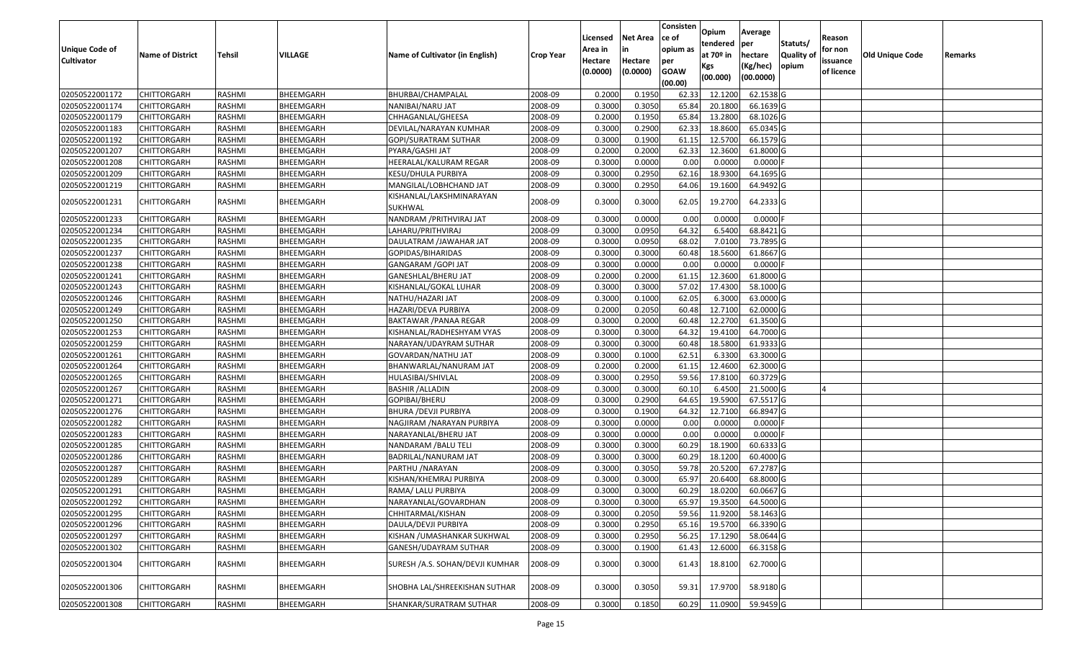| <b>Unique Code of</b> | <b>Name of District</b> | Tehsil        | VILLAGE   | Name of Cultivator (in English)     | <b>Crop Year</b> | Licensed<br>Area in | <b>Net Area</b><br>in | Consisten<br>ce of<br>opium as | Opium<br>tendered<br>at 70º in | Average<br>per<br>hectare | Statuts/<br>Quality of | Reason<br>for non      | Old Unique Code | Remarks |
|-----------------------|-------------------------|---------------|-----------|-------------------------------------|------------------|---------------------|-----------------------|--------------------------------|--------------------------------|---------------------------|------------------------|------------------------|-----------------|---------|
| <b>Cultivator</b>     |                         |               |           |                                     |                  | Hectare<br>(0.0000) | Hectare<br>(0.0000)   | per<br><b>GOAW</b><br>(00.00)  | Kgs<br>(00.000)                | (Kg/hec)<br>(00.0000)     | opium                  | issuance<br>of licence |                 |         |
| 02050522001172        | <b>CHITTORGARH</b>      | RASHMI        | BHEEMGARH | BHURBAI/CHAMPALAL                   | 2008-09          | 0.2000              | 0.1950                | 62.33                          | 12.1200                        | 62.1538 G                 |                        |                        |                 |         |
| 02050522001174        | <b>CHITTORGARH</b>      | RASHMI        | BHEEMGARH | NANIBAI/NARU JAT                    | 2008-09          | 0.3000              | 0.3050                | 65.84                          | 20.1800                        | 66.1639 G                 |                        |                        |                 |         |
| 02050522001179        | <b>CHITTORGARH</b>      | RASHMI        | BHEEMGARH | CHHAGANLAL/GHEESA                   | 2008-09          | 0.2000              | 0.1950                | 65.84                          | 13.2800                        | 68.1026 G                 |                        |                        |                 |         |
| 02050522001183        | <b>CHITTORGARH</b>      | RASHMI        | BHEEMGARH | DEVILAL/NARAYAN KUMHAR              | 2008-09          | 0.3000              | 0.2900                | 62.33                          | 18.8600                        | 65.0345 G                 |                        |                        |                 |         |
| 02050522001192        | <b>CHITTORGARH</b>      | RASHMI        | BHEEMGARH | GOPI/SURATRAM SUTHAR                | 2008-09          | 0.3000              | 0.1900                | 61.15                          | 12.5700                        | 66.1579 G                 |                        |                        |                 |         |
| 02050522001207        | <b>CHITTORGARH</b>      | RASHMI        | BHEEMGARH | PYARA/GASHI JAT                     | 2008-09          | 0.2000              | 0.2000                | 62.33                          | 12.3600                        | 61.8000 G                 |                        |                        |                 |         |
| 02050522001208        | CHITTORGARH             | RASHMI        | BHEEMGARH | HEERALAL/KALURAM REGAR              | 2008-09          | 0.3000              | 0.0000                | 0.00                           | 0.0000                         | 0.0000                    |                        |                        |                 |         |
| 02050522001209        | <b>CHITTORGARH</b>      | RASHMI        | BHEEMGARH | KESU/DHULA PURBIYA                  | 2008-09          | 0.3000              | 0.2950                | 62.16                          | 18.9300                        | 64.1695 G                 |                        |                        |                 |         |
| 02050522001219        | <b>CHITTORGARH</b>      | RASHMI        | BHEEMGARH | MANGILAL/LOBHCHAND JAT              | 2008-09          | 0.3000              | 0.2950                | 64.06                          | 19.1600                        | 64.9492 G                 |                        |                        |                 |         |
| 02050522001231        | CHITTORGARH             | RASHMI        | BHEEMGARH | KISHANLAL/LAKSHMINARAYAN<br>SUKHWAL | 2008-09          | 0.3000              | 0.3000                | 62.05                          | 19.2700                        | 64.2333 G                 |                        |                        |                 |         |
| 02050522001233        | <b>CHITTORGARH</b>      | RASHMI        | BHEEMGARH | NANDRAM / PRITHVIRAJ JAT            | 2008-09          | 0.3000              | 0.0000                | 0.00                           | 0.0000                         | 0.0000                    |                        |                        |                 |         |
| 02050522001234        | <b>CHITTORGARH</b>      | RASHMI        | BHEEMGARH | LAHARU/PRITHVIRAJ                   | 2008-09          | 0.3000              | 0.0950                | 64.32                          | 6.5400                         | 68.8421 G                 |                        |                        |                 |         |
| 02050522001235        | <b>CHITTORGARH</b>      | RASHMI        | BHEEMGARH | DAULATRAM /JAWAHAR JAT              | 2008-09          | 0.3000              | 0.0950                | 68.02                          | 7.0100                         | 73.7895 G                 |                        |                        |                 |         |
| 02050522001237        | <b>CHITTORGARH</b>      | RASHMI        | BHEEMGARH | GOPIDAS/BIHARIDAS                   | 2008-09          | 0.3000              | 0.3000                | 60.48                          | 18.5600                        | 61.8667 G                 |                        |                        |                 |         |
| 02050522001238        | <b>CHITTORGARH</b>      | RASHMI        | BHEEMGARH | GANGARAM /GOPI JAT                  | 2008-09          | 0.3000              | 0.0000                | 0.00                           | 0.0000                         | 0.0000                    |                        |                        |                 |         |
| 02050522001241        | <b>CHITTORGARH</b>      | RASHMI        | BHEEMGARH | GANESHLAL/BHERU JAT                 | 2008-09          | 0.2000              | 0.2000                | 61.15                          | 12.3600                        | 61.8000 G                 |                        |                        |                 |         |
| 02050522001243        | <b>CHITTORGARH</b>      | RASHMI        | BHEEMGARH | KISHANLAL/GOKAL LUHAR               | 2008-09          | 0.3000              | 0.3000                | 57.02                          | 17.4300                        | 58.1000 G                 |                        |                        |                 |         |
| 02050522001246        | <b>CHITTORGARH</b>      | RASHMI        | BHEEMGARH | NATHU/HAZARI JAT                    | 2008-09          | 0.3000              | 0.1000                | 62.05                          | 6.3000                         | 63.0000 G                 |                        |                        |                 |         |
| 02050522001249        | <b>CHITTORGARH</b>      | RASHMI        | BHEEMGARH | HAZARI/DEVA PURBIYA                 | 2008-09          | 0.2000              | 0.2050                | 60.48                          | 12.7100                        | 62.0000 G                 |                        |                        |                 |         |
| 02050522001250        | <b>CHITTORGARH</b>      | RASHMI        | BHEEMGARH | <b>BAKTAWAR / PANAA REGAR</b>       | 2008-09          | 0.3000              | 0.2000                | 60.48                          | 12.2700                        | 61.3500 G                 |                        |                        |                 |         |
| 02050522001253        | <b>CHITTORGARH</b>      | RASHMI        | BHEEMGARH | KISHANLAL/RADHESHYAM VYAS           | 2008-09          | 0.3000              | 0.3000                | 64.32                          | 19.4100                        | 64.7000 G                 |                        |                        |                 |         |
| 02050522001259        | <b>CHITTORGARH</b>      | RASHMI        | BHEEMGARH | NARAYAN/UDAYRAM SUTHAR              | 2008-09          | 0.3000              | 0.3000                | 60.48                          | 18.5800                        | 61.9333 G                 |                        |                        |                 |         |
| 02050522001261        | CHITTORGARH             | RASHMI        | BHEEMGARH | GOVARDAN/NATHU JAT                  | 2008-09          | 0.3000              | 0.1000                | 62.51                          | 6.3300                         | 63.3000 G                 |                        |                        |                 |         |
| 02050522001264        | <b>CHITTORGARH</b>      | RASHMI        | BHEEMGARH | BHANWARLAL/NANURAM JAT              | 2008-09          | 0.2000              | 0.2000                | 61.15                          | 12.4600                        | 62.3000 G                 |                        |                        |                 |         |
| 02050522001265        | <b>CHITTORGARH</b>      | RASHMI        | BHEEMGARH | HULASIBAI/SHIVLAL                   | 2008-09          | 0.3000              | 0.2950                | 59.56                          | 17.8100                        | 60.3729 G                 |                        |                        |                 |         |
| 02050522001267        | <b>CHITTORGARH</b>      | RASHMI        | BHEEMGARH | BASHIR /ALLADIN                     | 2008-09          | 0.3000              | 0.3000                | 60.10                          | 6.4500                         | 21.5000 G                 |                        |                        |                 |         |
| 02050522001271        | <b>CHITTORGARH</b>      | RASHMI        | BHEEMGARH | GOPIBAI/BHERU                       | 2008-09          | 0.3000              | 0.2900                | 64.65                          | 19.5900                        | 67.5517 G                 |                        |                        |                 |         |
| 02050522001276        | <b>CHITTORGARH</b>      | <b>RASHMI</b> | BHEEMGARH | <b>BHURA / DEVJI PURBIYA</b>        | 2008-09          | 0.3000              | 0.1900                | 64.32                          | 12.7100                        | 66.8947 G                 |                        |                        |                 |         |
| 02050522001282        | <b>CHITTORGARH</b>      | RASHMI        | BHEEMGARH | NAGJIRAM / NARAYAN PURBIYA          | 2008-09          | 0.3000              | 0.0000                | 0.00                           | 0.0000                         | 0.0000                    |                        |                        |                 |         |
| 02050522001283        | <b>CHITTORGARH</b>      | RASHMI        | BHEEMGARH | NARAYANLAL/BHERU JAT                | 2008-09          | 0.3000              | 0.0000                | 0.00                           | 0.0000                         | 0.0000                    |                        |                        |                 |         |
| 02050522001285        | <b>CHITTORGARH</b>      | RASHMI        | BHEEMGARH | NANDARAM /BALU TELI                 | 2008-09          | 0.3000              | 0.3000                | 60.29                          | 18.1900                        | 60.6333 G                 |                        |                        |                 |         |
| 02050522001286        | <b>CHITTORGARH</b>      | RASHMI        | BHEEMGARH | BADRILAL/NANURAM JAT                | 2008-09          | 0.3000              | 0.3000                | 60.29                          | 18.1200                        | 60.4000 G                 |                        |                        |                 |         |
| 02050522001287        | <b>CHITTORGARH</b>      | RASHMI        | BHEEMGARH | PARTHU / NARAYAN                    | 2008-09          | 0.3000              | 0.3050                | 59.78                          | 20.5200                        | 67.2787 G                 |                        |                        |                 |         |
| 02050522001289        | <b>CHITTORGARH</b>      | RASHMI        | BHEEMGARH | KISHAN/KHEMRAJ PURBIYA              | 2008-09          | 0.3000              | 0.3000                | 65.97                          | 20.6400                        | 68.8000 G                 |                        |                        |                 |         |
| 02050522001291        | <b>CHITTORGARH</b>      | RASHMI        | BHEEMGARH | RAMA/ LALU PURBIYA                  | 2008-09          | 0.3000              | 0.3000                | 60.29                          | 18.0200                        | 60.0667 G                 |                        |                        |                 |         |
| 02050522001292        | <b>CHITTORGARH</b>      | RASHMI        | BHEEMGARH | NARAYANLAL/GOVARDHAN                | 2008-09          | 0.3000              | 0.3000                |                                | 65.97 19.3500                  | 64.5000 G                 |                        |                        |                 |         |
| 02050522001295        | <b>CHITTORGARH</b>      | RASHMI        | BHEEMGARH | CHHITARMAL/KISHAN                   | 2008-09          | 0.3000              | 0.2050                | 59.56                          | 11.9200                        | 58.1463 G                 |                        |                        |                 |         |
| 02050522001296        | <b>CHITTORGARH</b>      | RASHMI        | BHEEMGARH | DAULA/DEVJI PURBIYA                 | 2008-09          | 0.3000              | 0.2950                | 65.16                          | 19.5700                        | 66.3390 G                 |                        |                        |                 |         |
| 02050522001297        | <b>CHITTORGARH</b>      | RASHMI        | BHEEMGARH | KISHAN / UMASHANKAR SUKHWAL         | 2008-09          | 0.3000              | 0.2950                | 56.25                          | 17.1290                        | $\boxed{58.0644}$ G       |                        |                        |                 |         |
| 02050522001302        | <b>CHITTORGARH</b>      | RASHMI        | BHEEMGARH | GANESH/UDAYRAM SUTHAR               | 2008-09          | 0.3000              | 0.1900                | 61.43                          | 12.6000                        | 66.3158 G                 |                        |                        |                 |         |
| 02050522001304        | <b>CHITTORGARH</b>      | RASHMI        | BHEEMGARH | SURESH /A.S. SOHAN/DEVJI KUMHAR     | 2008-09          | 0.3000              | 0.3000                | 61.43                          | 18.8100                        | 62.7000 G                 |                        |                        |                 |         |
| 02050522001306        | <b>CHITTORGARH</b>      | RASHMI        | BHEEMGARH | SHOBHA LAL/SHREEKISHAN SUTHAR       | 2008-09          | 0.3000              | 0.3050                | 59.31                          | 17.9700                        | 58.9180 G                 |                        |                        |                 |         |
| 02050522001308        | <b>CHITTORGARH</b>      | RASHMI        | BHEEMGARH | SHANKAR/SURATRAM SUTHAR             | 2008-09          | 0.3000              | 0.1850                | 60.29                          | 11.0900                        | 59.9459 G                 |                        |                        |                 |         |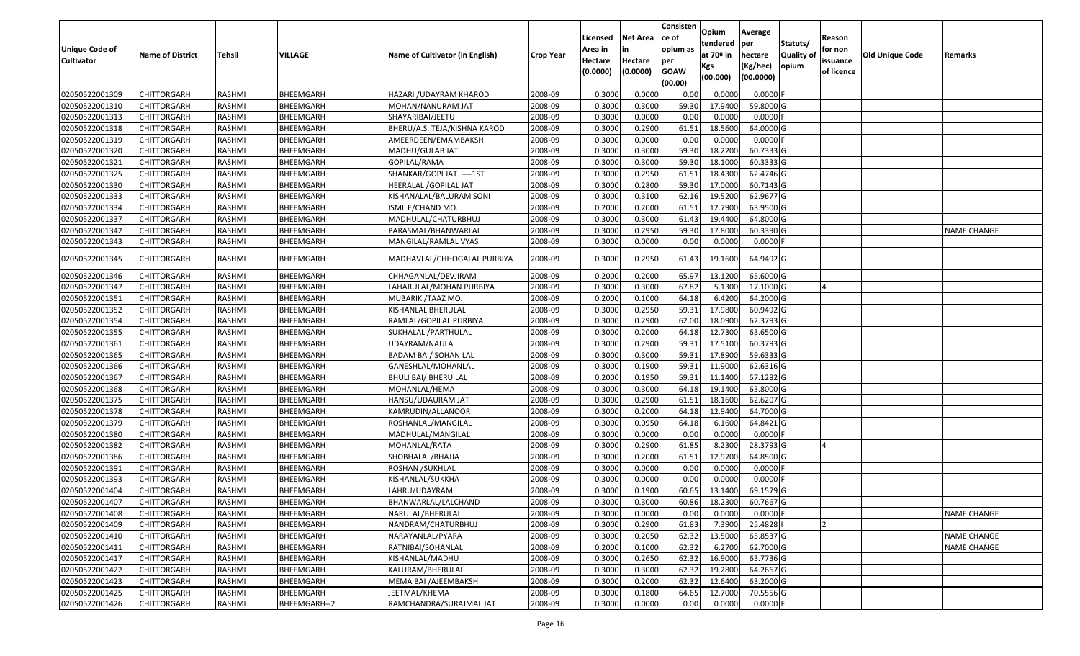|                   |                         |               |              |                                 |                  | Licensed | <b>Net Area</b> | Consisten<br>ce of | Opium<br>tendered | Average<br>per         | Statuts/         | Reason     |                 |                    |
|-------------------|-------------------------|---------------|--------------|---------------------------------|------------------|----------|-----------------|--------------------|-------------------|------------------------|------------------|------------|-----------------|--------------------|
| Unique Code of    | <b>Name of District</b> | <b>Tehsil</b> | VILLAGE      | Name of Cultivator (in English) | <b>Crop Year</b> | Area in  | in              | opium as           | at $70°$ in       | hectare                | <b>Quality o</b> | for non    | Old Unique Code | Remarks            |
| <b>Cultivator</b> |                         |               |              |                                 |                  | Hectare  | Hectare         | per                | Kgs               | (Kg/hec)               | opium            | issuance   |                 |                    |
|                   |                         |               |              |                                 |                  | (0.0000) | (0.0000)        | <b>GOAW</b>        | (00.000)          | (00.0000)              |                  | of licence |                 |                    |
| 02050522001309    | CHITTORGARH             | RASHMI        | BHEEMGARH    | HAZARI / UDAYRAM KHAROD         | 2008-09          | 0.3000   | 0.0000          | (00.00)<br>0.00    | 0.0000            | 0.0000F                |                  |            |                 |                    |
| 02050522001310    | CHITTORGARH             | RASHMI        | BHEEMGARH    | MOHAN/NANURAM JAT               | 2008-09          | 0.3000   | 0.3000          | 59.30              | 17.9400           | 59.8000 G              |                  |            |                 |                    |
| 02050522001313    | CHITTORGARH             | RASHMI        | BHEEMGARH    | SHAYARIBAI/JEETU                | 2008-09          | 0.3000   | 0.0000          | 0.00               | 0.0000            | 0.0000F                |                  |            |                 |                    |
| 02050522001318    | <b>CHITTORGARH</b>      | RASHMI        | BHEEMGARH    | BHERU/A.S. TEJA/KISHNA KAROD    | 2008-09          | 0.3000   | 0.2900          | 61.51              | 18.5600           | 64.0000G               |                  |            |                 |                    |
| 02050522001319    | CHITTORGARH             | RASHMI        | BHEEMGARH    | AMEERDEEN/EMAMBAKSH             | 2008-09          | 0.3000   | 0.0000          | 0.00               | 0.0000            | $0.0000$ F             |                  |            |                 |                    |
| 02050522001320    | CHITTORGARH             | RASHMI        | BHEEMGARH    | MADHU/GULAB JAT                 | 2008-09          | 0.3000   | 0.3000          | 59.30              | 18.2200           | $\overline{60.7333}$ G |                  |            |                 |                    |
| 02050522001321    | CHITTORGARH             | RASHMI        | BHEEMGARH    | GOPILAL/RAMA                    | 2008-09          | 0.3000   | 0.3000          | 59.30              | 18.1000           | 60.3333 G              |                  |            |                 |                    |
| 02050522001325    | CHITTORGARH             | <b>RASHMI</b> | BHEEMGARH    | SHANKAR/GOPI JAT ----1ST        | 2008-09          | 0.3000   | 0.2950          | 61.51              | 18.4300           | 62.4746 G              |                  |            |                 |                    |
| 02050522001330    | CHITTORGARH             | RASHMI        | BHEEMGARH    | HEERALAL / GOPILAL JAT          | 2008-09          | 0.3000   | 0.2800          | 59.30              | 17.0000           | 60.7143 G              |                  |            |                 |                    |
| 02050522001333    | CHITTORGARH             | RASHMI        | BHEEMGARH    | KISHANALAL/BALURAM SONI         | 2008-09          | 0.3000   | 0.3100          | 62.16              | 19.5200           | 62.9677 G              |                  |            |                 |                    |
| 02050522001334    | CHITTORGARH             | RASHMI        | BHEEMGARH    | ISMILE/CHAND MO.                | 2008-09          | 0.2000   | 0.2000          | 61.51              | 12.7900           | 63.9500 G              |                  |            |                 |                    |
| 02050522001337    | CHITTORGARH             | RASHMI        | BHEEMGARH    | MADHULAL/CHATURBHUJ             | 2008-09          | 0.3000   | 0.3000          | 61.43              | 19.4400           | 64.8000 G              |                  |            |                 |                    |
| 02050522001342    | <b>CHITTORGARH</b>      | RASHMI        | BHEEMGARH    | PARASMAL/BHANWARLAL             | 2008-09          | 0.3000   | 0.2950          | 59.30              | 17.8000           | 60.3390 G              |                  |            |                 | <b>NAME CHANGE</b> |
| 02050522001343    | CHITTORGARH             | RASHMI        | BHEEMGARH    | MANGILAL/RAMLAL VYAS            | 2008-09          | 0.3000   | 0.0000          | 0.00               | 0.0000            | $0.0000$ F             |                  |            |                 |                    |
|                   |                         |               |              |                                 |                  |          |                 |                    |                   |                        |                  |            |                 |                    |
| 02050522001345    | CHITTORGARH             | RASHMI        | BHEEMGARH    | MADHAVLAL/CHHOGALAL PURBIYA     | 2008-09          | 0.3000   | 0.2950          | 61.43              | 19.1600           | 64.9492 G              |                  |            |                 |                    |
| 02050522001346    | CHITTORGARH             | RASHMI        | BHEEMGARH    | CHHAGANLAL/DEVJIRAM             | 2008-09          | 0.2000   | 0.2000          | 65.97              | 13.1200           | 65.6000G               |                  |            |                 |                    |
| 02050522001347    | CHITTORGARH             | RASHMI        | BHEEMGARH    | LAHARULAL/MOHAN PURBIYA         | 2008-09          | 0.3000   | 0.3000          | 67.82              | 5.1300            | 17.1000 G              |                  |            |                 |                    |
| 02050522001351    | CHITTORGARH             | RASHMI        | BHEEMGARH    | MUBARIK / TAAZ MO.              | 2008-09          | 0.2000   | 0.1000          | 64.18              | 6.4200            | 64.2000 G              |                  |            |                 |                    |
| 02050522001352    | CHITTORGARH             | RASHMI        | BHEEMGARH    | KISHANLAL BHERULAL              | 2008-09          | 0.3000   | 0.2950          | 59.31              | 17.9800           | 60.9492 G              |                  |            |                 |                    |
| 02050522001354    | CHITTORGARH             | RASHMI        | BHEEMGARH    | RAMLAL/GOPILAL PURBIYA          | 2008-09          | 0.3000   | 0.2900          | 62.00              | 18.0900           | 62.3793 G              |                  |            |                 |                    |
| 02050522001355    | CHITTORGARH             | RASHMI        | BHEEMGARH    | SUKHALAL / PARTHULAL            | 2008-09          | 0.3000   | 0.2000          | 64.18              | 12.7300           | 63.6500 G              |                  |            |                 |                    |
| 02050522001361    | CHITTORGARH             | RASHMI        | BHEEMGARH    | UDAYRAM/NAULA                   | 2008-09          | 0.3000   | 0.2900          | 59.31              | 17.5100           | 60.3793 G              |                  |            |                 |                    |
| 02050522001365    | CHITTORGARH             | RASHMI        | BHEEMGARH    | BADAM BAI/ SOHAN LAL            | 2008-09          | 0.3000   | 0.3000          | 59.31              | 17.8900           | 59.6333 G              |                  |            |                 |                    |
| 02050522001366    | CHITTORGARH             | RASHMI        | BHEEMGARH    | GANESHLAL/MOHANLAL              | 2008-09          | 0.3000   | 0.1900          | 59.31              | 11.9000           | 62.6316 G              |                  |            |                 |                    |
| 02050522001367    | CHITTORGARH             | RASHMI        | BHEEMGARH    | <b>BHULI BAI/ BHERU LAL</b>     | 2008-09          | 0.2000   | 0.1950          | 59.3               | 11.1400           | 57.1282 G              |                  |            |                 |                    |
| 02050522001368    | CHITTORGARH             | RASHMI        | BHEEMGARH    | MOHANLAL/HEMA                   | 2008-09          | 0.3000   | 0.3000          | 64.18              | 19.1400           | 63.8000 G              |                  |            |                 |                    |
| 02050522001375    | CHITTORGARH             | RASHMI        | BHEEMGARH    | HANSU/UDAURAM JAT               | 2008-09          | 0.3000   | 0.2900          | 61.5               | 18.1600           | 62.6207 G              |                  |            |                 |                    |
| 02050522001378    | <b>CHITTORGARH</b>      | <b>RASHMI</b> | BHEEMGARH    | KAMRUDIN/ALLANOOR               | 2008-09          | 0.3000   | 0.2000          | 64.18              | 12.9400           | 64.7000 G              |                  |            |                 |                    |
| 02050522001379    | CHITTORGARH             | RASHMI        | BHEEMGARH    | ROSHANLAL/MANGILAL              | 2008-09          | 0.3000   | 0.0950          | 64.18              | 6.1600            | 64.8421G               |                  |            |                 |                    |
| 02050522001380    | CHITTORGARH             | RASHMI        | BHEEMGARH    | MADHULAL/MANGILAL               | 2008-09          | 0.3000   | 0.0000          | 0.00               | 0.0000            | $0.0000$ F             |                  |            |                 |                    |
| 02050522001382    | CHITTORGARH             | RASHMI        | BHEEMGARH    | MOHANLAL/RATA                   | 2008-09          | 0.3000   | 0.2900          | 61.85              | 8.2300            | 28.3793 G              |                  |            |                 |                    |
| 02050522001386    | <b>CHITTORGARH</b>      | RASHMI        | BHEEMGARH    | SHOBHALAL/BHAJJA                | 2008-09          | 0.3000   | 0.2000          | 61.51              | 12.9700           | 64.8500 G              |                  |            |                 |                    |
| 02050522001391    | <b>CHITTORGARH</b>      | RASHMI        | BHEEMGARH    | ROSHAN / SUKHLAL                | 2008-09          | 0.3000   | 0.0000          | 0.00               | 0.0000            | $0.0000$ F             |                  |            |                 |                    |
| 02050522001393    | CHITTORGARH             | RASHMI        | BHEEMGARH    | KISHANLAL/SUKKHA                | 2008-09          | 0.300    | 0.0000          | 0.00               | 0.0000            | $0.0000$ F             |                  |            |                 |                    |
| 02050522001404    | CHITTORGARH             | RASHMI        | BHEEMGARH    | LAHRU/UDAYRAM                   | 2008-09          | 0.3000   | 0.1900          | 60.65              | 13.1400           | 69.1579 G              |                  |            |                 |                    |
| 02050522001407    | <b>CHITTORGARH</b>      | RASHMI        | BHEEMGARH    | BHANWARLAL/LALCHAND             | 2008-09          | 0.3000   | 0.3000          | 60.86              | 18.2300           | 60.7667 G              |                  |            |                 |                    |
| 02050522001408    | <b>CHITTORGARH</b>      | RASHMI        | BHEEMGARH    | NARULAL/BHERULAL                | 2008-09          | 0.3000   | 0.0000          | 0.00               | 0.0000            | $0.0000$ F             |                  |            |                 | <b>NAME CHANGE</b> |
| 02050522001409    | <b>CHITTORGARH</b>      | RASHMI        | BHEEMGARH    | NANDRAM/CHATURBHUJ              | 2008-09          | 0.3000   | 0.2900          | 61.83              | 7.3900            | 25.4828                |                  |            |                 |                    |
| 02050522001410    | <b>CHITTORGARH</b>      | RASHMI        | BHEEMGARH    | NARAYANLAL/PYARA                | 2008-09          | 0.3000   | 0.2050          | 62.32              | 13.5000           | 65.8537 G              |                  |            |                 | <b>NAME CHANGE</b> |
| 02050522001411    | CHITTORGARH             | RASHMI        | BHEEMGARH    | RATNIBAI/SOHANLAL               | 2008-09          | 0.2000   | 0.1000          | 62.32              | 6.2700            | 62.7000 G              |                  |            |                 | <b>NAME CHANGE</b> |
| 02050522001417    | <b>CHITTORGARH</b>      | RASHMI        | BHEEMGARH    | KISHANLAL/MADHU                 | 2008-09          | 0.3000   | 0.2650          | 62.32              | 16.9000           | 63.7736 G              |                  |            |                 |                    |
| 02050522001422    | <b>CHITTORGARH</b>      | RASHMI        | BHEEMGARH    | KALURAM/BHERULAL                | 2008-09          | 0.3000   | 0.3000          | 62.32              | 19.2800           | 64.2667 G              |                  |            |                 |                    |
| 02050522001423    | CHITTORGARH             | RASHMI        | BHEEMGARH    | MEMA BAI /AJEEMBAKSH            | 2008-09          | 0.3000   | 0.2000          | 62.32              | 12.6400           | 63.2000 G              |                  |            |                 |                    |
| 02050522001425    | CHITTORGARH             | RASHMI        | BHEEMGARH    | JEETMAL/KHEMA                   | 2008-09          | 0.3000   | 0.1800          | 64.65              | 12.7000           | 70.5556 G              |                  |            |                 |                    |
| 02050522001426    | <b>CHITTORGARH</b>      | RASHMI        | BHEEMGARH--2 | RAMCHANDRA/SURAJMAL JAT         | 2008-09          | 0.3000   | 0.0000          | 0.00               | 0.0000            | $0.0000$ F             |                  |            |                 |                    |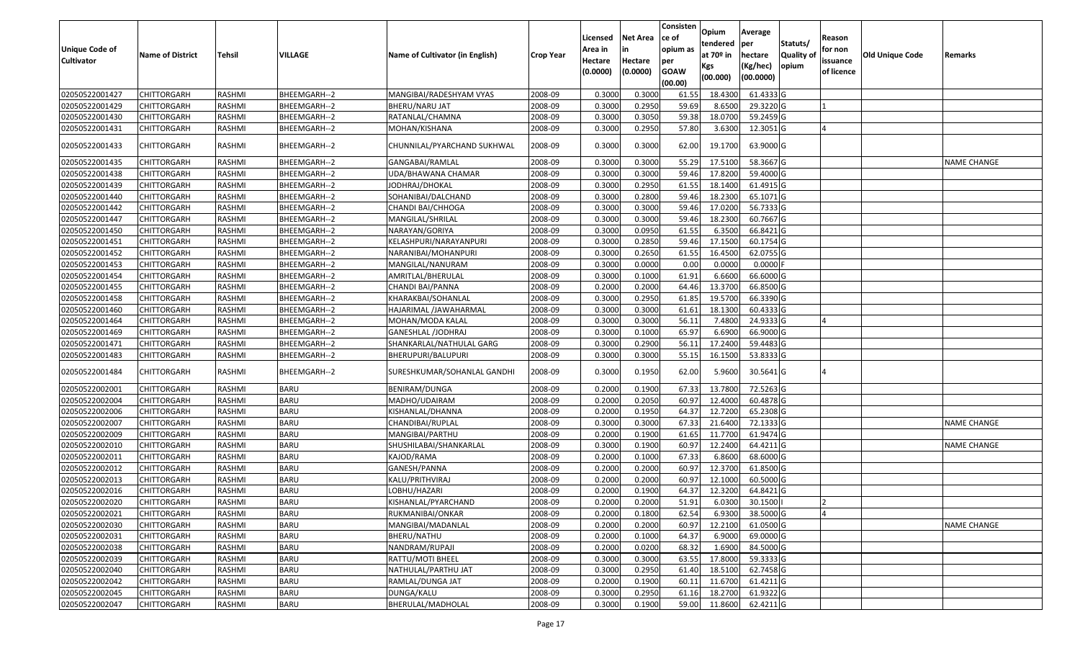| <b>Unique Code of</b><br><b>Cultivator</b> | <b>Name of District</b> | Tehsil        | VILLAGE      | Name of Cultivator (in English) | <b>Crop Year</b> | Licensed<br>Area in<br>Hectare<br>(0.0000) | Net Area<br>in<br>Hectare<br>(0.0000) | Consisten<br>ce of<br>opium as<br>per<br><b>GOAW</b><br>(00.00) | Opium<br>tendered<br>at 70º in<br>Kgs<br>(00.000) | Average<br> per<br>hectare<br>(Kg/hec)<br>(00.0000) | Statuts/<br><b>Quality of</b><br>opium | Reason<br>for non<br>issuance<br>of licence | <b>Old Unique Code</b> | Remarks            |
|--------------------------------------------|-------------------------|---------------|--------------|---------------------------------|------------------|--------------------------------------------|---------------------------------------|-----------------------------------------------------------------|---------------------------------------------------|-----------------------------------------------------|----------------------------------------|---------------------------------------------|------------------------|--------------------|
| 02050522001427                             | <b>CHITTORGARH</b>      | RASHMI        | BHEEMGARH--2 | MANGIBAI/RADESHYAM VYAS         | 2008-09          | 0.3000                                     | 0.3000                                | 61.55                                                           | 18.4300                                           | 61.4333 G                                           |                                        |                                             |                        |                    |
| 02050522001429                             | CHITTORGARH             | RASHMI        | BHEEMGARH--2 | BHERU/NARU JAT                  | 2008-09          | 0.3000                                     | 0.2950                                | 59.69                                                           | 8.6500                                            | 29.3220 G                                           |                                        |                                             |                        |                    |
| 02050522001430                             | CHITTORGARH             | RASHMI        | BHEEMGARH--2 | RATANLAL/CHAMNA                 | 2008-09          | 0.3000                                     | 0.3050                                | 59.38                                                           | 18.0700                                           | 59.2459 G                                           |                                        |                                             |                        |                    |
| 02050522001431                             | CHITTORGARH             | RASHMI        | BHEEMGARH--2 | MOHAN/KISHANA                   | 2008-09          | 0.3000                                     | 0.2950                                | 57.80                                                           | 3.6300                                            | 12.3051G                                            |                                        |                                             |                        |                    |
| 02050522001433                             | CHITTORGARH             | RASHMI        | BHEEMGARH--2 | CHUNNILAL/PYARCHAND SUKHWAL     | 2008-09          | 0.3000                                     | 0.3000                                | 62.00                                                           | 19.1700                                           | 63.9000 G                                           |                                        |                                             |                        |                    |
| 02050522001435                             | CHITTORGARH             | RASHMI        | BHEEMGARH--2 | GANGABAI/RAMLAL                 | 2008-09          | 0.3000                                     | 0.3000                                | 55.29                                                           | 17.5100                                           | 58.3667 G                                           |                                        |                                             |                        | <b>NAME CHANGE</b> |
| 02050522001438                             | <b>CHITTORGARH</b>      | RASHMI        | BHEEMGARH--2 | UDA/BHAWANA CHAMAR              | 2008-09          | 0.3000                                     | 0.3000                                | 59.46                                                           | 17.8200                                           | 59.4000 G                                           |                                        |                                             |                        |                    |
| 02050522001439                             | CHITTORGARH             | RASHMI        | BHEEMGARH--2 | JODHRAJ/DHOKAL                  | 2008-09          | 0.3000                                     | 0.2950                                | 61.55                                                           | 18.1400                                           | 61.4915 G                                           |                                        |                                             |                        |                    |
| 02050522001440                             | CHITTORGARH             | RASHMI        | BHEEMGARH--2 | SOHANIBAI/DALCHAND              | 2008-09          | 0.3000                                     | 0.2800                                | 59.46                                                           | 18.2300                                           | 65.1071 G                                           |                                        |                                             |                        |                    |
| 02050522001442                             | CHITTORGARH             | RASHMI        | BHEEMGARH--2 | CHANDI BAI/CHHOGA               | 2008-09          | 0.3000                                     | 0.3000                                | 59.46                                                           | 17.0200                                           | 56.7333 G                                           |                                        |                                             |                        |                    |
| 02050522001447                             | CHITTORGARH             | RASHMI        | BHEEMGARH--2 | MANGILAL/SHRILAL                | 2008-09          | 0.3000                                     | 0.3000                                | 59.46                                                           | 18.2300                                           | 60.7667 G                                           |                                        |                                             |                        |                    |
| 02050522001450                             | CHITTORGARH             | RASHMI        | BHEEMGARH--2 | NARAYAN/GORIYA                  | 2008-09          | 0.3000                                     | 0.0950                                | 61.55                                                           | 6.3500                                            | 66.8421 G                                           |                                        |                                             |                        |                    |
| 02050522001451                             | CHITTORGARH             | RASHMI        | BHEEMGARH--2 | KELASHPURI/NARAYANPURI          | 2008-09          | 0.3000                                     | 0.2850                                | 59.46                                                           | 17.1500                                           | 60.1754 G                                           |                                        |                                             |                        |                    |
| 02050522001452                             | CHITTORGARH             | RASHMI        | BHEEMGARH--2 | NARANIBAI/MOHANPURI             | 2008-09          | 0.3000                                     | 0.2650                                | 61.55                                                           | 16.4500                                           | 62.0755 G                                           |                                        |                                             |                        |                    |
| 02050522001453                             | CHITTORGARH             | RASHMI        | BHEEMGARH--2 | MANGILAL/NANURAM                | 2008-09          | 0.3000                                     | 0.0000                                | 0.00                                                            | 0.0000                                            | $0.0000$ F                                          |                                        |                                             |                        |                    |
| 02050522001454                             | CHITTORGARH             | RASHMI        | BHEEMGARH--2 | AMRITLAL/BHERULAL               | 2008-09          | 0.3000                                     | 0.1000                                | 61.91                                                           | 6.6600                                            | 66.6000 G                                           |                                        |                                             |                        |                    |
| 02050522001455                             | CHITTORGARH             | RASHMI        | BHEEMGARH--2 | CHANDI BAI/PANNA                | 2008-09          | 0.2000                                     | 0.2000                                | 64.46                                                           | 13.3700                                           | 66.8500 G                                           |                                        |                                             |                        |                    |
| 02050522001458                             | CHITTORGARH             | RASHMI        | BHEEMGARH--2 | KHARAKBAI/SOHANLAL              | 2008-09          | 0.3000                                     | 0.2950                                | 61.85                                                           | 19.5700                                           | 66.3390 G                                           |                                        |                                             |                        |                    |
| 02050522001460                             | CHITTORGARH             | RASHMI        | BHEEMGARH--2 | HAJARIMAL /JAWAHARMAL           | 2008-09          | 0.3000                                     | 0.3000                                | 61.61                                                           | 18.1300                                           | 60.4333 G                                           |                                        |                                             |                        |                    |
| 02050522001464                             | <b>CHITTORGARH</b>      | RASHMI        | BHEEMGARH--2 | MOHAN/MODA KALAL                | 2008-09          | 0.3000                                     | 0.3000                                | 56.11                                                           | 7.4800                                            | 24.9333 G                                           |                                        |                                             |                        |                    |
| 02050522001469                             | CHITTORGARH             | <b>RASHMI</b> | BHEEMGARH--2 | <b>GANESHLAL /JODHRAJ</b>       | 2008-09          | 0.3000                                     | 0.1000                                | 65.97                                                           | 6.6900                                            | 66.9000 G                                           |                                        |                                             |                        |                    |
| 02050522001471                             | <b>CHITTORGARH</b>      | RASHMI        | BHEEMGARH--2 | SHANKARLAL/NATHULAL GARG        | 2008-09          | 0.3000                                     | 0.2900                                | 56.11                                                           | 17.2400                                           | 59.4483 G                                           |                                        |                                             |                        |                    |
| 02050522001483                             | CHITTORGARH             | RASHMI        | BHEEMGARH--2 | BHERUPURI/BALUPURI              | 2008-09          | 0.3000                                     | 0.3000                                | 55.15                                                           | 16.1500                                           | 53.8333 G                                           |                                        |                                             |                        |                    |
| 02050522001484                             | CHITTORGARH             | RASHMI        | BHEEMGARH--2 | SURESHKUMAR/SOHANLAL GANDHI     | 2008-09          | 0.3000                                     | 0.1950                                | 62.00                                                           | 5.9600                                            | 30.5641 G                                           |                                        |                                             |                        |                    |
| 02050522002001                             | <b>CHITTORGARH</b>      | RASHMI        | <b>BARU</b>  | BENIRAM/DUNGA                   | 2008-09          | 0.2000                                     | 0.1900                                | 67.33                                                           | 13.7800                                           | 72.5263 G                                           |                                        |                                             |                        |                    |
| 02050522002004                             | CHITTORGARH             | RASHMI        | <b>BARU</b>  | MADHO/UDAIRAM                   | 2008-09          | 0.2000                                     | 0.2050                                | 60.97                                                           | 12.4000                                           | 60.4878 G                                           |                                        |                                             |                        |                    |
| 02050522002006                             | <b>CHITTORGARH</b>      | RASHMI        | <b>BARU</b>  | KISHANLAL/DHANNA                | 2008-09          | 0.2000                                     | 0.1950                                | 64.37                                                           | 12.7200                                           | 65.2308 G                                           |                                        |                                             |                        |                    |
| 02050522002007                             | <b>CHITTORGARH</b>      | RASHMI        | <b>BARU</b>  | CHANDIBAI/RUPLAL                | 2008-09          | 0.3000                                     | 0.3000                                | 67.33                                                           | 21.6400                                           | 72.1333 G                                           |                                        |                                             |                        | <b>NAME CHANGE</b> |
| 02050522002009                             | CHITTORGARH             | RASHMI        | <b>BARU</b>  | MANGIBAI/PARTHU                 | 2008-09          | 0.2000                                     | 0.1900                                | 61.65                                                           | 11.7700                                           | 61.9474 G                                           |                                        |                                             |                        |                    |
| 02050522002010                             | CHITTORGARH             | RASHMI        | <b>BARU</b>  | SHUSHILABAI/SHANKARLAL          | 2008-09          | 0.3000                                     | 0.1900                                | 60.97                                                           | 12.2400                                           | 64.4211 G                                           |                                        |                                             |                        | <b>NAME CHANGE</b> |
| 02050522002011                             | CHITTORGARH             | RASHMI        | <b>BARU</b>  | KAJOD/RAMA                      | 2008-09          | 0.2000                                     | 0.1000                                | 67.33                                                           | 6.8600                                            | 68.6000 G                                           |                                        |                                             |                        |                    |
| 02050522002012                             | CHITTORGARH             | RASHMI        | <b>BARU</b>  | GANESH/PANNA                    | 2008-09          | 0.2000                                     | 0.2000                                | 60.97                                                           | 12.3700                                           | 61.8500 G                                           |                                        |                                             |                        |                    |
| 02050522002013                             | CHITTORGARH             | RASHMI        | <b>BARU</b>  | KALU/PRITHVIRAJ                 | 2008-09          | 0.2000                                     | 0.2000                                | 60.97                                                           | 12.1000                                           | 60.5000 G                                           |                                        |                                             |                        |                    |
| 02050522002016                             | CHITTORGARH             | RASHMI        | <b>BARU</b>  | LOBHU/HAZARI                    | 2008-09          | 0.2000                                     | 0.1900                                | 64.37                                                           | 12.3200                                           | 64.8421 G                                           |                                        |                                             |                        |                    |
| 02050522002020                             | <b>CHITTORGARH</b>      | <b>RASHMI</b> | <b>BARU</b>  | KISHANLAL/PYARCHAND             | 2008-09          | 0.2000                                     | 0.2000                                | 51.91                                                           |                                                   | 6.0300 30.1500                                      |                                        | $\mathsf{Z}$                                |                        |                    |
| 02050522002021                             | <b>CHITTORGARH</b>      | RASHMI        | <b>BARU</b>  | RUKMANIBAI/ONKAR                | 2008-09          | 0.2000                                     | 0.1800                                | 62.54                                                           | 6.9300                                            | 38.5000 G                                           |                                        |                                             |                        |                    |
| 02050522002030                             | <b>CHITTORGARH</b>      | RASHMI        | <b>BARU</b>  | MANGIBAI/MADANLAL               | 2008-09          | 0.2000                                     | 0.2000                                | 60.97                                                           | 12.2100                                           | 61.0500 G                                           |                                        |                                             |                        | <b>NAME CHANGE</b> |
| 02050522002031                             | <b>CHITTORGARH</b>      | RASHMI        | <b>BARU</b>  | BHERU/NATHU                     | 2008-09          | 0.2000                                     | 0.1000                                | 64.37                                                           | 6.9000                                            | 69.0000G                                            |                                        |                                             |                        |                    |
| 02050522002038                             | <b>CHITTORGARH</b>      | RASHMI        | <b>BARU</b>  | NANDRAM/RUPAJI                  | 2008-09          | 0.2000                                     | 0.0200                                | 68.32                                                           | 1.6900                                            | 84.5000 G                                           |                                        |                                             |                        |                    |
| 02050522002039                             | <b>CHITTORGARH</b>      | RASHMI        | <b>BARU</b>  | RATTU/MOTI BHEEL                | 2008-09          | 0.3000                                     | 0.3000                                | 63.55                                                           | 17.8000                                           | 59.3333 G                                           |                                        |                                             |                        |                    |
| 02050522002040                             | <b>CHITTORGARH</b>      | RASHMI        | <b>BARU</b>  | NATHULAL/PARTHU JAT             | 2008-09          | 0.3000                                     | 0.2950                                | 61.40                                                           | 18.5100                                           | 62.7458 G                                           |                                        |                                             |                        |                    |
| 02050522002042                             | <b>CHITTORGARH</b>      | RASHMI        | <b>BARU</b>  | RAMLAL/DUNGA JAT                | 2008-09          | 0.2000                                     | 0.1900                                | 60.11                                                           | 11.6700                                           | $61.4211$ G                                         |                                        |                                             |                        |                    |
| 02050522002045                             | CHITTORGARH             | RASHMI        | <b>BARU</b>  | DUNGA/KALU                      | 2008-09          | 0.3000                                     | 0.2950                                | 61.16                                                           | 18.2700                                           | 61.9322 G                                           |                                        |                                             |                        |                    |
| 02050522002047                             | <b>CHITTORGARH</b>      | RASHMI        | <b>BARU</b>  | BHERULAL/MADHOLAL               | 2008-09          | 0.3000                                     | 0.1900                                | 59.00                                                           | 11.8600                                           | 62.4211 G                                           |                                        |                                             |                        |                    |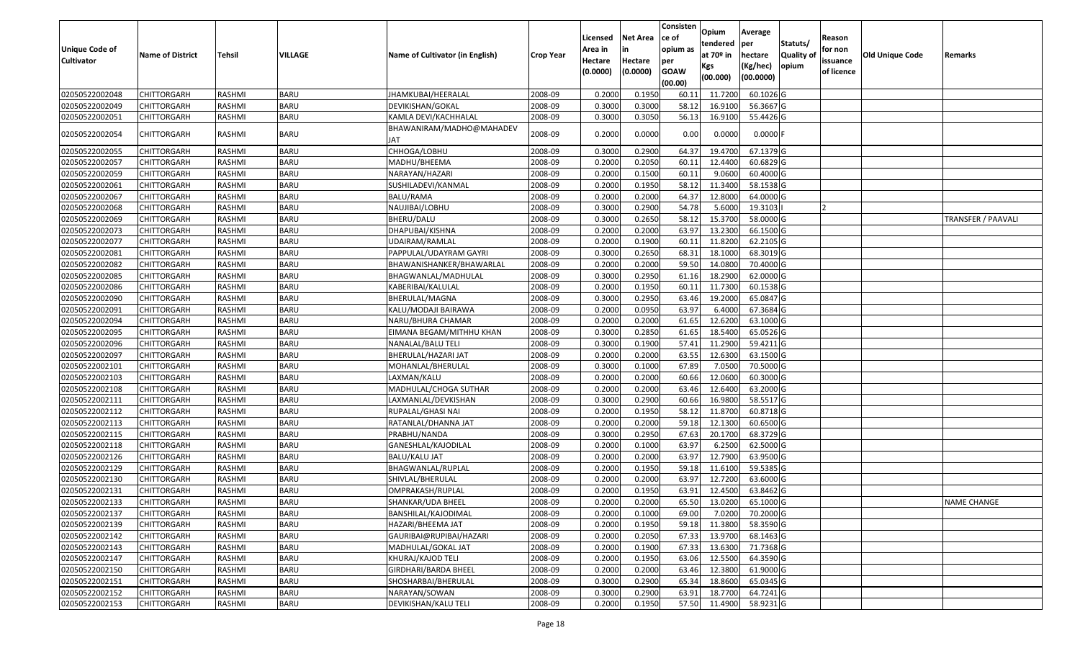|                                  |                                   |                         |                            |                                          |                    | Licensed         | <b>Net Area</b>  | Consisten<br>ce of | Opium<br>tendered  | Average<br>per         | Statuts/         | Reason     |                 |                    |
|----------------------------------|-----------------------------------|-------------------------|----------------------------|------------------------------------------|--------------------|------------------|------------------|--------------------|--------------------|------------------------|------------------|------------|-----------------|--------------------|
| Unique Code of                   | <b>Name of District</b>           | <b>Tehsil</b>           | VILLAGE                    | Name of Cultivator (in English)          | <b>Crop Year</b>   | Area in          |                  | opium as           | at $70°$ in        | hectare                | <b>Quality o</b> | for non    | Old Unique Code | Remarks            |
| <b>Cultivator</b>                |                                   |                         |                            |                                          |                    | Hectare          | Hectare          | per                | Kgs                | (Kg/hec)               | opium            | issuance   |                 |                    |
|                                  |                                   |                         |                            |                                          |                    | (0.0000)         | (0.0000)         | <b>GOAW</b>        | (00.000)           | (00.0000)              |                  | of licence |                 |                    |
|                                  |                                   |                         |                            |                                          |                    |                  |                  | (00.00)            |                    |                        |                  |            |                 |                    |
| 02050522002048<br>02050522002049 | <b>CHITTORGARH</b><br>CHITTORGARH | RASHMI<br>RASHMI        | <b>BARU</b><br><b>BARU</b> | JHAMKUBAI/HEERALAL<br>DEVIKISHAN/GOKAL   | 2008-09<br>2008-09 | 0.2000<br>0.3000 | 0.1950<br>0.3000 | 60.1<br>58.12      | 11.7200<br>16.9100 | 60.1026 G<br>56.3667 G |                  |            |                 |                    |
| 02050522002051                   | CHITTORGARH                       | RASHMI                  | <b>BARU</b>                | KAMLA DEVI/KACHHALAL                     | 2008-09            | 0.3000           | 0.3050           | 56.13              | 16.9100            | 55.4426 G              |                  |            |                 |                    |
|                                  |                                   |                         |                            | BHAWANIRAM/MADHO@MAHADEV                 |                    |                  |                  |                    |                    |                        |                  |            |                 |                    |
| 02050522002054                   | CHITTORGARH                       | RASHMI                  | <b>BARU</b>                | JAT                                      | 2008-09            | 0.2000           | 0.0000           | 0.00               | 0.0000             | $0.0000$ F             |                  |            |                 |                    |
| 02050522002055                   | CHITTORGARH                       | RASHMI                  | <b>BARU</b>                | CHHOGA/LOBHU                             | 2008-09            | 0.300            | 0.2900           | 64.37              | 19.4700            | 67.1379 G              |                  |            |                 |                    |
| 02050522002057                   | CHITTORGARH                       | RASHMI                  | <b>BARU</b>                | MADHU/BHEEMA                             | 2008-09            | 0.2000           | 0.2050           | 60.1               | 12.4400            | 60.6829 G              |                  |            |                 |                    |
| 02050522002059                   | <b>CHITTORGARH</b>                | <b>RASHMI</b>           | <b>BARU</b>                | NARAYAN/HAZARI                           | 2008-09            | 0.2000           | 0.1500           | 60.1               | 9.0600             | 60.4000 G              |                  |            |                 |                    |
| 02050522002061                   | CHITTORGARH                       | RASHMI                  | <b>BARU</b>                | SUSHILADEVI/KANMAL                       | 2008-09            | 0.2000           | 0.1950           | 58.12              | 11.3400            | 58.1538 G              |                  |            |                 |                    |
| 02050522002067                   | <b>CHITTORGARH</b>                | RASHMI                  | <b>BARU</b>                | BALU/RAMA                                | 2008-09            | 0.2000           | 0.2000           | 64.37              | 12.8000            | 64.0000 G              |                  |            |                 |                    |
| 02050522002068                   | CHITTORGARH                       | RASHMI                  | <b>BARU</b>                | NAUJIBAI/LOBHU                           | 2008-09            | 0.3000           | 0.2900           | 54.78              | 5.6000             | 19.3103                |                  |            |                 |                    |
| 02050522002069                   | CHITTORGARH                       | RASHMI                  | <b>BARU</b>                | BHERU/DALU                               | 2008-09            | 0.3000           | 0.2650           | 58.12              | 15.3700            | 58.0000G               |                  |            |                 | TRANSFER / PAAVALI |
| 02050522002073                   | <b>CHITTORGARH</b>                | RASHMI                  | <b>BARU</b>                | DHAPUBAI/KISHNA                          | 2008-09            | 0.2000           | 0.2000           | 63.97              | 13.2300            | 66.1500 G              |                  |            |                 |                    |
| 02050522002077                   | CHITTORGARH                       | RASHMI                  | <b>BARU</b>                | UDAIRAM/RAMLAL                           | 2008-09            | 0.2000           | 0.1900           | 60.1               | 11.8200            | 62.2105 G              |                  |            |                 |                    |
| 02050522002081                   | CHITTORGARH                       | RASHMI                  | <b>BARU</b>                | PAPPULAL/UDAYRAM GAYRI                   | 2008-09            | 0.3000           | 0.2650           | 68.3               | 18.1000            | 68.3019G               |                  |            |                 |                    |
| 02050522002082                   | CHITTORGARH                       | RASHMI                  | <b>BARU</b>                | BHAWANISHANKER/BHAWARLAL                 | 2008-09            | 0.2000           | 0.2000           | 59.5               | 14.0800            | 70.4000 G              |                  |            |                 |                    |
| 02050522002085                   | CHITTORGARH                       | RASHMI                  | <b>BARU</b>                | BHAGWANLAL/MADHULAL                      | 2008-09            | 0.3000           | 0.2950           | 61.16              | 18.2900            | 62.0000G               |                  |            |                 |                    |
| 02050522002086                   | CHITTORGARH                       | RASHMI                  | <b>BARU</b>                | KABERIBAI/KALULAL                        | 2008-09            | 0.2000           | 0.1950           | 60.1               | 11.7300            | 60.1538 G              |                  |            |                 |                    |
| 02050522002090                   | CHITTORGARH                       | RASHMI                  | <b>BARU</b>                | BHERULAL/MAGNA                           | 2008-09            | 0.3000           | 0.2950           | 63.46              | 19.2000            | 65.0847 G              |                  |            |                 |                    |
| 02050522002091                   | CHITTORGARH                       | RASHMI                  | <b>BARU</b>                | KALU/MODAJI BAIRAWA                      | 2008-09            | 0.2000           | 0.0950           | 63.97              | 6.4000             | 67.3684 G              |                  |            |                 |                    |
| 02050522002094                   | CHITTORGARH                       | RASHMI                  | <b>BARU</b>                | NARU/BHURA CHAMAR                        | 2008-09            | 0.2000           | 0.2000           | 61.65              | 12.6200            | 63.1000G               |                  |            |                 |                    |
| 02050522002095                   | CHITTORGARH                       | RASHMI                  | <b>BARU</b>                | EIMANA BEGAM/MITHHU KHAN                 | 2008-09            | 0.3000           | 0.2850           | 61.65              | 18.5400            | 65.0526 G              |                  |            |                 |                    |
| 02050522002096                   | CHITTORGARH                       | RASHMI                  | <b>BARU</b>                | NANALAL/BALU TELI                        | 2008-09            | 0.3000           | 0.1900           | 57.43              | 11.2900            | 59.4211G               |                  |            |                 |                    |
| 02050522002097                   | CHITTORGARH                       | RASHMI                  | <b>BARU</b>                | BHERULAL/HAZARI JAT                      | 2008-09            | 0.2000           | 0.2000           | 63.55              | 12.6300            | 63.1500 G              |                  |            |                 |                    |
| 02050522002101                   | <b>CHITTORGARH</b>                | RASHMI                  | <b>BARU</b>                | MOHANLAL/BHERULAL                        | 2008-09            | 0.3000           | 0.1000           | 67.89              | 7.0500             | 70.5000G               |                  |            |                 |                    |
| 02050522002103<br>02050522002108 | CHITTORGARH                       | <b>RASHMI</b>           | <b>BARU</b>                | LAXMAN/KALU                              | 2008-09            | 0.2000           | 0.2000           | 60.66              | 12.0600            | 60.3000 G              |                  |            |                 |                    |
|                                  | CHITTORGARH                       | RASHMI                  | <b>BARU</b><br><b>BARU</b> | MADHULAL/CHOGA SUTHAR                    | 2008-09            | 0.2000<br>0.3000 | 0.2000<br>0.2900 | 63.46<br>60.66     | 12.6400<br>16.9800 | 63.2000 G<br>58.5517 G |                  |            |                 |                    |
| 02050522002111<br>02050522002112 | CHITTORGARH<br>CHITTORGARH        | RASHMI<br><b>RASHMI</b> | <b>BARU</b>                | LAXMANLAL/DEVKISHAN<br>RUPALAL/GHASI NAI | 2008-09<br>2008-09 | 0.2000           | 0.1950           | 58.12              | 11.8700            | 60.8718 G              |                  |            |                 |                    |
| 02050522002113                   | CHITTORGARH                       | RASHMI                  | <b>BARU</b>                | RATANLAL/DHANNA JAT                      | 2008-09            | 0.2000           | 0.2000           | 59.18              | 12.1300            | 60.6500 G              |                  |            |                 |                    |
| 02050522002115                   | CHITTORGARH                       | RASHMI                  | <b>BARU</b>                | PRABHU/NANDA                             | 2008-09            | 0.3000           | 0.2950           | 67.63              | 20.1700            | 68.3729 G              |                  |            |                 |                    |
| 02050522002118                   | CHITTORGARH                       | RASHMI                  | <b>BARU</b>                | GANESHLAL/KAJODILAL                      | 2008-09            | 0.2000           | 0.1000           | 63.97              | 6.2500             | 62.5000G               |                  |            |                 |                    |
| 02050522002126                   | <b>CHITTORGARH</b>                | RASHMI                  | <b>BARU</b>                | <b>BALU/KALU JAT</b>                     | 2008-09            | 0.2000           | 0.2000           | 63.97              | 12.7900            | 63.9500 G              |                  |            |                 |                    |
| 02050522002129                   | <b>CHITTORGARH</b>                | RASHMI                  | <b>BARU</b>                | BHAGWANLAL/RUPLAL                        | 2008-09            | 0.2000           | 0.1950           | 59.18              | 11.6100            | 59.5385 G              |                  |            |                 |                    |
| 02050522002130                   | CHITTORGARH                       | RASHMI                  | <b>BARU</b>                | SHIVLAL/BHERULAL                         | 2008-09            | 0.2000           | 0.2000           | 63.97              | 12.7200            | 63.6000 G              |                  |            |                 |                    |
| 02050522002131                   | CHITTORGARH                       | RASHMI                  | <b>BARU</b>                | OMPRAKASH/RUPLAL                         | 2008-09            | 0.2000           | 0.1950           | 63.91              | 12.4500            | 63.8462 G              |                  |            |                 |                    |
| 02050522002133                   | <b>CHITTORGARH</b>                | RASHMI                  | <b>BARU</b>                | SHANKAR/UDA BHEEL                        | 2008-09            | 0.2000           | 0.2000           | 65.50              | 13.0200            | 65.1000 G              |                  |            |                 | NAME CHANGE        |
| 02050522002137                   | <b>CHITTORGARH</b>                | RASHMI                  | <b>BARU</b>                | BANSHILAL/KAJODIMAL                      | 2008-09            | 0.2000           | 0.1000           | 69.00              | 7.0200             | 70.2000 G              |                  |            |                 |                    |
| 02050522002139                   | <b>CHITTORGARH</b>                | RASHMI                  | <b>BARU</b>                | HAZARI/BHEEMA JAT                        | 2008-09            | 0.2000           | 0.1950           | 59.18              | 11.3800            | 58.3590 G              |                  |            |                 |                    |
| 02050522002142                   | <b>CHITTORGARH</b>                | RASHMI                  | <b>BARU</b>                | GAURIBAI@RUPIBAI/HAZARI                  | 2008-09            | 0.2000           | 0.2050           | 67.33              | 13.9700            | 68.1463 G              |                  |            |                 |                    |
| 02050522002143                   | <b>CHITTORGARH</b>                | RASHMI                  | <b>BARU</b>                | MADHULAL/GOKAL JAT                       | 2008-09            | 0.2000           | 0.1900           | 67.33              | 13.6300            | 71.7368 G              |                  |            |                 |                    |
| 02050522002147                   | <b>CHITTORGARH</b>                | RASHMI                  | <b>BARU</b>                | KHURAJ/KAJOD TELI                        | 2008-09            | 0.2000           | 0.1950           | 63.06              | 12.5500            | 64.3590 G              |                  |            |                 |                    |
| 02050522002150                   | <b>CHITTORGARH</b>                | RASHMI                  | <b>BARU</b>                | GIRDHARI/BARDA BHEEL                     | 2008-09            | 0.2000           | 0.2000           | 63.46              | 12.3800            | 61.9000 G              |                  |            |                 |                    |
| 02050522002151                   | <b>CHITTORGARH</b>                | RASHMI                  | <b>BARU</b>                | SHOSHARBAI/BHERULAL                      | 2008-09            | 0.3000           | 0.2900           | 65.34              | 18.8600            | 65.0345 G              |                  |            |                 |                    |
| 02050522002152                   | <b>CHITTORGARH</b>                | RASHMI                  | <b>BARU</b>                | NARAYAN/SOWAN                            | 2008-09            | 0.3000           | 0.2900           | 63.91              | 18.7700            | $64.7241$ G            |                  |            |                 |                    |
| 02050522002153                   | <b>CHITTORGARH</b>                | RASHMI                  | <b>BARU</b>                | DEVIKISHAN/KALU TELI                     | 2008-09            | 0.2000           | 0.1950           | 57.50              | 11.4900            | 58.9231 G              |                  |            |                 |                    |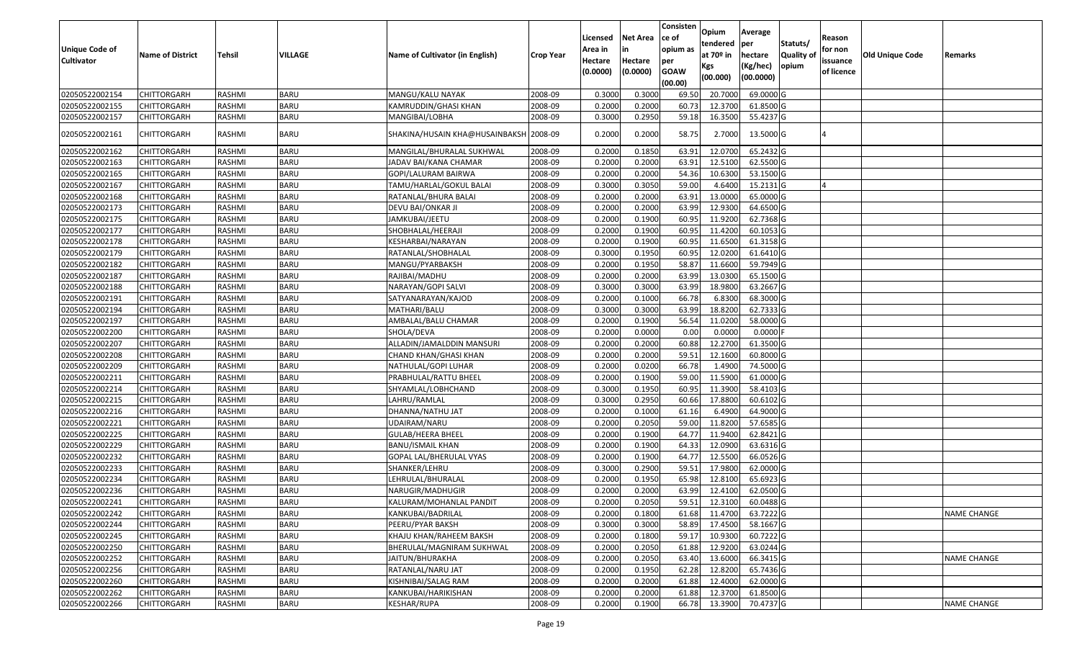|                   |                            |                  |                            |                                        |                    | Licensed | <b>Net Area</b> | Consisten<br>ce of | Opium<br>tendered | Average<br>per | Statuts/         | Reason     |                 |                    |
|-------------------|----------------------------|------------------|----------------------------|----------------------------------------|--------------------|----------|-----------------|--------------------|-------------------|----------------|------------------|------------|-----------------|--------------------|
| Unique Code of    | <b>Name of District</b>    | <b>Tehsil</b>    | VILLAGE                    | Name of Cultivator (in English)        | <b>Crop Year</b>   | Area in  |                 | opium as           | at $70°$ in       | hectare        | <b>Quality o</b> | for non    | Old Unique Code | Remarks            |
| <b>Cultivator</b> |                            |                  |                            |                                        |                    | Hectare  | Hectare         | per                | Kgs               | (Kg/hec)       | opium            | issuance   |                 |                    |
|                   |                            |                  |                            |                                        |                    | (0.0000) | (0.0000)        | <b>GOAW</b>        | (00.000)          | (00.0000)      |                  | of licence |                 |                    |
| 02050522002154    |                            |                  |                            |                                        |                    | 0.3000   | 0.3000          | (00.00)            | 20.7000           | 69.0000G       |                  |            |                 |                    |
| 02050522002155    | CHITTORGARH<br>CHITTORGARH | RASHMI           | <b>BARU</b><br><b>BARU</b> | MANGU/KALU NAYAK                       | 2008-09            | 0.2000   | 0.2000          | 69.50              | 12.3700           | 61.8500 G      |                  |            |                 |                    |
| 02050522002157    | CHITTORGARH                | RASHMI<br>RASHMI | BARU                       | KAMRUDDIN/GHASI KHAN<br>MANGIBAI/LOBHA | 2008-09<br>2008-09 | 0.3000   | 0.2950          | 60.73<br>59.18     | 16.3500           | 55.4237 G      |                  |            |                 |                    |
|                   |                            |                  |                            |                                        |                    |          |                 |                    |                   |                |                  |            |                 |                    |
| 02050522002161    | CHITTORGARH                | RASHMI           | <b>BARU</b>                | SHAKINA/HUSAIN KHA@HUSAINBAKSH 2008-09 |                    | 0.2000   | 0.2000          | 58.75              | 2.7000            | 13.5000 G      |                  |            |                 |                    |
| 02050522002162    | CHITTORGARH                | RASHMI           | <b>BARU</b>                | MANGILAL/BHURALAL SUKHWAL              | 2008-09            | 0.2000   | 0.1850          | 63.91              | 12.0700           | 65.2432 G      |                  |            |                 |                    |
| 02050522002163    | CHITTORGARH                | RASHMI           | <b>BARU</b>                | JADAV BAI/KANA CHAMAR                  | 2008-09            | 0.2000   | 0.2000          | 63.91              | 12.5100           | 62.5500 G      |                  |            |                 |                    |
| 02050522002165    | <b>CHITTORGARH</b>         | <b>RASHMI</b>    | <b>BARU</b>                | GOPI/LALURAM BAIRWA                    | 2008-09            | 0.2000   | 0.2000          | 54.36              | 10.6300           | 53.1500 G      |                  |            |                 |                    |
| 02050522002167    | CHITTORGARH                | RASHMI           | <b>BARU</b>                | TAMU/HARLAL/GOKUL BALAI                | 2008-09            | 0.3000   | 0.3050          | 59.00              | 4.6400            | 15.2131 G      |                  |            |                 |                    |
| 02050522002168    | CHITTORGARH                | RASHMI           | <b>BARU</b>                | RATANLAL/BHURA BALAI                   | 2008-09            | 0.2000   | 0.2000          | 63.91              | 13.0000           | 65.0000 G      |                  |            |                 |                    |
| 02050522002173    | CHITTORGARH                | RASHMI           | <b>BARU</b>                | DEVU BAI/ONKAR JI                      | 2008-09            | 0.2000   | 0.2000          | 63.99              | 12.9300           | 64.6500 G      |                  |            |                 |                    |
| 02050522002175    | CHITTORGARH                | RASHMI           | <b>BARU</b>                | JAMKUBAI/JEETU                         | 2008-09            | 0.2000   | 0.1900          | 60.95              | 11.9200           | 62.7368 G      |                  |            |                 |                    |
| 02050522002177    | <b>CHITTORGARH</b>         | RASHMI           | <b>BARU</b>                | SHOBHALAL/HEERAJI                      | 2008-09            | 0.2000   | 0.1900          | 60.95              | 11.4200           | 60.1053 G      |                  |            |                 |                    |
| 02050522002178    | <b>CHITTORGARH</b>         | RASHMI           | <b>BARU</b>                | KESHARBAI/NARAYAN                      | 2008-09            | 0.2000   | 0.1900          | 60.95              | 11.6500           | 61.3158 G      |                  |            |                 |                    |
| 02050522002179    | CHITTORGARH                | RASHMI           | <b>BARU</b>                | RATANLAL/SHOBHALAL                     | 2008-09            | 0.3000   | 0.1950          | 60.95              | 12.0200           | 61.6410 G      |                  |            |                 |                    |
| 02050522002182    | CHITTORGARH                | RASHMI           | <b>BARU</b>                | MANGU/PYARBAKSH                        | 2008-09            | 0.2000   | 0.1950          | 58.8               | 11.6600           | 59.7949 G      |                  |            |                 |                    |
| 02050522002187    | CHITTORGARH                | RASHMI           | <b>BARU</b>                | RAJIBAI/MADHU                          | 2008-09            | 0.2000   | 0.2000          | 63.99              | 13.0300           | 65.1500G       |                  |            |                 |                    |
| 02050522002188    | CHITTORGARH                | RASHMI           | <b>BARU</b>                | NARAYAN/GOPI SALVI                     | 2008-09            | 0.3000   | 0.3000          | 63.99              | 18.9800           | 63.2667 G      |                  |            |                 |                    |
| 02050522002191    | CHITTORGARH                | RASHMI           | <b>BARU</b>                | SATYANARAYAN/KAJOD                     | 2008-09            | 0.2000   | 0.1000          | 66.78              | 6.8300            | 68.3000 G      |                  |            |                 |                    |
| 02050522002194    | CHITTORGARH                | RASHMI           | <b>BARU</b>                | MATHARI/BALU                           | 2008-09            | 0.3000   | 0.3000          | 63.99              | 18.8200           | 62.7333 G      |                  |            |                 |                    |
| 02050522002197    | CHITTORGARH                | RASHMI           | <b>BARU</b>                | AMBALAL/BALU CHAMAR                    | 2008-09            | 0.2000   | 0.1900          | 56.54              | 11.0200           | 58.0000G       |                  |            |                 |                    |
| 02050522002200    | CHITTORGARH                | RASHMI           | <b>BARU</b>                | SHOLA/DEVA                             | 2008-09            | 0.2000   | 0.0000          | 0.00               | 0.0000            | 0.0000         |                  |            |                 |                    |
| 02050522002207    | CHITTORGARH                | RASHMI           | <b>BARU</b>                | ALLADIN/JAMALDDIN MANSURI              | 2008-09            | 0.2000   | 0.2000          | 60.88              | 12.2700           | 61.3500 G      |                  |            |                 |                    |
| 02050522002208    | CHITTORGARH                | RASHMI           | <b>BARU</b>                | CHAND KHAN/GHASI KHAN                  | 2008-09            | 0.2000   | 0.2000          | 59.5               | 12.1600           | 60.8000 G      |                  |            |                 |                    |
| 02050522002209    | <b>CHITTORGARH</b>         | RASHMI           | <b>BARU</b>                | NATHULAL/GOPI LUHAR                    | 2008-09            | 0.2000   | 0.0200          | 66.78              | 1.4900            | 74.5000G       |                  |            |                 |                    |
| 02050522002211    | CHITTORGARH                | RASHMI           | <b>BARU</b>                | PRABHULAL/RATTU BHEEL                  | 2008-09            | 0.2000   | 0.1900          | 59.00              | 11.5900           | 61.0000G       |                  |            |                 |                    |
| 02050522002214    | CHITTORGARH                | RASHMI           | <b>BARU</b>                | SHYAMLAL/LOBHCHAND                     | 2008-09            | 0.3000   | 0.1950          | 60.95              | 11.3900           | 58.4103 G      |                  |            |                 |                    |
| 02050522002215    | CHITTORGARH                | RASHMI           | <b>BARU</b>                | LAHRU/RAMLAL                           | 2008-09            | 0.3000   | 0.2950          | 60.66              | 17.8800           | 60.6102G       |                  |            |                 |                    |
| 02050522002216    | CHITTORGARH                | <b>RASHMI</b>    | <b>BARU</b>                | DHANNA/NATHU JAT                       | 2008-09            | 0.2000   | 0.1000          | 61.16              | 6.4900            | 64.9000 G      |                  |            |                 |                    |
| 02050522002221    | CHITTORGARH                | RASHMI           | <b>BARU</b>                | UDAIRAM/NARU                           | 2008-09            | 0.2000   | 0.2050          | 59.00              | 11.8200           | 57.6585 G      |                  |            |                 |                    |
| 02050522002225    | CHITTORGARH                | RASHMI           | <b>BARU</b>                | <b>GULAB/HEERA BHEEL</b>               | 2008-09            | 0.2000   | 0.1900          | 64.7               | 11.9400           | 62.8421G       |                  |            |                 |                    |
| 02050522002229    | CHITTORGARH                | RASHMI           | <b>BARU</b>                | BANU/ISMAIL KHAN                       | 2008-09            | 0.2000   | 0.1900          | 64.33              | 12.0900           | 63.6316 G      |                  |            |                 |                    |
| 02050522002232    | <b>CHITTORGARH</b>         | RASHMI           | <b>BARU</b>                | GOPAL LAL/BHERULAL VYAS                | 2008-09            | 0.2000   | 0.1900          | 64.77              | 12.5500           | 66.0526 G      |                  |            |                 |                    |
| 02050522002233    | <b>CHITTORGARH</b>         | RASHMI           | <b>BARU</b>                | SHANKER/LEHRU                          | 2008-09            | 0.3000   | 0.2900          | 59.51              | 17.9800           | 62.0000 G      |                  |            |                 |                    |
| 02050522002234    | CHITTORGARH                | RASHMI           | <b>BARU</b>                | LEHRULAL/BHURALAL                      | 2008-09            | 0.2000   | 0.1950          | 65.98              | 12.8100           | 65.6923 G      |                  |            |                 |                    |
| 02050522002236    | CHITTORGARH                | RASHMI           | <b>BARU</b>                | NARUGIR/MADHUGIR                       | 2008-09            | 0.2000   | 0.2000          | 63.99              | 12.4100           | 62.0500G       |                  |            |                 |                    |
| 02050522002241    | <b>CHITTORGARH</b>         | RASHMI           | <b>BARU</b>                | KALURAM/MOHANLAL PANDIT                | 2008-09            | 0.2000   | 0.2050          |                    | 59.51 12.3100     | 60.0488 G      |                  |            |                 |                    |
| 02050522002242    | <b>CHITTORGARH</b>         | RASHMI           | <b>BARU</b>                | KANKUBAI/BADRILAL                      | 2008-09            | 0.2000   | 0.1800          | 61.68              | 11.4700           | 63.7222 G      |                  |            |                 | <b>NAME CHANGE</b> |
| 02050522002244    | <b>CHITTORGARH</b>         | RASHMI           | <b>BARU</b>                | PEERU/PYAR BAKSH                       | 2008-09            | 0.3000   | 0.3000          | 58.89              | 17.4500           | 58.1667 G      |                  |            |                 |                    |
| 02050522002245    | <b>CHITTORGARH</b>         | RASHMI           | <b>BARU</b>                | KHAJU KHAN/RAHEEM BAKSH                | 2008-09            | 0.2000   | 0.1800          | 59.17              | 10.9300           | 60.7222 G      |                  |            |                 |                    |
| 02050522002250    | CHITTORGARH                | RASHMI           | <b>BARU</b>                | BHERULAL/MAGNIRAM SUKHWAL              | 2008-09            | 0.2000   | 0.2050          | 61.88              | 12.9200           | 63.0244 G      |                  |            |                 |                    |
| 02050522002252    | <b>CHITTORGARH</b>         | RASHMI           | <b>BARU</b>                | JAITUN/BHURAKHA                        | 2008-09            | 0.2000   | 0.2050          | 63.40              | 13.6000           | 66.3415 G      |                  |            |                 | <b>NAME CHANGE</b> |
| 02050522002256    | <b>CHITTORGARH</b>         | RASHMI           | <b>BARU</b>                | RATANLAL/NARU JAT                      | 2008-09            | 0.2000   | 0.1950          | 62.28              | 12.8200           | 65.7436 G      |                  |            |                 |                    |
| 02050522002260    | CHITTORGARH                | RASHMI           | <b>BARU</b>                | KISHNIBAI/SALAG RAM                    | 2008-09            | 0.2000   | 0.2000          | 61.88              | 12.4000           | 62.0000 G      |                  |            |                 |                    |
| 02050522002262    | CHITTORGARH                | RASHMI           | <b>BARU</b>                | KANKUBAI/HARIKISHAN                    | 2008-09            | 0.2000   | 0.2000          | 61.88              | 12.3700           | 61.8500 G      |                  |            |                 |                    |
| 02050522002266    | <b>CHITTORGARH</b>         | RASHMI           | <b>BARU</b>                | KESHAR/RUPA                            | 2008-09            | 0.2000   | 0.1900          | 66.78              | 13.3900           | 70.4737 G      |                  |            |                 | <b>NAME CHANGE</b> |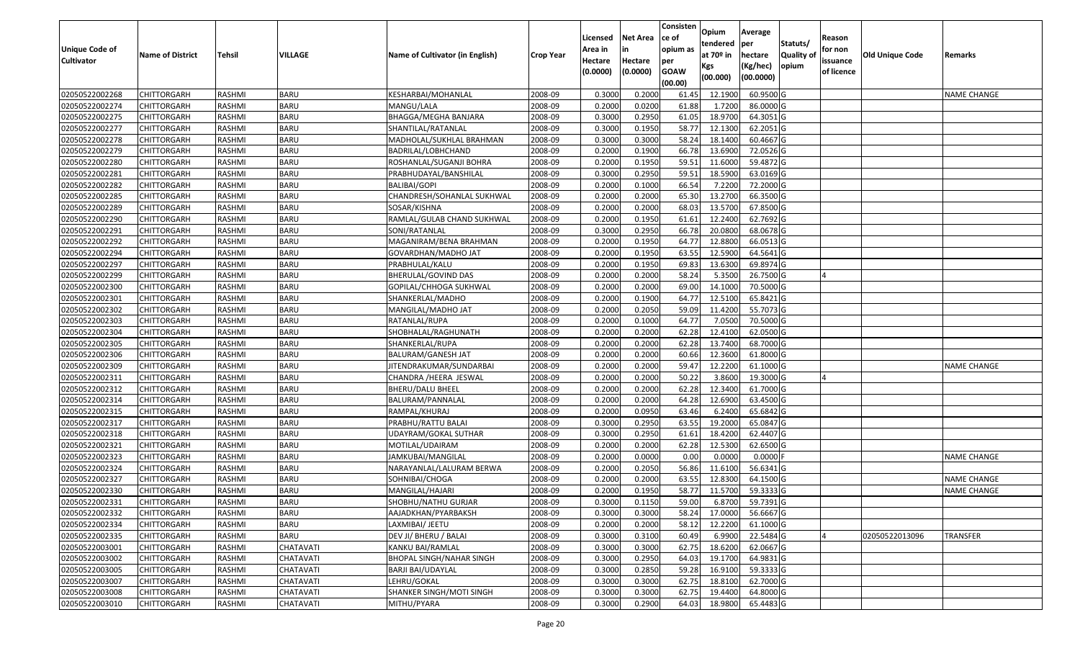|                       |                         |               |                  |                                 |                  |          |                 | Consisten              | Opium       | Average    |                  |            |                        |                    |
|-----------------------|-------------------------|---------------|------------------|---------------------------------|------------------|----------|-----------------|------------------------|-------------|------------|------------------|------------|------------------------|--------------------|
|                       |                         |               |                  |                                 |                  | Licensed | <b>Net Area</b> | ce of                  | tendered    | per        | Statuts/         | Reason     |                        |                    |
| <b>Unique Code of</b> | <b>Name of District</b> | <b>Tehsil</b> | VILLAGE          | Name of Cultivator (in English) | <b>Crop Year</b> | Area in  |                 | opium as               | at $70°$ in | hectare    | <b>Quality o</b> | for non    | <b>Old Unique Code</b> | Remarks            |
| <b>Cultivator</b>     |                         |               |                  |                                 |                  | Hectare  | Hectare         | per                    | Kgs         | (Kg/hec)   | opium            | issuance   |                        |                    |
|                       |                         |               |                  |                                 |                  | (0.0000) | (0.0000)        | <b>GOAW</b><br>(00.00) | (00.000)    | (00.0000)  |                  | of licence |                        |                    |
| 02050522002268        | CHITTORGARH             | RASHMI        | <b>BARU</b>      | KESHARBAI/MOHANLAL              | 2008-09          | 0.3000   | 0.2000          | 61.45                  | 12.1900     | 60.9500 G  |                  |            |                        | <b>NAME CHANGE</b> |
| 02050522002274        | CHITTORGARH             | RASHMI        | <b>BARU</b>      | MANGU/LALA                      | 2008-09          | 0.2000   | 0.0200          | 61.88                  | 1.7200      | 86.0000G   |                  |            |                        |                    |
| 02050522002275        | CHITTORGARH             | RASHMI        | <b>BARU</b>      | BHAGGA/MEGHA BANJARA            | 2008-09          | 0.3000   | 0.2950          | 61.05                  | 18.9700     | 64.3051G   |                  |            |                        |                    |
| 02050522002277        | <b>CHITTORGARH</b>      | RASHMI        | <b>BARU</b>      | SHANTILAL/RATANLAL              | 2008-09          | 0.3000   | 0.1950          | 58.77                  | 12.1300     | 62.2051G   |                  |            |                        |                    |
| 02050522002278        | CHITTORGARH             | RASHMI        | <b>BARU</b>      | MADHOLAL/SUKHLAL BRAHMAN        | 2008-09          | 0.3000   | 0.3000          | 58.24                  | 18.1400     | 60.4667 G  |                  |            |                        |                    |
| 02050522002279        | <b>CHITTORGARH</b>      | RASHMI        | <b>BARU</b>      | BADRILAL/LOBHCHAND              | 2008-09          | 0.2000   | 0.1900          | 66.78                  | 13.6900     | 72.0526 G  |                  |            |                        |                    |
| 02050522002280        | CHITTORGARH             | RASHMI        | <b>BARU</b>      | ROSHANLAL/SUGANJI BOHRA         | 2008-09          | 0.2000   | 0.1950          | 59.5                   | 11.6000     | 59.4872 G  |                  |            |                        |                    |
| 02050522002281        | CHITTORGARH             | <b>RASHMI</b> | <b>BARU</b>      | PRABHUDAYAL/BANSHILAL           | 2008-09          | 0.3000   | 0.2950          | 59.5                   | 18.5900     | 63.0169G   |                  |            |                        |                    |
| 02050522002282        | CHITTORGARH             | RASHMI        | <b>BARU</b>      | BALIBAI/GOPI                    | 2008-09          | 0.2000   | 0.1000          | 66.54                  | 7.2200      | 72.2000 G  |                  |            |                        |                    |
| 02050522002285        | CHITTORGARH             | RASHMI        | <b>BARU</b>      | CHANDRESH/SOHANLAL SUKHWAL      | 2008-09          | 0.2000   | 0.2000          | 65.30                  | 13.2700     | 66.3500 G  |                  |            |                        |                    |
| 02050522002289        | CHITTORGARH             | RASHMI        | <b>BARU</b>      | SOSAR/KISHNA                    | 2008-09          | 0.2000   | 0.2000          | 68.03                  | 13.5700     | 67.8500 G  |                  |            |                        |                    |
| 02050522002290        | <b>CHITTORGARH</b>      | RASHMI        | <b>BARU</b>      | RAMLAL/GULAB CHAND SUKHWAL      | 2008-09          | 0.2000   | 0.1950          | 61.6                   | 12.2400     | 62.7692 G  |                  |            |                        |                    |
| 02050522002291        | <b>CHITTORGARH</b>      | RASHMI        | <b>BARU</b>      | SONI/RATANLAL                   | 2008-09          | 0.3000   | 0.2950          | 66.78                  | 20.0800     | 68.0678 G  |                  |            |                        |                    |
| 02050522002292        | CHITTORGARH             | RASHMI        | <b>BARU</b>      | MAGANIRAM/BENA BRAHMAN          | 2008-09          | 0.2000   | 0.1950          | 64.77                  | 12.8800     | 66.0513 G  |                  |            |                        |                    |
| 02050522002294        | <b>CHITTORGARH</b>      | RASHMI        | <b>BARU</b>      | GOVARDHAN/MADHO JAT             | 2008-09          | 0.2000   | 0.1950          | 63.55                  | 12.5900     | 64.5641 G  |                  |            |                        |                    |
| 02050522002297        | CHITTORGARH             | RASHMI        | <b>BARU</b>      | PRABHULAL/KALU                  | 2008-09          | 0.2000   | 0.1950          | 69.83                  | 13.6300     | 69.8974 G  |                  |            |                        |                    |
| 02050522002299        | CHITTORGARH             | RASHMI        | <b>BARU</b>      | BHERULAL/GOVIND DAS             | 2008-09          | 0.2000   | 0.2000          | 58.24                  | 5.3500      | 26.7500 G  |                  |            |                        |                    |
| 02050522002300        | CHITTORGARH             | RASHMI        | <b>BARU</b>      | GOPILAL/CHHOGA SUKHWAL          | 2008-09          | 0.2000   | 0.2000          | 69.00                  | 14.1000     | 70.5000 G  |                  |            |                        |                    |
| 02050522002301        | CHITTORGARH             | RASHMI        | <b>BARU</b>      | SHANKERLAL/MADHO                | 2008-09          | 0.2000   | 0.1900          | 64.77                  | 12.5100     | 65.8421G   |                  |            |                        |                    |
| 02050522002302        | CHITTORGARH             | RASHMI        | <b>BARU</b>      | MANGILAL/MADHO JAT              | 2008-09          | 0.2000   | 0.2050          | 59.09                  | 11.4200     | 55.7073 G  |                  |            |                        |                    |
| 02050522002303        | CHITTORGARH             | RASHMI        | <b>BARU</b>      | RATANLAL/RUPA                   | 2008-09          | 0.2000   | 0.1000          | 64.77                  | 7.0500      | 70.5000 G  |                  |            |                        |                    |
| 02050522002304        | CHITTORGARH             | RASHMI        | <b>BARU</b>      | SHOBHALAL/RAGHUNATH             | 2008-09          | 0.2000   | 0.2000          | 62.28                  | 12.4100     | 62.0500 G  |                  |            |                        |                    |
| 02050522002305        | CHITTORGARH             | RASHMI        | <b>BARU</b>      | SHANKERLAL/RUPA                 | 2008-09          | 0.2000   | 0.2000          | 62.28                  | 13.7400     | 68.7000 G  |                  |            |                        |                    |
| 02050522002306        | CHITTORGARH             | RASHMI        | <b>BARU</b>      | BALURAM/GANESH JAT              | 2008-09          | 0.2000   | 0.2000          | 60.66                  | 12.3600     | 61.8000 G  |                  |            |                        |                    |
| 02050522002309        | CHITTORGARH             | RASHMI        | <b>BARU</b>      | JITENDRAKUMAR/SUNDARBAI         | 2008-09          | 0.2000   | 0.2000          | 59.47                  | 12.2200     | 61.1000G   |                  |            |                        | <b>NAME CHANGE</b> |
| 02050522002311        | CHITTORGARH             | <b>RASHMI</b> | <b>BARU</b>      | CHANDRA /HEERA JESWAL           | 2008-09          | 0.2000   | 0.2000          | 50.22                  | 3.8600      | 19.3000 G  |                  |            |                        |                    |
| 02050522002312        | CHITTORGARH             | RASHMI        | <b>BARU</b>      | BHERU/DALU BHEEL                | 2008-09          | 0.2000   | 0.2000          | 62.28                  | 12.3400     | 61.7000G   |                  |            |                        |                    |
| 02050522002314        | CHITTORGARH             | RASHMI        | <b>BARU</b>      | BALURAM/PANNALAL                | 2008-09          | 0.2000   | 0.2000          | 64.28                  | 12.6900     | 63.4500 G  |                  |            |                        |                    |
| 02050522002315        | CHITTORGARH             | RASHMI        | <b>BARU</b>      | RAMPAL/KHURAJ                   | 2008-09          | 0.2000   | 0.0950          | 63.46                  | 6.2400      | 65.6842 G  |                  |            |                        |                    |
| 02050522002317        | CHITTORGARH             | RASHMI        | <b>BARU</b>      | PRABHU/RATTU BALAI              | 2008-09          | 0.3000   | 0.2950          | 63.55                  | 19.2000     | 65.0847 G  |                  |            |                        |                    |
| 02050522002318        | CHITTORGARH             | RASHMI        | <b>BARU</b>      | JDAYRAM/GOKAL SUTHAR            | 2008-09          | 0.3000   | 0.2950          | 61.6                   | 18.4200     | 62.4407 G  |                  |            |                        |                    |
| 02050522002321        | CHITTORGARH             | RASHMI        | <b>BARU</b>      | MOTILAL/UDAIRAM                 | 2008-09          | 0.2000   | 0.2000          | 62.28                  | 12.5300     | 62.6500 G  |                  |            |                        |                    |
| 02050522002323        | CHITTORGARH             | <b>RASHMI</b> | <b>BARU</b>      | JAMKUBAI/MANGILAL               | 2008-09          | 0.2000   | 0.0000          | 0.00                   | 0.0000      | $0.0000$ F |                  |            |                        | <b>NAME CHANGE</b> |
| 02050522002324        | CHITTORGARH             | RASHMI        | <b>BARU</b>      | NARAYANLAL/LALURAM BERWA        | 2008-09          | 0.2000   | 0.2050          | 56.86                  | 11.6100     | 56.6341 G  |                  |            |                        |                    |
| 02050522002327        | CHITTORGARH             | RASHMI        | <b>BARU</b>      | SOHNIBAI/CHOGA                  | 2008-09          | 0.2000   | 0.2000          | 63.55                  | 12.8300     | 64.1500 G  |                  |            |                        | <b>NAME CHANGE</b> |
| 02050522002330        | CHITTORGARH             | RASHMI        | <b>BARU</b>      | MANGILAL/HAJARI                 | 2008-09          | 0.2000   | 0.1950          | 58.77                  | 11.5700     | 59.3333 G  |                  |            |                        | <b>NAME CHANGE</b> |
| 02050522002331        | <b>CHITTORGARH</b>      | RASHMI        | <b>BARU</b>      | SHOBHU/NATHU GURJAR             | 2008-09          | 0.3000   | 0.1150          | 59.00                  | 6.8700      | 59.7391 G  |                  |            |                        |                    |
| 02050522002332        | <b>CHITTORGARH</b>      | RASHMI        | <b>BARU</b>      | AAJADKHAN/PYARBAKSH             | 2008-09          | 0.3000   | 0.3000          | 58.24                  | 17.0000     | 56.6667 G  |                  |            |                        |                    |
| 02050522002334        | <b>CHITTORGARH</b>      | RASHMI        | <b>BARU</b>      | LAXMIBAI/ JEETU                 | 2008-09          | 0.2000   | 0.2000          | 58.12                  | 12.2200     | 61.1000 G  |                  |            |                        |                    |
| 02050522002335        | <b>CHITTORGARH</b>      | RASHMI        | <b>BARU</b>      | DEV JI/ BHERU / BALAI           | 2008-09          | 0.3000   | 0.3100          | 60.49                  | 6.9900      | 22.5484 G  |                  |            | 02050522013096         | <b>TRANSFER</b>    |
| 02050522003001        | <b>CHITTORGARH</b>      | RASHMI        | CHATAVATI        | KANKU BAI/RAMLAL                | 2008-09          | 0.3000   | 0.3000          | 62.75                  | 18.6200     | 62.0667 G  |                  |            |                        |                    |
| 02050522003002        | <b>CHITTORGARH</b>      | RASHMI        | <b>CHATAVATI</b> | <b>BHOPAL SINGH/NAHAR SINGH</b> | 2008-09          | 0.3000   | 0.2950          | 64.03                  | 19.1700     | 64.9831 G  |                  |            |                        |                    |
| 02050522003005        | <b>CHITTORGARH</b>      | RASHMI        | CHATAVATI        | <b>BARJI BAI/UDAYLAL</b>        | 2008-09          | 0.3000   | 0.2850          | 59.28                  | 16.9100     | 59.3333 G  |                  |            |                        |                    |
| 02050522003007        | <b>CHITTORGARH</b>      | RASHMI        | CHATAVATI        | LEHRU/GOKAL                     | 2008-09          | 0.3000   | 0.3000          | 62.75                  | 18.8100     | 62.7000 G  |                  |            |                        |                    |
| 02050522003008        | <b>CHITTORGARH</b>      | RASHMI        | CHATAVATI        | SHANKER SINGH/MOTI SINGH        | 2008-09          | 0.3000   | 0.3000          | 62.75                  | 19.4400     | 64.8000 G  |                  |            |                        |                    |
| 02050522003010        | <b>CHITTORGARH</b>      | RASHMI        | CHATAVATI        | MITHU/PYARA                     | 2008-09          | 0.3000   | 0.2900          | 64.03                  | 18.9800     | 65.4483 G  |                  |            |                        |                    |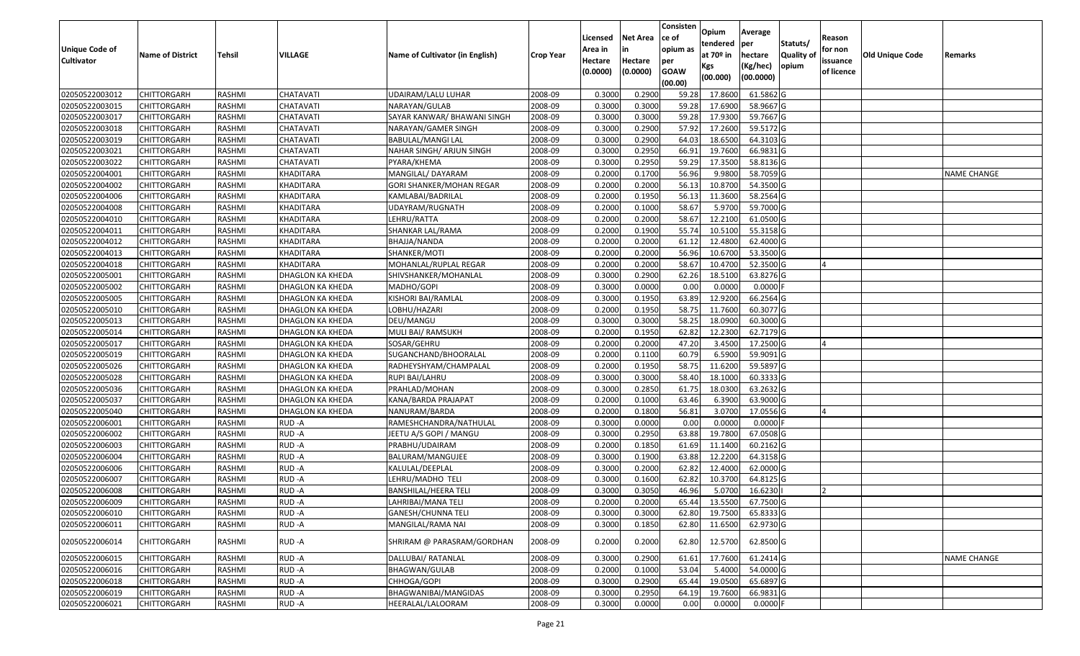| <b>Unique Code of</b><br><b>Cultivator</b> | <b>Name of District</b> | <b>Tehsil</b> | VILLAGE          | Name of Cultivator (in English) | <b>Crop Year</b> | Licensed<br>Area in<br>Hectare<br>(0.0000) | <b>Net Area</b><br>in<br>Hectare<br>(0.0000) | Consisten<br>ce of<br>opium as<br>per<br><b>GOAW</b><br>(00.00) | Opium<br>tendered<br>at $70°$ in<br>Kgs<br>(00.000) | Average<br>per<br>hectare<br>(Kg/hec)<br>(00.0000) | Statuts/<br>Quality of<br>opium | Reason<br>for non<br>issuance<br>of licence | <b>Old Unique Code</b> | Remarks            |
|--------------------------------------------|-------------------------|---------------|------------------|---------------------------------|------------------|--------------------------------------------|----------------------------------------------|-----------------------------------------------------------------|-----------------------------------------------------|----------------------------------------------------|---------------------------------|---------------------------------------------|------------------------|--------------------|
| 02050522003012                             | <b>CHITTORGARH</b>      | RASHMI        | CHATAVATI        | UDAIRAM/LALU LUHAR              | 2008-09          | 0.3000                                     | 0.2900                                       | 59.28                                                           | 17.8600                                             | 61.5862 G                                          |                                 |                                             |                        |                    |
| 02050522003015                             | CHITTORGARH             | RASHMI        | CHATAVATI        | NARAYAN/GULAB                   | 2008-09          | 0.3000                                     | 0.3000                                       | 59.28                                                           | 17.6900                                             | 58.9667 G                                          |                                 |                                             |                        |                    |
| 02050522003017                             | CHITTORGARH             | RASHMI        | CHATAVATI        | SAYAR KANWAR/ BHAWANI SINGH     | 2008-09          | 0.3000                                     | 0.3000                                       | 59.28                                                           | 17.9300                                             | 59.7667 G                                          |                                 |                                             |                        |                    |
| 02050522003018                             | <b>CHITTORGARH</b>      | RASHMI        | CHATAVATI        | NARAYAN/GAMER SINGH             | 2008-09          | 0.3000                                     | 0.2900                                       | 57.92                                                           | 17.2600                                             | 59.5172 G                                          |                                 |                                             |                        |                    |
| 02050522003019                             | <b>CHITTORGARH</b>      | RASHMI        | CHATAVATI        | BABULAL/MANGI LAL               | 2008-09          | 0.3000                                     | 0.2900                                       | 64.03                                                           | 18.6500                                             | 64.3103 G                                          |                                 |                                             |                        |                    |
| 02050522003021                             | <b>CHITTORGARH</b>      | RASHMI        | CHATAVATI        | NAHAR SINGH/ ARJUN SINGH        | 2008-09          | 0.3000                                     | 0.2950                                       | 66.9                                                            | 19.7600                                             | 66.9831 G                                          |                                 |                                             |                        |                    |
| 02050522003022                             | <b>CHITTORGARH</b>      | RASHMI        | CHATAVATI        | PYARA/KHEMA                     | 2008-09          | 0.3000                                     | 0.2950                                       | 59.29                                                           | 17.3500                                             | 58.8136 G                                          |                                 |                                             |                        |                    |
| 02050522004001                             | <b>CHITTORGARH</b>      | RASHMI        | KHADITARA        | MANGILAL/ DAYARAM               | 2008-09          | 0.2000                                     | 0.1700                                       | 56.96                                                           | 9.9800                                              | 58.7059 G                                          |                                 |                                             |                        | <b>NAME CHANGE</b> |
| 02050522004002                             | CHITTORGARH             | RASHMI        | KHADITARA        | GORI SHANKER/MOHAN REGAR        | 2008-09          | 0.2000                                     | 0.2000                                       | 56.13                                                           | 10.8700                                             | 54.3500 G                                          |                                 |                                             |                        |                    |
| 02050522004006                             | CHITTORGARH             | RASHMI        | KHADITARA        | KAMLABAI/BADRILAL               | 2008-09          | 0.2000                                     | 0.1950                                       | 56.13                                                           | 11.3600                                             | 58.2564 G                                          |                                 |                                             |                        |                    |
| 02050522004008                             | <b>CHITTORGARH</b>      | RASHMI        | KHADITARA        | UDAYRAM/RUGNATH                 | 2008-09          | 0.2000                                     | 0.1000                                       | 58.67                                                           | 5.9700                                              | 59.7000 G                                          |                                 |                                             |                        |                    |
| 02050522004010                             | CHITTORGARH             | RASHMI        | KHADITARA        | LEHRU/RATTA                     | 2008-09          | 0.2000                                     | 0.2000                                       | 58.67                                                           | 12.2100                                             | 61.0500G                                           |                                 |                                             |                        |                    |
| 02050522004011                             | CHITTORGARH             | RASHMI        | KHADITARA        | SHANKAR LAL/RAMA                | 2008-09          | 0.2000                                     | 0.1900                                       | 55.74                                                           | 10.5100                                             | 55.3158 G                                          |                                 |                                             |                        |                    |
| 02050522004012                             | CHITTORGARH             | RASHMI        | KHADITARA        | BHAJJA/NANDA                    | 2008-09          | 0.2000                                     | 0.2000                                       | 61.12                                                           | 12.4800                                             | 62.4000 G                                          |                                 |                                             |                        |                    |
| 02050522004013                             | CHITTORGARH             | RASHMI        | <b>KHADITARA</b> | SHANKER/MOTI                    | 2008-09          | 0.2000                                     | 0.2000                                       | 56.96                                                           | 10.6700                                             | 53.3500 G                                          |                                 |                                             |                        |                    |
| 02050522004018                             | CHITTORGARH             | RASHMI        | KHADITARA        | MOHANLAL/RUPLAL REGAR           | 2008-09          | 0.2000                                     | 0.2000                                       | 58.67                                                           | 10.4700                                             | 52.3500 G                                          |                                 |                                             |                        |                    |
| 02050522005001                             | CHITTORGARH             | RASHMI        | DHAGLON KA KHEDA | SHIVSHANKER/MOHANLAL            | 2008-09          | 0.3000                                     | 0.2900                                       | 62.26                                                           | 18.5100                                             | 63.8276 G                                          |                                 |                                             |                        |                    |
| 02050522005002                             | CHITTORGARH             | RASHMI        | DHAGLON KA KHEDA | MADHO/GOPI                      | 2008-09          | 0.3000                                     | 0.0000                                       | 0.00                                                            | 0.0000                                              | $0.0000$ F                                         |                                 |                                             |                        |                    |
| 02050522005005                             | <b>CHITTORGARH</b>      | RASHMI        | DHAGLON KA KHEDA | KISHORI BAI/RAMLAL              | 2008-09          | 0.3000                                     | 0.1950                                       | 63.89                                                           | 12.9200                                             | 66.2564 G                                          |                                 |                                             |                        |                    |
| 02050522005010                             | CHITTORGARH             | RASHMI        | DHAGLON KA KHEDA | LOBHU/HAZARI                    | 2008-09          | 0.2000                                     | 0.1950                                       | 58.75                                                           | 11.7600                                             | 60.3077 G                                          |                                 |                                             |                        |                    |
| 02050522005013                             | <b>CHITTORGARH</b>      | RASHMI        | DHAGLON KA KHEDA | DEU/MANGU                       | 2008-09          | 0.3000                                     | 0.3000                                       | 58.25                                                           | 18.0900                                             | 60.3000G                                           |                                 |                                             |                        |                    |
| 02050522005014                             | CHITTORGARH             | RASHMI        | DHAGLON KA KHEDA | MULI BAI/ RAMSUKH               | 2008-09          | 0.2000                                     | 0.1950                                       | 62.82                                                           | 12.2300                                             | 62.7179 G                                          |                                 |                                             |                        |                    |
| 02050522005017                             | CHITTORGARH             | RASHMI        | DHAGLON KA KHEDA | SOSAR/GEHRU                     | 2008-09          | 0.2000                                     | 0.2000                                       | 47.20                                                           | 3.4500                                              | 17.2500 G                                          |                                 |                                             |                        |                    |
| 02050522005019                             | CHITTORGARH             | RASHMI        | DHAGLON KA KHEDA | SUGANCHAND/BHOORALAL            | 2008-09          | 0.2000                                     | 0.1100                                       | 60.79                                                           | 6.5900                                              | 59.9091G                                           |                                 |                                             |                        |                    |
| 02050522005026                             | CHITTORGARH             | RASHMI        | DHAGLON KA KHEDA | RADHEYSHYAM/CHAMPALAL           | 2008-09          | 0.2000                                     | 0.1950                                       | 58.75                                                           | 11.6200                                             | 59.5897 G                                          |                                 |                                             |                        |                    |
| 02050522005028                             | CHITTORGARH             | <b>RASHMI</b> | DHAGLON KA KHEDA | RUPI BAI/LAHRU                  | 2008-09          | 0.3000                                     | 0.3000                                       | 58.40                                                           | 18.1000                                             | 60.3333 G                                          |                                 |                                             |                        |                    |
| 02050522005036                             | CHITTORGARH             | RASHMI        | DHAGLON KA KHEDA | PRAHLAD/MOHAN                   | 2008-09          | 0.3000                                     | 0.2850                                       | 61.75                                                           | 18.0300                                             | 63.2632 G                                          |                                 |                                             |                        |                    |
| 02050522005037                             | CHITTORGARH             | RASHMI        | DHAGLON KA KHEDA | KANA/BARDA PRAJAPAT             | 2008-09          | 0.2000                                     | 0.1000                                       | 63.46                                                           | 6.3900                                              | 63.9000 G                                          |                                 |                                             |                        |                    |
| 02050522005040                             | <b>CHITTORGARH</b>      | RASHMI        | DHAGLON KA KHEDA | NANURAM/BARDA                   | 2008-09          | 0.2000                                     | 0.1800                                       | 56.81                                                           | 3.0700                                              | 17.0556 G                                          |                                 |                                             |                        |                    |
| 02050522006001                             | <b>CHITTORGARH</b>      | RASHMI        | RUD-A            | RAMESHCHANDRA/NATHULAL          | 2008-09          | 0.3000                                     | 0.0000                                       | 0.00                                                            | 0.0000                                              | $0.0000$ F                                         |                                 |                                             |                        |                    |
| 02050522006002                             | <b>CHITTORGARH</b>      | RASHMI        | RUD-A            | JEETU A/S GOPI / MANGU          | 2008-09          | 0.3000                                     | 0.2950                                       | 63.88                                                           | 19.7800                                             | 67.0508 G                                          |                                 |                                             |                        |                    |
| 02050522006003                             | <b>CHITTORGARH</b>      | RASHMI        | RUD-A            | PRABHU/UDAIRAM                  | 2008-09          | 0.2000                                     | 0.1850                                       | 61.69                                                           | 11.1400                                             | $60.2162$ G                                        |                                 |                                             |                        |                    |
| 02050522006004                             | CHITTORGARH             | RASHMI        | RUD-A            | BALURAM/MANGUJEE                | 2008-09          | 0.3000                                     | 0.1900                                       | 63.88                                                           | 12.2200                                             | 64.3158 G                                          |                                 |                                             |                        |                    |
| 02050522006006                             | CHITTORGARH             | RASHMI        | RUD-A            | KALULAL/DEEPLAL                 | 2008-09          | 0.3000                                     | 0.2000                                       | 62.82                                                           | 12.4000                                             | 62.0000G                                           |                                 |                                             |                        |                    |
| 02050522006007                             | CHITTORGARH             | RASHMI        | RUD-A            | LEHRU/MADHO TELI                | 2008-09          | 0.300                                      | 0.1600                                       | 62.82                                                           | 10.3700                                             | 64.8125 G                                          |                                 |                                             |                        |                    |
| 02050522006008                             | CHITTORGARH             | RASHMI        | RUD-A            | BANSHILAL/HEERA TELI            | 2008-09          | 0.3000                                     | 0.3050                                       | 46.96                                                           | 5.0700                                              | 16.6230                                            |                                 |                                             |                        |                    |
| 02050522006009                             | <b>CHITTORGARH</b>      | RASHMI        | RUD-A            | LAHRIBAI/MANA TELI              | 2008-09          | 0.2000                                     | 0.2000                                       | 65.44                                                           | 13.5500                                             | 67.7500 G                                          |                                 |                                             |                        |                    |
| 02050522006010                             | <b>CHITTORGARH</b>      | RASHMI        | RUD-A            | GANESH/CHUNNA TELI              | 2008-09          | 0.3000                                     | 0.3000                                       | 62.80                                                           | 19.7500                                             | 65.8333 G                                          |                                 |                                             |                        |                    |
| 02050522006011                             | CHITTORGARH             | RASHMI        | RUD-A            | MANGILAL/RAMA NAI               | 2008-09          | 0.3000                                     | 0.1850                                       | 62.80                                                           | 11.6500                                             | 62.9730 G                                          |                                 |                                             |                        |                    |
| 02050522006014                             | CHITTORGARH             | RASHMI        | RUD-A            | SHRIRAM @ PARASRAM/GORDHAN      | 2008-09          | 0.2000                                     | 0.2000                                       | 62.80                                                           | 12.5700                                             | 62.8500 G                                          |                                 |                                             |                        |                    |
| 02050522006015                             | <b>CHITTORGARH</b>      | RASHMI        | RUD-A            | DALLUBAI/ RATANLAL              | 2008-09          | 0.3000                                     | 0.2900                                       | 61.61                                                           | 17.7600                                             | 61.2414 G                                          |                                 |                                             |                        | <b>NAME CHANGE</b> |
| 02050522006016                             | <b>CHITTORGARH</b>      | RASHMI        | RUD-A            | BHAGWAN/GULAB                   | 2008-09          | 0.2000                                     | 0.1000                                       | 53.04                                                           | 5.4000                                              | 54.0000 G                                          |                                 |                                             |                        |                    |
| 02050522006018                             | <b>CHITTORGARH</b>      | RASHMI        | RUD-A            | CHHOGA/GOPI                     | 2008-09          | 0.3000                                     | 0.2900                                       | 65.44                                                           | 19.0500                                             | 65.6897 G                                          |                                 |                                             |                        |                    |
| 02050522006019                             | CHITTORGARH             | RASHMI        | RUD-A            | BHAGWANIBAI/MANGIDAS            | 2008-09          | 0.3000                                     | 0.2950                                       | 64.19                                                           | 19.7600                                             | 66.9831 G                                          |                                 |                                             |                        |                    |
| 02050522006021                             | <b>CHITTORGARH</b>      | RASHMI        | RUD-A            | HEERALAL/LALOORAM               | 2008-09          | 0.3000                                     | 0.0000                                       | 0.00                                                            | 0.0000                                              | $0.0000$ F                                         |                                 |                                             |                        |                    |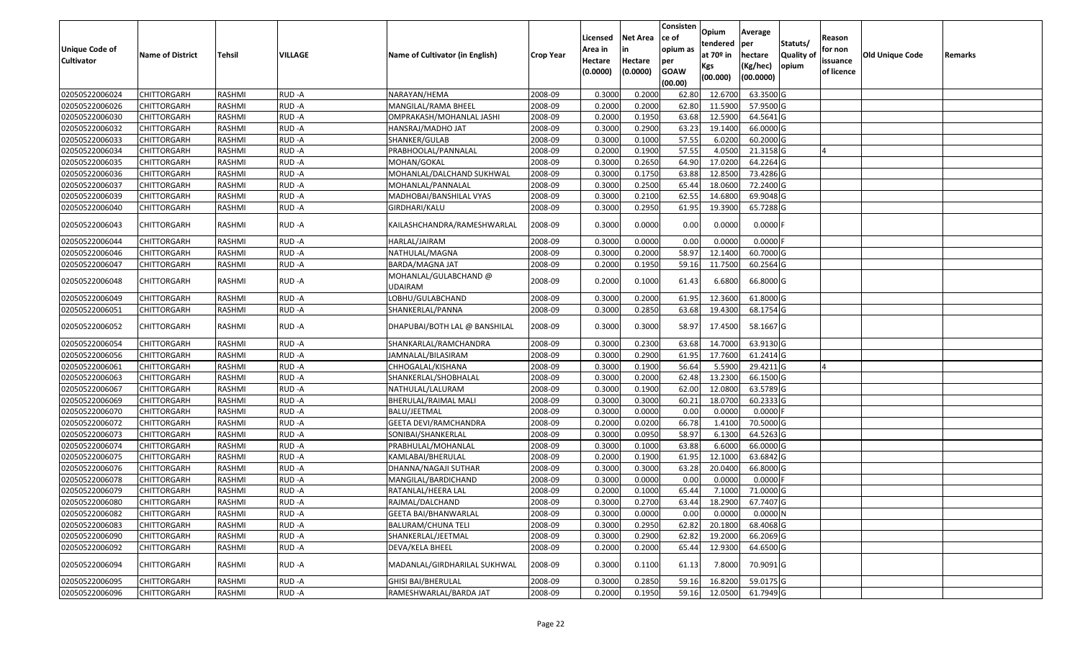| Unique Code of    |                         |               |                | Name of Cultivator (in English)         |                  | Licensed<br>Area in | <b>Net Area</b>     | Consisten<br>ce of<br>opium as | <b>Opium</b><br>tendered<br>at 70 <sup>o</sup> in | Average<br>per                   | Statuts/                   | Reason<br>for non      |                 |         |
|-------------------|-------------------------|---------------|----------------|-----------------------------------------|------------------|---------------------|---------------------|--------------------------------|---------------------------------------------------|----------------------------------|----------------------------|------------------------|-----------------|---------|
| <b>Cultivator</b> | <b>Name of District</b> | <b>Tehsil</b> | <b>VILLAGE</b> |                                         | <b>Crop Year</b> | Hectare<br>(0.0000) | Hectare<br>(0.0000) | per<br><b>GOAW</b><br>(00.00)  | Kgs<br>(00.000)                                   | hectare<br>(Kg/hec)<br>(00.0000) | <b>Quality of</b><br>opium | issuance<br>of licence | Old Unique Code | Remarks |
| 02050522006024    | <b>CHITTORGARH</b>      | RASHMI        | RUD-A          | NARAYAN/HEMA                            | 2008-09          | 0.3000              | 0.2000              | 62.80                          | 12.6700                                           | 63.3500 G                        |                            |                        |                 |         |
| 02050522006026    | <b>CHITTORGARH</b>      | RASHMI        | RUD-A          | MANGILAL/RAMA BHEEL                     | 2008-09          | 0.2000              | 0.2000              | 62.80                          | 11.5900                                           | 57.9500 G                        |                            |                        |                 |         |
| 02050522006030    | <b>CHITTORGARH</b>      | <b>RASHMI</b> | RUD-A          | OMPRAKASH/MOHANLAL JASHI                | 2008-09          | 0.2000              | 0.1950              | 63.68                          | 12.5900                                           | 64.5641 G                        |                            |                        |                 |         |
| 02050522006032    | <b>CHITTORGARH</b>      | <b>RASHMI</b> | RUD-A          | HANSRAJ/MADHO JAT                       | 2008-09          | 0.3000              | 0.2900              | 63.23                          | 19.1400                                           | 66.0000 G                        |                            |                        |                 |         |
| 02050522006033    | <b>CHITTORGARH</b>      | RASHMI        | RUD-A          | SHANKER/GULAB                           | 2008-09          | 0.3000              | 0.1000              | 57.55                          | 6.0200                                            | 60.2000 G                        |                            |                        |                 |         |
| 02050522006034    | <b>CHITTORGARH</b>      | RASHMI        | RUD-A          | PRABHOOLAL/PANNALAL                     | 2008-09          | 0.2000              | 0.1900              | 57.55                          | 4.0500                                            | 21.3158 G                        |                            |                        |                 |         |
| 02050522006035    | <b>CHITTORGARH</b>      | RASHMI        | RUD-A          | MOHAN/GOKAL                             | 2008-09          | 0.3000              | 0.2650              | 64.90                          | 17.0200                                           | 64.2264 G                        |                            |                        |                 |         |
| 02050522006036    | <b>CHITTORGARH</b>      | <b>RASHMI</b> | RUD-A          | MOHANLAL/DALCHAND SUKHWAL               | 2008-09          | 0.3000              | 0.1750              | 63.88                          | 12.8500                                           | 73.4286 G                        |                            |                        |                 |         |
| 02050522006037    | <b>CHITTORGARH</b>      | <b>RASHMI</b> | RUD-A          | MOHANLAL/PANNALAL                       | 2008-09          | 0.3000              | 0.2500              | 65.44                          | 18.0600                                           | 72.2400 G                        |                            |                        |                 |         |
| 02050522006039    | <b>CHITTORGARH</b>      | RASHMI        | RUD-A          | MADHOBAI/BANSHILAL VYAS                 | 2008-09          | 0.3000              | 0.2100              | 62.55                          | 14.6800                                           | 69.9048 G                        |                            |                        |                 |         |
| 02050522006040    | <b>CHITTORGARH</b>      | RASHMI        | RUD-A          | GIRDHARI/KALU                           | 2008-09          | 0.3000              | 0.2950              | 61.95                          | 19.3900                                           | 65.7288 G                        |                            |                        |                 |         |
| 02050522006043    | <b>CHITTORGARH</b>      | RASHMI        | RUD-A          | KAILASHCHANDRA/RAMESHWARLAL             | 2008-09          | 0.3000              | 0.0000              | 0.00                           | 0.0000                                            | $0.0000$ F                       |                            |                        |                 |         |
| 02050522006044    | <b>CHITTORGARH</b>      | RASHMI        | RUD-A          | HARLAL/JAIRAM                           | 2008-09          | 0.300               | 0.0000              | 0.00                           | 0.0000                                            | $0.0000$ F                       |                            |                        |                 |         |
| 02050522006046    | <b>CHITTORGARH</b>      | RASHMI        | RUD-A          | NATHULAL/MAGNA                          | 2008-09          | 0.3000              | 0.2000              | 58.97                          | 12.1400                                           | 60.7000 G                        |                            |                        |                 |         |
| 02050522006047    | <b>CHITTORGARH</b>      | RASHMI        | RUD-A          | BARDA/MAGNA JAT                         | 2008-09          | 0.2000              | 0.1950              | 59.16                          | 11.7500                                           | 60.2564 G                        |                            |                        |                 |         |
| 02050522006048    | <b>CHITTORGARH</b>      | RASHMI        | RUD-A          | MOHANLAL/GULABCHAND @<br><b>UDAIRAM</b> | 2008-09          | 0.2000              | 0.1000              | 61.43                          | 6.6800                                            | 66.8000 G                        |                            |                        |                 |         |
| 02050522006049    | <b>CHITTORGARH</b>      | RASHMI        | RUD-A          | LOBHU/GULABCHAND                        | 2008-09          | 0.3000              | 0.2000              | 61.95                          | 12.3600                                           | 61.8000 G                        |                            |                        |                 |         |
| 02050522006051    | <b>CHITTORGARH</b>      | RASHMI        | RUD-A          | SHANKERLAL/PANNA                        | 2008-09          | 0.3000              | 0.2850              | 63.68                          | 19.4300                                           | 68.1754 G                        |                            |                        |                 |         |
| 02050522006052    | <b>CHITTORGARH</b>      | RASHMI        | RUD-A          | DHAPUBAI/BOTH LAL @ BANSHILAL           | 2008-09          | 0.3000              | 0.3000              | 58.97                          | 17.4500                                           | 58.1667 G                        |                            |                        |                 |         |
| 02050522006054    | <b>CHITTORGARH</b>      | RASHMI        | RUD-A          | SHANKARLAL/RAMCHANDRA                   | 2008-09          | 0.3000              | 0.2300              | 63.68                          | 14.7000                                           | 63.9130 G                        |                            |                        |                 |         |
| 02050522006056    | <b>CHITTORGARH</b>      | RASHMI        | RUD-A          | JAMNALAL/BILASIRAM                      | 2008-09          | 0.3000              | 0.2900              | 61.95                          | 17.7600                                           | 61.2414 G                        |                            |                        |                 |         |
| 02050522006061    | <b>CHITTORGARH</b>      | <b>RASHMI</b> | RUD-A          | CHHOGALAL/KISHANA                       | 2008-09          | 0.3000              | 0.1900              | 56.64                          | 5.5900                                            | 29.4211G                         |                            |                        |                 |         |
| 02050522006063    | <b>CHITTORGARH</b>      | <b>RASHMI</b> | RUD-A          | SHANKERLAL/SHOBHALAL                    | 2008-09          | 0.3000              | 0.2000              | 62.48                          | 13.2300                                           | 66.1500 G                        |                            |                        |                 |         |
| 02050522006067    | <b>CHITTORGARH</b>      | RASHMI        | RUD-A          | NATHULAL/LALURAM                        | 2008-09          | 0.3000              | 0.1900              | 62.00                          | 12.0800                                           | 63.5789 G                        |                            |                        |                 |         |
| 02050522006069    | <b>CHITTORGARH</b>      | RASHMI        | RUD-A          | BHERULAL/RAIMAL MALI                    | 2008-09          | 0.3000              | 0.3000              | 60.21                          | 18.0700                                           | 60.2333 G                        |                            |                        |                 |         |
| 02050522006070    | <b>CHITTORGARH</b>      | <b>RASHMI</b> | RUD-A          | BALU/JEETMAL                            | 2008-09          | 0.3000              | 0.0000              | 0.00                           | 0.0000                                            | $0.0000$ F                       |                            |                        |                 |         |
| 02050522006072    | <b>CHITTORGARH</b>      | RASHMI        | RUD-A          | GEETA DEVI/RAMCHANDRA                   | 2008-09          | 0.2000              | 0.0200              | 66.78                          | 1.4100                                            | 70.5000 G                        |                            |                        |                 |         |
| 02050522006073    | <b>CHITTORGARH</b>      | RASHMI        | RUD-A          | SONIBAI/SHANKERLAL                      | 2008-09          | 0.3000              | 0.0950              | 58.97                          | 6.1300                                            | 64.5263 G                        |                            |                        |                 |         |
| 02050522006074    | <b>CHITTORGARH</b>      | RASHMI        | RUD-A          | PRABHULAL/MOHANLAL                      | 2008-09          | 0.3000              | 0.1000              | 63.88                          | 6.6000                                            | 66.0000 G                        |                            |                        |                 |         |
| 02050522006075    | CHITTORGARH             | <b>RASHMI</b> | RUD-A          | KAMLABAI/BHERULAL                       | 2008-09          | 0.2000              | 0.1900              | 61.95                          | 12.1000                                           | 63.6842 G                        |                            |                        |                 |         |
| 02050522006076    | CHITTORGARH             | RASHMI        | RUD-A          | DHANNA/NAGAJI SUTHAR                    | 2008-09          | 0.3000              | 0.3000              | 63.28                          | 20.0400                                           | 66.8000 G                        |                            |                        |                 |         |
| 02050522006078    | <b>CHITTORGARH</b>      | RASHMI        | RUD-A          | MANGILAL/BARDICHAND                     | 2008-09          | 0.300               | 0.0000              | 0.00                           | 0.0000                                            | 0.0000                           |                            |                        |                 |         |
| 02050522006079    | <b>CHITTORGARH</b>      | RASHMI        | RUD-A          | RATANLAL/HEERA LAL                      | 2008-09          | 0.2000              | 0.1000              | 65.44                          | 7.1000                                            | 71.0000 G                        |                            |                        |                 |         |
| 02050522006080    | <b>CHITTORGARH</b>      | RASHMI        | RUD-A          | RAJMAL/DALCHAND                         | 2008-09          | 0.3000              | 0.2700              | 63.44                          | 18.2900                                           | 67.7407 G                        |                            |                        |                 |         |
| 02050522006082    | <b>CHITTORGARH</b>      | RASHMI        | RUD-A          | <b>GEETA BAI/BHANWARLAL</b>             | 2008-09          | 0.3000              | 0.0000              | 0.00                           | 0.0000                                            | $0.0000$ N                       |                            |                        |                 |         |
| 02050522006083    | <b>CHITTORGARH</b>      | RASHMI        | RUD-A          | <b>BALURAM/CHUNA TELI</b>               | 2008-09          | 0.3000              | 0.2950              | 62.82                          | 20.1800                                           | 68.4068 G                        |                            |                        |                 |         |
| 02050522006090    | <b>CHITTORGARH</b>      | RASHMI        | RUD-A          | SHANKERLAL/JEETMAL                      | 2008-09          | 0.3000              | 0.2900              | 62.82                          | 19.2000                                           | 66.2069 G                        |                            |                        |                 |         |
| 02050522006092    | <b>CHITTORGARH</b>      | RASHMI        | RUD-A          | DEVA/KELA BHEEL                         | 2008-09          | 0.2000              | 0.2000              | 65.44                          | 12.9300                                           | 64.6500 G                        |                            |                        |                 |         |
| 02050522006094    | <b>CHITTORGARH</b>      | RASHMI        | RUD-A          | MADANLAL/GIRDHARILAL SUKHWAL            | 2008-09          | 0.3000              | 0.1100              | 61.13                          | 7.8000                                            | 70.9091 G                        |                            |                        |                 |         |
| 02050522006095    | <b>CHITTORGARH</b>      | RASHMI        | RUD-A          | <b>GHISI BAI/BHERULAL</b>               | 2008-09          | 0.3000              | 0.2850              | 59.16                          | 16.8200                                           | 59.0175 G                        |                            |                        |                 |         |
| 02050522006096    | <b>CHITTORGARH</b>      | RASHMI        | RUD-A          | RAMESHWARLAL/BARDA JAT                  | 2008-09          | 0.2000              | 0.1950              | 59.16                          | 12.0500                                           | 61.7949 G                        |                            |                        |                 |         |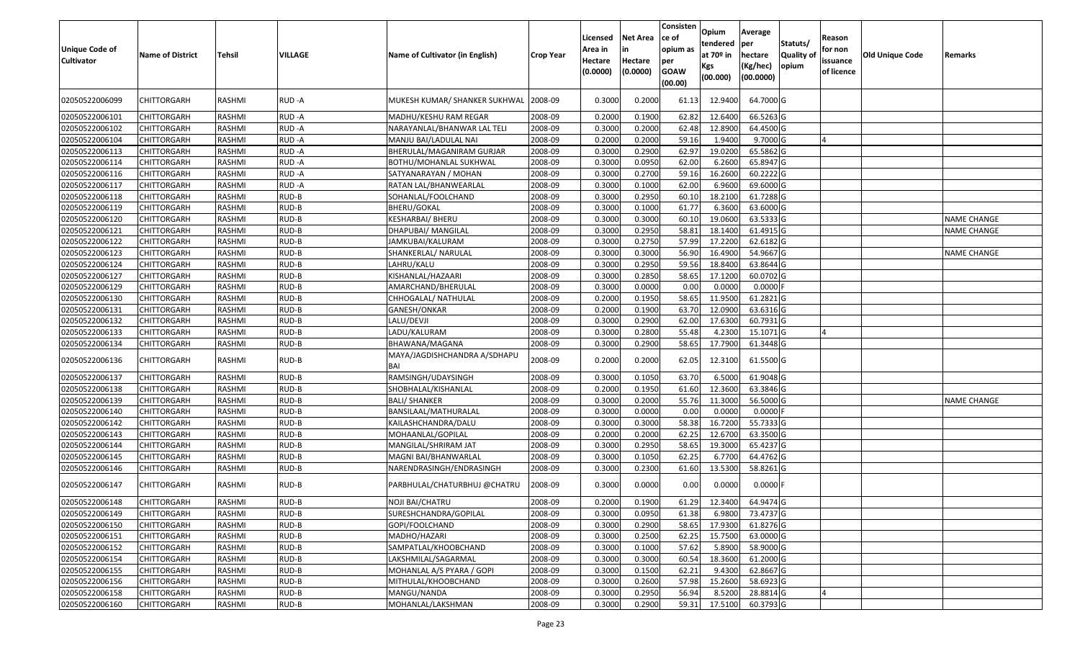| <b>Unique Code of</b><br><b>Cultivator</b> | <b>Name of District</b> | Tehsil        | VILLAGE | Name of Cultivator (in English)     | <b>Crop Year</b> | Licensed<br>Area in<br>Hectare<br>(0.0000) | Net Area<br>in<br>Hectare<br>(0.0000) | Consisten<br>ce of<br>opium as<br>per<br><b>GOAW</b><br>(00.00) | Opium<br>tendered<br>at 70º in<br>Kgs<br>(00.000) | Average<br>per<br>hectare<br>(Kg/hec)<br>(00.0000) | Statuts/<br><b>Quality of</b><br>opium | Reason<br>for non<br>issuance<br>of licence | <b>Old Unique Code</b> | Remarks            |
|--------------------------------------------|-------------------------|---------------|---------|-------------------------------------|------------------|--------------------------------------------|---------------------------------------|-----------------------------------------------------------------|---------------------------------------------------|----------------------------------------------------|----------------------------------------|---------------------------------------------|------------------------|--------------------|
| 02050522006099                             | CHITTORGARH             | RASHMI        | RUD -A  | MUKESH KUMAR/ SHANKER SUKHWAL       | 2008-09          | 0.3000                                     | 0.2000                                | 61.13                                                           | 12.9400                                           | 64.7000 G                                          |                                        |                                             |                        |                    |
| 02050522006101                             | CHITTORGARH             | RASHMI        | RUD-A   | MADHU/KESHU RAM REGAR               | 2008-09          | 0.2000                                     | 0.1900                                | 62.82                                                           | 12.6400                                           | 66.5263 G                                          |                                        |                                             |                        |                    |
| 02050522006102                             | CHITTORGARH             | RASHMI        | RUD-A   | NARAYANLAL/BHANWAR LAL TELI         | 2008-09          | 0.3000                                     | 0.2000                                | 62.48                                                           | 12.8900                                           | 64.4500 G                                          |                                        |                                             |                        |                    |
| 02050522006104                             | CHITTORGARH             | RASHMI        | RUD-A   | MANJU BAI/LADULAL NAI               | 2008-09          | 0.2000                                     | 0.2000                                | 59.16                                                           | 1.9400                                            | 9.7000 G                                           |                                        |                                             |                        |                    |
| 02050522006113                             | CHITTORGARH             | RASHMI        | RUD-A   | BHERULAL/MAGANIRAM GURJAR           | 2008-09          | 0.3000                                     | 0.2900                                | 62.97                                                           | 19.0200                                           | 65.5862 G                                          |                                        |                                             |                        |                    |
| 02050522006114                             | CHITTORGARH             | RASHMI        | RUD-A   | BOTHU/MOHANLAL SUKHWAL              | 2008-09          | 0.3000                                     | 0.0950                                | 62.00                                                           | 6.2600                                            | 65.8947 G                                          |                                        |                                             |                        |                    |
| 02050522006116                             | <b>CHITTORGARH</b>      | <b>RASHMI</b> | RUD-A   | SATYANARAYAN / MOHAN                | 2008-09          | 0.3000                                     | 0.2700                                | 59.16                                                           | 16.2600                                           | 60.2222 G                                          |                                        |                                             |                        |                    |
| 02050522006117                             | <b>CHITTORGARH</b>      | RASHMI        | RUD-A   | RATAN LAL/BHANWEARLAL               | 2008-09          | 0.3000                                     | 0.1000                                | 62.00                                                           | 6.9600                                            | 69.6000 G                                          |                                        |                                             |                        |                    |
| 02050522006118                             | CHITTORGARH             | RASHMI        | RUD-B   | SOHANLAL/FOOLCHAND                  | 2008-09          | 0.3000                                     | 0.2950                                | 60.10                                                           | 18.2100                                           | 61.7288 G                                          |                                        |                                             |                        |                    |
| 02050522006119                             | CHITTORGARH             | RASHMI        | RUD-B   | <b>BHERU/GOKAL</b>                  | 2008-09          | 0.3000                                     | 0.1000                                | 61.77                                                           | 6.3600                                            | 63.6000 G                                          |                                        |                                             |                        |                    |
| 02050522006120                             | <b>CHITTORGARH</b>      | <b>RASHMI</b> | RUD-B   | KESHARBAI/ BHERU                    | 2008-09          | 0.3000                                     | 0.3000                                | 60.10                                                           | 19.0600                                           | 63.5333 G                                          |                                        |                                             |                        | <b>NAME CHANGE</b> |
| 02050522006121                             | <b>CHITTORGARH</b>      | RASHMI        | RUD-B   | DHAPUBAI/ MANGILAL                  | 2008-09          | 0.3000                                     | 0.2950                                | 58.81                                                           | 18.1400                                           | 61.4915 G                                          |                                        |                                             |                        | <b>NAME CHANGE</b> |
| 02050522006122                             | <b>CHITTORGARH</b>      | RASHMI        | RUD-B   | JAMKUBAI/KALURAM                    | 2008-09          | 0.3000                                     | 0.2750                                | 57.99                                                           | 17.2200                                           | 62.6182 G                                          |                                        |                                             |                        |                    |
| 02050522006123                             | CHITTORGARH             | RASHMI        | RUD-B   | SHANKERLAL/ NARULAL                 | 2008-09          | 0.3000                                     | 0.3000                                | 56.90                                                           | 16.4900                                           | 54.9667 G                                          |                                        |                                             |                        | <b>NAME CHANGE</b> |
| 02050522006124                             | CHITTORGARH             | RASHMI        | RUD-B   | LAHRU/KALU                          | 2008-09          | 0.3000                                     | 0.2950                                | 59.56                                                           | 18.8400                                           | 63.8644 G                                          |                                        |                                             |                        |                    |
| 02050522006127                             | CHITTORGARH             | RASHMI        | RUD-B   | KISHANLAL/HAZAARI                   | 2008-09          | 0.3000                                     | 0.2850                                | 58.65                                                           | 17.1200                                           | 60.0702 G                                          |                                        |                                             |                        |                    |
| 02050522006129                             | CHITTORGARH             | RASHMI        | RUD-B   | AMARCHAND/BHERULAL                  | 2008-09          | 0.3000                                     | 0.0000                                | 0.00                                                            | 0.0000                                            | $0.0000$ F                                         |                                        |                                             |                        |                    |
| 02050522006130                             | CHITTORGARH             | RASHMI        | RUD-B   | CHHOGALAL/ NATHULAL                 | 2008-09          | 0.2000                                     | 0.1950                                | 58.65                                                           | 11.9500                                           | 61.2821 G                                          |                                        |                                             |                        |                    |
| 02050522006131                             | CHITTORGARH             | RASHMI        | RUD-B   | GANESH/ONKAR                        | 2008-09          | 0.2000                                     | 0.1900                                | 63.70                                                           | 12.0900                                           | 63.6316 G                                          |                                        |                                             |                        |                    |
| 02050522006132                             | CHITTORGARH             | RASHMI        | RUD-B   | LALU/DEVJI                          | 2008-09          | 0.3000                                     | 0.2900                                | 62.00                                                           | 17.6300                                           | 60.7931 G                                          |                                        |                                             |                        |                    |
| 02050522006133                             | CHITTORGARH             | RASHMI        | RUD-B   | LADU/KALURAM                        | 2008-09          | 0.3000                                     | 0.2800                                | 55.48                                                           | 4.2300                                            | 15.1071 G                                          |                                        | $\Delta$                                    |                        |                    |
| 02050522006134                             | CHITTORGARH             | RASHMI        | RUD-B   | BHAWANA/MAGANA                      | 2008-09          | 0.3000                                     | 0.2900                                | 58.65                                                           | 17.7900                                           | 61.3448 G                                          |                                        |                                             |                        |                    |
| 02050522006136                             | CHITTORGARH             | RASHMI        | RUD-B   | MAYA/JAGDISHCHANDRA A/SDHAPU<br>BAI | 2008-09          | 0.2000                                     | 0.2000                                | 62.05                                                           | 12.3100                                           | 61.5500 G                                          |                                        |                                             |                        |                    |
| 02050522006137                             | CHITTORGARH             | RASHMI        | RUD-B   | RAMSINGH/UDAYSINGH                  | 2008-09          | 0.3000                                     | 0.105                                 | 63.70                                                           | 6.5000                                            | 61.9048 G                                          |                                        |                                             |                        |                    |
| 02050522006138                             | <b>CHITTORGARH</b>      | RASHMI        | RUD-B   | SHOBHALAL/KISHANLAL                 | 2008-09          | 0.2000                                     | 0.1950                                | 61.60                                                           | 12.3600                                           | 63.3846 G                                          |                                        |                                             |                        |                    |
| 02050522006139                             | CHITTORGARH             | RASHMI        | RUD-B   | <b>BALI/ SHANKER</b>                | 2008-09          | 0.3000                                     | 0.2000                                | 55.76                                                           | 11.3000                                           | 56.5000 G                                          |                                        |                                             |                        | NAME CHANGE        |
| 02050522006140                             | <b>CHITTORGARH</b>      | <b>RASHMI</b> | RUD-B   | BANSILAAL/MATHURALAL                | 2008-09          | 0.3000                                     | 0.0000                                | 0.00                                                            | 0.0000                                            | $0.0000$ F                                         |                                        |                                             |                        |                    |
| 02050522006142                             | CHITTORGARH             | RASHMI        | RUD-B   | KAILASHCHANDRA/DALU                 | 2008-09          | 0.3000                                     | 0.3000                                | 58.38                                                           | 16.7200                                           | 55.7333 G                                          |                                        |                                             |                        |                    |
| 02050522006143                             | <b>CHITTORGARH</b>      | RASHMI        | RUD-B   | MOHAANLAL/GOPILAL                   | 2008-09          | 0.2000                                     | 0.2000                                | 62.25                                                           | 12.6700                                           | 63.3500 G                                          |                                        |                                             |                        |                    |
| 02050522006144                             | CHITTORGARH             | RASHMI        | RUD-B   | MANGILAL/SHRIRAM JAT                | 2008-09          | 0.3000                                     | 0.2950                                | 58.65                                                           | 19.3000                                           | 65.4237 G                                          |                                        |                                             |                        |                    |
| 02050522006145                             | CHITTORGARH             | RASHMI        | RUD-B   | MAGNI BAI/BHANWARLAL                | 2008-09          | 0.3000                                     | 0.1050                                | 62.25                                                           | 6.7700                                            | 64.4762 G                                          |                                        |                                             |                        |                    |
| 02050522006146                             | <b>CHITTORGARH</b>      | RASHMI        | RUD-B   | NARENDRASINGH/ENDRASINGH            | 2008-09          | 0.3000                                     | 0.2300                                | 61.60                                                           | 13.5300                                           | 58.8261 G                                          |                                        |                                             |                        |                    |
| 02050522006147                             | CHITTORGARH             | RASHMI        | RUD-B   | PARBHULAL/CHATURBHUJ @CHATRU        | 2008-09          | 0.3000                                     | 0.0000                                | 0.00                                                            | 0.0000                                            | $0.0000$ F                                         |                                        |                                             |                        |                    |
| 02050522006148                             | <b>CHITTORGARH</b>      | RASHMI        | RUD-B   | NOJI BAI/CHATRU                     | 2008-09          | 0.2000                                     | 0.1900                                | 61.29                                                           |                                                   | 12.3400 64.9474 G                                  |                                        |                                             |                        |                    |
| 02050522006149                             | <b>CHITTORGARH</b>      | RASHMI        | RUD-B   | SURESHCHANDRA/GOPILAL               | 2008-09          | 0.3000                                     | 0.0950                                | 61.38                                                           | 6.9800                                            | 73.4737 G                                          |                                        |                                             |                        |                    |
| 02050522006150                             | <b>CHITTORGARH</b>      | RASHMI        | RUD-B   | GOPI/FOOLCHAND                      | 2008-09          | 0.3000                                     | 0.2900                                | 58.65                                                           | 17.9300                                           | 61.8276 G                                          |                                        |                                             |                        |                    |
| 02050522006151                             | <b>CHITTORGARH</b>      | RASHMI        | RUD-B   | MADHO/HAZARI                        | 2008-09          | 0.3000                                     | 0.2500                                | 62.25                                                           | 15.7500                                           | 63.0000 G                                          |                                        |                                             |                        |                    |
| 02050522006152                             | <b>CHITTORGARH</b>      | RASHMI        | RUD-B   | SAMPATLAL/KHOOBCHAND                | 2008-09          | 0.3000                                     | 0.1000                                | 57.62                                                           | 5.8900                                            | 58.9000 G                                          |                                        |                                             |                        |                    |
| 02050522006154                             | <b>CHITTORGARH</b>      | RASHMI        | RUD-B   | LAKSHMILAL/SAGARMAL                 | 2008-09          | 0.3000                                     | 0.3000                                | 60.54                                                           | 18.3600                                           | 61.2000 G                                          |                                        |                                             |                        |                    |
| 02050522006155                             | <b>CHITTORGARH</b>      | RASHMI        | RUD-B   | MOHANLAL A/S PYARA / GOPI           | 2008-09          | 0.3000                                     | 0.1500                                | 62.21                                                           | 9.4300                                            | 62.8667 G                                          |                                        |                                             |                        |                    |
| 02050522006156                             | <b>CHITTORGARH</b>      | RASHMI        | RUD-B   | MITHULAL/KHOOBCHAND                 | 2008-09          | 0.3000                                     | 0.2600                                | 57.98                                                           | 15.2600                                           | 58.6923 G                                          |                                        |                                             |                        |                    |
| 02050522006158                             | <b>CHITTORGARH</b>      | RASHMI        | RUD-B   | MANGU/NANDA                         | 2008-09          | 0.3000                                     | 0.2950                                | 56.94                                                           | 8.5200                                            | 28.8814 G                                          |                                        |                                             |                        |                    |
| 02050522006160                             | <b>CHITTORGARH</b>      | RASHMI        | RUD-B   | MOHANLAL/LAKSHMAN                   | 2008-09          | 0.3000                                     | 0.2900                                | 59.31                                                           | 17.5100                                           | 60.3793 G                                          |                                        |                                             |                        |                    |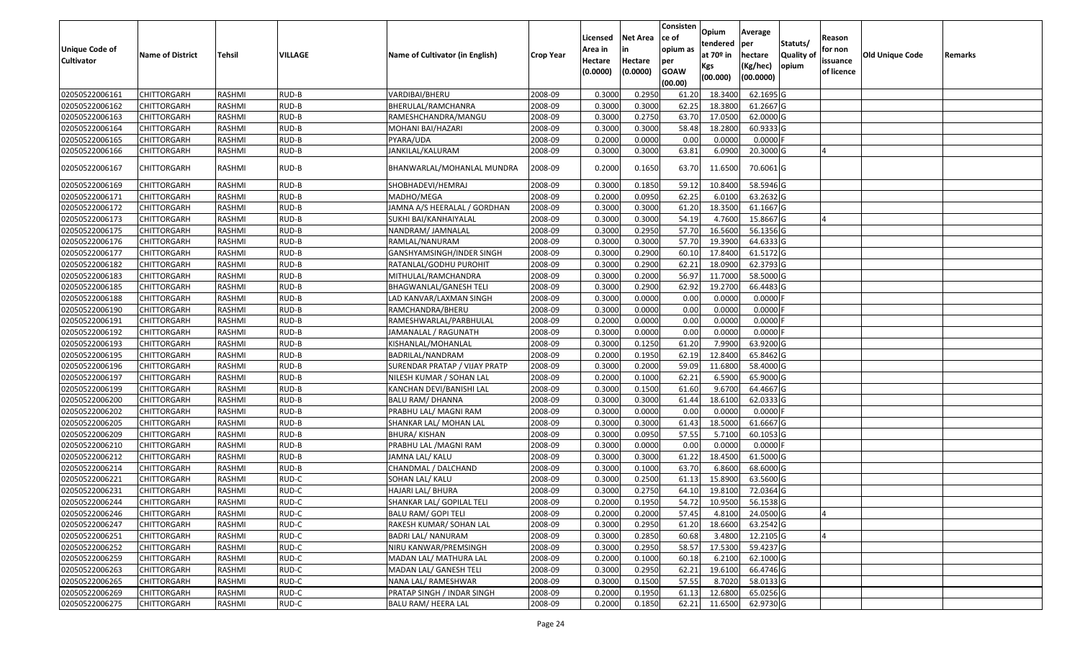|                                  |                                   |                  |                |                                 |                    |          |                 | Consisten      | Opium         | Average    |                  |            |                 |         |
|----------------------------------|-----------------------------------|------------------|----------------|---------------------------------|--------------------|----------|-----------------|----------------|---------------|------------|------------------|------------|-----------------|---------|
|                                  |                                   |                  |                |                                 |                    | Licensed | <b>Net Area</b> | ce of          | tendered      | per        | Statuts/         | Reason     |                 |         |
| <b>Unique Code of</b>            | <b>Name of District</b>           | <b>Tehsil</b>    | VILLAGE        | Name of Cultivator (in English) | <b>Crop Year</b>   | Area in  |                 | opium as       | at $70°$ in   | hectare    | <b>Quality o</b> | for non    | Old Unique Code | Remarks |
| <b>Cultivator</b>                |                                   |                  |                |                                 |                    | Hectare  | Hectare         | per            | Kgs           | (Kg/hec)   | opium            | issuance   |                 |         |
|                                  |                                   |                  |                |                                 |                    | (0.0000) | (0.0000)        | <b>GOAW</b>    | (00.000)      | (00.0000)  |                  | of licence |                 |         |
| 02050522006161                   |                                   | RASHMI           |                | VARDIBAI/BHERU                  |                    | 0.3000   | 0.2950          | (00.00)        | 18.3400       | 62.1695 G  |                  |            |                 |         |
| 02050522006162                   | CHITTORGARH<br>CHITTORGARH        |                  | RUD-B          |                                 | 2008-09            | 0.3000   | 0.3000          | 61.20<br>62.25 | 18.3800       | 61.2667 G  |                  |            |                 |         |
|                                  |                                   | RASHMI           | RUD-B<br>RUD-B | BHERULAL/RAMCHANRA              | 2008-09            | 0.3000   | 0.2750          | 63.70          | 17.0500       | 62.0000G   |                  |            |                 |         |
| 02050522006163<br>02050522006164 | CHITTORGARH<br><b>CHITTORGARH</b> | RASHMI<br>RASHMI | RUD-B          | RAMESHCHANDRA/MANGU             | 2008-09<br>2008-09 | 0.3000   | 0.3000          | 58.48          | 18.2800       | 60.9333 G  |                  |            |                 |         |
| 02050522006165                   | CHITTORGARH                       | RASHMI           | RUD-B          | MOHANI BAI/HAZARI<br>PYARA/UDA  | 2008-09            | 0.2000   | 0.0000          | 0.00           | 0.0000        | $0.0000$ F |                  |            |                 |         |
| 02050522006166                   | CHITTORGARH                       | RASHMI           | RUD-B          | JANKILAL/KALURAM                | 2008-09            | 0.3000   | 0.3000          | 63.81          | 6.0900        | 20.3000 G  |                  |            |                 |         |
|                                  |                                   |                  |                |                                 |                    |          |                 |                |               |            |                  |            |                 |         |
| 02050522006167                   | CHITTORGARH                       | RASHMI           | RUD-B          | BHANWARLAL/MOHANLAL MUNDRA      | 2008-09            | 0.2000   | 0.1650          | 63.70          | 11.6500       | 70.6061 G  |                  |            |                 |         |
| 02050522006169                   | CHITTORGARH                       | RASHMI           | RUD-B          | SHOBHADEVI/HEMRAJ               | 2008-09            | 0.3000   | 0.1850          | 59.12          | 10.8400       | 58.5946 G  |                  |            |                 |         |
| 02050522006171                   | <b>CHITTORGARH</b>                | RASHMI           | RUD-B          | MADHO/MEGA                      | 2008-09            | 0.2000   | 0.0950          | 62.25          | 6.0100        | 63.2632 G  |                  |            |                 |         |
| 02050522006172                   | <b>CHITTORGARH</b>                | RASHMI           | RUD-B          | JAMNA A/S HEERALAL / GORDHAN    | 2008-09            | 0.3000   | 0.3000          | 61.20          | 18.3500       | 61.1667 G  |                  |            |                 |         |
| 02050522006173                   | CHITTORGARH                       | RASHMI           | RUD-B          | SUKHI BAI/KANHAIYALAL           | 2008-09            | 0.3000   | 0.3000          | 54.19          | 4.7600        | 15.8667 G  |                  |            |                 |         |
| 02050522006175                   | <b>CHITTORGARH</b>                | RASHMI           | RUD-B          | NANDRAM/ JAMNALAL               | 2008-09            | 0.3000   | 0.2950          | 57.70          | 16.5600       | 56.1356 G  |                  |            |                 |         |
| 02050522006176                   | CHITTORGARH                       | RASHMI           | RUD-B          | RAMLAL/NANURAM                  | 2008-09            | 0.3000   | 0.3000          | 57.70          | 19.3900       | 64.6333 G  |                  |            |                 |         |
| 02050522006177                   | CHITTORGARH                       | RASHMI           | RUD-B          | GANSHYAMSINGH/INDER SINGH       | 2008-09            | 0.3000   | 0.2900          | 60.1           | 17.8400       | 61.5172G   |                  |            |                 |         |
| 02050522006182                   | CHITTORGARH                       | RASHMI           | RUD-B          | RATANLAL/GODHU PUROHIT          | 2008-09            | 0.3000   | 0.2900          | 62.2           | 18.0900       | 62.3793 G  |                  |            |                 |         |
| 02050522006183                   | CHITTORGARH                       | RASHMI           | RUD-B          | MITHULAL/RAMCHANDRA             | 2008-09            | 0.3000   | 0.2000          | 56.97          | 11.7000       | 58.5000 G  |                  |            |                 |         |
| 02050522006185                   | CHITTORGARH                       | RASHMI           | RUD-B          | BHAGWANLAL/GANESH TELI          | 2008-09            | 0.300    | 0.2900          | 62.92          | 19.2700       | 66.4483 G  |                  |            |                 |         |
| 02050522006188                   | CHITTORGARH                       | RASHMI           | RUD-B          | LAD KANVAR/LAXMAN SINGH         | 2008-09            | 0.300    | 0.0000          | 0.00           | 0.0000        | $0.0000$ F |                  |            |                 |         |
| 02050522006190                   | CHITTORGARH                       | RASHMI           | RUD-B          | RAMCHANDRA/BHERU                | 2008-09            | 0.3000   | 0.0000          | 0.00           | 0.0000        | 0.0000     |                  |            |                 |         |
| 02050522006191                   | CHITTORGARH                       | RASHMI           | RUD-B          | RAMESHWARLAL/PARBHULAL          | 2008-09            | 0.2000   | 0.0000          | 0.00           | 0.0000        | 0.0000     |                  |            |                 |         |
| 02050522006192                   | CHITTORGARH                       | RASHMI           | RUD-B          | JAMANALAL / RAGUNATH            | 2008-09            | 0.3000   | 0.0000          | 0.00           | 0.0000        | 0.0000     |                  |            |                 |         |
| 02050522006193                   | CHITTORGARH                       | RASHMI           | RUD-B          | KISHANLAL/MOHANLAL              | 2008-09            | 0.3000   | 0.1250          | 61.20          | 7.9900        | 63.9200 G  |                  |            |                 |         |
| 02050522006195                   | CHITTORGARH                       | RASHMI           | RUD-B          | BADRILAL/NANDRAM                | 2008-09            | 0.2000   | 0.1950          | 62.19          | 12.8400       | 65.8462 G  |                  |            |                 |         |
| 02050522006196                   | CHITTORGARH                       | RASHMI           | RUD-B          | SURENDAR PRATAP / VIJAY PRATP   | 2008-09            | 0.3000   | 0.2000          | 59.09          | 11.6800       | 58.4000 G  |                  |            |                 |         |
| 02050522006197                   | CHITTORGARH                       | RASHMI           | RUD-B          | NILESH KUMAR / SOHAN LAL        | 2008-09            | 0.2000   | 0.1000          | 62.21          | 6.5900        | 65.9000 G  |                  |            |                 |         |
| 02050522006199                   | CHITTORGARH                       | RASHMI           | RUD-B          | KANCHAN DEVI/BANISHI LAL        | 2008-09            | 0.3000   | 0.1500          | 61.60          | 9.6700        | 64.4667 G  |                  |            |                 |         |
| 02050522006200                   | CHITTORGARH                       | RASHMI           | RUD-B          | BALU RAM/ DHANNA                | 2008-09            | 0.3000   | 0.3000          | 61.44          | 18.6100       | 62.0333 G  |                  |            |                 |         |
| 02050522006202                   | CHITTORGARH                       | <b>RASHMI</b>    | RUD-B          | PRABHU LAL/ MAGNI RAM           | 2008-09            | 0.3000   | 0.0000          | 0.00           | 0.0000        | $0.0000$ F |                  |            |                 |         |
| 02050522006205                   | CHITTORGARH                       | RASHMI           | RUD-B          | SHANKAR LAL/ MOHAN LAL          | 2008-09            | 0.3000   | 0.3000          | 61.43          | 18.5000       | 61.6667 G  |                  |            |                 |         |
| 02050522006209                   | CHITTORGARH                       | RASHMI           | RUD-B          | BHURA/ KISHAN                   | 2008-09            | 0.3000   | 0.0950          | 57.55          | 5.7100        | 60.1053 G  |                  |            |                 |         |
| 02050522006210                   | CHITTORGARH                       | RASHMI           | RUD-B          | PRABHU LAL /MAGNI RAM           | 2008-09            | 0.3000   | 0.0000          | 0.00           | 0.0000        | $0.0000$ F |                  |            |                 |         |
| 02050522006212                   | CHITTORGARH                       | RASHMI           | RUD-B          | JAMNA LAL/ KALU                 | 2008-09            | 0.3000   | 0.3000          | 61.22          | 18.4500       | 61.5000G   |                  |            |                 |         |
| 02050522006214                   | <b>CHITTORGARH</b>                | RASHMI           | RUD-B          | CHANDMAL / DALCHAND             | 2008-09            | 0.3000   | 0.1000          | 63.70          | 6.8600        | 68.6000 G  |                  |            |                 |         |
| 02050522006221                   | CHITTORGARH                       | RASHMI           | RUD-C          | SOHAN LAL/ KALU                 | 2008-09            | 0.300    | 0.2500          | 61.13          | 15.8900       | 63.5600 G  |                  |            |                 |         |
| 02050522006231                   | CHITTORGARH                       | RASHMI           | RUD-C          | HAJARI LAL/ BHURA               | 2008-09            | 0.3000   | 0.2750          | 64.10          | 19.8100       | 72.0364 G  |                  |            |                 |         |
| 02050522006244                   | <b>CHITTORGARH</b>                | RASHMI           | RUD-C          | SHANKAR LAL/ GOPILAL TELI       | 2008-09            | 0.2000   | 0.1950          |                | 54.72 10.9500 | 56.1538 G  |                  |            |                 |         |
| 02050522006246                   | <b>CHITTORGARH</b>                | RASHMI           | RUD-C          | <b>BALU RAM/ GOPI TELI</b>      | 2008-09            | 0.2000   | 0.2000          | 57.45          | 4.8100        | 24.0500 G  |                  |            |                 |         |
| 02050522006247                   | <b>CHITTORGARH</b>                | RASHMI           | RUD-C          | RAKESH KUMAR/ SOHAN LAL         | 2008-09            | 0.3000   | 0.2950          | 61.20          | 18.6600       | 63.2542 G  |                  |            |                 |         |
| 02050522006251                   | <b>CHITTORGARH</b>                | RASHMI           | RUD-C          | <b>BADRI LAL/ NANURAM</b>       | 2008-09            | 0.3000   | 0.2850          | 60.68          | 3.4800        | 12.2105 G  |                  |            |                 |         |
| 02050522006252                   | CHITTORGARH                       | RASHMI           | RUD-C          | NIRU KANWAR/PREMSINGH           | 2008-09            | 0.3000   | 0.2950          | 58.57          | 17.5300       | 59.4237 G  |                  |            |                 |         |
| 02050522006259                   | <b>CHITTORGARH</b>                | RASHMI           | RUD-C          | MADAN LAL/ MATHURA LAL          | 2008-09            | 0.2000   | 0.1000          | 60.18          | 6.2100        | 62.1000 G  |                  |            |                 |         |
| 02050522006263                   | <b>CHITTORGARH</b>                | RASHMI           | RUD-C          | MADAN LAL/ GANESH TELI          | 2008-09            | 0.3000   | 0.2950          | 62.21          | 19.6100       | 66.4746 G  |                  |            |                 |         |
| 02050522006265                   | CHITTORGARH                       | RASHMI           | RUD-C          | NANA LAL/ RAMESHWAR             | 2008-09            | 0.3000   | 0.1500          | 57.55          | 8.7020        | 58.0133 G  |                  |            |                 |         |
| 02050522006269                   | <b>CHITTORGARH</b>                | RASHMI           | RUD-C          | PRATAP SINGH / INDAR SINGH      | 2008-09            | 0.2000   | 0.1950          | 61.13          | 12.6800       | 65.0256 G  |                  |            |                 |         |
| 02050522006275                   | <b>CHITTORGARH</b>                | RASHMI           | RUD-C          | <b>BALU RAM/ HEERA LAL</b>      | 2008-09            | 0.2000   | 0.1850          | 62.21          | 11.6500       | 62.9730 G  |                  |            |                 |         |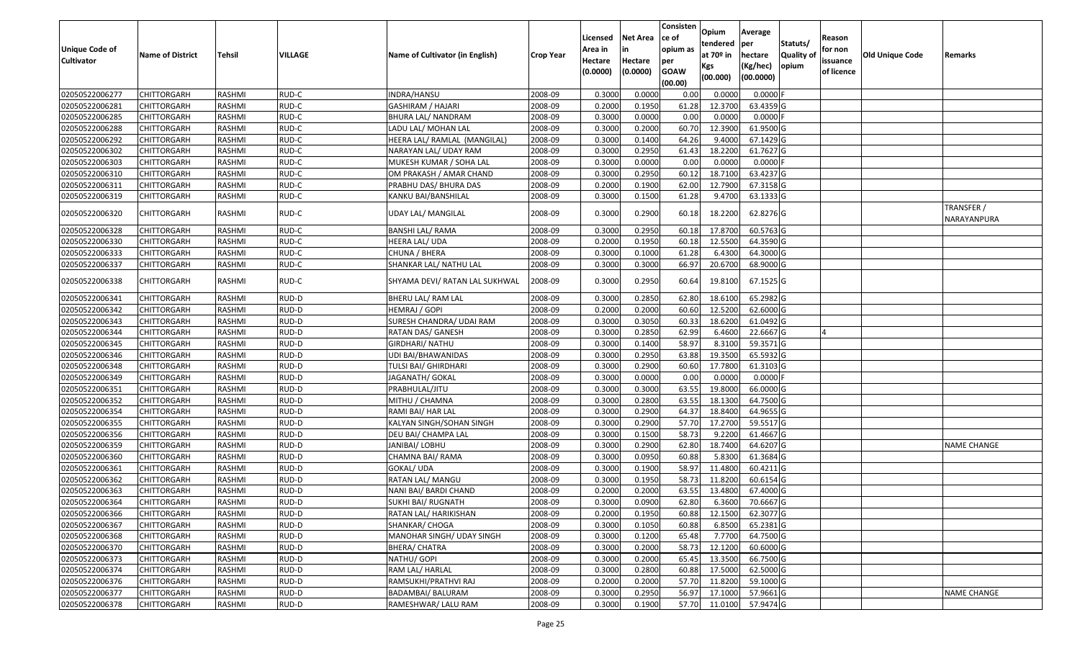| Unique Code of<br><b>Cultivator</b> | <b>Name of District</b> | Tehsil        | VILLAGE | Name of Cultivator (in English) | <b>Crop Year</b> | Licensed<br>Area in<br>Hectare | Net Area<br>in<br>Hectare | Consisten<br>ce of<br>opium as | Opium<br>tendered<br>at 70º in | Average<br>per<br>hectare | Statuts/<br><b>Quality of</b> | Reason<br>for non      | <b>Old Unique Code</b> | Remarks                   |
|-------------------------------------|-------------------------|---------------|---------|---------------------------------|------------------|--------------------------------|---------------------------|--------------------------------|--------------------------------|---------------------------|-------------------------------|------------------------|------------------------|---------------------------|
|                                     |                         |               |         |                                 |                  | (0.0000)                       | (0.0000)                  | per<br><b>GOAW</b><br>(00.00)  | Kgs<br>(00.000)                | (Kg/hec)<br>(00.0000)     | opium                         | issuance<br>of licence |                        |                           |
| 02050522006277                      | <b>CHITTORGARH</b>      | RASHMI        | RUD-C   | INDRA/HANSU                     | 2008-09          | 0.3000                         | 0.0000                    | 0.00                           | 0.0000                         | $0.0000$ F                |                               |                        |                        |                           |
| 02050522006281                      | CHITTORGARH             | RASHMI        | RUD-C   | <b>GASHIRAM / HAJARI</b>        | 2008-09          | 0.2000                         | 0.1950                    | 61.28                          | 12.3700                        | 63.4359 G                 |                               |                        |                        |                           |
| 02050522006285                      | CHITTORGARH             | RASHMI        | RUD-C   | BHURA LAL/ NANDRAM              | 2008-09          | 0.3000                         | 0.0000                    | 0.00                           | 0.0000                         | $0.0000$ F                |                               |                        |                        |                           |
| 02050522006288                      | <b>CHITTORGARH</b>      | RASHMI        | RUD-C   | LADU LAL/ MOHAN LAL             | 2008-09          | 0.3000                         | 0.2000                    | 60.70                          | 12.3900                        | 61.9500 G                 |                               |                        |                        |                           |
| 02050522006292                      | CHITTORGARH             | RASHMI        | RUD-C   | HEERA LAL/ RAMLAL (MANGILAL)    | 2008-09          | 0.3000                         | 0.1400                    | 64.26                          | 9.4000                         | 67.1429 G                 |                               |                        |                        |                           |
| 02050522006302                      | <b>CHITTORGARH</b>      | RASHMI        | RUD-C   | NARAYAN LAL/ UDAY RAM           | 2008-09          | 0.3000                         | 0.2950                    | 61.43                          | 18.2200                        | 61.7627 G                 |                               |                        |                        |                           |
| 02050522006303                      | CHITTORGARH             | RASHMI        | RUD-C   | MUKESH KUMAR / SOHA LAL         | 2008-09          | 0.3000                         | 0.0000                    | 0.00                           | 0.0000                         | $0.0000$ F                |                               |                        |                        |                           |
| 02050522006310                      | <b>CHITTORGARH</b>      | <b>RASHMI</b> | RUD-C   | OM PRAKASH / AMAR CHAND         | 2008-09          | 0.3000                         | 0.2950                    | 60.12                          | 18.7100                        | 63.4237 G                 |                               |                        |                        |                           |
| 02050522006311                      | CHITTORGARH             | RASHMI        | RUD-C   | PRABHU DAS/ BHURA DAS           | 2008-09          | 0.2000                         | 0.1900                    | 62.00                          | 12.7900                        | 67.3158 G                 |                               |                        |                        |                           |
| 02050522006319                      | CHITTORGARH             | RASHMI        | RUD-C   | KANKU BAI/BANSHILAL             | 2008-09          | 0.3000                         | 0.1500                    | 61.28                          | 9.4700                         | 63.1333 G                 |                               |                        |                        |                           |
| 02050522006320                      | CHITTORGARH             | RASHMI        | RUD-C   | UDAY LAL/ MANGILAL              | 2008-09          | 0.3000                         | 0.2900                    | 60.18                          | 18.2200                        | 62.8276 G                 |                               |                        |                        | TRANSFER /<br>NARAYANPURA |
| 02050522006328                      | <b>CHITTORGARH</b>      | RASHMI        | RUD-C   | <b>BANSHI LAL/ RAMA</b>         | 2008-09          | 0.3000                         | 0.2950                    | 60.18                          | 17.8700                        | 60.5763 G                 |                               |                        |                        |                           |
| 02050522006330                      | <b>CHITTORGARH</b>      | RASHMI        | RUD-C   | HEERA LAL/ UDA                  | 2008-09          | 0.2000                         | 0.1950                    | 60.18                          | 12.5500                        | 64.3590 G                 |                               |                        |                        |                           |
| 02050522006333                      | CHITTORGARH             | RASHMI        | RUD-C   | CHUNA / BHERA                   | 2008-09          | 0.3000                         | 0.1000                    | 61.28                          | 6.4300                         | 64.3000 G                 |                               |                        |                        |                           |
| 02050522006337                      | CHITTORGARH             | RASHMI        | RUD-C   | SHANKAR LAL/ NATHU LAL          | 2008-09          | 0.3000                         | 0.3000                    | 66.97                          | 20.6700                        | 68.9000 G                 |                               |                        |                        |                           |
| 02050522006338                      | CHITTORGARH             | RASHMI        | RUD-C   | SHYAMA DEVI/ RATAN LAL SUKHWAL  | 2008-09          | 0.3000                         | 0.2950                    | 60.64                          | 19.8100                        | 67.1525 G                 |                               |                        |                        |                           |
| 02050522006341                      | CHITTORGARH             | RASHMI        | RUD-D   | BHERU LAL/ RAM LAL              | 2008-09          | 0.3000                         | 0.2850                    | 62.80                          | 18.6100                        | 65.2982 G                 |                               |                        |                        |                           |
| 02050522006342                      | CHITTORGARH             | RASHMI        | RUD-D   | HEMRAJ / GOPI                   | 2008-09          | 0.2000                         | 0.2000                    | 60.60                          | 12.5200                        | 62.6000 G                 |                               |                        |                        |                           |
| 02050522006343                      | <b>CHITTORGARH</b>      | RASHMI        | RUD-D   | SURESH CHANDRA/ UDAI RAM        | 2008-09          | 0.3000                         | 0.3050                    | 60.33                          | 18.6200                        | 61.0492 G                 |                               |                        |                        |                           |
| 02050522006344                      | CHITTORGARH             | RASHMI        | RUD-D   | RATAN DAS/ GANESH               | 2008-09          | 0.3000                         | 0.2850                    | 62.99                          | 6.4600                         | 22.6667 G                 |                               |                        |                        |                           |
| 02050522006345                      | CHITTORGARH             | RASHMI        | RUD-D   | <b>GIRDHARI/ NATHU</b>          | 2008-09          | 0.3000                         | 0.1400                    | 58.97                          | 8.3100                         | 59.3571 G                 |                               |                        |                        |                           |
| 02050522006346                      | CHITTORGARH             | RASHMI        | RUD-D   | UDI BAI/BHAWANIDAS              | 2008-09          | 0.3000                         | 0.2950                    | 63.88                          | 19.3500                        | 65.5932 G                 |                               |                        |                        |                           |
| 02050522006348                      | CHITTORGARH             | RASHMI        | RUD-D   | TULSI BAI/ GHIRDHARI            | 2008-09          | 0.3000                         | 0.2900                    | 60.60                          | 17.7800                        | 61.3103 G                 |                               |                        |                        |                           |
| 02050522006349                      | CHITTORGARH             | <b>RASHMI</b> | RUD-D   | JAGANATH/ GOKAL                 | 2008-09          | 0.3000                         | 0.0000                    | 0.00                           | 0.0000                         | $0.0000$ F                |                               |                        |                        |                           |
| 02050522006351                      | CHITTORGARH             | RASHMI        | RUD-D   | PRABHULAL/JITU                  | 2008-09          | 0.3000                         | 0.3000                    | 63.55                          | 19.8000                        | 66.0000 G                 |                               |                        |                        |                           |
| 02050522006352                      | CHITTORGARH             | RASHMI        | RUD-D   | MITHU / CHAMNA                  | 2008-09          | 0.3000                         | 0.2800                    | 63.55                          | 18.1300                        | 64.7500 G                 |                               |                        |                        |                           |
| 02050522006354                      | <b>CHITTORGARH</b>      | <b>RASHMI</b> | RUD-D   | RAMI BAI/ HAR LAL               | 2008-09          | 0.3000                         | 0.2900                    | 64.37                          | 18.8400                        | 64.9655 G                 |                               |                        |                        |                           |
| 02050522006355                      | CHITTORGARH             | RASHMI        | RUD-D   | KALYAN SINGH/SOHAN SINGH        | 2008-09          | 0.3000                         | 0.2900                    | 57.70                          | 17.2700                        | 59.5517 G                 |                               |                        |                        |                           |
| 02050522006356                      | CHITTORGARH             | RASHMI        | RUD-D   | DEU BAI/ CHAMPA LAL             | 2008-09          | 0.3000                         | 0.1500                    | 58.73                          | 9.2200                         | 61.4667 G                 |                               |                        |                        |                           |
| 02050522006359                      | <b>CHITTORGARH</b>      | RASHMI        | RUD-D   | JANIBAI/ LOBHU                  | 2008-09          | 0.3000                         | 0.2900                    | 62.80                          | 18.7400                        | 64.6207 G                 |                               |                        |                        | <b>NAME CHANGE</b>        |
| 02050522006360                      | <b>CHITTORGARH</b>      | <b>RASHMI</b> | RUD-D   | CHAMNA BAI/ RAMA                | 2008-09          | 0.3000                         | 0.0950                    | 60.88                          | 5.8300                         | 61.3684 G                 |                               |                        |                        |                           |
| 02050522006361                      | <b>CHITTORGARH</b>      | RASHMI        | RUD-D   | GOKAL/ UDA                      | 2008-09          | 0.3000                         | 0.1900                    | 58.97                          | 11.4800                        | 60.4211 G                 |                               |                        |                        |                           |
| 02050522006362                      | CHITTORGARH             | RASHMI        | RUD-D   | RATAN LAL/ MANGU                | 2008-09          | 0.3000                         | 0.1950                    | 58.73                          | 11.8200                        | 60.6154 G                 |                               |                        |                        |                           |
| 02050522006363                      | <b>CHITTORGARH</b>      | RASHMI        | RUD-D   | NANI BAI/ BARDI CHAND           | 2008-09          | 0.2000                         | 0.2000                    | 63.55                          | 13.4800                        | 67.4000 G                 |                               |                        |                        |                           |
| 02050522006364                      | <b>CHITTORGARH</b>      | RASHMI        | RUD-D   | SUKHI BAI/ RUGNATH              | 2008-09          | 0.3000                         | 0.0900                    | 62.80                          |                                | 6.3600 70.6667 G          |                               |                        |                        |                           |
| 02050522006366                      | <b>CHITTORGARH</b>      | RASHMI        | RUD-D   | RATAN LAL/ HARIKISHAN           | 2008-09          | 0.2000                         | 0.1950                    | 60.88                          | 12.1500                        | 62.3077 G                 |                               |                        |                        |                           |
| 02050522006367                      | <b>CHITTORGARH</b>      | RASHMI        | RUD-D   | SHANKAR/ CHOGA                  | 2008-09          | 0.3000                         | 0.1050                    | 60.88                          | 6.8500                         | 65.2381 G                 |                               |                        |                        |                           |
| 02050522006368                      | <b>CHITTORGARH</b>      | RASHMI        | RUD-D   | MANOHAR SINGH/ UDAY SINGH       | 2008-09          | 0.3000                         | 0.1200                    | 65.48                          | 7.7700                         | 64.7500 G                 |                               |                        |                        |                           |
| 02050522006370                      | <b>CHITTORGARH</b>      | RASHMI        | RUD-D   | BHERA/ CHATRA                   | 2008-09          | 0.3000                         | 0.2000                    | 58.73                          | 12.1200                        | 60.6000 G                 |                               |                        |                        |                           |
| 02050522006373                      | <b>CHITTORGARH</b>      | RASHMI        | RUD-D   | NATHU/ GOPI                     | 2008-09          | 0.3000                         | 0.2000                    | 65.45                          | 13.3500                        | 66.7500 G                 |                               |                        |                        |                           |
| 02050522006374                      | <b>CHITTORGARH</b>      | RASHMI        | RUD-D   | RAM LAL/ HARLAL                 | 2008-09          | 0.3000                         | 0.2800                    | 60.88                          | 17.5000                        | 62.5000 G                 |                               |                        |                        |                           |
| 02050522006376                      | <b>CHITTORGARH</b>      | RASHMI        | RUD-D   | RAMSUKHI/PRATHVI RAJ            | 2008-09          | 0.2000                         | 0.2000                    | 57.70                          | 11.8200                        | 59.1000 G                 |                               |                        |                        |                           |
| 02050522006377                      | <b>CHITTORGARH</b>      | RASHMI        | RUD-D   | BADAMBAI/ BALURAM               | 2008-09          | 0.3000                         | 0.2950                    | 56.97                          | 17.1000                        | 57.9661 G                 |                               |                        |                        | <b>NAME CHANGE</b>        |
| 02050522006378                      | <b>CHITTORGARH</b>      | RASHMI        | RUD-D   | RAMESHWAR/ LALU RAM             | 2008-09          | 0.3000                         | 0.1900                    | 57.70                          |                                | 11.0100 57.9474 G         |                               |                        |                        |                           |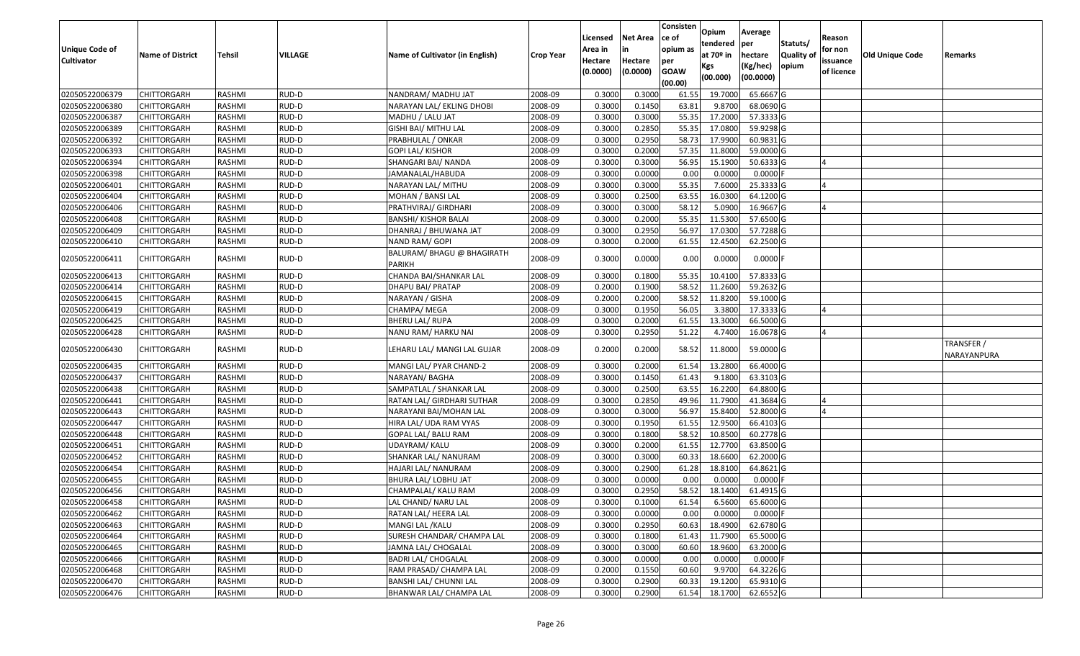| <b>Unique Code of</b><br><b>Cultivator</b> | <b>Name of District</b> | Tehsil        | VILLAGE | Name of Cultivator (in English)      | <b>Crop Year</b> | Licensed<br>Area in<br>Hectare<br>(0.0000) | Net Area<br>in<br>Hectare<br>(0.0000) | Consisten<br>ce of<br>opium as<br>per<br><b>GOAW</b><br>(00.00) | Opium<br>tendered<br>at 70 <sup>o</sup> in<br>Kgs<br>(00.000) | Average<br>per<br>hectare<br>(Kg/hec)<br>(00.0000) | Statuts/<br><b>Quality of</b><br>opium | Reason<br>for non<br>issuance<br>of licence | Old Unique Code | Remarks                   |
|--------------------------------------------|-------------------------|---------------|---------|--------------------------------------|------------------|--------------------------------------------|---------------------------------------|-----------------------------------------------------------------|---------------------------------------------------------------|----------------------------------------------------|----------------------------------------|---------------------------------------------|-----------------|---------------------------|
| 02050522006379                             | CHITTORGARH             | RASHMI        | RUD-D   | NANDRAM/ MADHU JAT                   | 2008-09          | 0.3000                                     | 0.3000                                | 61.55                                                           | 19.7000                                                       | 65.6667 G                                          |                                        |                                             |                 |                           |
| 02050522006380                             | CHITTORGARH             | RASHMI        | RUD-D   | NARAYAN LAL/ EKLING DHOBI            | 2008-09          | 0.3000                                     | 0.1450                                | 63.81                                                           | 9.8700                                                        | 68.0690 G                                          |                                        |                                             |                 |                           |
| 02050522006387                             | CHITTORGARH             | RASHMI        | RUD-D   | MADHU / LALU JAT                     | 2008-09          | 0.3000                                     | 0.3000                                | 55.35                                                           | 17.2000                                                       | 57.3333 G                                          |                                        |                                             |                 |                           |
| 02050522006389                             | <b>CHITTORGARH</b>      | RASHMI        | RUD-D   | GISHI BAI/ MITHU LAL                 | 2008-09          | 0.3000                                     | 0.2850                                | 55.35                                                           | 17.0800                                                       | 59.9298 G                                          |                                        |                                             |                 |                           |
| 02050522006392                             | CHITTORGARH             | RASHMI        | RUD-D   | PRABHULAL / ONKAR                    | 2008-09          | 0.3000                                     | 0.2950                                | 58.73                                                           | 17.9900                                                       | 60.9831 G                                          |                                        |                                             |                 |                           |
| 02050522006393                             | CHITTORGARH             | RASHMI        | RUD-D   | <b>GOPI LAL/ KISHOR</b>              | 2008-09          | 0.3000                                     | 0.2000                                | 57.35                                                           | 11.8000                                                       | 59.0000 G                                          |                                        |                                             |                 |                           |
| 02050522006394                             | CHITTORGARH             | RASHMI        | RUD-D   | SHANGARI BAI/ NANDA                  | 2008-09          | 0.3000                                     | 0.3000                                | 56.95                                                           | 15.1900                                                       | 50.6333 G                                          |                                        |                                             |                 |                           |
| 02050522006398                             | <b>CHITTORGARH</b>      | <b>RASHMI</b> | RUD-D   | JAMANALAL/HABUDA                     | 2008-09          | 0.3000                                     | 0.0000                                | 0.00                                                            | 0.0000                                                        | $0.0000$ F                                         |                                        |                                             |                 |                           |
| 02050522006401                             | CHITTORGARH             | RASHMI        | RUD-D   | NARAYAN LAL/ MITHU                   | 2008-09          | 0.3000                                     | 0.3000                                | 55.35                                                           | 7.6000                                                        | 25.3333 G                                          |                                        |                                             |                 |                           |
| 02050522006404                             | CHITTORGARH             | RASHMI        | RUD-D   | MOHAN / BANSI LAL                    | 2008-09          | 0.3000                                     | 0.2500                                | 63.55                                                           | 16.0300                                                       | 64.1200 G                                          |                                        |                                             |                 |                           |
| 02050522006406                             | CHITTORGARH             | RASHMI        | RUD-D   | PRATHVIRAJ/ GIRDHARI                 | 2008-09          | 0.3000                                     | 0.3000                                | 58.12                                                           | 5.0900                                                        | 16.9667 G                                          |                                        |                                             |                 |                           |
| 02050522006408                             | <b>CHITTORGARH</b>      | RASHMI        | RUD-D   | <b>BANSHI/ KISHOR BALAI</b>          | 2008-09          | 0.3000                                     | 0.2000                                | 55.35                                                           | 11.5300                                                       | 57.6500 G                                          |                                        |                                             |                 |                           |
| 02050522006409                             | <b>CHITTORGARH</b>      | RASHMI        | RUD-D   | DHANRAJ / BHUWANA JAT                | 2008-09          | 0.3000                                     | 0.2950                                | 56.97                                                           | 17.0300                                                       | 57.7288 G                                          |                                        |                                             |                 |                           |
| 02050522006410                             | CHITTORGARH             | RASHMI        | RUD-D   | NAND RAM/ GOPI                       | 2008-09          | 0.3000                                     | 0.2000                                | 61.55                                                           | 12.4500                                                       | 62.2500 G                                          |                                        |                                             |                 |                           |
| 02050522006411                             | CHITTORGARH             | RASHMI        | RUD-D   | BALURAM/ BHAGU @ BHAGIRATH<br>PARIKH | 2008-09          | 0.3000                                     | 0.0000                                | 0.00                                                            | 0.0000                                                        | $0.0000$ F                                         |                                        |                                             |                 |                           |
| 02050522006413                             | CHITTORGARH             | RASHMI        | RUD-D   | CHANDA BAI/SHANKAR LAL               | 2008-09          | 0.3000                                     | 0.1800                                | 55.35                                                           | 10.4100                                                       | 57.8333 G                                          |                                        |                                             |                 |                           |
| 02050522006414                             | CHITTORGARH             | RASHMI        | RUD-D   | DHAPU BAI/ PRATAP                    | 2008-09          | 0.2000                                     | 0.1900                                | 58.52                                                           | 11.2600                                                       | 59.2632 G                                          |                                        |                                             |                 |                           |
| 02050522006415                             | CHITTORGARH             | RASHMI        | RUD-D   | NARAYAN / GISHA                      | 2008-09          | 0.2000                                     | 0.2000                                | 58.52                                                           | 11.8200                                                       | 59.1000 G                                          |                                        |                                             |                 |                           |
| 02050522006419                             | CHITTORGARH             | RASHMI        | RUD-D   | CHAMPA/ MEGA                         | 2008-09          | 0.3000                                     | 0.1950                                | 56.05                                                           | 3.3800                                                        | 17.3333 G                                          |                                        |                                             |                 |                           |
| 02050522006425                             | CHITTORGARH             | RASHMI        | RUD-D   | <b>BHERU LAL/ RUPA</b>               | 2008-09          | 0.3000                                     | 0.2000                                | 61.55                                                           | 13.3000                                                       | 66.5000 G                                          |                                        |                                             |                 |                           |
| 02050522006428                             | CHITTORGARH             | RASHMI        | RUD-D   | NANU RAM/ HARKU NAI                  | 2008-09          | 0.3000                                     | 0.2950                                | 51.22                                                           | 4.7400                                                        | 16.0678 G                                          |                                        | $\Delta$                                    |                 |                           |
| 02050522006430                             | CHITTORGARH             | RASHMI        | RUD-D   | LEHARU LAL/ MANGI LAL GUJAR          | 2008-09          | 0.2000                                     | 0.2000                                | 58.52                                                           | 11.8000                                                       | 59.0000 G                                          |                                        |                                             |                 | TRANSFER /<br>NARAYANPURA |
| 02050522006435                             | CHITTORGARH             | RASHMI        | RUD-D   | MANGI LAL/ PYAR CHAND-2              | 2008-09          | 0.3000                                     | 0.2000                                | 61.54                                                           | 13.2800                                                       | 66.4000 G                                          |                                        |                                             |                 |                           |
| 02050522006437                             | CHITTORGARH             | RASHMI        | RUD-D   | NARAYAN/BAGHA                        | 2008-09          | 0.3000                                     | 0.1450                                | 61.43                                                           | 9.1800                                                        | 63.3103 G                                          |                                        |                                             |                 |                           |
| 02050522006438                             | CHITTORGARH             | RASHMI        | RUD-D   | SAMPATLAL / SHANKAR LAL              | 2008-09          | 0.3000                                     | 0.2500                                | 63.55                                                           | 16.2200                                                       | 64.8800 G                                          |                                        |                                             |                 |                           |
| 02050522006441                             | CHITTORGARH             | RASHMI        | RUD-D   | RATAN LAL/ GIRDHARI SUTHAR           | 2008-09          | 0.3000                                     | 0.2850                                | 49.96                                                           | 11.7900                                                       | 41.3684 G                                          |                                        |                                             |                 |                           |
| 02050522006443                             | <b>CHITTORGARH</b>      | <b>RASHMI</b> | RUD-D   | NARAYANI BAI/MOHAN LAL               | 2008-09          | 0.3000                                     | 0.3000                                | 56.97                                                           | 15.8400                                                       | 52.8000 G                                          |                                        |                                             |                 |                           |
| 02050522006447                             | CHITTORGARH             | RASHMI        | RUD-D   | HIRA LAL/ UDA RAM VYAS               | 2008-09          | 0.3000                                     | 0.1950                                | 61.55                                                           | 12.9500                                                       | 66.4103 G                                          |                                        |                                             |                 |                           |
| 02050522006448                             | <b>CHITTORGARH</b>      | RASHMI        | RUD-D   | GOPAL LAL/ BALU RAM                  | 2008-09          | 0.3000                                     | 0.1800                                | 58.52                                                           | 10.8500                                                       | 60.2778 G                                          |                                        |                                             |                 |                           |
| 02050522006451                             | CHITTORGARH             | RASHMI        | RUD-D   | UDAYRAM/ KALU                        | 2008-09          | 0.3000                                     | 0.2000                                | 61.55                                                           | 12.7700                                                       | 63.8500 G                                          |                                        |                                             |                 |                           |
| 02050522006452                             | <b>CHITTORGARH</b>      | RASHMI        | RUD-D   | SHANKAR LAL/ NANURAM                 | 2008-09          | 0.3000                                     | 0.3000                                | 60.33                                                           | 18.6600                                                       | 62.2000 G                                          |                                        |                                             |                 |                           |
| 02050522006454                             | CHITTORGARH             | RASHMI        | RUD-D   | HAJARI LAL/ NANURAM                  | 2008-09          | 0.3000                                     | 0.2900                                | 61.28                                                           | 18.8100                                                       | 64.8621 G                                          |                                        |                                             |                 |                           |
| 02050522006455                             | CHITTORGARH             | RASHMI        | RUD-D   | BHURA LAL/ LOBHU JAT                 | 2008-09          | 0.3000                                     | 0.0000                                | 0.00                                                            | 0.0000                                                        | $0.0000$ F                                         |                                        |                                             |                 |                           |
| 02050522006456                             | CHITTORGARH             | RASHMI        | RUD-D   | CHAMPALAL/ KALU RAM                  | 2008-09          | 0.3000                                     | 0.2950                                | 58.52                                                           | 18.1400                                                       | 61.4915 G                                          |                                        |                                             |                 |                           |
| 02050522006458                             | <b>CHITTORGARH</b>      | RASHMI        | RUD-D   | LAL CHAND/ NARU LAL                  | 2008-09          | 0.3000                                     | 0.1000                                | 61.54                                                           | 6.5600                                                        | 65.6000 G                                          |                                        |                                             |                 |                           |
| 02050522006462                             | <b>CHITTORGARH</b>      | RASHMI        | RUD-D   | RATAN LAL/ HEERA LAL                 | 2008-09          | 0.3000                                     | 0.0000                                | 0.00                                                            | 0.0000                                                        | $0.0000$ F                                         |                                        |                                             |                 |                           |
| 02050522006463                             | <b>CHITTORGARH</b>      | RASHMI        | RUD-D   | MANGI LAL / KALU                     | 2008-09          | 0.3000                                     | 0.2950                                | 60.63                                                           | 18.4900                                                       | 62.6780 G                                          |                                        |                                             |                 |                           |
| 02050522006464                             | <b>CHITTORGARH</b>      | RASHMI        | RUD-D   | SURESH CHANDAR/ CHAMPA LAL           | 2008-09          | 0.3000                                     | 0.1800                                | 61.43                                                           | 11.7900                                                       | 65.5000 G                                          |                                        |                                             |                 |                           |
| 02050522006465                             | <b>CHITTORGARH</b>      | RASHMI        | RUD-D   | JAMNA LAL/ CHOGALAL                  | 2008-09          | 0.3000                                     | 0.3000                                | 60.60                                                           | 18.9600                                                       | 63.2000 G                                          |                                        |                                             |                 |                           |
| 02050522006466                             | <b>CHITTORGARH</b>      | RASHMI        | RUD-D   | <b>BADRI LAL/ CHOGALAL</b>           | 2008-09          | 0.3000                                     | 0.0000                                | 0.00                                                            | 0.0000                                                        | $0.0000$ F                                         |                                        |                                             |                 |                           |
| 02050522006468                             | <b>CHITTORGARH</b>      | RASHMI        | RUD-D   | RAM PRASAD/ CHAMPA LAL               | 2008-09          | 0.2000                                     | 0.1550                                | 60.60                                                           | 9.9700                                                        | 64.3226 G                                          |                                        |                                             |                 |                           |
| 02050522006470                             | <b>CHITTORGARH</b>      | RASHMI        | RUD-D   | BANSHI LAL/ CHUNNI LAL               | 2008-09          | 0.3000                                     | 0.2900                                | 60.33                                                           | 19.1200                                                       | 65.9310 G                                          |                                        |                                             |                 |                           |
| 02050522006476                             | <b>CHITTORGARH</b>      | RASHMI        | RUD-D   | BHANWAR LAL/ CHAMPA LAL              | 2008-09          | 0.3000                                     | 0.2900                                | 61.54                                                           | 18.1700                                                       | 62.6552 G                                          |                                        |                                             |                 |                           |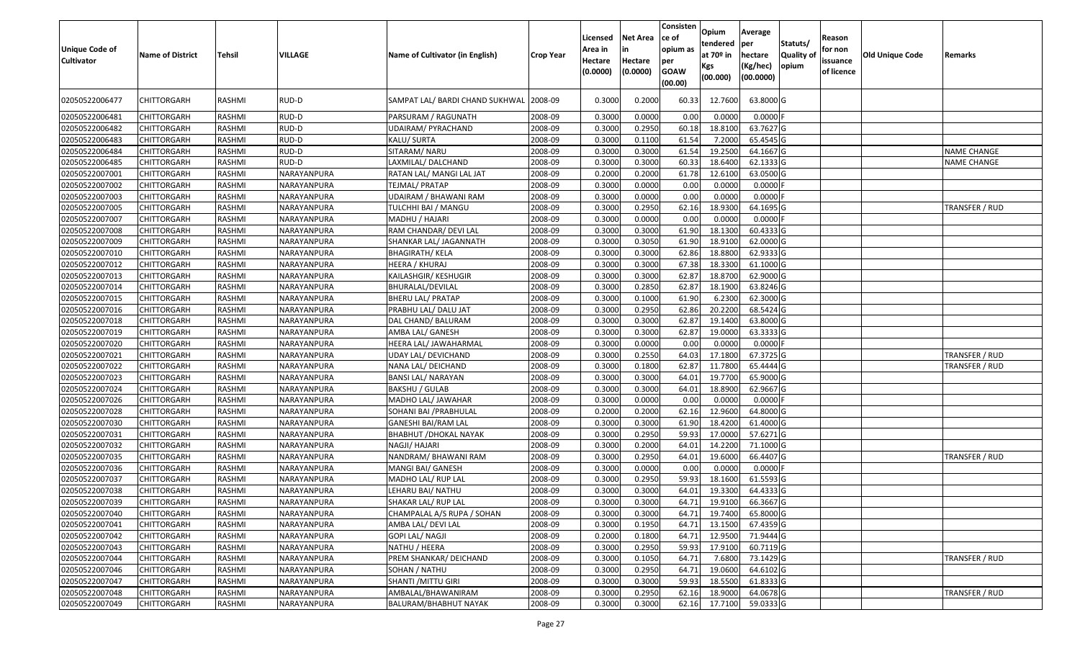| Unique Code of<br><b>Cultivator</b> | <b>Name of District</b> | Tehsil        | VILLAGE     | Name of Cultivator (in English) | <b>Crop Year</b> | Licensed<br>Area in<br>Hectare<br>(0.0000) | Net Area<br>in<br>Hectare<br>(0.0000) | Consisten<br>ce of<br>opium as<br>per<br><b>GOAW</b><br>(00.00) | Opium<br>tendered<br>at 70º in<br>Kgs<br>(00.000) | Average<br>per<br>hectare<br>(Kg/hec)<br>(00.0000) | Statuts/<br><b>Quality of</b><br>opium | Reason<br>for non<br>issuance<br>of licence | <b>Old Unique Code</b> | Remarks        |
|-------------------------------------|-------------------------|---------------|-------------|---------------------------------|------------------|--------------------------------------------|---------------------------------------|-----------------------------------------------------------------|---------------------------------------------------|----------------------------------------------------|----------------------------------------|---------------------------------------------|------------------------|----------------|
| 02050522006477                      | CHITTORGARH             | RASHMI        | RUD-D       | SAMPAT LAL/ BARDI CHAND SUKHWAL | 2008-09          | 0.3000                                     | 0.2000                                | 60.33                                                           | 12.7600                                           | 63.8000 G                                          |                                        |                                             |                        |                |
| 02050522006481                      | CHITTORGARH             | RASHMI        | RUD-D       | PARSURAM / RAGUNATH             | 2008-09          | 0.3000                                     | 0.0000                                | 0.00                                                            | 0.0000                                            | $0.0000$ F                                         |                                        |                                             |                        |                |
| 02050522006482                      | CHITTORGARH             | RASHMI        | RUD-D       | UDAIRAM/ PYRACHAND              | 2008-09          | 0.3000                                     | 0.2950                                | 60.18                                                           | 18.8100                                           | 63.7627 G                                          |                                        |                                             |                        |                |
| 02050522006483                      | CHITTORGARH             | RASHMI        | RUD-D       | KALU/ SURTA                     | 2008-09          | 0.3000                                     | 0.1100                                | 61.54                                                           | 7.2000                                            | 65.4545 G                                          |                                        |                                             |                        |                |
| 02050522006484                      | CHITTORGARH             | RASHMI        | RUD-D       | SITARAM/ NARU                   | 2008-09          | 0.3000                                     | 0.3000                                | 61.54                                                           | 19.2500                                           | 64.1667 G                                          |                                        |                                             |                        | NAME CHANGE    |
| 02050522006485                      | CHITTORGARH             | RASHMI        | RUD-D       | LAXMILAL/ DALCHAND              | 2008-09          | 0.3000                                     | 0.3000                                | 60.33                                                           | 18.6400                                           | 62.1333 G                                          |                                        |                                             |                        | NAME CHANGE    |
| 02050522007001                      | <b>CHITTORGARH</b>      | <b>RASHMI</b> | NARAYANPURA | RATAN LAL/ MANGI LAL JAT        | 2008-09          | 0.2000                                     | 0.2000                                | 61.78                                                           | 12.6100                                           | 63.0500 G                                          |                                        |                                             |                        |                |
| 02050522007002                      | <b>CHITTORGARH</b>      | RASHMI        | NARAYANPURA | TEJMAL/ PRATAP                  | 2008-09          | 0.3000                                     | 0.0000                                | 0.00                                                            | 0.0000                                            | $0.0000$ F                                         |                                        |                                             |                        |                |
| 02050522007003                      | <b>CHITTORGARH</b>      | RASHMI        | NARAYANPURA | UDAIRAM / BHAWANI RAM           | 2008-09          | 0.3000                                     | 0.0000                                | 0.00                                                            | 0.0000                                            | $0.0000$ F                                         |                                        |                                             |                        |                |
| 02050522007005                      | CHITTORGARH             | RASHMI        | NARAYANPURA | TULCHHI BAI / MANGU             | 2008-09          | 0.3000                                     | 0.2950                                | 62.16                                                           | 18.9300                                           | 64.1695 G                                          |                                        |                                             |                        | TRANSFER / RUD |
| 02050522007007                      | <b>CHITTORGARH</b>      | <b>RASHMI</b> | NARAYANPURA | MADHU / HAJARI                  | 2008-09          | 0.3000                                     | 0.0000                                | 0.00                                                            | 0.0000                                            | $0.0000$ F                                         |                                        |                                             |                        |                |
| 02050522007008                      | <b>CHITTORGARH</b>      | RASHMI        | NARAYANPURA | RAM CHANDAR/ DEVI LAL           | 2008-09          | 0.3000                                     | 0.3000                                | 61.90                                                           | 18.1300                                           | 60.4333 G                                          |                                        |                                             |                        |                |
| 02050522007009                      | CHITTORGARH             | RASHMI        | NARAYANPURA | SHANKAR LAL/ JAGANNATH          | 2008-09          | 0.3000                                     | 0.3050                                | 61.90                                                           | 18.9100                                           | 62.0000 G                                          |                                        |                                             |                        |                |
| 02050522007010                      | CHITTORGARH             | RASHMI        | NARAYANPURA | BHAGIRATH/ KELA                 | 2008-09          | 0.3000                                     | 0.3000                                | 62.86                                                           | 18.8800                                           | 62.9333 G                                          |                                        |                                             |                        |                |
| 02050522007012                      | CHITTORGARH             | RASHMI        | NARAYANPURA | HEERA / KHURAJ                  | 2008-09          | 0.3000                                     | 0.3000                                | 67.38                                                           | 18.3300                                           | 61.1000 G                                          |                                        |                                             |                        |                |
| 02050522007013                      | CHITTORGARH             | RASHMI        | NARAYANPURA | KAILASHGIR/ KESHUGIR            | 2008-09          | 0.3000                                     | 0.3000                                | 62.87                                                           | 18.8700                                           | 62.9000 G                                          |                                        |                                             |                        |                |
| 02050522007014                      | CHITTORGARH             | RASHMI        | NARAYANPURA | BHURALAL/DEVILAL                | 2008-09          | 0.3000                                     | 0.2850                                | 62.87                                                           | 18.1900                                           | 63.8246 G                                          |                                        |                                             |                        |                |
| 02050522007015                      | CHITTORGARH             | RASHMI        | NARAYANPURA | <b>BHERU LAL/ PRATAP</b>        | 2008-09          | 0.3000                                     | 0.1000                                | 61.90                                                           | 6.2300                                            | 62.3000 G                                          |                                        |                                             |                        |                |
| 02050522007016                      | CHITTORGARH             | RASHMI        | NARAYANPURA | PRABHU LAL/ DALU JAT            | 2008-09          | 0.3000                                     | 0.2950                                | 62.86                                                           | 20.2200                                           | 68.5424 G                                          |                                        |                                             |                        |                |
| 02050522007018                      | <b>CHITTORGARH</b>      | RASHMI        | NARAYANPURA | DAL CHAND/ BALURAM              | 2008-09          | 0.3000                                     | 0.3000                                | 62.87                                                           | 19.1400                                           | 63.8000 G                                          |                                        |                                             |                        |                |
| 02050522007019                      | CHITTORGARH             | RASHMI        | NARAYANPURA | AMBA LAL/ GANESH                | 2008-09          | 0.3000                                     | 0.3000                                | 62.87                                                           | 19.0000                                           | 63.3333 G                                          |                                        |                                             |                        |                |
| 02050522007020                      | CHITTORGARH             | RASHMI        | NARAYANPURA | HEERA LAL/ JAWAHARMAL           | 2008-09          | 0.3000                                     | 0.0000                                | 0.00                                                            | 0.0000                                            | $0.0000$ F                                         |                                        |                                             |                        |                |
| 02050522007021                      | CHITTORGARH             | RASHMI        | NARAYANPURA | UDAY LAL/ DEVICHAND             | 2008-09          | 0.3000                                     | 0.2550                                | 64.03                                                           | 17.1800                                           | 67.3725 G                                          |                                        |                                             |                        | TRANSFER / RUD |
| 02050522007022                      | <b>CHITTORGARH</b>      | RASHMI        | NARAYANPURA | NANA LAL/ DEICHAND              | 2008-09          | 0.3000                                     | 0.1800                                | 62.87                                                           | 11.7800                                           | 65.4444 G                                          |                                        |                                             |                        | TRANSFER / RUD |
| 02050522007023                      | CHITTORGARH             | RASHMI        | NARAYANPURA | BANSI LAL/ NARAYAN              | 2008-09          | 0.3000                                     | 0.3000                                | 64.01                                                           | 19.7700                                           | 65.9000 G                                          |                                        |                                             |                        |                |
| 02050522007024                      | CHITTORGARH             | RASHMI        | NARAYANPURA | <b>BAKSHU / GULAB</b>           | 2008-09          | 0.3000                                     | 0.3000                                | 64.01                                                           | 18.8900                                           | 62.9667 G                                          |                                        |                                             |                        |                |
| 02050522007026                      | CHITTORGARH             | RASHMI        | NARAYANPURA | MADHO LAL/ JAWAHAR              | 2008-09          | 0.3000                                     | 0.0000                                | 0.00                                                            | 0.0000                                            | $0.0000$ F                                         |                                        |                                             |                        |                |
| 02050522007028                      | <b>CHITTORGARH</b>      | <b>RASHMI</b> | NARAYANPURA | SOHANI BAI / PRABHULAL          | 2008-09          | 0.2000                                     | 0.2000                                | 62.16                                                           | 12.9600                                           | 64.8000 G                                          |                                        |                                             |                        |                |
| 02050522007030                      | CHITTORGARH             | RASHMI        | NARAYANPURA | GANESHI BAI/RAM LAL             | 2008-09          | 0.3000                                     | 0.3000                                | 61.90                                                           | 18.4200                                           | 61.4000 G                                          |                                        |                                             |                        |                |
| 02050522007031                      | <b>CHITTORGARH</b>      | RASHMI        | NARAYANPURA | BHABHUT / DHOKAL NAYAK          | 2008-09          | 0.3000                                     | 0.2950                                | 59.93                                                           | 17.0000                                           | 57.6271 G                                          |                                        |                                             |                        |                |
| 02050522007032                      | CHITTORGARH             | RASHMI        | NARAYANPURA | NAGJI/ HAJARI                   | 2008-09          | 0.3000                                     | 0.2000                                | 64.01                                                           | 14.2200                                           | 71.1000 G                                          |                                        |                                             |                        |                |
| 02050522007035                      | <b>CHITTORGARH</b>      | RASHMI        | NARAYANPURA | NANDRAM/ BHAWANI RAM            | 2008-09          | 0.3000                                     | 0.2950                                | 64.01                                                           | 19.6000                                           | 66.4407 G                                          |                                        |                                             |                        | TRANSFER / RUD |
| 02050522007036                      | <b>CHITTORGARH</b>      | RASHMI        | NARAYANPURA | MANGI BAI/ GANESH               | 2008-09          | 0.3000                                     | 0.0000                                | 0.00                                                            | 0.0000                                            | $0.0000$ F                                         |                                        |                                             |                        |                |
| 02050522007037                      | CHITTORGARH             | RASHMI        | NARAYANPURA | MADHO LAL/ RUP LAL              | 2008-09          | 0.3000                                     | 0.2950                                | 59.93                                                           | 18.1600                                           | 61.5593 G                                          |                                        |                                             |                        |                |
| 02050522007038                      | CHITTORGARH             | RASHMI        | NARAYANPURA | LEHARU BAI/ NATHU               | 2008-09          | 0.3000                                     | 0.3000                                | 64.01                                                           | 19.3300                                           | 64.4333 G                                          |                                        |                                             |                        |                |
| 02050522007039                      | <b>CHITTORGARH</b>      | RASHMI        | NARAYANPURA | SHAKAR LAL/ RUP LAL             | 2008-09          | 0.3000                                     | 0.3000                                | 64.71                                                           | 19.9100                                           | 66.3667 G                                          |                                        |                                             |                        |                |
| 02050522007040                      | <b>CHITTORGARH</b>      | RASHMI        | NARAYANPURA | CHAMPALAL A/S RUPA / SOHAN      | 2008-09          | 0.3000                                     | 0.3000                                | 64.71                                                           | 19.7400                                           | 65.8000 G                                          |                                        |                                             |                        |                |
| 02050522007041                      | <b>CHITTORGARH</b>      | RASHMI        | NARAYANPURA | AMBA LAL/ DEVI LAL              | 2008-09          | 0.3000                                     | 0.1950                                | 64.71                                                           | 13.1500                                           | 67.4359 G                                          |                                        |                                             |                        |                |
| 02050522007042                      | <b>CHITTORGARH</b>      | RASHMI        | NARAYANPURA | <b>GOPI LAL/ NAGJI</b>          | 2008-09          | 0.2000                                     | 0.1800                                | 64.71                                                           | 12.9500                                           | 71.9444 G                                          |                                        |                                             |                        |                |
| 02050522007043                      | <b>CHITTORGARH</b>      | RASHMI        | NARAYANPURA | NATHU / HEERA                   | 2008-09          | 0.3000                                     | 0.2950                                | 59.93                                                           | 17.9100                                           | 60.7119 G                                          |                                        |                                             |                        |                |
| 02050522007044                      | <b>CHITTORGARH</b>      | RASHMI        | NARAYANPURA | PREM SHANKAR/ DEICHAND          | 2008-09          | 0.3000                                     | 0.1050                                | 64.71                                                           | 7.6800                                            | 73.1429 G                                          |                                        |                                             |                        | TRANSFER / RUD |
| 02050522007046                      | <b>CHITTORGARH</b>      | RASHMI        | NARAYANPURA | SOHAN / NATHU                   | 2008-09          | 0.3000                                     | 0.2950                                | 64.71                                                           | 19.0600                                           | 64.6102 G                                          |                                        |                                             |                        |                |
| 02050522007047                      | <b>CHITTORGARH</b>      | RASHMI        | NARAYANPURA | SHANTI /MITTU GIRI              | 2008-09          | 0.3000                                     | 0.3000                                | 59.93                                                           | 18.5500                                           | 61.8333 G                                          |                                        |                                             |                        |                |
| 02050522007048                      | <b>CHITTORGARH</b>      | RASHMI        | NARAYANPURA | AMBALAL/BHAWANIRAM              | 2008-09          | 0.3000                                     | 0.2950                                | 62.16                                                           | 18.9000                                           | 64.0678 G                                          |                                        |                                             |                        | TRANSFER / RUD |
| 02050522007049                      | <b>CHITTORGARH</b>      | RASHMI        | NARAYANPURA | BALURAM/BHABHUT NAYAK           | 2008-09          | 0.3000                                     | 0.3000                                | 62.16                                                           | 17.7100                                           | 59.0333 G                                          |                                        |                                             |                        |                |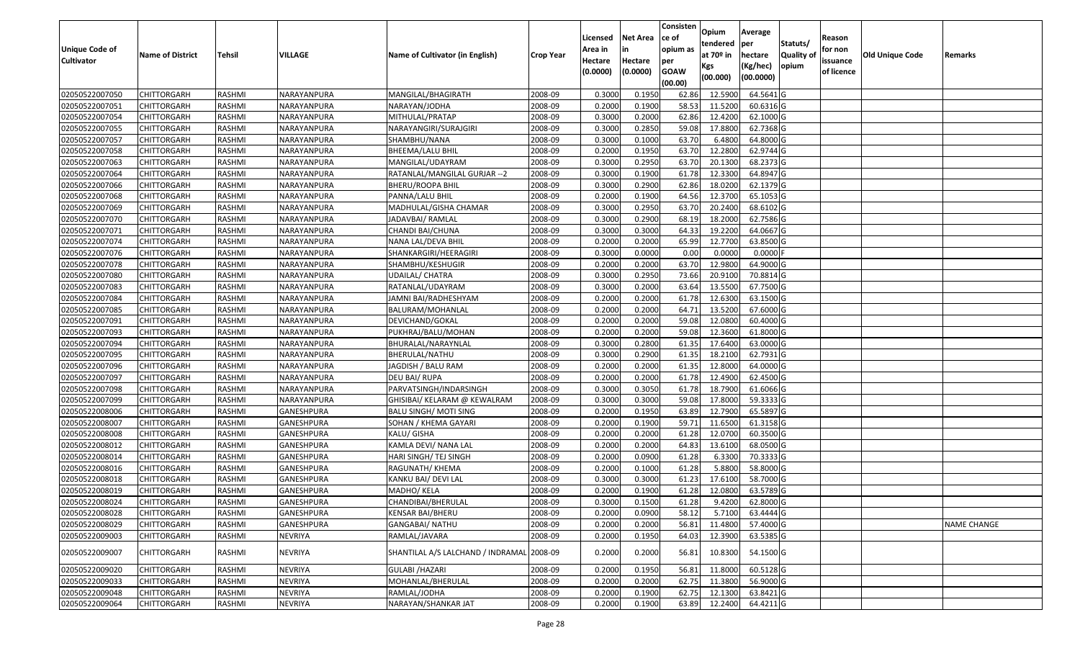| <b>Unique Code of</b> | <b>Name of District</b> | Tehsil        | VILLAGE        | Name of Cultivator (in English)           | <b>Crop Year</b> | Licensed<br>Area in | <b>Net Area</b><br>in | Consisten<br>ce of<br>opium as | Opium<br>tendered<br>at 70º in | Average<br>per<br>hectare | Statuts/<br>Quality of | Reason<br>for non      | Old Unique Code | Remarks            |
|-----------------------|-------------------------|---------------|----------------|-------------------------------------------|------------------|---------------------|-----------------------|--------------------------------|--------------------------------|---------------------------|------------------------|------------------------|-----------------|--------------------|
| <b>Cultivator</b>     |                         |               |                |                                           |                  | Hectare<br>(0.0000) | Hectare<br>(0.0000)   | per<br><b>GOAW</b><br>(00.00)  | Kgs<br>(00.000)                | (Kg/hec)<br>(00.0000)     | opium                  | issuance<br>of licence |                 |                    |
| 02050522007050        | <b>CHITTORGARH</b>      | RASHMI        | NARAYANPURA    | MANGILAL/BHAGIRATH                        | 2008-09          | 0.3000              | 0.1950                | 62.86                          | 12.5900                        | 64.5641 G                 |                        |                        |                 |                    |
| 02050522007051        | <b>CHITTORGARH</b>      | RASHMI        | NARAYANPURA    | NARAYAN/JODHA                             | 2008-09          | 0.2000              | 0.1900                | 58.53                          | 11.5200                        | 60.6316 G                 |                        |                        |                 |                    |
| 02050522007054        | <b>CHITTORGARH</b>      | RASHMI        | NARAYANPURA    | MITHULAL/PRATAP                           | 2008-09          | 0.3000              | 0.2000                | 62.86                          | 12.4200                        | 62.1000 G                 |                        |                        |                 |                    |
| 02050522007055        | <b>CHITTORGARH</b>      | RASHMI        | NARAYANPURA    | NARAYANGIRI/SURAJGIRI                     | 2008-09          | 0.3000              | 0.2850                | 59.08                          | 17.8800                        | 62.7368 G                 |                        |                        |                 |                    |
| 02050522007057        | <b>CHITTORGARH</b>      | RASHMI        | NARAYANPURA    | SHAMBHU/NANA                              | 2008-09          | 0.3000              | 0.1000                | 63.70                          | 6.4800                         | 64.8000 G                 |                        |                        |                 |                    |
| 02050522007058        | <b>CHITTORGARH</b>      | RASHMI        | NARAYANPURA    | BHEEMA/LALU BHIL                          | 2008-09          | 0.2000              | 0.1950                | 63.70                          | 12.2800                        | 62.9744 G                 |                        |                        |                 |                    |
| 02050522007063        | CHITTORGARH             | RASHMI        | NARAYANPURA    | MANGILAL/UDAYRAM                          | 2008-09          | 0.3000              | 0.2950                | 63.70                          | 20.1300                        | 68.2373 G                 |                        |                        |                 |                    |
| 02050522007064        | <b>CHITTORGARH</b>      | <b>RASHMI</b> | NARAYANPURA    | RATANLAL/MANGILAL GURJAR -- 2             | 2008-09          | 0.3000              | 0.1900                | 61.78                          | 12.3300                        | 64.8947 G                 |                        |                        |                 |                    |
| 02050522007066        | <b>CHITTORGARH</b>      | <b>RASHMI</b> | NARAYANPURA    | <b>BHERU/ROOPA BHIL</b>                   | 2008-09          | 0.3000              | 0.2900                | 62.86                          | 18.0200                        | 62.1379 G                 |                        |                        |                 |                    |
| 02050522007068        | <b>CHITTORGARH</b>      | RASHMI        | NARAYANPURA    | PANNA/LALU BHIL                           | 2008-09          | 0.2000              | 0.1900                | 64.56                          | 12.3700                        | 65.1053 G                 |                        |                        |                 |                    |
| 02050522007069        | <b>CHITTORGARH</b>      | RASHMI        | NARAYANPURA    | MADHULAL/GISHA CHAMAR                     | 2008-09          | 0.3000              | 0.2950                | 63.70                          | 20.2400                        | 68.6102 G                 |                        |                        |                 |                    |
| 02050522007070        | <b>CHITTORGARH</b>      | RASHMI        | NARAYANPURA    | JADAVBAI/ RAMLAL                          | 2008-09          | 0.3000              | 0.2900                | 68.19                          | 18.2000                        | 62.7586 G                 |                        |                        |                 |                    |
| 02050522007071        | <b>CHITTORGARH</b>      | RASHMI        | NARAYANPURA    | CHANDI BAI/CHUNA                          | 2008-09          | 0.3000              | 0.3000                | 64.33                          | 19.2200                        | 64.0667 G                 |                        |                        |                 |                    |
| 02050522007074        | <b>CHITTORGARH</b>      | RASHMI        | NARAYANPURA    | NANA LAL/DEVA BHIL                        | 2008-09          | 0.2000              | 0.2000                | 65.99                          | 12.7700                        | 63.8500 G                 |                        |                        |                 |                    |
| 02050522007076        | <b>CHITTORGARH</b>      | RASHMI        | NARAYANPURA    | SHANKARGIRI/HEERAGIRI                     | 2008-09          | 0.3000              | 0.0000                | 0.00                           | 0.0000                         | 0.0000F                   |                        |                        |                 |                    |
| 02050522007078        | <b>CHITTORGARH</b>      | <b>RASHMI</b> | NARAYANPURA    | SHAMBHU/KESHUGIR                          | 2008-09          | 0.2000              | 0.2000                | 63.70                          | 12.9800                        | 64.9000 G                 |                        |                        |                 |                    |
| 02050522007080        | <b>CHITTORGARH</b>      | <b>RASHMI</b> | NARAYANPURA    | <b>UDAILAL/ CHATRA</b>                    | 2008-09          | 0.3000              | 0.2950                | 73.66                          | 20.9100                        | 70.8814 G                 |                        |                        |                 |                    |
| 02050522007083        | <b>CHITTORGARH</b>      | <b>RASHMI</b> | NARAYANPURA    | RATANLAL/UDAYRAM                          | 2008-09          | 0.3000              | 0.2000                | 63.64                          | 13.5500                        | 67.7500 G                 |                        |                        |                 |                    |
| 02050522007084        | <b>CHITTORGARH</b>      | RASHMI        | NARAYANPURA    | JAMNI BAI/RADHESHYAM                      | 2008-09          | 0.2000              | 0.2000                | 61.78                          | 12.6300                        | 63.1500 G                 |                        |                        |                 |                    |
| 02050522007085        | <b>CHITTORGARH</b>      | RASHMI        | NARAYANPURA    | BALURAM/MOHANLAL                          | 2008-09          | 0.2000              | 0.2000                | 64.7                           | 13.5200                        | 67.6000 G                 |                        |                        |                 |                    |
| 02050522007091        | <b>CHITTORGARH</b>      | RASHMI        | NARAYANPURA    | DEVICHAND/GOKAL                           | 2008-09          | 0.2000              | 0.2000                | 59.08                          | 12.0800                        | 60.4000 G                 |                        |                        |                 |                    |
| 02050522007093        | <b>CHITTORGARH</b>      | RASHMI        | NARAYANPURA    | PUKHRAJ/BALU/MOHAN                        | 2008-09          | 0.2000              | 0.2000                | 59.08                          | 12.3600                        | 61.8000 G                 |                        |                        |                 |                    |
| 02050522007094        | <b>CHITTORGARH</b>      | RASHMI        | NARAYANPURA    | BHURALAL/NARAYNLAL                        | 2008-09          | 0.3000              | 0.2800                | 61.35                          | 17.6400                        | 63.0000 G                 |                        |                        |                 |                    |
| 02050522007095        | <b>CHITTORGARH</b>      | RASHMI        | NARAYANPURA    | BHERULAL/NATHU                            | 2008-09          | 0.3000              | 0.2900                | 61.35                          | 18.2100                        | 62.7931 G                 |                        |                        |                 |                    |
| 02050522007096        | <b>CHITTORGARH</b>      | RASHMI        | NARAYANPURA    | JAGDISH / BALU RAM                        | 2008-09          | 0.2000              | 0.2000                | 61.35                          | 12.8000                        | 64.0000 G                 |                        |                        |                 |                    |
| 02050522007097        | <b>CHITTORGARH</b>      | RASHMI        | NARAYANPURA    | DEU BAI/ RUPA                             | 2008-09          | 0.2000              | 0.2000                | 61.78                          | 12.4900                        | 62.4500 G                 |                        |                        |                 |                    |
| 02050522007098        | <b>CHITTORGARH</b>      | RASHMI        | NARAYANPURA    | PARVATSINGH/INDARSINGH                    | 2008-09          | 0.3000              | 0.3050                | 61.78                          | 18.7900                        | 61.6066 G                 |                        |                        |                 |                    |
| 02050522007099        | <b>CHITTORGARH</b>      | RASHMI        | NARAYANPURA    | GHISIBAI/ KELARAM @ KEWALRAM              | 2008-09          | 0.3000              | 0.3000                | 59.08                          | 17.8000                        | 59.3333 G                 |                        |                        |                 |                    |
| 02050522008006        | <b>CHITTORGARH</b>      | RASHMI        | GANESHPURA     | <b>BALU SINGH/ MOTI SING</b>              | 2008-09          | 0.2000              | 0.1950                | 63.89                          | 12.7900                        | 65.5897 G                 |                        |                        |                 |                    |
| 02050522008007        | <b>CHITTORGARH</b>      | RASHMI        | GANESHPURA     | SOHAN / KHEMA GAYARI                      | 2008-09          | 0.2000              | 0.1900                | 59.71                          | 11.6500                        | 61.3158 G                 |                        |                        |                 |                    |
| 02050522008008        | <b>CHITTORGARH</b>      | RASHMI        | GANESHPURA     | KALU/ GISHA                               | 2008-09          | 0.2000              | 0.2000                | 61.28                          | 12.0700                        | 60.3500 G                 |                        |                        |                 |                    |
| 02050522008012        | CHITTORGARH             | RASHMI        | GANESHPURA     | KAMLA DEVI/ NANA LAL                      | 2008-09          | 0.2000              | 0.2000                | 64.83                          | 13.6100                        | 68.0500 G                 |                        |                        |                 |                    |
| 02050522008014        | <b>CHITTORGARH</b>      | <b>RASHMI</b> | GANESHPURA     | HARI SINGH/ TEJ SINGH                     | 2008-09          | 0.2000              | 0.0900                | 61.28                          | 6.3300                         | 70.3333 G                 |                        |                        |                 |                    |
| 02050522008016        | <b>CHITTORGARH</b>      | RASHMI        | GANESHPURA     | RAGUNATH/ KHEMA                           | 2008-09          | 0.2000              | 0.1000                | 61.28                          | 5.8800                         | 58.8000 G                 |                        |                        |                 |                    |
| 02050522008018        | CHITTORGARH             | RASHMI        | GANESHPURA     | KANKU BAI/ DEVI LAL                       | 2008-09          | 0.3000              | 0.3000                | 61.23                          | 17.6100                        | 58.7000 G                 |                        |                        |                 |                    |
| 02050522008019        | <b>CHITTORGARH</b>      | RASHMI        | GANESHPURA     | MADHO/ KELA                               | 2008-09          | 0.2000              | 0.1900                | 61.28                          | 12.0800                        | 63.5789 G                 |                        |                        |                 |                    |
| 02050522008024        | <b>CHITTORGARH</b>      | RASHMI        | GANESHPURA     | CHANDIBAI/BHERULAL                        | 2008-09          | 0.3000              | 0.1500                | 61.28                          | 9.4200                         | 62.8000 G                 |                        |                        |                 |                    |
| 02050522008028        | <b>CHITTORGARH</b>      | RASHMI        | GANESHPURA     | KENSAR BAI/BHERU                          | 2008-09          | 0.2000              | 0.0900                | 58.12                          | 5.7100                         | 63.4444 G                 |                        |                        |                 |                    |
| 02050522008029        | <b>CHITTORGARH</b>      | RASHMI        | GANESHPURA     | <b>GANGABAI/ NATHU</b>                    | 2008-09          | 0.2000              | 0.2000                | 56.81                          | 11.4800                        | 57.4000 G                 |                        |                        |                 | <b>NAME CHANGE</b> |
| 02050522009003        | <b>CHITTORGARH</b>      | RASHMI        | NEVRIYA        | RAMLAL/JAVARA                             | 2008-09          | 0.2000              | 0.1950                | 64.03                          | 12.3900                        | 63.5385 G                 |                        |                        |                 |                    |
| 02050522009007        | <b>CHITTORGARH</b>      | RASHMI        | NEVRIYA        | SHANTILAL A/S LALCHAND / INDRAMAL 2008-09 |                  | 0.2000              | 0.2000                | 56.81                          | 10.8300                        | 54.1500 G                 |                        |                        |                 |                    |
| 02050522009020        | <b>CHITTORGARH</b>      | RASHMI        | <b>NEVRIYA</b> | <b>GULABI /HAZARI</b>                     | 2008-09          | 0.2000              | 0.1950                | 56.81                          | 11.8000                        | 60.5128 G                 |                        |                        |                 |                    |
| 02050522009033        | <b>CHITTORGARH</b>      | RASHMI        | <b>NEVRIYA</b> | MOHANLAL/BHERULAL                         | 2008-09          | 0.2000              | 0.2000                | 62.75                          | 11.3800                        | 56.9000 G                 |                        |                        |                 |                    |
| 02050522009048        | <b>CHITTORGARH</b>      | RASHMI        | <b>NEVRIYA</b> | RAMLAL/JODHA                              | 2008-09          | 0.2000              | 0.1900                | 62.75                          | 12.1300                        | 63.8421 G                 |                        |                        |                 |                    |
| 02050522009064        | <b>CHITTORGARH</b>      | RASHMI        | <b>NEVRIYA</b> | NARAYAN/SHANKAR JAT                       | 2008-09          | 0.2000              | 0.1900                | 63.89                          | 12.2400                        | 64.4211 G                 |                        |                        |                 |                    |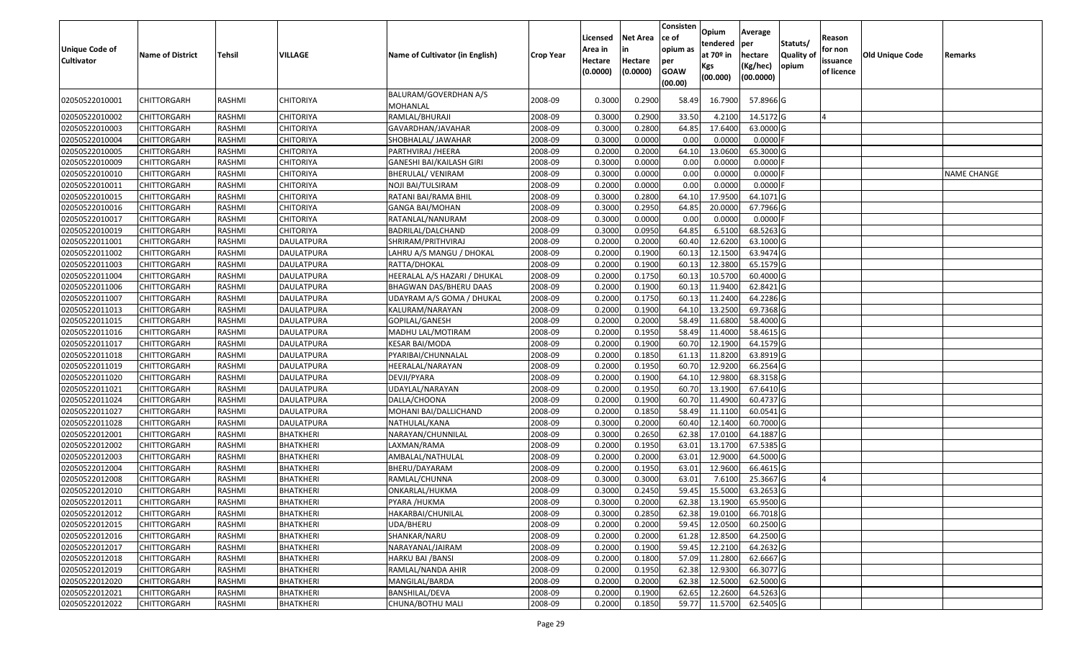| Unique Code of<br><b>Cultivator</b> | <b>Name of District</b> | <b>Tehsil</b> | <b>VILLAGE</b>    | Name of Cultivator (in English)   | <b>Crop Year</b> | Licensed<br>Area in<br>Hectare<br>(0.0000) | <b>Net Area</b><br>in<br>Hectare<br>(0.0000) | Consisten<br>ce of<br>opium as<br>per<br><b>GOAW</b><br>(00.00) | Opium<br>tendered<br>at $70°$ in<br>Kgs<br>(00.000) | Average<br>per<br>hectare<br>(Kg/hec)<br>(00.0000) | Statuts/<br><b>Quality o</b><br>opium | Reason<br>for non<br>issuance<br>of licence | <b>Old Unique Code</b> | Remarks            |
|-------------------------------------|-------------------------|---------------|-------------------|-----------------------------------|------------------|--------------------------------------------|----------------------------------------------|-----------------------------------------------------------------|-----------------------------------------------------|----------------------------------------------------|---------------------------------------|---------------------------------------------|------------------------|--------------------|
| 02050522010001                      | CHITTORGARH             | RASHMI        | CHITORIYA         | BALURAM/GOVERDHAN A/S<br>MOHANLAL | 2008-09          | 0.3000                                     | 0.2900                                       | 58.49                                                           | 16.7900                                             | 57.8966 G                                          |                                       |                                             |                        |                    |
| 02050522010002                      | CHITTORGARH             | RASHMI        | CHITORIYA         | RAMLAL/BHURAJI                    | 2008-09          | 0.3000                                     | 0.2900                                       | 33.50                                                           | 4.2100                                              | 14.5172 G                                          |                                       |                                             |                        |                    |
| 02050522010003                      | CHITTORGARH             | RASHMI        | <b>CHITORIYA</b>  | GAVARDHAN/JAVAHAR                 | 2008-09          | 0.3000                                     | 0.2800                                       | 64.85                                                           | 17.6400                                             | 63.0000 G                                          |                                       |                                             |                        |                    |
| 02050522010004                      | <b>CHITTORGARH</b>      | RASHMI        | <b>CHITORIYA</b>  | SHOBHALAL/ JAWAHAR                | 2008-09          | 0.3000                                     | 0.0000                                       | 0.00                                                            | 0.0000                                              | $0.0000$ F                                         |                                       |                                             |                        |                    |
| 02050522010005                      | CHITTORGARH             | RASHMI        | <b>CHITORIYA</b>  | PARTHVIRAJ /HEERA                 | 2008-09          | 0.2000                                     | 0.2000                                       | 64.10                                                           | 13.0600                                             | 65.3000 G                                          |                                       |                                             |                        |                    |
| 02050522010009                      | CHITTORGARH             | RASHMI        | <b>CHITORIYA</b>  | GANESHI BAI/KAILASH GIRI          | 2008-09          | 0.3000                                     | 0.0000                                       | 0.00                                                            | 0.0000                                              | 0.0000                                             |                                       |                                             |                        |                    |
| 02050522010010                      | <b>CHITTORGARH</b>      | <b>RASHMI</b> | <b>CHITORIYA</b>  | <b>BHERULAL/ VENIRAM</b>          | 2008-09          | 0.3000                                     | 0.0000                                       | 0.00                                                            | 0.0000                                              | 0.0000                                             |                                       |                                             |                        | <b>NAME CHANGE</b> |
| 02050522010011                      | <b>CHITTORGARH</b>      | RASHMI        | <b>CHITORIYA</b>  | NOJI BAI/TULSIRAM                 | 2008-09          | 0.2000                                     | 0.0000                                       | 0.00                                                            | 0.0000                                              | $0.0000$ F                                         |                                       |                                             |                        |                    |
| 02050522010015                      | <b>CHITTORGARH</b>      | RASHMI        | <b>CHITORIYA</b>  | RATANI BAI/RAMA BHIL              | 2008-09          | 0.3000                                     | 0.2800                                       | 64.10                                                           | 17.9500                                             | 64.1071 G                                          |                                       |                                             |                        |                    |
| 02050522010016                      | CHITTORGARH             | RASHMI        | CHITORIYA         | GANGA BAI/MOHAN                   | 2008-09          | 0.3000                                     | 0.2950                                       | 64.85                                                           | 20.0000                                             | 67.7966 G                                          |                                       |                                             |                        |                    |
| 02050522010017                      | CHITTORGARH             | RASHMI        | <b>CHITORIYA</b>  | RATANLAL/NANURAM                  | 2008-09          | 0.3000                                     | 0.0000                                       | 0.00                                                            | 0.0000                                              | $0.0000$ F                                         |                                       |                                             |                        |                    |
| 02050522010019                      | <b>CHITTORGARH</b>      | RASHMI        | <b>CHITORIYA</b>  | BADRILAL/DALCHAND                 | 2008-09          | 0.3000                                     | 0.0950                                       | 64.85                                                           | 6.5100                                              | 68.5263 G                                          |                                       |                                             |                        |                    |
| 02050522011001                      | CHITTORGARH             | RASHMI        | <b>DAULATPURA</b> | SHRIRAM/PRITHVIRAJ                | 2008-09          | 0.2000                                     | 0.2000                                       | 60.40                                                           | 12.6200                                             | 63.1000G                                           |                                       |                                             |                        |                    |
| 02050522011002                      | CHITTORGARH             | RASHMI        | DAULATPURA        | LAHRU A/S MANGU / DHOKAL          | 2008-09          | 0.2000                                     | 0.1900                                       | 60.13                                                           | 12.1500                                             | 63.9474 G                                          |                                       |                                             |                        |                    |
| 02050522011003                      | CHITTORGARH             | RASHMI        | <b>DAULATPURA</b> | RATTA/DHOKAL                      | 2008-09          | 0.2000                                     | 0.1900                                       | 60.1                                                            | 12.3800                                             | 65.1579 G                                          |                                       |                                             |                        |                    |
| 02050522011004                      | CHITTORGARH             | RASHMI        | <b>DAULATPURA</b> | HEERALAL A/S HAZARI / DHUKAL      | 2008-09          | 0.2000                                     | 0.1750                                       | 60.13                                                           | 10.5700                                             | 60.4000 G                                          |                                       |                                             |                        |                    |
| 02050522011006                      | CHITTORGARH             | RASHMI        | <b>DAULATPURA</b> | BHAGWAN DAS/BHERU DAAS            | 2008-09          | 0.2000                                     | 0.1900                                       | 60.1                                                            | 11.9400                                             | 62.8421G                                           |                                       |                                             |                        |                    |
| 02050522011007                      | CHITTORGARH             | RASHMI        | <b>DAULATPURA</b> | UDAYRAM A/S GOMA / DHUKAL         | 2008-09          | 0.2000                                     | 0.1750                                       | 60.13                                                           | 11.2400                                             | 64.2286 G                                          |                                       |                                             |                        |                    |
| 02050522011013                      | CHITTORGARH             | RASHMI        | <b>DAULATPURA</b> | KALURAM/NARAYAN                   | 2008-09          | 0.2000                                     | 0.1900                                       | 64.10                                                           | 13.2500                                             | 69.7368 G                                          |                                       |                                             |                        |                    |
| 02050522011015                      | CHITTORGARH             | RASHMI        | <b>DAULATPURA</b> | GOPILAL/GANESH                    | 2008-09          | 0.2000                                     | 0.2000                                       | 58.49                                                           | 11.6800                                             | 58.4000 G                                          |                                       |                                             |                        |                    |
| 02050522011016                      | CHITTORGARH             | RASHMI        | <b>DAULATPURA</b> | MADHU LAL/MOTIRAM                 | 2008-09          | 0.2000                                     | 0.1950                                       | 58.49                                                           | 11.4000                                             | 58.4615 G                                          |                                       |                                             |                        |                    |
| 02050522011017                      | CHITTORGARH             | RASHMI        | <b>DAULATPURA</b> | KESAR BAI/MODA                    | 2008-09          | 0.2000                                     | 0.1900                                       | 60.70                                                           | 12.1900                                             | 64.1579 G                                          |                                       |                                             |                        |                    |
| 02050522011018                      | CHITTORGARH             | RASHMI        | DAULATPURA        | PYARIBAI/CHUNNALAL                | 2008-09          | 0.2000                                     | 0.1850                                       | 61.13                                                           | 11.8200                                             | 63.8919 G                                          |                                       |                                             |                        |                    |
| 02050522011019                      | <b>CHITTORGARH</b>      | RASHMI        | DAULATPURA        | HEERALAL/NARAYAN                  | 2008-09          | 0.2000                                     | 0.1950                                       | 60.70                                                           | 12.9200                                             | 66.2564 G                                          |                                       |                                             |                        |                    |
| 02050522011020                      | CHITTORGARH             | RASHMI        | <b>DAULATPURA</b> | DEVJI/PYARA                       | 2008-09          | 0.2000                                     | 0.1900                                       | 64.1                                                            | 12.9800                                             | 68.3158 G                                          |                                       |                                             |                        |                    |
| 02050522011021                      | CHITTORGARH             | RASHMI        | <b>DAULATPURA</b> | UDAYLAL/NARAYAN                   | 2008-09          | 0.2000                                     | 0.1950                                       | 60.7                                                            | 13.1900                                             | 67.6410 G                                          |                                       |                                             |                        |                    |
| 02050522011024                      | CHITTORGARH             | RASHMI        | DAULATPURA        | DALLA/CHOONA                      | 2008-09          | 0.2000                                     | 0.1900                                       | 60.70                                                           | 11.4900                                             | 60.4737 G                                          |                                       |                                             |                        |                    |
| 02050522011027                      | CHITTORGARH             | <b>RASHMI</b> | <b>DAULATPURA</b> | MOHANI BAI/DALLICHAND             | 2008-09          | 0.2000                                     | 0.1850                                       | 58.49                                                           | 11.1100                                             | 60.0541 G                                          |                                       |                                             |                        |                    |
| 02050522011028                      | CHITTORGARH             | RASHMI        | <b>DAULATPURA</b> | NATHULAL/KANA                     | 2008-09          | 0.3000                                     | 0.2000                                       | 60.40                                                           | 12.1400                                             | 60.7000 G                                          |                                       |                                             |                        |                    |
| 02050522012001                      | CHITTORGARH             | RASHMI        | BHATKHERI         | NARAYAN/CHUNNILAL                 | 2008-09          | 0.3000                                     | 0.2650                                       | 62.38                                                           | 17.0100                                             | 64.1887 G                                          |                                       |                                             |                        |                    |
| 02050522012002                      | CHITTORGARH             | RASHMI        | BHATKHERI         | LAXMAN/RAMA                       | 2008-09          | 0.2000                                     | 0.1950                                       | 63.01                                                           | 13.1700                                             | 67.5385 G                                          |                                       |                                             |                        |                    |
| 02050522012003                      | CHITTORGARH             | RASHMI        | <b>BHATKHERI</b>  | AMBALAL/NATHULAL                  | 2008-09          | 0.2000                                     | 0.2000                                       | 63.01                                                           | 12.9000                                             | 64.5000 G                                          |                                       |                                             |                        |                    |
| 02050522012004                      | <b>CHITTORGARH</b>      | RASHMI        | <b>BHATKHERI</b>  | BHERU/DAYARAM                     | 2008-09          | 0.2000                                     | 0.1950                                       | 63.01                                                           | 12.9600                                             | 66.4615 G                                          |                                       |                                             |                        |                    |
| 02050522012008                      | CHITTORGARH             | RASHMI        | BHATKHERI         | RAMLAL/CHUNNA                     | 2008-09          | 0.300                                      | 0.3000                                       | 63.01                                                           | 7.6100                                              | 25.3667 G                                          |                                       |                                             |                        |                    |
| 02050522012010                      | CHITTORGARH             | RASHMI        | <b>BHATKHERI</b>  | ONKARLAL/HUKMA                    | 2008-09          | 0.3000                                     | 0.2450                                       | 59.45                                                           | 15.5000                                             | 63.2653 G                                          |                                       |                                             |                        |                    |
| 02050522012011                      | <b>CHITTORGARH</b>      | RASHMI        | <b>BHATKHERI</b>  | PYARA /HUKMA                      | 2008-09          | 0.3000                                     | 0.2000                                       |                                                                 | 62.38 13.1900                                       | 65.9500 G                                          |                                       |                                             |                        |                    |
| 02050522012012                      | <b>CHITTORGARH</b>      | RASHMI        | <b>BHATKHERI</b>  | HAKARBAI/CHUNILAL                 | 2008-09          | 0.3000                                     | 0.2850                                       | 62.38                                                           | 19.0100                                             | 66.7018 G                                          |                                       |                                             |                        |                    |
| 02050522012015                      | <b>CHITTORGARH</b>      | RASHMI        | <b>BHATKHERI</b>  | UDA/BHERU                         | 2008-09          | 0.2000                                     | 0.2000                                       | 59.45                                                           | 12.0500                                             | 60.2500 G                                          |                                       |                                             |                        |                    |
| 02050522012016                      | <b>CHITTORGARH</b>      | RASHMI        | <b>BHATKHERI</b>  | SHANKAR/NARU                      | 2008-09          | 0.2000                                     | 0.2000                                       | 61.28                                                           | 12.8500                                             | 64.2500 G                                          |                                       |                                             |                        |                    |
| 02050522012017                      | CHITTORGARH             | RASHMI        | <b>BHATKHERI</b>  | NARAYANAL/JAIRAM                  | 2008-09          | 0.2000                                     | 0.1900                                       | 59.45                                                           | 12.2100                                             | 64.2632 G                                          |                                       |                                             |                        |                    |
| 02050522012018                      | <b>CHITTORGARH</b>      | RASHMI        | <b>BHATKHERI</b>  | HARKU BAI / BANSI                 | 2008-09          | 0.2000                                     | 0.1800                                       | 57.09                                                           | 11.2800                                             | 62.6667 G                                          |                                       |                                             |                        |                    |
| 02050522012019                      | <b>CHITTORGARH</b>      | RASHMI        | <b>BHATKHERI</b>  | RAMLAL/NANDA AHIR                 | 2008-09          | 0.2000                                     | 0.1950                                       | 62.38                                                           | 12.9300                                             | 66.3077 G                                          |                                       |                                             |                        |                    |
| 02050522012020                      | CHITTORGARH             | RASHMI        | <b>BHATKHERI</b>  | MANGILAL/BARDA                    | 2008-09          | 0.2000                                     | 0.2000                                       | 62.38                                                           | 12.5000                                             | 62.5000 G                                          |                                       |                                             |                        |                    |
| 02050522012021                      | CHITTORGARH             | RASHMI        | <b>BHATKHERI</b>  | BANSHILAL/DEVA                    | 2008-09          | 0.2000                                     | 0.1900                                       | 62.65                                                           | 12.2600                                             | 64.5263 G                                          |                                       |                                             |                        |                    |
| 02050522012022                      | <b>CHITTORGARH</b>      | RASHMI        | <b>BHATKHERI</b>  | CHUNA/BOTHU MALI                  | 2008-09          | 0.2000                                     | 0.1850                                       | 59.77                                                           | 11.5700                                             | 62.5405 G                                          |                                       |                                             |                        |                    |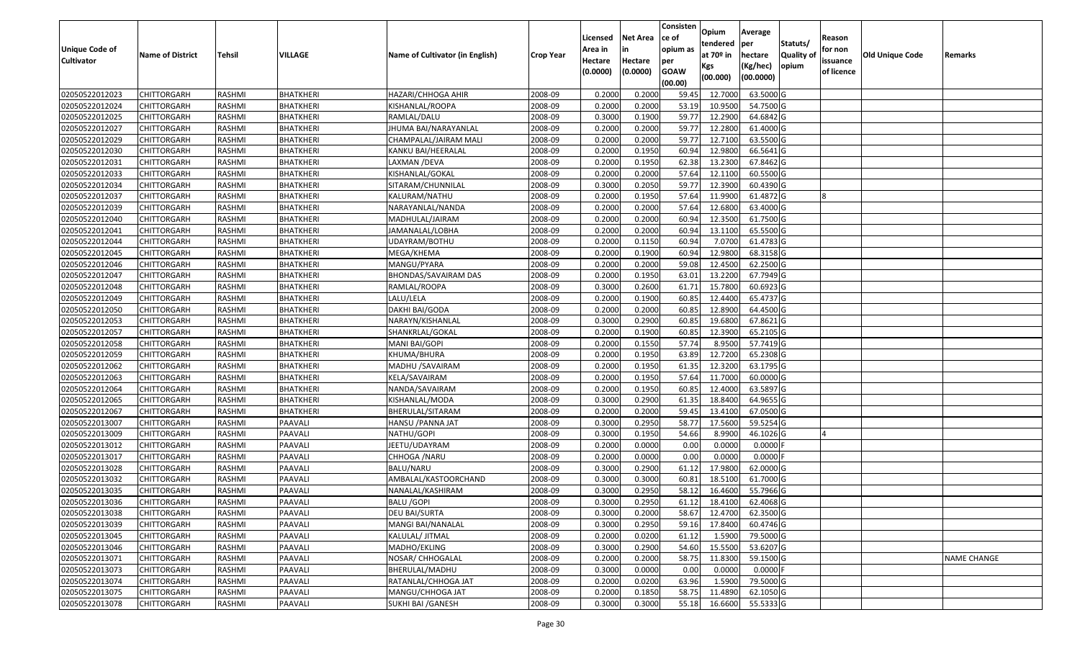|                       |                         |               |                  |                                 |                  | Licensed | <b>Net Area</b> | Consisten<br>ce of | Opium         | Average    |                  | Reason     |                        |                    |
|-----------------------|-------------------------|---------------|------------------|---------------------------------|------------------|----------|-----------------|--------------------|---------------|------------|------------------|------------|------------------------|--------------------|
| <b>Unique Code of</b> |                         |               |                  |                                 |                  | Area in  |                 | opium as           | tendered      | per        | Statuts/         | for non    |                        |                    |
| <b>Cultivator</b>     | <b>Name of District</b> | <b>Tehsil</b> | VILLAGE          | Name of Cultivator (in English) | <b>Crop Year</b> | Hectare  | Hectare         | per                | at $70°$ in   | hectare    | <b>Quality o</b> | issuance   | <b>Old Unique Code</b> | Remarks            |
|                       |                         |               |                  |                                 |                  | (0.0000) | (0.0000)        | <b>GOAW</b>        | Kgs           | (Kg/hec)   | opium            | of licence |                        |                    |
|                       |                         |               |                  |                                 |                  |          |                 | (00.00)            | (00.000)      | (00.0000)  |                  |            |                        |                    |
| 02050522012023        | CHITTORGARH             | RASHMI        | BHATKHERI        | HAZARI/CHHOGA AHIR              | 2008-09          | 0.2000   | 0.2000          | 59.45              | 12.7000       | 63.5000 G  |                  |            |                        |                    |
| 02050522012024        | CHITTORGARH             | RASHMI        | <b>BHATKHERI</b> | KISHANLAL/ROOPA                 | 2008-09          | 0.2000   | 0.2000          | 53.19              | 10.9500       | 54.7500 G  |                  |            |                        |                    |
| 02050522012025        | CHITTORGARH             | RASHMI        | BHATKHERI        | RAMLAL/DALU                     | 2008-09          | 0.3000   | 0.1900          | 59.77              | 12.2900       | 64.6842 G  |                  |            |                        |                    |
| 02050522012027        | <b>CHITTORGARH</b>      | RASHMI        | <b>BHATKHERI</b> | JHUMA BAI/NARAYANLAL            | 2008-09          | 0.2000   | 0.2000          | 59.77              | 12.2800       | 61.4000G   |                  |            |                        |                    |
| 02050522012029        | CHITTORGARH             | RASHMI        | <b>BHATKHERI</b> | CHAMPALAL/JAIRAM MALI           | 2008-09          | 0.2000   | 0.2000          | 59.7               | 12.7100       | 63.5500 G  |                  |            |                        |                    |
| 02050522012030        | CHITTORGARH             | RASHMI        | <b>BHATKHERI</b> | KANKU BAI/HEERALAL              | 2008-09          | 0.2000   | 0.1950          | 60.94              | 12.9800       | 66.5641 G  |                  |            |                        |                    |
| 02050522012031        | CHITTORGARH             | RASHMI        | BHATKHERI        | LAXMAN /DEVA                    | 2008-09          | 0.2000   | 0.1950          | 62.38              | 13.2300       | 67.8462 G  |                  |            |                        |                    |
| 02050522012033        | <b>CHITTORGARH</b>      | <b>RASHMI</b> | <b>BHATKHERI</b> | KISHANLAL/GOKAL                 | 2008-09          | 0.2000   | 0.2000          | 57.64              | 12.1100       | 60.5500 G  |                  |            |                        |                    |
| 02050522012034        | CHITTORGARH             | RASHMI        | <b>BHATKHERI</b> | SITARAM/CHUNNILAL               | 2008-09          | 0.3000   | 0.2050          | 59.77              | 12.3900       | 60.4390 G  |                  |            |                        |                    |
| 02050522012037        | CHITTORGARH             | RASHMI        | BHATKHERI        | KALURAM/NATHU                   | 2008-09          | 0.2000   | 0.1950          | 57.64              | 11.9900       | 61.4872 G  |                  |            |                        |                    |
| 02050522012039        | CHITTORGARH             | RASHMI        | BHATKHERI        | NARAYANLAL/NANDA                | 2008-09          | 0.2000   | 0.2000          | 57.64              | 12.6800       | 63.4000 G  |                  |            |                        |                    |
| 02050522012040        | <b>CHITTORGARH</b>      | RASHMI        | <b>BHATKHERI</b> | MADHULAL/JAIRAM                 | 2008-09          | 0.2000   | 0.2000          | 60.94              | 12.3500       | 61.7500 G  |                  |            |                        |                    |
| 02050522012041        | <b>CHITTORGARH</b>      | RASHMI        | <b>BHATKHERI</b> | JAMANALAL/LOBHA                 | 2008-09          | 0.2000   | 0.2000          | 60.94              | 13.1100       | 65.5500 G  |                  |            |                        |                    |
| 02050522012044        | CHITTORGARH             | RASHMI        | BHATKHERI        | UDAYRAM/BOTHU                   | 2008-09          | 0.2000   | 0.1150          | 60.94              | 7.0700        | 61.4783 G  |                  |            |                        |                    |
| 02050522012045        | CHITTORGARH             | RASHMI        | BHATKHERI        | MEGA/KHEMA                      | 2008-09          | 0.2000   | 0.1900          | 60.94              | 12.9800       | 68.3158 G  |                  |            |                        |                    |
| 02050522012046        | CHITTORGARH             | RASHMI        | <b>BHATKHERI</b> | MANGU/PYARA                     | 2008-09          | 0.2000   | 0.2000          | 59.08              | 12.4500       | 62.2500 G  |                  |            |                        |                    |
| 02050522012047        | CHITTORGARH             | RASHMI        | <b>BHATKHERI</b> | BHONDAS/SAVAIRAM DAS            | 2008-09          | 0.2000   | 0.1950          | 63.01              | 13.2200       | 67.7949 G  |                  |            |                        |                    |
| 02050522012048        | CHITTORGARH             | RASHMI        | BHATKHERI        | RAMLAL/ROOPA                    | 2008-09          | 0.3000   | 0.2600          | 61.71              | 15.7800       | 60.6923 G  |                  |            |                        |                    |
| 02050522012049        | CHITTORGARH             | RASHMI        | BHATKHERI        | LALU/LELA                       | 2008-09          | 0.2000   | 0.1900          | 60.85              | 12.4400       | 65.4737 G  |                  |            |                        |                    |
| 02050522012050        | CHITTORGARH             | RASHMI        | BHATKHERI        | DAKHI BAI/GODA                  | 2008-09          | 0.2000   | 0.2000          | 60.85              | 12.8900       | 64.4500 G  |                  |            |                        |                    |
| 02050522012053        | CHITTORGARH             | RASHMI        | <b>BHATKHERI</b> | NARAYN/KISHANLAL                | 2008-09          | 0.3000   | 0.2900          | 60.85              | 19.6800       | 67.8621G   |                  |            |                        |                    |
| 02050522012057        | CHITTORGARH             | RASHMI        | BHATKHERI        | SHANKRLAL/GOKAL                 | 2008-09          | 0.2000   | 0.1900          | 60.85              | 12.3900       | 65.2105 G  |                  |            |                        |                    |
| 02050522012058        | CHITTORGARH             | RASHMI        | BHATKHERI        | MANI BAI/GOPI                   | 2008-09          | 0.2000   | 0.1550          | 57.74              | 8.9500        | 57.7419 G  |                  |            |                        |                    |
| 02050522012059        | CHITTORGARH             | RASHMI        | BHATKHERI        | KHUMA/BHURA                     | 2008-09          | 0.2000   | 0.1950          | 63.89              | 12.7200       | 65.2308 G  |                  |            |                        |                    |
| 02050522012062        | <b>CHITTORGARH</b>      | RASHMI        | <b>BHATKHERI</b> | MADHU / SAVAIRAM                | 2008-09          | 0.2000   | 0.1950          | 61.35              | 12.3200       | 63.1795 G  |                  |            |                        |                    |
| 02050522012063        | CHITTORGARH             | RASHMI        | BHATKHERI        | KELA/SAVAIRAM                   | 2008-09          | 0.2000   | 0.1950          | 57.64              | 11.7000       | 60.0000G   |                  |            |                        |                    |
| 02050522012064        | CHITTORGARH             | RASHMI        | <b>BHATKHERI</b> | NANDA/SAVAIRAM                  | 2008-09          | 0.2000   | 0.1950          | 60.85              | 12.4000       | 63.5897 G  |                  |            |                        |                    |
| 02050522012065        | CHITTORGARH             | RASHMI        | BHATKHERI        | KISHANLAL/MODA                  | 2008-09          | 0.3000   | 0.2900          | 61.35              | 18.8400       | 64.9655 G  |                  |            |                        |                    |
| 02050522012067        | CHITTORGARH             | RASHMI        | <b>BHATKHERI</b> | BHERULAL/SITARAM                | 2008-09          | 0.2000   | 0.2000          | 59.45              | 13.4100       | 67.0500 G  |                  |            |                        |                    |
| 02050522013007        | CHITTORGARH             | RASHMI        | PAAVALI          | HANSU / PANNA JAT               | 2008-09          | 0.3000   | 0.2950          | 58.7               | 17.5600       | 59.5254 G  |                  |            |                        |                    |
| 02050522013009        | CHITTORGARH             | RASHMI        | PAAVALI          | NATHU/GOPI                      | 2008-09          | 0.3000   | 0.1950          | 54.66              | 8.9900        | 46.1026 G  |                  |            |                        |                    |
| 02050522013012        | CHITTORGARH             | RASHMI        | PAAVALI          | IEETU/UDAYRAM                   | 2008-09          | 0.2000   | 0.0000          | 0.00               | 0.0000        | 0.0000     |                  |            |                        |                    |
| 02050522013017        | CHITTORGARH             | <b>RASHMI</b> | PAAVALI          | CHHOGA / NARU                   | 2008-09          | 0.2000   | 0.0000          | 0.00               | 0.0000        | $0.0000$ F |                  |            |                        |                    |
| 02050522013028        | CHITTORGARH             | RASHMI        | PAAVALI          | BALU/NARU                       | 2008-09          | 0.3000   | 0.2900          | 61.12              | 17.9800       | 62.0000 G  |                  |            |                        |                    |
| 02050522013032        | CHITTORGARH             | RASHMI        | PAAVALI          | AMBALAL/KASTOORCHAND            | 2008-09          | 0.300    | 0.3000          | 60.8               | 18.5100       | 61.7000G   |                  |            |                        |                    |
| 02050522013035        | CHITTORGARH             | RASHMI        | PAAVALI          | NANALAL/KASHIRAM                | 2008-09          | 0.3000   | 0.2950          | 58.12              | 16.4600       | 55.7966 G  |                  |            |                        |                    |
| 02050522013036        | <b>CHITTORGARH</b>      | RASHMI        | PAAVALI          | <b>BALU /GOPI</b>               | 2008-09          | 0.3000   | 0.2950          |                    | 61.12 18.4100 | 62.4068 G  |                  |            |                        |                    |
| 02050522013038        | <b>CHITTORGARH</b>      | RASHMI        | PAAVALI          | DEU BAI/SURTA                   | 2008-09          | 0.3000   | 0.2000          | 58.67              | 12.4700       | 62.3500 G  |                  |            |                        |                    |
| 02050522013039        | <b>CHITTORGARH</b>      | RASHMI        | PAAVALI          | MANGI BAI/NANALAL               | 2008-09          | 0.3000   | 0.2950          | 59.16              | 17.8400       | 60.4746 G  |                  |            |                        |                    |
| 02050522013045        | <b>CHITTORGARH</b>      | RASHMI        | PAAVALI          | KALULAL/ JITMAL                 | 2008-09          | 0.2000   | 0.0200          | 61.12              | 1.5900        | 79.5000 G  |                  |            |                        |                    |
| 02050522013046        | CHITTORGARH             | RASHMI        | PAAVALI          | MADHO/EKLING                    | 2008-09          | 0.3000   | 0.2900          | 54.60              | 15.5500       | 53.6207 G  |                  |            |                        |                    |
| 02050522013071        | <b>CHITTORGARH</b>      | RASHMI        | PAAVALI          | NOSAR/ CHHOGALAL                | 2008-09          | 0.2000   | 0.2000          | 58.75              | 11.8300       | 59.1500 G  |                  |            |                        | <b>NAME CHANGE</b> |
| 02050522013073        | <b>CHITTORGARH</b>      | RASHMI        | PAAVALI          | BHERULAL/MADHU                  | 2008-09          | 0.3000   | 0.0000          | 0.00               | 0.0000        | $0.0000$ F |                  |            |                        |                    |
| 02050522013074        | <b>CHITTORGARH</b>      | RASHMI        | PAAVALI          | RATANLAL/CHHOGA JAT             | 2008-09          | 0.2000   | 0.0200          | 63.96              | 1.5900        | 79.5000 G  |                  |            |                        |                    |
| 02050522013075        | <b>CHITTORGARH</b>      | RASHMI        | PAAVALI          | MANGU/CHHOGA JAT                | 2008-09          | 0.2000   | 0.1850          | 58.75              | 11.4890       | 62.1050 G  |                  |            |                        |                    |
| 02050522013078        | <b>CHITTORGARH</b>      | RASHMI        | PAAVALI          | SUKHI BAI / GANESH              | 2008-09          | 0.3000   | 0.3000          | 55.18              | 16.6600       | 55.5333 G  |                  |            |                        |                    |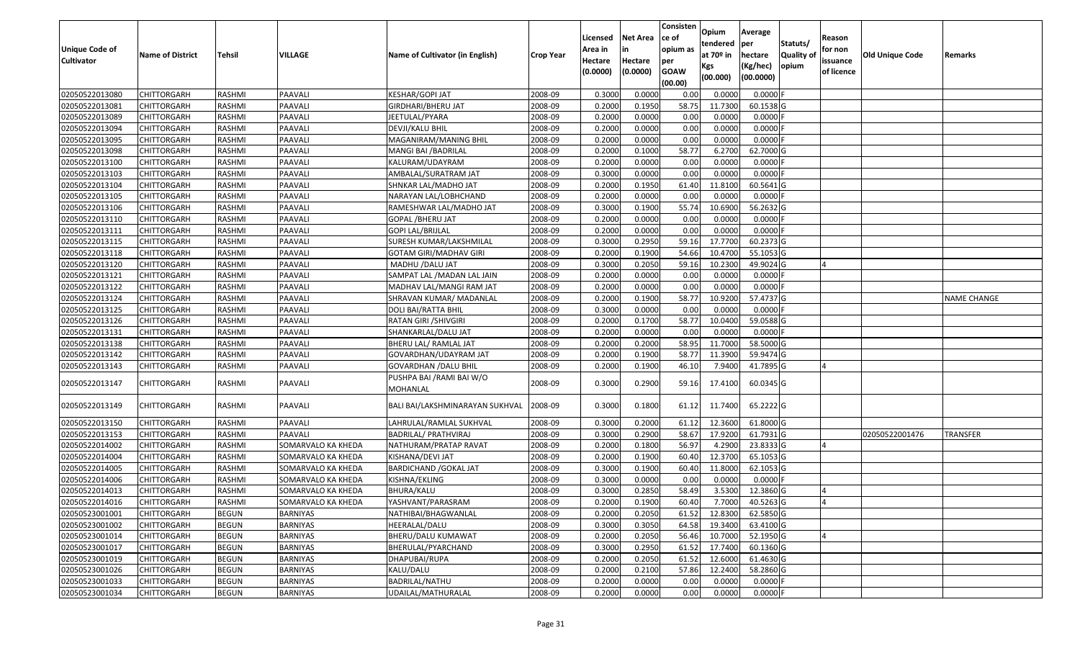| <b>Unique Code of</b><br><b>Cultivator</b> | <b>Name of District</b> | Tehsil        | VILLAGE            | Name of Cultivator (in English)       | <b>Crop Year</b> | Licensed<br>Area in<br>Hectare<br>(0.0000) | Net Area<br>in<br>Hectare<br>(0.0000) | Consisten<br>ce of<br>opium as<br>per<br><b>GOAW</b><br>(00.00) | Opium<br>tendered<br>at 70º in<br>Kgs<br>(00.000) | Average<br>per<br>hectare<br>(Kg/hec)<br>(00.0000) | Statuts/<br><b>Quality of</b><br>opium | Reason<br>for non<br>issuance<br>of licence | <b>Old Unique Code</b> | Remarks            |
|--------------------------------------------|-------------------------|---------------|--------------------|---------------------------------------|------------------|--------------------------------------------|---------------------------------------|-----------------------------------------------------------------|---------------------------------------------------|----------------------------------------------------|----------------------------------------|---------------------------------------------|------------------------|--------------------|
| 02050522013080                             | <b>CHITTORGARH</b>      | RASHMI        | PAAVALI            | KESHAR/GOPI JAT                       | 2008-09          | 0.3000                                     | 0.0000                                | 0.00                                                            | 0.0000                                            | $0.0000$ F                                         |                                        |                                             |                        |                    |
| 02050522013081                             | CHITTORGARH             | RASHMI        | PAAVALI            | GIRDHARI/BHERU JAT                    | 2008-09          | 0.2000                                     | 0.1950                                | 58.75                                                           | 11.7300                                           | 60.1538 G                                          |                                        |                                             |                        |                    |
| 02050522013089                             | CHITTORGARH             | RASHMI        | PAAVALI            | JEETULAL/PYARA                        | 2008-09          | 0.2000                                     | 0.0000                                | 0.00                                                            | 0.0000                                            | $0.0000$ F                                         |                                        |                                             |                        |                    |
| 02050522013094                             | <b>CHITTORGARH</b>      | RASHMI        | PAAVALI            | DEVJI/KALU BHIL                       | 2008-09          | 0.2000                                     | 0.0000                                | 0.00                                                            | 0.0000                                            | $0.0000$ F                                         |                                        |                                             |                        |                    |
| 02050522013095                             | CHITTORGARH             | RASHMI        | PAAVALI            | MAGANIRAM/MANING BHIL                 | 2008-09          | 0.2000                                     | 0.0000                                | 0.00                                                            | 0.0000                                            | $0.0000$ F                                         |                                        |                                             |                        |                    |
| 02050522013098                             | CHITTORGARH             | RASHMI        | PAAVALI            | MANGI BAI / BADRILAL                  | 2008-09          | 0.2000                                     | 0.1000                                | 58.77                                                           | 6.2700                                            | 62.7000 G                                          |                                        |                                             |                        |                    |
| 02050522013100                             | CHITTORGARH             | RASHMI        | PAAVALI            | KALURAM/UDAYRAM                       | 2008-09          | 0.2000                                     | 0.0000                                | 0.00                                                            | 0.0000                                            | 0.0000                                             |                                        |                                             |                        |                    |
| 02050522013103                             | <b>CHITTORGARH</b>      | <b>RASHMI</b> | PAAVALI            | AMBALAL/SURATRAM JAT                  | 2008-09          | 0.3000                                     | 0.0000                                | 0.00                                                            | 0.0000                                            | $0.0000$ F                                         |                                        |                                             |                        |                    |
| 02050522013104                             | CHITTORGARH             | RASHMI        | PAAVALI            | SHNKAR LAL/MADHO JAT                  | 2008-09          | 0.2000                                     | 0.1950                                | 61.40                                                           | 11.8100                                           | 60.5641 G                                          |                                        |                                             |                        |                    |
| 02050522013105                             | CHITTORGARH             | RASHMI        | PAAVALI            | NARAYAN LAL/LOBHCHAND                 | 2008-09          | 0.2000                                     | 0.0000                                | 0.00                                                            | 0.0000                                            | $0.0000$ F                                         |                                        |                                             |                        |                    |
| 02050522013106                             | CHITTORGARH             | RASHMI        | PAAVALI            | RAMESHWAR LAL/MADHO JAT               | 2008-09          | 0.3000                                     | 0.1900                                | 55.74                                                           | 10.6900                                           | 56.2632 G                                          |                                        |                                             |                        |                    |
| 02050522013110                             | <b>CHITTORGARH</b>      | RASHMI        | PAAVALI            | <b>GOPAL / BHERU JAT</b>              | 2008-09          | 0.2000                                     | 0.0000                                | 0.00                                                            | 0.0000                                            | $0.0000$ F                                         |                                        |                                             |                        |                    |
| 02050522013111                             | <b>CHITTORGARH</b>      | RASHMI        | PAAVALI            | <b>GOPI LAL/BRIJLAL</b>               | 2008-09          | 0.2000                                     | 0.0000                                | 0.00                                                            | 0.0000                                            | $0.0000$ F                                         |                                        |                                             |                        |                    |
| 02050522013115                             | <b>CHITTORGARH</b>      | RASHMI        | PAAVALI            | SURESH KUMAR/LAKSHMILAL               | 2008-09          | 0.3000                                     | 0.2950                                | 59.16                                                           | 17.7700                                           | 60.2373 G                                          |                                        |                                             |                        |                    |
| 02050522013118                             | CHITTORGARH             | RASHMI        | PAAVALI            | GOTAM GIRI/MADHAV GIRI                | 2008-09          | 0.2000                                     | 0.1900                                | 54.66                                                           | 10.4700                                           | 55.1053 G                                          |                                        |                                             |                        |                    |
| 02050522013120                             | <b>CHITTORGARH</b>      | RASHMI        | PAAVALI            | MADHU / DALU JAT                      | 2008-09          | 0.3000                                     | 0.2050                                | 59.16                                                           | 10.2300                                           | 49.9024 G                                          |                                        |                                             |                        |                    |
| 02050522013121                             | <b>CHITTORGARH</b>      | RASHMI        | PAAVALI            | SAMPAT LAL / MADAN LAL JAIN           | 2008-09          | 0.2000                                     | 0.0000                                | 0.00                                                            | 0.0000                                            | $0.0000$ F                                         |                                        |                                             |                        |                    |
| 02050522013122                             | CHITTORGARH             | RASHMI        | PAAVALI            | MADHAV LAL/MANGI RAM JAT              | 2008-09          | 0.2000                                     | 0.0000                                | 0.00                                                            | 0.0000                                            | $0.0000$ F                                         |                                        |                                             |                        |                    |
| 02050522013124                             | CHITTORGARH             | RASHMI        | PAAVALI            | SHRAVAN KUMAR/ MADANLAL               | 2008-09          | 0.2000                                     | 0.1900                                | 58.77                                                           | 10.9200                                           | 57.4737 G                                          |                                        |                                             |                        | <b>NAME CHANGE</b> |
| 02050522013125                             | CHITTORGARH             | RASHMI        | PAAVALI            | DOLI BAI/RATTA BHIL                   | 2008-09          | 0.3000                                     | 0.0000                                | 0.00                                                            | 0.0000                                            | $0.0000$ F                                         |                                        |                                             |                        |                    |
| 02050522013126                             | CHITTORGARH             | RASHMI        | PAAVALI            | RATAN GIRI / SHIVGIRI                 | 2008-09          | 0.2000                                     | 0.1700                                | 58.77                                                           | 10.0400                                           | 59.0588 G                                          |                                        |                                             |                        |                    |
| 02050522013131                             | CHITTORGARH             | RASHMI        | PAAVALI            | SHANKARLAL/DALU JAT                   | 2008-09          | 0.2000                                     | 0.0000                                | 0.00                                                            | 0.0000                                            | $0.0000$ F                                         |                                        |                                             |                        |                    |
| 02050522013138                             | CHITTORGARH             | RASHMI        | PAAVALI            | BHERU LAL/ RAMLAL JAT                 | 2008-09          | 0.2000                                     | 0.2000                                | 58.95                                                           | 11.7000                                           | 58.5000 G                                          |                                        |                                             |                        |                    |
| 02050522013142                             | CHITTORGARH             | RASHMI        | PAAVALI            | GOVARDHAN/UDAYRAM JAT                 | 2008-09          | 0.2000                                     | 0.1900                                | 58.77                                                           | 11.3900                                           | 59.9474 G                                          |                                        |                                             |                        |                    |
| 02050522013143                             | CHITTORGARH             | RASHMI        | PAAVALI            | <b>GOVARDHAN / DALU BHIL</b>          | 2008-09          | 0.2000                                     | 0.1900                                | 46.10                                                           | 7.9400                                            | 41.7895 G                                          |                                        |                                             |                        |                    |
| 02050522013147                             | CHITTORGARH             | RASHMI        | PAAVALI            | PUSHPA BAI / RAMI BAI W/O<br>MOHANLAL | 2008-09          | 0.3000                                     | 0.2900                                | 59.16                                                           | 17.4100                                           | 60.0345 G                                          |                                        |                                             |                        |                    |
| 02050522013149                             | CHITTORGARH             | RASHMI        | PAAVALI            | BALI BAI/LAKSHMINARAYAN SUKHVAL       | 2008-09          | 0.3000                                     | 0.1800                                | 61.12                                                           | 11.7400                                           | 65.2222 G                                          |                                        |                                             |                        |                    |
| 02050522013150                             | CHITTORGARH             | RASHMI        | PAAVALI            | LAHRULAL/RAMLAL SUKHVAL               | 2008-09          | 0.3000                                     | 0.2000                                | 61.12                                                           | 12.3600                                           | 61.8000 G                                          |                                        |                                             |                        |                    |
| 02050522013153                             | CHITTORGARH             | RASHMI        | PAAVALI            | BADRILAL/ PRATHVIRAJ                  | 2008-09          | 0.3000                                     | 0.2900                                | 58.67                                                           | 17.9200                                           | 61.7931 G                                          |                                        |                                             | 02050522001476         | TRANSFER           |
| 02050522014002                             | CHITTORGARH             | RASHMI        | SOMARVALO KA KHEDA | NATHURAM/PRATAP RAVAT                 | 2008-09          | 0.2000                                     | 0.1800                                | 56.97                                                           | 4.2900                                            | 23.8333 G                                          |                                        |                                             |                        |                    |
| 02050522014004                             | <b>CHITTORGARH</b>      | RASHMI        | SOMARVALO KA KHEDA | KISHANA/DEVI JAT                      | 2008-09          | 0.2000                                     | 0.1900                                | 60.40                                                           | 12.3700                                           | 65.1053 G                                          |                                        |                                             |                        |                    |
| 02050522014005                             | <b>CHITTORGARH</b>      | RASHMI        | SOMARVALO KA KHEDA | <b>BARDICHAND / GOKAL JAT</b>         | 2008-09          | 0.3000                                     | 0.1900                                | 60.40                                                           | 11.8000                                           | 62.1053 G                                          |                                        |                                             |                        |                    |
| 02050522014006                             | CHITTORGARH             | RASHMI        | SOMARVALO KA KHEDA | KISHNA/EKLING                         | 2008-09          | 0.3000                                     | 0.0000                                | 0.00                                                            | 0.0000                                            | $0.0000$ F                                         |                                        |                                             |                        |                    |
| 02050522014013                             | <b>CHITTORGARH</b>      | RASHMI        | SOMARVALO KA KHEDA | BHURA/KALU                            | 2008-09          | 0.3000                                     | 0.2850                                | 58.49                                                           | 3.5300                                            | 12.3860 G                                          |                                        |                                             |                        |                    |
| 02050522014016                             | <b>CHITTORGARH</b>      | RASHMI        | SOMARVALO KA KHEDA | YASHVANT/PARASRAM                     | 2008-09          | 0.2000                                     | 0.1900                                | 60.40                                                           | 7.7000                                            | 40.5263 G                                          |                                        |                                             |                        |                    |
| 02050523001001                             | <b>CHITTORGARH</b>      | <b>BEGUN</b>  | BARNIYAS           | NATHIBAI/BHAGWANLAL                   | 2008-09          | 0.2000                                     | 0.2050                                | 61.52                                                           | 12.8300                                           | 62.5850 G                                          |                                        |                                             |                        |                    |
| 02050523001002                             | <b>CHITTORGARH</b>      | <b>BEGUN</b>  | BARNIYAS           | HEERALAL/DALU                         | 2008-09          | 0.3000                                     | 0.3050                                | 64.58                                                           | 19.3400                                           | 63.4100 G                                          |                                        |                                             |                        |                    |
| 02050523001014                             | <b>CHITTORGARH</b>      | <b>BEGUN</b>  | <b>BARNIYAS</b>    | BHERU/DALU KUMAWAT                    | 2008-09          | 0.2000                                     | 0.2050                                | 56.46                                                           | 10.7000                                           | 52.1950 G                                          |                                        | IΔ                                          |                        |                    |
| 02050523001017                             | <b>CHITTORGARH</b>      | <b>BEGUN</b>  | BARNIYAS           | BHERULAL/PYARCHAND                    | 2008-09          | 0.3000                                     | 0.2950                                | 61.52                                                           | 17.7400                                           | 60.1360 G                                          |                                        |                                             |                        |                    |
| 02050523001019                             | <b>CHITTORGARH</b>      | <b>BEGUN</b>  | <b>BARNIYAS</b>    | DHAPUBAI/RUPA                         | 2008-09          | 0.2000                                     | 0.2050                                | 61.52                                                           | 12.6000                                           | 61.4630 G                                          |                                        |                                             |                        |                    |
| 02050523001026                             | <b>CHITTORGARH</b>      | <b>BEGUN</b>  | BARNIYAS           | KALU/DALU                             | 2008-09          | 0.2000                                     | 0.2100                                | 57.86                                                           | 12.2400                                           | 58.2860 G                                          |                                        |                                             |                        |                    |
| 02050523001033                             | <b>CHITTORGARH</b>      | <b>BEGUN</b>  | BARNIYAS           | <b>BADRILAL/NATHU</b>                 | 2008-09          | 0.2000                                     | 0.0000                                | 0.00                                                            | 0.0000                                            | $0.0000$ F                                         |                                        |                                             |                        |                    |
| 02050523001034                             | <b>CHITTORGARH</b>      | <b>BEGUN</b>  | BARNIYAS           | UDAILAL/MATHURALAL                    | 2008-09          | 0.2000                                     | 0.0000                                | 0.00                                                            | 0.0000                                            | $0.0000$ F                                         |                                        |                                             |                        |                    |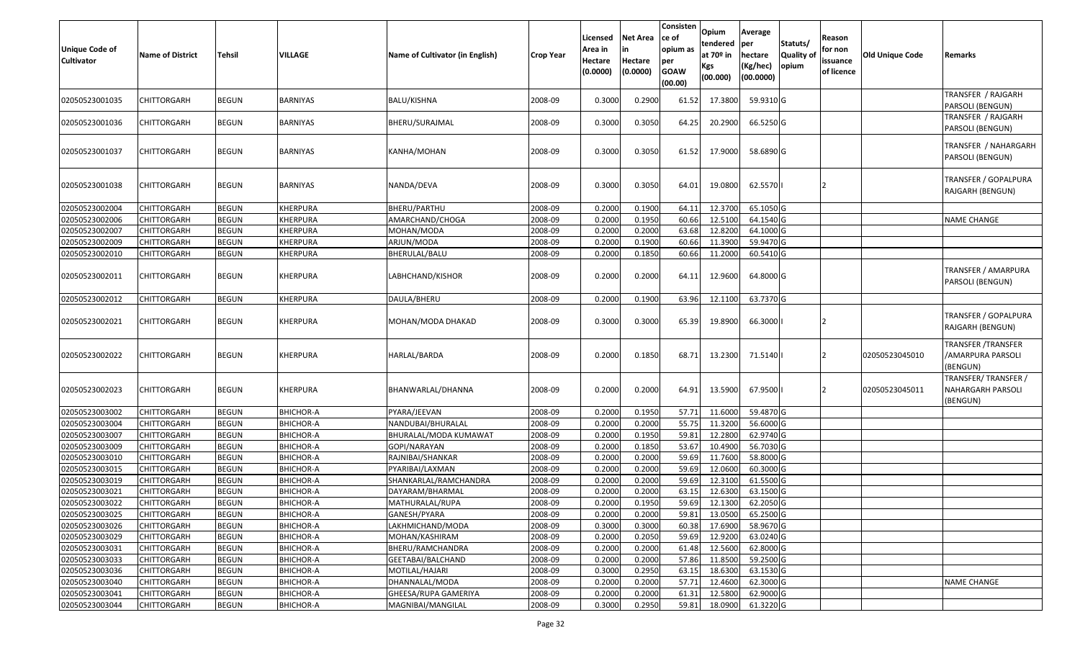| Unique Code of<br>Cultivator | <b>Name of District</b> | <b>Tehsil</b> | <b>VILLAGE</b>   | Name of Cultivator (in English) | <b>Crop Year</b> | Licensed<br>Area in<br>Hectare<br>(0.0000) | Net Area<br>lin<br>Hectare<br>(0.0000) | Consisten<br>ce of<br>opium as<br>per<br><b>GOAW</b><br>(00.00) | Opium<br>tendered<br>at 70º in<br>Kgs<br>(00.000) | Average<br>per<br>hectare<br>(Kg/hec)<br>(00.0000) | Statuts/<br>Quality of<br>opium | Reason<br>for non<br>issuance<br>of licence | <b>Old Unique Code</b> | Remarks                                                    |
|------------------------------|-------------------------|---------------|------------------|---------------------------------|------------------|--------------------------------------------|----------------------------------------|-----------------------------------------------------------------|---------------------------------------------------|----------------------------------------------------|---------------------------------|---------------------------------------------|------------------------|------------------------------------------------------------|
| 02050523001035               | CHITTORGARH             | <b>BEGUN</b>  | <b>BARNIYAS</b>  | BALU/KISHNA                     | 2008-09          | 0.3000                                     | 0.2900                                 | 61.52                                                           | 17.3800                                           | 59.9310 G                                          |                                 |                                             |                        | TRANSFER / RAJGARH<br>PARSOLI (BENGUN)                     |
| 02050523001036               | CHITTORGARH             | <b>BEGUN</b>  | BARNIYAS         | BHERU/SURAJMAL                  | 2008-09          | 0.3000                                     | 0.3050                                 | 64.25                                                           | 20.2900                                           | 66.5250 G                                          |                                 |                                             |                        | TRANSFER / RAJGARH<br>PARSOLI (BENGUN)                     |
| 02050523001037               | CHITTORGARH             | <b>BEGUN</b>  | <b>BARNIYAS</b>  | KANHA/MOHAN                     | 2008-09          | 0.3000                                     | 0.3050                                 | 61.52                                                           | 17.9000                                           | 58.6890 G                                          |                                 |                                             |                        | TRANSFER / NAHARGARH<br>PARSOLI (BENGUN)                   |
| 02050523001038               | <b>CHITTORGARH</b>      | <b>BEGUN</b>  | <b>BARNIYAS</b>  | NANDA/DEVA                      | 2008-09          | 0.3000                                     | 0.3050                                 | 64.01                                                           | 19.0800                                           | 62.5570                                            |                                 |                                             |                        | TRANSFER / GOPALPURA<br>RAJGARH (BENGUN)                   |
| 02050523002004               | <b>CHITTORGARH</b>      | <b>BEGUN</b>  | <b>KHERPURA</b>  | BHERU/PARTHU                    | 2008-09          | 0.2000                                     | 0.1900                                 | 64.11                                                           | 12.3700                                           | 65.1050 G                                          |                                 |                                             |                        |                                                            |
| 02050523002006               | <b>CHITTORGARH</b>      | <b>BEGUN</b>  | <b>KHERPURA</b>  | AMARCHAND/CHOGA                 | 2008-09          | 0.2000                                     | 0.1950                                 | 60.66                                                           | 12.5100                                           | 64.1540 G                                          |                                 |                                             |                        | <b>NAME CHANGE</b>                                         |
| 02050523002007               | <b>CHITTORGARH</b>      | <b>BEGUN</b>  | <b>KHERPURA</b>  | MOHAN/MODA                      | 2008-09          | 0.2000                                     | 0.2000                                 | 63.68                                                           | 12.8200                                           | 64.1000 G                                          |                                 |                                             |                        |                                                            |
| 02050523002009               | <b>CHITTORGARH</b>      | <b>BEGUN</b>  | <b>KHERPURA</b>  | ARJUN/MODA                      | 2008-09          | 0.2000                                     | 0.1900                                 | 60.66                                                           | 11.3900                                           | 59.9470 G                                          |                                 |                                             |                        |                                                            |
| 02050523002010               | <b>CHITTORGARH</b>      | <b>BEGUN</b>  | <b>KHERPURA</b>  | BHERULAL/BALU                   | 2008-09          | 0.2000                                     | 0.1850                                 | 60.66                                                           | 11.2000                                           | 60.5410 G                                          |                                 |                                             |                        |                                                            |
| 02050523002011               | <b>CHITTORGARH</b>      | <b>BEGUN</b>  | <b>KHERPURA</b>  | LABHCHAND/KISHOR                | 2008-09          | 0.2000                                     | 0.2000                                 | 64.11                                                           | 12.9600                                           | 64.8000 G                                          |                                 |                                             |                        | TRANSFER / AMARPURA<br>PARSOLI (BENGUN)                    |
| 02050523002012               | <b>CHITTORGARH</b>      | <b>BEGUN</b>  | <b>KHERPURA</b>  | DAULA/BHERU                     | 2008-09          | 0.2000                                     | 0.1900                                 | 63.96                                                           | 12.1100                                           | 63.7370 G                                          |                                 |                                             |                        |                                                            |
| 02050523002021               | <b>CHITTORGARH</b>      | <b>BEGUN</b>  | <b>KHERPURA</b>  | MOHAN/MODA DHAKAD               | 2008-09          | 0.3000                                     | 0.3000                                 | 65.39                                                           | 19.8900                                           | 66.3000                                            |                                 |                                             |                        | TRANSFER / GOPALPURA<br>RAJGARH (BENGUN)                   |
| 02050523002022               | CHITTORGARH             | <b>BEGUN</b>  | <b>KHERPURA</b>  | HARLAL/BARDA                    | 2008-09          | 0.2000                                     | 0.1850                                 | 68.71                                                           | 13.2300                                           | 71.5140                                            |                                 | 12                                          | 02050523045010         | <b>TRANSFER /TRANSFER</b><br>/AMARPURA PARSOLI<br>(BENGUN) |
| 02050523002023               | CHITTORGARH             | <b>BEGUN</b>  | <b>KHERPURA</b>  | BHANWARLAL/DHANNA               | 2008-09          | 0.2000                                     | 0.2000                                 | 64.91                                                           | 13.5900                                           | 67.9500                                            |                                 | 12                                          | 02050523045011         | TRANSFER/TRANSFER /<br>NAHARGARH PARSOLI<br>(BENGUN)       |
| 02050523003002               | <b>CHITTORGARH</b>      | <b>BEGUN</b>  | <b>BHICHOR-A</b> | PYARA/JEEVAN                    | 2008-09          | 0.2000                                     | 0.1950                                 | 57.71                                                           | 11.6000                                           | 59.4870 G                                          |                                 |                                             |                        |                                                            |
| 02050523003004               | <b>CHITTORGARH</b>      | <b>BEGUN</b>  | <b>BHICHOR-A</b> | NANDUBAI/BHURALAL               | 2008-09          | 0.2000                                     | 0.2000                                 | 55.75                                                           | 11.3200                                           | 56.6000 G                                          |                                 |                                             |                        |                                                            |
| 02050523003007               | <b>CHITTORGARH</b>      | <b>BEGUN</b>  | <b>BHICHOR-A</b> | BHURALAL/MODA KUMAWAT           | 2008-09          | 0.2000                                     | 0.1950                                 | 59.81                                                           | 12.2800                                           | 62.9740 G                                          |                                 |                                             |                        |                                                            |
| 02050523003009               | <b>CHITTORGARH</b>      | <b>BEGUN</b>  | <b>BHICHOR-A</b> | GOPI/NARAYAN                    | 2008-09          | 0.2000                                     | 0.1850                                 | 53.67                                                           | 10.4900                                           | 56.7030 G                                          |                                 |                                             |                        |                                                            |
| 02050523003010               | <b>CHITTORGARH</b>      | <b>BEGUN</b>  | <b>BHICHOR-A</b> | RAJNIBAI/SHANKAR                | 2008-09          | 0.2000                                     | 0.2000                                 | 59.69                                                           | 11.7600                                           | 58.8000 G                                          |                                 |                                             |                        |                                                            |
| 02050523003015               | <b>CHITTORGARH</b>      | <b>BEGUN</b>  | <b>BHICHOR-A</b> | PYARIBAI/LAXMAN                 | 2008-09          | 0.2000                                     | 0.2000                                 | 59.69                                                           | 12.0600                                           | 60.3000 G                                          |                                 |                                             |                        |                                                            |
| 02050523003019               | CHITTORGARH             | <b>BEGUN</b>  | <b>BHICHOR-A</b> | SHANKARLAL/RAMCHANDRA           | 2008-09          | 0.2000                                     | 0.2000                                 | 59.69                                                           | 12.3100                                           | 61.5500 G                                          |                                 |                                             |                        |                                                            |
| 02050523003021               | <b>CHITTORGARH</b>      | <b>BEGUN</b>  | <b>BHICHOR-A</b> | DAYARAM/BHARMAL                 | 2008-09          | 0.2000                                     | 0.2000                                 | 63.15                                                           | 12.6300                                           | 63.1500 G                                          |                                 |                                             |                        |                                                            |
| 02050523003022               | <b>CHITTORGARH</b>      | <b>BEGUN</b>  | <b>BHICHOR-A</b> | MATHURALAL/RUPA                 | 2008-09          | 0.2000                                     | 0.1950                                 | 59.69                                                           | 12.1300                                           | 62.2050 G                                          |                                 |                                             |                        |                                                            |
| 02050523003025               | <b>CHITTORGARH</b>      | <b>BEGUN</b>  | <b>BHICHOR-A</b> | GANESH/PYARA                    | 2008-09          | 0.2000                                     | 0.2000                                 | 59.81                                                           | 13.0500                                           | 65.2500 G                                          |                                 |                                             |                        |                                                            |
| 02050523003026               | <b>CHITTORGARH</b>      | <b>BEGUN</b>  | <b>BHICHOR-A</b> | LAKHMICHAND/MODA                | 2008-09          | 0.3000                                     | 0.3000                                 | 60.38                                                           | 17.6900                                           | 58.9670 G                                          |                                 |                                             |                        |                                                            |
| 02050523003029               | <b>CHITTORGARH</b>      | <b>BEGUN</b>  | <b>BHICHOR-A</b> | MOHAN/KASHIRAM                  | 2008-09          | 0.2000                                     | 0.2050                                 | 59.69                                                           | 12.9200                                           | 63.0240 G                                          |                                 |                                             |                        |                                                            |
| 02050523003031               | <b>CHITTORGARH</b>      | <b>BEGUN</b>  | <b>BHICHOR-A</b> | BHERU/RAMCHANDRA                | 2008-09          | 0.2000                                     | 0.2000                                 | 61.48                                                           | 12.5600                                           | 62.8000 G                                          |                                 |                                             |                        |                                                            |
| 02050523003033               | <b>CHITTORGARH</b>      | <b>BEGUN</b>  | <b>BHICHOR-A</b> | GEETABAI/BALCHAND               | 2008-09          | 0.2000                                     | 0.2000                                 | 57.86                                                           | 11.8500                                           | 59.2500 G                                          |                                 |                                             |                        |                                                            |
| 02050523003036               | <b>CHITTORGARH</b>      | <b>BEGUN</b>  | <b>BHICHOR-A</b> | MOTILAL/HAJARI                  | 2008-09          | 0.3000                                     | 0.2950                                 | 63.15                                                           | 18.6300                                           | 63.1530 G                                          |                                 |                                             |                        |                                                            |
| 02050523003040               | <b>CHITTORGARH</b>      | <b>BEGUN</b>  | <b>BHICHOR-A</b> | DHANNALAL/MODA                  | 2008-09          | 0.2000                                     | 0.2000                                 | 57.71                                                           | 12.4600                                           | 62.3000 G                                          |                                 |                                             |                        | <b>NAME CHANGE</b>                                         |
| 02050523003041               | <b>CHITTORGARH</b>      | <b>BEGUN</b>  | <b>BHICHOR-A</b> | GHEESA/RUPA GAMERIYA            | 2008-09          | 0.2000                                     | 0.2000                                 | 61.31                                                           | 12.5800                                           | 62.9000 G                                          |                                 |                                             |                        |                                                            |
| 02050523003044               | CHITTORGARH             | <b>BEGUN</b>  | <b>BHICHOR-A</b> | MAGNIBAI/MANGILAL               | 2008-09          | 0.3000                                     | 0.2950                                 | 59.81                                                           | 18.0900                                           | 61.3220 G                                          |                                 |                                             |                        |                                                            |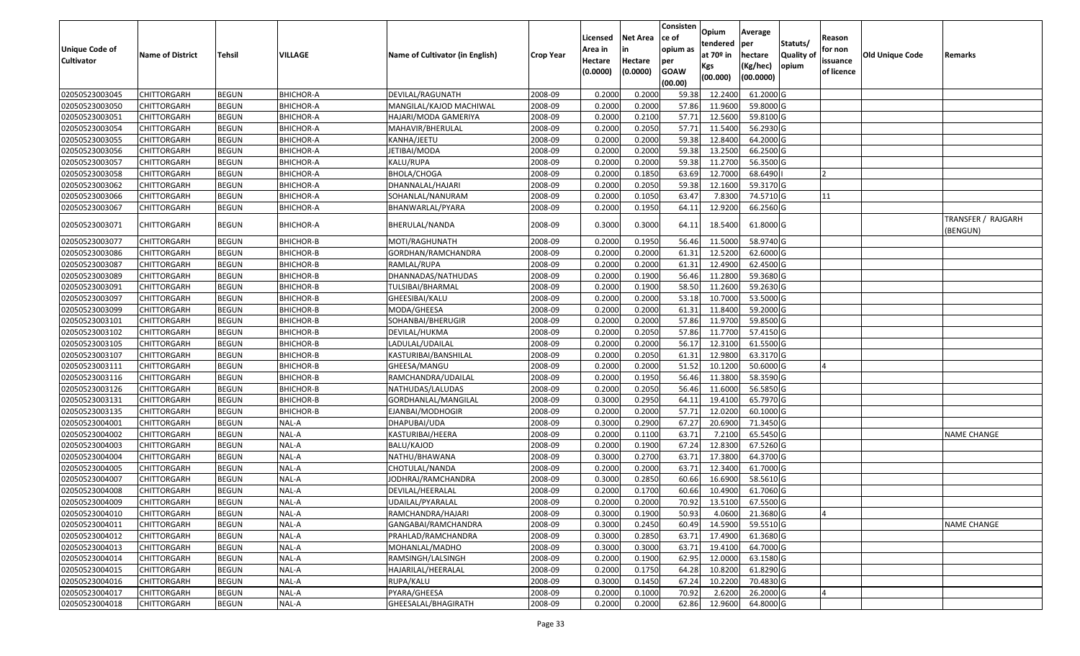|                   |                            |                              |                  |                                          |                    | Licensed | <b>Net Area</b> | Consisten<br>ce of | Opium           | Average               |                  | Reason     |                 |                    |
|-------------------|----------------------------|------------------------------|------------------|------------------------------------------|--------------------|----------|-----------------|--------------------|-----------------|-----------------------|------------------|------------|-----------------|--------------------|
| Unique Code of    |                            |                              |                  |                                          |                    | Area in  |                 | opium as           | tendered        | per                   | Statuts/         | for non    |                 |                    |
| <b>Cultivator</b> | <b>Name of District</b>    | <b>Tehsil</b>                | VILLAGE          | Name of Cultivator (in English)          | <b>Crop Year</b>   | Hectare  | Hectare         | per                | at $70°$ in     | hectare               | <b>Quality o</b> | issuance   | Old Unique Code | Remarks            |
|                   |                            |                              |                  |                                          |                    | (0.0000) | (0.0000)        | <b>GOAW</b>        | Kgs<br>(00.000) | (Kg/hec)<br>(00.0000) | opium            | of licence |                 |                    |
| 02050523003045    |                            |                              | <b>BHICHOR-A</b> | DEVILAL/RAGUNATH                         |                    | 0.2000   | 0.2000          | (00.00)            | 12.2400         | 61.2000 G             |                  |            |                 |                    |
| 02050523003050    | CHITTORGARH<br>CHITTORGARH | <b>BEGUN</b><br><b>BEGUN</b> | <b>BHICHOR-A</b> | MANGILAL/KAJOD MACHIWAL                  | 2008-09<br>2008-09 | 0.2000   | 0.2000          | 59.38<br>57.86     | 11.9600         | 59.8000 G             |                  |            |                 |                    |
| 02050523003051    | CHITTORGARH                | <b>BEGUN</b>                 | <b>BHICHOR-A</b> |                                          | 2008-09            | 0.2000   | 0.2100          | 57.71              | 12.5600         | 59.8100 G             |                  |            |                 |                    |
| 02050523003054    | <b>CHITTORGARH</b>         | <b>BEGUN</b>                 | <b>BHICHOR-A</b> | HAJARI/MODA GAMERIYA<br>MAHAVIR/BHERULAL | 2008-09            | 0.2000   | 0.2050          | 57.71              | 11.5400         | 56.2930 G             |                  |            |                 |                    |
| 02050523003055    | CHITTORGARH                | <b>BEGUN</b>                 | <b>BHICHOR-A</b> | KANHA/JEETU                              | 2008-09            | 0.2000   | 0.2000          | 59.38              | 12.8400         | 64.2000 G             |                  |            |                 |                    |
| 02050523003056    | CHITTORGARH                | <b>BEGUN</b>                 | <b>BHICHOR-A</b> | IETIBAI/MODA                             | 2008-09            | 0.2000   | 0.2000          | 59.38              | 13.2500         | 66.2500 G             |                  |            |                 |                    |
| 02050523003057    | CHITTORGARH                | <b>BEGUN</b>                 | <b>BHICHOR-A</b> | KALU/RUPA                                | 2008-09            | 0.2000   | 0.2000          | 59.38              | 11.2700         | 56.3500 G             |                  |            |                 |                    |
| 02050523003058    | CHITTORGARH                | <b>BEGUN</b>                 | <b>BHICHOR-A</b> | BHOLA/CHOGA                              | 2008-09            | 0.2000   | 0.1850          | 63.69              | 12.7000         | 68.6490               |                  |            |                 |                    |
| 02050523003062    | CHITTORGARH                | <b>BEGUN</b>                 | <b>BHICHOR-A</b> | DHANNALAL/HAJARI                         | 2008-09            | 0.2000   | 0.2050          | 59.38              | 12.1600         | 59.3170 G             |                  |            |                 |                    |
| 02050523003066    | <b>CHITTORGARH</b>         | <b>BEGUN</b>                 | <b>BHICHOR-A</b> | SOHANLAL/NANURAM                         | 2008-09            | 0.2000   | 0.1050          | 63.47              | 7.8300          | 74.5710 G             |                  | 11         |                 |                    |
| 02050523003067    | CHITTORGARH                | <b>BEGUN</b>                 | <b>BHICHOR-A</b> | BHANWARLAL/PYARA                         | 2008-09            | 0.2000   | 0.1950          | 64.11              | 12.9200         | 66.2560 G             |                  |            |                 |                    |
|                   |                            |                              |                  |                                          |                    |          |                 |                    |                 |                       |                  |            |                 | TRANSFER / RAJGARH |
| 02050523003071    | CHITTORGARH                | <b>BEGUN</b>                 | <b>BHICHOR-A</b> | BHERULAL/NANDA                           | 2008-09            | 0.3000   | 0.3000          | 64.11              | 18.5400         | 61.8000 G             |                  |            |                 | (BENGUN)           |
| 02050523003077    | CHITTORGARH                | <b>BEGUN</b>                 | <b>BHICHOR-B</b> | MOTI/RAGHUNATH                           | 2008-09            | 0.2000   | 0.1950          | 56.46              | 11.5000         | 58.9740 G             |                  |            |                 |                    |
| 02050523003086    | CHITTORGARH                | <b>BEGUN</b>                 | <b>BHICHOR-B</b> | GORDHAN/RAMCHANDRA                       | 2008-09            | 0.2000   | 0.2000          | 61.3               | 12.5200         | 62.6000G              |                  |            |                 |                    |
| 02050523003087    | CHITTORGARH                | <b>BEGUN</b>                 | BHICHOR-B        | RAMLAL/RUPA                              | 2008-09            | 0.2000   | 0.2000          | 61.3               | 12.4900         | 62.4500 G             |                  |            |                 |                    |
| 02050523003089    | CHITTORGARH                | <b>BEGUN</b>                 | <b>BHICHOR-B</b> | DHANNADAS/NATHUDAS                       | 2008-09            | 0.2000   | 0.1900          | 56.46              | 11.2800         | 59.3680G              |                  |            |                 |                    |
| 02050523003091    | CHITTORGARH                | <b>BEGUN</b>                 | BHICHOR-B        | TULSIBAI/BHARMAL                         | 2008-09            | 0.2000   | 0.1900          | 58.50              | 11.2600         | 59.2630 G             |                  |            |                 |                    |
| 02050523003097    | CHITTORGARH                | <b>BEGUN</b>                 | <b>BHICHOR-B</b> | GHEESIBAI/KALU                           | 2008-09            | 0.2000   | 0.2000          | 53.18              | 10.7000         | 53.5000 G             |                  |            |                 |                    |
| 02050523003099    | CHITTORGARH                | <b>BEGUN</b>                 | BHICHOR-B        | MODA/GHEESA                              | 2008-09            | 0.2000   | 0.2000          | 61.32              | 11.8400         | 59.2000 G             |                  |            |                 |                    |
| 02050523003101    | CHITTORGARH                | <b>BEGUN</b>                 | <b>BHICHOR-B</b> | SOHANBAI/BHERUGIR                        | 2008-09            | 0.2000   | 0.2000          | 57.86              | 11.9700         | 59.8500 G             |                  |            |                 |                    |
| 02050523003102    | CHITTORGARH                | <b>BEGUN</b>                 | <b>BHICHOR-B</b> | DEVILAL/HUKMA                            | 2008-09            | 0.2000   | 0.2050          | 57.86              | 11.7700         | 57.4150 G             |                  |            |                 |                    |
| 02050523003105    | CHITTORGARH                | <b>BEGUN</b>                 | BHICHOR-B        | LADULAL/UDAILAL                          | 2008-09            | 0.2000   | 0.2000          | 56.17              | 12.3100         | 61.5500 G             |                  |            |                 |                    |
| 02050523003107    | CHITTORGARH                | <b>BEGUN</b>                 | BHICHOR-B        | KASTURIBAI/BANSHILAL                     | 2008-09            | 0.2000   | 0.2050          | 61.31              | 12.9800         | 63.3170 G             |                  |            |                 |                    |
| 02050523003111    | <b>CHITTORGARH</b>         | <b>BEGUN</b>                 | <b>BHICHOR-B</b> | GHEESA/MANGU                             | 2008-09            | 0.2000   | 0.2000          | 51.52              | 10.1200         | 50.6000 G             |                  |            |                 |                    |
| 02050523003116    | CHITTORGARH                | <b>BEGUN</b>                 | <b>BHICHOR-B</b> | RAMCHANDRA/UDAILAL                       | 2008-09            | 0.2000   | 0.1950          | 56.46              | 11.3800         | 58.3590 G             |                  |            |                 |                    |
| 02050523003126    | CHITTORGARH                | <b>BEGUN</b>                 | BHICHOR-B        | NATHUDAS/LALUDAS                         | 2008-09            | 0.2000   | 0.2050          | 56.46              | 11.6000         | 56.5850 G             |                  |            |                 |                    |
| 02050523003131    | CHITTORGARH                | <b>BEGUN</b>                 | <b>BHICHOR-B</b> | GORDHANLAL/MANGILAL                      | 2008-09            | 0.3000   | 0.2950          | 64.1               | 19.4100         | 65.7970 G             |                  |            |                 |                    |
| 02050523003135    | CHITTORGARH                | <b>BEGUN</b>                 | BHICHOR-B        | EJANBAI/MODHOGIR                         | 2008-09            | 0.2000   | 0.2000          | 57.71              | 12.0200         | 60.1000 G             |                  |            |                 |                    |
| 02050523004001    | CHITTORGARH                | <b>BEGUN</b>                 | NAL-A            | DHAPUBAI/UDA                             | 2008-09            | 0.3000   | 0.2900          | 67.27              | 20.6900         | 71.3450 G             |                  |            |                 |                    |
| 02050523004002    | CHITTORGARH                | <b>BEGUN</b>                 | NAL-A            | KASTURIBAI/HEERA                         | 2008-09            | 0.2000   | 0.1100          | 63.7               | 7.2100          | 65.5450 G             |                  |            |                 | <b>NAME CHANGE</b> |
| 02050523004003    | CHITTORGARH                | <b>BEGUN</b>                 | NAL-A            | BALU/KAJOD                               | 2008-09            | 0.2000   | 0.1900          | 67.24              | 12.8300         | 67.5260 G             |                  |            |                 |                    |
| 02050523004004    | CHITTORGARH                | <b>BEGUN</b>                 | NAL-A            | NATHU/BHAWANA                            | 2008-09            | 0.3000   | 0.2700          | 63.7               | 17.3800         | 64.3700 G             |                  |            |                 |                    |
| 02050523004005    | <b>CHITTORGARH</b>         | <b>BEGUN</b>                 | NAL-A            | CHOTULAL/NANDA                           | 2008-09            | 0.2000   | 0.2000          | 63.71              | 12.3400         | 61.7000 G             |                  |            |                 |                    |
| 02050523004007    | CHITTORGARH                | <b>BEGUN</b>                 | NAL-A            | JODHRAJ/RAMCHANDRA                       | 2008-09            | 0.300    | 0.2850          | 60.66              | 16.6900         | 58.5610 G             |                  |            |                 |                    |
| 02050523004008    | CHITTORGARH                | <b>BEGUN</b>                 | NAL-A            | DEVILAL/HEERALAL                         | 2008-09            | 0.2000   | 0.1700          | 60.66              | 10.4900         | 61.7060 G             |                  |            |                 |                    |
| 02050523004009    | <b>CHITTORGARH</b>         | <b>BEGUN</b>                 | NAL-A            | UDAILAL/PYARALAL                         | 2008-09            | 0.2000   | 0.2000          |                    | 70.92 13.5100   | 67.5500G              |                  |            |                 |                    |
| 02050523004010    | <b>CHITTORGARH</b>         | <b>BEGUN</b>                 | NAL-A            | RAMCHANDRA/HAJARI                        | 2008-09            | 0.3000   | 0.1900          | 50.93              | 4.0600          | 21.3680 G             |                  |            |                 |                    |
| 02050523004011    | <b>CHITTORGARH</b>         | <b>BEGUN</b>                 | NAL-A            | GANGABAI/RAMCHANDRA                      | 2008-09            | 0.3000   | 0.2450          | 60.49              | 14.5900         | 59.5510 G             |                  |            |                 | <b>NAME CHANGE</b> |
| 02050523004012    | <b>CHITTORGARH</b>         | <b>BEGUN</b>                 | NAL-A            | PRAHLAD/RAMCHANDRA                       | 2008-09            | 0.3000   | 0.2850          | 63.71              | 17.4900         | 61.3680 G             |                  |            |                 |                    |
| 02050523004013    | CHITTORGARH                | <b>BEGUN</b>                 | NAL-A            | MOHANLAL/MADHO                           | 2008-09            | 0.3000   | 0.3000          | 63.71              | 19.4100         | 64.7000 G             |                  |            |                 |                    |
| 02050523004014    | <b>CHITTORGARH</b>         | <b>BEGUN</b>                 | NAL-A            | RAMSINGH/LALSINGH                        | 2008-09            | 0.2000   | 0.1900          | 62.95              | 12.0000         | 63.1580 G             |                  |            |                 |                    |
| 02050523004015    | <b>CHITTORGARH</b>         | <b>BEGUN</b>                 | NAL-A            | HAJARILAL/HEERALAL                       | 2008-09            | 0.2000   | 0.1750          | 64.28              | 10.8200         | 61.8290 G             |                  |            |                 |                    |
| 02050523004016    | CHITTORGARH                | <b>BEGUN</b>                 | NAL-A            | RUPA/KALU                                | 2008-09            | 0.3000   | 0.1450          | 67.24              | 10.2200         | 70.4830 G             |                  |            |                 |                    |
| 02050523004017    | CHITTORGARH                | <b>BEGUN</b>                 | NAL-A            | PYARA/GHEESA                             | 2008-09            | 0.2000   | 0.1000          | 70.92              | 2.6200          | 26.2000 G             |                  |            |                 |                    |
| 02050523004018    | <b>CHITTORGARH</b>         | <b>BEGUN</b>                 | NAL-A            | GHEESALAL/BHAGIRATH                      | 2008-09            | 0.2000   | 0.2000          | 62.86              | 12.9600         | 64.8000 G             |                  |            |                 |                    |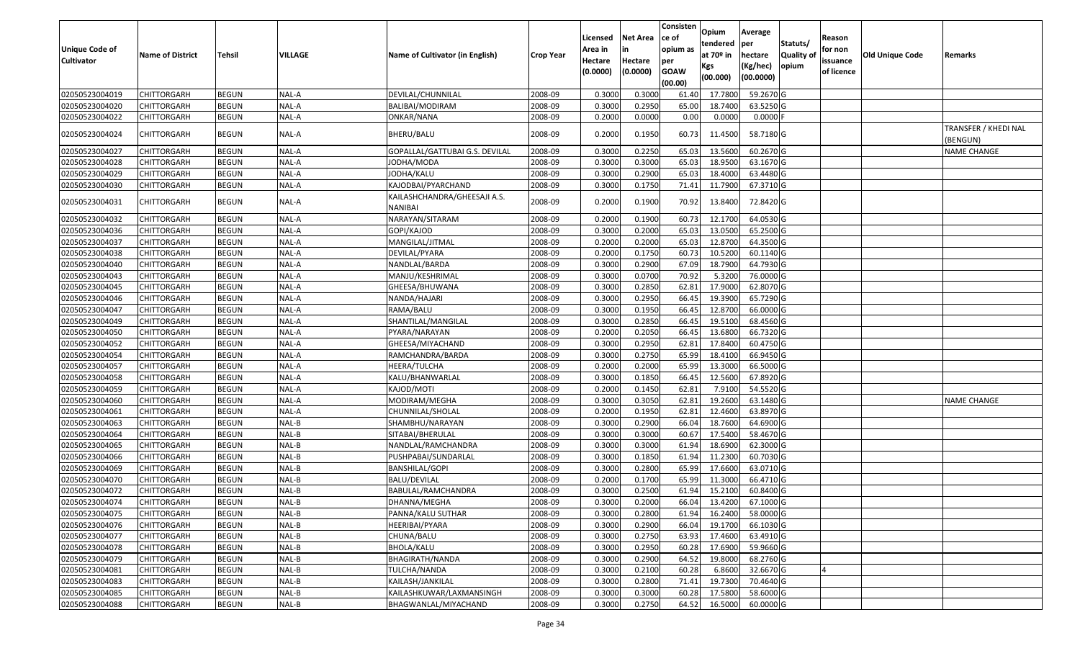|                       |                         |               |                |                                         |                  | Licensed | <b>Net Area</b> | Consisten<br>ce of | Opium       | Average   |                  | Reason     |                        |                                  |
|-----------------------|-------------------------|---------------|----------------|-----------------------------------------|------------------|----------|-----------------|--------------------|-------------|-----------|------------------|------------|------------------------|----------------------------------|
| <b>Unique Code of</b> |                         |               |                |                                         |                  | Area in  |                 | opium as           | tendered    | per       | Statuts/         | for non    |                        |                                  |
| <b>Cultivator</b>     | <b>Name of District</b> | <b>Tehsil</b> | <b>VILLAGE</b> | Name of Cultivator (in English)         | <b>Crop Year</b> | Hectare  | Hectare         | per                | at $70°$ in | hectare   | <b>Quality o</b> | issuance   | <b>Old Unique Code</b> | Remarks                          |
|                       |                         |               |                |                                         |                  | (0.0000) | (0.0000)        | <b>GOAW</b>        | Kgs         | (Kg/hec)  | opium            | of licence |                        |                                  |
|                       |                         |               |                |                                         |                  |          |                 | (00.00)            | (00.000)    | (00.0000) |                  |            |                        |                                  |
| 02050523004019        | CHITTORGARH             | <b>BEGUN</b>  | NAL-A          | DEVILAL/CHUNNILAL                       | 2008-09          | 0.3000   | 0.3000          | 61.40              | 17.7800     | 59.2670 G |                  |            |                        |                                  |
| 02050523004020        | CHITTORGARH             | <b>BEGUN</b>  | NAL-A          | BALIBAI/MODIRAM                         | 2008-09          | 0.3000   | 0.2950          | 65.00              | 18.7400     | 63.5250 G |                  |            |                        |                                  |
| 02050523004022        | CHITTORGARH             | <b>BEGUN</b>  | NAL-A          | ONKAR/NANA                              | 2008-09          | 0.2000   | 0.0000          | 0.00               | 0.0000      | 0.0000    |                  |            |                        |                                  |
| 02050523004024        | CHITTORGARH             | <b>BEGUN</b>  | NAL-A          | BHERU/BALU                              | 2008-09          | 0.2000   | 0.1950          | 60.73              | 11.4500     | 58.7180 G |                  |            |                        | TRANSFER / KHEDI NAL<br>(BENGUN) |
| 02050523004027        | CHITTORGARH             | <b>BEGUN</b>  | NAL-A          | GOPALLAL/GATTUBAI G.S. DEVILAL          | 2008-09          | 0.300    | 0.2250          | 65.03              | 13.5600     | 60.2670 G |                  |            |                        | <b>NAME CHANGE</b>               |
| 02050523004028        | CHITTORGARH             | <b>BEGUN</b>  | NAL-A          | JODHA/MODA                              | 2008-09          | 0.3000   | 0.3000          | 65.03              | 18.9500     | 63.1670 G |                  |            |                        |                                  |
| 02050523004029        | CHITTORGARH             | <b>BEGUN</b>  | NAL-A          | JODHA/KALU                              | 2008-09          | 0.3000   | 0.2900          | 65.03              | 18.4000     | 63.4480 G |                  |            |                        |                                  |
| 02050523004030        | CHITTORGARH             | <b>BEGUN</b>  | NAL-A          | KAJODBAI/PYARCHAND                      | 2008-09          | 0.3000   | 0.1750          | 71.41              | 11.7900     | 67.3710 G |                  |            |                        |                                  |
| 02050523004031        | CHITTORGARH             | <b>BEGUN</b>  | NAL-A          | KAILASHCHANDRA/GHEESAJI A.S.<br>NANIBAI | 2008-09          | 0.2000   | 0.1900          | 70.92              | 13.8400     | 72.8420 G |                  |            |                        |                                  |
| 02050523004032        | CHITTORGARH             | <b>BEGUN</b>  | NAL-A          | NARAYAN/SITARAM                         | 2008-09          | 0.2000   | 0.1900          | 60.73              | 12.1700     | 64.0530 G |                  |            |                        |                                  |
| 02050523004036        | CHITTORGARH             | <b>BEGUN</b>  | NAL-A          | GOPI/KAJOD                              | 2008-09          | 0.3000   | 0.2000          | 65.03              | 13.0500     | 65.2500 G |                  |            |                        |                                  |
| 02050523004037        | CHITTORGARH             | <b>BEGUN</b>  | NAL-A          | MANGILAL/JITMAL                         | 2008-09          | 0.2000   | 0.2000          | 65.03              | 12.8700     | 64.3500 G |                  |            |                        |                                  |
| 02050523004038        | CHITTORGARH             | <b>BEGUN</b>  | NAL-A          | DEVILAL/PYARA                           | 2008-09          | 0.2000   | 0.1750          | 60.73              | 10.5200     | 60.1140 G |                  |            |                        |                                  |
| 02050523004040        | CHITTORGARH             | <b>BEGUN</b>  | NAL-A          | NANDLAL/BARDA                           | 2008-09          | 0.3000   | 0.2900          | 67.09              | 18.7900     | 64.7930 G |                  |            |                        |                                  |
| 02050523004043        | CHITTORGARH             | <b>BEGUN</b>  | NAL-A          | MANJU/KESHRIMAL                         | 2008-09          | 0.3000   | 0.0700          | 70.92              | 5.3200      | 76.0000G  |                  |            |                        |                                  |
| 02050523004045        | CHITTORGARH             | <b>BEGUN</b>  | NAL-A          | GHEESA/BHUWANA                          | 2008-09          | 0.300    | 0.2850          | 62.81              | 17.9000     | 62.8070 G |                  |            |                        |                                  |
| 02050523004046        | CHITTORGARH             | <b>BEGUN</b>  | NAL-A          | NANDA/HAJARI                            | 2008-09          | 0.3000   | 0.2950          | 66.45              | 19.3900     | 65.7290 G |                  |            |                        |                                  |
| 02050523004047        | CHITTORGARH             | <b>BEGUN</b>  | NAL-A          | RAMA/BALU                               | 2008-09          | 0.3000   | 0.1950          | 66.45              | 12.8700     | 66.0000G  |                  |            |                        |                                  |
| 02050523004049        | <b>CHITTORGARH</b>      | <b>BEGUN</b>  | NAL-A          | SHANTILAL/MANGILAL                      | 2008-09          | 0.3000   | 0.2850          | 66.45              | 19.5100     | 68.4560 G |                  |            |                        |                                  |
| 02050523004050        | CHITTORGARH             | <b>BEGUN</b>  | NAL-A          | PYARA/NARAYAN                           | 2008-09          | 0.2000   | 0.2050          | 66.45              | 13.6800     | 66.7320 G |                  |            |                        |                                  |
| 02050523004052        | CHITTORGARH             | <b>BEGUN</b>  | NAL-A          | GHEESA/MIYACHAND                        | 2008-09          | 0.3000   | 0.2950          | 62.8               | 17.8400     | 60.4750 G |                  |            |                        |                                  |
| 02050523004054        | CHITTORGARH             | <b>BEGUN</b>  | NAL-A          | RAMCHANDRA/BARDA                        | 2008-09          | 0.3000   | 0.2750          | 65.99              | 18.4100     | 66.9450 G |                  |            |                        |                                  |
| 02050523004057        | CHITTORGARH             | <b>BEGUN</b>  | NAL-A          | HEERA/TULCHA                            | 2008-09          | 0.2000   | 0.2000          | 65.99              | 13.3000     | 66.5000 G |                  |            |                        |                                  |
| 02050523004058        | CHITTORGARH             | <b>BEGUN</b>  | NAL-A          | KALU/BHANWARLAL                         | 2008-09          | 0.3000   | 0.1850          | 66.45              | 12.5600     | 67.8920 G |                  |            |                        |                                  |
| 02050523004059        | CHITTORGARH             | <b>BEGUN</b>  | NAL-A          | KAJOD/MOTI                              | 2008-09          | 0.2000   | 0.1450          | 62.8               | 7.9100      | 54.5520 G |                  |            |                        |                                  |
| 02050523004060        | CHITTORGARH             | <b>BEGUN</b>  | NAL-A          | MODIRAM/MEGHA                           | 2008-09          | 0.3000   | 0.3050          | 62.81              | 19.2600     | 63.1480 G |                  |            |                        | <b>NAME CHANGE</b>               |
| 02050523004061        | CHITTORGARH             | <b>BEGUN</b>  | NAL-A          | CHUNNILAL/SHOLAL                        | 2008-09          | 0.2000   | 0.1950          | 62.81              | 12.4600     | 63.8970 G |                  |            |                        |                                  |
| 02050523004063        | CHITTORGARH             | <b>BEGUN</b>  | NAL-B          | SHAMBHU/NARAYAN                         | 2008-09          | 0.3000   | 0.2900          | 66.04              | 18.7600     | 64.6900 G |                  |            |                        |                                  |
| 02050523004064        | CHITTORGARH             | <b>BEGUN</b>  | NAL-B          | SITABAI/BHERULAL                        | 2008-09          | 0.3000   | 0.3000          | 60.67              | 17.5400     | 58.4670 G |                  |            |                        |                                  |
| 02050523004065        | CHITTORGARH             | <b>BEGUN</b>  | NAL-B          | NANDLAL/RAMCHANDRA                      | 2008-09          | 0.3000   | 0.3000          | 61.94              | 18.6900     | 62.3000G  |                  |            |                        |                                  |
| 02050523004066        | CHITTORGARH             | <b>BEGUN</b>  | NAL-B          | PUSHPABAI/SUNDARLAL                     | 2008-09          | 0.3000   | 0.1850          | 61.94              | 11.2300     | 60.7030 G |                  |            |                        |                                  |
| 02050523004069        | <b>CHITTORGARH</b>      | <b>BEGUN</b>  | NAL-B          | <b>BANSHILAL/GOPI</b>                   | 2008-09          | 0.3000   | 0.2800          | 65.99              | 17.6600     | 63.0710G  |                  |            |                        |                                  |
| 02050523004070        | CHITTORGARH             | <b>BEGUN</b>  | NAL-B          | BALU/DEVILAL                            | 2008-09          | 0.2000   | 0.1700          | 65.99              | 11.3000     | 66.4710 G |                  |            |                        |                                  |
| 02050523004072        | CHITTORGARH             | <b>BEGUN</b>  | NAL-B          | BABULAL/RAMCHANDRA                      | 2008-09          | 0.3000   | 0.2500          | 61.94              | 15.2100     | 60.8400 G |                  |            |                        |                                  |
| 02050523004074        | <b>CHITTORGARH</b>      | <b>BEGUN</b>  | NAL-B          | DHANNA/MEGHA                            | 2008-09          | 0.3000   | 0.2000          | 66.04              | 13.4200     | 67.1000G  |                  |            |                        |                                  |
| 02050523004075        | <b>CHITTORGARH</b>      | <b>BEGUN</b>  | NAL-B          | PANNA/KALU SUTHAR                       | 2008-09          | 0.3000   | 0.2800          | 61.94              | 16.2400     | 58.0000 G |                  |            |                        |                                  |
| 02050523004076        | <b>CHITTORGARH</b>      | <b>BEGUN</b>  | NAL-B          | HEERIBAI/PYARA                          | 2008-09          | 0.3000   | 0.2900          | 66.04              | 19.1700     | 66.1030 G |                  |            |                        |                                  |
| 02050523004077        | <b>CHITTORGARH</b>      | <b>BEGUN</b>  | NAL-B          | CHUNA/BALU                              | 2008-09          | 0.3000   | 0.2750          | 63.93              | 17.4600     | 63.4910 G |                  |            |                        |                                  |
| 02050523004078        | CHITTORGARH             | <b>BEGUN</b>  | NAL-B          | BHOLA/KALU                              | 2008-09          | 0.3000   | 0.2950          | 60.28              | 17.6900     | 59.9660 G |                  |            |                        |                                  |
| 02050523004079        | <b>CHITTORGARH</b>      | <b>BEGUN</b>  | NAL-B          | BHAGIRATH/NANDA                         | 2008-09          | 0.3000   | 0.2900          | 64.52              | 19.8000     | 68.2760 G |                  |            |                        |                                  |
| 02050523004081        | <b>CHITTORGARH</b>      | <b>BEGUN</b>  | NAL-B          | TULCHA/NANDA                            | 2008-09          | 0.3000   | 0.2100          | 60.28              | 6.8600      | 32.6670 G |                  |            |                        |                                  |
| 02050523004083        | <b>CHITTORGARH</b>      | <b>BEGUN</b>  | NAL-B          | KAILASH/JANKILAL                        | 2008-09          | 0.3000   | 0.2800          | 71.41              | 19.7300     | 70.4640 G |                  |            |                        |                                  |
| 02050523004085        | <b>CHITTORGARH</b>      | <b>BEGUN</b>  | NAL-B          | KAILASHKUWAR/LAXMANSINGH                | 2008-09          | 0.3000   | 0.3000          | 60.28              | 17.5800     | 58.6000 G |                  |            |                        |                                  |
| 02050523004088        | <b>CHITTORGARH</b>      | <b>BEGUN</b>  | $NAL-B$        | BHAGWANLAL/MIYACHAND                    | 2008-09          | 0.3000   | 0.2750          | 64.52              | 16.5000     | 60.0000 G |                  |            |                        |                                  |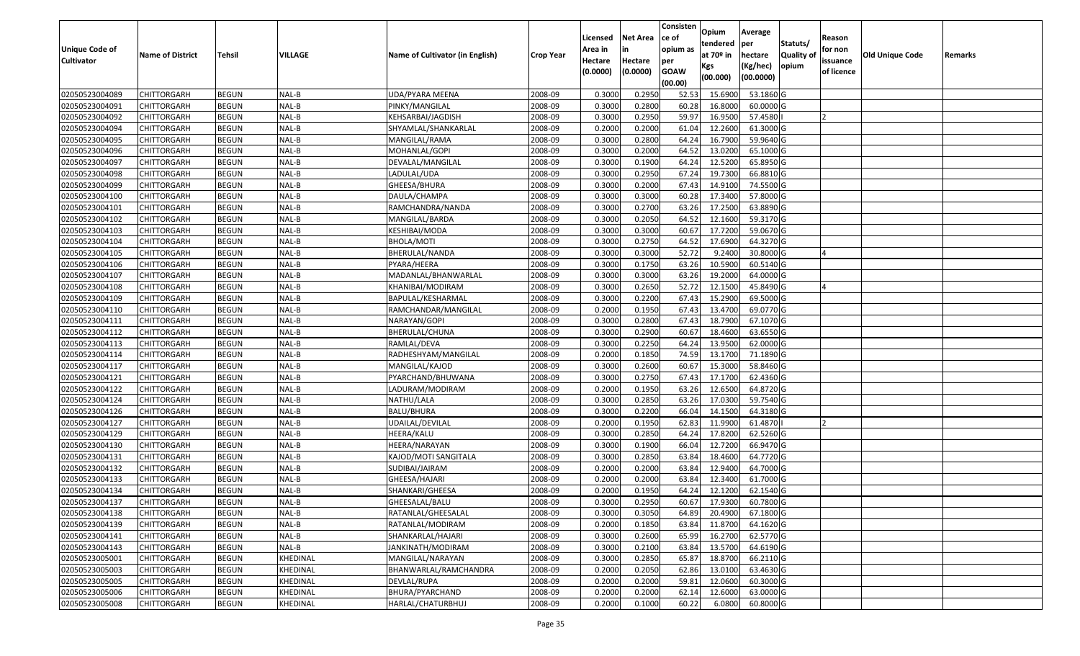|                   |                         |               |                 |                                 |                  |          |                 | Consisten   | Opium         | Average   |                  |            |                 |         |
|-------------------|-------------------------|---------------|-----------------|---------------------------------|------------------|----------|-----------------|-------------|---------------|-----------|------------------|------------|-----------------|---------|
|                   |                         |               |                 |                                 |                  | Licensed | <b>Net Area</b> | ce of       | tendered      | per       | Statuts/         | Reason     |                 |         |
| Unique Code of    | <b>Name of District</b> | <b>Tehsil</b> | VILLAGE         | Name of Cultivator (in English) | <b>Crop Year</b> | Area in  |                 | opium as    | at $70°$ in   | hectare   | <b>Quality o</b> | for non    | Old Unique Code | Remarks |
| <b>Cultivator</b> |                         |               |                 |                                 |                  | Hectare  | Hectare         | per         | Kgs           | (Kg/hec)  | opium            | issuance   |                 |         |
|                   |                         |               |                 |                                 |                  | (0.0000) | (0.0000)        | <b>GOAW</b> | (00.000)      | (00.0000) |                  | of licence |                 |         |
|                   |                         |               |                 |                                 |                  |          |                 | (00.00)     |               |           |                  |            |                 |         |
| 02050523004089    | CHITTORGARH             | <b>BEGUN</b>  | NAL-B           | UDA/PYARA MEENA                 | 2008-09          | 0.3000   | 0.2950          | 52.53       | 15.6900       | 53.1860 G |                  |            |                 |         |
| 02050523004091    | CHITTORGARH             | <b>BEGUN</b>  | NAL-B           | PINKY/MANGILAL                  | 2008-09          | 0.3000   | 0.2800          | 60.28       | 16.8000       | 60.0000G  |                  |            |                 |         |
| 02050523004092    | CHITTORGARH             | <b>BEGUN</b>  | NAL-B           | KEHSARBAI/JAGDISH               | 2008-09          | 0.3000   | 0.2950          | 59.97       | 16.9500       | 57.4580   |                  |            |                 |         |
| 02050523004094    | CHITTORGARH             | <b>BEGUN</b>  | NAL-B           | SHYAMLAL/SHANKARLAL             | 2008-09          | 0.2000   | 0.2000          | 61.04       | 12.2600       | 61.3000G  |                  |            |                 |         |
| 02050523004095    | CHITTORGARH             | <b>BEGUN</b>  | NAL-B           | MANGILAL/RAMA                   | 2008-09          | 0.3000   | 0.2800          | 64.24       | 16.7900       | 59.9640 G |                  |            |                 |         |
| 02050523004096    | CHITTORGARH             | <b>BEGUN</b>  | NAL-B           | MOHANLAL/GOPI                   | 2008-09          | 0.3000   | 0.2000          | 64.52       | 13.0200       | 65.1000G  |                  |            |                 |         |
| 02050523004097    | CHITTORGARH             | <b>BEGUN</b>  | NAL-B           | DEVALAL/MANGILAL                | 2008-09          | 0.3000   | 0.1900          | 64.24       | 12.5200       | 65.8950 G |                  |            |                 |         |
| 02050523004098    | CHITTORGARH             | <b>BEGUN</b>  | NAL-B           | LADULAL/UDA                     | 2008-09          | 0.3000   | 0.2950          | 67.24       | 19.7300       | 66.8810G  |                  |            |                 |         |
| 02050523004099    | CHITTORGARH             | <b>BEGUN</b>  | NAL-B           | GHEESA/BHURA                    | 2008-09          | 0.3000   | 0.2000          | 67.43       | 14.9100       | 74.5500 G |                  |            |                 |         |
| 02050523004100    | CHITTORGARH             | <b>BEGUN</b>  | NAL-B           | DAULA/CHAMPA                    | 2008-09          | 0.3000   | 0.3000          | 60.28       | 17.3400       | 57.8000 G |                  |            |                 |         |
| 02050523004101    | CHITTORGARH             | <b>BEGUN</b>  | NAL-B           | RAMCHANDRA/NANDA                | 2008-09          | 0.3000   | 0.2700          | 63.26       | 17.2500       | 63.8890 G |                  |            |                 |         |
| 02050523004102    | <b>CHITTORGARH</b>      | <b>BEGUN</b>  | NAL-B           | MANGILAL/BARDA                  | 2008-09          | 0.3000   | 0.2050          | 64.52       | 12.1600       | 59.3170 G |                  |            |                 |         |
| 02050523004103    | <b>CHITTORGARH</b>      | <b>BEGUN</b>  | NAL-B           | KESHIBAI/MODA                   | 2008-09          | 0.3000   | 0.3000          | 60.67       | 17.7200       | 59.0670 G |                  |            |                 |         |
| 02050523004104    | CHITTORGARH             | <b>BEGUN</b>  | NAL-B           | BHOLA/MOTI                      | 2008-09          | 0.3000   | 0.2750          | 64.52       | 17.6900       | 64.3270 G |                  |            |                 |         |
| 02050523004105    | CHITTORGARH             | <b>BEGUN</b>  | NAL-B           | BHERULAL/NANDA                  | 2008-09          | 0.3000   | 0.3000          | 52.72       | 9.2400        | 30.8000 G |                  |            |                 |         |
| 02050523004106    | CHITTORGARH             | <b>BEGUN</b>  | NAL-B           | PYARA/HEERA                     | 2008-09          | 0.3000   | 0.1750          | 63.26       | 10.5900       | 60.5140 G |                  |            |                 |         |
| 02050523004107    | CHITTORGARH             | <b>BEGUN</b>  | NAL-B           | MADANLAL/BHANWARLAL             | 2008-09          | 0.3000   | 0.3000          | 63.26       | 19.2000       | 64.0000G  |                  |            |                 |         |
| 02050523004108    | CHITTORGARH             | <b>BEGUN</b>  | NAL-B           | KHANIBAI/MODIRAM                | 2008-09          | 0.3000   | 0.2650          | 52.72       | 12.1500       | 45.8490 G |                  |            |                 |         |
| 02050523004109    | CHITTORGARH             | <b>BEGUN</b>  | NAL-B           | BAPULAL/KESHARMAL               | 2008-09          | 0.300    | 0.2200          | 67.43       | 15.2900       | 69.5000G  |                  |            |                 |         |
| 02050523004110    | CHITTORGARH             | <b>BEGUN</b>  | NAL-B           | RAMCHANDAR/MANGILAL             | 2008-09          | 0.2000   | 0.1950          | 67.43       | 13.4700       | 69.0770G  |                  |            |                 |         |
| 02050523004111    | CHITTORGARH             | <b>BEGUN</b>  | NAL-B           | NARAYAN/GOPI                    | 2008-09          | 0.3000   | 0.2800          | 67.43       | 18.7900       | 67.1070 G |                  |            |                 |         |
| 02050523004112    | CHITTORGARH             | <b>BEGUN</b>  | NAL-B           | BHERULAL/CHUNA                  | 2008-09          | 0.300    | 0.2900          | 60.67       | 18.4600       | 63.6550 G |                  |            |                 |         |
| 02050523004113    | CHITTORGARH             | <b>BEGUN</b>  | NAL-B           | RAMLAL/DEVA                     | 2008-09          | 0.3000   | 0.2250          | 64.24       | 13.9500       | 62.0000G  |                  |            |                 |         |
| 02050523004114    | CHITTORGARH             | <b>BEGUN</b>  | NAL-B           | RADHESHYAM/MANGILAL             | 2008-09          | 0.2000   | 0.1850          | 74.59       | 13.1700       | 71.1890 G |                  |            |                 |         |
| 02050523004117    | CHITTORGARH             | <b>BEGUN</b>  | NAL-B           | MANGILAL/KAJOD                  | 2008-09          | 0.3000   | 0.2600          | 60.67       | 15.3000       | 58.8460 G |                  |            |                 |         |
| 02050523004121    | CHITTORGARH             | <b>BEGUN</b>  | NAL-B           | PYARCHAND/BHUWANA               | 2008-09          | 0.3000   | 0.2750          | 67.43       | 17.1700       | 62.4360 G |                  |            |                 |         |
| 02050523004122    | CHITTORGARH             | <b>BEGUN</b>  | NAL-B           | LADURAM/MODIRAM                 | 2008-09          | 0.2000   | 0.1950          | 63.26       | 12.6500       | 64.8720 G |                  |            |                 |         |
| 02050523004124    | CHITTORGARH             | <b>BEGUN</b>  | NAL-B           | NATHU/LALA                      | 2008-09          | 0.3000   | 0.2850          | 63.26       | 17.0300       | 59.7540 G |                  |            |                 |         |
| 02050523004126    | CHITTORGARH             | <b>BEGUN</b>  | NAL-B           | <b>BALU/BHURA</b>               | 2008-09          | 0.3000   | 0.2200          | 66.04       | 14.1500       | 64.3180 G |                  |            |                 |         |
| 02050523004127    | CHITTORGARH             | <b>BEGUN</b>  | NAL-B           | UDAILAL/DEVILAL                 | 2008-09          | 0.2000   | 0.1950          | 62.83       | 11.9900       | 61.4870   |                  |            |                 |         |
| 02050523004129    | CHITTORGARH             | <b>BEGUN</b>  | NAL-B           | HEERA/KALU                      | 2008-09          | 0.3000   | 0.2850          | 64.24       | 17.8200       | 62.5260 G |                  |            |                 |         |
| 02050523004130    | CHITTORGARH             | <b>BEGUN</b>  | NAL-B           | HEERA/NARAYAN                   | 2008-09          | 0.3000   | 0.1900          | 66.04       | 12.7200       | 66.9470 G |                  |            |                 |         |
| 02050523004131    | CHITTORGARH             | <b>BEGUN</b>  | NAL-B           | KAJOD/MOTI SANGITALA            | 2008-09          | 0.3000   | 0.2850          | 63.84       | 18.4600       | 64.7720 G |                  |            |                 |         |
| 02050523004132    | CHITTORGARH             | <b>BEGUN</b>  | NAL-B           | SUDIBAI/JAIRAM                  | 2008-09          | 0.2000   | 0.2000          | 63.84       | 12.9400       | 64.7000 G |                  |            |                 |         |
| 02050523004133    | CHITTORGARH             | <b>BEGUN</b>  | NAL-B           | GHEESA/HAJARI                   | 2008-09          | 0.2000   | 0.2000          | 63.84       | 12.3400       | 61.7000G  |                  |            |                 |         |
| 02050523004134    | CHITTORGARH             | <b>BEGUN</b>  | NAL-B           | SHANKARI/GHEESA                 | 2008-09          | 0.2000   | 0.1950          | 64.24       | 12.1200       | 62.1540 G |                  |            |                 |         |
| 02050523004137    | <b>CHITTORGARH</b>      | <b>BEGUN</b>  | NAL-B           | GHEESALAL/BALU                  | 2008-09          | 0.3000   | 0.2950          |             | 60.67 17.9300 | 60.7800 G |                  |            |                 |         |
| 02050523004138    | <b>CHITTORGARH</b>      | <b>BEGUN</b>  | NAL-B           | RATANLAL/GHEESALAL              | 2008-09          | 0.3000   | 0.3050          | 64.89       | 20.4900       | 67.1800 G |                  |            |                 |         |
| 02050523004139    | <b>CHITTORGARH</b>      | <b>BEGUN</b>  | NAL-B           | RATANLAL/MODIRAM                | 2008-09          | 0.2000   | 0.1850          | 63.84       | 11.8700       | 64.1620 G |                  |            |                 |         |
| 02050523004141    | <b>CHITTORGARH</b>      | <b>BEGUN</b>  | NAL-B           | SHANKARLAL/HAJARI               | 2008-09          | 0.3000   | 0.2600          | 65.99       | 16.2700       | 62.5770 G |                  |            |                 |         |
| 02050523004143    | <b>CHITTORGARH</b>      | <b>BEGUN</b>  | NAL-B           | JANKINATH/MODIRAM               | 2008-09          | 0.3000   | 0.2100          | 63.84       | 13.5700       | 64.6190 G |                  |            |                 |         |
| 02050523005001    | <b>CHITTORGARH</b>      | <b>BEGUN</b>  | <b>KHEDINAL</b> | MANGILAL/NARAYAN                | 2008-09          | 0.3000   | 0.2850          | 65.87       | 18.8700       | 66.2110 G |                  |            |                 |         |
| 02050523005003    | <b>CHITTORGARH</b>      | <b>BEGUN</b>  | KHEDINAL        | BHANWARLAL/RAMCHANDRA           | 2008-09          | 0.2000   | 0.2050          | 62.86       | 13.0100       | 63.4630 G |                  |            |                 |         |
| 02050523005005    | CHITTORGARH             | <b>BEGUN</b>  | KHEDINAL        | DEVLAL/RUPA                     | 2008-09          | 0.2000   | 0.2000          | 59.81       | 12.0600       | 60.3000 G |                  |            |                 |         |
| 02050523005006    | <b>CHITTORGARH</b>      | <b>BEGUN</b>  | KHEDINAL        | BHURA/PYARCHAND                 | 2008-09          | 0.2000   | 0.2000          | 62.14       | 12.6000       | 63.0000 G |                  |            |                 |         |
| 02050523005008    | <b>CHITTORGARH</b>      | <b>BEGUN</b>  | KHEDINAL        | HARLAL/CHATURBHUJ               | 2008-09          | 0.2000   | 0.1000          | 60.22       | 6.0800        | 60.8000 G |                  |            |                 |         |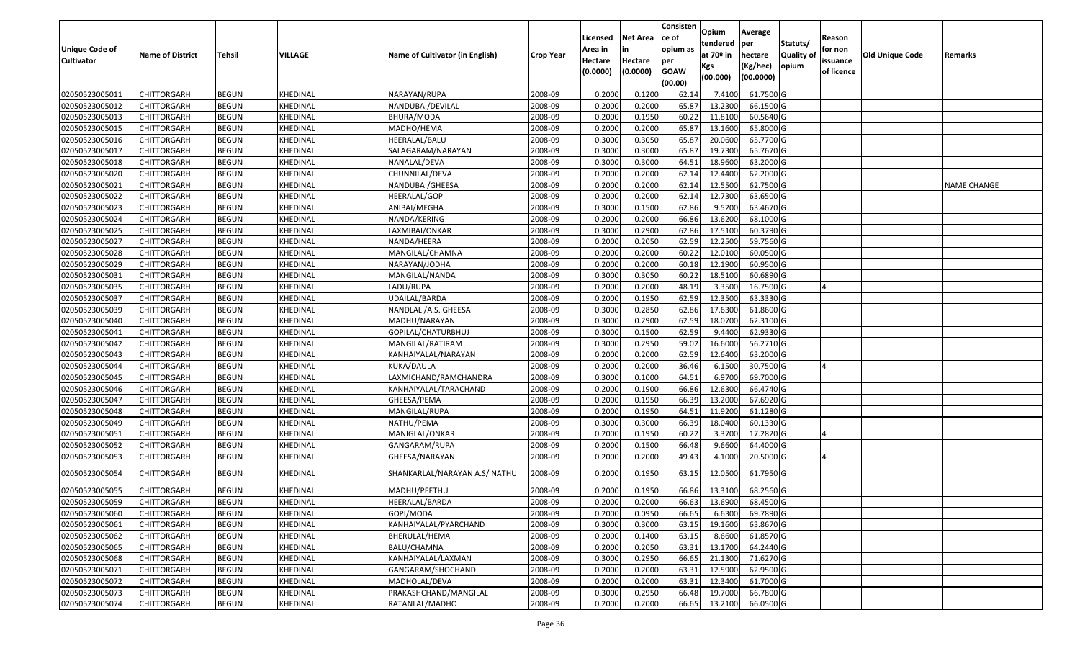|                                            |                         |               |                 |                                 |                  |                    |                 | Consisten         | Opium                 | Average   |                  |                   |                 |                    |
|--------------------------------------------|-------------------------|---------------|-----------------|---------------------------------|------------------|--------------------|-----------------|-------------------|-----------------------|-----------|------------------|-------------------|-----------------|--------------------|
|                                            |                         |               |                 |                                 |                  | Licensed           | <b>Net Area</b> | ce of<br>opium as | tendered              | per       | Statuts/         | Reason<br>for non |                 |                    |
| <b>Unique Code of</b><br><b>Cultivator</b> | <b>Name of District</b> | <b>Tehsil</b> | <b>VILLAGE</b>  | Name of Cultivator (in English) | <b>Crop Year</b> | Area in<br>Hectare | Hectare         | per               | at 70 <sup>o</sup> in | hectare   | <b>Quality o</b> | issuance          | Old Unique Code | Remarks            |
|                                            |                         |               |                 |                                 |                  | (0.0000)           | (0.0000)        | <b>GOAW</b>       | Kgs                   | (Kg/hec)  | opium            | of licence        |                 |                    |
|                                            |                         |               |                 |                                 |                  |                    |                 | (00.00)           | (00.000)              | (00.0000) |                  |                   |                 |                    |
| 02050523005011                             | CHITTORGARH             | <b>BEGUN</b>  | KHEDINAL        | NARAYAN/RUPA                    | 2008-09          | 0.2000             | 0.1200          | 62.14             | 7.4100                | 61.7500 G |                  |                   |                 |                    |
| 02050523005012                             | CHITTORGARH             | <b>BEGUN</b>  | KHEDINAL        | NANDUBAI/DEVILAL                | 2008-09          | 0.2000             | 0.2000          | 65.87             | 13.2300               | 66.1500 G |                  |                   |                 |                    |
| 02050523005013                             | CHITTORGARH             | <b>BEGUN</b>  | KHEDINAL        | BHURA/MODA                      | 2008-09          | 0.2000             | 0.1950          | 60.22             | 11.8100               | 60.5640 G |                  |                   |                 |                    |
| 02050523005015                             | <b>CHITTORGARH</b>      | <b>BEGUN</b>  | KHEDINAL        | MADHO/HEMA                      | 2008-09          | 0.2000             | 0.2000          | 65.87             | 13.1600               | 65.8000 G |                  |                   |                 |                    |
| 02050523005016                             | CHITTORGARH             | <b>BEGUN</b>  | KHEDINAL        | HEERALAL/BALU                   | 2008-09          | 0.3000             | 0.3050          | 65.87             | 20.0600               | 65.7700 G |                  |                   |                 |                    |
| 02050523005017                             | CHITTORGARH             | <b>BEGUN</b>  | KHEDINAL        | SALAGARAM/NARAYAN               | 2008-09          | 0.3000             | 0.3000          | 65.87             | 19.7300               | 65.7670 G |                  |                   |                 |                    |
| 02050523005018                             | CHITTORGARH             | <b>BEGUN</b>  | KHEDINAL        | NANALAL/DEVA                    | 2008-09          | 0.3000             | 0.3000          | 64.5              | 18.9600               | 63.2000 G |                  |                   |                 |                    |
| 02050523005020                             | CHITTORGARH             | <b>BEGUN</b>  | KHEDINAL        | CHUNNILAL/DEVA                  | 2008-09          | 0.2000             | 0.2000          | 62.14             | 12.4400               | 62.2000G  |                  |                   |                 |                    |
| 02050523005021                             | CHITTORGARH             | <b>BEGUN</b>  | KHEDINAL        | NANDUBAI/GHEESA                 | 2008-09          | 0.2000             | 0.2000          | 62.1              | 12.5500               | 62.7500 G |                  |                   |                 | <b>NAME CHANGE</b> |
| 02050523005022                             | CHITTORGARH             | <b>BEGUN</b>  | KHEDINAL        | HEERALAL/GOPI                   | 2008-09          | 0.2000             | 0.2000          | 62.1              | 12.7300               | 63.6500 G |                  |                   |                 |                    |
| 02050523005023                             | CHITTORGARH             | <b>BEGUN</b>  | KHEDINAL        | ANIBAI/MEGHA                    | 2008-09          | 0.3000             | 0.1500          | 62.86             | 9.5200                | 63.4670 G |                  |                   |                 |                    |
| 02050523005024                             | CHITTORGARH             | <b>BEGUN</b>  | KHEDINAL        | NANDA/KERING                    | 2008-09          | 0.2000             | 0.2000          | 66.86             | 13.6200               | 68.1000 G |                  |                   |                 |                    |
| 02050523005025                             | <b>CHITTORGARH</b>      | <b>BEGUN</b>  | KHEDINAL        | LAXMIBAI/ONKAR                  | 2008-09          | 0.3000             | 0.2900          | 62.86             | 17.5100               | 60.3790 G |                  |                   |                 |                    |
| 02050523005027                             | CHITTORGARH             | <b>BEGUN</b>  | KHEDINAL        | NANDA/HEERA                     | 2008-09          | 0.2000             | 0.2050          | 62.59             | 12.2500               | 59.7560 G |                  |                   |                 |                    |
| 02050523005028                             | CHITTORGARH             | <b>BEGUN</b>  | KHEDINAL        | MANGILAL/CHAMNA                 | 2008-09          | 0.2000             | 0.2000          | 60.22             | 12.0100               | 60.0500 G |                  |                   |                 |                    |
| 02050523005029                             | <b>CHITTORGARH</b>      | <b>BEGUN</b>  | KHEDINAL        | NARAYAN/JODHA                   | 2008-09          | 0.2000             | 0.2000          | 60.18             | 12.1900               | 60.9500 G |                  |                   |                 |                    |
| 02050523005031                             | CHITTORGARH             | <b>BEGUN</b>  | KHEDINAL        | MANGILAL/NANDA                  | 2008-09          | 0.3000             | 0.3050          | 60.22             | 18.5100               | 60.6890 G |                  |                   |                 |                    |
| 02050523005035                             | CHITTORGARH             | <b>BEGUN</b>  | KHEDINAL        | LADU/RUPA                       | 2008-09          | 0.2000             | 0.2000          | 48.19             | 3.3500                | 16.7500 G |                  |                   |                 |                    |
| 02050523005037                             | CHITTORGARH             | <b>BEGUN</b>  | KHEDINAL        | UDAILAL/BARDA                   | 2008-09          | 0.2000             | 0.1950          | 62.59             | 12.3500               | 63.3330 G |                  |                   |                 |                    |
| 02050523005039                             | CHITTORGARH             | <b>BEGUN</b>  | KHEDINAL        | NANDLAL /A.S. GHEESA            | 2008-09          | 0.3000             | 0.2850          | 62.86             | 17.6300               | 61.8600 G |                  |                   |                 |                    |
| 02050523005040                             | CHITTORGARH             | <b>BEGUN</b>  | KHEDINAL        | MADHU/NARAYAN                   | 2008-09          | 0.3000             | 0.2900          | 62.59             | 18.0700               | 62.3100 G |                  |                   |                 |                    |
| 02050523005041                             | CHITTORGARH             | <b>BEGUN</b>  | KHEDINAL        | GOPILAL/CHATURBHUJ              | 2008-09          | 0.300              | 0.1500          | 62.59             | 9.4400                | 62.9330 G |                  |                   |                 |                    |
| 02050523005042                             | CHITTORGARH             | <b>BEGUN</b>  | KHEDINAL        | MANGILAL/RATIRAM                | 2008-09          | 0.3000             | 0.2950          | 59.02             | 16.6000               | 56.2710 G |                  |                   |                 |                    |
| 02050523005043                             | CHITTORGARH             | <b>BEGUN</b>  | KHEDINAL        | KANHAIYALAL/NARAYAN             | 2008-09          | 0.2000             | 0.2000          | 62.59             | 12.6400               | 63.2000 G |                  |                   |                 |                    |
| 02050523005044                             | CHITTORGARH             | <b>BEGUN</b>  | KHEDINAL        | KUKA/DAULA                      | 2008-09          | 0.2000             | 0.2000          | 36.46             | 6.1500                | 30.7500 G |                  |                   |                 |                    |
| 02050523005045                             | CHITTORGARH             | <b>BEGUN</b>  | KHEDINAL        | LAXMICHAND/RAMCHANDRA           | 2008-09          | 0.3000             | 0.1000          | 64.51             | 6.9700                | 69.7000 G |                  |                   |                 |                    |
| 02050523005046                             | CHITTORGARH             | <b>BEGUN</b>  | KHEDINAL        | KANHAIYALAL/TARACHAND           | 2008-09          | 0.2000             | 0.1900          | 66.86             | 12.6300               | 66.4740 G |                  |                   |                 |                    |
| 02050523005047                             | CHITTORGARH             | <b>BEGUN</b>  | KHEDINAL        | GHEESA/PEMA                     | 2008-09          | 0.2000             | 0.1950          | 66.39             | 13.2000               | 67.6920 G |                  |                   |                 |                    |
| 02050523005048                             | CHITTORGARH             | <b>BEGUN</b>  | KHEDINAL        | MANGILAL/RUPA                   | 2008-09          | 0.2000             | 0.1950          | 64.51             | 11.9200               | 61.1280 G |                  |                   |                 |                    |
| 02050523005049                             | CHITTORGARH             | <b>BEGUN</b>  | KHEDINAL        | NATHU/PEMA                      | 2008-09          | 0.3000             | 0.3000          | 66.39             | 18.0400               | 60.1330 G |                  |                   |                 |                    |
| 02050523005051                             | CHITTORGARH             | <b>BEGUN</b>  | KHEDINAL        | MANIGLAL/ONKAR                  | 2008-09          | 0.2000             | 0.1950          | 60.22             | 3.3700                | 17.2820 G |                  |                   |                 |                    |
| 02050523005052                             | CHITTORGARH             | <b>BEGUN</b>  | KHEDINAL        | GANGARAM/RUPA                   | 2008-09          | 0.2000             | 0.1500          | 66.48             | 9.6600                | 64.4000 G |                  |                   |                 |                    |
| 02050523005053                             | CHITTORGARH             | <b>BEGUN</b>  | KHEDINAL        | GHEESA/NARAYAN                  | 2008-09          | 0.2000             | 0.2000          | 49.43             | 4.1000                | 20.5000G  |                  |                   |                 |                    |
| 02050523005054                             | CHITTORGARH             | <b>BEGUN</b>  | KHEDINAL        | SHANKARLAL/NARAYAN A.S/ NATHU   | 2008-09          | 0.2000             | 0.1950          | 63.15             | 12.0500               | 61.7950 G |                  |                   |                 |                    |
| 02050523005055                             | CHITTORGARH             | <b>BEGUN</b>  | KHEDINAL        | MADHU/PEETHU                    | 2008-09          | 0.2000             | 0.1950          | 66.86             | 13.3100               | 68.2560 G |                  |                   |                 |                    |
| 02050523005059                             | <b>CHITTORGARH</b>      | <b>BEGUN</b>  | KHEDINAL        | HEERALAL/BARDA                  | 2008-09          | 0.2000             | 0.2000          | 66.63             | 13.6900               | 68.4500 G |                  |                   |                 |                    |
| 02050523005060                             | <b>CHITTORGARH</b>      | <b>BEGUN</b>  | KHEDINAL        | GOPI/MODA                       | 2008-09          | 0.2000             | 0.0950          | 66.65             | 6.6300                | 69.7890 G |                  |                   |                 |                    |
| 02050523005061                             | <b>CHITTORGARH</b>      | <b>BEGUN</b>  | KHEDINAL        | KANHAIYALAL/PYARCHAND           | 2008-09          | 0.3000             | 0.3000          | 63.15             | 19.1600               | 63.8670 G |                  |                   |                 |                    |
| 02050523005062                             | <b>CHITTORGARH</b>      | <b>BEGUN</b>  | KHEDINAL        | BHERULAL/HEMA                   | 2008-09          | 0.2000             | 0.1400          | 63.15             | 8.6600                | 61.8570 G |                  |                   |                 |                    |
| 02050523005065                             | CHITTORGARH             | <b>BEGUN</b>  | KHEDINAL        | BALU/CHAMNA                     | 2008-09          | 0.2000             | 0.2050          | 63.31             | 13.1700               | 64.2440 G |                  |                   |                 |                    |
| 02050523005068                             | <b>CHITTORGARH</b>      | <b>BEGUN</b>  | <b>KHEDINAL</b> | KANHAIYALAL/LAXMAN              | 2008-09          | 0.3000             | 0.2950          | 66.65             | 21.1300               | 71.6270 G |                  |                   |                 |                    |
| 02050523005071                             | <b>CHITTORGARH</b>      | <b>BEGUN</b>  | KHEDINAL        | GANGARAM/SHOCHAND               | 2008-09          | 0.2000             | 0.2000          | 63.31             | 12.5900               | 62.9500 G |                  |                   |                 |                    |
| 02050523005072                             | <b>CHITTORGARH</b>      | <b>BEGUN</b>  | KHEDINAL        | MADHOLAL/DEVA                   | 2008-09          | 0.2000             | 0.2000          | 63.31             | 12.3400               | 61.7000 G |                  |                   |                 |                    |
| 02050523005073                             | <b>CHITTORGARH</b>      | <b>BEGUN</b>  | KHEDINAL        | PRAKASHCHAND/MANGILAL           | 2008-09          | 0.3000             | 0.2950          | 66.48             | 19.7000               | 66.7800 G |                  |                   |                 |                    |
| 02050523005074                             | <b>CHITTORGARH</b>      | <b>BEGUN</b>  | KHEDINAL        | RATANLAL/MADHO                  | 2008-09          | 0.2000             | 0.2000          | 66.65             | 13.2100               | 66.0500 G |                  |                   |                 |                    |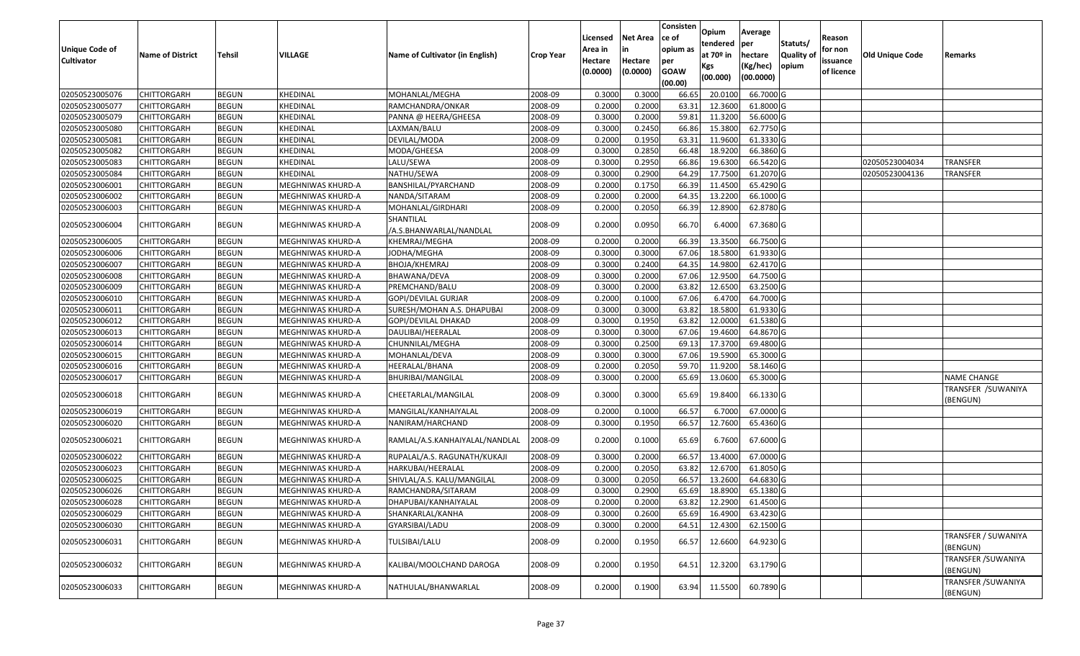| <b>Unique Code of</b><br><b>Cultivator</b> | <b>Name of District</b> | Tehsil       | VILLAGE           | Name of Cultivator (in English)      | <b>Crop Year</b> | Licensed<br>Area in<br>Hectare<br>(0.0000) | Net Area<br>in<br>Hectare<br>(0.0000) | Consisten<br>ce of<br>opium as<br>per<br><b>GOAW</b><br>(00.00) | Opium<br>tendered<br>at 70 <sup>o</sup> in<br>Kgs<br>(00.000) | Average<br>per<br>hectare<br>(Kg/hec)<br>(00.0000) | Statuts/<br><b>Quality of</b><br>opium | Reason<br>for non<br>issuance<br>of licence | <b>Old Unique Code</b> | Remarks                         |
|--------------------------------------------|-------------------------|--------------|-------------------|--------------------------------------|------------------|--------------------------------------------|---------------------------------------|-----------------------------------------------------------------|---------------------------------------------------------------|----------------------------------------------------|----------------------------------------|---------------------------------------------|------------------------|---------------------------------|
| 02050523005076                             | <b>CHITTORGARH</b>      | <b>BEGUN</b> | KHEDINAL          | MOHANLAL/MEGHA                       | 2008-09          | 0.3000                                     | 0.3000                                | 66.65                                                           | 20.010                                                        | 66.7000 G                                          |                                        |                                             |                        |                                 |
| 02050523005077                             | CHITTORGARH             | <b>BEGUN</b> | KHEDINAL          | RAMCHANDRA/ONKAR                     | 2008-09          | 0.2000                                     | 0.2000                                | 63.31                                                           | 12.3600                                                       | 61.8000 G                                          |                                        |                                             |                        |                                 |
| 02050523005079                             | CHITTORGARH             | <b>BEGUN</b> | KHEDINAL          | PANNA @ HEERA/GHEESA                 | 2008-09          | 0.3000                                     | 0.2000                                | 59.81                                                           | 11.3200                                                       | 56.6000 G                                          |                                        |                                             |                        |                                 |
| 02050523005080                             | <b>CHITTORGARH</b>      | <b>BEGUN</b> | KHEDINAL          | LAXMAN/BALU                          | 2008-09          | 0.3000                                     | 0.2450                                | 66.86                                                           | 15.3800                                                       | 62.7750 G                                          |                                        |                                             |                        |                                 |
| 02050523005081                             | <b>CHITTORGARH</b>      | <b>BEGUN</b> | KHEDINAL          | DEVILAL/MODA                         | 2008-09          | 0.2000                                     | 0.1950                                | 63.31                                                           | 11.9600                                                       | 61.3330 G                                          |                                        |                                             |                        |                                 |
| 02050523005082                             | <b>CHITTORGARH</b>      | <b>BEGUN</b> | KHEDINAL          | MODA/GHEESA                          | 2008-09          | 0.3000                                     | 0.2850                                | 66.48                                                           | 18.9200                                                       | 66.3860 G                                          |                                        |                                             |                        |                                 |
| 02050523005083                             | CHITTORGARH             | <b>BEGUN</b> | KHEDINAL          | LALU/SEWA                            | 2008-09          | 0.3000                                     | 0.2950                                | 66.86                                                           | 19.6300                                                       | 66.5420 G                                          |                                        |                                             | 02050523004034         | TRANSFER                        |
| 02050523005084                             | <b>CHITTORGARH</b>      | <b>BEGUN</b> | KHEDINAL          | NATHU/SEWA                           | 2008-09          | 0.3000                                     | 0.2900                                | 64.29                                                           | 17.7500                                                       | 61.2070 G                                          |                                        |                                             | 02050523004136         | <b>TRANSFER</b>                 |
| 02050523006001                             | <b>CHITTORGARH</b>      | <b>BEGUN</b> | MEGHNIWAS KHURD-A | BANSHILAL/PYARCHAND                  | 2008-09          | 0.2000                                     | 0.1750                                | 66.39                                                           | 11.4500                                                       | 65.4290 G                                          |                                        |                                             |                        |                                 |
| 02050523006002                             | CHITTORGARH             | <b>BEGUN</b> | MEGHNIWAS KHURD-A | NANDA/SITARAM                        | 2008-09          | 0.2000                                     | 0.2000                                | 64.35                                                           | 13.2200                                                       | 66.1000 G                                          |                                        |                                             |                        |                                 |
| 02050523006003                             | CHITTORGARH             | <b>BEGUN</b> | MEGHNIWAS KHURD-A | MOHANLAL/GIRDHARI                    | 2008-09          | 0.2000                                     | 0.2050                                | 66.39                                                           | 12.8900                                                       | 62.8780 G                                          |                                        |                                             |                        |                                 |
| 02050523006004                             | CHITTORGARH             | <b>BEGUN</b> | MEGHNIWAS KHURD-A | SHANTILAL<br>/A.S.BHANWARLAL/NANDLAL | 2008-09          | 0.2000                                     | 0.0950                                | 66.70                                                           | 6.4000                                                        | 67.3680 G                                          |                                        |                                             |                        |                                 |
| 02050523006005                             | CHITTORGARH             | <b>BEGUN</b> | MEGHNIWAS KHURD-A | KHEMRAJ/MEGHA                        | 2008-09          | 0.2000                                     | 0.2000                                | 66.39                                                           | 13.3500                                                       | 66.7500 G                                          |                                        |                                             |                        |                                 |
| 02050523006006                             | CHITTORGARH             | <b>BEGUN</b> | MEGHNIWAS KHURD-A | JODHA/MEGHA                          | 2008-09          | 0.3000                                     | 0.3000                                | 67.06                                                           | 18.5800                                                       | 61.9330 G                                          |                                        |                                             |                        |                                 |
| 02050523006007                             | CHITTORGARH             | <b>BEGUN</b> | MEGHNIWAS KHURD-A | BHOJA/KHEMRAJ                        | 2008-09          | 0.3000                                     | 0.2400                                | 64.35                                                           | 14.9800                                                       | 62.4170 G                                          |                                        |                                             |                        |                                 |
| 02050523006008                             | CHITTORGARH             | <b>BEGUN</b> | MEGHNIWAS KHURD-A | BHAWANA/DEVA                         | 2008-09          | 0.3000                                     | 0.2000                                | 67.06                                                           | 12.9500                                                       | 64.7500 G                                          |                                        |                                             |                        |                                 |
| 02050523006009                             | CHITTORGARH             | <b>BEGUN</b> | MEGHNIWAS KHURD-A | PREMCHAND/BALU                       | 2008-09          | 0.3000                                     | 0.2000                                | 63.82                                                           | 12.6500                                                       | 63.2500 G                                          |                                        |                                             |                        |                                 |
| 02050523006010                             | CHITTORGARH             | <b>BEGUN</b> | MEGHNIWAS KHURD-A | <b>GOPI/DEVILAL GURJAR</b>           | 2008-09          | 0.2000                                     | 0.1000                                | 67.06                                                           | 6.4700                                                        | 64.7000 G                                          |                                        |                                             |                        |                                 |
| 02050523006011                             | CHITTORGARH             | <b>BEGUN</b> | MEGHNIWAS KHURD-A | SURESH/MOHAN A.S. DHAPUBAI           | 2008-09          | 0.3000                                     | 0.3000                                | 63.82                                                           | 18.5800                                                       | 61.9330 G                                          |                                        |                                             |                        |                                 |
| 02050523006012                             | CHITTORGARH             | <b>BEGUN</b> | MEGHNIWAS KHURD-A | GOPI/DEVILAL DHAKAD                  | 2008-09          | 0.3000                                     | 0.1950                                | 63.82                                                           | 12.0000                                                       | 61.5380 G                                          |                                        |                                             |                        |                                 |
| 02050523006013                             | CHITTORGARH             | <b>BEGUN</b> | MEGHNIWAS KHURD-A | DAULIBAI/HEERALAL                    | 2008-09          | 0.3000                                     | 0.3000                                | 67.06                                                           | 19.4600                                                       | 64.8670 G                                          |                                        |                                             |                        |                                 |
| 02050523006014                             | CHITTORGARH             | <b>BEGUN</b> | MEGHNIWAS KHURD-A | CHUNNILAL/MEGHA                      | 2008-09          | 0.3000                                     | 0.2500                                | 69.1                                                            | 17.3700                                                       | 69.4800 G                                          |                                        |                                             |                        |                                 |
| 02050523006015                             | CHITTORGARH             | <b>BEGUN</b> | MEGHNIWAS KHURD-A | MOHANLAL/DEVA                        | 2008-09          | 0.3000                                     | 0.3000                                | 67.06                                                           | 19.5900                                                       | 65.3000 G                                          |                                        |                                             |                        |                                 |
| 02050523006016                             | CHITTORGARH             | <b>BEGUN</b> | MEGHNIWAS KHURD-A | HEERALAL/BHANA                       | 2008-09          | 0.2000                                     | 0.2050                                | 59.70                                                           | 11.9200                                                       | 58.1460 G                                          |                                        |                                             |                        |                                 |
| 02050523006017                             | CHITTORGARH             | <b>BEGUN</b> | MEGHNIWAS KHURD-A | BHURIBAI/MANGILAL                    | 2008-09          | 0.3000                                     | 0.2000                                | 65.69                                                           | 13.0600                                                       | 65.3000 G                                          |                                        |                                             |                        | <b>NAME CHANGE</b>              |
| 02050523006018                             | CHITTORGARH             | <b>BEGUN</b> | MEGHNIWAS KHURD-A | CHEETARLAL/MANGILAL                  | 2008-09          | 0.3000                                     | 0.3000                                | 65.69                                                           | 19.8400                                                       | 66.1330 G                                          |                                        |                                             |                        | TRANSFER / SUWANIYA<br>(BENGUN) |
| 02050523006019                             | <b>CHITTORGARH</b>      | <b>BEGUN</b> | MEGHNIWAS KHURD-A | MANGILAL/KANHAIYALAL                 | 2008-09          | 0.2000                                     | 0.1000                                | 66.57                                                           | 6.7000                                                        | 67.0000 G                                          |                                        |                                             |                        |                                 |
| 02050523006020                             | CHITTORGARH             | <b>BEGUN</b> | MEGHNIWAS KHURD-A | NANIRAM/HARCHAND                     | 2008-09          | 0.3000                                     | 0.1950                                | 66.57                                                           | 12.7600                                                       | 65.4360 G                                          |                                        |                                             |                        |                                 |
| 02050523006021                             | CHITTORGARH             | <b>BEGUN</b> | MEGHNIWAS KHURD-A | RAMLAL/A.S.KANHAIYALAL/NANDLAL       | 2008-09          | 0.2000                                     | 0.1000                                | 65.69                                                           | 6.7600                                                        | 67.6000 G                                          |                                        |                                             |                        |                                 |
| 02050523006022                             | CHITTORGARH             | <b>BEGUN</b> | MEGHNIWAS KHURD-A | RUPALAL/A.S. RAGUNATH/KUKAJI         | 2008-09          | 0.3000                                     | 0.2000                                | 66.57                                                           | 13.4000                                                       | 67.0000 G                                          |                                        |                                             |                        |                                 |
| 02050523006023                             | CHITTORGARH             | <b>BEGUN</b> | MEGHNIWAS KHURD-A | HARKUBAI/HEERALAL                    | 2008-09          | 0.2000                                     | 0.2050                                | 63.82                                                           | 12.6700                                                       | 61.8050 G                                          |                                        |                                             |                        |                                 |
| 02050523006025                             | CHITTORGARH             | <b>BEGUN</b> | MEGHNIWAS KHURD-A | SHIVLAL/A.S. KALU/MANGILAL           | 2008-09          | 0.3000                                     | 0.2050                                | 66.57                                                           | 13.2600                                                       | 64.6830 G                                          |                                        |                                             |                        |                                 |
| 02050523006026                             | CHITTORGARH             | <b>BEGUN</b> | MEGHNIWAS KHURD-A | RAMCHANDRA/SITARAM                   | 2008-09          | 0.3000                                     | 0.2900                                | 65.69                                                           | 18.8900                                                       | 65.1380 G                                          |                                        |                                             |                        |                                 |
| 02050523006028                             | <b>CHITTORGARH</b>      | <b>BEGUN</b> | MEGHNIWAS KHURD-A | DHAPUBAI/KANHAIYALAL                 | 2008-09          | 0.2000                                     | 0.2000                                | 63.82                                                           | 12.2900                                                       | 61.4500 G                                          |                                        |                                             |                        |                                 |
| 02050523006029                             | <b>CHITTORGARH</b>      | <b>BEGUN</b> | MEGHNIWAS KHURD-A | SHANKARLAL/KANHA                     | 2008-09          | 0.3000                                     | 0.2600                                | 65.69                                                           | 16.4900                                                       | 63.4230 G                                          |                                        |                                             |                        |                                 |
| 02050523006030                             | <b>CHITTORGARH</b>      | <b>BEGUN</b> | MEGHNIWAS KHURD-A | GYARSIBAI/LADU                       | 2008-09          | 0.3000                                     | 0.2000                                | 64.51                                                           | 12.4300                                                       | 62.1500 G                                          |                                        |                                             |                        |                                 |
| 02050523006031                             | CHITTORGARH             | <b>BEGUN</b> | MEGHNIWAS KHURD-A | TULSIBAI/LALU                        | 2008-09          | 0.2000                                     | 0.1950                                | 66.57                                                           | 12.6600                                                       | 64.9230 G                                          |                                        |                                             |                        | TRANSFER / SUWANIYA<br>(BENGUN) |
| 02050523006032                             | CHITTORGARH             | <b>BEGUN</b> | MEGHNIWAS KHURD-A | KALIBAI/MOOLCHAND DAROGA             | 2008-09          | 0.2000                                     | 0.1950                                | 64.51                                                           | 12.3200                                                       | 63.1790 G                                          |                                        |                                             |                        | TRANSFER / SUWANIYA<br>(BENGUN) |
| 02050523006033                             | CHITTORGARH             | <b>BEGUN</b> | MEGHNIWAS KHURD-A | NATHULAL/BHANWARLAL                  | 2008-09          | 0.2000                                     | 0.1900                                | 63.94                                                           | 11.5500                                                       | 60.7890 G                                          |                                        |                                             |                        | TRANSFER / SUWANIYA<br>(BENGUN) |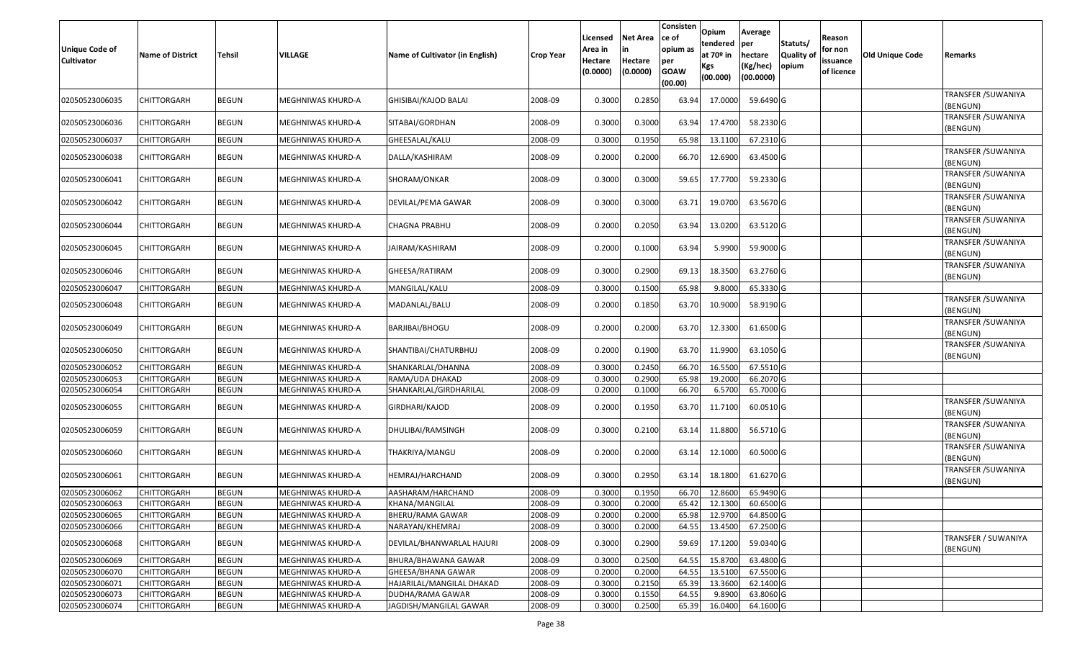| <b>Unique Code of</b><br><b>Cultivator</b> | <b>Name of District</b> | <b>Tehsil</b> | <b>VILLAGE</b>    | Name of Cultivator (in English) | <b>Crop Year</b> | Licensed<br>Area in<br>Hectare<br>(0.0000) | Net Area<br>Hectare<br>(0.0000) | Consisten<br>ce of<br>opium as<br>per<br><b>GOAW</b><br>(00.00) | Opium<br>tendered<br>at 70 <sup>o</sup> in<br><b>Kgs</b><br>(00.000) | Average<br>per<br>hectare<br>(Kg/hec)<br>(00.0000) | Statuts/<br>Quality of<br>opium | Reason<br>for non<br>issuance<br>of licence | Old Unique Code | Remarks                         |
|--------------------------------------------|-------------------------|---------------|-------------------|---------------------------------|------------------|--------------------------------------------|---------------------------------|-----------------------------------------------------------------|----------------------------------------------------------------------|----------------------------------------------------|---------------------------------|---------------------------------------------|-----------------|---------------------------------|
| 02050523006035                             | CHITTORGARH             | <b>BEGUN</b>  | MEGHNIWAS KHURD-A | GHISIBAI/KAJOD BALAI            | 2008-09          | 0.3000                                     | 0.2850                          | 63.94                                                           | 17.0000                                                              | 59.6490 G                                          |                                 |                                             |                 | TRANSFER / SUWANIYA<br>(BENGUN) |
| 02050523006036                             | <b>CHITTORGARH</b>      | <b>BEGUN</b>  | MEGHNIWAS KHURD-A | SITABAI/GORDHAN                 | 2008-09          | 0.3000                                     | 0.3000                          | 63.94                                                           | 17.4700                                                              | 58.2330 G                                          |                                 |                                             |                 | TRANSFER / SUWANIYA<br>(BENGUN) |
| 02050523006037                             | <b>CHITTORGARH</b>      | <b>BEGUN</b>  | MEGHNIWAS KHURD-A | GHEESALAL/KALU                  | 2008-09          | 0.300                                      | 0.1950                          | 65.98                                                           | 13.1100                                                              | 67.2310 G                                          |                                 |                                             |                 |                                 |
| 02050523006038                             | CHITTORGARH             | <b>BEGUN</b>  | MEGHNIWAS KHURD-A | DALLA/KASHIRAM                  | 2008-09          | 0.2000                                     | 0.2000                          | 66.70                                                           | 12.6900                                                              | 63.4500 G                                          |                                 |                                             |                 | TRANSFER / SUWANIYA<br>(BENGUN) |
| 02050523006041                             | CHITTORGARH             | <b>BEGUN</b>  | MEGHNIWAS KHURD-A | SHORAM/ONKAR                    | 2008-09          | 0.3000                                     | 0.3000                          | 59.65                                                           | 17.7700                                                              | 59.2330 G                                          |                                 |                                             |                 | TRANSFER / SUWANIYA<br>(BENGUN) |
| 02050523006042                             | CHITTORGARH             | <b>BEGUN</b>  | MEGHNIWAS KHURD-A | DEVILAL/PEMA GAWAR              | 2008-09          | 0.3000                                     | 0.3000                          | 63.71                                                           | 19.0700                                                              | 63.5670 G                                          |                                 |                                             |                 | TRANSFER / SUWANIYA<br>(BENGUN) |
| 02050523006044                             | <b>CHITTORGARH</b>      | <b>BEGUN</b>  | MEGHNIWAS KHURD-A | <b>CHAGNA PRABHU</b>            | 2008-09          | 0.2000                                     | 0.2050                          | 63.94                                                           | 13.0200                                                              | 63.5120 G                                          |                                 |                                             |                 | TRANSFER / SUWANIYA<br>(BENGUN) |
| 02050523006045                             | CHITTORGARH             | <b>BEGUN</b>  | MEGHNIWAS KHURD-A | JAIRAM/KASHIRAM                 | 2008-09          | 0.2000                                     | 0.1000                          | 63.94                                                           | 5.9900                                                               | 59.9000 G                                          |                                 |                                             |                 | TRANSFER / SUWANIYA<br>(BENGUN) |
| 02050523006046                             | <b>CHITTORGARH</b>      | <b>BEGUN</b>  | MEGHNIWAS KHURD-A | GHEESA/RATIRAM                  | 2008-09          | 0.3000                                     | 0.2900                          | 69.13                                                           | 18.3500                                                              | 63.2760 G                                          |                                 |                                             |                 | TRANSFER / SUWANIYA<br>(BENGUN) |
| 02050523006047                             | <b>CHITTORGARH</b>      | <b>BEGUN</b>  | MEGHNIWAS KHURD-A | MANGILAL/KALU                   | 2008-09          | 0.300                                      | 0.1500                          | 65.98                                                           | 9.8000                                                               | 65.3330 G                                          |                                 |                                             |                 |                                 |
| 02050523006048                             | CHITTORGARH             | <b>BEGUN</b>  | MEGHNIWAS KHURD-A | MADANLAL/BALU                   | 2008-09          | 0.2000                                     | 0.1850                          | 63.70                                                           | 10.9000                                                              | 58.9190 G                                          |                                 |                                             |                 | TRANSFER / SUWANIYA<br>(BENGUN) |
| 02050523006049                             | <b>CHITTORGARH</b>      | <b>BEGUN</b>  | MEGHNIWAS KHURD-A | BARJIBAI/BHOGU                  | 2008-09          | 0.2000                                     | 0.2000                          | 63.70                                                           | 12.3300                                                              | 61.6500 G                                          |                                 |                                             |                 | TRANSFER / SUWANIYA<br>(BENGUN) |
| 02050523006050                             | CHITTORGARH             | <b>BEGUN</b>  | MEGHNIWAS KHURD-A | SHANTIBAI/CHATURBHUJ            | 2008-09          | 0.2000                                     | 0.1900                          | 63.70                                                           | 11.9900                                                              | 63.1050 G                                          |                                 |                                             |                 | TRANSFER / SUWANIYA<br>(BENGUN) |
| 02050523006052                             | <b>CHITTORGARH</b>      | <b>BEGUN</b>  | MEGHNIWAS KHURD-A | SHANKARLAL/DHANNA               | 2008-09          | 0.3000                                     | 0.2450                          | 66.70                                                           | 16.5500                                                              | 67.5510 G                                          |                                 |                                             |                 |                                 |
| 02050523006053                             | <b>CHITTORGARH</b>      | <b>BEGUN</b>  | MEGHNIWAS KHURD-A | RAMA/UDA DHAKAD                 | 2008-09          | 0.3000                                     | 0.2900                          | 65.98                                                           | 19.2000                                                              | $66.2070$ G                                        |                                 |                                             |                 |                                 |
| 02050523006054                             | <b>CHITTORGARH</b>      | <b>BEGUN</b>  | MEGHNIWAS KHURD-A | SHANKARLAL/GIRDHARILAL          | 2008-09          | 0.2000                                     | 0.1000                          | 66.70                                                           | 6.5700                                                               | 65.7000 G                                          |                                 |                                             |                 |                                 |
| 02050523006055                             | CHITTORGARH             | <b>BEGUN</b>  | MEGHNIWAS KHURD-A | GIRDHARI/KAJOD                  | 2008-09          | 0.2000                                     | 0.1950                          | 63.70                                                           | 11.7100                                                              | 60.0510 G                                          |                                 |                                             |                 | TRANSFER / SUWANIYA<br>(BENGUN) |
| 02050523006059                             | <b>CHITTORGARH</b>      | <b>BEGUN</b>  | MEGHNIWAS KHURD-A | DHULIBAI/RAMSINGH               | 2008-09          | 0.3000                                     | 0.2100                          | 63.14                                                           | 11.8800                                                              | 56.5710 G                                          |                                 |                                             |                 | TRANSFER / SUWANIYA<br>(BENGUN) |
| 02050523006060                             | CHITTORGARH             | <b>BEGUN</b>  | MEGHNIWAS KHURD-A | THAKRIYA/MANGU                  | 2008-09          | 0.2000                                     | 0.2000                          | 63.14                                                           | 12.1000                                                              | 60.5000 G                                          |                                 |                                             |                 | TRANSFER / SUWANIYA<br>(BENGUN) |
| 02050523006061                             | <b>CHITTORGARH</b>      | <b>BEGUN</b>  | MEGHNIWAS KHURD-A | HEMRAJ/HARCHAND                 | 2008-09          | 0.3000                                     | 0.2950                          | 63.14                                                           | 18.1800                                                              | 61.6270 G                                          |                                 |                                             |                 | TRANSFER / SUWANIYA<br>(BENGUN) |
| 02050523006062                             | CHITTORGARH             | <b>BEGUN</b>  | MEGHNIWAS KHURD-A | AASHARAM/HARCHAND               | 2008-09          | 0.300                                      | 0.1950                          | 66.70                                                           | 12.8600                                                              | 65.9490 G                                          |                                 |                                             |                 |                                 |
| 02050523006063                             | <b>CHITTORGARH</b>      | BEGUN         | MEGHNIWAS KHURD-A | KHANA/MANGILAL                  | 2008-09          | 0.3000                                     | 0.2000                          | 65.42                                                           | 12.1300                                                              | 60.6500 G                                          |                                 |                                             |                 |                                 |
| 02050523006065                             | <b>CHITTORGARH</b>      | <b>BEGUN</b>  | MEGHNIWAS KHURD-A | BHERU/RAMA GAWAR                | 2008-09          | 0.2000                                     | 0.2000                          | 65.98                                                           | 12.9700                                                              | 64.8500 G                                          |                                 |                                             |                 |                                 |
| 02050523006066                             | CHITTORGARH             | <b>BEGUN</b>  | MEGHNIWAS KHURD-A | NARAYAN/KHEMRAJ                 | 2008-09          | 0.3000                                     | 0.2000                          | 64.55                                                           | 13.4500                                                              | 67.2500 G                                          |                                 |                                             |                 |                                 |
| 02050523006068                             | <b>CHITTORGARH</b>      | <b>BEGUN</b>  | MEGHNIWAS KHURD-A | DEVILAL/BHANWARLAL HAJURI       | 2008-09          | 0.3000                                     | 0.2900                          | 59.69                                                           | 17.1200                                                              | 59.0340 G                                          |                                 |                                             |                 | TRANSFER / SUWANIYA<br>(BENGUN) |
| 02050523006069                             | CHITTORGARH             | <b>BEGUN</b>  | MEGHNIWAS KHURD-A | BHURA/BHAWANA GAWAR             | 2008-09          | 0.3000                                     | 0.2500                          | 64.55                                                           | 15.8700                                                              | 63.4800 G                                          |                                 |                                             |                 |                                 |
| 02050523006070                             | <b>CHITTORGARH</b>      | <b>BEGUN</b>  | MEGHNIWAS KHURD-A | GHEESA/BHANA GAWAR              | 2008-09          | 0.2000                                     | 0.2000                          | 64.55                                                           | 13.5100                                                              | 67.5500 G                                          |                                 |                                             |                 |                                 |
| 02050523006071                             | <b>CHITTORGARH</b>      | <b>BEGUN</b>  | MEGHNIWAS KHURD-A | HAJARILAL/MANGILAL DHAKAD       | 2008-09          | 0.3000                                     | 0.2150                          | 65.39                                                           | 13.3600                                                              | 62.1400 G                                          |                                 |                                             |                 |                                 |
| 02050523006073                             | <b>CHITTORGARH</b>      | <b>BEGUN</b>  | MEGHNIWAS KHURD-A | DUDHA/RAMA GAWAR                | 2008-09          | 0.3000                                     | 0.1550                          | 64.55                                                           | 9.8900                                                               | 63.8060 G                                          |                                 |                                             |                 |                                 |
| 02050523006074                             | <b>CHITTORGARH</b>      | <b>BEGUN</b>  | MEGHNIWAS KHURD-A | JAGDISH/MANGILAL GAWAR          | 2008-09          | 0.3000                                     | 0.2500                          | 65.39                                                           | 16.0400                                                              | 64.1600 G                                          |                                 |                                             |                 |                                 |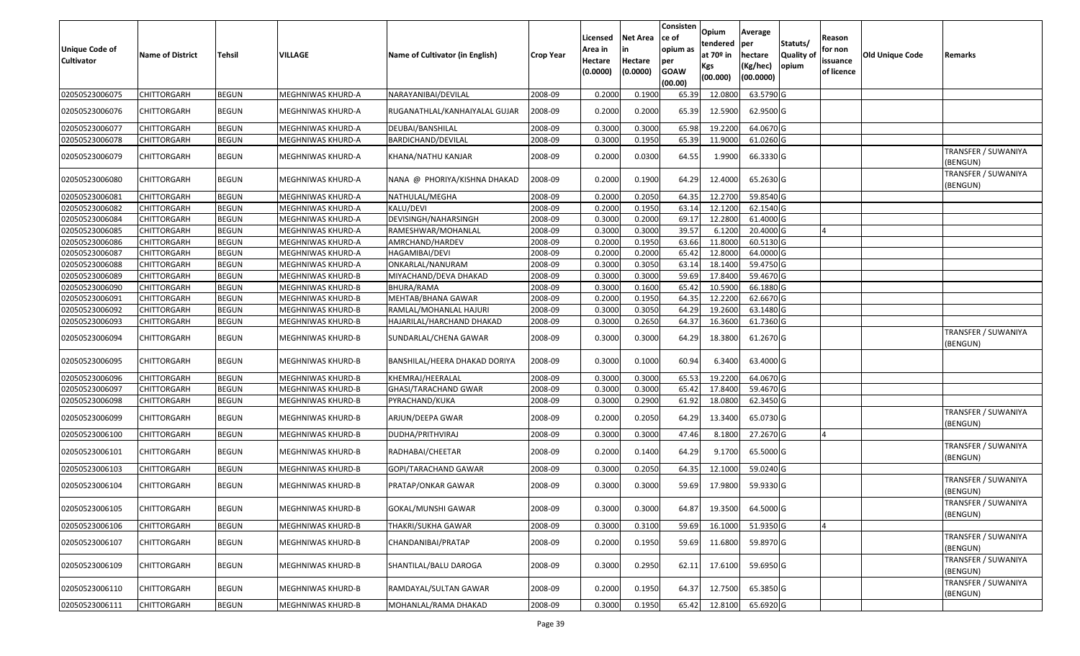| <b>Unique Code of</b><br><b>Cultivator</b> | <b>Name of District</b> | Tehsil       | VILLAGE                  | Name of Cultivator (in English) | <b>Crop Year</b> | Licensed<br>Area in<br>Hectare<br>(0.0000) | Net Area<br>in<br>Hectare<br>(0.0000) | Consisten<br>ce of<br>opium as<br>per<br><b>GOAW</b><br>(00.00) | Opium<br>tendered<br>at 70 <sup>o</sup> in<br>Kgs<br>(00.000) | Average<br>per<br>hectare<br>(Kg/hec)<br>(00.0000) | Statuts/<br><b>Quality of</b><br>opium | Reason<br>for non<br>issuance<br>of licence | <b>Old Unique Code</b> | Remarks                         |
|--------------------------------------------|-------------------------|--------------|--------------------------|---------------------------------|------------------|--------------------------------------------|---------------------------------------|-----------------------------------------------------------------|---------------------------------------------------------------|----------------------------------------------------|----------------------------------------|---------------------------------------------|------------------------|---------------------------------|
| 02050523006075                             | <b>CHITTORGARH</b>      | <b>BEGUN</b> | MEGHNIWAS KHURD-A        | NARAYANIBAI/DEVILAL             | 2008-09          | 0.2000                                     | 0.1900                                | 65.39                                                           | 12.0800                                                       | 63.5790 G                                          |                                        |                                             |                        |                                 |
| 02050523006076                             | CHITTORGARH             | <b>BEGUN</b> | MEGHNIWAS KHURD-A        | RUGANATHLAL/KANHAIYALAL GUJAR   | 2008-09          | 0.2000                                     | 0.2000                                | 65.39                                                           | 12.5900                                                       | 62.9500 G                                          |                                        |                                             |                        |                                 |
| 02050523006077                             | <b>CHITTORGARH</b>      | <b>BEGUN</b> | MEGHNIWAS KHURD-A        | DEUBAI/BANSHILAL                | 2008-09          | 0.3000                                     | 0.3000                                | 65.98                                                           | 19.2200                                                       | 64.0670 G                                          |                                        |                                             |                        |                                 |
| 02050523006078                             | <b>CHITTORGARH</b>      | <b>BEGUN</b> | MEGHNIWAS KHURD-A        | BARDICHAND/DEVILAL              | 2008-09          | 0.3000                                     | 0.1950                                | 65.39                                                           | 11.9000                                                       | 61.0260 G                                          |                                        |                                             |                        |                                 |
| 02050523006079                             | CHITTORGARH             | <b>BEGUN</b> | MEGHNIWAS KHURD-A        | KHANA/NATHU KANJAR              | 2008-09          | 0.2000                                     | 0.0300                                | 64.55                                                           | 1.9900                                                        | 66.3330 G                                          |                                        |                                             |                        | TRANSFER / SUWANIYA<br>(BENGUN) |
| 02050523006080                             | CHITTORGARH             | <b>BEGUN</b> | MEGHNIWAS KHURD-A        | NANA @ PHORIYA/KISHNA DHAKAD    | 2008-09          | 0.2000                                     | 0.1900                                | 64.29                                                           | 12.4000                                                       | 65.2630 G                                          |                                        |                                             |                        | TRANSFER / SUWANIYA<br>(BENGUN) |
| 02050523006081                             | CHITTORGARH             | <b>BEGUN</b> | MEGHNIWAS KHURD-A        | NATHULAL/MEGHA                  | 2008-09          | 0.2000                                     | 0.2050                                | 64.35                                                           | 12.2700                                                       | 59.8540 G                                          |                                        |                                             |                        |                                 |
| 02050523006082                             | CHITTORGARH             | <b>BEGUN</b> | MEGHNIWAS KHURD-A        | KALU/DEVI                       | 2008-09          | 0.2000                                     | 0.1950                                | 63.14                                                           | 12.1200                                                       | 62.1540 G                                          |                                        |                                             |                        |                                 |
| 02050523006084                             | CHITTORGARH             | <b>BEGUN</b> | MEGHNIWAS KHURD-A        | DEVISINGH/NAHARSINGH            | 2008-09          | 0.3000                                     | 0.2000                                | 69.17                                                           | 12.2800                                                       | 61.4000 G                                          |                                        |                                             |                        |                                 |
| 02050523006085                             | CHITTORGARH             | <b>BEGUN</b> | MEGHNIWAS KHURD-A        | RAMESHWAR/MOHANLAL              | 2008-09          | 0.3000                                     | 0.3000                                | 39.57                                                           | 6.1200                                                        | 20.4000 G                                          |                                        |                                             |                        |                                 |
| 02050523006086                             | CHITTORGARH             | <b>BEGUN</b> | MEGHNIWAS KHURD-A        | AMRCHAND/HARDEV                 | 2008-09          | 0.2000                                     | 0.1950                                | 63.66                                                           | 11.8000                                                       | 60.5130 G                                          |                                        |                                             |                        |                                 |
| 02050523006087                             | <b>CHITTORGARH</b>      | <b>BEGUN</b> | MEGHNIWAS KHURD-A        | HAGAMIBAI/DEVI                  | 2008-09          | 0.2000                                     | 0.2000                                | 65.42                                                           | 12.8000                                                       | 64.0000 G                                          |                                        |                                             |                        |                                 |
| 02050523006088                             | CHITTORGARH             | <b>BEGUN</b> | MEGHNIWAS KHURD-A        | ONKARLAL/NANURAM                | 2008-09          | 0.3000                                     | 0.3050                                | 63.14                                                           | 18.1400                                                       | 59.4750 G                                          |                                        |                                             |                        |                                 |
| 02050523006089                             | CHITTORGARH             | <b>BEGUN</b> | MEGHNIWAS KHURD-B        | MIYACHAND/DEVA DHAKAD           | 2008-09          | 0.3000                                     | 0.3000                                | 59.69                                                           | 17.8400                                                       | 59.4670 G                                          |                                        |                                             |                        |                                 |
| 02050523006090                             | CHITTORGARH             | <b>BEGUN</b> | MEGHNIWAS KHURD-B        | BHURA/RAMA                      | 2008-09          | 0.3000                                     | 0.1600                                | 65.42                                                           | 10.5900                                                       | 66.1880 G                                          |                                        |                                             |                        |                                 |
| 02050523006091                             | CHITTORGARH             | <b>BEGUN</b> | <b>MEGHNIWAS KHURD-B</b> | MEHTAB/BHANA GAWAR              | 2008-09          | 0.2000                                     | 0.1950                                | 64.35                                                           | 12.2200                                                       | 62.6670 G                                          |                                        |                                             |                        |                                 |
| 02050523006092                             | CHITTORGARH             | <b>BEGUN</b> | MEGHNIWAS KHURD-B        | RAMLAL/MOHANLAL HAJURI          | 2008-09          | 0.3000                                     | 0.3050                                | 64.29                                                           | 19.2600                                                       | 63.1480 G                                          |                                        |                                             |                        |                                 |
| 02050523006093                             | CHITTORGARH             | <b>BEGUN</b> | MEGHNIWAS KHURD-B        | HAJARILAL/HARCHAND DHAKAD       | 2008-09          | 0.3000                                     | 0.2650                                | 64.37                                                           | 16.3600                                                       | 61.7360 G                                          |                                        |                                             |                        |                                 |
| 02050523006094                             | CHITTORGARH             | <b>BEGUN</b> | MEGHNIWAS KHURD-B        | SUNDARLAL/CHENA GAWAR           | 2008-09          | 0.3000                                     | 0.3000                                | 64.29                                                           | 18.3800                                                       | 61.2670 G                                          |                                        |                                             |                        | TRANSFER / SUWANIYA<br>(BENGUN) |
| 02050523006095                             | CHITTORGARH             | <b>BEGUN</b> | MEGHNIWAS KHURD-B        | BANSHILAL/HEERA DHAKAD DORIYA   | 2008-09          | 0.3000                                     | 0.1000                                | 60.94                                                           | 6.3400                                                        | 63.4000 G                                          |                                        |                                             |                        |                                 |
| 02050523006096                             | CHITTORGARH             | <b>BEGUN</b> | MEGHNIWAS KHURD-B        | KHEMRAJ/HEERALAL                | 2008-09          | 0.3000                                     | 0.3000                                | 65.53                                                           | 19.2200                                                       | 64.0670 G                                          |                                        |                                             |                        |                                 |
| 02050523006097                             | CHITTORGARH             | <b>BEGUN</b> | MEGHNIWAS KHURD-B        | GHASI/TARACHAND GWAR            | 2008-09          | 0.3000                                     | 0.3000                                | 65.42                                                           | 17.8400                                                       | 59.4670 G                                          |                                        |                                             |                        |                                 |
| 02050523006098                             | CHITTORGARH             | <b>BEGUN</b> | MEGHNIWAS KHURD-B        | PYRACHAND/KUKA                  | 2008-09          | 0.3000                                     | 0.2900                                | 61.92                                                           | 18.0800                                                       | 62.3450 G                                          |                                        |                                             |                        |                                 |
| 02050523006099                             | CHITTORGARH             | <b>BEGUN</b> | MEGHNIWAS KHURD-B        | ARJUN/DEEPA GWAR                | 2008-09          | 0.2000                                     | 0.2050                                | 64.29                                                           | 13.3400                                                       | 65.0730 G                                          |                                        |                                             |                        | TRANSFER / SUWANIYA<br>(BENGUN) |
| 02050523006100                             | CHITTORGARH             | <b>BEGUN</b> | MEGHNIWAS KHURD-B        | DUDHA/PRITHVIRAJ                | 2008-09          | 0.3000                                     | 0.3000                                | 47.46                                                           | 8.1800                                                        | 27.2670 G                                          |                                        | 4                                           |                        |                                 |
| 02050523006101                             | CHITTORGARH             | <b>BEGUN</b> | MEGHNIWAS KHURD-B        | RADHABAI/CHEETAR                | 2008-09          | 0.2000                                     | 0.1400                                | 64.29                                                           | 9.1700                                                        | 65.5000 G                                          |                                        |                                             |                        | TRANSFER / SUWANIYA<br>(BENGUN) |
| 02050523006103                             | CHITTORGARH             | <b>BEGUN</b> | MEGHNIWAS KHURD-B        | GOPI/TARACHAND GAWAR            | 2008-09          | 0.3000                                     | 0.2050                                | 64.35                                                           | 12.1000                                                       | 59.0240 G                                          |                                        |                                             |                        |                                 |
| 02050523006104                             | CHITTORGARH             | <b>BEGUN</b> | MEGHNIWAS KHURD-B        | PRATAP/ONKAR GAWAR              | 2008-09          | 0.3000                                     | 0.3000                                | 59.69                                                           | 17.9800                                                       | 59.9330 G                                          |                                        |                                             |                        | TRANSFER / SUWANIYA<br>(BENGUN) |
| 02050523006105                             | <b>CHITTORGARH</b>      | <b>BEGUN</b> | MEGHNIWAS KHURD-B        | GOKAL/MUNSHI GAWAR              | 2008-09          | 0.3000                                     | 0.3000                                | 64.87                                                           | 19.3500                                                       | 64.5000 G                                          |                                        |                                             |                        | TRANSFER / SUWANIYA<br>(BENGUN) |
| 02050523006106                             | <b>CHITTORGARH</b>      | <b>BEGUN</b> | MEGHNIWAS KHURD-B        | THAKRI/SUKHA GAWAR              | 2008-09          | 0.3000                                     | 0.3100                                | 59.69                                                           | 16.1000                                                       | 51.9350 G                                          |                                        | 4                                           |                        |                                 |
| 02050523006107                             | CHITTORGARH             | <b>BEGUN</b> | MEGHNIWAS KHURD-B        | CHANDANIBAI/PRATAP              | 2008-09          | 0.2000                                     | 0.1950                                | 59.69                                                           | 11.6800                                                       | 59.8970 G                                          |                                        |                                             |                        | TRANSFER / SUWANIYA<br>(BENGUN) |
| 02050523006109                             | CHITTORGARH             | <b>BEGUN</b> | MEGHNIWAS KHURD-B        | SHANTILAL/BALU DAROGA           | 2008-09          | 0.3000                                     | 0.2950                                | 62.11                                                           | 17.6100                                                       | 59.6950 G                                          |                                        |                                             |                        | TRANSFER / SUWANIYA<br>(BENGUN) |
| 02050523006110                             | CHITTORGARH             | <b>BEGUN</b> | MEGHNIWAS KHURD-B        | RAMDAYAL/SULTAN GAWAR           | 2008-09          | 0.2000                                     | 0.1950                                | 64.37                                                           | 12.7500                                                       | 65.3850 G                                          |                                        |                                             |                        | TRANSFER / SUWANIYA<br>(BENGUN) |
| 02050523006111                             | <b>CHITTORGARH</b>      | <b>BEGUN</b> | MEGHNIWAS KHURD-B        | MOHANLAL/RAMA DHAKAD            | 2008-09          | 0.3000                                     | 0.1950                                | 65.42                                                           | 12.8100                                                       | 65.6920 G                                          |                                        |                                             |                        |                                 |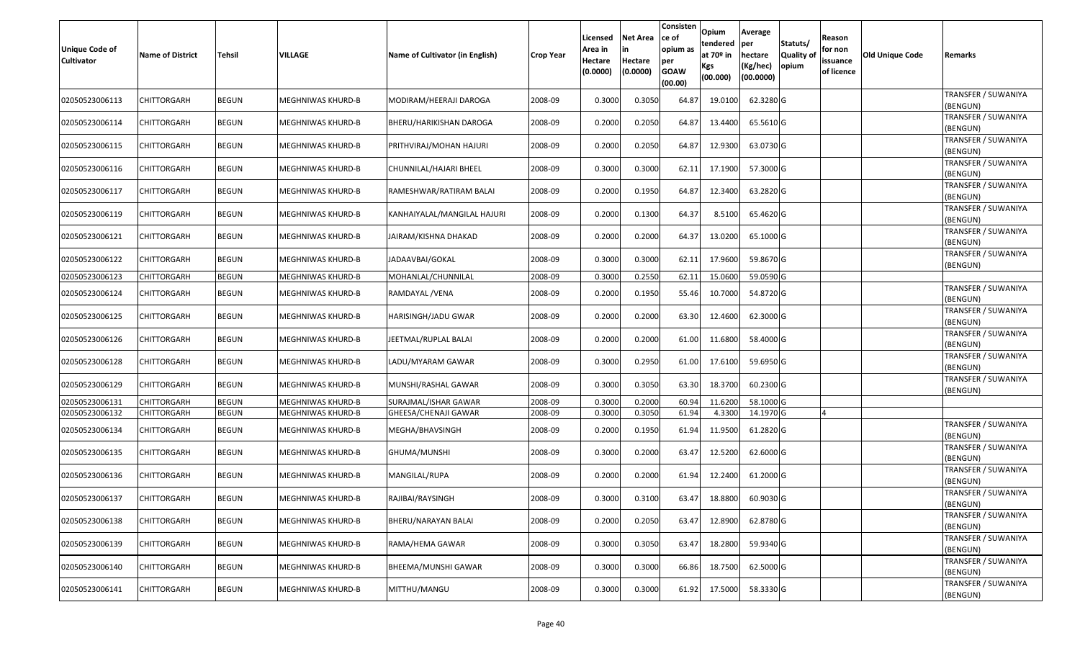| Unique Code of<br>Cultivator | <b>Name of District</b> | <b>Tehsil</b> | <b>VILLAGE</b>    | Name of Cultivator (in English) | <b>Crop Year</b> | Licensed<br>Area in<br>Hectare<br>(0.0000) | Net Area<br>Hectare<br>(0.0000) | Consisten<br>ce of<br>opium as<br>per<br><b>GOAW</b><br>(00.00) | Opium<br>tendered<br>at 70 <sup>o</sup> in<br><b>Kgs</b><br>(00.000) | Average<br>per<br>hectare<br>(Kg/hec)<br>(00.0000) | Statuts/<br>Quality of<br>opium | Reason<br>for non<br>issuance<br>of licence | Old Unique Code | Remarks                         |
|------------------------------|-------------------------|---------------|-------------------|---------------------------------|------------------|--------------------------------------------|---------------------------------|-----------------------------------------------------------------|----------------------------------------------------------------------|----------------------------------------------------|---------------------------------|---------------------------------------------|-----------------|---------------------------------|
| 02050523006113               | CHITTORGARH             | <b>BEGUN</b>  | MEGHNIWAS KHURD-B | MODIRAM/HEERAJI DAROGA          | 2008-09          | 0.3000                                     | 0.3050                          | 64.87                                                           | 19.0100                                                              | 62.3280 G                                          |                                 |                                             |                 | TRANSFER / SUWANIYA<br>(BENGUN) |
| 02050523006114               | <b>CHITTORGARH</b>      | <b>BEGUN</b>  | MEGHNIWAS KHURD-B | BHERU/HARIKISHAN DAROGA         | 2008-09          | 0.2000                                     | 0.2050                          | 64.87                                                           | 13.4400                                                              | 65.5610 G                                          |                                 |                                             |                 | TRANSFER / SUWANIYA<br>(BENGUN) |
| 02050523006115               | <b>CHITTORGARH</b>      | <b>BEGUN</b>  | MEGHNIWAS KHURD-B | PRITHVIRAJ/MOHAN HAJURI         | 2008-09          | 0.2000                                     | 0.2050                          | 64.87                                                           | 12.9300                                                              | 63.0730 G                                          |                                 |                                             |                 | TRANSFER / SUWANIYA<br>(BENGUN) |
| 02050523006116               | <b>CHITTORGARH</b>      | <b>BEGUN</b>  | MEGHNIWAS KHURD-B | CHUNNILAL/HAJARI BHEEL          | 2008-09          | 0.3000                                     | 0.3000                          | 62.11                                                           | 17.1900                                                              | 57.3000 G                                          |                                 |                                             |                 | TRANSFER / SUWANIYA<br>(BENGUN) |
| 02050523006117               | <b>CHITTORGARH</b>      | <b>BEGUN</b>  | MEGHNIWAS KHURD-B | RAMESHWAR/RATIRAM BALAI         | 2008-09          | 0.2000                                     | 0.1950                          | 64.87                                                           | 12.3400                                                              | 63.2820 G                                          |                                 |                                             |                 | TRANSFER / SUWANIYA<br>(BENGUN) |
| 02050523006119               | CHITTORGARH             | <b>BEGUN</b>  | MEGHNIWAS KHURD-B | KANHAIYALAL/MANGILAL HAJURI     | 2008-09          | 0.2000                                     | 0.1300                          | 64.37                                                           | 8.5100                                                               | 65.4620 G                                          |                                 |                                             |                 | TRANSFER / SUWANIYA<br>(BENGUN) |
| 02050523006121               | <b>CHITTORGARH</b>      | <b>BEGUN</b>  | MEGHNIWAS KHURD-B | JAIRAM/KISHNA DHAKAD            | 2008-09          | 0.2000                                     | 0.2000                          | 64.37                                                           | 13.0200                                                              | 65.1000 G                                          |                                 |                                             |                 | TRANSFER / SUWANIYA<br>(BENGUN) |
| 02050523006122               | <b>CHITTORGARH</b>      | <b>BEGUN</b>  | MEGHNIWAS KHURD-B | JADAAVBAI/GOKAL                 | 2008-09          | 0.3000                                     | 0.3000                          | 62.11                                                           | 17.9600                                                              | 59.8670 G                                          |                                 |                                             |                 | TRANSFER / SUWANIYA<br>(BENGUN) |
| 02050523006123               | <b>CHITTORGARH</b>      | <b>BEGUN</b>  | MEGHNIWAS KHURD-B | MOHANLAL/CHUNNILAL              | 2008-09          | 0.3000                                     | 0.2550                          | 62.11                                                           | 15.0600                                                              | 59.0590G                                           |                                 |                                             |                 |                                 |
| 02050523006124               | <b>CHITTORGARH</b>      | <b>BEGUN</b>  | MEGHNIWAS KHURD-B | RAMDAYAL /VENA                  | 2008-09          | 0.2000                                     | 0.1950                          | 55.46                                                           | 10.7000                                                              | 54.8720 G                                          |                                 |                                             |                 | TRANSFER / SUWANIYA<br>(BENGUN) |
| 02050523006125               | <b>CHITTORGARH</b>      | <b>BEGUN</b>  | MEGHNIWAS KHURD-B | HARISINGH/JADU GWAR             | 2008-09          | 0.2000                                     | 0.2000                          | 63.30                                                           | 12.4600                                                              | 62.3000 G                                          |                                 |                                             |                 | TRANSFER / SUWANIYA<br>(BENGUN) |
| 02050523006126               | <b>CHITTORGARH</b>      | <b>BEGUN</b>  | MEGHNIWAS KHURD-B | JEETMAL/RUPLAL BALAI            | 2008-09          | 0.2000                                     | 0.2000                          | 61.00                                                           | 11.6800                                                              | 58.4000 G                                          |                                 |                                             |                 | TRANSFER / SUWANIYA<br>(BENGUN) |
| 02050523006128               | CHITTORGARH             | <b>BEGUN</b>  | MEGHNIWAS KHURD-B | LADU/MYARAM GAWAR               | 2008-09          | 0.3000                                     | 0.2950                          | 61.00                                                           | 17.6100                                                              | 59.6950 G                                          |                                 |                                             |                 | TRANSFER / SUWANIYA<br>(BENGUN) |
| 02050523006129               | <b>CHITTORGARH</b>      | <b>BEGUN</b>  | MEGHNIWAS KHURD-B | MUNSHI/RASHAL GAWAR             | 2008-09          | 0.3000                                     | 0.3050                          | 63.30                                                           | 18.3700                                                              | 60.2300 G                                          |                                 |                                             |                 | TRANSFER / SUWANIYA<br>(BENGUN) |
| 02050523006131               | <b>CHITTORGARH</b>      | <b>BEGUN</b>  | MEGHNIWAS KHURD-B | SURAJMAL/ISHAR GAWAR            | 2008-09          | 0.3000                                     | 0.2000                          | 60.94                                                           | 11.6200                                                              | 58.1000 G                                          |                                 |                                             |                 |                                 |
| 02050523006132               | <b>CHITTORGARH</b>      | <b>BEGUN</b>  | MEGHNIWAS KHURD-B | GHEESA/CHENAJI GAWAR            | 2008-09          | 0.3000                                     | 0.3050                          | 61.94                                                           | 4.3300                                                               | 14.1970 G                                          |                                 |                                             |                 |                                 |
| 02050523006134               | CHITTORGARH             | <b>BEGUN</b>  | MEGHNIWAS KHURD-B | MEGHA/BHAVSINGH                 | 2008-09          | 0.2000                                     | 0.1950                          | 61.94                                                           | 11.9500                                                              | 61.2820 G                                          |                                 |                                             |                 | TRANSFER / SUWANIYA<br>(BENGUN) |
| 02050523006135               | CHITTORGARH             | <b>BEGUN</b>  | MEGHNIWAS KHURD-B | GHUMA/MUNSHI                    | 2008-09          | 0.3000                                     | 0.2000                          | 63.47                                                           | 12.5200                                                              | 62.6000 G                                          |                                 |                                             |                 | TRANSFER / SUWANIYA<br>(BENGUN) |
| 02050523006136               | CHITTORGARH             | <b>BEGUN</b>  | MEGHNIWAS KHURD-B | MANGILAL/RUPA                   | 2008-09          | 0.2000                                     | 0.2000                          | 61.94                                                           | 12.2400                                                              | 61.2000 G                                          |                                 |                                             |                 | TRANSFER / SUWANIYA<br>(BENGUN) |
| 02050523006137               | CHITTORGARH             | BEGUN         | MEGHNIWAS KHURD-B | RAJIBAI/RAYSINGH                | 2008-09          | 0.3000                                     | 0.3100                          | 63.47                                                           | 18.8800                                                              | 60.9030 G                                          |                                 |                                             |                 | TRANSFER / SUWANIYA<br>(BENGUN) |
| 02050523006138               | CHITTORGARH             | <b>BEGUN</b>  | MEGHNIWAS KHURD-B | BHERU/NARAYAN BALAI             | 2008-09          | 0.2000                                     | 0.2050                          | 63.47                                                           | 12.8900                                                              | 62.8780 G                                          |                                 |                                             |                 | TRANSFER / SUWANIYA<br>(BENGUN) |
| 02050523006139               | <b>CHITTORGARH</b>      | <b>BEGUN</b>  | MEGHNIWAS KHURD-B | RAMA/HEMA GAWAR                 | 2008-09          | 0.3000                                     | 0.3050                          | 63.47                                                           | 18.2800                                                              | 59.9340 G                                          |                                 |                                             |                 | TRANSFER / SUWANIYA<br>(BENGUN) |
| 02050523006140               | <b>CHITTORGARH</b>      | <b>BEGUN</b>  | MEGHNIWAS KHURD-B | BHEEMA/MUNSHI GAWAR             | 2008-09          | 0.3000                                     | 0.3000                          | 66.86                                                           | 18.7500                                                              | 62.5000 G                                          |                                 |                                             |                 | TRANSFER / SUWANIYA<br>(BENGUN) |
| 02050523006141               | CHITTORGARH             | <b>BEGUN</b>  | MEGHNIWAS KHURD-B | MITTHU/MANGU                    | 2008-09          | 0.3000                                     | 0.3000                          | 61.92                                                           | 17.5000                                                              | 58.3330 G                                          |                                 |                                             |                 | TRANSFER / SUWANIYA<br>(BENGUN) |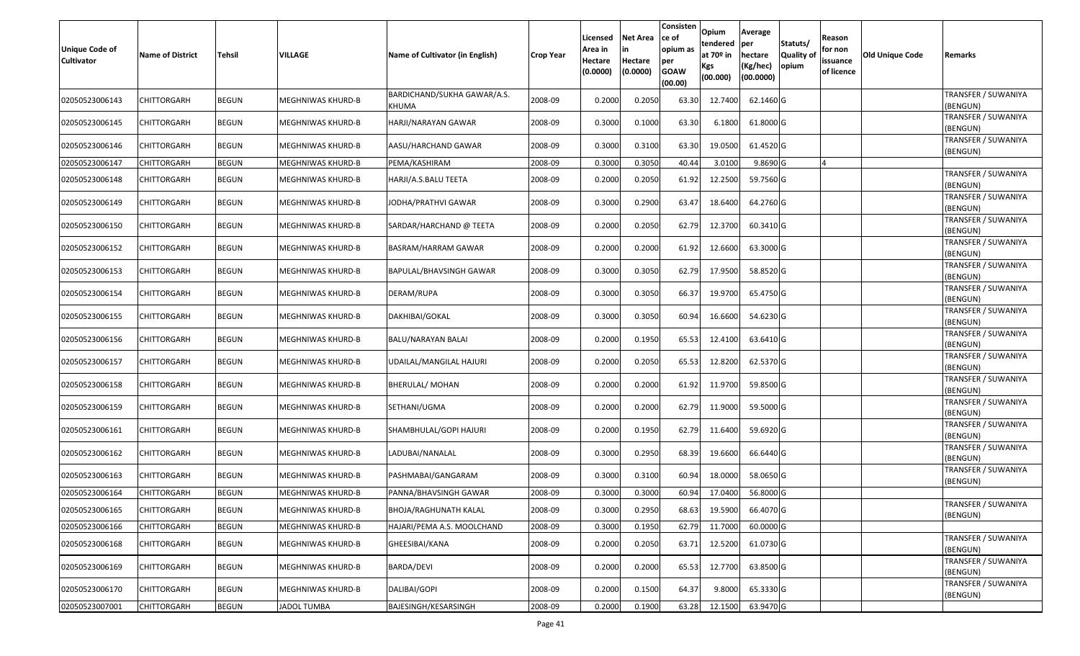| Unique Code of<br>Cultivator | <b>Name of District</b> | <b>Tehsil</b> | <b>VILLAGE</b>           | Name of Cultivator (in English)      | <b>Crop Year</b> | Licensed<br>Area in<br>Hectare<br>(0.0000) | Net Area<br>Hectare<br>(0.0000) | Consisten<br>ce of<br>opium as<br>per<br><b>GOAW</b><br>(00.00) | <b>Opium</b><br>tendered<br>at 70 <sup>o</sup> in<br><b>Kgs</b><br>(00.000) | Average<br>per<br>hectare<br>(Kg/hec)<br>(00.0000) | Statuts/<br>Quality of<br>opium | Reason<br>for non<br>issuance<br>of licence | Old Unique Code | Remarks                         |
|------------------------------|-------------------------|---------------|--------------------------|--------------------------------------|------------------|--------------------------------------------|---------------------------------|-----------------------------------------------------------------|-----------------------------------------------------------------------------|----------------------------------------------------|---------------------------------|---------------------------------------------|-----------------|---------------------------------|
| 02050523006143               | CHITTORGARH             | <b>BEGUN</b>  | MEGHNIWAS KHURD-B        | BARDICHAND/SUKHA GAWAR/A.S.<br>KHUMA | 2008-09          | 0.2000                                     | 0.2050                          | 63.30                                                           | 12.7400                                                                     | 62.1460 G                                          |                                 |                                             |                 | TRANSFER / SUWANIYA<br>(BENGUN) |
| 02050523006145               | <b>CHITTORGARH</b>      | <b>BEGUN</b>  | MEGHNIWAS KHURD-B        | HARJI/NARAYAN GAWAR                  | 2008-09          | 0.3000                                     | 0.1000                          | 63.30                                                           | 6.1800                                                                      | 61.8000 G                                          |                                 |                                             |                 | TRANSFER / SUWANIYA<br>(BENGUN) |
| 02050523006146               | <b>CHITTORGARH</b>      | <b>BEGUN</b>  | MEGHNIWAS KHURD-B        | AASU/HARCHAND GAWAR                  | 2008-09          | 0.3000                                     | 0.3100                          | 63.30                                                           | 19.0500                                                                     | 61.4520 G                                          |                                 |                                             |                 | TRANSFER / SUWANIYA<br>(BENGUN) |
| 02050523006147               | <b>CHITTORGARH</b>      | <b>BEGUN</b>  | MEGHNIWAS KHURD-B        | PEMA/KASHIRAM                        | 2008-09          | 0.3000                                     | 0.3050                          | 40.44                                                           | 3.0100                                                                      | 9.8690 G                                           |                                 |                                             |                 |                                 |
| 02050523006148               | <b>CHITTORGARH</b>      | <b>BEGUN</b>  | MEGHNIWAS KHURD-B        | HARJI/A.S.BALU TEETA                 | 2008-09          | 0.2000                                     | 0.2050                          | 61.92                                                           | 12.2500                                                                     | 59.7560 G                                          |                                 |                                             |                 | TRANSFER / SUWANIYA<br>(BENGUN) |
| 02050523006149               | CHITTORGARH             | <b>BEGUN</b>  | MEGHNIWAS KHURD-B        | JODHA/PRATHVI GAWAR                  | 2008-09          | 0.3000                                     | 0.2900                          | 63.47                                                           | 18.6400                                                                     | 64.2760 G                                          |                                 |                                             |                 | TRANSFER / SUWANIYA<br>(BENGUN) |
| 02050523006150               | <b>CHITTORGARH</b>      | <b>BEGUN</b>  | MEGHNIWAS KHURD-B        | SARDAR/HARCHAND @ TEETA              | 2008-09          | 0.2000                                     | 0.2050                          | 62.79                                                           | 12.3700                                                                     | 60.3410 G                                          |                                 |                                             |                 | TRANSFER / SUWANIYA<br>(BENGUN) |
| 02050523006152               | CHITTORGARH             | <b>BEGUN</b>  | MEGHNIWAS KHURD-B        | BASRAM/HARRAM GAWAR                  | 2008-09          | 0.2000                                     | 0.2000                          | 61.92                                                           | 12.6600                                                                     | 63.3000 G                                          |                                 |                                             |                 | TRANSFER / SUWANIYA<br>(BENGUN) |
| 02050523006153               | <b>CHITTORGARH</b>      | <b>BEGUN</b>  | MEGHNIWAS KHURD-B        | BAPULAL/BHAVSINGH GAWAR              | 2008-09          | 0.3000                                     | 0.3050                          | 62.79                                                           | 17.9500                                                                     | 58.8520 G                                          |                                 |                                             |                 | TRANSFER / SUWANIYA<br>(BENGUN) |
| 02050523006154               | CHITTORGARH             | <b>BEGUN</b>  | MEGHNIWAS KHURD-B        | DERAM/RUPA                           | 2008-09          | 0.3000                                     | 0.3050                          | 66.37                                                           | 19.9700                                                                     | 65.4750 G                                          |                                 |                                             |                 | TRANSFER / SUWANIYA<br>(BENGUN) |
| 02050523006155               | <b>CHITTORGARH</b>      | <b>BEGUN</b>  | MEGHNIWAS KHURD-B        | DAKHIBAI/GOKAL                       | 2008-09          | 0.3000                                     | 0.3050                          | 60.94                                                           | 16.6600                                                                     | 54.6230 G                                          |                                 |                                             |                 | TRANSFER / SUWANIYA<br>(BENGUN) |
| 02050523006156               | <b>CHITTORGARH</b>      | <b>BEGUN</b>  | MEGHNIWAS KHURD-B        | BALU/NARAYAN BALAI                   | 2008-09          | 0.2000                                     | 0.1950                          | 65.53                                                           | 12.4100                                                                     | 63.6410 G                                          |                                 |                                             |                 | TRANSFER / SUWANIYA<br>(BENGUN) |
| 02050523006157               | <b>CHITTORGARH</b>      | <b>BEGUN</b>  | MEGHNIWAS KHURD-B        | UDAILAL/MANGILAL HAJURI              | 2008-09          | 0.2000                                     | 0.2050                          | 65.53                                                           | 12.8200                                                                     | 62.5370 G                                          |                                 |                                             |                 | TRANSFER / SUWANIYA<br>(BENGUN) |
| 02050523006158               | <b>CHITTORGARH</b>      | <b>BEGUN</b>  | MEGHNIWAS KHURD-B        | <b>BHERULAL/ MOHAN</b>               | 2008-09          | 0.2000                                     | 0.2000                          | 61.92                                                           | 11.9700                                                                     | 59.8500 G                                          |                                 |                                             |                 | TRANSFER / SUWANIYA<br>(BENGUN) |
| 02050523006159               | CHITTORGARH             | <b>BEGUN</b>  | MEGHNIWAS KHURD-B        | SETHANI/UGMA                         | 2008-09          | 0.2000                                     | 0.2000                          | 62.79                                                           | 11.9000                                                                     | 59.5000 G                                          |                                 |                                             |                 | TRANSFER / SUWANIYA<br>(BENGUN) |
| 02050523006161               | <b>CHITTORGARH</b>      | <b>BEGUN</b>  | MEGHNIWAS KHURD-B        | SHAMBHULAL/GOPI HAJURI               | 2008-09          | 0.2000                                     | 0.1950                          | 62.79                                                           | 11.6400                                                                     | 59.6920 G                                          |                                 |                                             |                 | TRANSFER / SUWANIYA<br>(BENGUN) |
| 02050523006162               | CHITTORGARH             | <b>BEGUN</b>  | <b>MEGHNIWAS KHURD-B</b> | LADUBAI/NANALAL                      | 2008-09          | 0.3000                                     | 0.2950                          | 68.39                                                           | 19.6600                                                                     | 66.6440 G                                          |                                 |                                             |                 | TRANSFER / SUWANIYA<br>(BENGUN) |
| 02050523006163               | <b>CHITTORGARH</b>      | <b>BEGUN</b>  | <b>MEGHNIWAS KHURD-B</b> | PASHMABAI/GANGARAM                   | 2008-09          | 0.3000                                     | 0.3100                          | 60.94                                                           | 18.0000                                                                     | 58.0650 G                                          |                                 |                                             |                 | TRANSFER / SUWANIYA<br>(BENGUN) |
| 02050523006164               | <b>CHITTORGARH</b>      | <b>BEGUN</b>  | MEGHNIWAS KHURD-B        | PANNA/BHAVSINGH GAWAR                | 2008-09          | 0.300                                      | 0.3000                          | 60.94                                                           | 17.0400                                                                     | 56.8000 G                                          |                                 |                                             |                 |                                 |
| 02050523006165               | <b>CHITTORGARH</b>      | <b>BEGUN</b>  | <b>MEGHNIWAS KHURD-B</b> | BHOJA/RAGHUNATH KALAL                | 2008-09          | 0.3000                                     | 0.2950                          | 68.63                                                           | 19.5900                                                                     | 66.4070 G                                          |                                 |                                             |                 | TRANSFER / SUWANIYA<br>(BENGUN) |
| 02050523006166               | <b>CHITTORGARH</b>      | <b>BEGUN</b>  | MEGHNIWAS KHURD-B        | HAJARI/PEMA A.S. MOOLCHAND           | 2008-09          | 0.3000                                     | 0.1950                          | 62.79                                                           | 11.7000                                                                     | 60.0000 G                                          |                                 |                                             |                 |                                 |
| 02050523006168               | <b>CHITTORGARH</b>      | <b>BEGUN</b>  | MEGHNIWAS KHURD-B        | GHEESIBAI/KANA                       | 2008-09          | 0.2000                                     | 0.2050                          | 63.71                                                           | 12.5200                                                                     | 61.0730 G                                          |                                 |                                             |                 | TRANSFER / SUWANIYA<br>(BENGUN) |
| 02050523006169               | <b>CHITTORGARH</b>      | <b>BEGUN</b>  | MEGHNIWAS KHURD-B        | BARDA/DEVI                           | 2008-09          | 0.2000                                     | 0.2000                          | 65.53                                                           | 12.7700                                                                     | 63.8500 G                                          |                                 |                                             |                 | TRANSFER / SUWANIYA<br>(BENGUN) |
| 02050523006170               | CHITTORGARH             | <b>BEGUN</b>  | MEGHNIWAS KHURD-B        | DALIBAI/GOPI                         | 2008-09          | 0.2000                                     | 0.1500                          | 64.37                                                           | 9.8000                                                                      | 65.3330 G                                          |                                 |                                             |                 | TRANSFER / SUWANIYA<br>(BENGUN) |
| 02050523007001               | <b>CHITTORGARH</b>      | <b>BEGUN</b>  | JADOL TUMBA              | BAJESINGH/KESARSINGH                 | 2008-09          | 0.2000                                     | 0.1900                          | 63.28                                                           | 12.1500                                                                     | 63.9470 G                                          |                                 |                                             |                 |                                 |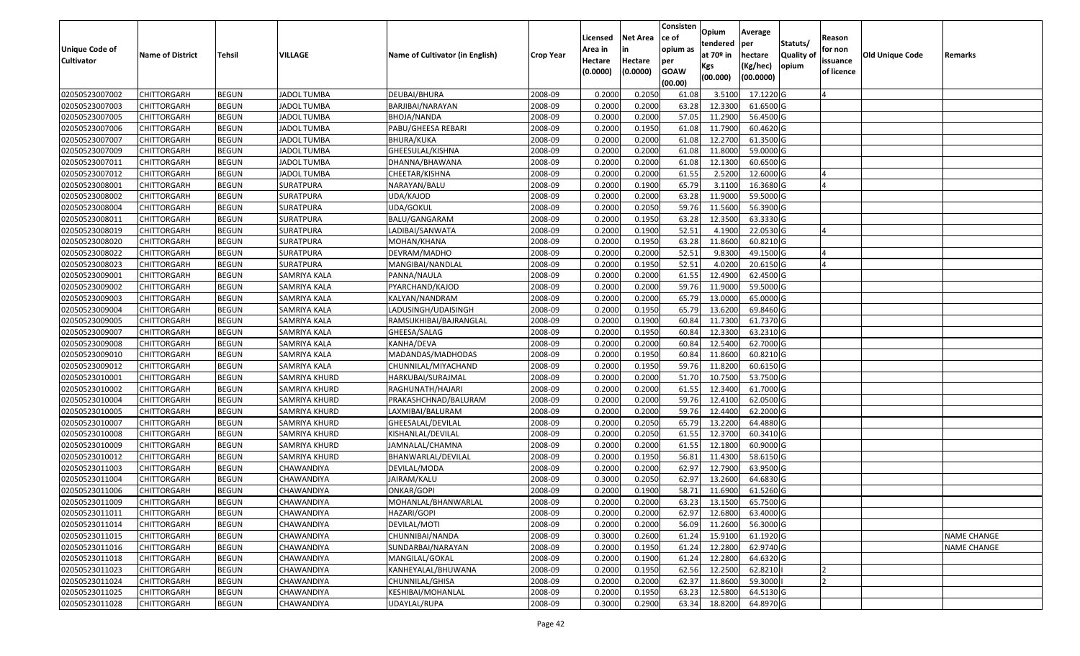|                   |                         |               |                     |                                 |                  |          |                 | Consisten              | Opium         | Average   |                  |            |                 |                    |
|-------------------|-------------------------|---------------|---------------------|---------------------------------|------------------|----------|-----------------|------------------------|---------------|-----------|------------------|------------|-----------------|--------------------|
|                   |                         |               |                     |                                 |                  | Licensed | <b>Net Area</b> | ce of                  | tendered      | per       | Statuts/         | Reason     |                 |                    |
| Unique Code of    | <b>Name of District</b> | <b>Tehsil</b> | VILLAGE             | Name of Cultivator (in English) | <b>Crop Year</b> | Area in  | in              | opium as               | at $70°$ in   | hectare   | <b>Quality o</b> | for non    | Old Unique Code | Remarks            |
| <b>Cultivator</b> |                         |               |                     |                                 |                  | Hectare  | Hectare         | per                    | Kgs           | (Kg/hec)  | opium            | issuance   |                 |                    |
|                   |                         |               |                     |                                 |                  | (0.0000) | (0.0000)        | <b>GOAW</b><br>(00.00) | (00.000)      | (00.0000) |                  | of licence |                 |                    |
| 02050523007002    | CHITTORGARH             | <b>BEGUN</b>  | <b>JADOL TUMBA</b>  | DEUBAI/BHURA                    | 2008-09          | 0.2000   | 0.2050          | 61.08                  | 3.5100        | 17.1220 G |                  |            |                 |                    |
| 02050523007003    | CHITTORGARH             | <b>BEGUN</b>  | <b>JADOL TUMBA</b>  | BARJIBAI/NARAYAN                | 2008-09          | 0.2000   | 0.2000          | 63.28                  | 12.3300       | 61.6500 G |                  |            |                 |                    |
| 02050523007005    | CHITTORGARH             | <b>BEGUN</b>  | <b>JADOL TUMBA</b>  | BHOJA/NANDA                     | 2008-09          | 0.2000   | 0.2000          | 57.05                  | 11.2900       | 56.4500 G |                  |            |                 |                    |
| 02050523007006    | <b>CHITTORGARH</b>      | <b>BEGUN</b>  | <b>JADOL TUMBA</b>  | PABU/GHEESA REBARI              | 2008-09          | 0.2000   | 0.1950          | 61.08                  | 11.7900       | 60.4620 G |                  |            |                 |                    |
| 02050523007007    | CHITTORGARH             | <b>BEGUN</b>  | <b>JADOL TUMBA</b>  | BHURA/KUKA                      | 2008-09          | 0.2000   | 0.2000          | 61.08                  | 12.2700       | 61.3500 G |                  |            |                 |                    |
| 02050523007009    | CHITTORGARH             | <b>BEGUN</b>  | <b>JADOL TUMBA</b>  | GHEESULAL/KISHNA                | 2008-09          | 0.2000   | 0.2000          | 61.08                  | 11.8000       | 59.0000 G |                  |            |                 |                    |
| 02050523007011    | CHITTORGARH             | <b>BEGUN</b>  | <b>JADOL TUMBA</b>  | DHANNA/BHAWANA                  | 2008-09          | 0.2000   | 0.2000          | 61.08                  | 12.1300       | 60.6500 G |                  |            |                 |                    |
| 02050523007012    | CHITTORGARH             | <b>BEGUN</b>  | <b>JADOL TUMBA</b>  | CHEETAR/KISHNA                  | 2008-09          | 0.2000   | 0.2000          | 61.55                  | 2.5200        | 12.6000 G |                  |            |                 |                    |
| 02050523008001    | CHITTORGARH             | <b>BEGUN</b>  | SURATPURA           | NARAYAN/BALU                    | 2008-09          | 0.2000   | 0.1900          | 65.79                  | 3.1100        | 16.3680 G |                  |            |                 |                    |
| 02050523008002    | CHITTORGARH             | <b>BEGUN</b>  | SURATPURA           | UDA/KAJOD                       | 2008-09          | 0.2000   | 0.2000          | 63.28                  | 11.9000       | 59.5000G  |                  |            |                 |                    |
| 02050523008004    | CHITTORGARH             | <b>BEGUN</b>  | SURATPURA           | UDA/GOKUL                       | 2008-09          | 0.2000   | 0.2050          | 59.76                  | 11.5600       | 56.3900 G |                  |            |                 |                    |
| 02050523008011    | CHITTORGARH             | <b>BEGUN</b>  | <b>SURATPURA</b>    | BALU/GANGARAM                   | 2008-09          | 0.2000   | 0.1950          | 63.28                  | 12.3500       | 63.3330 G |                  |            |                 |                    |
| 02050523008019    | <b>CHITTORGARH</b>      | <b>BEGUN</b>  | SURATPURA           | LADIBAI/SANWATA                 | 2008-09          | 0.2000   | 0.1900          | 52.51                  | 4.1900        | 22.0530 G |                  |            |                 |                    |
| 02050523008020    | CHITTORGARH             | <b>BEGUN</b>  | SURATPURA           | MOHAN/KHANA                     | 2008-09          | 0.2000   | 0.1950          | 63.28                  | 11.8600       | 60.8210 G |                  |            |                 |                    |
| 02050523008022    | CHITTORGARH             | <b>BEGUN</b>  | SURATPURA           | DEVRAM/MADHO                    | 2008-09          | 0.2000   | 0.2000          | 52.51                  | 9.8300        | 49.1500 G |                  |            |                 |                    |
| 02050523008023    | CHITTORGARH             | <b>BEGUN</b>  | SURATPURA           | MANGIBAI/NANDLAL                | 2008-09          | 0.2000   | 0.1950          | 52.51                  | 4.0200        | 20.6150G  |                  |            |                 |                    |
| 02050523009001    | CHITTORGARH             | <b>BEGUN</b>  | SAMRIYA KALA        | PANNA/NAULA                     | 2008-09          | 0.2000   | 0.2000          | 61.55                  | 12.4900       | 62.4500 G |                  |            |                 |                    |
| 02050523009002    | CHITTORGARH             | <b>BEGUN</b>  | SAMRIYA KALA        | PYARCHAND/KAJOD                 | 2008-09          | 0.2000   | 0.2000          | 59.76                  | 11.9000       | 59.5000G  |                  |            |                 |                    |
| 02050523009003    | CHITTORGARH             | <b>BEGUN</b>  | SAMRIYA KALA        | KALYAN/NANDRAM                  | 2008-09          | 0.2000   | 0.2000          | 65.79                  | 13.0000       | 65.0000G  |                  |            |                 |                    |
| 02050523009004    | CHITTORGARH             | <b>BEGUN</b>  | SAMRIYA KALA        | LADUSINGH/UDAISINGH             | 2008-09          | 0.2000   | 0.1950          | 65.79                  | 13.6200       | 69.8460 G |                  |            |                 |                    |
| 02050523009005    | CHITTORGARH             | <b>BEGUN</b>  | SAMRIYA KALA        | RAMSUKHIBAI/BAJRANGLAL          | 2008-09          | 0.2000   | 0.1900          | 60.84                  | 11.7300       | 61.7370 G |                  |            |                 |                    |
| 02050523009007    | CHITTORGARH             | <b>BEGUN</b>  | SAMRIYA KALA        | GHEESA/SALAG                    | 2008-09          | 0.2000   | 0.1950          | 60.84                  | 12.3300       | 63.2310 G |                  |            |                 |                    |
| 02050523009008    | CHITTORGARH             | <b>BEGUN</b>  | SAMRIYA KALA        | KANHA/DEVA                      | 2008-09          | 0.2000   | 0.2000          | 60.84                  | 12.5400       | 62.7000 G |                  |            |                 |                    |
| 02050523009010    | CHITTORGARH             | <b>BEGUN</b>  | SAMRIYA KALA        | MADANDAS/MADHODAS               | 2008-09          | 0.2000   | 0.1950          | 60.84                  | 11.8600       | 60.8210 G |                  |            |                 |                    |
| 02050523009012    | CHITTORGARH             | <b>BEGUN</b>  | <b>SAMRIYA KALA</b> | CHUNNILAL/MIYACHAND             | 2008-09          | 0.2000   | 0.1950          | 59.76                  | 11.8200       | 60.6150 G |                  |            |                 |                    |
| 02050523010001    | CHITTORGARH             | <b>BEGUN</b>  | SAMRIYA KHURD       | HARKUBAI/SURAJMAL               | 2008-09          | 0.2000   | 0.2000          | 51.70                  | 10.7500       | 53.7500 G |                  |            |                 |                    |
| 02050523010002    | CHITTORGARH             | <b>BEGUN</b>  | SAMRIYA KHURD       | RAGHUNATH/HAJARI                | 2008-09          | 0.2000   | 0.2000          | 61.55                  | 12.3400       | 61.7000G  |                  |            |                 |                    |
| 02050523010004    | CHITTORGARH             | <b>BEGUN</b>  | SAMRIYA KHURD       | PRAKASHCHNAD/BALURAM            | 2008-09          | 0.2000   | 0.2000          | 59.76                  | 12.4100       | 62.0500G  |                  |            |                 |                    |
| 02050523010005    | CHITTORGARH             | <b>BEGUN</b>  | SAMRIYA KHURD       | LAXMIBAI/BALURAM                | 2008-09          | 0.2000   | 0.2000          | 59.76                  | 12.4400       | 62.2000 G |                  |            |                 |                    |
| 02050523010007    | CHITTORGARH             | <b>BEGUN</b>  | SAMRIYA KHURD       | GHEESALAL/DEVILAL               | 2008-09          | 0.2000   | 0.2050          | 65.79                  | 13.2200       | 64.4880 G |                  |            |                 |                    |
| 02050523010008    | CHITTORGARH             | <b>BEGUN</b>  | SAMRIYA KHURD       | KISHANLAL/DEVILAL               | 2008-09          | 0.2000   | 0.2050          | 61.55                  | 12.3700       | 60.3410 G |                  |            |                 |                    |
| 02050523010009    | CHITTORGARH             | <b>BEGUN</b>  | SAMRIYA KHURD       | JAMNALAL/CHAMNA                 | 2008-09          | 0.2000   | 0.2000          | 61.55                  | 12.1800       | 60.9000 G |                  |            |                 |                    |
| 02050523010012    | CHITTORGARH             | <b>BEGUN</b>  | SAMRIYA KHURD       | BHANWARLAL/DEVILAL              | 2008-09          | 0.2000   | 0.1950          | 56.8                   | 11.4300       | 58.6150 G |                  |            |                 |                    |
| 02050523011003    | CHITTORGARH             | <b>BEGUN</b>  | CHAWANDIYA          | DEVILAL/MODA                    | 2008-09          | 0.2000   | 0.2000          | 62.97                  | 12.7900       | 63.9500 G |                  |            |                 |                    |
| 02050523011004    | CHITTORGARH             | <b>BEGUN</b>  | CHAWANDIYA          | JAIRAM/KALU                     | 2008-09          | 0.300    | 0.2050          | 62.97                  | 13.2600       | 64.6830 G |                  |            |                 |                    |
| 02050523011006    | CHITTORGARH             | <b>BEGUN</b>  | CHAWANDIYA          | ONKAR/GOPI                      | 2008-09          | 0.2000   | 0.1900          | 58.71                  | 11.6900       | 61.5260 G |                  |            |                 |                    |
| 02050523011009    | <b>CHITTORGARH</b>      | <b>BEGUN</b>  | CHAWANDIYA          | MOHANLAL/BHANWARLAL             | 2008-09          | 0.2000   | 0.2000          |                        | 63.23 13.1500 | 65.7500 G |                  |            |                 |                    |
| 02050523011011    | <b>CHITTORGARH</b>      | <b>BEGUN</b>  | CHAWANDIYA          | HAZARI/GOPI                     | 2008-09          | 0.2000   | 0.2000          | 62.97                  | 12.6800       | 63.4000 G |                  |            |                 |                    |
| 02050523011014    | <b>CHITTORGARH</b>      | <b>BEGUN</b>  | CHAWANDIYA          | DEVILAL/MOTI                    | 2008-09          | 0.2000   | 0.2000          | 56.09                  | 11.2600       | 56.3000 G |                  |            |                 |                    |
| 02050523011015    | <b>CHITTORGARH</b>      | <b>BEGUN</b>  | CHAWANDIYA          | CHUNNIBAI/NANDA                 | 2008-09          | 0.3000   | 0.2600          | 61.24                  | 15.9100       | 61.1920 G |                  |            |                 | <b>NAME CHANGE</b> |
| 02050523011016    | CHITTORGARH             | <b>BEGUN</b>  | CHAWANDIYA          | SUNDARBAI/NARAYAN               | 2008-09          | 0.2000   | 0.1950          | 61.24                  | 12.2800       | 62.9740 G |                  |            |                 | <b>NAME CHANGE</b> |
| 02050523011018    | <b>CHITTORGARH</b>      | <b>BEGUN</b>  | <b>CHAWANDIYA</b>   | MANGILAL/GOKAL                  | 2008-09          | 0.2000   | 0.1900          | 61.24                  | 12.2800       | 64.6320 G |                  |            |                 |                    |
| 02050523011023    | <b>CHITTORGARH</b>      | <b>BEGUN</b>  | CHAWANDIYA          | KANHEYALAL/BHUWANA              | 2008-09          | 0.2000   | 0.1950          | 62.56                  | 12.2500       | 62.8210   |                  |            |                 |                    |
| 02050523011024    | CHITTORGARH             | <b>BEGUN</b>  | CHAWANDIYA          | CHUNNILAL/GHISA                 | 2008-09          | 0.2000   | 0.2000          | 62.37                  | 11.8600       | 59.3000   |                  |            |                 |                    |
| 02050523011025    | <b>CHITTORGARH</b>      | <b>BEGUN</b>  | CHAWANDIYA          | KESHIBAI/MOHANLAL               | 2008-09          | 0.2000   | 0.1950          | 63.23                  | 12.5800       | 64.5130 G |                  |            |                 |                    |
| 02050523011028    | <b>CHITTORGARH</b>      | <b>BEGUN</b>  | CHAWANDIYA          | UDAYLAL/RUPA                    | 2008-09          | 0.3000   | 0.2900          | 63.34                  | 18.8200       | 64.8970 G |                  |            |                 |                    |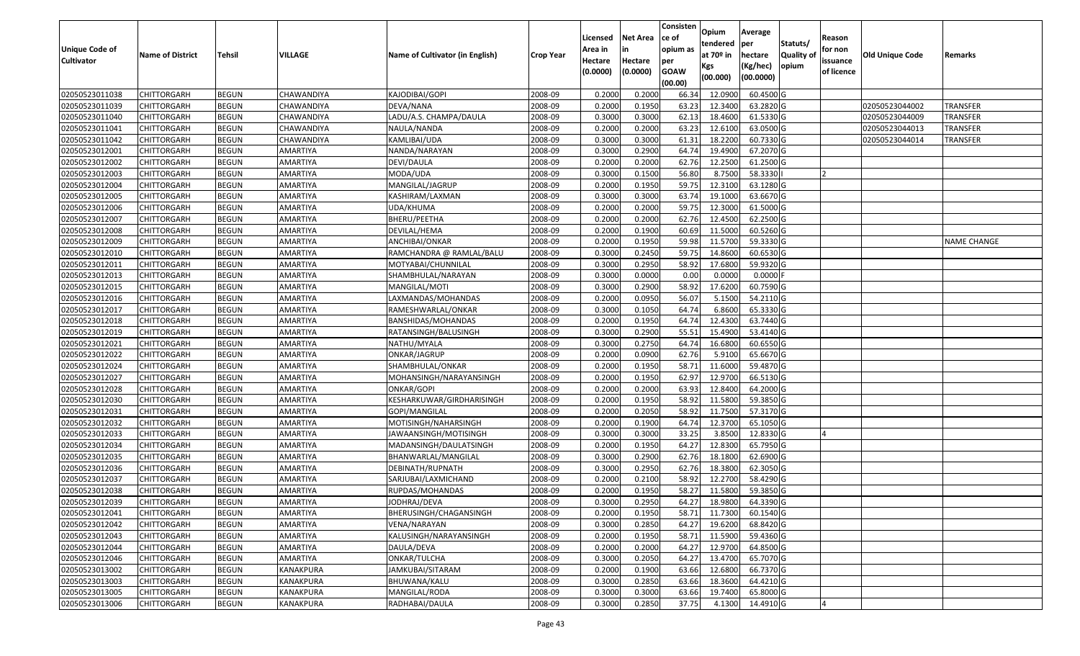| <b>Unique Code of</b> |                         |               |                   |                                 |                  | Licensed<br>Area in | <b>Net Area</b><br>in | Consisten<br>ce of<br>opium as | Opium<br>tendered            | Average<br>per                   | Statuts/                   | Reason<br>for non      |                 |                 |
|-----------------------|-------------------------|---------------|-------------------|---------------------------------|------------------|---------------------|-----------------------|--------------------------------|------------------------------|----------------------------------|----------------------------|------------------------|-----------------|-----------------|
| <b>Cultivator</b>     | <b>Name of District</b> | <b>Tehsil</b> | VILLAGE           | Name of Cultivator (in English) | <b>Crop Year</b> | Hectare<br>(0.0000) | Hectare<br>(0.0000)   | per<br><b>GOAW</b><br>(00.00)  | at 70º in<br>Kgs<br>(00.000) | hectare<br>(Kg/hec)<br>(00.0000) | <b>Quality of</b><br>opium | issuance<br>of licence | Old Unique Code | Remarks         |
| 02050523011038        | <b>CHITTORGARH</b>      | <b>BEGUN</b>  | CHAWANDIYA        | KAJODIBAI/GOPI                  | 2008-09          | 0.2000              | 0.2000                | 66.34                          | 12.0900                      | 60.4500 G                        |                            |                        |                 |                 |
| 02050523011039        | <b>CHITTORGARH</b>      | <b>BEGUN</b>  | CHAWANDIYA        | DEVA/NANA                       | 2008-09          | 0.2000              | 0.1950                | 63.23                          | 12.3400                      | 63.2820 G                        |                            |                        | 02050523044002  | TRANSFER        |
| 02050523011040        | <b>CHITTORGARH</b>      | <b>BEGUN</b>  | CHAWANDIYA        | LADU/A.S. CHAMPA/DAULA          | 2008-09          | 0.3000              | 0.3000                | 62.13                          | 18.4600                      | 61.5330 G                        |                            |                        | 02050523044009  | TRANSFER        |
| 02050523011041        | <b>CHITTORGARH</b>      | <b>BEGUN</b>  | <b>CHAWANDIYA</b> | NAULA/NANDA                     | 2008-09          | 0.2000              | 0.2000                | 63.23                          | 12.6100                      | 63.0500 G                        |                            |                        | 02050523044013  | <b>TRANSFER</b> |
| 02050523011042        | <b>CHITTORGARH</b>      | <b>BEGUN</b>  | CHAWANDIYA        | KAMLIBAI/UDA                    | 2008-09          | 0.3000              | 0.3000                | 61.31                          | 18.2200                      | 60.7330 G                        |                            |                        | 02050523044014  | <b>TRANSFER</b> |
| 02050523012001        | <b>CHITTORGARH</b>      | <b>BEGUN</b>  | AMARTIYA          | NANDA/NARAYAN                   | 2008-09          | 0.3000              | 0.2900                | 64.74                          | 19.4900                      | 67.2070 G                        |                            |                        |                 |                 |
| 02050523012002        | CHITTORGARH             | <b>BEGUN</b>  | AMARTIYA          | DEVI/DAULA                      | 2008-09          | 0.2000              | 0.2000                | 62.76                          | 12.2500                      | 61.2500 G                        |                            |                        |                 |                 |
| 02050523012003        | <b>CHITTORGARH</b>      | <b>BEGUN</b>  | AMARTIYA          | MODA/UDA                        | 2008-09          | 0.3000              | 0.1500                | 56.80                          | 8.7500                       | 58.3330                          |                            |                        |                 |                 |
| 02050523012004        | <b>CHITTORGARH</b>      | <b>BEGUN</b>  | AMARTIYA          | MANGILAL/JAGRUP                 | 2008-09          | 0.2000              | 0.1950                | 59.75                          | 12.3100                      | 63.1280 G                        |                            |                        |                 |                 |
| 02050523012005        | <b>CHITTORGARH</b>      | <b>BEGUN</b>  | AMARTIYA          | KASHIRAM/LAXMAN                 | 2008-09          | 0.3000              | 0.3000                | 63.74                          | 19.1000                      | 63.6670 G                        |                            |                        |                 |                 |
| 02050523012006        | <b>CHITTORGARH</b>      | <b>BEGUN</b>  | AMARTIYA          | UDA/KHUMA                       | 2008-09          | 0.2000              | 0.2000                | 59.75                          | 12.3000                      | 61.5000 G                        |                            |                        |                 |                 |
| 02050523012007        | <b>CHITTORGARH</b>      | <b>BEGUN</b>  | AMARTIYA          | BHERU/PEETHA                    | 2008-09          | 0.2000              | 0.2000                | 62.76                          | 12.4500                      | 62.2500 G                        |                            |                        |                 |                 |
| 02050523012008        | <b>CHITTORGARH</b>      | <b>BEGUN</b>  | AMARTIYA          | DEVILAL/HEMA                    | 2008-09          | 0.2000              | 0.1900                | 60.69                          | 11.5000                      | 60.5260 G                        |                            |                        |                 |                 |
| 02050523012009        | <b>CHITTORGARH</b>      | <b>BEGUN</b>  | AMARTIYA          | ANCHIBAI/ONKAR                  | 2008-09          | 0.2000              | 0.1950                | 59.98                          | 11.5700                      | 59.3330 G                        |                            |                        |                 | NAME CHANGE     |
| 02050523012010        | <b>CHITTORGARH</b>      | <b>BEGUN</b>  | AMARTIYA          | RAMCHANDRA @ RAMLAL/BALU        | 2008-09          | 0.3000              | 0.2450                | 59.75                          | 14.8600                      | 60.6530 G                        |                            |                        |                 |                 |
| 02050523012011        | <b>CHITTORGARH</b>      | <b>BEGUN</b>  | AMARTIYA          | MOTYABAI/CHUNNILAL              | 2008-09          | 0.3000              | 0.2950                | 58.92                          | 17.6800                      | 59.9320 G                        |                            |                        |                 |                 |
| 02050523012013        | <b>CHITTORGARH</b>      | <b>BEGUN</b>  | AMARTIYA          | SHAMBHULAL/NARAYAN              | 2008-09          | 0.3000              | 0.0000                | 0.00                           | 0.0000                       | $0.0000$ F                       |                            |                        |                 |                 |
| 02050523012015        | <b>CHITTORGARH</b>      | <b>BEGUN</b>  | AMARTIYA          | MANGILAL/MOTI                   | 2008-09          | 0.3000              | 0.2900                | 58.92                          | 17.6200                      | 60.7590 G                        |                            |                        |                 |                 |
| 02050523012016        | <b>CHITTORGARH</b>      | <b>BEGUN</b>  | AMARTIYA          | LAXMANDAS/MOHANDAS              | 2008-09          | 0.2000              | 0.0950                | 56.07                          | 5.1500                       | 54.2110 G                        |                            |                        |                 |                 |
| 02050523012017        | <b>CHITTORGARH</b>      | <b>BEGUN</b>  | AMARTIYA          | RAMESHWARLAL/ONKAR              | 2008-09          | 0.3000              | 0.1050                | 64.74                          | 6.8600                       | 65.3330 G                        |                            |                        |                 |                 |
| 02050523012018        | <b>CHITTORGARH</b>      | <b>BEGUN</b>  | AMARTIYA          | BANSHIDAS/MOHANDAS              | 2008-09          | 0.2000              | 0.1950                | 64.74                          | 12.4300                      | 63.7440 G                        |                            |                        |                 |                 |
| 02050523012019        | <b>CHITTORGARH</b>      | <b>BEGUN</b>  | AMARTIYA          | RATANSINGH/BALUSINGH            | 2008-09          | 0.3000              | 0.2900                | 55.51                          | 15.4900                      | 53.4140 G                        |                            |                        |                 |                 |
| 02050523012021        | <b>CHITTORGARH</b>      | <b>BEGUN</b>  | AMARTIYA          | NATHU/MYALA                     | 2008-09          | 0.3000              | 0.2750                | 64.74                          | 16.6800                      | 60.6550 G                        |                            |                        |                 |                 |
| 02050523012022        | <b>CHITTORGARH</b>      | <b>BEGUN</b>  | AMARTIYA          | ONKAR/JAGRUP                    | 2008-09          | 0.2000              | 0.0900                | 62.76                          | 5.9100                       | 65.6670 G                        |                            |                        |                 |                 |
| 02050523012024        | <b>CHITTORGARH</b>      | <b>BEGUN</b>  | AMARTIYA          | SHAMBHULAL/ONKAR                | 2008-09          | 0.2000              | 0.1950                | 58.7                           | 11.6000                      | 59.4870 G                        |                            |                        |                 |                 |
| 02050523012027        | <b>CHITTORGARH</b>      | <b>BEGUN</b>  | AMARTIYA          | MOHANSINGH/NARAYANSINGH         | 2008-09          | 0.2000              | 0.1950                | 62.97                          | 12.9700                      | 66.5130 G                        |                            |                        |                 |                 |
| 02050523012028        | <b>CHITTORGARH</b>      | <b>BEGUN</b>  | AMARTIYA          | ONKAR/GOPI                      | 2008-09          | 0.2000              | 0.2000                | 63.93                          | 12.8400                      | 64.2000 G                        |                            |                        |                 |                 |
| 02050523012030        | <b>CHITTORGARH</b>      | <b>BEGUN</b>  | AMARTIYA          | KESHARKUWAR/GIRDHARISINGH       | 2008-09          | 0.2000              | 0.1950                | 58.92                          | 11.5800                      | 59.3850 G                        |                            |                        |                 |                 |
| 02050523012031        | <b>CHITTORGARH</b>      | <b>BEGUN</b>  | AMARTIYA          | GOPI/MANGILAL                   | 2008-09          | 0.2000              | 0.2050                | 58.92                          | 11.7500                      | 57.3170 G                        |                            |                        |                 |                 |
| 02050523012032        | <b>CHITTORGARH</b>      | <b>BEGUN</b>  | AMARTIYA          | MOTISINGH/NAHARSINGH            | 2008-09          | 0.2000              | 0.1900                | 64.74                          | 12.3700                      | 65.1050 G                        |                            |                        |                 |                 |
| 02050523012033        | <b>CHITTORGARH</b>      | <b>BEGUN</b>  | AMARTIYA          | JAWAANSINGH/MOTISINGH           | 2008-09          | 0.3000              | 0.3000                | 33.25                          | 3.8500                       | 12.8330 G                        |                            |                        |                 |                 |
| 02050523012034        | <b>CHITTORGARH</b>      | <b>BEGUN</b>  | AMARTIYA          | MADANSINGH/DAULATSINGH          | 2008-09          | 0.2000              | 0.1950                | 64.27                          | 12.8300                      | 65.7950 G                        |                            |                        |                 |                 |
| 02050523012035        | <b>CHITTORGARH</b>      | <b>BEGUN</b>  | AMARTIYA          | BHANWARLAL/MANGILAL             | 2008-09          | 0.3000              | 0.2900                | 62.76                          | 18.1800                      | 62.6900 G                        |                            |                        |                 |                 |
| 02050523012036        | <b>CHITTORGARH</b>      | <b>BEGUN</b>  | AMARTIYA          | DEBINATH/RUPNATH                | 2008-09          | 0.3000              | 0.2950                | 62.76                          | 18.3800                      | 62.3050 G                        |                            |                        |                 |                 |
| 02050523012037        | <b>CHITTORGARH</b>      | <b>BEGUN</b>  | AMARTIYA          | SARJUBAI/LAXMICHAND             | 2008-09          | 0.2000              | 0.2100                | 58.92                          | 12.2700                      | 58.4290 G                        |                            |                        |                 |                 |
| 02050523012038        | <b>CHITTORGARH</b>      | BEGUN         | AMARTIYA          | RUPDAS/MOHANDAS                 | 2008-09          | 0.2000              | 0.1950                | 58.27                          | 11.5800                      | 59.3850 G                        |                            |                        |                 |                 |
| 02050523012039        | CHITTORGARH             | <b>BEGUN</b>  | AMARTIYA          | JODHRAJ/DEVA                    | 2008-09          | 0.3000              | 0.2950                | 64.27                          | 18.9800                      | 64.3390 G                        |                            |                        |                 |                 |
| 02050523012041        | <b>CHITTORGARH</b>      | <b>BEGUN</b>  | AMARTIYA          | BHERUSINGH/CHAGANSINGH          | 2008-09          | 0.2000              | 0.1950                | 58.71                          | 11.7300                      | 60.1540 G                        |                            |                        |                 |                 |
| 02050523012042        | <b>CHITTORGARH</b>      | <b>BEGUN</b>  | AMARTIYA          | VENA/NARAYAN                    | 2008-09          | 0.3000              | 0.2850                | 64.27                          | 19.6200                      | 68.8420 G                        |                            |                        |                 |                 |
| 02050523012043        | <b>CHITTORGARH</b>      | <b>BEGUN</b>  | AMARTIYA          | KALUSINGH/NARAYANSINGH          | 2008-09          | 0.2000              | 0.1950                | 58.71                          | 11.5900                      | 59.4360 G                        |                            |                        |                 |                 |
| 02050523012044        | <b>CHITTORGARH</b>      | <b>BEGUN</b>  | AMARTIYA          | DAULA/DEVA                      | 2008-09          | 0.2000              | 0.2000                | 64.27                          | 12.9700                      | 64.8500 G                        |                            |                        |                 |                 |
| 02050523012046        | <b>CHITTORGARH</b>      | <b>BEGUN</b>  | <b>AMARTIYA</b>   | ONKAR/TULCHA                    | 2008-09          | 0.3000              | 0.2050                | 64.27                          | 13.4700                      | 65.7070 G                        |                            |                        |                 |                 |
| 02050523013002        | <b>CHITTORGARH</b>      | <b>BEGUN</b>  | KANAKPURA         | JAMKUBAI/SITARAM                | 2008-09          | 0.2000              | 0.1900                | 63.66                          | 12.6800                      | 66.7370 G                        |                            |                        |                 |                 |
| 02050523013003        | <b>CHITTORGARH</b>      | <b>BEGUN</b>  | KANAKPURA         | BHUWANA/KALU                    | 2008-09          | 0.3000              | 0.2850                | 63.66                          | 18.3600                      | 64.4210 G                        |                            |                        |                 |                 |
| 02050523013005        | <b>CHITTORGARH</b>      | <b>BEGUN</b>  | KANAKPURA         | MANGILAL/RODA                   | 2008-09          | 0.3000              | 0.3000                | 63.66                          | 19.7400                      | 65.8000 G                        |                            |                        |                 |                 |
| 02050523013006        | <b>CHITTORGARH</b>      | <b>BEGUN</b>  | KANAKPURA         | RADHABAI/DAULA                  | 2008-09          | 0.3000              | 0.2850                | 37.75                          | 4.1300                       | 14.4910 G                        |                            | 4                      |                 |                 |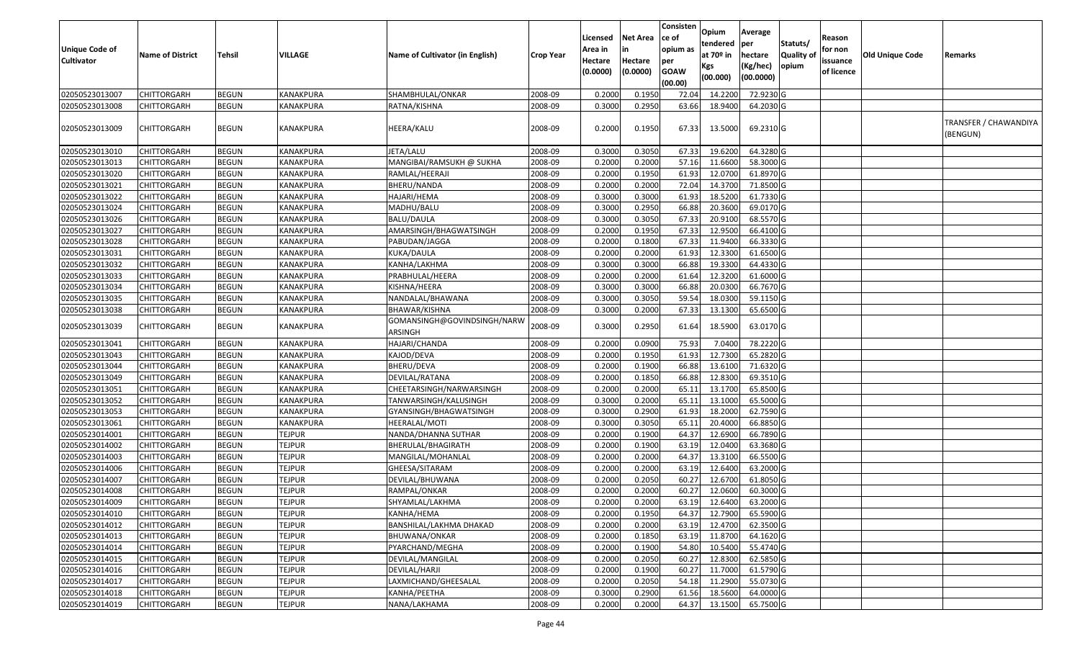| Unique Code of<br><b>Cultivator</b> | <b>Name of District</b> | <b>Tehsil</b> | <b>VILLAGE</b>   | Name of Cultivator (in English)        | <b>Crop Year</b> | Licensed<br>Area in<br>Hectare<br>(0.0000) | <b>Net Area</b><br>in<br>Hectare<br>(0.0000) | Consisten<br>ce of<br>opium as<br>per<br><b>GOAW</b><br>(00.00) | Opium<br>tendered<br>at $70°$ in<br>Kgs<br>(00.000) | Average<br>per<br>hectare<br>(Kg/hec)<br>(00.0000) | Statuts/<br>Quality of<br>opium | Reason<br>for non<br>issuance<br>of licence | <b>Old Unique Code</b> | Remarks                           |
|-------------------------------------|-------------------------|---------------|------------------|----------------------------------------|------------------|--------------------------------------------|----------------------------------------------|-----------------------------------------------------------------|-----------------------------------------------------|----------------------------------------------------|---------------------------------|---------------------------------------------|------------------------|-----------------------------------|
| 02050523013007                      | CHITTORGARH             | <b>BEGUN</b>  | <b>KANAKPURA</b> | SHAMBHULAL/ONKAR                       | 2008-09          | 0.2000                                     | 0.195                                        | 72.04                                                           | 14.2200                                             | 72.9230 G                                          |                                 |                                             |                        |                                   |
| 02050523013008                      | CHITTORGARH             | <b>BEGUN</b>  | KANAKPURA        | RATNA/KISHNA                           | 2008-09          | 0.3000                                     | 0.2950                                       | 63.66                                                           | 18.9400                                             | 64.2030 G                                          |                                 |                                             |                        |                                   |
| 02050523013009                      | CHITTORGARH             | <b>BEGUN</b>  | KANAKPURA        | HEERA/KALU                             | 2008-09          | 0.2000                                     | 0.1950                                       | 67.33                                                           | 13.5000                                             | 69.2310 G                                          |                                 |                                             |                        | TRANSFER / CHAWANDIYA<br>(BENGUN) |
| 02050523013010                      | <b>CHITTORGARH</b>      | <b>BEGUN</b>  | KANAKPURA        | JETA/LALU                              | 2008-09          | 0.3000                                     | 0.3050                                       | 67.33                                                           | 19.6200                                             | 64.3280 G                                          |                                 |                                             |                        |                                   |
| 02050523013013                      | CHITTORGARH             | <b>BEGUN</b>  | KANAKPURA        | MANGIBAI/RAMSUKH @ SUKHA               | 2008-09          | 0.2000                                     | 0.2000                                       | 57.16                                                           | 11.6600                                             | 58.3000 G                                          |                                 |                                             |                        |                                   |
| 02050523013020                      | CHITTORGARH             | <b>BEGUN</b>  | KANAKPURA        | RAMLAL/HEERAJI                         | 2008-09          | 0.2000                                     | 0.1950                                       | 61.93                                                           | 12.0700                                             | 61.8970 G                                          |                                 |                                             |                        |                                   |
| 02050523013021                      | CHITTORGARH             | <b>BEGUN</b>  | <b>KANAKPURA</b> | BHERU/NANDA                            | 2008-09          | 0.2000                                     | 0.2000                                       | 72.04                                                           | 14.3700                                             | 71.8500 G                                          |                                 |                                             |                        |                                   |
| 02050523013022                      | CHITTORGARH             | <b>BEGUN</b>  | <b>KANAKPURA</b> | HAJARI/HEMA                            | 2008-09          | 0.3000                                     | 0.3000                                       | 61.93                                                           | 18.5200                                             | 61.7330 G                                          |                                 |                                             |                        |                                   |
| 02050523013024                      | CHITTORGARH             | <b>BEGUN</b>  | KANAKPURA        | MADHU/BALU                             | 2008-09          | 0.3000                                     | 0.2950                                       | 66.88                                                           | 20.3600                                             | 69.0170 G                                          |                                 |                                             |                        |                                   |
| 02050523013026                      | CHITTORGARH             | <b>BEGUN</b>  | <b>KANAKPURA</b> | <b>BALU/DAULA</b>                      | 2008-09          | 0.3000                                     | 0.3050                                       | 67.33                                                           | 20.9100                                             | 68.5570 G                                          |                                 |                                             |                        |                                   |
| 02050523013027                      | CHITTORGARH             | <b>BEGUN</b>  | <b>KANAKPURA</b> | AMARSINGH/BHAGWATSINGH                 | 2008-09          | 0.2000                                     | 0.1950                                       | 67.33                                                           | 12.9500                                             | 66.4100G                                           |                                 |                                             |                        |                                   |
| 02050523013028                      | <b>CHITTORGARH</b>      | <b>BEGUN</b>  | <b>KANAKPURA</b> | PABUDAN/JAGGA                          | 2008-09          | 0.2000                                     | 0.1800                                       | 67.33                                                           | 11.9400                                             | 66.3330 G                                          |                                 |                                             |                        |                                   |
| 02050523013031                      | CHITTORGARH             | <b>BEGUN</b>  | KANAKPURA        | KUKA/DAULA                             | 2008-09          | 0.2000                                     | 0.2000                                       | 61.93                                                           | 12.3300                                             | 61.6500 G                                          |                                 |                                             |                        |                                   |
| 02050523013032                      | CHITTORGARH             | <b>BEGUN</b>  | <b>KANAKPURA</b> | KANHA/LAKHMA                           | 2008-09          | 0.3000                                     | 0.3000                                       | 66.88                                                           | 19.3300                                             | 64.4330 G                                          |                                 |                                             |                        |                                   |
| 02050523013033                      | <b>CHITTORGARH</b>      | <b>BEGUN</b>  | <b>KANAKPURA</b> | PRABHULAL/HEERA                        | 2008-09          | 0.2000                                     | 0.2000                                       | 61.64                                                           | 12.3200                                             | 61.6000G                                           |                                 |                                             |                        |                                   |
| 02050523013034                      | CHITTORGARH             | <b>BEGUN</b>  | <b>KANAKPURA</b> | KISHNA/HEERA                           | 2008-09          | 0.300                                      | 0.3000                                       | 66.88                                                           | 20.0300                                             | 66.7670 G                                          |                                 |                                             |                        |                                   |
| 02050523013035                      | CHITTORGARH             | <b>BEGUN</b>  | KANAKPURA        | NANDALAL/BHAWANA                       | 2008-09          | 0.3000                                     | 0.3050                                       | 59.54                                                           | 18.0300                                             | 59.1150 G                                          |                                 |                                             |                        |                                   |
| 02050523013038                      | CHITTORGARH             | <b>BEGUN</b>  | KANAKPURA        | BHAWAR/KISHNA                          | 2008-09          | 0.3000                                     | 0.2000                                       | 67.33                                                           | 13.1300                                             | 65.6500 G                                          |                                 |                                             |                        |                                   |
| 02050523013039                      | CHITTORGARH             | <b>BEGUN</b>  | KANAKPURA        | GOMANSINGH@GOVINDSINGH/NARW<br>ARSINGH | 2008-09          | 0.3000                                     | 0.2950                                       | 61.64                                                           | 18.5900                                             | 63.0170 G                                          |                                 |                                             |                        |                                   |
| 02050523013041                      | CHITTORGARH             | <b>BEGUN</b>  | KANAKPURA        | HAJARI/CHANDA                          | 2008-09          | 0.2000                                     | 0.0900                                       | 75.93                                                           | 7.0400                                              | 78.2220 G                                          |                                 |                                             |                        |                                   |
| 02050523013043                      | CHITTORGARH             | <b>BEGUN</b>  | KANAKPURA        | KAJOD/DEVA                             | 2008-09          | 0.2000                                     | 0.1950                                       | 61.93                                                           | 12.7300                                             | 65.2820 G                                          |                                 |                                             |                        |                                   |
| 02050523013044                      | CHITTORGARH             | <b>BEGUN</b>  | <b>KANAKPURA</b> | BHERU/DEVA                             | 2008-09          | 0.2000                                     | 0.1900                                       | 66.88                                                           | 13.6100                                             | 71.6320 G                                          |                                 |                                             |                        |                                   |
| 02050523013049                      | CHITTORGARH             | <b>BEGUN</b>  | <b>KANAKPURA</b> | DEVILAL/RATANA                         | 2008-09          | 0.2000                                     | 0.1850                                       | 66.88                                                           | 12.8300                                             | 69.3510 G                                          |                                 |                                             |                        |                                   |
| 02050523013051                      | CHITTORGARH             | <b>BEGUN</b>  | KANAKPURA        | CHEETARSINGH/NARWARSINGH               | 2008-09          | 0.2000                                     | 0.2000                                       | 65.1                                                            | 13.1700                                             | 65.8500 G                                          |                                 |                                             |                        |                                   |
| 02050523013052                      | CHITTORGARH             | <b>BEGUN</b>  | KANAKPURA        | TANWARSINGH/KALUSINGH                  | 2008-09          | 0.3000                                     | 0.2000                                       | 65.1                                                            | 13.1000                                             | 65.5000G                                           |                                 |                                             |                        |                                   |
| 02050523013053                      | CHITTORGARH             | <b>BEGUN</b>  | KANAKPURA        | GYANSINGH/BHAGWATSINGH                 | 2008-09          | 0.3000                                     | 0.2900                                       | 61.93                                                           | 18.2000                                             | 62.7590 G                                          |                                 |                                             |                        |                                   |
| 02050523013061                      | CHITTORGARH             | <b>BEGUN</b>  | KANAKPURA        | HEERALAL/MOTI                          | 2008-09          | 0.3000                                     | 0.3050                                       | 65.1                                                            | 20.4000                                             | 66.8850 G                                          |                                 |                                             |                        |                                   |
| 02050523014001                      | CHITTORGARH             | <b>BEGUN</b>  | <b>TEJPUR</b>    | NANDA/DHANNA SUTHAR                    | 2008-09          | 0.2000                                     | 0.1900                                       | 64.37                                                           | 12.6900                                             | 66.7890 G                                          |                                 |                                             |                        |                                   |
| 02050523014002                      | CHITTORGARH             | <b>BEGUN</b>  | <b>TEJPUR</b>    | BHERULAL/BHAGIRATH                     | 2008-09          | 0.2000                                     | 0.1900                                       | 63.19                                                           | 12.0400                                             | 63.3680 G                                          |                                 |                                             |                        |                                   |
| 02050523014003                      | CHITTORGARH             | <b>BEGUN</b>  | <b>TEJPUR</b>    | MANGILAL/MOHANLAL                      | 2008-09          | 0.2000                                     | 0.2000                                       | 64.37                                                           | 13.3100                                             | 66.5500 G                                          |                                 |                                             |                        |                                   |
| 02050523014006                      | CHITTORGARH             | <b>BEGUN</b>  | <b>TEJPUR</b>    | GHEESA/SITARAM                         | 2008-09          | 0.2000                                     | 0.2000                                       | 63.19                                                           | 12.6400                                             | 63.2000 G                                          |                                 |                                             |                        |                                   |
| 02050523014007                      | CHITTORGARH             | <b>BEGUN</b>  | <b>TEJPUR</b>    | DEVILAL/BHUWANA                        | 2008-09          | 0.2000                                     | 0.2050                                       | 60.27                                                           | 12.6700                                             | 61.8050G                                           |                                 |                                             |                        |                                   |
| 02050523014008                      | CHITTORGARH             | <b>BEGUN</b>  | <b>TEJPUR</b>    | RAMPAL/ONKAR                           | 2008-09          | 0.2000                                     | 0.2000                                       | 60.27                                                           | 12.0600                                             | 60.3000 G                                          |                                 |                                             |                        |                                   |
| 02050523014009                      | <b>CHITTORGARH</b>      | <b>BEGUN</b>  | <b>TEJPUR</b>    | SHYAMLAL/LAKHMA                        | 2008-09          | 0.2000                                     | 0.2000                                       |                                                                 | 63.19 12.6400                                       | 63.2000 G                                          |                                 |                                             |                        |                                   |
| 02050523014010                      | <b>CHITTORGARH</b>      | <b>BEGUN</b>  | <b>TEJPUR</b>    | KANHA/HEMA                             | 2008-09          | 0.2000                                     | 0.1950                                       | 64.37                                                           | 12.7900                                             | 65.5900 G                                          |                                 |                                             |                        |                                   |
| 02050523014012                      | <b>CHITTORGARH</b>      | <b>BEGUN</b>  | <b>TEJPUR</b>    | BANSHILAL/LAKHMA DHAKAD                | 2008-09          | 0.2000                                     | 0.2000                                       | 63.19                                                           | 12.4700                                             | 62.3500 G                                          |                                 |                                             |                        |                                   |
| 02050523014013                      | <b>CHITTORGARH</b>      | <b>BEGUN</b>  | <b>TEJPUR</b>    | BHUWANA/ONKAR                          | 2008-09          | 0.2000                                     | 0.1850                                       | 63.19                                                           | 11.8700                                             | 64.1620 G                                          |                                 |                                             |                        |                                   |
| 02050523014014                      | CHITTORGARH             | <b>BEGUN</b>  | <b>TEJPUR</b>    | PYARCHAND/MEGHA                        | 2008-09          | 0.2000                                     | 0.1900                                       | 54.80                                                           | 10.5400                                             | 55.4740 G                                          |                                 |                                             |                        |                                   |
| 02050523014015                      | <b>CHITTORGARH</b>      | <b>BEGUN</b>  | <b>TEJPUR</b>    | DEVILAL/MANGILAL                       | 2008-09          | 0.2000                                     | 0.2050                                       | 60.27                                                           | 12.8300                                             | 62.5850 G                                          |                                 |                                             |                        |                                   |
| 02050523014016                      | <b>CHITTORGARH</b>      | <b>BEGUN</b>  | <b>TEJPUR</b>    | DEVILAL/HARJI                          | 2008-09          | 0.2000                                     | 0.1900                                       | 60.27                                                           | 11.7000                                             | 61.5790 G                                          |                                 |                                             |                        |                                   |
| 02050523014017                      | <b>CHITTORGARH</b>      | <b>BEGUN</b>  | <b>TEJPUR</b>    | LAXMICHAND/GHEESALAL                   | 2008-09          | 0.2000                                     | 0.2050                                       | 54.18                                                           | 11.2900                                             | 55.0730 G                                          |                                 |                                             |                        |                                   |
| 02050523014018                      | <b>CHITTORGARH</b>      | <b>BEGUN</b>  | <b>TEJPUR</b>    | KANHA/PEETHA                           | 2008-09          | 0.3000                                     | 0.2900                                       | 61.56                                                           | 18.5600                                             | 64.0000 G                                          |                                 |                                             |                        |                                   |
| 02050523014019                      | <b>CHITTORGARH</b>      | <b>BEGUN</b>  | <b>TEJPUR</b>    | NANA/LAKHAMA                           | 2008-09          | 0.2000                                     | 0.2000                                       | 64.37                                                           | 13.1500                                             | 65.7500 G                                          |                                 |                                             |                        |                                   |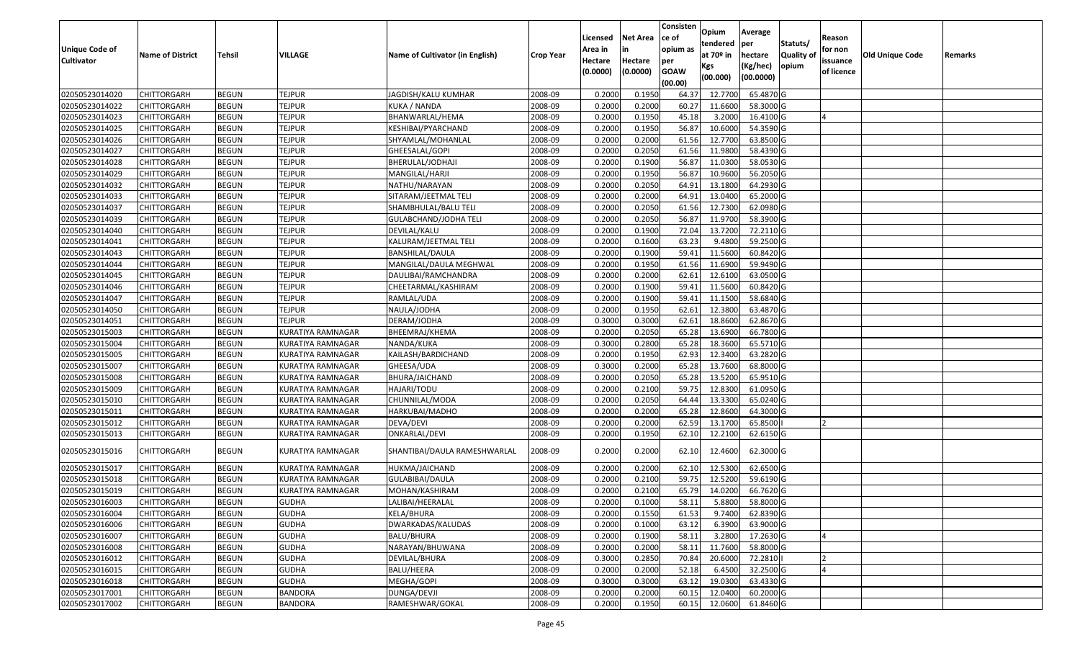|                       |                         |               |                          |                                 |                  | Licensed | <b>Net Area</b> | Consisten<br>ce of | Opium       | Average   |                  | Reason     |                 |         |
|-----------------------|-------------------------|---------------|--------------------------|---------------------------------|------------------|----------|-----------------|--------------------|-------------|-----------|------------------|------------|-----------------|---------|
| <b>Unique Code of</b> |                         |               |                          |                                 |                  | Area in  |                 | opium as           | tendered    | per       | Statuts/         | for non    |                 |         |
| <b>Cultivator</b>     | <b>Name of District</b> | <b>Tehsil</b> | VILLAGE                  | Name of Cultivator (in English) | <b>Crop Year</b> | Hectare  | Hectare         | per                | at $70°$ in | hectare   | <b>Quality o</b> | issuance   | Old Unique Code | Remarks |
|                       |                         |               |                          |                                 |                  | (0.0000) | (0.0000)        | <b>GOAW</b>        | Kgs         | (Kg/hec)  | opium            | of licence |                 |         |
|                       |                         |               |                          |                                 |                  |          |                 | (00.00)            | (00.000)    | (00.0000) |                  |            |                 |         |
| 02050523014020        | CHITTORGARH             | <b>BEGUN</b>  | <b>TEJPUR</b>            | JAGDISH/KALU KUMHAR             | 2008-09          | 0.2000   | 0.1950          | 64.37              | 12.7700     | 65.4870 G |                  |            |                 |         |
| 02050523014022        | CHITTORGARH             | <b>BEGUN</b>  | <b>TEJPUR</b>            | KUKA / NANDA                    | 2008-09          | 0.2000   | 0.2000          | 60.27              | 11.6600     | 58.3000 G |                  |            |                 |         |
| 02050523014023        | CHITTORGARH             | <b>BEGUN</b>  | <b>TEJPUR</b>            | BHANWARLAL/HEMA                 | 2008-09          | 0.2000   | 0.1950          | 45.18              | 3.2000      | 16.4100G  |                  |            |                 |         |
| 02050523014025        | CHITTORGARH             | <b>BEGUN</b>  | <b>TEJPUR</b>            | KESHIBAI/PYARCHAND              | 2008-09          | 0.2000   | 0.1950          | 56.87              | 10.6000     | 54.3590 G |                  |            |                 |         |
| 02050523014026        | CHITTORGARH             | <b>BEGUN</b>  | <b>TEJPUR</b>            | SHYAMLAL/MOHANLAL               | 2008-09          | 0.2000   | 0.2000          | 61.56              | 12.7700     | 63.8500 G |                  |            |                 |         |
| 02050523014027        | CHITTORGARH             | <b>BEGUN</b>  | <b>TEJPUR</b>            | GHEESALAL/GOPI                  | 2008-09          | 0.2000   | 0.2050          | 61.56              | 11.9800     | 58.4390 G |                  |            |                 |         |
| 02050523014028        | CHITTORGARH             | <b>BEGUN</b>  | <b>TEJPUR</b>            | BHERULAL/JODHAJI                | 2008-09          | 0.2000   | 0.1900          | 56.87              | 11.0300     | 58.0530 G |                  |            |                 |         |
| 02050523014029        | CHITTORGARH             | <b>BEGUN</b>  | <b>TEJPUR</b>            | MANGILAL/HARJI                  | 2008-09          | 0.2000   | 0.1950          | 56.87              | 10.9600     | 56.2050 G |                  |            |                 |         |
| 02050523014032        | CHITTORGARH             | <b>BEGUN</b>  | <b>TEJPUR</b>            | NATHU/NARAYAN                   | 2008-09          | 0.2000   | 0.2050          | 64.91              | 13.1800     | 64.2930 G |                  |            |                 |         |
| 02050523014033        | CHITTORGARH             | <b>BEGUN</b>  | <b>TEJPUR</b>            | SITARAM/JEETMAL TELI            | 2008-09          | 0.2000   | 0.2000          | 64.91              | 13.0400     | 65.2000 G |                  |            |                 |         |
| 02050523014037        | CHITTORGARH             | <b>BEGUN</b>  | <b>TEJPUR</b>            | SHAMBHULAL/BALU TELI            | 2008-09          | 0.2000   | 0.2050          | 61.56              | 12.7300     | 62.0980 G |                  |            |                 |         |
| 02050523014039        | CHITTORGARH             | <b>BEGUN</b>  | <b>TEJPUR</b>            | GULABCHAND/JODHA TELI           | 2008-09          | 0.2000   | 0.2050          | 56.87              | 11.9700     | 58.3900 G |                  |            |                 |         |
| 02050523014040        | <b>CHITTORGARH</b>      | <b>BEGUN</b>  | <b>TEJPUR</b>            | DEVILAL/KALU                    | 2008-09          | 0.2000   | 0.1900          | 72.04              | 13.7200     | 72.2110 G |                  |            |                 |         |
| 02050523014041        | CHITTORGARH             | <b>BEGUN</b>  | <b>TEJPUR</b>            | KALURAM/JEETMAL TELI            | 2008-09          | 0.2000   | 0.1600          | 63.23              | 9.4800      | 59.2500 G |                  |            |                 |         |
| 02050523014043        | CHITTORGARH             | <b>BEGUN</b>  | <b>TEJPUR</b>            | BANSHILAL/DAULA                 | 2008-09          | 0.2000   | 0.1900          | 59.41              | 11.5600     | 60.8420 G |                  |            |                 |         |
| 02050523014044        | CHITTORGARH             | <b>BEGUN</b>  | <b>TEJPUR</b>            | MANGILAL/DAULA MEGHWAL          | 2008-09          | 0.2000   | 0.1950          | 61.56              | 11.6900     | 59.9490 G |                  |            |                 |         |
| 02050523014045        | CHITTORGARH             | <b>BEGUN</b>  | <b>TEJPUR</b>            | DAULIBAI/RAMCHANDRA             | 2008-09          | 0.2000   | 0.2000          | 62.6               | 12.6100     | 63.0500G  |                  |            |                 |         |
| 02050523014046        | CHITTORGARH             | <b>BEGUN</b>  | <b>TEJPUR</b>            | CHEETARMAL/KASHIRAM             | 2008-09          | 0.2000   | 0.1900          | 59.41              | 11.5600     | 60.8420 G |                  |            |                 |         |
| 02050523014047        | CHITTORGARH             | <b>BEGUN</b>  | <b>TEJPUR</b>            | RAMLAL/UDA                      | 2008-09          | 0.2000   | 0.1900          | 59.4               | 11.1500     | 58.6840 G |                  |            |                 |         |
| 02050523014050        | CHITTORGARH             | <b>BEGUN</b>  | <b>TEJPUR</b>            | NAULA/JODHA                     | 2008-09          | 0.2000   | 0.1950          | 62.6               | 12.3800     | 63.4870 G |                  |            |                 |         |
| 02050523014051        | CHITTORGARH             | <b>BEGUN</b>  | <b>TEJPUR</b>            | DERAM/JODHA                     | 2008-09          | 0.3000   | 0.3000          | 62.6               | 18.8600     | 62.8670 G |                  |            |                 |         |
| 02050523015003        | CHITTORGARH             | <b>BEGUN</b>  | <b>KURATIYA RAMNAGAR</b> | BHEEMRAJ/KHEMA                  | 2008-09          | 0.2000   | 0.2050          | 65.28              | 13.6900     | 66.7800 G |                  |            |                 |         |
| 02050523015004        | CHITTORGARH             | <b>BEGUN</b>  | KURATIYA RAMNAGAR        | NANDA/KUKA                      | 2008-09          | 0.3000   | 0.2800          | 65.28              | 18.3600     | 65.5710 G |                  |            |                 |         |
| 02050523015005        | CHITTORGARH             | <b>BEGUN</b>  | KURATIYA RAMNAGAR        | KAILASH/BARDICHAND              | 2008-09          | 0.2000   | 0.1950          | 62.93              | 12.3400     | 63.2820 G |                  |            |                 |         |
| 02050523015007        | CHITTORGARH             | <b>BEGUN</b>  | <b>KURATIYA RAMNAGAR</b> | GHEESA/UDA                      | 2008-09          | 0.3000   | 0.2000          | 65.28              | 13.7600     | 68.8000 G |                  |            |                 |         |
| 02050523015008        | CHITTORGARH             | <b>BEGUN</b>  | KURATIYA RAMNAGAR        | BHURA/JAICHAND                  | 2008-09          | 0.2000   | 0.2050          | 65.28              | 13.5200     | 65.9510 G |                  |            |                 |         |
| 02050523015009        | CHITTORGARH             | <b>BEGUN</b>  | KURATIYA RAMNAGAR        | HAJARI/TODU                     | 2008-09          | 0.2000   | 0.2100          | 59.75              | 12.8300     | 61.0950 G |                  |            |                 |         |
| 02050523015010        | CHITTORGARH             | <b>BEGUN</b>  | KURATIYA RAMNAGAR        | CHUNNILAL/MODA                  | 2008-09          | 0.2000   | 0.2050          | 64.44              | 13.3300     | 65.0240 G |                  |            |                 |         |
| 02050523015011        | CHITTORGARH             | <b>BEGUN</b>  | KURATIYA RAMNAGAR        | HARKUBAI/MADHO                  | 2008-09          | 0.2000   | 0.2000          | 65.28              | 12.8600     | 64.3000 G |                  |            |                 |         |
| 02050523015012        | CHITTORGARH             | <b>BEGUN</b>  | KURATIYA RAMNAGAR        | DEVA/DEVI                       | 2008-09          | 0.2000   | 0.2000          | 62.59              | 13.1700     | 65.8500   |                  |            |                 |         |
| 02050523015013        | CHITTORGARH             | <b>BEGUN</b>  | KURATIYA RAMNAGAR        | ONKARLAL/DEVI                   | 2008-09          | 0.2000   | 0.1950          | 62.10              | 12.2100     | 62.6150 G |                  |            |                 |         |
| 02050523015016        | CHITTORGARH             | <b>BEGUN</b>  | KURATIYA RAMNAGAR        | SHANTIBAI/DAULA RAMESHWARLAL    | 2008-09          | 0.2000   | 0.2000          | 62.10              | 12.4600     | 62.3000 G |                  |            |                 |         |
| 02050523015017        | <b>CHITTORGARH</b>      | <b>BEGUN</b>  | KURATIYA RAMNAGAR        | HUKMA/JAICHAND                  | 2008-09          | 0.2000   | 0.2000          | 62.10              | 12.5300     | 62.6500 G |                  |            |                 |         |
| 02050523015018        | CHITTORGARH             | <b>BEGUN</b>  | KURATIYA RAMNAGAR        | GULABIBAI/DAULA                 | 2008-09          | 0.2000   | 0.2100          | 59.75              | 12.5200     | 59.6190G  |                  |            |                 |         |
| 02050523015019        | CHITTORGARH             | <b>BEGUN</b>  | KURATIYA RAMNAGAR        | MOHAN/KASHIRAM                  | 2008-09          | 0.2000   | 0.2100          | 65.79              | 14.0200     | 66.7620 G |                  |            |                 |         |
| 02050523016003        | <b>CHITTORGARH</b>      | <b>BEGUN</b>  | <b>GUDHA</b>             | LALIBAI/HEERALAL                | 2008-09          | 0.2000   | 0.1000          | 58.11              | 5.8800      | 58.8000 G |                  |            |                 |         |
| 02050523016004        | <b>CHITTORGARH</b>      | <b>BEGUN</b>  | <b>GUDHA</b>             | KELA/BHURA                      | 2008-09          | 0.2000   | 0.1550          | 61.53              | 9.7400      | 62.8390 G |                  |            |                 |         |
| 02050523016006        | <b>CHITTORGARH</b>      | <b>BEGUN</b>  | <b>GUDHA</b>             | DWARKADAS/KALUDAS               | 2008-09          | 0.2000   | 0.1000          | 63.12              | 6.3900      | 63.9000 G |                  |            |                 |         |
| 02050523016007        | <b>CHITTORGARH</b>      | <b>BEGUN</b>  | <b>GUDHA</b>             | BALU/BHURA                      | 2008-09          | 0.2000   | 0.1900          | 58.11              | 3.2800      | 17.2630 G |                  |            |                 |         |
| 02050523016008        | <b>CHITTORGARH</b>      | <b>BEGUN</b>  | <b>GUDHA</b>             | NARAYAN/BHUWANA                 | 2008-09          | 0.2000   | 0.2000          | 58.13              | 11.7600     | 58.8000 G |                  |            |                 |         |
| 02050523016012        | <b>CHITTORGARH</b>      | <b>BEGUN</b>  | <b>GUDHA</b>             | DEVILAL/BHURA                   | 2008-09          | 0.3000   | 0.2850          | 70.84              | 20.6000     | 72.2810   |                  |            |                 |         |
| 02050523016015        | <b>CHITTORGARH</b>      | <b>BEGUN</b>  | <b>GUDHA</b>             | BALU/HEERA                      | 2008-09          | 0.2000   | 0.2000          | 52.18              | 6.4500      | 32.2500 G |                  |            |                 |         |
| 02050523016018        | CHITTORGARH             | <b>BEGUN</b>  | <b>GUDHA</b>             | MEGHA/GOPI                      | 2008-09          | 0.3000   | 0.3000          | 63.12              | 19.0300     | 63.4330 G |                  |            |                 |         |
| 02050523017001        | CHITTORGARH             | <b>BEGUN</b>  | <b>BANDORA</b>           | DUNGA/DEVJI                     | 2008-09          | 0.2000   | 0.2000          | 60.15              | 12.0400     | 60.2000 G |                  |            |                 |         |
| 02050523017002        | <b>CHITTORGARH</b>      | <b>BEGUN</b>  | <b>BANDORA</b>           | RAMESHWAR/GOKAL                 | 2008-09          | 0.2000   | 0.1950          | 60.15              | 12.0600     | 61.8460 G |                  |            |                 |         |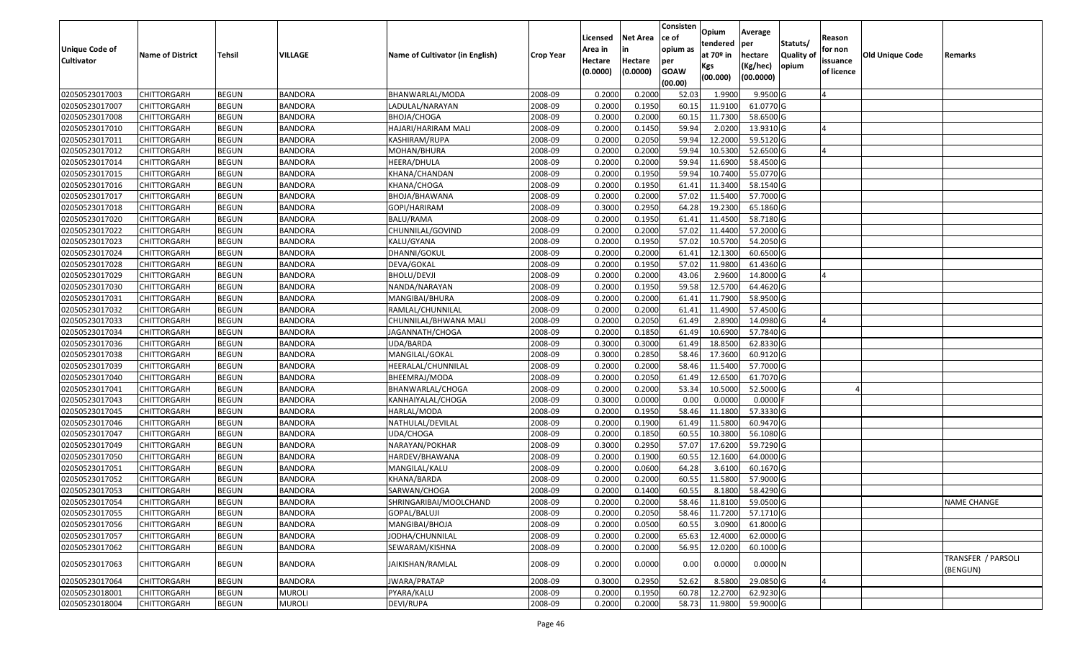| <b>Unique Code of</b> | <b>Name of District</b> | Tehsil       | VILLAGE        | Name of Cultivator (in English) |                  | Licensed<br>Area in | <b>Net Area</b><br>in | Consisten<br>lce of<br>opium as | Opium<br>tendered<br>at $70°$ in | Average<br>per                   | Statuts/<br><b>Quality o</b> | Reason<br>for non      | Old Unique Code |                                |
|-----------------------|-------------------------|--------------|----------------|---------------------------------|------------------|---------------------|-----------------------|---------------------------------|----------------------------------|----------------------------------|------------------------------|------------------------|-----------------|--------------------------------|
| <b>Cultivator</b>     |                         |              |                |                                 | <b>Crop Year</b> | Hectare<br>(0.0000) | Hectare<br>(0.0000)   | per<br><b>GOAW</b><br>(00.00)   | Kgs<br>(00.000)                  | hectare<br>(Kg/hec)<br>(00.0000) | opium                        | issuance<br>of licence |                 | Remarks                        |
| 02050523017003        | <b>CHITTORGARH</b>      | <b>BEGUN</b> | <b>BANDORA</b> | BHANWARLAL/MODA                 | 2008-09          | 0.2000              | 0.2000                | 52.03                           | 1.9900                           | $9.9500$ G                       |                              |                        |                 |                                |
| 02050523017007        | CHITTORGARH             | <b>BEGUN</b> | <b>BANDORA</b> | LADULAL/NARAYAN                 | 2008-09          | 0.2000              | 0.1950                | 60.15                           | 11.9100                          | 61.0770 G                        |                              |                        |                 |                                |
| 02050523017008        | <b>CHITTORGARH</b>      | <b>BEGUN</b> | <b>BANDORA</b> | BHOJA/CHOGA                     | 2008-09          | 0.2000              | 0.2000                | 60.15                           | 11.7300                          | 58.6500 G                        |                              |                        |                 |                                |
| 02050523017010        | <b>CHITTORGARH</b>      | <b>BEGUN</b> | <b>BANDORA</b> | HAJARI/HARIRAM MALI             | 2008-09          | 0.2000              | 0.1450                | 59.94                           | 2.0200                           | 13.9310 G                        |                              |                        |                 |                                |
| 02050523017011        | <b>CHITTORGARH</b>      | <b>BEGUN</b> | <b>BANDORA</b> | KASHIRAM/RUPA                   | 2008-09          | 0.2000              | 0.2050                | 59.94                           | 12.2000                          | 59.5120 G                        |                              |                        |                 |                                |
| 02050523017012        | <b>CHITTORGARH</b>      | <b>BEGUN</b> | <b>BANDORA</b> | MOHAN/BHURA                     | 2008-09          | 0.2000              | 0.2000                | 59.94                           | 10.5300                          | 52.6500 G                        |                              |                        |                 |                                |
| 02050523017014        | CHITTORGARH             | <b>BEGUN</b> | BANDORA        | HEERA/DHULA                     | 2008-09          | 0.2000              | 0.2000                | 59.94                           | 11.6900                          | 58.4500 G                        |                              |                        |                 |                                |
| 02050523017015        | <b>CHITTORGARH</b>      | <b>BEGUN</b> | <b>BANDORA</b> | KHANA/CHANDAN                   | 2008-09          | 0.2000              | 0.1950                | 59.94                           | 10.7400                          | 55.0770 G                        |                              |                        |                 |                                |
| 02050523017016        | <b>CHITTORGARH</b>      | <b>BEGUN</b> | <b>BANDORA</b> | KHANA/CHOGA                     | 2008-09          | 0.2000              | 0.1950                | 61.41                           | 11.3400                          | 58.1540 G                        |                              |                        |                 |                                |
| 02050523017017        | <b>CHITTORGARH</b>      | <b>BEGUN</b> | <b>BANDORA</b> | BHOJA/BHAWANA                   | 2008-09          | 0.2000              | 0.2000                | 57.02                           | 11.5400                          | 57.7000 G                        |                              |                        |                 |                                |
| 02050523017018        | <b>CHITTORGARH</b>      | <b>BEGUN</b> | <b>BANDORA</b> | GOPI/HARIRAM                    | 2008-09          | 0.3000              | 0.2950                | 64.28                           | 19.2300                          | 65.1860 G                        |                              |                        |                 |                                |
| 02050523017020        | <b>CHITTORGARH</b>      | <b>BEGUN</b> | <b>BANDORA</b> | BALU/RAMA                       | 2008-09          | 0.2000              | 0.1950                | 61.41                           | 11.4500                          | 58.7180 G                        |                              |                        |                 |                                |
| 02050523017022        | <b>CHITTORGARH</b>      | <b>BEGUN</b> | <b>BANDORA</b> | CHUNNILAL/GOVIND                | 2008-09          | 0.2000              | 0.2000                | 57.02                           | 11.4400                          | 57.2000 G                        |                              |                        |                 |                                |
| 02050523017023        | <b>CHITTORGARH</b>      | <b>BEGUN</b> | <b>BANDORA</b> | KALU/GYANA                      | 2008-09          | 0.2000              | 0.1950                | 57.02                           | 10.5700                          | 54.2050 G                        |                              |                        |                 |                                |
| 02050523017024        | CHITTORGARH             | <b>BEGUN</b> | <b>BANDORA</b> | DHANNI/GOKUL                    | 2008-09          | 0.2000              | 0.2000                | 61.41                           | 12.1300                          | 60.6500 G                        |                              |                        |                 |                                |
| 02050523017028        | <b>CHITTORGARH</b>      | <b>BEGUN</b> | <b>BANDORA</b> | DEVA/GOKAL                      | 2008-09          | 0.2000              | 0.1950                | 57.02                           | 11.9800                          | 61.4360 G                        |                              |                        |                 |                                |
| 02050523017029        | <b>CHITTORGARH</b>      | <b>BEGUN</b> | <b>BANDORA</b> | <b>BHOLU/DEVJI</b>              | 2008-09          | 0.2000              | 0.2000                | 43.06                           | 2.9600                           | 14.8000 G                        |                              |                        |                 |                                |
| 02050523017030        | <b>CHITTORGARH</b>      | <b>BEGUN</b> | <b>BANDORA</b> | NANDA/NARAYAN                   | 2008-09          | 0.2000              | 0.1950                | 59.58                           | 12.5700                          | 64.4620 G                        |                              |                        |                 |                                |
| 02050523017031        | <b>CHITTORGARH</b>      | <b>BEGUN</b> | <b>BANDORA</b> | MANGIBAI/BHURA                  | 2008-09          | 0.2000              | 0.2000                | 61.41                           | 11.7900                          | 58.9500 G                        |                              |                        |                 |                                |
| 02050523017032        | <b>CHITTORGARH</b>      | <b>BEGUN</b> | <b>BANDORA</b> | RAMLAL/CHUNNILAL                | 2008-09          | 0.2000              | 0.2000                | 61.41                           | 11.4900                          | 57.4500 G                        |                              |                        |                 |                                |
| 02050523017033        | <b>CHITTORGARH</b>      | <b>BEGUN</b> | <b>BANDORA</b> | CHUNNILAL/BHWANA MALI           | 2008-09          | 0.2000              | 0.2050                | 61.49                           | 2.8900                           | 14.0980 G                        |                              |                        |                 |                                |
| 02050523017034        | <b>CHITTORGARH</b>      | <b>BEGUN</b> | <b>BANDORA</b> | JAGANNATH/CHOGA                 | 2008-09          | 0.2000              | 0.1850                | 61.49                           | 10.6900                          | 57.7840 G                        |                              |                        |                 |                                |
| 02050523017036        | <b>CHITTORGARH</b>      | <b>BEGUN</b> | <b>BANDORA</b> | UDA/BARDA                       | 2008-09          | 0.3000              | 0.3000                | 61.49                           | 18.8500                          | 62.8330 G                        |                              |                        |                 |                                |
| 02050523017038        | <b>CHITTORGARH</b>      | <b>BEGUN</b> | <b>BANDORA</b> | MANGILAL/GOKAL                  | 2008-09          | 0.3000              | 0.2850                | 58.46                           | 17.3600                          | 60.9120 G                        |                              |                        |                 |                                |
| 02050523017039        | <b>CHITTORGARH</b>      | <b>BEGUN</b> | <b>BANDORA</b> | HEERALAL/CHUNNILAL              | 2008-09          | 0.2000              | 0.2000                | 58.46                           | 11.5400                          | 57.7000 G                        |                              |                        |                 |                                |
| 02050523017040        | <b>CHITTORGARH</b>      | <b>BEGUN</b> | <b>BANDORA</b> | BHEEMRAJ/MODA                   | 2008-09          | 0.2000              | 0.2050                | 61.49                           | 12.6500                          | 61.7070 G                        |                              |                        |                 |                                |
| 02050523017041        | <b>CHITTORGARH</b>      | <b>BEGUN</b> | <b>BANDORA</b> | BHANWARLAL/CHOGA                | 2008-09          | 0.2000              | 0.2000                | 53.34                           | 10.5000                          | 52.5000 G                        |                              |                        |                 |                                |
| 02050523017043        | <b>CHITTORGARH</b>      | <b>BEGUN</b> | <b>BANDORA</b> | KANHAIYALAL/CHOGA               | 2008-09          | 0.3000              | 0.0000                | 0.00                            | 0.0000                           | 0.0000                           |                              |                        |                 |                                |
| 02050523017045        | <b>CHITTORGARH</b>      | <b>BEGUN</b> | <b>BANDORA</b> | HARLAL/MODA                     | 2008-09          | 0.2000              | 0.1950                | 58.46                           | 11.1800                          | 57.3330 G                        |                              |                        |                 |                                |
| 02050523017046        | <b>CHITTORGARH</b>      | <b>BEGUN</b> | <b>BANDORA</b> | NATHULAL/DEVILAL                | 2008-09          | 0.2000              | 0.1900                | 61.49                           | 11.5800                          | 60.9470 G                        |                              |                        |                 |                                |
| 02050523017047        | <b>CHITTORGARH</b>      | <b>BEGUN</b> | <b>BANDORA</b> | UDA/CHOGA                       | 2008-09          | 0.2000              | 0.1850                | 60.5                            | 10.3800                          | 56.1080 G                        |                              |                        |                 |                                |
| 02050523017049        | CHITTORGARH             | <b>BEGUN</b> | <b>BANDORA</b> | NARAYAN/POKHAR                  | 2008-09          | 0.3000              | 0.2950                | 57.07                           | 17.6200                          | 59.7290 G                        |                              |                        |                 |                                |
| 02050523017050        | <b>CHITTORGARH</b>      | <b>BEGUN</b> | <b>BANDORA</b> | HARDEV/BHAWANA                  | 2008-09          | 0.2000              | 0.1900                | 60.55                           | 12.1600                          | 64.0000 G                        |                              |                        |                 |                                |
| 02050523017051        | CHITTORGARH             | <b>BEGUN</b> | <b>BANDORA</b> | MANGILAL/KALU                   | 2008-09          | 0.2000              | 0.0600                | 64.28                           | 3.6100                           | 60.1670 G                        |                              |                        |                 |                                |
| 02050523017052        | CHITTORGARH             | <b>BEGUN</b> | <b>BANDORA</b> | KHANA/BARDA                     | 2008-09          | 0.2000              | 0.2000                | 60.5                            | 11.5800                          | 57.9000 G                        |                              |                        |                 |                                |
| 02050523017053        | <b>CHITTORGARH</b>      | <b>BEGUN</b> | <b>BANDORA</b> | SARWAN/CHOGA                    | 2008-09          | 0.2000              | 0.1400                | 60.55                           | 8.1800                           | 58.4290 G                        |                              |                        |                 |                                |
| 02050523017054        | <b>CHITTORGARH</b>      | <b>BEGUN</b> | <b>BANDORA</b> | SHRINGARIBAI/MOOLCHAND          | 2008-09          | 0.2000              | 0.2000                |                                 | 58.46 11.8100                    | 59.0500G                         |                              |                        |                 | <b>NAME CHANGE</b>             |
| 02050523017055        | <b>CHITTORGARH</b>      | <b>BEGUN</b> | <b>BANDORA</b> | GOPAL/BALUJI                    | 2008-09          | 0.2000              | 0.2050                | 58.46                           | 11.7200                          | 57.1710G                         |                              |                        |                 |                                |
| 02050523017056        | <b>CHITTORGARH</b>      | <b>BEGUN</b> | <b>BANDORA</b> | MANGIBAI/BHOJA                  | 2008-09          | 0.2000              | 0.0500                | 60.55                           | 3.0900                           | 61.8000 G                        |                              |                        |                 |                                |
| 02050523017057        | <b>CHITTORGARH</b>      | <b>BEGUN</b> | <b>BANDORA</b> | JODHA/CHUNNILAL                 | 2008-09          | 0.2000              | 0.2000                | 65.63                           | 12.4000                          | 62.0000G                         |                              |                        |                 |                                |
| 02050523017062        | <b>CHITTORGARH</b>      | <b>BEGUN</b> | BANDORA        | SEWARAM/KISHNA                  | 2008-09          | 0.2000              | 0.2000                | 56.95                           | 12.0200                          | 60.1000 G                        |                              |                        |                 |                                |
| 02050523017063        | <b>CHITTORGARH</b>      | <b>BEGUN</b> | <b>BANDORA</b> | JAIKISHAN/RAMLAL                | 2008-09          | 0.2000              | 0.0000                | 0.00                            | 0.0000                           | 0.0000N                          |                              |                        |                 | TRANSFER / PARSOLI<br>(BENGUN) |
| 02050523017064        | <b>CHITTORGARH</b>      | <b>BEGUN</b> | <b>BANDORA</b> | JWARA/PRATAP                    | 2008-09          | 0.3000              | 0.2950                | 52.62                           | 8.5800                           | 29.0850 G                        |                              |                        |                 |                                |
| 02050523018001        | <b>CHITTORGARH</b>      | <b>BEGUN</b> | <b>MUROLI</b>  | PYARA/KALU                      | 2008-09          | 0.2000              | 0.1950                | 60.78                           | 12.2700                          | 62.9230 G                        |                              |                        |                 |                                |
| 02050523018004        | <b>CHITTORGARH</b>      | <b>BEGUN</b> | <b>MUROLI</b>  | DEVI/RUPA                       | 2008-09          | 0.2000              | 0.2000                | 58.73                           | 11.9800                          | 59.9000 G                        |                              |                        |                 |                                |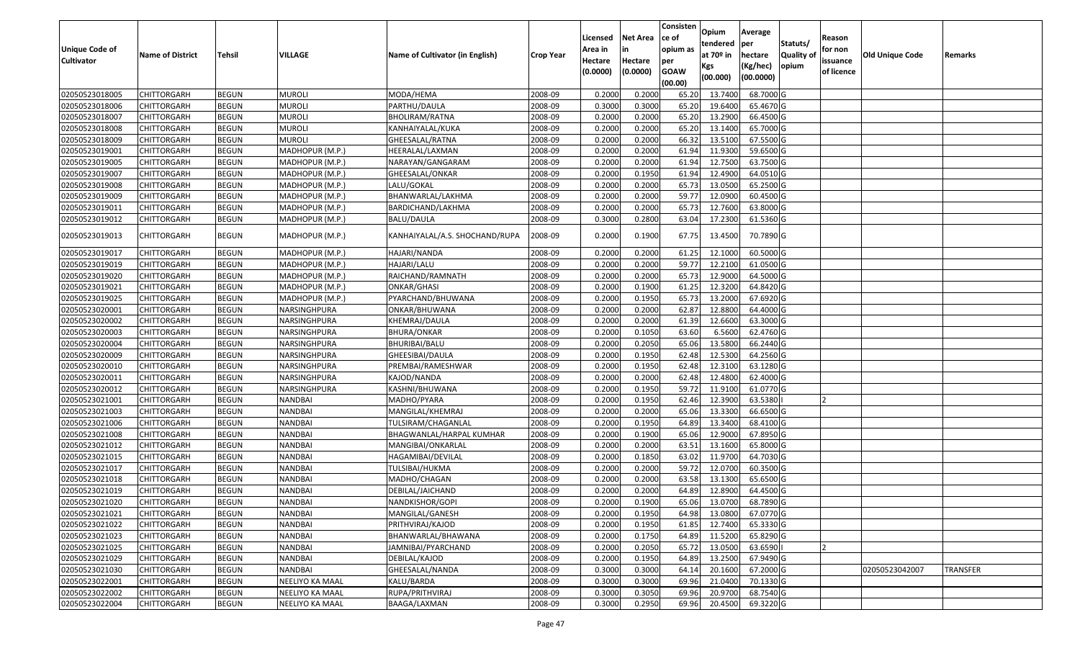|                       |                         |               |                 |                                 |                  |          |                 | Consisten   | Opium       | Average   |                  |            |                 |                 |
|-----------------------|-------------------------|---------------|-----------------|---------------------------------|------------------|----------|-----------------|-------------|-------------|-----------|------------------|------------|-----------------|-----------------|
|                       |                         |               |                 |                                 |                  | Licensed | <b>Net Area</b> | ce of       | tendered    | per       | Statuts/         | Reason     |                 |                 |
| <b>Unique Code of</b> | <b>Name of District</b> | <b>Tehsil</b> | VILLAGE         | Name of Cultivator (in English) | <b>Crop Year</b> | Area in  | in              | opium as    | at $70°$ in | hectare   | <b>Quality o</b> | for non    | Old Unique Code | Remarks         |
| <b>Cultivator</b>     |                         |               |                 |                                 |                  | Hectare  | Hectare         | per         | Kgs         | (Kg/hec)  | opium            | issuance   |                 |                 |
|                       |                         |               |                 |                                 |                  | (0.0000) | (0.0000)        | <b>GOAW</b> | (00.000)    | (00.0000) |                  | of licence |                 |                 |
|                       |                         |               |                 |                                 |                  |          |                 | (00.00)     |             |           |                  |            |                 |                 |
| 02050523018005        | CHITTORGARH             | <b>BEGUN</b>  | <b>MUROLI</b>   | MODA/HEMA                       | 2008-09          | 0.2000   | 0.2000          | 65.20       | 13.7400     | 68.7000 G |                  |            |                 |                 |
| 02050523018006        | CHITTORGARH             | <b>BEGUN</b>  | <b>MUROLI</b>   | PARTHU/DAULA                    | 2008-09          | 0.3000   | 0.3000          | 65.20       | 19.6400     | 65.4670 G |                  |            |                 |                 |
| 02050523018007        | CHITTORGARH             | <b>BEGUN</b>  | <b>MUROLI</b>   | BHOLIRAM/RATNA                  | 2008-09          | 0.2000   | 0.2000          | 65.20       | 13.2900     | 66.4500 G |                  |            |                 |                 |
| 02050523018008        | CHITTORGARH             | <b>BEGUN</b>  | <b>MUROLI</b>   | KANHAIYALAL/KUKA                | 2008-09          | 0.2000   | 0.2000          | 65.20       | 13.1400     | 65.7000 G |                  |            |                 |                 |
| 02050523018009        | CHITTORGARH             | <b>BEGUN</b>  | <b>MUROLI</b>   | GHEESALAL/RATNA                 | 2008-09          | 0.2000   | 0.2000          | 66.32       | 13.5100     | 67.5500 G |                  |            |                 |                 |
| 02050523019001        | CHITTORGARH             | <b>BEGUN</b>  | MADHOPUR (M.P.) | HEERALAL/LAXMAN                 | 2008-09          | 0.2000   | 0.2000          | 61.94       | 11.9300     | 59.6500 G |                  |            |                 |                 |
| 02050523019005        | CHITTORGARH             | <b>BEGUN</b>  | MADHOPUR (M.P.) | NARAYAN/GANGARAM                | 2008-09          | 0.2000   | 0.2000          | 61.94       | 12.7500     | 63.7500 G |                  |            |                 |                 |
| 02050523019007        | CHITTORGARH             | <b>BEGUN</b>  | MADHOPUR (M.P.) | GHEESALAL/ONKAR                 | 2008-09          | 0.2000   | 0.1950          | 61.94       | 12.4900     | 64.0510 G |                  |            |                 |                 |
| 02050523019008        | CHITTORGARH             | <b>BEGUN</b>  | MADHOPUR (M.P.) | LALU/GOKAL                      | 2008-09          | 0.2000   | 0.2000          | 65.73       | 13.0500     | 65.2500 G |                  |            |                 |                 |
| 02050523019009        | CHITTORGARH             | <b>BEGUN</b>  | MADHOPUR (M.P.) | BHANWARLAL/LAKHMA               | 2008-09          | 0.2000   | 0.2000          | 59.7        | 12.0900     | 60.4500 G |                  |            |                 |                 |
| 02050523019011        | CHITTORGARH             | <b>BEGUN</b>  | MADHOPUR (M.P.) | BARDICHAND/LAKHMA               | 2008-09          | 0.2000   | 0.2000          | 65.73       | 12.7600     | 63.8000 G |                  |            |                 |                 |
| 02050523019012        | CHITTORGARH             | <b>BEGUN</b>  | MADHOPUR (M.P.) | <b>BALU/DAULA</b>               | 2008-09          | 0.3000   | 0.2800          | 63.04       | 17.2300     | 61.5360 G |                  |            |                 |                 |
| 02050523019013        | CHITTORGARH             | <b>BEGUN</b>  | MADHOPUR (M.P.) | KANHAIYALAL/A.S. SHOCHAND/RUPA  | 2008-09          | 0.2000   | 0.1900          | 67.75       | 13.4500     | 70.7890 G |                  |            |                 |                 |
| 02050523019017        | CHITTORGARH             | <b>BEGUN</b>  | MADHOPUR (M.P.) | HAJARI/NANDA                    | 2008-09          | 0.2000   | 0.2000          | 61.25       | 12.1000     | 60.5000G  |                  |            |                 |                 |
| 02050523019019        | CHITTORGARH             | <b>BEGUN</b>  | MADHOPUR (M.P.) | HAJARI/LALU                     | 2008-09          | 0.2000   | 0.2000          | 59.7        | 12.2100     | 61.0500G  |                  |            |                 |                 |
| 02050523019020        | CHITTORGARH             | <b>BEGUN</b>  | MADHOPUR (M.P.) | RAICHAND/RAMNATH                | 2008-09          | 0.2000   | 0.2000          | 65.73       | 12.9000     | 64.5000 G |                  |            |                 |                 |
| 02050523019021        | CHITTORGARH             | <b>BEGUN</b>  | MADHOPUR (M.P.) | ONKAR/GHASI                     | 2008-09          | 0.2000   | 0.1900          | 61.25       | 12.3200     | 64.8420 G |                  |            |                 |                 |
| 02050523019025        | CHITTORGARH             | <b>BEGUN</b>  | MADHOPUR (M.P.) | PYARCHAND/BHUWANA               | 2008-09          | 0.2000   | 0.1950          | 65.73       | 13.2000     | 67.6920 G |                  |            |                 |                 |
| 02050523020001        | CHITTORGARH             | <b>BEGUN</b>  | NARSINGHPURA    | ONKAR/BHUWANA                   | 2008-09          | 0.2000   | 0.2000          | 62.87       | 12.8800     | 64.4000 G |                  |            |                 |                 |
| 02050523020002        | CHITTORGARH             | <b>BEGUN</b>  | NARSINGHPURA    | KHEMRAJ/DAULA                   | 2008-09          | 0.2000   | 0.2000          | 61.39       | 12.6600     | 63.3000 G |                  |            |                 |                 |
| 02050523020003        | CHITTORGARH             | <b>BEGUN</b>  | NARSINGHPURA    | <b>BHURA/ONKAR</b>              | 2008-09          | 0.2000   | 0.1050          | 63.60       | 6.5600      | 62.4760 G |                  |            |                 |                 |
| 02050523020004        | CHITTORGARH             | <b>BEGUN</b>  | NARSINGHPURA    | BHURIBAI/BALU                   | 2008-09          | 0.2000   | 0.2050          | 65.06       | 13.5800     | 66.2440 G |                  |            |                 |                 |
| 02050523020009        | CHITTORGARH             | <b>BEGUN</b>  | NARSINGHPURA    | GHEESIBAI/DAULA                 | 2008-09          | 0.2000   | 0.1950          | 62.48       | 12.5300     | 64.2560 G |                  |            |                 |                 |
| 02050523020010        | CHITTORGARH             | <b>BEGUN</b>  | NARSINGHPURA    | PREMBAI/RAMESHWAR               | 2008-09          | 0.2000   | 0.1950          | 62.48       | 12.3100     | 63.1280 G |                  |            |                 |                 |
| 02050523020011        | CHITTORGARH             | <b>BEGUN</b>  | NARSINGHPURA    | KAJOD/NANDA                     | 2008-09          | 0.2000   | 0.2000          | 62.48       | 12.4800     | 62.4000 G |                  |            |                 |                 |
| 02050523020012        | CHITTORGARH             | <b>BEGUN</b>  | NARSINGHPURA    | KASHNI/BHUWANA                  | 2008-09          | 0.2000   | 0.1950          | 59.72       | 11.9100     | 61.0770 G |                  |            |                 |                 |
| 02050523021001        | CHITTORGARH             | <b>BEGUN</b>  | NANDBAI         | MADHO/PYARA                     | 2008-09          | 0.2000   | 0.1950          | 62.46       | 12.3900     | 63.5380   |                  |            |                 |                 |
| 02050523021003        | CHITTORGARH             | <b>BEGUN</b>  | <b>NANDBAI</b>  | MANGILAL/KHEMRAJ                | 2008-09          | 0.2000   | 0.2000          | 65.06       | 13.3300     | 66.6500 G |                  |            |                 |                 |
| 02050523021006        | CHITTORGARH             | <b>BEGUN</b>  | <b>NANDBAI</b>  | TULSIRAM/CHAGANLAL              | 2008-09          | 0.2000   | 0.1950          | 64.89       | 13.3400     | 68.4100 G |                  |            |                 |                 |
| 02050523021008        | CHITTORGARH             | <b>BEGUN</b>  | <b>NANDBAI</b>  | BHAGWANLAL/HARPAL KUMHAR        | 2008-09          | 0.2000   | 0.1900          | 65.06       | 12.9000     | 67.8950 G |                  |            |                 |                 |
| 02050523021012        | CHITTORGARH             | <b>BEGUN</b>  | <b>NANDBAI</b>  | MANGIBAI/ONKARLAL               | 2008-09          | 0.2000   | 0.2000          | 63.5        | 13.1600     | 65.8000 G |                  |            |                 |                 |
| 02050523021015        | CHITTORGARH             | <b>BEGUN</b>  | <b>NANDBAI</b>  | HAGAMIBAI/DEVILAL               | 2008-09          | 0.2000   | 0.1850          | 63.02       | 11.9700     | 64.7030 G |                  |            |                 |                 |
| 02050523021017        | <b>CHITTORGARH</b>      | <b>BEGUN</b>  | <b>NANDBAI</b>  | TULSIBAI/HUKMA                  | 2008-09          | 0.2000   | 0.2000          | 59.72       | 12.0700     | 60.3500 G |                  |            |                 |                 |
| 02050523021018        | CHITTORGARH             | <b>BEGUN</b>  | NANDBAI         | MADHO/CHAGAN                    | 2008-09          | 0.2000   | 0.2000          | 63.58       | 13.1300     | 65.6500 G |                  |            |                 |                 |
| 02050523021019        | CHITTORGARH             | <b>BEGUN</b>  | NANDBAI         | DEBILAL/JAICHAND                | 2008-09          | 0.2000   | 0.2000          | 64.89       | 12.8900     | 64.4500 G |                  |            |                 |                 |
| 02050523021020        | <b>CHITTORGARH</b>      | <b>BEGUN</b>  | <b>NANDBAI</b>  | NANDKISHOR/GOPI                 | 2008-09          | 0.2000   | 0.1900          | 65.06       | 13.0700     | 68.7890 G |                  |            |                 |                 |
| 02050523021021        | <b>CHITTORGARH</b>      | <b>BEGUN</b>  | <b>NANDBAI</b>  | MANGILAL/GANESH                 | 2008-09          | 0.2000   | 0.1950          | 64.98       | 13.0800     | 67.0770 G |                  |            |                 |                 |
| 02050523021022        | <b>CHITTORGARH</b>      | <b>BEGUN</b>  | <b>NANDBAI</b>  | PRITHVIRAJ/KAJOD                | 2008-09          | 0.2000   | 0.1950          | 61.85       | 12.7400     | 65.3330 G |                  |            |                 |                 |
| 02050523021023        | <b>CHITTORGARH</b>      | <b>BEGUN</b>  | NANDBAI         | BHANWARLAL/BHAWANA              | 2008-09          | 0.2000   | 0.1750          | 64.89       | 11.5200     | 65.8290 G |                  |            |                 |                 |
| 02050523021025        | <b>CHITTORGARH</b>      | <b>BEGUN</b>  | NANDBAI         | JAMNIBAI/PYARCHAND              | 2008-09          | 0.2000   | 0.2050          | 65.72       | 13.0500     | 63.6590   |                  |            |                 |                 |
| 02050523021029        | <b>CHITTORGARH</b>      | <b>BEGUN</b>  | <b>NANDBAI</b>  | DEBILAL/KAJOD                   | 2008-09          | 0.2000   | 0.1950          | 64.89       | 13.2500     | 67.9490 G |                  |            |                 |                 |
| 02050523021030        | <b>CHITTORGARH</b>      | <b>BEGUN</b>  | NANDBAI         | GHEESALAL/NANDA                 | 2008-09          | 0.3000   | 0.3000          | 64.14       | 20.1600     | 67.2000 G |                  |            | 02050523042007  | <b>TRANSFER</b> |
| 02050523022001        | CHITTORGARH             | <b>BEGUN</b>  | NEELIYO KA MAAL | KALU/BARDA                      | 2008-09          | 0.3000   | 0.3000          | 69.96       | 21.0400     | 70.1330 G |                  |            |                 |                 |
| 02050523022002        | CHITTORGARH             | <b>BEGUN</b>  | NEELIYO KA MAAL | RUPA/PRITHVIRAJ                 | 2008-09          | 0.3000   | 0.3050          | 69.96       | 20.9700     | 68.7540 G |                  |            |                 |                 |
| 02050523022004        | <b>CHITTORGARH</b>      | <b>BEGUN</b>  | NEELIYO KA MAAL | BAAGA/LAXMAN                    | 2008-09          | 0.3000   | 0.2950          | 69.96       | 20.4500     | 69.3220 G |                  |            |                 |                 |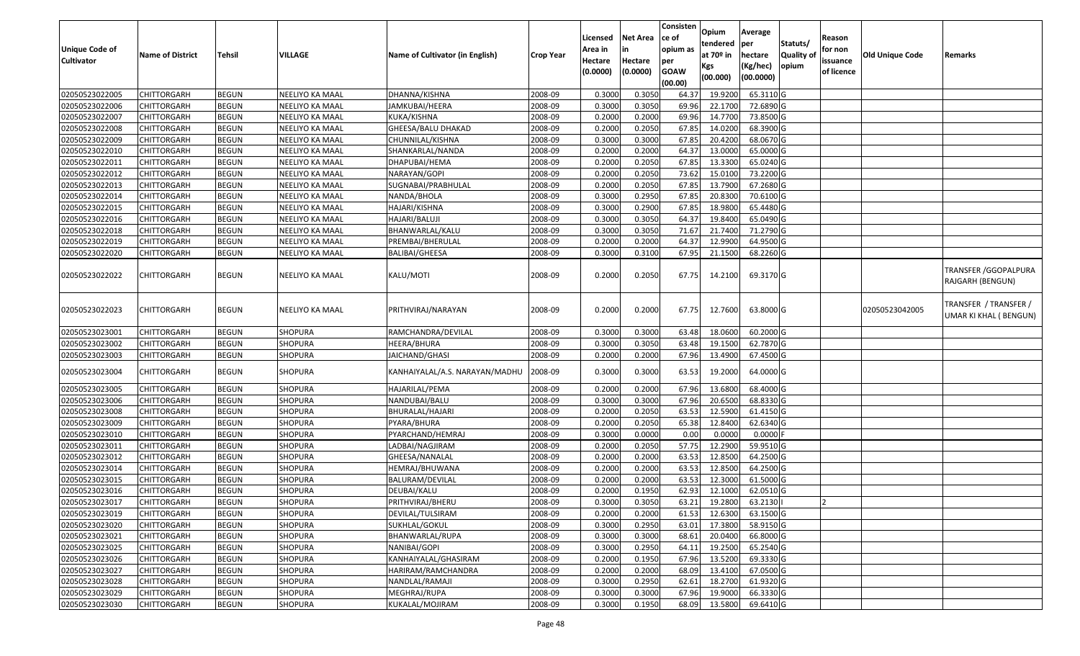| <b>Unique Code of</b><br><b>Cultivator</b> | <b>Name of District</b> | Tehsil       | VILLAGE         | Name of Cultivator (in English) | <b>Crop Year</b> | Licensed<br>Area in<br>Hectare | <b>Net Area</b><br>in<br>Hectare | Consisten<br>lce of<br>opium as<br>per | Opium<br>tendered<br>at $70°$ in | Average<br>per<br>hectare | Statuts/<br><b>Quality o</b> | Reason<br>for non<br>issuance | Old Unique Code | Remarks                                        |
|--------------------------------------------|-------------------------|--------------|-----------------|---------------------------------|------------------|--------------------------------|----------------------------------|----------------------------------------|----------------------------------|---------------------------|------------------------------|-------------------------------|-----------------|------------------------------------------------|
|                                            |                         |              |                 |                                 |                  | (0.0000)                       | (0.0000)                         | <b>GOAW</b><br>(00.00)                 | Kgs<br>(00.000)                  | (Kg/hec)<br>(00.0000)     | opium                        | of licence                    |                 |                                                |
| 02050523022005                             | <b>CHITTORGARH</b>      | <b>BEGUN</b> | NEELIYO KA MAAL | DHANNA/KISHNA                   | 2008-09          | 0.3000                         | 0.305                            | 64.37                                  | 19.9200                          | 65.3110 G                 |                              |                               |                 |                                                |
| 02050523022006                             | CHITTORGARH             | <b>BEGUN</b> | NEELIYO KA MAAL | JAMKUBAI/HEERA                  | 2008-09          | 0.3000                         | 0.3050                           | 69.96                                  | 22.1700                          | 72.6890 G                 |                              |                               |                 |                                                |
| 02050523022007                             | <b>CHITTORGARH</b>      | <b>BEGUN</b> | NEELIYO KA MAAL | KUKA/KISHNA                     | 2008-09          | 0.2000                         | 0.2000                           | 69.96                                  | 14.7700                          | 73.8500 G                 |                              |                               |                 |                                                |
| 02050523022008                             | <b>CHITTORGARH</b>      | <b>BEGUN</b> | NEELIYO KA MAAL | GHEESA/BALU DHAKAD              | 2008-09          | 0.2000                         | 0.2050                           | 67.85                                  | 14.0200                          | 68.3900 G                 |                              |                               |                 |                                                |
| 02050523022009                             | <b>CHITTORGARH</b>      | <b>BEGUN</b> | NEELIYO KA MAAL | CHUNNILAL/KISHNA                | 2008-09          | 0.3000                         | 0.3000                           | 67.85                                  | 20.4200                          | 68.0670 G                 |                              |                               |                 |                                                |
| 02050523022010                             | <b>CHITTORGARH</b>      | <b>BEGUN</b> | NEELIYO KA MAAL | SHANKARLAL/NANDA                | 2008-09          | 0.2000                         | 0.2000                           | 64.37                                  | 13.0000                          | 65.0000 G                 |                              |                               |                 |                                                |
| 02050523022011                             | CHITTORGARH             | <b>BEGUN</b> | NEELIYO KA MAAL | DHAPUBAI/HEMA                   | 2008-09          | 0.2000                         | 0.2050                           | 67.85                                  | 13.3300                          | 65.0240 G                 |                              |                               |                 |                                                |
| 02050523022012                             | <b>CHITTORGARH</b>      | <b>BEGUN</b> | NEELIYO KA MAAL | NARAYAN/GOPI                    | 2008-09          | 0.2000                         | 0.2050                           | 73.62                                  | 15.0100                          | 73.2200 G                 |                              |                               |                 |                                                |
| 02050523022013                             | <b>CHITTORGARH</b>      | <b>BEGUN</b> | NEELIYO KA MAAL | SUGNABAI/PRABHULAL              | 2008-09          | 0.2000                         | 0.2050                           | 67.85                                  | 13.7900                          | 67.2680 G                 |                              |                               |                 |                                                |
| 02050523022014                             | <b>CHITTORGARH</b>      | <b>BEGUN</b> | NEELIYO KA MAAL | NANDA/BHOLA                     | 2008-09          | 0.3000                         | 0.2950                           | 67.85                                  | 20.8300                          | 70.6100 G                 |                              |                               |                 |                                                |
| 02050523022015                             | <b>CHITTORGARH</b>      | <b>BEGUN</b> | NEELIYO KA MAAL | HAJARI/KISHNA                   | 2008-09          | 0.3000                         | 0.2900                           | 67.85                                  | 18.9800                          | 65.4480 G                 |                              |                               |                 |                                                |
| 02050523022016                             | <b>CHITTORGARH</b>      | <b>BEGUN</b> | NEELIYO KA MAAL | HAJARI/BALUJI                   | 2008-09          | 0.3000                         | 0.3050                           | 64.37                                  | 19.8400                          | 65.0490 G                 |                              |                               |                 |                                                |
| 02050523022018                             | <b>CHITTORGARH</b>      | <b>BEGUN</b> | NEELIYO KA MAAL | BHANWARLAL/KALU                 | 2008-09          | 0.3000                         | 0.3050                           | 71.67                                  | 21.7400                          | 71.2790 G                 |                              |                               |                 |                                                |
| 02050523022019                             | <b>CHITTORGARH</b>      | <b>BEGUN</b> | NEELIYO KA MAAL | PREMBAI/BHERULAL                | 2008-09          | 0.2000                         | 0.2000                           | 64.37                                  | 12.9900                          | 64.9500 G                 |                              |                               |                 |                                                |
| 02050523022020                             | CHITTORGARH             | <b>BEGUN</b> | NEELIYO KA MAAL | <b>BALIBAI/GHEESA</b>           | 2008-09          | 0.3000                         | 0.3100                           | 67.95                                  | 21.1500                          | 68.2260 G                 |                              |                               |                 |                                                |
| 02050523022022                             | <b>CHITTORGARH</b>      | <b>BEGUN</b> | NEELIYO KA MAAL | KALU/MOTI                       | 2008-09          | 0.2000                         | 0.2050                           | 67.75                                  | 14.2100                          | 69.3170 G                 |                              |                               |                 | TRANSFER / GGOPALPURA<br>RAJGARH (BENGUN)      |
| 02050523022023                             | <b>CHITTORGARH</b>      | <b>BEGUN</b> | NEELIYO KA MAAL | PRITHVIRAJ/NARAYAN              | 2008-09          | 0.2000                         | 0.2000                           | 67.75                                  | 12.7600                          | 63.8000 G                 |                              |                               | 02050523042005  | TRANSFER / TRANSFER /<br>UMAR KI KHAL (BENGUN) |
| 02050523023001                             | <b>CHITTORGARH</b>      | <b>BEGUN</b> | SHOPURA         | RAMCHANDRA/DEVILAL              | 2008-09          | 0.3000                         | 0.3000                           | 63.48                                  | 18.0600                          | 60.2000 G                 |                              |                               |                 |                                                |
| 02050523023002                             | CHITTORGARH             | <b>BEGUN</b> | SHOPURA         | HEERA/BHURA                     | 2008-09          | 0.3000                         | 0.3050                           | 63.48                                  | 19.1500                          | 62.7870 G                 |                              |                               |                 |                                                |
| 02050523023003                             | CHITTORGARH             | <b>BEGUN</b> | SHOPURA         | JAICHAND/GHASI                  | 2008-09          | 0.2000                         | 0.2000                           | 67.96                                  | 13.4900                          | 67.4500 G                 |                              |                               |                 |                                                |
| 02050523023004                             | <b>CHITTORGARH</b>      | <b>BEGUN</b> | SHOPURA         | KANHAIYALAL/A.S. NARAYAN/MADHU  | 2008-09          | 0.3000                         | 0.3000                           | 63.53                                  | 19.2000                          | 64.0000 G                 |                              |                               |                 |                                                |
| 02050523023005                             | CHITTORGARH             | <b>BEGUN</b> | SHOPURA         | HAJARILAL/PEMA                  | 2008-09          | 0.2000                         | 0.2000                           | 67.96                                  | 13.6800                          | 68.4000 G                 |                              |                               |                 |                                                |
| 02050523023006                             | CHITTORGARH             | <b>BEGUN</b> | SHOPURA         | NANDUBAI/BALU                   | 2008-09          | 0.3000                         | 0.3000                           | 67.96                                  | 20.6500                          | 68.8330 G                 |                              |                               |                 |                                                |
| 02050523023008                             | <b>CHITTORGARH</b>      | <b>BEGUN</b> | <b>SHOPURA</b>  | BHURALAL/HAJARI                 | 2008-09          | 0.2000                         | 0.2050                           | 63.53                                  | 12.5900                          | 61.4150 G                 |                              |                               |                 |                                                |
| 02050523023009                             | <b>CHITTORGARH</b>      | <b>BEGUN</b> | <b>SHOPURA</b>  | PYARA/BHURA                     | 2008-09          | 0.2000                         | 0.2050                           | 65.38                                  | 12.8400                          | 62.6340 G                 |                              |                               |                 |                                                |
| 02050523023010                             | <b>CHITTORGARH</b>      | <b>BEGUN</b> | SHOPURA         | PYARCHAND/HEMRAJ                | 2008-09          | 0.3000                         | 0.0000                           | 0.00                                   | 0.0000                           | 0.0000                    |                              |                               |                 |                                                |
| 02050523023011                             | <b>CHITTORGARH</b>      | <b>BEGUN</b> | <b>SHOPURA</b>  | LADBAI/NAGJIRAM                 | 2008-09          | 0.2000                         | 0.2050                           | 57.75                                  | 12.2900                          | 59.9510 G                 |                              |                               |                 |                                                |
| 02050523023012                             | <b>CHITTORGARH</b>      | <b>BEGUN</b> | <b>SHOPURA</b>  | GHEESA/NANALAL                  | 2008-09          | 0.2000                         | 0.2000                           | 63.53                                  | 12.8500                          | 64.2500 G                 |                              |                               |                 |                                                |
| 02050523023014                             | <b>CHITTORGARH</b>      | <b>BEGUN</b> | <b>SHOPURA</b>  | HEMRAJ/BHUWANA                  | 2008-09          | 0.2000                         | 0.2000                           | 63.53                                  | 12.8500                          | 64.2500 G                 |                              |                               |                 |                                                |
| 02050523023015                             | CHITTORGARH             | <b>BEGUN</b> | SHOPURA         | BALURAM/DEVILAL                 | 2008-09          | 0.2000                         | 0.2000                           | 63.53                                  | 12.3000                          | 61.5000 G                 |                              |                               |                 |                                                |
| 02050523023016                             | <b>CHITTORGARH</b>      | <b>BEGUN</b> | <b>SHOPURA</b>  | DEUBAI/KALU                     | 2008-09          | 0.2000                         | 0.1950                           | 62.93                                  | 12.1000                          | 62.0510 G                 |                              |                               |                 |                                                |
| 02050523023017                             | <b>CHITTORGARH</b>      | <b>BEGUN</b> | SHOPURA         | PRITHVIRAJ/BHERU                | 2008-09          | 0.3000                         | 0.3050                           | 63.21                                  | 19.2800                          | 63.2130                   |                              |                               |                 |                                                |
| 02050523023019                             | <b>CHITTORGARH</b>      | <b>BEGUN</b> | <b>SHOPURA</b>  | DEVILAL/TULSIRAM                | 2008-09          | 0.2000                         | 0.2000                           | 61.53                                  | 12.6300                          | 63.1500 G                 |                              |                               |                 |                                                |
| 02050523023020                             | <b>CHITTORGARH</b>      | <b>BEGUN</b> | <b>SHOPURA</b>  | SUKHLAL/GOKUL                   | 2008-09          | 0.3000                         | 0.2950                           | 63.01                                  | 17.3800                          | 58.9150G                  |                              |                               |                 |                                                |
| 02050523023021                             | <b>CHITTORGARH</b>      | <b>BEGUN</b> | <b>SHOPURA</b>  | BHANWARLAL/RUPA                 | 2008-09          | 0.3000                         | 0.3000                           | 68.61                                  | 20.0400                          | 66.8000 G                 |                              |                               |                 |                                                |
| 02050523023025                             | <b>CHITTORGARH</b>      | <b>BEGUN</b> | <b>SHOPURA</b>  | NANIBAI/GOPI                    | 2008-09          | 0.3000                         | 0.2950                           | 64.11                                  | 19.2500                          | 65.2540 G                 |                              |                               |                 |                                                |
| 02050523023026                             | <b>CHITTORGARH</b>      | <b>BEGUN</b> | <b>SHOPURA</b>  | KANHAIYALAL/GHASIRAM            | 2008-09          | 0.2000                         | 0.1950                           | 67.96                                  | 13.5200                          | 69.3330 G                 |                              |                               |                 |                                                |
| 02050523023027                             | <b>CHITTORGARH</b>      | <b>BEGUN</b> | <b>SHOPURA</b>  | HARIRAM/RAMCHANDRA              | 2008-09          | 0.2000                         | 0.2000                           | 68.09                                  | 13.4100                          | 67.0500 G                 |                              |                               |                 |                                                |
| 02050523023028                             | <b>CHITTORGARH</b>      | <b>BEGUN</b> | <b>SHOPURA</b>  | NANDLAL/RAMAJI                  | 2008-09          | 0.3000                         | 0.2950                           | 62.61                                  | 18.2700                          | 61.9320 G                 |                              |                               |                 |                                                |
| 02050523023029                             | <b>CHITTORGARH</b>      | <b>BEGUN</b> | SHOPURA         | MEGHRAJ/RUPA                    | 2008-09          | 0.3000                         | 0.3000                           | 67.96                                  | 19.9000                          | 66.3330 G                 |                              |                               |                 |                                                |
| 02050523023030                             | <b>CHITTORGARH</b>      | <b>BEGUN</b> | <b>SHOPURA</b>  | KUKALAL/MOJIRAM                 | 2008-09          | 0.3000                         | 0.1950                           | 68.09                                  | 13.5800                          | 69.6410 G                 |                              |                               |                 |                                                |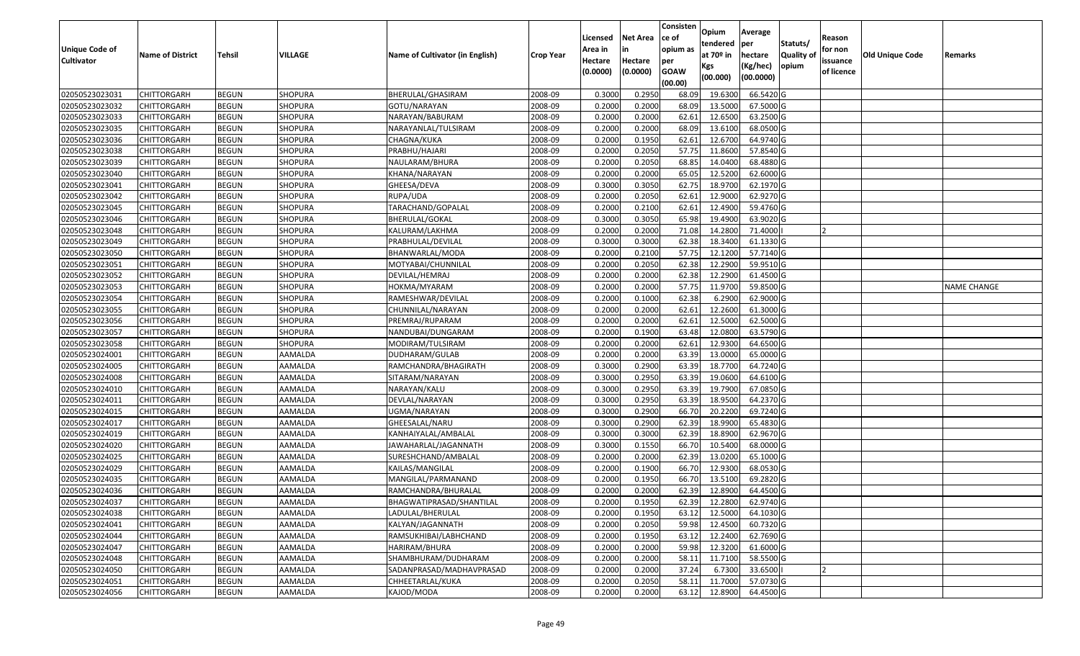| <b>Unique Code of</b> | <b>Name of District</b> | <b>Tehsil</b> | VILLAGE        | Name of Cultivator (in English) | <b>Crop Year</b> | Licensed<br>Area in | <b>Net Area</b>     | Consisten<br>lce of<br>opium as | Opium<br>tendered<br>at $70°$ in | Average<br>per<br>hectare | Statuts/<br><b>Quality o</b> | Reason<br>for non      | <b>Old Unique Code</b> | Remarks            |
|-----------------------|-------------------------|---------------|----------------|---------------------------------|------------------|---------------------|---------------------|---------------------------------|----------------------------------|---------------------------|------------------------------|------------------------|------------------------|--------------------|
| <b>Cultivator</b>     |                         |               |                |                                 |                  | Hectare<br>(0.0000) | Hectare<br>(0.0000) | per<br><b>GOAW</b><br>(00.00)   | Kgs<br>(00.000)                  | (Kg/hec)<br>(00.0000)     | opium                        | issuance<br>of licence |                        |                    |
| 02050523023031        | CHITTORGARH             | <b>BEGUN</b>  | SHOPURA        | BHERULAL/GHASIRAM               | 2008-09          | 0.3000              | 0.2950              | 68.09                           | 19.6300                          | 66.5420 G                 |                              |                        |                        |                    |
| 02050523023032        | CHITTORGARH             | <b>BEGUN</b>  | SHOPURA        | GOTU/NARAYAN                    | 2008-09          | 0.2000              | 0.2000              | 68.09                           | 13.5000                          | 67.5000G                  |                              |                        |                        |                    |
| 02050523023033        | CHITTORGARH             | <b>BEGUN</b>  | <b>SHOPURA</b> | NARAYAN/BABURAM                 | 2008-09          | 0.2000              | 0.2000              | 62.61                           | 12.6500                          | 63.2500 G                 |                              |                        |                        |                    |
| 02050523023035        | <b>CHITTORGARH</b>      | <b>BEGUN</b>  | SHOPURA        | NARAYANLAL/TULSIRAM             | 2008-09          | 0.2000              | 0.2000              | 68.09                           | 13.6100                          | 68.0500G                  |                              |                        |                        |                    |
| 02050523023036        | CHITTORGARH             | <b>BEGUN</b>  | <b>SHOPURA</b> | CHAGNA/KUKA                     | 2008-09          | 0.2000              | 0.1950              | 62.6                            | 12.6700                          | 64.9740 G                 |                              |                        |                        |                    |
| 02050523023038        | CHITTORGARH             | <b>BEGUN</b>  | SHOPURA        | PRABHU/HAJARI                   | 2008-09          | 0.2000              | 0.2050              | 57.75                           | 11.8600                          | 57.8540 G                 |                              |                        |                        |                    |
| 02050523023039        | CHITTORGARH             | <b>BEGUN</b>  | SHOPURA        | NAULARAM/BHURA                  | 2008-09          | 0.2000              | 0.2050              | 68.85                           | 14.0400                          | 68.4880 G                 |                              |                        |                        |                    |
| 02050523023040        | CHITTORGARH             | <b>BEGUN</b>  | SHOPURA        | KHANA/NARAYAN                   | 2008-09          | 0.2000              | 0.2000              | 65.05                           | 12.5200                          | 62.6000G                  |                              |                        |                        |                    |
| 02050523023041        | CHITTORGARH             | <b>BEGUN</b>  | <b>SHOPURA</b> | GHEESA/DEVA                     | 2008-09          | 0.3000              | 0.3050              | 62.75                           | 18.9700                          | 62.1970 G                 |                              |                        |                        |                    |
| 02050523023042        | CHITTORGARH             | <b>BEGUN</b>  | SHOPURA        | RUPA/UDA                        | 2008-09          | 0.2000              | 0.2050              | 62.61                           | 12.9000                          | 62.9270 G                 |                              |                        |                        |                    |
| 02050523023045        | CHITTORGARH             | <b>BEGUN</b>  | <b>SHOPURA</b> | TARACHAND/GOPALAL               | 2008-09          | 0.2000              | 0.2100              | 62.61                           | 12.4900                          | 59.4760 G                 |                              |                        |                        |                    |
| 02050523023046        | CHITTORGARH             | <b>BEGUN</b>  | <b>SHOPURA</b> | BHERULAL/GOKAL                  | 2008-09          | 0.3000              | 0.3050              | 65.98                           | 19.4900                          | 63.9020 G                 |                              |                        |                        |                    |
| 02050523023048        | <b>CHITTORGARH</b>      | <b>BEGUN</b>  | <b>SHOPURA</b> | KALURAM/LAKHMA                  | 2008-09          | 0.2000              | 0.2000              | 71.08                           | 14.2800                          | 71.4000                   |                              |                        |                        |                    |
| 02050523023049        | CHITTORGARH             | <b>BEGUN</b>  | <b>SHOPURA</b> | PRABHULAL/DEVILAL               | 2008-09          | 0.3000              | 0.3000              | 62.38                           | 18.3400                          | 61.1330 G                 |                              |                        |                        |                    |
| 02050523023050        | CHITTORGARH             | <b>BEGUN</b>  | <b>SHOPURA</b> | BHANWARLAL/MODA                 | 2008-09          | 0.2000              | 0.2100              | 57.75                           | 12.1200                          | 57.7140 G                 |                              |                        |                        |                    |
| 02050523023051        | CHITTORGARH             | <b>BEGUN</b>  | <b>SHOPURA</b> | MOTYABAI/CHUNNILAL              | 2008-09          | 0.2000              | 0.2050              | 62.38                           | 12.2900                          | 59.9510G                  |                              |                        |                        |                    |
| 02050523023052        | CHITTORGARH             | <b>BEGUN</b>  | <b>SHOPURA</b> | DEVILAL/HEMRAJ                  | 2008-09          | 0.2000              | 0.2000              | 62.38                           | 12.2900                          | 61.4500 G                 |                              |                        |                        |                    |
| 02050523023053        | CHITTORGARH             | <b>BEGUN</b>  | <b>SHOPURA</b> | HOKMA/MYARAM                    | 2008-09          | 0.2000              | 0.2000              | 57.75                           | 11.9700                          | 59.8500 G                 |                              |                        |                        | <b>NAME CHANGE</b> |
| 02050523023054        | CHITTORGARH             | <b>BEGUN</b>  | <b>SHOPURA</b> | RAMESHWAR/DEVILAL               | 2008-09          | 0.2000              | 0.1000              | 62.38                           | 6.2900                           | 62.9000 G                 |                              |                        |                        |                    |
| 02050523023055        | CHITTORGARH             | <b>BEGUN</b>  | SHOPURA        | CHUNNILAL/NARAYAN               | 2008-09          | 0.2000              | 0.2000              | 62.61                           | 12.2600                          | 61.3000G                  |                              |                        |                        |                    |
| 02050523023056        | CHITTORGARH             | <b>BEGUN</b>  | <b>SHOPURA</b> | PREMRAJ/RUPARAM                 | 2008-09          | 0.2000              | 0.2000              | 62.6                            | 12.5000                          | 62.5000G                  |                              |                        |                        |                    |
| 02050523023057        | CHITTORGARH             | <b>BEGUN</b>  | SHOPURA        | NANDUBAI/DUNGARAM               | 2008-09          | 0.2000              | 0.1900              | 63.48                           | 12.0800                          | 63.5790 G                 |                              |                        |                        |                    |
| 02050523023058        | CHITTORGARH             | <b>BEGUN</b>  | <b>SHOPURA</b> | MODIRAM/TULSIRAM                | 2008-09          | 0.2000              | 0.2000              | 62.61                           | 12.9300                          | 64.6500 G                 |                              |                        |                        |                    |
| 02050523024001        | CHITTORGARH             | <b>BEGUN</b>  | AAMALDA        | DUDHARAM/GULAB                  | 2008-09          | 0.2000              | 0.2000              | 63.39                           | 13.0000                          | 65.0000 G                 |                              |                        |                        |                    |
| 02050523024005        | CHITTORGARH             | <b>BEGUN</b>  | AAMALDA        | RAMCHANDRA/BHAGIRATH            | 2008-09          | 0.3000              | 0.2900              | 63.39                           | 18.7700                          | 64.7240 G                 |                              |                        |                        |                    |
| 02050523024008        | CHITTORGARH             | <b>BEGUN</b>  | AAMALDA        | SITARAM/NARAYAN                 | 2008-09          | 0.3000              | 0.2950              | 63.39                           | 19.0600                          | 64.6100 G                 |                              |                        |                        |                    |
| 02050523024010        | CHITTORGARH             | <b>BEGUN</b>  | AAMALDA        | NARAYAN/KALU                    | 2008-09          | 0.3000              | 0.2950              | 63.39                           | 19.7900                          | 67.0850 G                 |                              |                        |                        |                    |
| 02050523024011        | CHITTORGARH             | <b>BEGUN</b>  | AAMALDA        | DEVLAL/NARAYAN                  | 2008-09          | 0.3000              | 0.2950              | 63.39                           | 18.9500                          | 64.2370 G                 |                              |                        |                        |                    |
| 02050523024015        | CHITTORGARH             | <b>BEGUN</b>  | AAMALDA        | UGMA/NARAYAN                    | 2008-09          | 0.3000              | 0.2900              | 66.70                           | 20.2200                          | 69.7240 G                 |                              |                        |                        |                    |
| 02050523024017        | CHITTORGARH             | <b>BEGUN</b>  | AAMALDA        | GHEESALAL/NARU                  | 2008-09          | 0.3000              | 0.2900              | 62.39                           | 18.9900                          | 65.4830 G                 |                              |                        |                        |                    |
| 02050523024019        | CHITTORGARH             | <b>BEGUN</b>  | AAMALDA        | KANHAIYALAL/AMBALAL             | 2008-09          | 0.3000              | 0.3000              | 62.39                           | 18.8900                          | 62.9670 G                 |                              |                        |                        |                    |
| 02050523024020        | CHITTORGARH             | <b>BEGUN</b>  | AAMALDA        | JAWAHARLAL/JAGANNATH            | 2008-09          | 0.3000              | 0.1550              | 66.70                           | 10.5400                          | 68.0000 G                 |                              |                        |                        |                    |
| 02050523024025        | CHITTORGARH             | <b>BEGUN</b>  | AAMALDA        | SURESHCHAND/AMBALAL             | 2008-09          | 0.2000              | 0.2000              | 62.39                           | 13.0200                          | 65.1000G                  |                              |                        |                        |                    |
| 02050523024029        | CHITTORGARH             | <b>BEGUN</b>  | AAMALDA        | KAILAS/MANGILAL                 | 2008-09          | 0.2000              | 0.1900              | 66.7                            | 12.9300                          | 68.0530 G                 |                              |                        |                        |                    |
| 02050523024035        | CHITTORGARH             | <b>BEGUN</b>  | AAMALDA        | MANGILAL/PARMANAND              | 2008-09          | 0.2000              | 0.1950              | 66.7                            | 13.5100                          | 69.2820 G                 |                              |                        |                        |                    |
| 02050523024036        | CHITTORGARH             | <b>BEGUN</b>  | AAMALDA        | RAMCHANDRA/BHURALAL             | 2008-09          | 0.2000              | 0.2000              | 62.39                           | 12.8900                          | 64.4500 G                 |                              |                        |                        |                    |
| 02050523024037        | <b>CHITTORGARH</b>      | <b>BEGUN</b>  | AAMALDA        | BHAGWATIPRASAD/SHANTILAL        | 2008-09          | 0.2000              | 0.1950              | 62.39                           | 12.2800                          | 62.9740 G                 |                              |                        |                        |                    |
| 02050523024038        | <b>CHITTORGARH</b>      | <b>BEGUN</b>  | AAMALDA        | LADULAL/BHERULAL                | 2008-09          | 0.2000              | 0.1950              | 63.12                           | 12.5000                          | 64.1030 G                 |                              |                        |                        |                    |
| 02050523024041        | <b>CHITTORGARH</b>      | <b>BEGUN</b>  | AAMALDA        | KALYAN/JAGANNATH                | 2008-09          | 0.2000              | 0.2050              | 59.98                           | 12.4500                          | 60.7320 G                 |                              |                        |                        |                    |
| 02050523024044        | <b>CHITTORGARH</b>      | <b>BEGUN</b>  | AAMALDA        | RAMSUKHIBAI/LABHCHAND           | 2008-09          | 0.2000              | 0.1950              | 63.12                           | 12.2400                          | 62.7690 G                 |                              |                        |                        |                    |
| 02050523024047        | <b>CHITTORGARH</b>      | <b>BEGUN</b>  | AAMALDA        | HARIRAM/BHURA                   | 2008-09          | 0.2000              | 0.2000              | 59.98                           | 12.3200                          | 61.6000 G                 |                              |                        |                        |                    |
| 02050523024048        | <b>CHITTORGARH</b>      | <b>BEGUN</b>  | AAMALDA        | SHAMBHURAM/DUDHARAM             | 2008-09          | 0.2000              | 0.2000              | 58.11                           | 11.7100                          | 58.5500 G                 |                              |                        |                        |                    |
| 02050523024050        | <b>CHITTORGARH</b>      | <b>BEGUN</b>  | AAMALDA        | SADANPRASAD/MADHAVPRASAD        | 2008-09          | 0.2000              | 0.2000              | 37.24                           | 6.7300                           | 33.6500                   |                              |                        |                        |                    |
| 02050523024051        | CHITTORGARH             | <b>BEGUN</b>  | AAMALDA        | CHHEETARLAL/KUKA                | 2008-09          | 0.2000              | 0.2050              | 58.11                           | 11.7000                          | 57.0730 G                 |                              |                        |                        |                    |
| 02050523024056        | <b>CHITTORGARH</b>      | <b>BEGUN</b>  | AAMALDA        | KAJOD/MODA                      | 2008-09          | 0.2000              | 0.2000              | 63.12                           | 12.8900                          | 64.4500 G                 |                              |                        |                        |                    |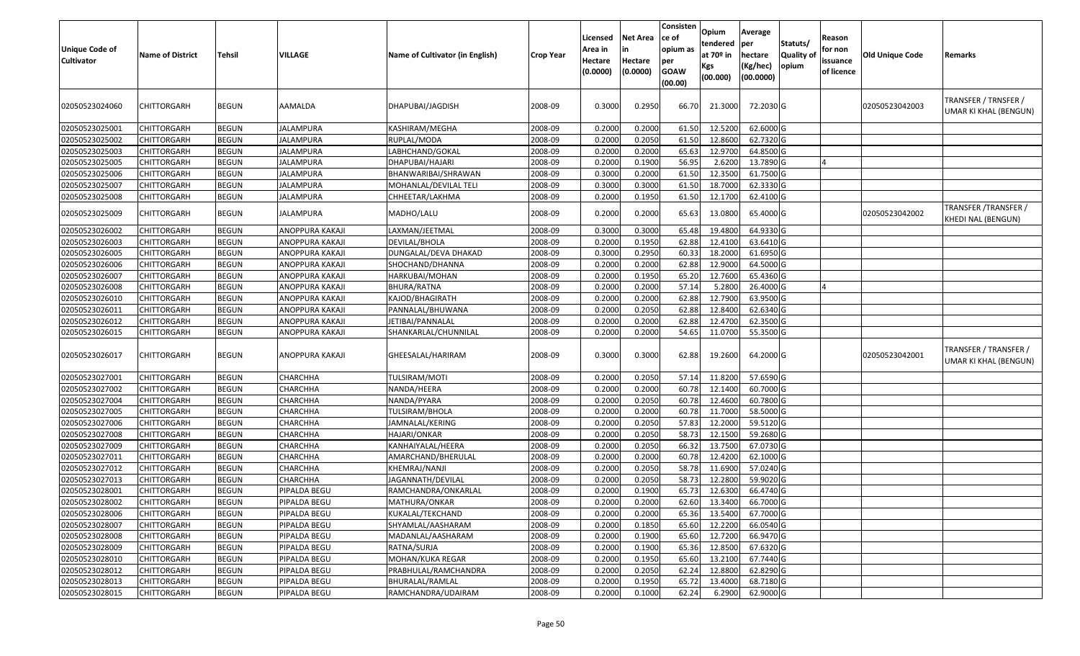| <b>Unique Code of</b><br><b>Cultivator</b> | <b>Name of District</b> | <b>Tehsil</b> | VILLAGE          | Name of Cultivator (in English) | <b>Crop Year</b> | Licensed<br>Area in<br>Hectare<br>(0.0000) | <b>Net Area</b><br>in<br>Hectare<br>(0.0000) | Consisten<br>ce of<br>opium as<br>per<br><b>GOAW</b><br>(00.00) | Opium<br>tendered<br>at 70º in<br>Kgs<br>(00.000) | Average<br>per<br>hectare<br>(Kg/hec)<br>(00.0000) | Statuts/<br>Quality of<br>opium | Reason<br>for non<br>issuance<br>of licence | <b>Old Unique Code</b> | Remarks                                        |
|--------------------------------------------|-------------------------|---------------|------------------|---------------------------------|------------------|--------------------------------------------|----------------------------------------------|-----------------------------------------------------------------|---------------------------------------------------|----------------------------------------------------|---------------------------------|---------------------------------------------|------------------------|------------------------------------------------|
| 02050523024060                             | CHITTORGARH             | <b>BEGUN</b>  | AAMALDA          | DHAPUBAI/JAGDISH                | 2008-09          | 0.3000                                     | 0.2950                                       | 66.70                                                           | 21.3000                                           | 72.2030 G                                          |                                 |                                             | 02050523042003         | TRANSFER / TRNSFER /<br>UMAR KI KHAL (BENGUN)  |
| 02050523025001                             | CHITTORGARH             | <b>BEGUN</b>  | <b>JALAMPURA</b> | KASHIRAM/MEGHA                  | 2008-09          | 0.2000                                     | 0.2000                                       | 61.50                                                           | 12.5200                                           | 62.6000 G                                          |                                 |                                             |                        |                                                |
| 02050523025002                             | CHITTORGARH             | <b>BEGUN</b>  | JALAMPURA        | RUPLAL/MODA                     | 2008-09          | 0.2000                                     | 0.2050                                       | 61.50                                                           | 12.8600                                           | 62.7320 G                                          |                                 |                                             |                        |                                                |
| 02050523025003                             | CHITTORGARH             | <b>BEGUN</b>  | JALAMPURA        | LABHCHAND/GOKAL                 | 2008-09          | 0.2000                                     | 0.2000                                       | 65.63                                                           | 12.9700                                           | 64.8500 G                                          |                                 |                                             |                        |                                                |
| 02050523025005                             | CHITTORGARH             | <b>BEGUN</b>  | JALAMPURA        | DHAPUBAI/HAJARI                 | 2008-09          | 0.2000                                     | 0.1900                                       | 56.95                                                           | 2.6200                                            | 13.7890 G                                          |                                 |                                             |                        |                                                |
| 02050523025006                             | CHITTORGARH             | <b>BEGUN</b>  | <b>JALAMPURA</b> | BHANWARIBAI/SHRAWAN             | 2008-09          | 0.3000                                     | 0.2000                                       | 61.50                                                           | 12.3500                                           | 61.7500 G                                          |                                 |                                             |                        |                                                |
| 02050523025007                             | <b>CHITTORGARH</b>      | <b>BEGUN</b>  | JALAMPURA        | MOHANLAL/DEVILAL TELI           | 2008-09          | 0.3000                                     | 0.3000                                       | 61.50                                                           | 18.7000                                           | 62.3330 G                                          |                                 |                                             |                        |                                                |
| 02050523025008                             | <b>CHITTORGARH</b>      | <b>BEGUN</b>  | JALAMPURA        | CHHEETAR/LAKHMA                 | 2008-09          | 0.2000                                     | 0.1950                                       | 61.50                                                           | 12.1700                                           | 62.4100 G                                          |                                 |                                             |                        |                                                |
| 02050523025009                             | CHITTORGARH             | <b>BEGUN</b>  | JALAMPURA        | MADHO/LALU                      | 2008-09          | 0.2000                                     | 0.2000                                       | 65.63                                                           | 13.0800                                           | 65.4000 G                                          |                                 |                                             | 02050523042002         | TRANSFER / TRANSFER /<br>KHEDI NAL (BENGUN)    |
| 02050523026002                             | CHITTORGARH             | <b>BEGUN</b>  | ANOPPURA KAKAJI  | LAXMAN/JEETMAL                  | 2008-09          | 0.3000                                     | 0.3000                                       | 65.48                                                           | 19.4800                                           | 64.9330 G                                          |                                 |                                             |                        |                                                |
| 02050523026003                             | CHITTORGARH             | <b>BEGUN</b>  | ANOPPURA KAKAJI  | DEVILAL/BHOLA                   | 2008-09          | 0.2000                                     | 0.1950                                       | 62.88                                                           | 12.4100                                           | 63.6410 G                                          |                                 |                                             |                        |                                                |
| 02050523026005                             | CHITTORGARH             | <b>BEGUN</b>  | ANOPPURA KAKAJI  | DUNGALAL/DEVA DHAKAD            | 2008-09          | 0.3000                                     | 0.2950                                       | 60.3                                                            | 18.2000                                           | 61.6950 G                                          |                                 |                                             |                        |                                                |
| 02050523026006                             | CHITTORGARH             | <b>BEGUN</b>  | ANOPPURA KAKAJI  | SHOCHAND/DHANNA                 | 2008-09          | 0.2000                                     | 0.2000                                       | 62.88                                                           | 12.9000                                           | 64.5000 G                                          |                                 |                                             |                        |                                                |
| 02050523026007                             | CHITTORGARH             | <b>BEGUN</b>  | ANOPPURA KAKAJI  | HARKUBAI/MOHAN                  | 2008-09          | 0.2000                                     | 0.1950                                       | 65.20                                                           | 12.7600                                           | 65.4360 G                                          |                                 |                                             |                        |                                                |
| 02050523026008                             | <b>CHITTORGARH</b>      | <b>BEGUN</b>  | ANOPPURA KAKAJI  | BHURA/RATNA                     | 2008-09          | 0.2000                                     | 0.2000                                       | 57.14                                                           | 5.2800                                            | 26.4000 G                                          |                                 |                                             |                        |                                                |
| 02050523026010                             | CHITTORGARH             | <b>BEGUN</b>  | ANOPPURA KAKAJI  | KAJOD/BHAGIRATH                 | 2008-09          | 0.2000                                     | 0.2000                                       | 62.88                                                           | 12.7900                                           | 63.9500 G                                          |                                 |                                             |                        |                                                |
| 02050523026011                             | CHITTORGARH             | <b>BEGUN</b>  | ANOPPURA KAKAJI  | PANNALAL/BHUWANA                | 2008-09          | 0.2000                                     | 0.2050                                       | 62.88                                                           | 12.8400                                           | 62.6340 G                                          |                                 |                                             |                        |                                                |
| 02050523026012                             | CHITTORGARH             | <b>BEGUN</b>  | ANOPPURA KAKAJI  | JETIBAI/PANNALAL                | 2008-09          | 0.2000                                     | 0.2000                                       | 62.88                                                           | 12.4700                                           | 62.3500 G                                          |                                 |                                             |                        |                                                |
| 02050523026015                             | CHITTORGARH             | <b>BEGUN</b>  | ANOPPURA KAKAJI  | SHANKARLAL/CHUNNILAL            | 2008-09          | 0.2000                                     | 0.2000                                       | 54.65                                                           | 11.0700                                           | 55.3500 G                                          |                                 |                                             |                        |                                                |
| 02050523026017                             | CHITTORGARH             | <b>BEGUN</b>  | ANOPPURA KAKAJI  | GHEESALAL/HARIRAM               | 2008-09          | 0.3000                                     | 0.3000                                       | 62.88                                                           | 19.2600                                           | 64.2000 G                                          |                                 |                                             | 02050523042001         | TRANSFER / TRANSFER /<br>UMAR KI KHAL (BENGUN) |
| 02050523027001                             | CHITTORGARH             | <b>BEGUN</b>  | CHARCHHA         | TULSIRAM/MOTI                   | 2008-09          | 0.2000                                     | 0.2050                                       | 57.14                                                           | 11.8200                                           | 57.6590 G                                          |                                 |                                             |                        |                                                |
| 02050523027002                             | CHITTORGARH             | <b>BEGUN</b>  | CHARCHHA         | NANDA/HEERA                     | 2008-09          | 0.2000                                     | 0.2000                                       | 60.78                                                           | 12.1400                                           | 60.7000 G                                          |                                 |                                             |                        |                                                |
| 02050523027004                             | CHITTORGARH             | <b>BEGUN</b>  | CHARCHHA         | NANDA/PYARA                     | 2008-09          | 0.2000                                     | 0.2050                                       | 60.78                                                           | 12.4600                                           | 60.7800 G                                          |                                 |                                             |                        |                                                |
| 02050523027005                             | <b>CHITTORGARH</b>      | <b>BEGUN</b>  | CHARCHHA         | <b>TULSIRAM/BHOLA</b>           | 2008-09          | 0.2000                                     | 0.2000                                       | 60.78                                                           | 11.7000                                           | 58.5000 G                                          |                                 |                                             |                        |                                                |
| 02050523027006                             | <b>CHITTORGARH</b>      | <b>BEGUN</b>  | CHARCHHA         | JAMNALAL/KERING                 | 2008-09          | 0.2000                                     | 0.2050                                       | 57.83                                                           | 12.2000                                           | 59.5120 G                                          |                                 |                                             |                        |                                                |
| 02050523027008                             | <b>CHITTORGARH</b>      | <b>BEGUN</b>  | CHARCHHA         | HAJARI/ONKAR                    | 2008-09          | 0.2000                                     | 0.2050                                       | 58.73                                                           | 12.1500                                           | 59.2680 G                                          |                                 |                                             |                        |                                                |
| 02050523027009                             | CHITTORGARH             | <b>BEGUN</b>  | CHARCHHA         | KANHAIYALAL/HEERA               | 2008-09          | 0.2000                                     | 0.2050                                       | 66.32                                                           | 13.7500                                           | 67.0730 G                                          |                                 |                                             |                        |                                                |
| 02050523027011                             | <b>CHITTORGARH</b>      | <b>BEGUN</b>  | CHARCHHA         | AMARCHAND/BHERULAL              | 2008-09          | 0.2000                                     | 0.2000                                       | 60.78                                                           | 12.4200                                           | 62.1000 G                                          |                                 |                                             |                        |                                                |
| 02050523027012                             | <b>CHITTORGARH</b>      | <b>BEGUN</b>  | CHARCHHA         | KHEMRAJ/NANJI                   | 2008-09          | 0.2000                                     | 0.2050                                       | 58.78                                                           | 11.6900                                           | 57.0240 G                                          |                                 |                                             |                        |                                                |
| 02050523027013                             | CHITTORGARH             | <b>BEGUN</b>  | CHARCHHA         | JAGANNATH/DEVILAL               | 2008-09          | 0.2000                                     | 0.2050                                       | 58.73                                                           | 12.2800                                           | 59.9020 G                                          |                                 |                                             |                        |                                                |
| 02050523028001                             | CHITTORGARH             | <b>BEGUN</b>  | PIPALDA BEGU     | RAMCHANDRA/ONKARLAL             | 2008-09          | 0.2000                                     | 0.1900                                       | 65.73                                                           | 12.6300                                           | 66.4740 G                                          |                                 |                                             |                        |                                                |
| 02050523028002                             | <b>CHITTORGARH</b>      | <b>BEGUN</b>  | PIPALDA BEGU     | MATHURA/ONKAR                   | 2008-09          | 0.2000                                     | 0.2000                                       | 62.60                                                           | 13.3400                                           | 66.7000 G                                          |                                 |                                             |                        |                                                |
| 02050523028006                             | <b>CHITTORGARH</b>      | <b>BEGUN</b>  | PIPALDA BEGU     | KUKALAL/TEKCHAND                | 2008-09          | 0.2000                                     | 0.2000                                       | 65.36                                                           | 13.5400                                           | 67.7000 G                                          |                                 |                                             |                        |                                                |
| 02050523028007                             | <b>CHITTORGARH</b>      | <b>BEGUN</b>  | PIPALDA BEGU     | SHYAMLAL/AASHARAM               | 2008-09          | 0.2000                                     | 0.1850                                       | 65.60                                                           | 12.2200                                           | 66.0540 G                                          |                                 |                                             |                        |                                                |
| 02050523028008                             | CHITTORGARH             | <b>BEGUN</b>  | PIPALDA BEGU     | MADANLAL/AASHARAM               | 2008-09          | 0.2000                                     | 0.1900                                       | 65.60                                                           | 12.7200                                           | 66.9470 G                                          |                                 |                                             |                        |                                                |
| 02050523028009                             | CHITTORGARH             | <b>BEGUN</b>  | PIPALDA BEGU     | RATNA/SURJA                     | 2008-09          | 0.2000                                     | 0.1900                                       | 65.36                                                           | 12.8500                                           | 67.6320 G                                          |                                 |                                             |                        |                                                |
| 02050523028010                             | <b>CHITTORGARH</b>      | <b>BEGUN</b>  | PIPALDA BEGU     | MOHAN/KUKA REGAR                | 2008-09          | 0.2000                                     | 0.1950                                       | 65.60                                                           | 13.2100                                           | 67.7440 G                                          |                                 |                                             |                        |                                                |
| 02050523028012                             | <b>CHITTORGARH</b>      | <b>BEGUN</b>  | PIPALDA BEGU     | PRABHULAL/RAMCHANDRA            | 2008-09          | 0.2000                                     | 0.2050                                       | 62.24                                                           | 12.8800                                           | 62.8290 G                                          |                                 |                                             |                        |                                                |
| 02050523028013                             | CHITTORGARH             | <b>BEGUN</b>  | PIPALDA BEGU     | BHURALAL/RAMLAL                 | 2008-09          | 0.2000                                     | 0.1950                                       | 65.72                                                           | 13.4000                                           | 68.7180 G                                          |                                 |                                             |                        |                                                |
| 02050523028015                             | CHITTORGARH             | <b>BEGUN</b>  | PIPALDA BEGU     | RAMCHANDRA/UDAIRAM              | 2008-09          | 0.2000                                     | 0.1000                                       | 62.24                                                           | 6.2900                                            | 62.9000 G                                          |                                 |                                             |                        |                                                |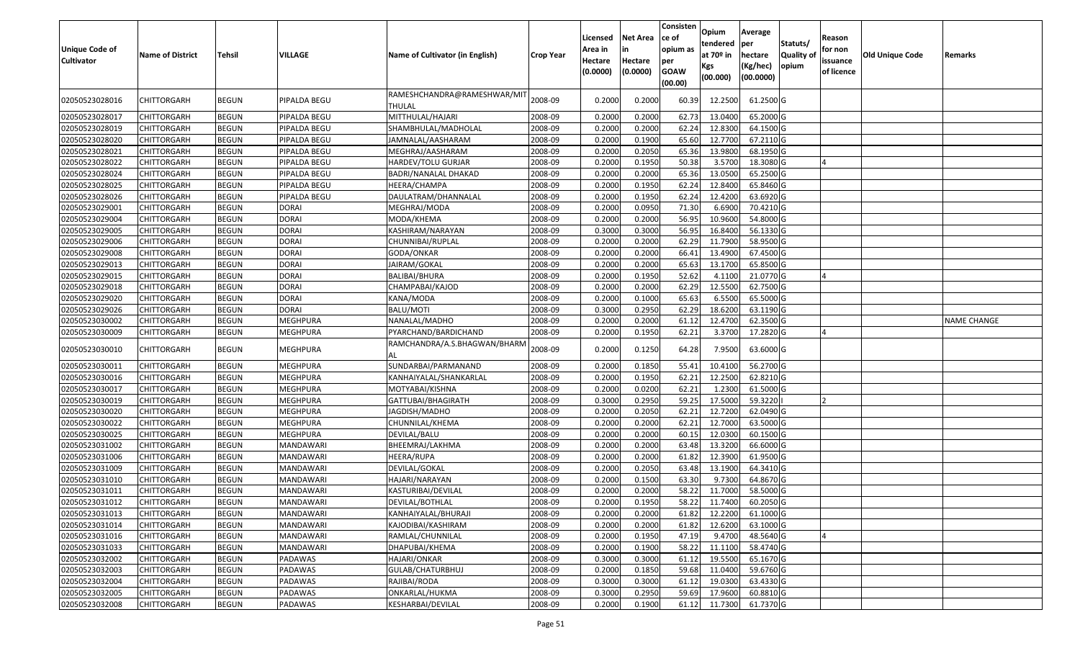| <b>Unique Code of</b><br><b>Cultivator</b> | <b>Name of District</b> | <b>Tehsil</b> | VILLAGE          | Name of Cultivator (in English)       | <b>Crop Year</b> | Licensed<br>Area in<br>Hectare<br>(0.0000) | <b>Net Area</b><br>in<br>Hectare<br>(0.0000) | Consisten<br>ce of<br>opium as<br>per<br><b>GOAW</b><br>(00.00) | Opium<br>tendered<br>at $70°$ in<br>Kgs<br>(00.000) | Average<br>per<br>hectare<br>(Kg/hec)<br>(00.0000) | Statuts/<br>Quality of<br>opium | Reason<br>for non<br>issuance<br>of licence | <b>Old Unique Code</b> | Remarks            |
|--------------------------------------------|-------------------------|---------------|------------------|---------------------------------------|------------------|--------------------------------------------|----------------------------------------------|-----------------------------------------------------------------|-----------------------------------------------------|----------------------------------------------------|---------------------------------|---------------------------------------------|------------------------|--------------------|
| 02050523028016                             | CHITTORGARH             | <b>BEGUN</b>  | PIPALDA BEGU     | RAMESHCHANDRA@RAMESHWAR/MIT<br>THULAL | 2008-09          | 0.2000                                     | 0.2000                                       | 60.39                                                           | 12.2500                                             | 61.2500 G                                          |                                 |                                             |                        |                    |
| 02050523028017                             | <b>CHITTORGARH</b>      | <b>BEGUN</b>  | PIPALDA BEGU     | MITTHULAL/HAJARI                      | 2008-09          | 0.2000                                     | 0.2000                                       | 62.73                                                           | 13.0400                                             | 65.2000 G                                          |                                 |                                             |                        |                    |
| 02050523028019                             | <b>CHITTORGARH</b>      | <b>BEGUN</b>  | PIPALDA BEGU     | SHAMBHULAL/MADHOLAL                   | 2008-09          | 0.2000                                     | 0.2000                                       | 62.24                                                           | 12.8300                                             | 64.1500 G                                          |                                 |                                             |                        |                    |
| 02050523028020                             | <b>CHITTORGARH</b>      | <b>BEGUN</b>  | PIPALDA BEGU     | JAMNALAL/AASHARAM                     | 2008-09          | 0.2000                                     | 0.1900                                       | 65.60                                                           | 12.7700                                             | 67.2110 G                                          |                                 |                                             |                        |                    |
| 02050523028021                             | <b>CHITTORGARH</b>      | <b>BEGUN</b>  | PIPALDA BEGU     | MEGHRAJ/AASHARAM                      | 2008-09          | 0.2000                                     | 0.2050                                       | 65.36                                                           | 13.9800                                             | 68.1950 G                                          |                                 |                                             |                        |                    |
| 02050523028022                             | CHITTORGARH             | <b>BEGUN</b>  | PIPALDA BEGU     | HARDEV/TOLU GURJAR                    | 2008-09          | 0.2000                                     | 0.1950                                       | 50.38                                                           | 3.5700                                              | 18.3080 G                                          |                                 |                                             |                        |                    |
| 02050523028024                             | CHITTORGARH             | <b>BEGUN</b>  | PIPALDA BEGU     | BADRI/NANALAL DHAKAD                  | 2008-09          | 0.2000                                     | 0.2000                                       | 65.36                                                           | 13.0500                                             | 65.2500 G                                          |                                 |                                             |                        |                    |
| 02050523028025                             | CHITTORGARH             | <b>BEGUN</b>  | PIPALDA BEGU     | HEERA/CHAMPA                          | 2008-09          | 0.2000                                     | 0.1950                                       | 62.24                                                           | 12.8400                                             | 65.8460 G                                          |                                 |                                             |                        |                    |
| 02050523028026                             | CHITTORGARH             | <b>BEGUN</b>  | PIPALDA BEGU     | DAULATRAM/DHANNALAL                   | 2008-09          | 0.2000                                     | 0.1950                                       | 62.24                                                           | 12.4200                                             | 63.6920 G                                          |                                 |                                             |                        |                    |
| 02050523029001                             | CHITTORGARH             | <b>BEGUN</b>  | <b>DORAI</b>     | MEGHRAJ/MODA                          | 2008-09          | 0.2000                                     | 0.0950                                       | 71.30                                                           | 6.6900                                              | 70.4210 G                                          |                                 |                                             |                        |                    |
| 02050523029004                             | CHITTORGARH             | <b>BEGUN</b>  | <b>DORAI</b>     | MODA/KHEMA                            | 2008-09          | 0.2000                                     | 0.2000                                       | 56.95                                                           | 10.9600                                             | 54.8000 G                                          |                                 |                                             |                        |                    |
| 02050523029005                             | CHITTORGARH             | <b>BEGUN</b>  | <b>DORAI</b>     | KASHIRAM/NARAYAN                      | 2008-09          | 0.3000                                     | 0.3000                                       | 56.95                                                           | 16.8400                                             | 56.1330 G                                          |                                 |                                             |                        |                    |
| 02050523029006                             | CHITTORGARH             | <b>BEGUN</b>  | <b>DORAI</b>     | CHUNNIBAI/RUPLAL                      | 2008-09          | 0.2000                                     | 0.2000                                       | 62.29                                                           | 11.7900                                             | 58.9500 G                                          |                                 |                                             |                        |                    |
| 02050523029008                             | CHITTORGARH             | <b>BEGUN</b>  | <b>DORAI</b>     | GODA/ONKAR                            | 2008-09          | 0.2000                                     | 0.2000                                       | 66.41                                                           | 13.4900                                             | 67.4500 G                                          |                                 |                                             |                        |                    |
| 02050523029013                             | CHITTORGARH             | <b>BEGUN</b>  | <b>DORAI</b>     | JAIRAM/GOKAL                          | 2008-09          | 0.2000                                     | 0.2000                                       | 65.63                                                           | 13.1700                                             | 65.8500 G                                          |                                 |                                             |                        |                    |
| 02050523029015                             | CHITTORGARH             | <b>BEGUN</b>  | <b>DORAI</b>     | BALIBAI/BHURA                         | 2008-09          | 0.2000                                     | 0.1950                                       | 52.62                                                           | 4.1100                                              | 21.0770 G                                          |                                 |                                             |                        |                    |
| 02050523029018                             | CHITTORGARH             | <b>BEGUN</b>  | <b>DORAI</b>     | CHAMPABAI/KAJOD                       | 2008-09          | 0.2000                                     | 0.2000                                       | 62.29                                                           | 12.5500                                             | 62.7500 G                                          |                                 |                                             |                        |                    |
| 02050523029020                             | <b>CHITTORGARH</b>      | <b>BEGUN</b>  | <b>DORAI</b>     | KANA/MODA                             | 2008-09          | 0.2000                                     | 0.1000                                       | 65.63                                                           | 6.5500                                              | 65.5000G                                           |                                 |                                             |                        |                    |
| 02050523029026                             | CHITTORGARH             | <b>BEGUN</b>  | <b>DORAI</b>     | BALU/MOTI                             | 2008-09          | 0.3000                                     | 0.2950                                       | 62.29                                                           | 18.6200                                             | 63.1190 G                                          |                                 |                                             |                        |                    |
| 02050523030002                             | CHITTORGARH             | <b>BEGUN</b>  | <b>MEGHPURA</b>  | NANALAL/MADHO                         | 2008-09          | 0.2000                                     | 0.2000                                       | 61.12                                                           | 12.4700                                             | 62.3500 G                                          |                                 |                                             |                        | <b>NAME CHANGE</b> |
| 02050523030009                             | CHITTORGARH             | <b>BEGUN</b>  | <b>MEGHPURA</b>  | PYARCHAND/BARDICHAND                  | 2008-09          | 0.2000                                     | 0.1950                                       | 62.21                                                           | 3.3700                                              | 17.2820 G                                          |                                 |                                             |                        |                    |
| 02050523030010                             | CHITTORGARH             | <b>BEGUN</b>  | MEGHPURA         | RAMCHANDRA/A.S.BHAGWAN/BHARN<br>AL    | 2008-09          | 0.2000                                     | 0.1250                                       | 64.28                                                           | 7.9500                                              | 63.6000 G                                          |                                 |                                             |                        |                    |
| 02050523030011                             | <b>CHITTORGARH</b>      | <b>BEGUN</b>  | <b>MEGHPURA</b>  | SUNDARBAI/PARMANAND                   | 2008-09          | 0.2000                                     | 0.1850                                       | 55.41                                                           | 10.4100                                             | 56.2700 G                                          |                                 |                                             |                        |                    |
| 02050523030016                             | <b>CHITTORGARH</b>      | <b>BEGUN</b>  | <b>MEGHPURA</b>  | KANHAIYALAL/SHANKARLAL                | 2008-09          | 0.2000                                     | 0.1950                                       | 62.21                                                           | 12.2500                                             | 62.8210 G                                          |                                 |                                             |                        |                    |
| 02050523030017                             | <b>CHITTORGARH</b>      | <b>BEGUN</b>  | <b>MEGHPURA</b>  | MOTYABAI/KISHNA                       | 2008-09          | 0.2000                                     | 0.0200                                       | 62.21                                                           | 1.2300                                              | 61.5000 G                                          |                                 |                                             |                        |                    |
| 02050523030019                             | CHITTORGARH             | <b>BEGUN</b>  | MEGHPURA         | GATTUBAI/BHAGIRATH                    | 2008-09          | 0.3000                                     | 0.2950                                       | 59.25                                                           | 17.5000                                             | 59.3220                                            |                                 | ר ا                                         |                        |                    |
| 02050523030020                             | CHITTORGARH             | <b>BEGUN</b>  | MEGHPURA         | JAGDISH/MADHO                         | 2008-09          | 0.2000                                     | 0.2050                                       | 62.21                                                           | 12.7200                                             | 62.0490 G                                          |                                 |                                             |                        |                    |
| 02050523030022                             | CHITTORGARH             | <b>BEGUN</b>  | <b>MEGHPURA</b>  | CHUNNILAL/KHEMA                       | 2008-09          | 0.2000                                     | 0.2000                                       | 62.21                                                           | 12.7000                                             | 63.5000 G                                          |                                 |                                             |                        |                    |
| 02050523030025                             | CHITTORGARH             | <b>BEGUN</b>  | <b>MEGHPURA</b>  | DEVILAL/BALU                          | 2008-09          | 0.2000                                     | 0.2000                                       | 60.15                                                           | 12.0300                                             | 60.1500 G                                          |                                 |                                             |                        |                    |
| 02050523031002                             | CHITTORGARH             | <b>BEGUN</b>  | MANDAWARI        | BHEEMRAJ/LAKHMA                       | 2008-09          | 0.2000                                     | 0.2000                                       | 63.48                                                           | 13.3200                                             | 66.6000G                                           |                                 |                                             |                        |                    |
| 02050523031006                             | CHITTORGARH             | <b>BEGUN</b>  | MANDAWARI        | HEERA/RUPA                            | 2008-09          | 0.2000                                     | 0.2000                                       | 61.82                                                           | 12.3900                                             | 61.9500 G                                          |                                 |                                             |                        |                    |
| 02050523031009                             | CHITTORGARH             | <b>BEGUN</b>  | MANDAWARI        | DEVILAL/GOKAL                         | 2008-09          | 0.2000                                     | 0.2050                                       | 63.48                                                           | 13.1900                                             | 64.3410G                                           |                                 |                                             |                        |                    |
| 02050523031010                             | CHITTORGARH             | <b>BEGUN</b>  | MANDAWARI        | HAJARI/NARAYAN                        | 2008-09          | 0.2000                                     | 0.1500                                       | 63.30                                                           | 9.7300                                              | 64.8670 G                                          |                                 |                                             |                        |                    |
| 02050523031011                             | CHITTORGARH             | <b>BEGUN</b>  | MANDAWARI        | KASTURIBAI/DEVILAL                    | 2008-09          | 0.2000                                     | 0.2000                                       | 58.22                                                           | 11.7000                                             | 58.5000 G                                          |                                 |                                             |                        |                    |
| 02050523031012                             | <b>CHITTORGARH</b>      | <b>BEGUN</b>  | MANDAWARI        | DEVILAL/BOTHLAL                       | 2008-09          | 0.2000                                     | 0.1950                                       | 58.22                                                           | 11.7400                                             | 60.2050 G                                          |                                 |                                             |                        |                    |
| 02050523031013                             | <b>CHITTORGARH</b>      | <b>BEGUN</b>  | MANDAWARI        | KANHAIYALAL/BHURAJI                   | 2008-09          | 0.2000                                     | 0.2000                                       | 61.82                                                           | 12.2200                                             | 61.1000 G                                          |                                 |                                             |                        |                    |
| 02050523031014                             | <b>CHITTORGARH</b>      | <b>BEGUN</b>  | MANDAWARI        | KAJODIBAI/KASHIRAM                    | 2008-09          | 0.2000                                     | 0.2000                                       | 61.82                                                           | 12.6200                                             | 63.1000 G                                          |                                 |                                             |                        |                    |
| 02050523031016                             | <b>CHITTORGARH</b>      | <b>BEGUN</b>  | <b>MANDAWARI</b> | RAMLAL/CHUNNILAL                      | 2008-09          | 0.2000                                     | 0.1950                                       | 47.19                                                           | 9.4700                                              | 48.5640 G                                          |                                 |                                             |                        |                    |
| 02050523031033                             | <b>CHITTORGARH</b>      | <b>BEGUN</b>  | MANDAWARI        | DHAPUBAI/KHEMA                        | 2008-09          | 0.2000                                     | 0.1900                                       | 58.22                                                           | 11.1100                                             | 58.4740 G                                          |                                 |                                             |                        |                    |
| 02050523032002                             | <b>CHITTORGARH</b>      | <b>BEGUN</b>  | PADAWAS          | <b>HAJARI/ONKAR</b>                   | 2008-09          | 0.3000                                     | 0.3000                                       | 61.12                                                           | 19.5500                                             | 65.1670 G                                          |                                 |                                             |                        |                    |
| 02050523032003                             | <b>CHITTORGARH</b>      | <b>BEGUN</b>  | PADAWAS          | GULAB/CHATURBHUJ                      | 2008-09          | 0.2000                                     | 0.1850                                       | 59.68                                                           | 11.0400                                             | 59.6760 G                                          |                                 |                                             |                        |                    |
| 02050523032004                             | <b>CHITTORGARH</b>      | <b>BEGUN</b>  | PADAWAS          | RAJIBAI/RODA                          | 2008-09          | 0.3000                                     | 0.3000                                       | 61.12                                                           | 19.0300                                             | 63.4330 G                                          |                                 |                                             |                        |                    |
| 02050523032005                             | CHITTORGARH             | <b>BEGUN</b>  | PADAWAS          | ONKARLAL/HUKMA                        | 2008-09          | 0.3000                                     | 0.2950                                       | 59.69                                                           | 17.9600                                             | 60.8810 G                                          |                                 |                                             |                        |                    |
| 02050523032008                             | <b>CHITTORGARH</b>      | <b>BEGUN</b>  | PADAWAS          | KESHARBAI/DEVILAL                     | 2008-09          | 0.2000                                     | 0.1900                                       | 61.12                                                           | 11.7300                                             | 61.7370 G                                          |                                 |                                             |                        |                    |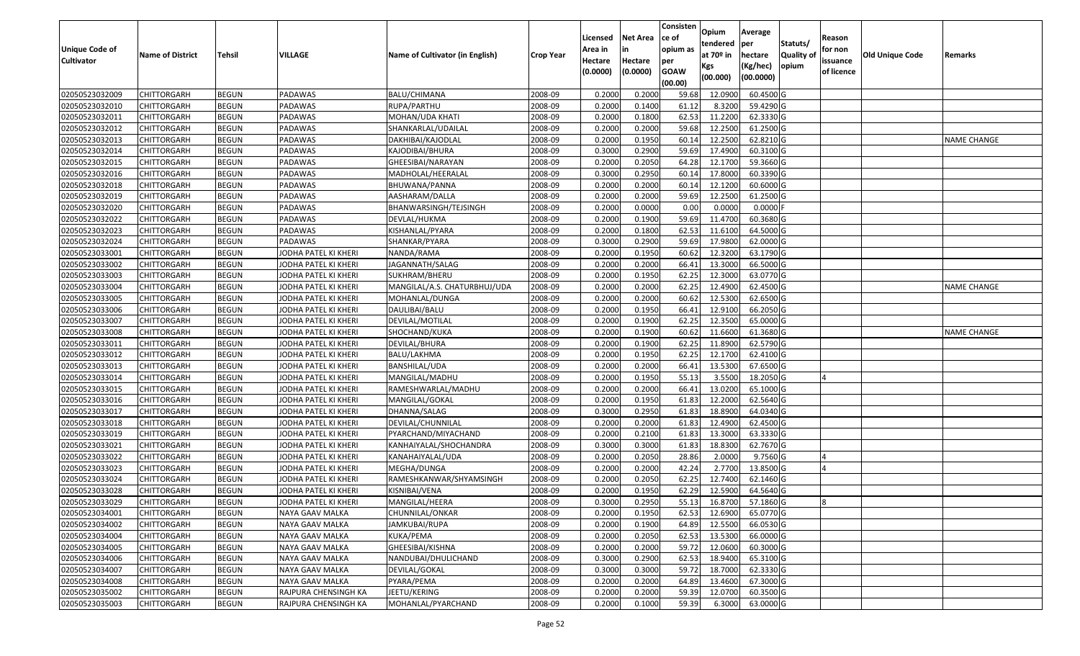|                                            |                         |               |                      |                                 |                  | Licensed                       | <b>Net Area</b>     | Consisten<br>ce of             | Opium<br>tendered              | Average<br>per                   | Statuts/            | Reason                            |                        |                    |
|--------------------------------------------|-------------------------|---------------|----------------------|---------------------------------|------------------|--------------------------------|---------------------|--------------------------------|--------------------------------|----------------------------------|---------------------|-----------------------------------|------------------------|--------------------|
| <b>Unique Code of</b><br><b>Cultivator</b> | <b>Name of District</b> | <b>Tehsil</b> | <b>VILLAGE</b>       | Name of Cultivator (in English) | <b>Crop Year</b> | Area in<br>Hectare<br>(0.0000) | Hectare<br>(0.0000) | opium as<br>per<br><b>GOAW</b> | at $70°$ in<br>Kgs<br>(00.000) | hectare<br>(Kg/hec)<br>(00.0000) | Quality of<br>opium | for non<br>issuance<br>of licence | <b>Old Unique Code</b> | Remarks            |
|                                            |                         |               |                      |                                 |                  |                                |                     | (00.00)                        |                                |                                  |                     |                                   |                        |                    |
| 02050523032009                             | <b>CHITTORGARH</b>      | <b>BEGUN</b>  | PADAWAS              | BALU/CHIMANA                    | 2008-09          | 0.2000                         | 0.2000              | 59.68                          | 12.0900                        | 60.4500 G                        |                     |                                   |                        |                    |
| 02050523032010                             | CHITTORGARH             | <b>BEGUN</b>  | <b>PADAWAS</b>       | RUPA/PARTHU                     | 2008-09          | 0.2000                         | 0.1400              | 61.12                          | 8.3200                         | 59.4290 G                        |                     |                                   |                        |                    |
| 02050523032011                             | <b>CHITTORGARH</b>      | <b>BEGUN</b>  | PADAWAS              | MOHAN/UDA KHATI                 | 2008-09          | 0.2000                         | 0.1800              | 62.53                          | 11.2200                        | 62.3330 G                        |                     |                                   |                        |                    |
| 02050523032012                             | <b>CHITTORGARH</b>      | <b>BEGUN</b>  | <b>PADAWAS</b>       | SHANKARLAL/UDAILAL              | 2008-09          | 0.2000                         | 0.2000              | 59.68                          | 12.2500                        | 61.2500 G                        |                     |                                   |                        |                    |
| 02050523032013                             | <b>CHITTORGARH</b>      | <b>BEGUN</b>  | PADAWAS              | DAKHIBAI/KAJODLAL               | 2008-09          | 0.2000                         | 0.1950              | 60.14                          | 12.2500                        | 62.8210 G                        |                     |                                   |                        | NAME CHANGE        |
| 02050523032014                             | CHITTORGARH             | <b>BEGUN</b>  | PADAWAS              | KAJODIBAI/BHURA                 | 2008-09          | 0.3000                         | 0.2900              | 59.69                          | 17.4900                        | 60.3100 G                        |                     |                                   |                        |                    |
| 02050523032015                             | CHITTORGARH             | <b>BEGUN</b>  | PADAWAS              | GHEESIBAI/NARAYAN               | 2008-09          | 0.2000                         | 0.2050              | 64.28                          | 12.1700                        | 59.3660 G                        |                     |                                   |                        |                    |
| 02050523032016                             | <b>CHITTORGARH</b>      | <b>BEGUN</b>  | PADAWAS              | MADHOLAL/HEERALAL               | 2008-09          | 0.3000                         | 0.2950              | 60.1                           | 17.8000                        | 60.3390 G                        |                     |                                   |                        |                    |
| 02050523032018                             | <b>CHITTORGARH</b>      | <b>BEGUN</b>  | PADAWAS              | BHUWANA/PANNA                   | 2008-09          | 0.2000                         | 0.2000              | 60.1                           | 12.1200                        | 60.6000 G                        |                     |                                   |                        |                    |
| 02050523032019                             | CHITTORGARH             | <b>BEGUN</b>  | PADAWAS              | AASHARAM/DALLA                  | 2008-09          | 0.2000                         | 0.2000              | 59.69                          | 12.2500                        | 61.2500 G                        |                     |                                   |                        |                    |
| 02050523032020                             | <b>CHITTORGARH</b>      | <b>BEGUN</b>  | <b>PADAWAS</b>       | BHANWARSINGH/TEJSINGH           | 2008-09          | 0.2000                         | 0.0000              | 0.00                           | 0.0000                         | $0.0000$ F                       |                     |                                   |                        |                    |
| 02050523032022                             | <b>CHITTORGARH</b>      | <b>BEGUN</b>  | PADAWAS              | DEVLAL/HUKMA                    | 2008-09          | 0.2000                         | 0.1900              | 59.69                          | 11.4700                        | 60.3680 G                        |                     |                                   |                        |                    |
| 02050523032023                             | <b>CHITTORGARH</b>      | <b>BEGUN</b>  | PADAWAS              | KISHANLAL/PYARA                 | 2008-09          | 0.2000                         | 0.1800              | 62.53                          | 11.6100                        | 64.5000 G                        |                     |                                   |                        |                    |
| 02050523032024                             | <b>CHITTORGARH</b>      | <b>BEGUN</b>  | PADAWAS              | SHANKAR/PYARA                   | 2008-09          | 0.3000                         | 0.2900              | 59.69                          | 17.9800                        | 62.0000 G                        |                     |                                   |                        |                    |
| 02050523033001                             | <b>CHITTORGARH</b>      | <b>BEGUN</b>  | JODHA PATEL KI KHERI | NANDA/RAMA                      | 2008-09          | 0.2000                         | 0.1950              | 60.62                          | 12.3200                        | 63.1790 G                        |                     |                                   |                        |                    |
| 02050523033002                             | <b>CHITTORGARH</b>      | <b>BEGUN</b>  | JODHA PATEL KI KHERI | JAGANNATH/SALAG                 | 2008-09          | 0.2000                         | 0.2000              | 66.41                          | 13.3000                        | 66.5000G                         |                     |                                   |                        |                    |
| 02050523033003                             | <b>CHITTORGARH</b>      | <b>BEGUN</b>  | JODHA PATEL KI KHERI | SUKHRAM/BHERU                   | 2008-09          | 0.2000                         | 0.1950              | 62.25                          | 12.3000                        | 63.0770 G                        |                     |                                   |                        |                    |
| 02050523033004                             | <b>CHITTORGARH</b>      | <b>BEGUN</b>  | JODHA PATEL KI KHERI | MANGILAL/A.S. CHATURBHUJ/UDA    | 2008-09          | 0.2000                         | 0.2000              | 62.25                          | 12.4900                        | 62.4500 G                        |                     |                                   |                        | <b>NAME CHANGE</b> |
| 02050523033005                             | CHITTORGARH             | <b>BEGUN</b>  | JODHA PATEL KI KHERI | MOHANLAL/DUNGA                  | 2008-09          | 0.2000                         | 0.2000              | 60.62                          | 12.5300                        | 62.6500 G                        |                     |                                   |                        |                    |
| 02050523033006                             | <b>CHITTORGARH</b>      | <b>BEGUN</b>  | JODHA PATEL KI KHERI | DAULIBAI/BALU                   | 2008-09          | 0.2000                         | 0.1950              | 66.4                           | 12.9100                        | 66.2050 G                        |                     |                                   |                        |                    |
| 02050523033007                             | <b>CHITTORGARH</b>      | <b>BEGUN</b>  | JODHA PATEL KI KHERI | DEVILAL/MOTILAL                 | 2008-09          | 0.2000                         | 0.1900              | 62.25                          | 12.3500                        | 65.0000 G                        |                     |                                   |                        |                    |
| 02050523033008                             | CHITTORGARH             | <b>BEGUN</b>  | JODHA PATEL KI KHERI | SHOCHAND/KUKA                   | 2008-09          | 0.2000                         | 0.1900              | 60.62                          | 11.6600                        | 61.3680 G                        |                     |                                   |                        | <b>NAME CHANGE</b> |
| 02050523033011                             | CHITTORGARH             | <b>BEGUN</b>  | JODHA PATEL KI KHERI | DEVILAL/BHURA                   | 2008-09          | 0.2000                         | 0.1900              | 62.2!                          | 11.8900                        | 62.5790 G                        |                     |                                   |                        |                    |
| 02050523033012                             | <b>CHITTORGARH</b>      | <b>BEGUN</b>  | JODHA PATEL KI KHERI | BALU/LAKHMA                     | 2008-09          | 0.2000                         | 0.1950              | 62.2!                          | 12.1700                        | 62.4100 G                        |                     |                                   |                        |                    |
| 02050523033013                             | <b>CHITTORGARH</b>      | <b>BEGUN</b>  | JODHA PATEL KI KHERI | BANSHILAL/UDA                   | 2008-09          | 0.2000                         | 0.2000              | 66.4                           | 13.5300                        | 67.6500 G                        |                     |                                   |                        |                    |
| 02050523033014                             | <b>CHITTORGARH</b>      | <b>BEGUN</b>  | JODHA PATEL KI KHERI | MANGILAL/MADHU                  | 2008-09          | 0.2000                         | 0.1950              | 55.13                          | 3.5500                         | 18.2050 G                        |                     | ıΔ                                |                        |                    |
| 02050523033015                             | <b>CHITTORGARH</b>      | <b>BEGUN</b>  | JODHA PATEL KI KHERI | RAMESHWARLAL/MADHU              | 2008-09          | 0.2000                         | 0.2000              | 66.41                          | 13.0200                        | 65.1000 G                        |                     |                                   |                        |                    |
| 02050523033016                             | <b>CHITTORGARH</b>      | <b>BEGUN</b>  | JODHA PATEL KI KHERI | MANGILAL/GOKAL                  | 2008-09          | 0.2000                         | 0.1950              | 61.83                          | 12.2000                        | 62.5640 G                        |                     |                                   |                        |                    |
| 02050523033017                             | <b>CHITTORGARH</b>      | <b>BEGUN</b>  | JODHA PATEL KI KHERI | DHANNA/SALAG                    | 2008-09          | 0.3000                         | 0.2950              | 61.83                          | 18.8900                        | 64.0340 G                        |                     |                                   |                        |                    |
| 02050523033018                             | <b>CHITTORGARH</b>      | <b>BEGUN</b>  | JODHA PATEL KI KHERI | DEVILAL/CHUNNILAL               | 2008-09          | 0.2000                         | 0.2000              | 61.83                          | 12.4900                        | 62.4500 G                        |                     |                                   |                        |                    |
| 02050523033019                             | CHITTORGARH             | <b>BEGUN</b>  | JODHA PATEL KI KHERI | PYARCHAND/MIYACHAND             | 2008-09          | 0.2000                         | 0.2100              | 61.83                          | 13.3000                        | 63.3330 G                        |                     |                                   |                        |                    |
| 02050523033021                             | CHITTORGARH             | <b>BEGUN</b>  | JODHA PATEL KI KHERI | KANHAIYALAL/SHOCHANDRA          | 2008-09          | 0.3000                         | 0.3000              | 61.8                           | 18.8300                        | 62.7670 G                        |                     |                                   |                        |                    |
| 02050523033022                             | <b>CHITTORGARH</b>      | <b>BEGUN</b>  | JODHA PATEL KI KHERI | KANAHAIYALAL/UDA                | 2008-09          | 0.2000                         | 0.2050              | 28.86                          | 2.0000                         | $9.7560$ G                       |                     |                                   |                        |                    |
| 02050523033023                             | <b>CHITTORGARH</b>      | <b>BEGUN</b>  | JODHA PATEL KI KHERI | MEGHA/DUNGA                     | 2008-09          | 0.2000                         | 0.2000              | 42.24                          | 2.7700                         | 13.8500 G                        |                     | IΔ                                |                        |                    |
| 02050523033024                             | CHITTORGARH             | <b>BEGUN</b>  | JODHA PATEL KI KHERI | RAMESHKANWAR/SHYAMSINGH         | 2008-09          | 0.2000                         | 0.2050              | 62.25                          | 12.7400                        | 62.1460 G                        |                     |                                   |                        |                    |
| 02050523033028                             | <b>CHITTORGARH</b>      | <b>BEGUN</b>  | JODHA PATEL KI KHERI | KISNIBAI/VENA                   | 2008-09          | 0.2000                         | 0.1950              | 62.29                          | 12.5900                        | 64.5640 G                        |                     |                                   |                        |                    |
| 02050523033029                             | <b>CHITTORGARH</b>      | <b>BEGUN</b>  | JODHA PATEL KI KHERI | MANGILAL/HEERA                  | 2008-09          | 0.3000                         | 0.2950              | 55.13                          | 16.8700                        | 57.1860 G                        |                     | 8                                 |                        |                    |
| 02050523034001                             | <b>CHITTORGARH</b>      | <b>BEGUN</b>  | NAYA GAAV MALKA      | CHUNNILAL/ONKAR                 | 2008-09          | 0.2000                         | 0.1950              | 62.53                          | 12.6900                        | 65.0770 G                        |                     |                                   |                        |                    |
| 02050523034002                             | <b>CHITTORGARH</b>      | <b>BEGUN</b>  | NAYA GAAV MALKA      | JAMKUBAI/RUPA                   | 2008-09          | 0.2000                         | 0.1900              | 64.89                          | 12.5500                        | 66.0530 G                        |                     |                                   |                        |                    |
| 02050523034004                             | <b>CHITTORGARH</b>      | <b>BEGUN</b>  | NAYA GAAV MALKA      | KUKA/PEMA                       | 2008-09          | 0.2000                         | 0.2050              | 62.53                          | 13.5300                        | 66.0000 G                        |                     |                                   |                        |                    |
| 02050523034005                             | CHITTORGARH             | <b>BEGUN</b>  | NAYA GAAV MALKA      | GHEESIBAI/KISHNA                | 2008-09          | 0.2000                         | 0.2000              | 59.72                          | 12.0600                        | 60.3000 G                        |                     |                                   |                        |                    |
| 02050523034006                             | <b>CHITTORGARH</b>      | <b>BEGUN</b>  | NAYA GAAV MALKA      | NANDUBAI/DHULICHAND             | 2008-09          | 0.3000                         | 0.2900              | 62.53                          | 18.9400                        | 65.3100 G                        |                     |                                   |                        |                    |
| 02050523034007                             | <b>CHITTORGARH</b>      | <b>BEGUN</b>  | NAYA GAAV MALKA      | DEVILAL/GOKAL                   | 2008-09          | 0.3000                         | 0.3000              | 59.72                          | 18.7000                        | 62.3330 G                        |                     |                                   |                        |                    |
| 02050523034008                             | <b>CHITTORGARH</b>      | <b>BEGUN</b>  | NAYA GAAV MALKA      | PYARA/PEMA                      | 2008-09          | 0.2000                         | 0.2000              | 64.89                          | 13.4600                        | 67.3000 G                        |                     |                                   |                        |                    |
| 02050523035002                             | CHITTORGARH             | <b>BEGUN</b>  | RAJPURA CHENSINGH KA | JEETU/KERING                    | 2008-09          | 0.2000                         | 0.2000              | 59.39                          | 12.0700                        | 60.3500 G                        |                     |                                   |                        |                    |
| 02050523035003                             | <b>CHITTORGARH</b>      | <b>BEGUN</b>  | RAJPURA CHENSINGH KA | MOHANLAL/PYARCHAND              | 2008-09          | 0.2000                         | 0.1000              | 59.39                          | 6.3000                         | 63.0000 G                        |                     |                                   |                        |                    |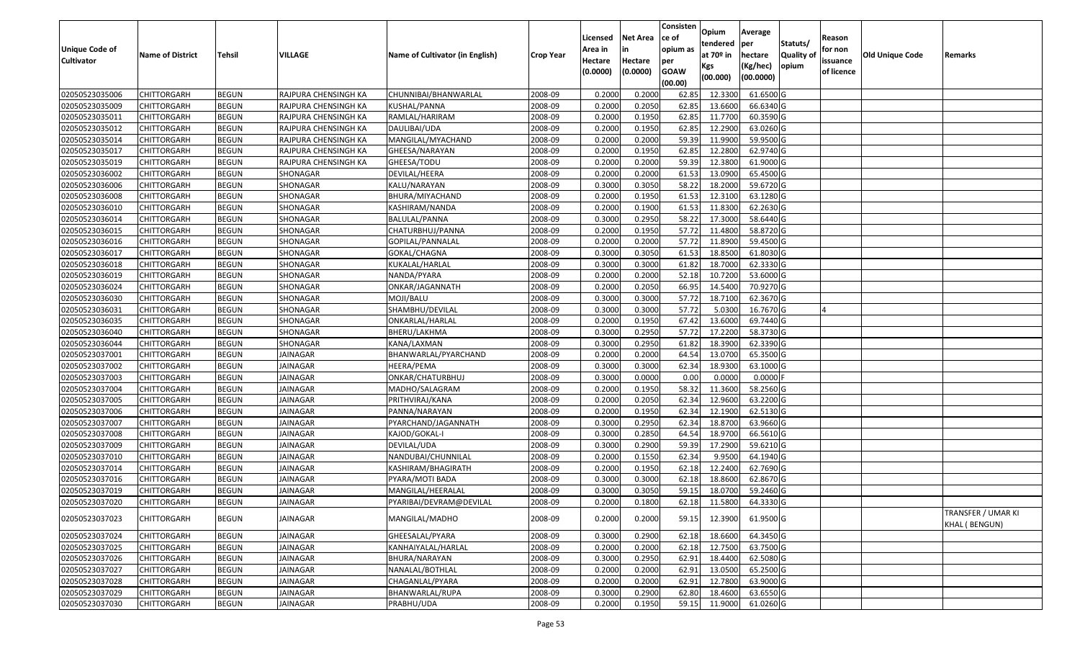| <b>Unique Code of</b><br><b>Cultivator</b> | <b>Name of District</b> | Tehsil       | VILLAGE              | Name of Cultivator (in English) | <b>Crop Year</b> | Licensed<br>Area in<br>Hectare<br>(0.0000) | <b>Net Area</b><br>in<br>Hectare<br>(0.0000) | Consisten<br>ce of<br>opium as<br>per<br><b>GOAW</b><br>(00.00) | Opium<br>tendered<br>at 70º in<br>Kgs<br>(00.000) | Average<br>per<br>hectare<br>(Kg/hec)<br>(00.0000) | Statuts/<br>Quality of<br>opium | Reason<br>for non<br>issuance<br>of licence | <b>Old Unique Code</b> | Remarks                                    |
|--------------------------------------------|-------------------------|--------------|----------------------|---------------------------------|------------------|--------------------------------------------|----------------------------------------------|-----------------------------------------------------------------|---------------------------------------------------|----------------------------------------------------|---------------------------------|---------------------------------------------|------------------------|--------------------------------------------|
| 02050523035006                             | <b>CHITTORGARH</b>      | <b>BEGUN</b> | RAJPURA CHENSINGH KA | CHUNNIBAI/BHANWARLAL            | 2008-09          | 0.2000                                     | 0.2000                                       | 62.85                                                           | 12.3300                                           | 61.6500 G                                          |                                 |                                             |                        |                                            |
| 02050523035009                             | CHITTORGARH             | <b>BEGUN</b> | RAJPURA CHENSINGH KA | KUSHAL/PANNA                    | 2008-09          | 0.2000                                     | 0.2050                                       | 62.85                                                           | 13.6600                                           | 66.6340 G                                          |                                 |                                             |                        |                                            |
| 02050523035011                             | CHITTORGARH             | <b>BEGUN</b> | RAJPURA CHENSINGH KA | RAMLAL/HARIRAM                  | 2008-09          | 0.2000                                     | 0.1950                                       | 62.85                                                           | 11.7700                                           | 60.3590 G                                          |                                 |                                             |                        |                                            |
| 02050523035012                             | <b>CHITTORGARH</b>      | <b>BEGUN</b> | RAJPURA CHENSINGH KA | DAULIBAI/UDA                    | 2008-09          | 0.2000                                     | 0.1950                                       | 62.85                                                           | 12.2900                                           | 63.0260 G                                          |                                 |                                             |                        |                                            |
| 02050523035014                             | <b>CHITTORGARH</b>      | <b>BEGUN</b> | RAJPURA CHENSINGH KA | MANGILAL/MYACHAND               | 2008-09          | 0.2000                                     | 0.2000                                       | 59.39                                                           | 11.9900                                           | 59.9500 G                                          |                                 |                                             |                        |                                            |
| 02050523035017                             | <b>CHITTORGARH</b>      | <b>BEGUN</b> | RAJPURA CHENSINGH KA | GHEESA/NARAYAN                  | 2008-09          | 0.2000                                     | 0.1950                                       | 62.85                                                           | 12.2800                                           | 62.9740 G                                          |                                 |                                             |                        |                                            |
| 02050523035019                             | CHITTORGARH             | <b>BEGUN</b> | RAJPURA CHENSINGH KA | GHEESA/TODU                     | 2008-09          | 0.2000                                     | 0.2000                                       | 59.39                                                           | 12.3800                                           | 61.9000 G                                          |                                 |                                             |                        |                                            |
| 02050523036002                             | <b>CHITTORGARH</b>      | <b>BEGUN</b> | SHONAGAR             | DEVILAL/HEERA                   | 2008-09          | 0.2000                                     | 0.2000                                       | 61.53                                                           | 13.0900                                           | 65.4500 G                                          |                                 |                                             |                        |                                            |
| 02050523036006                             | <b>CHITTORGARH</b>      | <b>BEGUN</b> | SHONAGAR             | KALU/NARAYAN                    | 2008-09          | 0.3000                                     | 0.3050                                       | 58.22                                                           | 18.2000                                           | 59.6720 G                                          |                                 |                                             |                        |                                            |
| 02050523036008                             | <b>CHITTORGARH</b>      | <b>BEGUN</b> | SHONAGAR             | BHURA/MIYACHAND                 | 2008-09          | 0.2000                                     | 0.1950                                       | 61.53                                                           | 12.3100                                           | 63.1280 G                                          |                                 |                                             |                        |                                            |
| 02050523036010                             | <b>CHITTORGARH</b>      | <b>BEGUN</b> | SHONAGAR             | KASHIRAM/NANDA                  | 2008-09          | 0.2000                                     | 0.1900                                       | 61.53                                                           | 11.8300                                           | 62.2630 G                                          |                                 |                                             |                        |                                            |
| 02050523036014                             | <b>CHITTORGARH</b>      | <b>BEGUN</b> | SHONAGAR             | BALULAL/PANNA                   | 2008-09          | 0.3000                                     | 0.2950                                       | 58.22                                                           | 17.3000                                           | 58.6440 G                                          |                                 |                                             |                        |                                            |
| 02050523036015                             | <b>CHITTORGARH</b>      | <b>BEGUN</b> | SHONAGAR             | CHATURBHUJ/PANNA                | 2008-09          | 0.2000                                     | 0.1950                                       | 57.72                                                           | 11.4800                                           | 58.8720 G                                          |                                 |                                             |                        |                                            |
| 02050523036016                             | <b>CHITTORGARH</b>      | <b>BEGUN</b> | SHONAGAR             | GOPILAL/PANNALAL                | 2008-09          | 0.2000                                     | 0.2000                                       | 57.72                                                           | 11.8900                                           | 59.4500 G                                          |                                 |                                             |                        |                                            |
| 02050523036017                             | <b>CHITTORGARH</b>      | <b>BEGUN</b> | SHONAGAR             | GOKAL/CHAGNA                    | 2008-09          | 0.3000                                     | 0.3050                                       | 61.53                                                           | 18.8500                                           | 61.8030 G                                          |                                 |                                             |                        |                                            |
| 02050523036018                             | <b>CHITTORGARH</b>      | <b>BEGUN</b> | SHONAGAR             | KUKALAL/HARLAL                  | 2008-09          | 0.3000                                     | 0.3000                                       | 61.82                                                           | 18.7000                                           | 62.3330 G                                          |                                 |                                             |                        |                                            |
| 02050523036019                             | <b>CHITTORGARH</b>      | <b>BEGUN</b> | SHONAGAR             | NANDA/PYARA                     | 2008-09          | 0.2000                                     | 0.2000                                       | 52.18                                                           | 10.7200                                           | 53.6000 G                                          |                                 |                                             |                        |                                            |
| 02050523036024                             | <b>CHITTORGARH</b>      | <b>BEGUN</b> | SHONAGAR             | ONKAR/JAGANNATH                 | 2008-09          | 0.2000                                     | 0.2050                                       | 66.95                                                           | 14.5400                                           | 70.9270 G                                          |                                 |                                             |                        |                                            |
| 02050523036030                             | <b>CHITTORGARH</b>      | <b>BEGUN</b> | SHONAGAR             | MOJI/BALU                       | 2008-09          | 0.3000                                     | 0.3000                                       | 57.72                                                           | 18.7100                                           | 62.3670 G                                          |                                 |                                             |                        |                                            |
| 02050523036031                             | CHITTORGARH             | <b>BEGUN</b> | SHONAGAR             | SHAMBHU/DEVILAL                 | 2008-09          | 0.3000                                     | 0.3000                                       | 57.72                                                           | 5.0300                                            | 16.7670 G                                          |                                 |                                             |                        |                                            |
| 02050523036035                             | <b>CHITTORGARH</b>      | <b>BEGUN</b> | SHONAGAR             | ONKARLAL/HARLAL                 | 2008-09          | 0.2000                                     | 0.1950                                       | 67.42                                                           | 13.6000                                           | 69.7440 G                                          |                                 |                                             |                        |                                            |
| 02050523036040                             | <b>CHITTORGARH</b>      | <b>BEGUN</b> | SHONAGAR             | BHERU/LAKHMA                    | 2008-09          | 0.3000                                     | 0.2950                                       | 57.72                                                           | 17.2200                                           | 58.3730 G                                          |                                 |                                             |                        |                                            |
| 02050523036044                             | <b>CHITTORGARH</b>      | <b>BEGUN</b> | SHONAGAR             | KANA/LAXMAN                     | 2008-09          | 0.3000                                     | 0.2950                                       | 61.82                                                           | 18.3900                                           | 62.3390 G                                          |                                 |                                             |                        |                                            |
| 02050523037001                             | <b>CHITTORGARH</b>      | <b>BEGUN</b> | JAINAGAR             | BHANWARLAL/PYARCHAND            | 2008-09          | 0.2000                                     | 0.2000                                       | 64.54                                                           | 13.0700                                           | 65.3500 G                                          |                                 |                                             |                        |                                            |
| 02050523037002                             | <b>CHITTORGARH</b>      | <b>BEGUN</b> | <b>JAINAGAR</b>      | HEERA/PEMA                      | 2008-09          | 0.3000                                     | 0.3000                                       | 62.34                                                           | 18.9300                                           | 63.1000 G                                          |                                 |                                             |                        |                                            |
| 02050523037003                             | CHITTORGARH             | <b>BEGUN</b> | <b>JAINAGAR</b>      | ONKAR/CHATURBHUJ                | 2008-09          | 0.3000                                     | 0.0000                                       | 0.00                                                            | 0.0000                                            | 0.0000                                             |                                 |                                             |                        |                                            |
| 02050523037004                             | <b>CHITTORGARH</b>      | <b>BEGUN</b> | <b>JAINAGAR</b>      | MADHO/SALAGRAM                  | 2008-09          | 0.2000                                     | 0.1950                                       | 58.32                                                           | 11.3600                                           | 58.2560 G                                          |                                 |                                             |                        |                                            |
| 02050523037005                             | CHITTORGARH             | <b>BEGUN</b> | JAINAGAR             | PRITHVIRAJ/KANA                 | 2008-09          | 0.2000                                     | 0.2050                                       | 62.34                                                           | 12.9600                                           | 63.2200 G                                          |                                 |                                             |                        |                                            |
| 02050523037006                             | <b>CHITTORGARH</b>      | <b>BEGUN</b> | <b>JAINAGAR</b>      | PANNA/NARAYAN                   | 2008-09          | 0.2000                                     | 0.1950                                       | 62.34                                                           | 12.1900                                           | 62.5130 G                                          |                                 |                                             |                        |                                            |
| 02050523037007                             | <b>CHITTORGARH</b>      | <b>BEGUN</b> | <b>JAINAGAR</b>      | PYARCHAND/JAGANNATH             | 2008-09          | 0.3000                                     | 0.2950                                       | 62.34                                                           | 18.8700                                           | 63.9660 G                                          |                                 |                                             |                        |                                            |
| 02050523037008                             | <b>CHITTORGARH</b>      | <b>BEGUN</b> | <b>JAINAGAR</b>      | KAJOD/GOKAL-I                   | 2008-09          | 0.3000                                     | 0.2850                                       | 64.54                                                           | 18.9700                                           | 66.5610 G                                          |                                 |                                             |                        |                                            |
| 02050523037009                             | <b>CHITTORGARH</b>      | <b>BEGUN</b> | JAINAGAR             | DEVILAL/UDA                     | 2008-09          | 0.3000                                     | 0.2900                                       | 59.39                                                           | 17.2900                                           | 59.6210 G                                          |                                 |                                             |                        |                                            |
| 02050523037010                             | <b>CHITTORGARH</b>      | <b>BEGUN</b> | <b>JAINAGAR</b>      | NANDUBAI/CHUNNILAL              | 2008-09          | 0.2000                                     | 0.1550                                       | 62.34                                                           | 9.9500                                            | 64.1940 G                                          |                                 |                                             |                        |                                            |
| 02050523037014                             | <b>CHITTORGARH</b>      | <b>BEGUN</b> | <b>JAINAGAR</b>      | KASHIRAM/BHAGIRATH              | 2008-09          | 0.2000                                     | 0.1950                                       | 62.18                                                           | 12.2400                                           | 62.7690 G                                          |                                 |                                             |                        |                                            |
| 02050523037016                             | CHITTORGARH             | <b>BEGUN</b> | JAINAGAR             | PYARA/MOTI BADA                 | 2008-09          | 0.300                                      | 0.3000                                       | 62.18                                                           | 18.8600                                           | 62.8670 G                                          |                                 |                                             |                        |                                            |
| 02050523037019                             | <b>CHITTORGARH</b>      | <b>BEGUN</b> | JAINAGAR             | MANGILAL/HEERALAL               | 2008-09          | 0.3000                                     | 0.3050                                       | 59.15                                                           | 18.0700                                           | 59.2460 G                                          |                                 |                                             |                        |                                            |
| 02050523037020                             | <b>CHITTORGARH</b>      | <b>BEGUN</b> | <b>JAINAGAR</b>      | PYARIBAI/DEVRAM@DEVILAL         | 2008-09          | 0.2000                                     | 0.1800                                       | 62.18                                                           | 11.5800                                           | 64.3330 G                                          |                                 |                                             |                        |                                            |
| 02050523037023                             | <b>CHITTORGARH</b>      | <b>BEGUN</b> | JAINAGAR             | MANGILAL/MADHO                  | 2008-09          | 0.2000                                     | 0.2000                                       | 59.15                                                           | 12.3900                                           | 61.9500 G                                          |                                 |                                             |                        | TRANSFER / UMAR KI<br><b>KHAL (BENGUN)</b> |
| 02050523037024                             | <b>CHITTORGARH</b>      | <b>BEGUN</b> | <b>JAINAGAR</b>      | GHEESALAL/PYARA                 | 2008-09          | 0.3000                                     | 0.2900                                       | 62.18                                                           | 18.6600                                           | 64.3450 G                                          |                                 |                                             |                        |                                            |
| 02050523037025                             | <b>CHITTORGARH</b>      | <b>BEGUN</b> | JAINAGAR             | KANHAIYALAL/HARLAL              | 2008-09          | 0.2000                                     | 0.2000                                       | 62.18                                                           | 12.7500                                           | 63.7500 G                                          |                                 |                                             |                        |                                            |
| 02050523037026                             | <b>CHITTORGARH</b>      | <b>BEGUN</b> | JAINAGAR             | BHURA/NARAYAN                   | 2008-09          | 0.3000                                     | 0.2950                                       | 62.91                                                           | 18.4400                                           | 62.5080 G                                          |                                 |                                             |                        |                                            |
| 02050523037027                             | <b>CHITTORGARH</b>      | <b>BEGUN</b> | JAINAGAR             | NANALAL/BOTHLAL                 | 2008-09          | 0.2000                                     | 0.2000                                       | 62.91                                                           | 13.0500                                           | 65.2500 G                                          |                                 |                                             |                        |                                            |
| 02050523037028                             | <b>CHITTORGARH</b>      | <b>BEGUN</b> | JAINAGAR             | CHAGANLAL/PYARA                 | 2008-09          | 0.2000                                     | 0.2000                                       | 62.91                                                           | 12.7800                                           | 63.9000 G                                          |                                 |                                             |                        |                                            |
| 02050523037029                             | <b>CHITTORGARH</b>      | <b>BEGUN</b> | JAINAGAR             | BHANWARLAL/RUPA                 | 2008-09          | 0.3000                                     | 0.2900                                       | 62.80                                                           | 18.4600                                           | 63.6550 G                                          |                                 |                                             |                        |                                            |
| 02050523037030                             | <b>CHITTORGARH</b>      | <b>BEGUN</b> | JAINAGAR             | PRABHU/UDA                      | 2008-09          | 0.2000                                     | 0.1950                                       | 59.15                                                           | 11.9000                                           | 61.0260 G                                          |                                 |                                             |                        |                                            |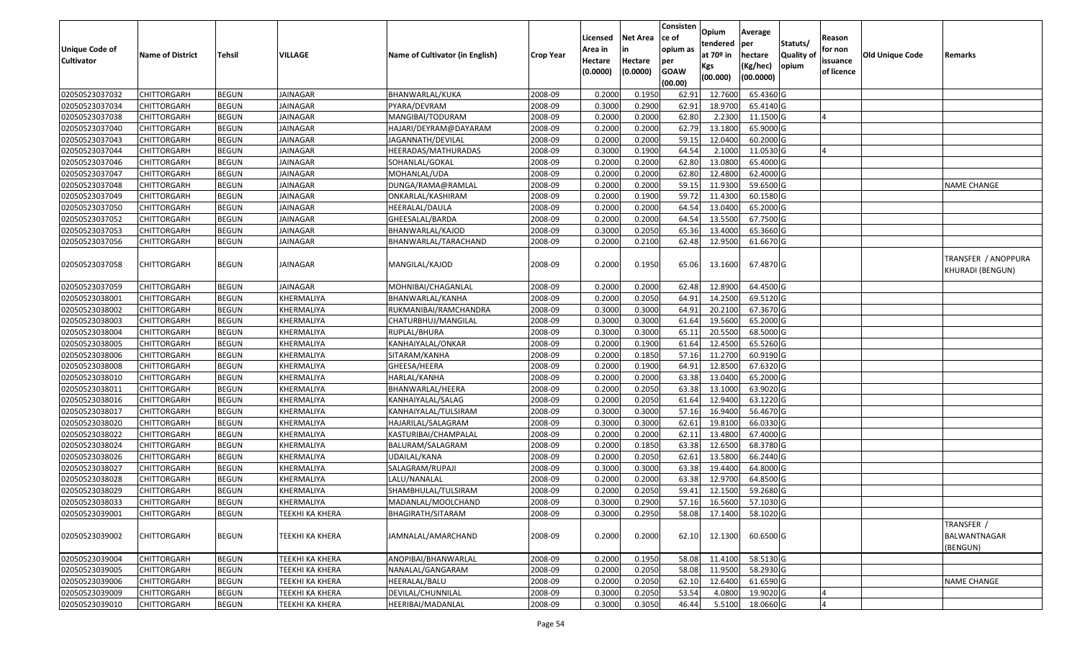| <b>Unique Code of</b><br><b>Cultivator</b> | <b>Name of District</b> | Tehsil       | VILLAGE         | Name of Cultivator (in English) | <b>Crop Year</b> | Licensed<br>Area in<br>Hectare<br>(0.0000) | <b>Net Area</b><br>in<br>Hectare<br>(0.0000) | Consisten<br>ce of<br>opium as<br>per<br><b>GOAW</b><br>(00.00) | Opium<br>tendered<br>at 70º in<br>Kgs<br>(00.000) | Average<br>per<br>hectare<br>(Kg/hec)<br>(00.0000) | Statuts/<br>Quality of<br>opium | Reason<br>for non<br>issuance<br>of licence | Old Unique Code | Remarks                                 |
|--------------------------------------------|-------------------------|--------------|-----------------|---------------------------------|------------------|--------------------------------------------|----------------------------------------------|-----------------------------------------------------------------|---------------------------------------------------|----------------------------------------------------|---------------------------------|---------------------------------------------|-----------------|-----------------------------------------|
| 02050523037032                             | <b>CHITTORGARH</b>      | <b>BEGUN</b> | JAINAGAR        | BHANWARLAL/KUKA                 | 2008-09          | 0.2000                                     | 0.1950                                       | 62.91                                                           | 12.7600                                           | 65.4360 G                                          |                                 |                                             |                 |                                         |
| 02050523037034                             | <b>CHITTORGARH</b>      | <b>BEGUN</b> | JAINAGAR        | PYARA/DEVRAM                    | 2008-09          | 0.3000                                     | 0.2900                                       | 62.91                                                           | 18.9700                                           | 65.4140 G                                          |                                 |                                             |                 |                                         |
| 02050523037038                             | <b>CHITTORGARH</b>      | <b>BEGUN</b> | JAINAGAR        | MANGIBAI/TODURAM                | 2008-09          | 0.2000                                     | 0.2000                                       | 62.80                                                           | 2.2300                                            | 11.1500 G                                          |                                 |                                             |                 |                                         |
| 02050523037040                             | <b>CHITTORGARH</b>      | <b>BEGUN</b> | <b>JAINAGAR</b> | HAJARI/DEYRAM@DAYARAM           | 2008-09          | 0.2000                                     | 0.2000                                       | 62.79                                                           | 13.1800                                           | 65.9000 G                                          |                                 |                                             |                 |                                         |
| 02050523037043                             | <b>CHITTORGARH</b>      | <b>BEGUN</b> | <b>JAINAGAR</b> | JAGANNATH/DEVILAL               | 2008-09          | 0.2000                                     | 0.2000                                       | 59.1                                                            | 12.0400                                           | 60.2000 G                                          |                                 |                                             |                 |                                         |
| 02050523037044                             | <b>CHITTORGARH</b>      | <b>BEGUN</b> | <b>JAINAGAR</b> | HEERADAS/MATHURADAS             | 2008-09          | 0.3000                                     | 0.1900                                       | 64.54                                                           | 2.1000                                            | 11.0530 G                                          |                                 |                                             |                 |                                         |
| 02050523037046                             | CHITTORGARH             | <b>BEGUN</b> | JAINAGAR        | SOHANLAL/GOKAL                  | 2008-09          | 0.2000                                     | 0.2000                                       | 62.80                                                           | 13.0800                                           | 65.4000 G                                          |                                 |                                             |                 |                                         |
| 02050523037047                             | <b>CHITTORGARH</b>      | <b>BEGUN</b> | <b>JAINAGAR</b> | MOHANLAL/UDA                    | 2008-09          | 0.2000                                     | 0.2000                                       | 62.80                                                           | 12.4800                                           | 62.4000 G                                          |                                 |                                             |                 |                                         |
| 02050523037048                             | <b>CHITTORGARH</b>      | <b>BEGUN</b> | <b>JAINAGAR</b> | DUNGA/RAMA@RAMLAL               | 2008-09          | 0.2000                                     | 0.2000                                       | 59.15                                                           | 11.9300                                           | 59.6500 G                                          |                                 |                                             |                 | <b>NAME CHANGE</b>                      |
| 02050523037049                             | <b>CHITTORGARH</b>      | <b>BEGUN</b> | <b>JAINAGAR</b> | ONKARLAL/KASHIRAM               | 2008-09          | 0.2000                                     | 0.1900                                       | 59.72                                                           | 11.4300                                           | 60.1580 G                                          |                                 |                                             |                 |                                         |
| 02050523037050                             | <b>CHITTORGARH</b>      | <b>BEGUN</b> | <b>JAINAGAR</b> | HEERALAL/DAULA                  | 2008-09          | 0.2000                                     | 0.2000                                       | 64.54                                                           | 13.0400                                           | 65.2000 G                                          |                                 |                                             |                 |                                         |
| 02050523037052                             | <b>CHITTORGARH</b>      | <b>BEGUN</b> | <b>JAINAGAR</b> | GHEESALAL/BARDA                 | 2008-09          | 0.2000                                     | 0.2000                                       | 64.54                                                           | 13.5500                                           | 67.7500 G                                          |                                 |                                             |                 |                                         |
| 02050523037053                             | <b>CHITTORGARH</b>      | <b>BEGUN</b> | JAINAGAR        | BHANWARLAL/KAJOD                | 2008-09          | 0.3000                                     | 0.2050                                       | 65.36                                                           | 13.4000                                           | 65.3660 G                                          |                                 |                                             |                 |                                         |
| 02050523037056                             | <b>CHITTORGARH</b>      | <b>BEGUN</b> | JAINAGAR        | BHANWARLAL/TARACHAND            | 2008-09          | 0.2000                                     | 0.2100                                       | 62.48                                                           | 12.9500                                           | 61.6670 G                                          |                                 |                                             |                 |                                         |
| 02050523037058                             | <b>CHITTORGARH</b>      | <b>BEGUN</b> | JAINAGAR        | MANGILAL/KAJOD                  | 2008-09          | 0.2000                                     | 0.1950                                       | 65.06                                                           | 13.1600                                           | 67.4870 G                                          |                                 |                                             |                 | TRANSFER / ANOPPURA<br>KHURADI (BENGUN) |
| 02050523037059                             | <b>CHITTORGARH</b>      | <b>BEGUN</b> | JAINAGAR        | MOHNIBAI/CHAGANLAL              | 2008-09          | 0.2000                                     | 0.2000                                       | 62.48                                                           | 12.8900                                           | 64.4500 G                                          |                                 |                                             |                 |                                         |
| 02050523038001                             | <b>CHITTORGARH</b>      | <b>BEGUN</b> | KHERMALIYA      | BHANWARLAL/KANHA                | 2008-09          | 0.2000                                     | 0.2050                                       | 64.91                                                           | 14.2500                                           | 69.5120 G                                          |                                 |                                             |                 |                                         |
| 02050523038002                             | <b>CHITTORGARH</b>      | <b>BEGUN</b> | KHERMALIYA      | RUKMANIBAI/RAMCHANDRA           | 2008-09          | 0.3000                                     | 0.3000                                       | 64.91                                                           | 20.2100                                           | 67.3670 G                                          |                                 |                                             |                 |                                         |
| 02050523038003                             | <b>CHITTORGARH</b>      | <b>BEGUN</b> | KHERMALIYA      | CHATURBHUJ/MANGILAL             | 2008-09          | 0.3000                                     | 0.3000                                       | 61.64                                                           | 19.5600                                           | 65.2000 G                                          |                                 |                                             |                 |                                         |
| 02050523038004                             | <b>CHITTORGARH</b>      | <b>BEGUN</b> | KHERMALIYA      | RUPLAL/BHURA                    | 2008-09          | 0.3000                                     | 0.3000                                       | 65.1                                                            | 20.5500                                           | 68.5000 G                                          |                                 |                                             |                 |                                         |
| 02050523038005                             | <b>CHITTORGARH</b>      | <b>BEGUN</b> | KHERMALIYA      | KANHAIYALAL/ONKAR               | 2008-09          | 0.2000                                     | 0.1900                                       | 61.64                                                           | 12.4500                                           | 65.5260 G                                          |                                 |                                             |                 |                                         |
| 02050523038006                             | CHITTORGARH             | <b>BEGUN</b> | KHERMALIYA      | SITARAM/KANHA                   | 2008-09          | 0.2000                                     | 0.1850                                       | 57.16                                                           | 11.2700                                           | 60.9190 G                                          |                                 |                                             |                 |                                         |
| 02050523038008                             | <b>CHITTORGARH</b>      | <b>BEGUN</b> | KHERMALIYA      | GHEESA/HEERA                    | 2008-09          | 0.2000                                     | 0.1900                                       | 64.91                                                           | 12.8500                                           | 67.6320 G                                          |                                 |                                             |                 |                                         |
| 02050523038010                             | <b>CHITTORGARH</b>      | <b>BEGUN</b> | KHERMALIYA      | HARLAL/KANHA                    | 2008-09          | 0.2000                                     | 0.2000                                       | 63.38                                                           | 13.0400                                           | 65.2000 G                                          |                                 |                                             |                 |                                         |
| 02050523038011                             | <b>CHITTORGARH</b>      | <b>BEGUN</b> | KHERMALIYA      | BHANWARLAL/HEERA                | 2008-09          | 0.2000                                     | 0.2050                                       | 63.38                                                           | 13.1000                                           | 63.9020 G                                          |                                 |                                             |                 |                                         |
| 02050523038016                             | <b>CHITTORGARH</b>      | <b>BEGUN</b> | KHERMALIYA      | KANHAIYALAL/SALAG               | 2008-09          | 0.2000                                     | 0.2050                                       | 61.64                                                           | 12.9400                                           | 63.1220 G                                          |                                 |                                             |                 |                                         |
| 02050523038017                             | <b>CHITTORGARH</b>      | <b>BEGUN</b> | KHERMALIYA      | KANHAIYALAL/TULSIRAM            | 2008-09          | 0.3000                                     | 0.3000                                       | 57.16                                                           | 16.9400                                           | 56.4670 G                                          |                                 |                                             |                 |                                         |
| 02050523038020                             | <b>CHITTORGARH</b>      | <b>BEGUN</b> | KHERMALIYA      | HAJARILAL/SALAGRAM              | 2008-09          | 0.3000                                     | 0.3000                                       | 62.61                                                           | 19.8100                                           | 66.0330 G                                          |                                 |                                             |                 |                                         |
| 02050523038022                             | <b>CHITTORGARH</b>      | <b>BEGUN</b> | KHERMALIYA      | KASTURIBAI/CHAMPALAL            | 2008-09          | 0.2000                                     | 0.2000                                       | 62.1                                                            | 13.4800                                           | 67.4000 G                                          |                                 |                                             |                 |                                         |
| 02050523038024                             | CHITTORGARH             | <b>BEGUN</b> | KHERMALIYA      | BALURAM/SALAGRAM                | 2008-09          | 0.2000                                     | 0.1850                                       | 63.38                                                           | 12.6500                                           | 68.3780 G                                          |                                 |                                             |                 |                                         |
| 02050523038026                             | <b>CHITTORGARH</b>      | <b>BEGUN</b> | KHERMALIYA      | UDAILAL/KANA                    | 2008-09          | 0.2000                                     | 0.2050                                       | 62.61                                                           | 13.5800                                           | 66.2440 G                                          |                                 |                                             |                 |                                         |
| 02050523038027                             | <b>CHITTORGARH</b>      | <b>BEGUN</b> | KHERMALIYA      | SALAGRAM/RUPAJI                 | 2008-09          | 0.3000                                     | 0.3000                                       | 63.38                                                           | 19.4400                                           | 64.8000 G                                          |                                 |                                             |                 |                                         |
| 02050523038028                             | <b>CHITTORGARH</b>      | <b>BEGUN</b> | KHERMALIYA      | LALU/NANALAL                    | 2008-09          | 0.2000                                     | 0.2000                                       | 63.38                                                           | 12.9700                                           | 64.8500 G                                          |                                 |                                             |                 |                                         |
| 02050523038029                             | <b>CHITTORGARH</b>      | <b>BEGUN</b> | KHERMALIYA      | SHAMBHULAL/TULSIRAM             | 2008-09          | 0.2000                                     | 0.2050                                       | 59.41                                                           | 12.1500                                           | 59.2680 G                                          |                                 |                                             |                 |                                         |
| 02050523038033                             | <b>CHITTORGARH</b>      | <b>BEGUN</b> | KHERMALIYA      | MADANLAL/MOOLCHAND              | 2008-09          | 0.3000                                     | 0.2900                                       |                                                                 |                                                   | 57.16 16.5600 57.1030 G                            |                                 |                                             |                 |                                         |
| 02050523039001                             | <b>CHITTORGARH</b>      | <b>BEGUN</b> | TEEKHI KA KHERA | BHAGIRATH/SITARAM               | 2008-09          | 0.3000                                     | 0.2950                                       | 58.08                                                           | 17.1400                                           | 58.1020 G                                          |                                 |                                             |                 |                                         |
| 02050523039002                             | <b>CHITTORGARH</b>      | <b>BEGUN</b> | TEEKHI KA KHERA | JAMNALAL/AMARCHAND              | 2008-09          | 0.2000                                     | 0.2000                                       | 62.10                                                           | 12.1300                                           | 60.6500 G                                          |                                 |                                             |                 | TRANSFER /<br>BALWANTNAGAR<br>(BENGUN)  |
| 02050523039004                             | <b>CHITTORGARH</b>      | <b>BEGUN</b> | TEEKHI KA KHERA | ANOPIBAI/BHANWARLAL             | 2008-09          | 0.2000                                     | 0.1950                                       | 58.08                                                           | 11.4100                                           | 58.5130 G                                          |                                 |                                             |                 |                                         |
| 02050523039005                             | <b>CHITTORGARH</b>      | <b>BEGUN</b> | TEEKHI KA KHERA | NANALAL/GANGARAM                | 2008-09          | 0.2000                                     | 0.2050                                       | 58.08                                                           | 11.9500                                           | 58.2930 G                                          |                                 |                                             |                 |                                         |
| 02050523039006                             | <b>CHITTORGARH</b>      | <b>BEGUN</b> | TEEKHI KA KHERA | HEERALAL/BALU                   | 2008-09          | 0.2000                                     | 0.2050                                       | 62.10                                                           | 12.6400                                           | 61.6590 G                                          |                                 |                                             |                 | <b>NAME CHANGE</b>                      |
| 02050523039009                             | <b>CHITTORGARH</b>      | <b>BEGUN</b> | TEEKHI KA KHERA | DEVILAL/CHUNNILAL               | 2008-09          | 0.3000                                     | 0.2050                                       | 53.54                                                           | 4.0800                                            | 19.9020 G                                          |                                 |                                             |                 |                                         |
| 02050523039010                             | <b>CHITTORGARH</b>      | <b>BEGUN</b> | TEEKHI KA KHERA | HEERIBAI/MADANLAL               | 2008-09          | 0.3000                                     | 0.3050                                       | 46.44                                                           |                                                   | 5.5100 18.0660 G                                   |                                 |                                             |                 |                                         |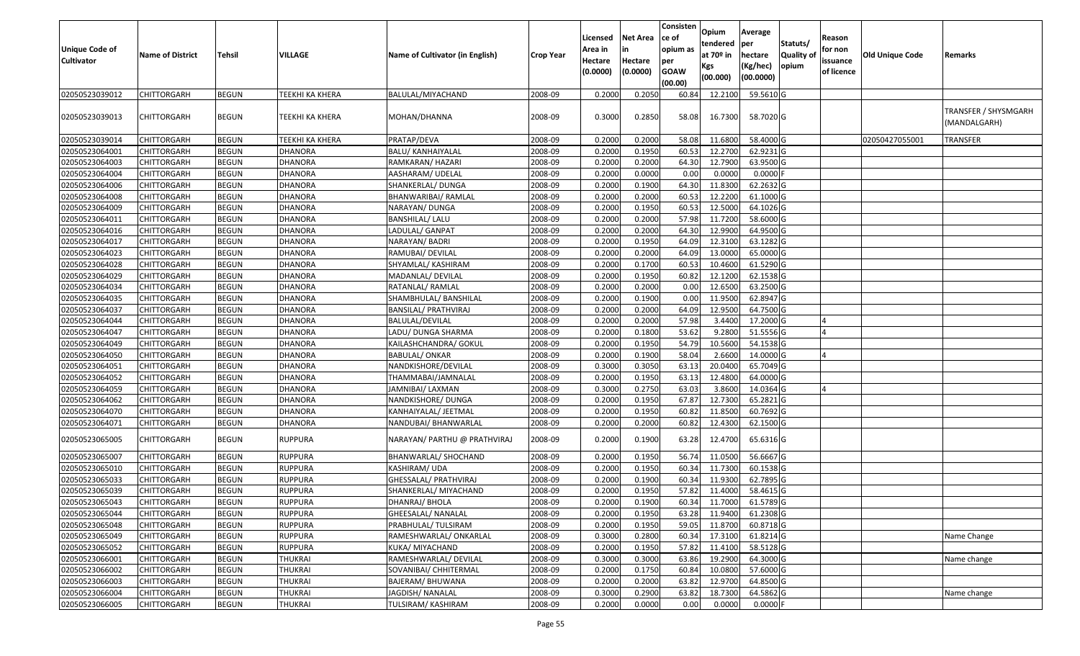| Unique Code of<br><b>Cultivator</b> | <b>Name of District</b> | <b>Tehsil</b> | VILLAGE         | Name of Cultivator (in English) | <b>Crop Year</b> | Licensed<br>Area in<br>Hectare<br>(0.0000) | <b>Net Area</b><br>in<br>Hectare<br>(0.0000) | Consisten<br>ce of<br>opium as<br>per<br><b>GOAW</b><br>(00.00) | Opium<br>tendered<br>at 70º in<br>Kgs<br>(00.000) | Average<br> per<br>hectare<br>(Kg/hec)<br>(00.0000) | Statuts/<br>Quality of<br>opium | Reason<br>for non<br>issuance<br>of licence | <b>Old Unique Code</b> | Remarks                              |
|-------------------------------------|-------------------------|---------------|-----------------|---------------------------------|------------------|--------------------------------------------|----------------------------------------------|-----------------------------------------------------------------|---------------------------------------------------|-----------------------------------------------------|---------------------------------|---------------------------------------------|------------------------|--------------------------------------|
| 02050523039012                      | CHITTORGARH             | <b>BEGUN</b>  | TEEKHI KA KHERA | BALULAL/MIYACHAND               | 2008-09          | 0.2000                                     | 0.205                                        | 60.84                                                           | 12.2100                                           | 59.5610 G                                           |                                 |                                             |                        |                                      |
| 02050523039013                      | CHITTORGARH             | <b>BEGUN</b>  | TEEKHI KA KHERA | MOHAN/DHANNA                    | 2008-09          | 0.3000                                     | 0.2850                                       | 58.08                                                           | 16.7300                                           | 58.7020 G                                           |                                 |                                             |                        | TRANSFER / SHYSMGARH<br>(MANDALGARH) |
| 02050523039014                      | CHITTORGARH             | <b>BEGUN</b>  | TEEKHI KA KHERA | PRATAP/DEVA                     | 2008-09          | 0.2000                                     | 0.2000                                       | 58.08                                                           | 11.6800                                           | 58.4000 G                                           |                                 |                                             | 02050427055001         | TRANSFER                             |
| 02050523064001                      | CHITTORGARH             | <b>BEGUN</b>  | <b>DHANORA</b>  | <b>BALU/ KANHAIYALAL</b>        | 2008-09          | 0.2000                                     | 0.1950                                       | 60.53                                                           | 12.2700                                           | 62.9231 G                                           |                                 |                                             |                        |                                      |
| 02050523064003                      | CHITTORGARH             | <b>BEGUN</b>  | <b>DHANORA</b>  | RAMKARAN/ HAZARI                | 2008-09          | 0.2000                                     | 0.2000                                       | 64.30                                                           | 12.7900                                           | 63.9500 G                                           |                                 |                                             |                        |                                      |
| 02050523064004                      | CHITTORGARH             | <b>BEGUN</b>  | <b>DHANORA</b>  | AASHARAM/ UDELAL                | 2008-09          | 0.2000                                     | 0.0000                                       | 0.00                                                            | 0.0000                                            | 0.0000                                              |                                 |                                             |                        |                                      |
| 02050523064006                      | CHITTORGARH             | <b>BEGUN</b>  | <b>DHANORA</b>  | SHANKERLAL/ DUNGA               | 2008-09          | 0.2000                                     | 0.1900                                       | 64.30                                                           | 11.8300                                           | 62.2632 G                                           |                                 |                                             |                        |                                      |
| 02050523064008                      | CHITTORGARH             | <b>BEGUN</b>  | <b>DHANORA</b>  | BHANWARIBAI/ RAMLAL             | 2008-09          | 0.2000                                     | 0.2000                                       | 60.5                                                            | 12.2200                                           | 61.1000 G                                           |                                 |                                             |                        |                                      |
| 02050523064009                      | CHITTORGARH             | <b>BEGUN</b>  | <b>DHANORA</b>  | NARAYAN/ DUNGA                  | 2008-09          | 0.2000                                     | 0.1950                                       | 60.5                                                            | 12.5000                                           | 64.1026 G                                           |                                 |                                             |                        |                                      |
| 02050523064011                      | CHITTORGARH             | <b>BEGUN</b>  | <b>DHANORA</b>  | <b>BANSHILAL/ LALU</b>          | 2008-09          | 0.2000                                     | 0.2000                                       | 57.98                                                           | 11.7200                                           | 58.6000 G                                           |                                 |                                             |                        |                                      |
| 02050523064016                      | CHITTORGARH             | <b>BEGUN</b>  | <b>DHANORA</b>  | LADULAL/ GANPAT                 | 2008-09          | 0.2000                                     | 0.2000                                       | 64.30                                                           | 12.9900                                           | 64.9500 G                                           |                                 |                                             |                        |                                      |
| 02050523064017                      | CHITTORGARH             | <b>BEGUN</b>  | <b>DHANORA</b>  | NARAYAN/ BADRI                  | 2008-09          | 0.2000                                     | 0.1950                                       | 64.09                                                           | 12.3100                                           | 63.1282 G                                           |                                 |                                             |                        |                                      |
| 02050523064023                      | CHITTORGARH             | <b>BEGUN</b>  | <b>DHANORA</b>  | RAMUBAI/ DEVILAL                | 2008-09          | 0.2000                                     | 0.2000                                       | 64.09                                                           | 13.0000                                           | 65.0000 G                                           |                                 |                                             |                        |                                      |
| 02050523064028                      | CHITTORGARH             | <b>BEGUN</b>  | <b>DHANORA</b>  | SHYAMLAL/ KASHIRAM              | 2008-09          | 0.2000                                     | 0.1700                                       | 60.53                                                           | 10.4600                                           | 61.5290 G                                           |                                 |                                             |                        |                                      |
| 02050523064029                      | <b>CHITTORGARH</b>      | <b>BEGUN</b>  | <b>DHANORA</b>  | MADANLAL/ DEVILAL               | 2008-09          | 0.2000                                     | 0.1950                                       | 60.82                                                           | 12.1200                                           | 62.1538 G                                           |                                 |                                             |                        |                                      |
| 02050523064034                      | CHITTORGARH             | <b>BEGUN</b>  | <b>DHANORA</b>  | RATANLAL/RAMLAL                 | 2008-09          | 0.2000                                     | 0.2000                                       | 0.00                                                            | 12.6500                                           | 63.2500 G                                           |                                 |                                             |                        |                                      |
| 02050523064035                      | CHITTORGARH             | <b>BEGUN</b>  | <b>DHANORA</b>  | SHAMBHULAL/ BANSHILAL           | 2008-09          | 0.2000                                     | 0.1900                                       | 0.00                                                            | 11.9500                                           | 62.8947 G                                           |                                 |                                             |                        |                                      |
| 02050523064037                      | CHITTORGARH             | <b>BEGUN</b>  | <b>DHANORA</b>  | <b>BANSILAL/ PRATHVIRAJ</b>     | 2008-09          | 0.2000                                     | 0.2000                                       | 64.09                                                           | 12.9500                                           | 64.7500 G                                           |                                 |                                             |                        |                                      |
| 02050523064044                      | CHITTORGARH             | <b>BEGUN</b>  | <b>DHANORA</b>  | BALULAL/DEVILAL                 | 2008-09          | 0.2000                                     | 0.2000                                       | 57.98                                                           | 3.4400                                            | 17.2000 G                                           |                                 |                                             |                        |                                      |
| 02050523064047                      | CHITTORGARH             | <b>BEGUN</b>  | <b>DHANORA</b>  | LADU/ DUNGA SHARMA              | 2008-09          | 0.2000                                     | 0.1800                                       | 53.62                                                           | 9.2800                                            | 51.5556 G                                           |                                 |                                             |                        |                                      |
| 02050523064049                      | CHITTORGARH             | <b>BEGUN</b>  | <b>DHANORA</b>  | KAILASHCHANDRA/ GOKUL           | 2008-09          | 0.2000                                     | 0.1950                                       | 54.79                                                           | 10.5600                                           | 54.1538 G                                           |                                 |                                             |                        |                                      |
| 02050523064050                      | CHITTORGARH             | <b>BEGUN</b>  | <b>DHANORA</b>  | <b>BABULAL/ ONKAR</b>           | 2008-09          | 0.2000                                     | 0.1900                                       | 58.04                                                           | 2.6600                                            | 14.0000 G                                           |                                 |                                             |                        |                                      |
| 02050523064051                      | CHITTORGARH             | <b>BEGUN</b>  | <b>DHANORA</b>  | NANDKISHORE/DEVILAL             | 2008-09          | 0.3000                                     | 0.3050                                       | 63.13                                                           | 20.0400                                           | 65.7049 G                                           |                                 |                                             |                        |                                      |
| 02050523064052                      | CHITTORGARH             | <b>BEGUN</b>  | <b>DHANORA</b>  | THAMMABAI/JAMNALAL              | 2008-09          | 0.2000                                     | 0.1950                                       | 63.13                                                           | 12.4800                                           | 64.0000 G                                           |                                 |                                             |                        |                                      |
| 02050523064059                      | CHITTORGARH             | <b>BEGUN</b>  | <b>DHANORA</b>  | JAMNIBAI/ LAXMAN                | 2008-09          | 0.3000                                     | 0.2750                                       | 63.03                                                           | 3.8600                                            | 14.0364 G                                           |                                 |                                             |                        |                                      |
| 02050523064062                      | CHITTORGARH             | <b>BEGUN</b>  | <b>DHANORA</b>  | NANDKISHORE/ DUNGA              | 2008-09          | 0.2000                                     | 0.1950                                       | 67.87                                                           | 12.7300                                           | 65.2821 G                                           |                                 |                                             |                        |                                      |
| 02050523064070                      | CHITTORGARH             | <b>BEGUN</b>  | <b>DHANORA</b>  | KANHAIYALAL/ JEETMAL            | 2008-09          | 0.2000                                     | 0.1950                                       | 60.82                                                           | 11.8500                                           | 60.7692 G                                           |                                 |                                             |                        |                                      |
| 02050523064071                      | CHITTORGARH             | <b>BEGUN</b>  | <b>DHANORA</b>  | NANDUBAI/ BHANWARLAL            | 2008-09          | 0.2000                                     | 0.2000                                       | 60.82                                                           | 12.4300                                           | 62.1500 G                                           |                                 |                                             |                        |                                      |
| 02050523065005                      | CHITTORGARH             | <b>BEGUN</b>  | RUPPURA         | NARAYAN/ PARTHU @ PRATHVIRAJ    | 2008-09          | 0.2000                                     | 0.1900                                       | 63.28                                                           | 12.4700                                           | 65.6316 G                                           |                                 |                                             |                        |                                      |
| 02050523065007                      | CHITTORGARH             | <b>BEGUN</b>  | <b>RUPPURA</b>  | BHANWARLAL/ SHOCHAND            | 2008-09          | 0.2000                                     | 0.1950                                       | 56.7                                                            | 11.0500                                           | 56.6667 G                                           |                                 |                                             |                        |                                      |
| 02050523065010                      | CHITTORGARH             | <b>BEGUN</b>  | <b>RUPPURA</b>  | KASHIRAM/ UDA                   | 2008-09          | 0.2000                                     | 0.1950                                       | 60.34                                                           | 11.7300                                           | 60.1538 G                                           |                                 |                                             |                        |                                      |
| 02050523065033                      | CHITTORGARH             | <b>BEGUN</b>  | <b>RUPPURA</b>  | GHESSALAL/ PRATHVIRAJ           | 2008-09          | 0.2000                                     | 0.1900                                       | 60.3                                                            | 11.9300                                           | 62.7895 G                                           |                                 |                                             |                        |                                      |
| 02050523065039                      | CHITTORGARH             | <b>BEGUN</b>  | RUPPURA         | SHANKERLAL/ MIYACHAND           | 2008-09          | 0.2000                                     | 0.1950                                       | 57.82                                                           | 11.4000                                           | 58.4615 G                                           |                                 |                                             |                        |                                      |
| 02050523065043                      | <b>CHITTORGARH</b>      | <b>BEGUN</b>  | <b>RUPPURA</b>  | DHANRAJ/ BHOLA                  | 2008-09          | 0.2000                                     | 0.1900                                       |                                                                 | 60.34 11.7000 61.5789 G                           |                                                     |                                 |                                             |                        |                                      |
| 02050523065044                      | <b>CHITTORGARH</b>      | <b>BEGUN</b>  | <b>RUPPURA</b>  | <b>GHEESALAL/ NANALAL</b>       | 2008-09          | 0.2000                                     | 0.1950                                       | 63.28                                                           | 11.9400                                           | 61.2308 G                                           |                                 |                                             |                        |                                      |
| 02050523065048                      | <b>CHITTORGARH</b>      | <b>BEGUN</b>  | <b>RUPPURA</b>  | PRABHULAL/ TULSIRAM             | 2008-09          | 0.2000                                     | 0.1950                                       | 59.05                                                           | 11.8700                                           | 60.8718 G                                           |                                 |                                             |                        |                                      |
| 02050523065049                      | <b>CHITTORGARH</b>      | <b>BEGUN</b>  | <b>RUPPURA</b>  | RAMESHWARLAL/ ONKARLAL          | 2008-09          | 0.3000                                     | 0.2800                                       | 60.34                                                           | 17.3100                                           | 61.8214 G                                           |                                 |                                             |                        | Name Change                          |
| 02050523065052                      | CHITTORGARH             | <b>BEGUN</b>  | RUPPURA         | KUKA/ MIYACHAND                 | 2008-09          | 0.2000                                     | 0.1950                                       | 57.82                                                           | 11.4100                                           | 58.5128 G                                           |                                 |                                             |                        |                                      |
| 02050523066001                      | <b>CHITTORGARH</b>      | <b>BEGUN</b>  | <b>THUKRAI</b>  | RAMESHWARLAL/ DEVILAL           | 2008-09          | 0.3000                                     | 0.3000                                       | 63.86                                                           | 19.2900                                           | 64.3000 G                                           |                                 |                                             |                        | Name change                          |
| 02050523066002                      | <b>CHITTORGARH</b>      | <b>BEGUN</b>  | THUKRAI         | SOVANIBAI/ CHHITERMAL           | 2008-09          | 0.2000                                     | 0.1750                                       | 60.84                                                           | 10.0800                                           | 57.6000 G                                           |                                 |                                             |                        |                                      |
| 02050523066003                      | <b>CHITTORGARH</b>      | <b>BEGUN</b>  | THUKRAI         | BAJERAM/ BHUWANA                | 2008-09          | 0.2000                                     | 0.2000                                       | 63.82                                                           | 12.9700                                           | 64.8500 G                                           |                                 |                                             |                        |                                      |
| 02050523066004                      | CHITTORGARH             | <b>BEGUN</b>  | THUKRAI         | JAGDISH/ NANALAL                | 2008-09          | 0.3000                                     | 0.2900                                       | 63.82                                                           | 18.7300                                           | 64.5862 G                                           |                                 |                                             |                        | Name change                          |
| 02050523066005                      | <b>CHITTORGARH</b>      | <b>BEGUN</b>  | <b>THUKRAI</b>  | <b>TULSIRAM/ KASHIRAM</b>       | 2008-09          | 0.2000                                     | 0.0000                                       | 0.00                                                            | 0.0000                                            | $0.0000$ F                                          |                                 |                                             |                        |                                      |
|                                     |                         |               |                 |                                 |                  |                                            |                                              |                                                                 |                                                   |                                                     |                                 |                                             |                        |                                      |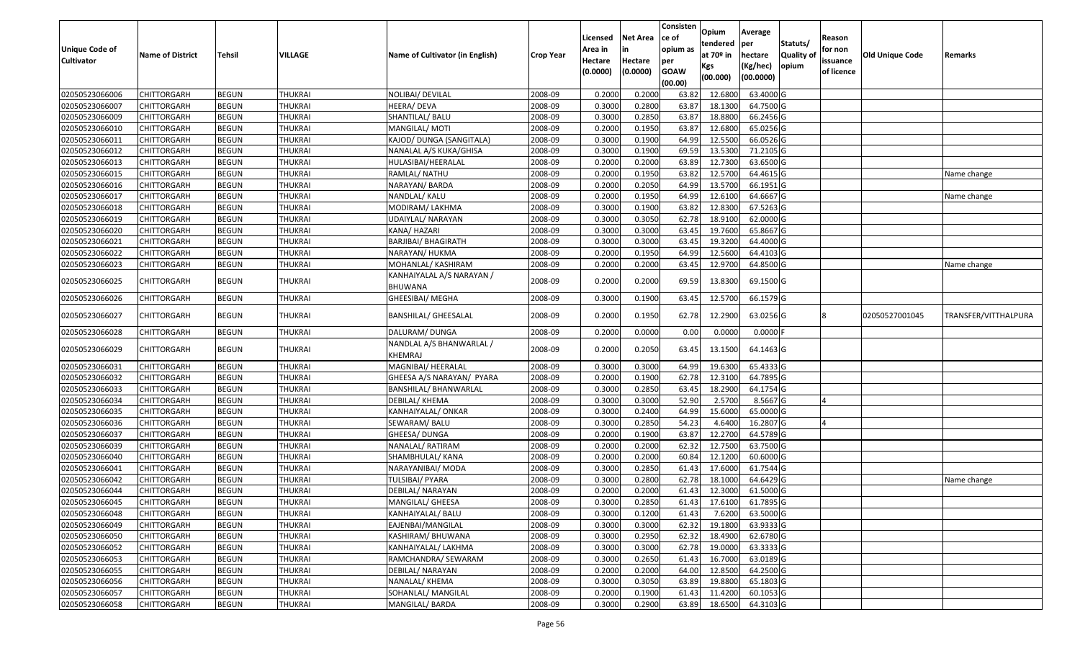| Unique Code of<br><b>Cultivator</b> | <b>Name of District</b> | Tehsil       | VILLAGE        | Name of Cultivator (in English)            | <b>Crop Year</b> | Licensed<br>Area in<br>Hectare<br>(0.0000) | Net Area<br>in<br>Hectare<br>(0.0000) | Consisten<br>ce of<br>opium as<br>per<br><b>GOAW</b><br>(00.00) | Opium<br>tendered<br>at 70º in<br>Kgs<br>(00.000) | Average<br>per<br>hectare<br>(Kg/hec)<br>(00.0000) | Statuts/<br><b>Quality of</b><br>opium | Reason<br>for non<br>issuance<br>of licence | <b>Old Unique Code</b> | Remarks              |
|-------------------------------------|-------------------------|--------------|----------------|--------------------------------------------|------------------|--------------------------------------------|---------------------------------------|-----------------------------------------------------------------|---------------------------------------------------|----------------------------------------------------|----------------------------------------|---------------------------------------------|------------------------|----------------------|
| 02050523066006                      | <b>CHITTORGARH</b>      | <b>BEGUN</b> | <b>THUKRAI</b> | NOLIBAI/ DEVILAL                           | 2008-09          | 0.2000                                     | 0.2000                                | 63.82                                                           | 12.6800                                           | 63.4000 G                                          |                                        |                                             |                        |                      |
| 02050523066007                      | CHITTORGARH             | <b>BEGUN</b> | <b>THUKRAI</b> | HEERA/ DEVA                                | 2008-09          | 0.3000                                     | 0.2800                                | 63.87                                                           | 18.1300                                           | 64.7500 G                                          |                                        |                                             |                        |                      |
| 02050523066009                      | CHITTORGARH             | <b>BEGUN</b> | <b>THUKRAI</b> | SHANTILAL/ BALU                            | 2008-09          | 0.3000                                     | 0.2850                                | 63.87                                                           | 18.8800                                           | 66.2456 G                                          |                                        |                                             |                        |                      |
| 02050523066010                      | <b>CHITTORGARH</b>      | <b>BEGUN</b> | <b>THUKRAI</b> | MANGILAL/ MOTI                             | 2008-09          | 0.2000                                     | 0.1950                                | 63.87                                                           | 12.6800                                           | 65.0256 G                                          |                                        |                                             |                        |                      |
| 02050523066011                      | CHITTORGARH             | <b>BEGUN</b> | <b>THUKRAI</b> | KAJOD/ DUNGA (SANGITALA)                   | 2008-09          | 0.3000                                     | 0.1900                                | 64.99                                                           | 12.5500                                           | 66.0526 G                                          |                                        |                                             |                        |                      |
| 02050523066012                      | <b>CHITTORGARH</b>      | <b>BEGUN</b> | THUKRAI        | NANALAL A/S KUKA/GHISA                     | 2008-09          | 0.3000                                     | 0.1900                                | 69.59                                                           | 13.5300                                           | 71.2105 G                                          |                                        |                                             |                        |                      |
| 02050523066013                      | CHITTORGARH             | <b>BEGUN</b> | THUKRAI        | HULASIBAI/HEERALAL                         | 2008-09          | 0.2000                                     | 0.2000                                | 63.89                                                           | 12.7300                                           | 63.6500 G                                          |                                        |                                             |                        |                      |
| 02050523066015                      | <b>CHITTORGARH</b>      | <b>BEGUN</b> | <b>THUKRAI</b> | RAMLAL/ NATHU                              | 2008-09          | 0.2000                                     | 0.1950                                | 63.82                                                           | 12.5700                                           | 64.4615 G                                          |                                        |                                             |                        | Name change          |
| 02050523066016                      | CHITTORGARH             | <b>BEGUN</b> | <b>THUKRAI</b> | NARAYAN/ BARDA                             | 2008-09          | 0.2000                                     | 0.2050                                | 64.99                                                           | 13.5700                                           | 66.1951 G                                          |                                        |                                             |                        |                      |
| 02050523066017                      | CHITTORGARH             | <b>BEGUN</b> | <b>THUKRAI</b> | NANDLAL/ KALU                              | 2008-09          | 0.2000                                     | 0.1950                                | 64.99                                                           | 12.6100                                           | 64.6667 G                                          |                                        |                                             |                        | Name change          |
| 02050523066018                      | CHITTORGARH             | <b>BEGUN</b> | <b>THUKRAI</b> | MODIRAM/ LAKHMA                            | 2008-09          | 0.3000                                     | 0.1900                                | 63.82                                                           | 12.8300                                           | 67.5263 G                                          |                                        |                                             |                        |                      |
| 02050523066019                      | <b>CHITTORGARH</b>      | <b>BEGUN</b> | <b>THUKRAI</b> | UDAIYLAL/ NARAYAN                          | 2008-09          | 0.3000                                     | 0.3050                                | 62.78                                                           | 18.9100                                           | 62.0000 G                                          |                                        |                                             |                        |                      |
| 02050523066020                      | <b>CHITTORGARH</b>      | <b>BEGUN</b> | <b>THUKRAI</b> | KANA/ HAZARI                               | 2008-09          | 0.3000                                     | 0.3000                                | 63.45                                                           | 19.7600                                           | 65.8667 G                                          |                                        |                                             |                        |                      |
| 02050523066021                      | <b>CHITTORGARH</b>      | <b>BEGUN</b> | <b>THUKRAI</b> | <b>BARJIBAI/ BHAGIRATH</b>                 | 2008-09          | 0.3000                                     | 0.3000                                | 63.45                                                           | 19.3200                                           | 64.4000 G                                          |                                        |                                             |                        |                      |
| 02050523066022                      | CHITTORGARH             | <b>BEGUN</b> | <b>THUKRAI</b> | NARAYAN/ HUKMA                             | 2008-09          | 0.2000                                     | 0.1950                                | 64.99                                                           | 12.5600                                           | 64.4103 G                                          |                                        |                                             |                        |                      |
| 02050523066023                      | <b>CHITTORGARH</b>      | <b>BEGUN</b> | <b>THUKRAI</b> | MOHANLAL/ KASHIRAM                         | 2008-09          | 0.2000                                     | 0.2000                                | 63.45                                                           | 12.9700                                           | 64.8500 G                                          |                                        |                                             |                        | Name change          |
| 02050523066025                      | CHITTORGARH             | <b>BEGUN</b> | THUKRAI        | KANHAIYALAL A/S NARAYAN /<br>BHUWANA       | 2008-09          | 0.2000                                     | 0.2000                                | 69.59                                                           | 13.8300                                           | 69.1500 G                                          |                                        |                                             |                        |                      |
| 02050523066026                      | CHITTORGARH             | <b>BEGUN</b> | THUKRAI        | GHEESIBAI/ MEGHA                           | 2008-09          | 0.3000                                     | 0.1900                                | 63.45                                                           | 12.5700                                           | 66.1579 G                                          |                                        |                                             |                        |                      |
| 02050523066027                      | CHITTORGARH             | <b>BEGUN</b> | THUKRAI        | <b>BANSHILAL/ GHEESALAL</b>                | 2008-09          | 0.2000                                     | 0.1950                                | 62.78                                                           | 12.2900                                           | 63.0256 G                                          |                                        |                                             | 02050527001045         | TRANSFER/VITTHALPURA |
| 02050523066028                      | CHITTORGARH             | <b>BEGUN</b> | THUKRAI        | DALURAM/ DUNGA                             | 2008-09          | 0.2000                                     | 0.0000                                | 0.00                                                            | 0.0000                                            | $0.0000$ F                                         |                                        |                                             |                        |                      |
| 02050523066029                      | CHITTORGARH             | <b>BEGUN</b> | THUKRAI        | NANDLAL A/S BHANWARLAL /<br><b>KHEMRAJ</b> | 2008-09          | 0.2000                                     | 0.2050                                | 63.45                                                           | 13.1500                                           | 64.1463 G                                          |                                        |                                             |                        |                      |
| 02050523066031                      | CHITTORGARH             | <b>BEGUN</b> | <b>THUKRAI</b> | MAGNIBAI/ HEERALAL                         | 2008-09          | 0.3000                                     | 0.3000                                | 64.99                                                           | 19.6300                                           | 65.4333 G                                          |                                        |                                             |                        |                      |
| 02050523066032                      | CHITTORGARH             | <b>BEGUN</b> | <b>THUKRAI</b> | GHEESA A/S NARAYAN/ PYARA                  | 2008-09          | 0.2000                                     | 0.1900                                | 62.78                                                           | 12.3100                                           | 64.7895 G                                          |                                        |                                             |                        |                      |
| 02050523066033                      | CHITTORGARH             | <b>BEGUN</b> | <b>THUKRAI</b> | BANSHILAL/ BHANWARLAL                      | 2008-09          | 0.3000                                     | 0.2850                                | 63.45                                                           | 18.2900                                           | 64.1754 G                                          |                                        |                                             |                        |                      |
| 02050523066034                      | CHITTORGARH             | <b>BEGUN</b> | <b>THUKRAI</b> | DEBILAL/ KHEMA                             | 2008-09          | 0.3000                                     | 0.3000                                | 52.90                                                           | 2.5700                                            | 8.5667 G                                           |                                        | $\Delta$                                    |                        |                      |
| 02050523066035                      | <b>CHITTORGARH</b>      | <b>BEGUN</b> | <b>THUKRAI</b> | KANHAIYALAL/ ONKAR                         | 2008-09          | 0.3000                                     | 0.2400                                | 64.99                                                           | 15.6000                                           | 65.0000 G                                          |                                        |                                             |                        |                      |
| 02050523066036                      | <b>CHITTORGARH</b>      | <b>BEGUN</b> | <b>THUKRAI</b> | SEWARAM/BALU                               | 2008-09          | 0.3000                                     | 0.2850                                | 54.23                                                           | 4.6400                                            | 16.2807 G                                          |                                        |                                             |                        |                      |
| 02050523066037                      | <b>CHITTORGARH</b>      | <b>BEGUN</b> | <b>THUKRAI</b> | GHEESA/ DUNGA                              | 2008-09          | 0.2000                                     | 0.1900                                | 63.87                                                           | 12.2700                                           | 64.5789 G                                          |                                        |                                             |                        |                      |
| 02050523066039                      | CHITTORGARH             | <b>BEGUN</b> | <b>THUKRAI</b> | NANALAL/RATIRAM                            | 2008-09          | 0.2000                                     | 0.2000                                | 62.32                                                           | 12.7500                                           | 63.7500 G                                          |                                        |                                             |                        |                      |
| 02050523066040                      | <b>CHITTORGARH</b>      | <b>BEGUN</b> | <b>THUKRAI</b> | SHAMBHULAL/ KANA                           | 2008-09          | 0.2000                                     | 0.2000                                | 60.84                                                           | 12.1200                                           | 60.6000 G                                          |                                        |                                             |                        |                      |
| 02050523066041                      | CHITTORGARH             | <b>BEGUN</b> | <b>THUKRAI</b> | NARAYANIBAI/ MODA                          | 2008-09          | 0.3000                                     | 0.2850                                | 61.43                                                           | 17.6000                                           | 61.7544 G                                          |                                        |                                             |                        |                      |
| 02050523066042                      | CHITTORGARH             | <b>BEGUN</b> | THUKRAI        | TULSIBAI/ PYARA                            | 2008-09          | 0.3000                                     | 0.2800                                | 62.78                                                           | 18.1000                                           | 64.6429 G                                          |                                        |                                             |                        | Name change          |
| 02050523066044                      | <b>CHITTORGARH</b>      | <b>BEGUN</b> | <b>THUKRAI</b> | DEBILAL/ NARAYAN                           | 2008-09          | 0.2000                                     | 0.2000                                | 61.43                                                           | 12.3000                                           | 61.5000 G                                          |                                        |                                             |                        |                      |
| 02050523066045                      | <b>CHITTORGARH</b>      | <b>BEGUN</b> | THUKRAI        | MANGILAL/ GHEESA                           | 2008-09          | 0.3000                                     | 0.2850                                | 61.43                                                           | 17.6100                                           | 61.7895 G                                          |                                        |                                             |                        |                      |
| 02050523066048                      | <b>CHITTORGARH</b>      | <b>BEGUN</b> | <b>THUKRAI</b> | KANHAIYALAL/ BALU                          | 2008-09          | 0.3000                                     | 0.1200                                | 61.43                                                           | 7.6200                                            | 63.5000 G                                          |                                        |                                             |                        |                      |
| 02050523066049                      | <b>CHITTORGARH</b>      | <b>BEGUN</b> | <b>THUKRAI</b> | EAJENBAI/MANGILAL                          | 2008-09          | 0.3000                                     | 0.3000                                | 62.32                                                           | 19.1800                                           | 63.9333 G                                          |                                        |                                             |                        |                      |
| 02050523066050                      | <b>CHITTORGARH</b>      | <b>BEGUN</b> | <b>THUKRAI</b> | KASHIRAM/ BHUWANA                          | 2008-09          | 0.3000                                     | 0.2950                                | 62.32                                                           | 18.4900                                           | 62.6780 G                                          |                                        |                                             |                        |                      |
| 02050523066052                      | <b>CHITTORGARH</b>      | <b>BEGUN</b> | <b>THUKRAI</b> | KANHAIYALAL/ LAKHMA                        | 2008-09          | 0.3000                                     | 0.3000                                | 62.78                                                           | 19.0000                                           | 63.3333 G                                          |                                        |                                             |                        |                      |
| 02050523066053                      | <b>CHITTORGARH</b>      | <b>BEGUN</b> | <b>THUKRAI</b> | RAMCHANDRA/ SEWARAM                        | 2008-09          | 0.3000                                     | 0.2650                                | 61.43                                                           | 16.7000                                           | 63.0189 G                                          |                                        |                                             |                        |                      |
| 02050523066055                      | <b>CHITTORGARH</b>      | <b>BEGUN</b> | <b>THUKRAI</b> | DEBILAL/ NARAYAN                           | 2008-09          | 0.2000                                     | 0.2000                                | 64.00                                                           | 12.8500                                           | 64.2500 G                                          |                                        |                                             |                        |                      |
| 02050523066056                      | <b>CHITTORGARH</b>      | <b>BEGUN</b> | <b>THUKRAI</b> | NANALAL/KHEMA                              | 2008-09          | 0.3000                                     | 0.3050                                | 63.89                                                           | 19.8800                                           | 65.1803 G                                          |                                        |                                             |                        |                      |
| 02050523066057                      | <b>CHITTORGARH</b>      | <b>BEGUN</b> | <b>THUKRAI</b> | SOHANLAL/ MANGILAL                         | 2008-09          | 0.2000                                     | 0.1900                                | 61.43                                                           | 11.4200                                           | $60.1053$ G                                        |                                        |                                             |                        |                      |
| 02050523066058                      | <b>CHITTORGARH</b>      | <b>BEGUN</b> | <b>THUKRAI</b> | MANGILAL/ BARDA                            | 2008-09          | 0.3000                                     | 0.2900                                | 63.89                                                           | 18.6500                                           | 64.3103 G                                          |                                        |                                             |                        |                      |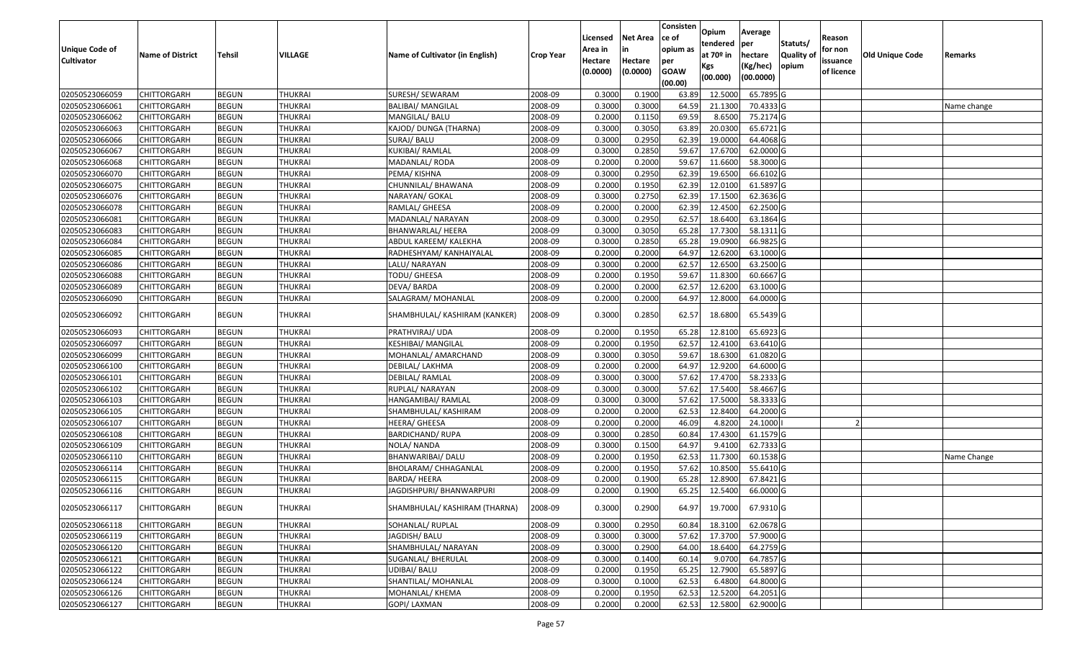| Unique Code of    | <b>Name of District</b> | Tehsil       | VILLAGE        | Name of Cultivator (in English) | <b>Crop Year</b> | Licensed<br>Area in | <b>Net Area</b><br>in | Consisten<br>ce of<br>opium as | Opium<br>tendered<br>at 70º in | Average<br>per<br>hectare | Statuts/<br>Quality of | Reason<br>for non      | Old Unique Code | Remarks     |
|-------------------|-------------------------|--------------|----------------|---------------------------------|------------------|---------------------|-----------------------|--------------------------------|--------------------------------|---------------------------|------------------------|------------------------|-----------------|-------------|
| <b>Cultivator</b> |                         |              |                |                                 |                  | Hectare<br>(0.0000) | Hectare<br>(0.0000)   | per<br><b>GOAW</b><br>(00.00)  | Kgs<br>(00.000)                | (Kg/hec)<br>(00.0000)     | opium                  | issuance<br>of licence |                 |             |
| 02050523066059    | CHITTORGARH             | <b>BEGUN</b> | THUKRAI        | <b>SURESH/ SEWARAM</b>          | 2008-09          | 0.3000              | 0.1900                | 63.89                          | 12.5000                        | 65.7895 G                 |                        |                        |                 |             |
| 02050523066061    | CHITTORGARH             | <b>BEGUN</b> | THUKRAI        | <b>BALIBAI/ MANGILAL</b>        | 2008-09          | 0.3000              | 0.3000                | 64.59                          | 21.1300                        | 70.4333 G                 |                        |                        |                 | Name change |
| 02050523066062    | CHITTORGARH             | <b>BEGUN</b> | THUKRAI        | MANGILAL/ BALU                  | 2008-09          | 0.2000              | 0.1150                | 69.59                          | 8.6500                         | 75.2174 G                 |                        |                        |                 |             |
| 02050523066063    | CHITTORGARH             | <b>BEGUN</b> | <b>THUKRAI</b> | KAJOD/ DUNGA (THARNA)           | 2008-09          | 0.3000              | 0.3050                | 63.89                          | 20.0300                        | 65.6721 G                 |                        |                        |                 |             |
| 02050523066066    | CHITTORGARH             | <b>BEGUN</b> | THUKRAI        | SURAJ/ BALU                     | 2008-09          | 0.3000              | 0.2950                | 62.39                          | 19.0000                        | 64.4068 G                 |                        |                        |                 |             |
| 02050523066067    | CHITTORGARH             | <b>BEGUN</b> | THUKRAI        | KUKIBAI/RAMLAL                  | 2008-09          | 0.3000              | 0.2850                | 59.67                          | 17.6700                        | 62.0000 G                 |                        |                        |                 |             |
| 02050523066068    | CHITTORGARH             | <b>BEGUN</b> | THUKRAI        | MADANLAL/ RODA                  | 2008-09          | 0.2000              | 0.2000                | 59.67                          | 11.6600                        | 58.3000 G                 |                        |                        |                 |             |
| 02050523066070    | CHITTORGARH             | <b>BEGUN</b> | <b>THUKRAI</b> | PEMA/KISHNA                     | 2008-09          | 0.3000              | 0.2950                | 62.39                          | 19.6500                        | 66.6102 G                 |                        |                        |                 |             |
| 02050523066075    | CHITTORGARH             | <b>BEGUN</b> | THUKRAI        | CHUNNILAL/ BHAWANA              | 2008-09          | 0.2000              | 0.1950                | 62.39                          | 12.0100                        | 61.5897 G                 |                        |                        |                 |             |
| 02050523066076    | CHITTORGARH             | <b>BEGUN</b> | <b>THUKRAI</b> | NARAYAN/ GOKAL                  | 2008-09          | 0.3000              | 0.2750                | 62.39                          | 17.1500                        | 62.3636 G                 |                        |                        |                 |             |
| 02050523066078    | CHITTORGARH             | <b>BEGUN</b> | <b>THUKRAI</b> | RAMLAL/ GHEESA                  | 2008-09          | 0.2000              | 0.2000                | 62.39                          | 12.4500                        | 62.2500 G                 |                        |                        |                 |             |
| 02050523066081    | CHITTORGARH             | <b>BEGUN</b> | <b>THUKRAI</b> | MADANLAL/ NARAYAN               | 2008-09          | 0.3000              | 0.2950                | 62.57                          | 18.6400                        | 63.1864 G                 |                        |                        |                 |             |
| 02050523066083    | <b>CHITTORGARH</b>      | <b>BEGUN</b> | <b>THUKRAI</b> | <b>BHANWARLAL/ HEERA</b>        | 2008-09          | 0.3000              | 0.3050                | 65.28                          | 17.7300                        | 58.1311 G                 |                        |                        |                 |             |
| 02050523066084    | CHITTORGARH             | <b>BEGUN</b> | THUKRAI        | ABDUL KAREEM/ KALEKHA           | 2008-09          | 0.3000              | 0.2850                | 65.28                          | 19.0900                        | 66.9825 G                 |                        |                        |                 |             |
| 02050523066085    | CHITTORGARH             | <b>BEGUN</b> | THUKRAI        | RADHESHYAM/ KANHAIYALAL         | 2008-09          | 0.2000              | 0.2000                | 64.97                          | 12.6200                        | 63.1000 G                 |                        |                        |                 |             |
| 02050523066086    | CHITTORGARH             | <b>BEGUN</b> | <b>THUKRAI</b> | LALU/ NARAYAN                   | 2008-09          | 0.3000              | 0.2000                | 62.57                          | 12.6500                        | 63.2500 G                 |                        |                        |                 |             |
| 02050523066088    | CHITTORGARH             | <b>BEGUN</b> | THUKRAI        | <b>TODU/ GHEESA</b>             | 2008-09          | 0.2000              | 0.1950                | 59.67                          | 11.8300                        | 60.6667 G                 |                        |                        |                 |             |
| 02050523066089    | CHITTORGARH             | <b>BEGUN</b> | THUKRAI        | DEVA/BARDA                      | 2008-09          | 0.2000              | 0.2000                | 62.57                          | 12.6200                        | 63.1000 G                 |                        |                        |                 |             |
| 02050523066090    | CHITTORGARH             | <b>BEGUN</b> | THUKRAI        | SALAGRAM/ MOHANLAL              | 2008-09          | 0.2000              | 0.2000                | 64.97                          | 12.8000                        | 64.0000 G                 |                        |                        |                 |             |
| 02050523066092    | CHITTORGARH             | <b>BEGUN</b> | THUKRAI        | SHAMBHULAL/ KASHIRAM (KANKER)   | 2008-09          | 0.3000              | 0.2850                | 62.57                          | 18.6800                        | 65.5439 G                 |                        |                        |                 |             |
| 02050523066093    | CHITTORGARH             | <b>BEGUN</b> | THUKRAI        | PRATHVIRAJ/ UDA                 | 2008-09          | 0.2000              | 0.1950                | 65.28                          | 12.8100                        | 65.6923 G                 |                        |                        |                 |             |
| 02050523066097    | CHITTORGARH             | <b>BEGUN</b> | THUKRAI        | KESHIBAI/ MANGILAL              | 2008-09          | 0.2000              | 0.1950                | 62.57                          | 12.4100                        | 63.6410 G                 |                        |                        |                 |             |
| 02050523066099    | CHITTORGARH             | <b>BEGUN</b> | THUKRAI        | MOHANLAL/ AMARCHAND             | 2008-09          | 0.3000              | 0.3050                | 59.67                          | 18.6300                        | 61.0820 G                 |                        |                        |                 |             |
| 02050523066100    | CHITTORGARH             | <b>BEGUN</b> | <b>THUKRAI</b> | DEBILAL/ LAKHMA                 | 2008-09          | 0.2000              | 0.2000                | 64.97                          | 12.9200                        | 64.6000 G                 |                        |                        |                 |             |
| 02050523066101    | CHITTORGARH             | <b>BEGUN</b> | THUKRAI        | DEBILAL/RAMLAL                  | 2008-09          | 0.3000              | 0.3000                | 57.62                          | 17.4700                        | 58.2333 G                 |                        |                        |                 |             |
| 02050523066102    | CHITTORGARH             | <b>BEGUN</b> | THUKRAI        | RUPLAL/ NARAYAN                 | 2008-09          | 0.3000              | 0.3000                | 57.62                          | 17.5400                        | 58.4667 G                 |                        |                        |                 |             |
| 02050523066103    | CHITTORGARH             | <b>BEGUN</b> | THUKRAI        | HANGAMIBAI/ RAMLAL              | 2008-09          | 0.3000              | 0.3000                | 57.62                          | 17.5000                        | 58.3333 G                 |                        |                        |                 |             |
| 02050523066105    | CHITTORGARH             | <b>BEGUN</b> | <b>THUKRAI</b> | SHAMBHULAL/ KASHIRAM            | 2008-09          | 0.2000              | 0.2000                | 62.53                          | 12.8400                        | 64.2000 G                 |                        |                        |                 |             |
| 02050523066107    | CHITTORGARH             | <b>BEGUN</b> | <b>THUKRAI</b> | HEERA/ GHEESA                   | 2008-09          | 0.2000              | 0.2000                | 46.09                          | 4.8200                         | 24.1000                   |                        |                        |                 |             |
| 02050523066108    | CHITTORGARH             | <b>BEGUN</b> | <b>THUKRAI</b> | <b>BARDICHAND/ RUPA</b>         | 2008-09          | 0.3000              | 0.2850                | 60.84                          | 17.4300                        | 61.1579 G                 |                        |                        |                 |             |
| 02050523066109    | CHITTORGARH             | <b>BEGUN</b> | THUKRAI        | NOLA/NANDA                      | 2008-09          | 0.3000              | 0.1500                | 64.97                          | 9.4100                         | 62.7333 G                 |                        |                        |                 |             |
| 02050523066110    | <b>CHITTORGARH</b>      | <b>BEGUN</b> | <b>THUKRAI</b> | BHANWARIBAI/ DALU               | 2008-09          | 0.2000              | 0.1950                | 62.53                          | 11.7300                        | 60.1538 G                 |                        |                        |                 | Name Change |
| 02050523066114    | CHITTORGARH             | <b>BEGUN</b> | <b>THUKRAI</b> | <b>BHOLARAM/ CHHAGANLAL</b>     | 2008-09          | 0.2000              | 0.1950                | 57.62                          | 10.8500                        | 55.6410 G                 |                        |                        |                 |             |
| 02050523066115    | CHITTORGARH             | <b>BEGUN</b> | THUKRAI        | <b>BARDA/ HEERA</b>             | 2008-09          | 0.2000              | 0.1900                | 65.28                          | 12.8900                        | 67.8421 G                 |                        |                        |                 |             |
| 02050523066116    | CHITTORGARH             | <b>BEGUN</b> | THUKRAI        | JAGDISHPURI/ BHANWARPURI        | 2008-09          | 0.2000              | 0.1900                | 65.25                          | 12.5400                        | 66.0000 G                 |                        |                        |                 |             |
| 02050523066117    | <b>CHITTORGARH</b>      | <b>BEGUN</b> | <b>THUKRAI</b> | SHAMBHULAL/ KASHIRAM (THARNA)   | 2008-09          | 0.3000              | 0.2900                | 64.97                          | 19.7000                        | 67.9310 G                 |                        |                        |                 |             |
| 02050523066118    | <b>CHITTORGARH</b>      | <b>BEGUN</b> | THUKRAI        | SOHANLAL/ RUPLAL                | 2008-09          | 0.3000              | 0.2950                | 60.84                          | 18.3100                        | 62.0678 G                 |                        |                        |                 |             |
| 02050523066119    | <b>CHITTORGARH</b>      | <b>BEGUN</b> | <b>THUKRAI</b> | JAGDISH/ BALU                   | 2008-09          | 0.3000              | 0.3000                | 57.62                          | 17.3700                        | 57.9000 G                 |                        |                        |                 |             |
| 02050523066120    | CHITTORGARH             | <b>BEGUN</b> | <b>THUKRAI</b> | SHAMBHULAL/ NARAYAN             | 2008-09          | 0.3000              | 0.2900                | 64.00                          | 18.6400                        | 64.2759 G                 |                        |                        |                 |             |
| 02050523066121    | <b>CHITTORGARH</b>      | <b>BEGUN</b> | <b>THUKRAI</b> | SUGANLAL/ BHERULAL              | 2008-09          | 0.3000              | 0.1400                | 60.14                          | 9.0700                         | 64.7857 G                 |                        |                        |                 |             |
| 02050523066122    | <b>CHITTORGARH</b>      | <b>BEGUN</b> | <b>THUKRAI</b> | <b>UDIBAI/ BALU</b>             | 2008-09          | 0.2000              | 0.1950                | 65.25                          | 12.7900                        | 65.5897 G                 |                        |                        |                 |             |
| 02050523066124    | <b>CHITTORGARH</b>      | <b>BEGUN</b> | THUKRAI        | SHANTILAL/ MOHANLAL             | 2008-09          | 0.3000              | 0.1000                | 62.53                          | 6.4800                         | 64.8000 G                 |                        |                        |                 |             |
| 02050523066126    | CHITTORGARH             | <b>BEGUN</b> | THUKRAI        | MOHANLAL/ KHEMA                 | 2008-09          | 0.2000              | 0.1950                | 62.53                          | 12.5200                        | 64.2051 G                 |                        |                        |                 |             |
| 02050523066127    | <b>CHITTORGARH</b>      | <b>BEGUN</b> | <b>THUKRAI</b> | GOPI/ LAXMAN                    | 2008-09          | 0.2000              | 0.2000                | 62.53                          | 12.5800                        | 62.9000 G                 |                        |                        |                 |             |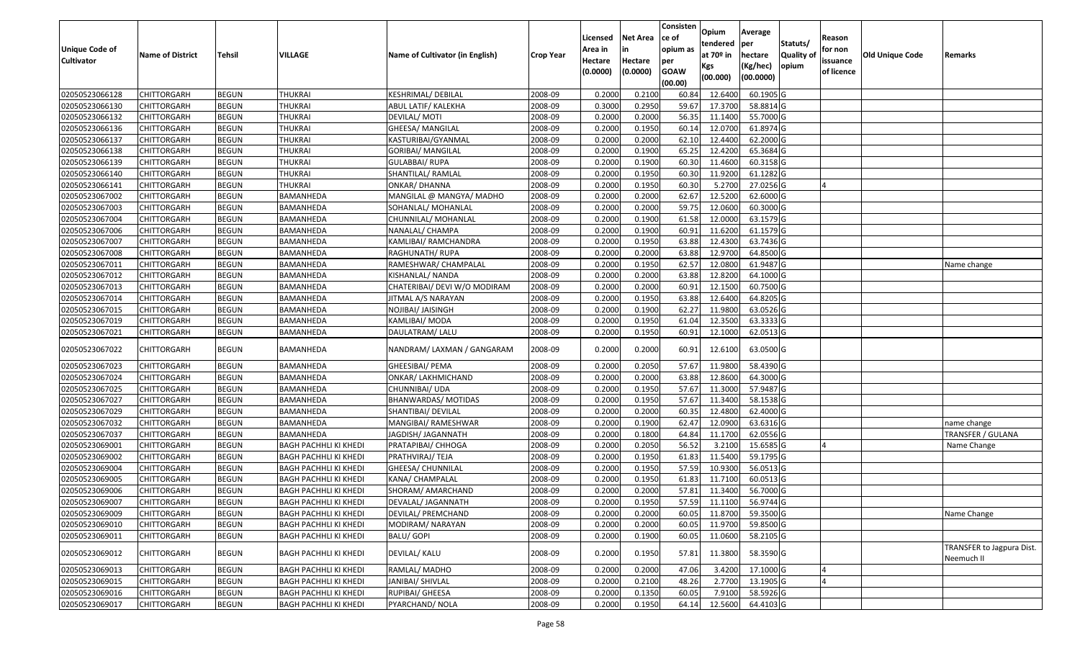|                       |                         |               |                              |                                 |                  | Licensed | <b>Net Area</b> | Consisten<br>ce of     | Opium<br>tendered | Average<br>per | Statuts/         | Reason     |                        |                                         |
|-----------------------|-------------------------|---------------|------------------------------|---------------------------------|------------------|----------|-----------------|------------------------|-------------------|----------------|------------------|------------|------------------------|-----------------------------------------|
| <b>Unique Code of</b> | <b>Name of District</b> | <b>Tehsil</b> | VILLAGE                      | Name of Cultivator (in English) | <b>Crop Year</b> | Area in  |                 | opium as               | at $70°$ in       | hectare        | <b>Quality o</b> | for non    | <b>Old Unique Code</b> | Remarks                                 |
| <b>Cultivator</b>     |                         |               |                              |                                 |                  | Hectare  | Hectare         | per                    | Kgs               | (Kg/hec)       | opium            | issuance   |                        |                                         |
|                       |                         |               |                              |                                 |                  | (0.0000) | (0.0000)        | <b>GOAW</b><br>(00.00) | (00.000)          | (00.0000)      |                  | of licence |                        |                                         |
| 02050523066128        | CHITTORGARH             | <b>BEGUN</b>  | <b>THUKRAI</b>               | <b>KESHRIMAL/ DEBILAL</b>       | 2008-09          | 0.2000   | 0.2100          | 60.84                  | 12.6400           | 60.1905 G      |                  |            |                        |                                         |
| 02050523066130        | CHITTORGARH             | <b>BEGUN</b>  | <b>THUKRAI</b>               | ABUL LATIF/ KALEKHA             | 2008-09          | 0.3000   | 0.2950          | 59.67                  | 17.3700           | 58.8814 G      |                  |            |                        |                                         |
| 02050523066132        | CHITTORGARH             | <b>BEGUN</b>  | <b>THUKRAI</b>               | DEVILAL/ MOTI                   | 2008-09          | 0.2000   | 0.2000          | 56.35                  | 11.1400           | 55.7000 G      |                  |            |                        |                                         |
| 02050523066136        | CHITTORGARH             | <b>BEGUN</b>  | <b>THUKRAI</b>               | GHEESA/ MANGILAL                | 2008-09          | 0.2000   | 0.1950          | 60.14                  | 12.0700           | 61.8974 G      |                  |            |                        |                                         |
| 02050523066137        | CHITTORGARH             | <b>BEGUN</b>  | <b>THUKRAI</b>               | KASTURIBAI/GYANMAL              | 2008-09          | 0.2000   | 0.2000          | 62.1                   | 12.4400           | 62.2000 G      |                  |            |                        |                                         |
| 02050523066138        | CHITTORGARH             | <b>BEGUN</b>  | <b>THUKRAI</b>               | <b>GORIBAI/ MANGILAL</b>        | 2008-09          | 0.2000   | 0.1900          | 65.25                  | 12.4200           | 65.3684 G      |                  |            |                        |                                         |
| 02050523066139        | CHITTORGARH             | <b>BEGUN</b>  | THUKRAI                      | GULABBAI/ RUPA                  | 2008-09          | 0.2000   | 0.1900          | 60.3                   | 11.4600           | 60.3158 G      |                  |            |                        |                                         |
| 02050523066140        | CHITTORGARH             | <b>BEGUN</b>  | <b>THUKRAI</b>               | SHANTILAL/ RAMLAL               | 2008-09          | 0.2000   | 0.1950          | 60.30                  | 11.9200           | $61.1282$ G    |                  |            |                        |                                         |
| 02050523066141        | <b>CHITTORGARH</b>      | <b>BEGUN</b>  | <b>THUKRAI</b>               | <b>ONKAR/ DHANNA</b>            | 2008-09          | 0.2000   | 0.1950          | 60.30                  | 5.2700            | 27.0256 G      |                  |            |                        |                                         |
| 02050523067002        | CHITTORGARH             | <b>BEGUN</b>  | BAMANHEDA                    | MANGILAL @ MANGYA/ MADHO        | 2008-09          | 0.2000   | 0.2000          | 62.67                  | 12.5200           | 62.6000 G      |                  |            |                        |                                         |
| 02050523067003        | CHITTORGARH             | <b>BEGUN</b>  | BAMANHEDA                    | SOHANLAL/ MOHANLAL              | 2008-09          | 0.2000   | 0.2000          | 59.75                  | 12.0600           | 60.3000 G      |                  |            |                        |                                         |
| 02050523067004        | CHITTORGARH             | <b>BEGUN</b>  | BAMANHEDA                    | CHUNNILAL/ MOHANLAL             | 2008-09          | 0.2000   | 0.1900          | 61.58                  | 12.0000           | 63.1579 G      |                  |            |                        |                                         |
| 02050523067006        | <b>CHITTORGARH</b>      | <b>BEGUN</b>  | BAMANHEDA                    | NANALAL/ CHAMPA                 | 2008-09          | 0.2000   | 0.1900          | 60.91                  | 11.6200           | 61.1579 G      |                  |            |                        |                                         |
| 02050523067007        | <b>CHITTORGARH</b>      | <b>BEGUN</b>  | BAMANHEDA                    | KAMLIBAI/ RAMCHANDRA            | 2008-09          | 0.2000   | 0.1950          | 63.88                  | 12.4300           | 63.7436 G      |                  |            |                        |                                         |
| 02050523067008        | CHITTORGARH             | <b>BEGUN</b>  | BAMANHEDA                    | RAGHUNATH/ RUPA                 | 2008-09          | 0.2000   | 0.2000          | 63.88                  | 12.9700           | 64.8500 G      |                  |            |                        |                                         |
| 02050523067011        | <b>CHITTORGARH</b>      | <b>BEGUN</b>  | BAMANHEDA                    | RAMESHWAR/ CHAMPALAL            | 2008-09          | 0.2000   | 0.1950          | 62.57                  | 12.0800           | 61.9487 G      |                  |            |                        | Name change                             |
| 02050523067012        | CHITTORGARH             | <b>BEGUN</b>  | BAMANHEDA                    | KISHANLAL/ NANDA                | 2008-09          | 0.2000   | 0.2000          | 63.88                  | 12.8200           | 64.1000 G      |                  |            |                        |                                         |
| 02050523067013        | CHITTORGARH             | <b>BEGUN</b>  | BAMANHEDA                    | CHATERIBAI/ DEVI W/O MODIRAM    | 2008-09          | 0.2000   | 0.2000          | 60.91                  | 12.1500           | 60.7500 G      |                  |            |                        |                                         |
| 02050523067014        | CHITTORGARH             | <b>BEGUN</b>  | BAMANHEDA                    | JITMAL A/S NARAYAN              | 2008-09          | 0.2000   | 0.1950          | 63.88                  | 12.6400           | 64.8205 G      |                  |            |                        |                                         |
| 02050523067015        | CHITTORGARH             | <b>BEGUN</b>  | BAMANHEDA                    | NOJIBAI/ JAISINGH               | 2008-09          | 0.2000   | 0.1900          | 62.27                  | 11.9800           | 63.0526 G      |                  |            |                        |                                         |
| 02050523067019        | CHITTORGARH             | <b>BEGUN</b>  | BAMANHEDA                    | KAMLIBAI/MODA                   | 2008-09          | 0.2000   | 0.1950          | 61.04                  | 12.3500           | 63.3333 G      |                  |            |                        |                                         |
| 02050523067021        | CHITTORGARH             | <b>BEGUN</b>  | BAMANHEDA                    | DAULATRAM/ LALU                 | 2008-09          | 0.2000   | 0.1950          | 60.91                  | 12.1000           | 62.0513 G      |                  |            |                        |                                         |
| 02050523067022        | CHITTORGARH             | <b>BEGUN</b>  | BAMANHEDA                    | NANDRAM/LAXMAN / GANGARAM       | 2008-09          | 0.2000   | 0.2000          | 60.91                  | 12.6100           | 63.0500 G      |                  |            |                        |                                         |
| 02050523067023        | CHITTORGARH             | <b>BEGUN</b>  | BAMANHEDA                    | GHEESIBAI/ PEMA                 | 2008-09          | 0.2000   | 0.2050          | 57.67                  | 11.9800           | 58.4390 G      |                  |            |                        |                                         |
| 02050523067024        | CHITTORGARH             | <b>BEGUN</b>  | BAMANHEDA                    | ONKAR/ LAKHMICHAND              | 2008-09          | 0.2000   | 0.2000          | 63.88                  | 12.8600           | 64.3000 G      |                  |            |                        |                                         |
| 02050523067025        | CHITTORGARH             | <b>BEGUN</b>  | BAMANHEDA                    | CHUNNIBAI/ UDA                  | 2008-09          | 0.2000   | 0.1950          | 57.67                  | 11.3000           | 57.9487 G      |                  |            |                        |                                         |
| 02050523067027        | CHITTORGARH             | <b>BEGUN</b>  | BAMANHEDA                    | BHANWARDAS/ MOTIDAS             | 2008-09          | 0.2000   | 0.1950          | 57.67                  | 11.3400           | 58.1538 G      |                  |            |                        |                                         |
| 02050523067029        | CHITTORGARH             | <b>BEGUN</b>  | BAMANHEDA                    | SHANTIBAI/ DEVILAL              | 2008-09          | 0.2000   | 0.2000          | 60.35                  | 12.4800           | 62.4000 G      |                  |            |                        |                                         |
| 02050523067032        | CHITTORGARH             | <b>BEGUN</b>  | BAMANHEDA                    | MANGIBAI/ RAMESHWAR             | 2008-09          | 0.2000   | 0.1900          | 62.47                  | 12.0900           | 63.6316 G      |                  |            |                        | name change                             |
| 02050523067037        | CHITTORGARH             | <b>BEGUN</b>  | BAMANHEDA                    | JAGDISH/ JAGANNATH              | 2008-09          | 0.2000   | 0.1800          | 64.84                  | 11.1700           | 62.0556 G      |                  |            |                        | TRANSFER / GULANA                       |
| 02050523069001        | CHITTORGARH             | <b>BEGUN</b>  | <b>BAGH PACHHLI KI KHEDI</b> | PRATAPIBAI/ CHHOGA              | 2008-09          | 0.2000   | 0.2050          | 56.52                  | 3.2100            | 15.6585 G      |                  |            |                        | Name Change                             |
| 02050523069002        | CHITTORGARH             | <b>BEGUN</b>  | <b>BAGH PACHHLI KI KHEDI</b> | PRATHVIRAJ/ TEJA                | 2008-09          | 0.2000   | 0.1950          | 61.83                  | 11.5400           | 59.1795 G      |                  |            |                        |                                         |
| 02050523069004        | <b>CHITTORGARH</b>      | <b>BEGUN</b>  | BAGH PACHHLI KI KHEDI        | <b>GHEESA/ CHUNNILAL</b>        | 2008-09          | 0.2000   | 0.1950          | 57.59                  | 10.9300           | 56.0513 G      |                  |            |                        |                                         |
| 02050523069005        | CHITTORGARH             | <b>BEGUN</b>  | <b>BAGH PACHHLI KI KHEDI</b> | KANA/ CHAMPALAL                 | 2008-09          | 0.2000   | 0.1950          | 61.83                  | 11.7100           | 60.0513 G      |                  |            |                        |                                         |
| 02050523069006        | CHITTORGARH             | <b>BEGUN</b>  | <b>BAGH PACHHLI KI KHEDI</b> | SHORAM/ AMARCHAND               | 2008-09          | 0.2000   | 0.2000          | 57.81                  | 11.3400           | 56.7000 G      |                  |            |                        |                                         |
| 02050523069007        | <b>CHITTORGARH</b>      | <b>BEGUN</b>  | <b>BAGH PACHHLI KI KHEDI</b> | DEVALAL/ JAGANNATH              | 2008-09          | 0.2000   | 0.1950          |                        | 57.59 11.1100     | 56.9744 G      |                  |            |                        |                                         |
| 02050523069009        | <b>CHITTORGARH</b>      | <b>BEGUN</b>  | <b>BAGH PACHHLI KI KHEDI</b> | DEVILAL/ PREMCHAND              | 2008-09          | 0.2000   | 0.2000          | 60.05                  | 11.8700           | 59.3500 G      |                  |            |                        | Name Change                             |
| 02050523069010        | <b>CHITTORGARH</b>      | <b>BEGUN</b>  | <b>BAGH PACHHLI KI KHEDI</b> | MODIRAM/ NARAYAN                | 2008-09          | 0.2000   | 0.2000          | 60.05                  | 11.9700           | 59.8500 G      |                  |            |                        |                                         |
| 02050523069011        | <b>CHITTORGARH</b>      | <b>BEGUN</b>  | BAGH PACHHLI KI KHEDI        | BALU/ GOPI                      | 2008-09          | 0.2000   | 0.1900          | 60.05                  | 11.0600           | 58.2105 G      |                  |            |                        |                                         |
| 02050523069012        | <b>CHITTORGARH</b>      | <b>BEGUN</b>  | <b>BAGH PACHHLI KI KHEDI</b> | <b>DEVILAL/ KALU</b>            | 2008-09          | 0.2000   | 0.1950          | 57.81                  | 11.3800           | 58.3590 G      |                  |            |                        | TRANSFER to Jagpura Dist.<br>Neemuch II |
| 02050523069013        | <b>CHITTORGARH</b>      | <b>BEGUN</b>  | <b>BAGH PACHHLI KI KHEDI</b> | RAMLAL/ MADHO                   | 2008-09          | 0.2000   | 0.2000          | 47.06                  | 3.4200            | 17.1000 G      |                  |            |                        |                                         |
| 02050523069015        | <b>CHITTORGARH</b>      | <b>BEGUN</b>  | <b>BAGH PACHHLI KI KHEDI</b> | JANIBAI/ SHIVLAL                | 2008-09          | 0.2000   | 0.2100          | 48.26                  | 2.7700            | 13.1905 G      |                  |            |                        |                                         |
| 02050523069016        | <b>CHITTORGARH</b>      | <b>BEGUN</b>  | BAGH PACHHLI KI KHEDI        | RUPIBAI/ GHEESA                 | 2008-09          | 0.2000   | 0.1350          | 60.05                  | 7.9100            | 58.5926 G      |                  |            |                        |                                         |
| 02050523069017        | <b>CHITTORGARH</b>      | <b>BEGUN</b>  | <b>BAGH PACHHLI KI KHEDI</b> | PYARCHAND/ NOLA                 | 2008-09          | 0.2000   | 0.1950          | 64.14                  | 12.5600           | 64.4103 G      |                  |            |                        |                                         |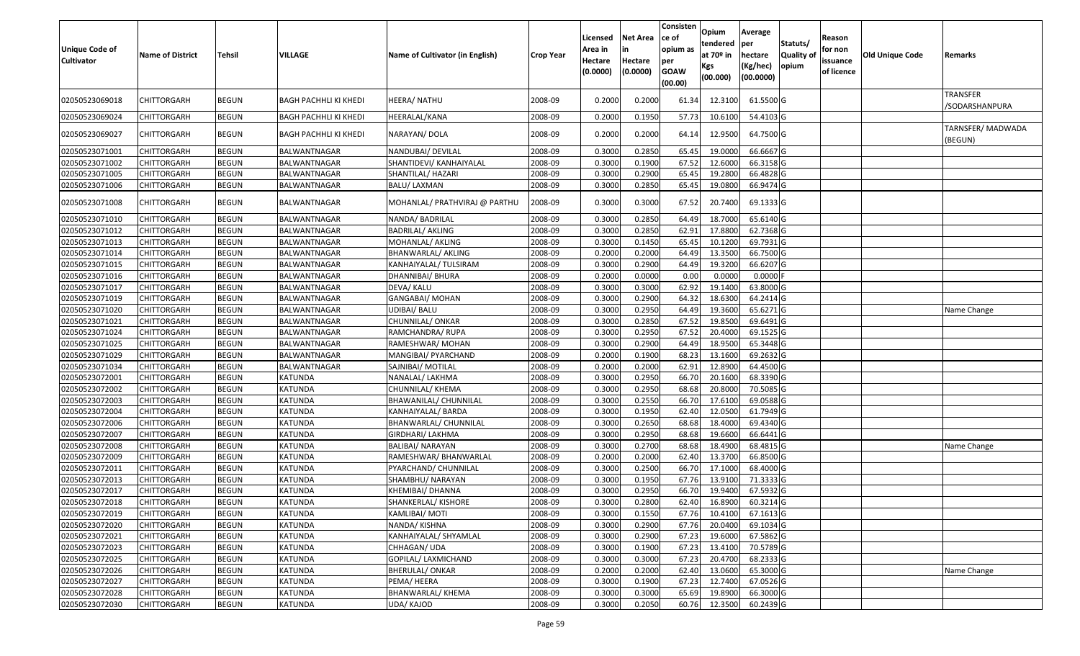| <b>Unique Code of</b><br><b>Cultivator</b> | <b>Name of District</b> | Tehsil       | VILLAGE                      | Name of Cultivator (in English) | <b>Crop Year</b> | Licensed<br>Area in<br>Hectare<br>(0.0000) | <b>Net Area</b><br>in<br>Hectare<br>(0.0000) | Consisten<br>ce of<br>opium as<br>per<br><b>GOAW</b><br>(00.00) | Opium<br>tendered<br>at $70°$ in<br>Kgs<br>(00.000) | Average<br>per<br>hectare<br>(Kg/hec)<br>(00.0000) | Statuts/<br><b>Quality o</b><br>opium | Reason<br>for non<br>issuance<br>of licence | Old Unique Code | Remarks                     |
|--------------------------------------------|-------------------------|--------------|------------------------------|---------------------------------|------------------|--------------------------------------------|----------------------------------------------|-----------------------------------------------------------------|-----------------------------------------------------|----------------------------------------------------|---------------------------------------|---------------------------------------------|-----------------|-----------------------------|
| 02050523069018                             | CHITTORGARH             | <b>BEGUN</b> | BAGH PACHHLI KI KHEDI        | HEERA/ NATHU                    | 2008-09          | 0.2000                                     | 0.2000                                       | 61.34                                                           | 12.3100                                             | 61.5500 G                                          |                                       |                                             |                 | TRANSFER<br>/SODARSHANPURA  |
| 02050523069024                             | <b>CHITTORGARH</b>      | <b>BEGUN</b> | BAGH PACHHLI KI KHEDI        | HEERALAL/KANA                   | 2008-09          | 0.2000                                     | 0.1950                                       | 57.73                                                           | 10.6100                                             | 54.4103 G                                          |                                       |                                             |                 |                             |
| 02050523069027                             | <b>CHITTORGARH</b>      | <b>BEGUN</b> | <b>BAGH PACHHLI KI KHEDI</b> | NARAYAN/ DOLA                   | 2008-09          | 0.2000                                     | 0.2000                                       | 64.14                                                           | 12.9500                                             | 64.7500 G                                          |                                       |                                             |                 | TARNSFER/MADWADA<br>(BEGUN) |
| 02050523071001                             | CHITTORGARH             | <b>BEGUN</b> | BALWANTNAGAR                 | NANDUBAI/ DEVILAL               | 2008-09          | 0.3000                                     | 0.2850                                       | 65.45                                                           | 19.0000                                             | 66.6667 G                                          |                                       |                                             |                 |                             |
| 02050523071002                             | CHITTORGARH             | <b>BEGUN</b> | BALWANTNAGAR                 | SHANTIDEVI/ KANHAIYALAL         | 2008-09          | 0.3000                                     | 0.1900                                       | 67.52                                                           | 12.6000                                             | 66.3158 G                                          |                                       |                                             |                 |                             |
| 02050523071005                             | <b>CHITTORGARH</b>      | <b>BEGUN</b> | BALWANTNAGAR                 | SHANTILAL/ HAZARI               | 2008-09          | 0.3000                                     | 0.2900                                       | 65.45                                                           | 19.2800                                             | 66.4828 G                                          |                                       |                                             |                 |                             |
| 02050523071006                             | <b>CHITTORGARH</b>      | <b>BEGUN</b> | BALWANTNAGAR                 | BALU/ LAXMAN                    | 2008-09          | 0.3000                                     | 0.2850                                       | 65.45                                                           | 19.0800                                             | 66.9474 G                                          |                                       |                                             |                 |                             |
| 02050523071008                             | <b>CHITTORGARH</b>      | <b>BEGUN</b> | BALWANTNAGAR                 | MOHANLAL/ PRATHVIRAJ @ PARTHU   | 2008-09          | 0.3000                                     | 0.3000                                       | 67.52                                                           | 20.7400                                             | 69.1333 G                                          |                                       |                                             |                 |                             |
| 02050523071010                             | <b>CHITTORGARH</b>      | <b>BEGUN</b> | BALWANTNAGAR                 | NANDA/ BADRILAL                 | 2008-09          | 0.3000                                     | 0.2850                                       | 64.49                                                           | 18.7000                                             | 65.6140 G                                          |                                       |                                             |                 |                             |
| 02050523071012                             | <b>CHITTORGARH</b>      | <b>BEGUN</b> | BALWANTNAGAR                 | <b>BADRILAL/ AKLING</b>         | 2008-09          | 0.3000                                     | 0.2850                                       | 62.91                                                           | 17.8800                                             | 62.7368 G                                          |                                       |                                             |                 |                             |
| 02050523071013                             | <b>CHITTORGARH</b>      | <b>BEGUN</b> | BALWANTNAGAR                 | MOHANLAL/ AKLING                | 2008-09          | 0.3000                                     | 0.1450                                       | 65.45                                                           | 10.1200                                             | 69.7931 G                                          |                                       |                                             |                 |                             |
| 02050523071014                             | <b>CHITTORGARH</b>      | <b>BEGUN</b> | BALWANTNAGAR                 | BHANWARLAL/ AKLING              | 2008-09          | 0.2000                                     | 0.2000                                       | 64.49                                                           | 13.3500                                             | 66.7500 G                                          |                                       |                                             |                 |                             |
| 02050523071015                             | <b>CHITTORGARH</b>      | <b>BEGUN</b> | BALWANTNAGAR                 | KANHAIYALAL/ TULSIRAM           | 2008-09          | 0.3000                                     | 0.2900                                       | 64.49                                                           | 19.3200                                             | 66.6207 G                                          |                                       |                                             |                 |                             |
| 02050523071016                             | <b>CHITTORGARH</b>      | <b>BEGUN</b> | BALWANTNAGAR                 | DHANNIBAI/ BHURA                | 2008-09          | 0.2000                                     | 0.0000                                       | 0.00                                                            | 0.0000                                              | 0.0000                                             |                                       |                                             |                 |                             |
| 02050523071017                             | <b>CHITTORGARH</b>      | <b>BEGUN</b> | BALWANTNAGAR                 | DEVA/ KALU                      | 2008-09          | 0.3000                                     | 0.3000                                       | 62.92                                                           | 19.1400                                             | 63.8000 G                                          |                                       |                                             |                 |                             |
| 02050523071019                             | <b>CHITTORGARH</b>      | <b>BEGUN</b> | BALWANTNAGAR                 | GANGABAI/ MOHAN                 | 2008-09          | 0.3000                                     | 0.2900                                       | 64.32                                                           | 18.6300                                             | 64.2414 G                                          |                                       |                                             |                 |                             |
| 02050523071020                             | <b>CHITTORGARH</b>      | <b>BEGUN</b> | BALWANTNAGAR                 | UDIBAI/ BALU                    | 2008-09          | 0.3000                                     | 0.2950                                       | 64.49                                                           | 19.3600                                             | 65.6271 G                                          |                                       |                                             |                 | Name Change                 |
| 02050523071021                             | <b>CHITTORGARH</b>      | <b>BEGUN</b> | BALWANTNAGAR                 | CHUNNILAL/ ONKAR                | 2008-09          | 0.3000                                     | 0.2850                                       | 67.52                                                           | 19.8500                                             | 69.6491 G                                          |                                       |                                             |                 |                             |
| 02050523071024                             | <b>CHITTORGARH</b>      | <b>BEGUN</b> | BALWANTNAGAR                 | RAMCHANDRA/ RUPA                | 2008-09          | 0.3000                                     | 0.2950                                       | 67.52                                                           | 20.4000                                             | 69.1525 G                                          |                                       |                                             |                 |                             |
| 02050523071025                             | <b>CHITTORGARH</b>      | <b>BEGUN</b> | BALWANTNAGAR                 | RAMESHWAR/ MOHAN                | 2008-09          | 0.3000                                     | 0.2900                                       | 64.49                                                           | 18.9500                                             | 65.3448 G                                          |                                       |                                             |                 |                             |
| 02050523071029                             | <b>CHITTORGARH</b>      | <b>BEGUN</b> | BALWANTNAGAR                 | MANGIBAI/ PYARCHAND             | 2008-09          | 0.2000                                     | 0.1900                                       | 68.23                                                           | 13.1600                                             | 69.2632 G                                          |                                       |                                             |                 |                             |
| 02050523071034                             | <b>CHITTORGARH</b>      | <b>BEGUN</b> | BALWANTNAGAR                 | SAJNIBAI/ MOTILAL               | 2008-09          | 0.2000                                     | 0.2000                                       | 62.91                                                           | 12.8900                                             | 64.4500 G                                          |                                       |                                             |                 |                             |
| 02050523072001                             | CHITTORGARH             | <b>BEGUN</b> | <b>KATUNDA</b>               | NANALAL/ LAKHMA                 | 2008-09          | 0.3000                                     | 0.2950                                       | 66.70                                                           | 20.1600                                             | 68.3390 G                                          |                                       |                                             |                 |                             |
| 02050523072002                             | <b>CHITTORGARH</b>      | <b>BEGUN</b> | KATUNDA                      | CHUNNILAL/ KHEMA                | 2008-09          | 0.3000                                     | 0.2950                                       | 68.68                                                           | 20.8000                                             | 70.5085 G                                          |                                       |                                             |                 |                             |
| 02050523072003                             | CHITTORGARH             | <b>BEGUN</b> | KATUNDA                      | BHAWANILAL/ CHUNNILAL           | 2008-09          | 0.3000                                     | 0.2550                                       | 66.70                                                           | 17.6100                                             | 69.0588 G                                          |                                       |                                             |                 |                             |
| 02050523072004                             | <b>CHITTORGARH</b>      | <b>BEGUN</b> | <b>KATUNDA</b>               | KANHAIYALAL/ BARDA              | 2008-09          | 0.3000                                     | 0.1950                                       | 62.40                                                           | 12.0500                                             | 61.7949 G                                          |                                       |                                             |                 |                             |
| 02050523072006                             | <b>CHITTORGARH</b>      | <b>BEGUN</b> | <b>KATUNDA</b>               | BHANWARLAL/ CHUNNILAL           | 2008-09          | 0.3000                                     | 0.2650                                       | 68.68                                                           | 18.4000                                             | 69.4340 G                                          |                                       |                                             |                 |                             |
| 02050523072007                             | <b>CHITTORGARH</b>      | <b>BEGUN</b> | KATUNDA                      | GIRDHARI/ LAKHMA                | 2008-09          | 0.3000                                     | 0.2950                                       | 68.68                                                           | 19.6600                                             | 66.6441 G                                          |                                       |                                             |                 |                             |
| 02050523072008                             | CHITTORGARH             | <b>BEGUN</b> | KATUNDA                      | <b>BALIBAI/ NARAYAN</b>         | 2008-09          | 0.3000                                     | 0.2700                                       | 68.68                                                           | 18.4900                                             | 68.4815 G                                          |                                       |                                             |                 | Name Change                 |
| 02050523072009                             | <b>CHITTORGARH</b>      | <b>BEGUN</b> | <b>KATUNDA</b>               | RAMESHWAR/ BHANWARLAL           | 2008-09          | 0.2000                                     | 0.2000                                       | 62.40                                                           | 13.3700                                             | 66.8500 G                                          |                                       |                                             |                 |                             |
| 02050523072011                             | <b>CHITTORGARH</b>      | <b>BEGUN</b> | <b>KATUNDA</b>               | PYARCHAND/ CHUNNILAL            | 2008-09          | 0.3000                                     | 0.2500                                       | 66.70                                                           | 17.1000                                             | 68.4000 G                                          |                                       |                                             |                 |                             |
| 02050523072013                             | CHITTORGARH             | <b>BEGUN</b> | KATUNDA                      | SHAMBHU/ NARAYAN                | 2008-09          | 0.300                                      | 0.1950                                       | 67.76                                                           | 13.9100                                             | 71.3333 G                                          |                                       |                                             |                 |                             |
| 02050523072017                             | <b>CHITTORGARH</b>      | <b>BEGUN</b> | KATUNDA                      | KHEMIBAI/ DHANNA                | 2008-09          | 0.3000                                     | 0.2950                                       | 66.70                                                           | 19.9400                                             | 67.5932 G                                          |                                       |                                             |                 |                             |
| 02050523072018                             | <b>CHITTORGARH</b>      | <b>BEGUN</b> | <b>KATUNDA</b>               | SHANKERLAL/ KISHORE             | 2008-09          | 0.3000                                     | 0.2800                                       | 62.40                                                           | 16.8900                                             | $60.3214$ G                                        |                                       |                                             |                 |                             |
| 02050523072019                             | <b>CHITTORGARH</b>      | <b>BEGUN</b> | KATUNDA                      | KAMLIBAI/ MOTI                  | 2008-09          | 0.3000                                     | 0.1550                                       | 67.76                                                           | 10.4100                                             | 67.1613 G                                          |                                       |                                             |                 |                             |
| 02050523072020                             | <b>CHITTORGARH</b>      | <b>BEGUN</b> | KATUNDA                      | NANDA/KISHNA                    | 2008-09          | 0.3000                                     | 0.2900                                       | 67.76                                                           | 20.0400                                             | 69.1034 G                                          |                                       |                                             |                 |                             |
| 02050523072021                             | <b>CHITTORGARH</b>      | <b>BEGUN</b> | KATUNDA                      | KANHAIYALAL/ SHYAMLAL           | 2008-09          | 0.3000                                     | 0.2900                                       | 67.23                                                           | 19.6000                                             | 67.5862 G                                          |                                       |                                             |                 |                             |
| 02050523072023                             | <b>CHITTORGARH</b>      | <b>BEGUN</b> | <b>KATUNDA</b>               | CHHAGAN/ UDA                    | 2008-09          | 0.3000                                     | 0.1900                                       | 67.23                                                           | 13.4100                                             | 70.5789 G                                          |                                       |                                             |                 |                             |
| 02050523072025                             | <b>CHITTORGARH</b>      | <b>BEGUN</b> | <b>KATUNDA</b>               | GOPILAL/ LAXMICHAND             | 2008-09          | 0.3000                                     | 0.3000                                       | 67.23                                                           | 20.4700                                             | 68.2333 G                                          |                                       |                                             |                 |                             |
| 02050523072026                             | <b>CHITTORGARH</b>      | <b>BEGUN</b> | KATUNDA                      | <b>BHERULAL/ ONKAR</b>          | 2008-09          | 0.2000                                     | 0.2000                                       | 62.40                                                           | 13.0600                                             | 65.3000 G                                          |                                       |                                             |                 | Name Change                 |
| 02050523072027                             | <b>CHITTORGARH</b>      | <b>BEGUN</b> | <b>KATUNDA</b>               | PEMA/HEERA                      | 2008-09          | 0.3000                                     | 0.1900                                       | 67.23                                                           | 12.7400                                             | 67.0526 G                                          |                                       |                                             |                 |                             |
| 02050523072028                             | <b>CHITTORGARH</b>      | <b>BEGUN</b> | KATUNDA                      | BHANWARLAL/ KHEMA               | 2008-09          | 0.3000                                     | 0.3000                                       | 65.69                                                           | 19.8900                                             | 66.3000 G                                          |                                       |                                             |                 |                             |
| 02050523072030                             | <b>CHITTORGARH</b>      | <b>BEGUN</b> | KATUNDA                      | UDA/ KAJOD                      | 2008-09          | 0.3000                                     | 0.2050                                       | 60.76                                                           | 12.3500                                             | 60.2439 G                                          |                                       |                                             |                 |                             |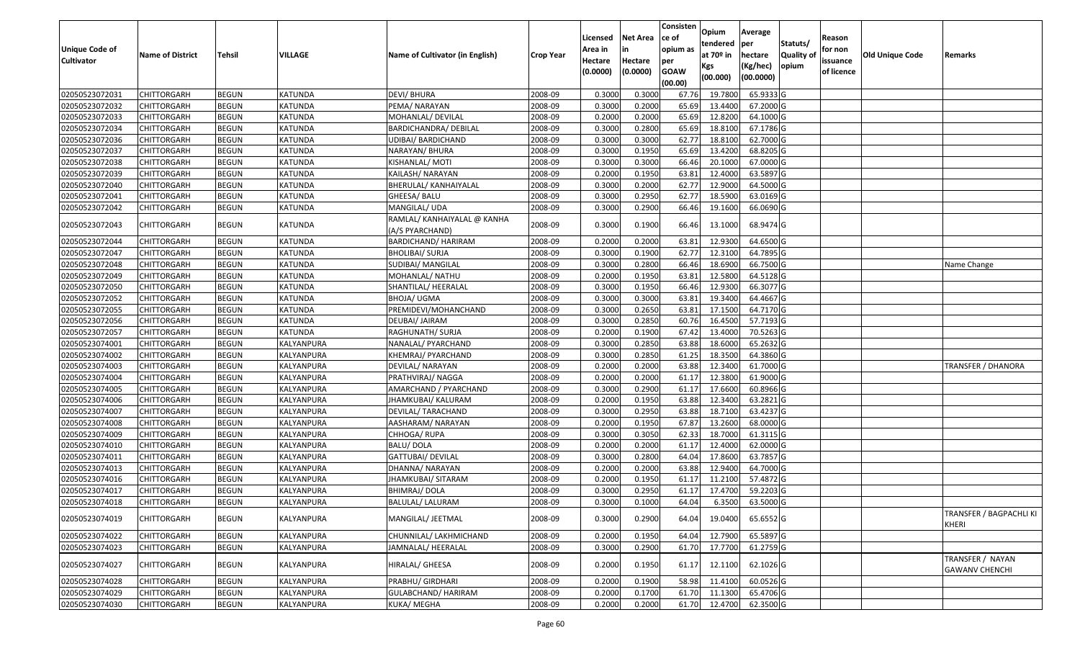| <b>Unique Code of</b> | <b>Name of District</b> | Tehsil       | VILLAGE        | Name of Cultivator (in English)                | <b>Crop Year</b> | Licensed<br>Area in | <b>Net Area</b><br>in | Consisten<br>ce of<br>opium as | Opium<br>tendered<br>at 70º in | Average<br>per<br>hectare | Statuts/<br>Quality of | Reason<br>for non      | Old Unique Code | Remarks                                   |
|-----------------------|-------------------------|--------------|----------------|------------------------------------------------|------------------|---------------------|-----------------------|--------------------------------|--------------------------------|---------------------------|------------------------|------------------------|-----------------|-------------------------------------------|
| <b>Cultivator</b>     |                         |              |                |                                                |                  | Hectare<br>(0.0000) | Hectare<br>(0.0000)   | per<br><b>GOAW</b><br>(00.00)  | Kgs<br>(00.000)                | (Kg/hec)<br>(00.0000)     | opium                  | issuance<br>of licence |                 |                                           |
| 02050523072031        | <b>CHITTORGARH</b>      | <b>BEGUN</b> | KATUNDA        | <b>DEVI/BHURA</b>                              | 2008-09          | 0.3000              | 0.3000                | 67.76                          | 19.7800                        | 65.9333 G                 |                        |                        |                 |                                           |
| 02050523072032        | <b>CHITTORGARH</b>      | <b>BEGUN</b> | KATUNDA        | PEMA/ NARAYAN                                  | 2008-09          | 0.3000              | 0.2000                | 65.69                          | 13.4400                        | 67.2000 G                 |                        |                        |                 |                                           |
| 02050523072033        | <b>CHITTORGARH</b>      | <b>BEGUN</b> | KATUNDA        | MOHANLAL/ DEVILAL                              | 2008-09          | 0.2000              | 0.2000                | 65.69                          | 12.8200                        | 64.1000 G                 |                        |                        |                 |                                           |
| 02050523072034        | <b>CHITTORGARH</b>      | <b>BEGUN</b> | <b>KATUNDA</b> | BARDICHANDRA/ DEBILAL                          | 2008-09          | 0.3000              | 0.2800                | 65.69                          | 18.8100                        | 67.1786 G                 |                        |                        |                 |                                           |
| 02050523072036        | <b>CHITTORGARH</b>      | <b>BEGUN</b> | KATUNDA        | UDIBAI/ BARDICHAND                             | 2008-09          | 0.3000              | 0.3000                | 62.77                          | 18.8100                        | 62.7000 G                 |                        |                        |                 |                                           |
| 02050523072037        | <b>CHITTORGARH</b>      | <b>BEGUN</b> | <b>KATUNDA</b> | NARAYAN/ BHURA                                 | 2008-09          | 0.3000              | 0.1950                | 65.69                          | 13.4200                        | 68.8205 G                 |                        |                        |                 |                                           |
| 02050523072038        | CHITTORGARH             | <b>BEGUN</b> | KATUNDA        | KISHANLAL/ MOTI                                | 2008-09          | 0.3000              | 0.3000                | 66.46                          | 20.1000                        | 67.0000 G                 |                        |                        |                 |                                           |
| 02050523072039        | <b>CHITTORGARH</b>      | <b>BEGUN</b> | <b>KATUNDA</b> | KAILASH/ NARAYAN                               | 2008-09          | 0.2000              | 0.1950                | 63.81                          | 12.4000                        | 63.5897 G                 |                        |                        |                 |                                           |
| 02050523072040        | <b>CHITTORGARH</b>      | <b>BEGUN</b> | <b>KATUNDA</b> | BHERULAL/ KANHAIYALAL                          | 2008-09          | 0.3000              | 0.2000                | 62.77                          | 12.9000                        | 64.5000 G                 |                        |                        |                 |                                           |
| 02050523072041        | <b>CHITTORGARH</b>      | <b>BEGUN</b> | KATUNDA        | GHEESA/ BALU                                   | 2008-09          | 0.3000              | 0.2950                | 62.77                          | 18.5900                        | 63.0169 G                 |                        |                        |                 |                                           |
| 02050523072042        | <b>CHITTORGARH</b>      | <b>BEGUN</b> | KATUNDA        | MANGILAL/ UDA                                  | 2008-09          | 0.3000              | 0.2900                | 66.46                          | 19.1600                        | 66.0690 G                 |                        |                        |                 |                                           |
| 02050523072043        | <b>CHITTORGARH</b>      | <b>BEGUN</b> | KATUNDA        | RAMLAL/ KANHAIYALAL @ KANHA<br>(A/S PYARCHAND) | 2008-09          | 0.3000              | 0.1900                | 66.46                          | 13.1000                        | 68.9474 G                 |                        |                        |                 |                                           |
| 02050523072044        | <b>CHITTORGARH</b>      | <b>BEGUN</b> | KATUNDA        | BARDICHAND/ HARIRAM                            | 2008-09          | 0.2000              | 0.2000                | 63.81                          | 12.9300                        | 64.6500 G                 |                        |                        |                 |                                           |
| 02050523072047        | CHITTORGARH             | <b>BEGUN</b> | KATUNDA        | BHOLIBAI/ SURJA                                | 2008-09          | 0.3000              | 0.1900                | 62.77                          | 12.3100                        | 64.7895 G                 |                        |                        |                 |                                           |
| 02050523072048        | <b>CHITTORGARH</b>      | <b>BEGUN</b> | KATUNDA        | SUDIBAI/ MANGILAL                              | 2008-09          | 0.3000              | 0.2800                | 66.46                          | 18.6900                        | 66.7500 G                 |                        |                        |                 | Name Change                               |
| 02050523072049        | <b>CHITTORGARH</b>      | <b>BEGUN</b> | <b>KATUNDA</b> | MOHANLAL/ NATHU                                | 2008-09          | 0.2000              | 0.1950                | 63.81                          | 12.5800                        | 64.5128 G                 |                        |                        |                 |                                           |
| 02050523072050        | <b>CHITTORGARH</b>      | <b>BEGUN</b> | KATUNDA        | SHANTILAL/ HEERALAL                            | 2008-09          | 0.3000              | 0.1950                | 66.46                          | 12.9300                        | 66.3077 G                 |                        |                        |                 |                                           |
| 02050523072052        | <b>CHITTORGARH</b>      | <b>BEGUN</b> | KATUNDA        | BHOJA/ UGMA                                    | 2008-09          | 0.3000              | 0.3000                | 63.81                          | 19.3400                        | 64.4667 G                 |                        |                        |                 |                                           |
| 02050523072055        | <b>CHITTORGARH</b>      | <b>BEGUN</b> | KATUNDA        | PREMIDEVI/MOHANCHAND                           | 2008-09          | 0.3000              | 0.2650                | 63.81                          | 17.1500                        | 64.7170 G                 |                        |                        |                 |                                           |
| 02050523072056        | <b>CHITTORGARH</b>      | <b>BEGUN</b> | KATUNDA        | DEUBAI/ JAIRAM                                 | 2008-09          | 0.3000              | 0.2850                | 60.76                          | 16.4500                        | 57.7193 G                 |                        |                        |                 |                                           |
| 02050523072057        | <b>CHITTORGARH</b>      | <b>BEGUN</b> | KATUNDA        | RAGHUNATH/ SURJA                               | 2008-09          | 0.2000              | 0.1900                | 67.42                          | 13.4000                        | 70.5263 G                 |                        |                        |                 |                                           |
| 02050523074001        | <b>CHITTORGARH</b>      | <b>BEGUN</b> | KALYANPURA     | NANALAL/ PYARCHAND                             | 2008-09          | 0.3000              | 0.2850                | 63.88                          | 18.6000                        | 65.2632 G                 |                        |                        |                 |                                           |
| 02050523074002        | CHITTORGARH             | <b>BEGUN</b> | KALYANPURA     | KHEMRAJ/ PYARCHAND                             | 2008-09          | 0.3000              | 0.2850                | 61.25                          | 18.3500                        | 64.3860 G                 |                        |                        |                 |                                           |
| 02050523074003        | <b>CHITTORGARH</b>      | <b>BEGUN</b> | KALYANPURA     | DEVILAL/ NARAYAN                               | 2008-09          | 0.2000              | 0.2000                | 63.88                          | 12.3400                        | 61.7000 G                 |                        |                        |                 | <b>TRANSFER / DHANORA</b>                 |
| 02050523074004        | <b>CHITTORGARH</b>      | <b>BEGUN</b> | KALYANPURA     | PRATHVIRAJ/ NAGGA                              | 2008-09          | 0.2000              | 0.2000                | 61.17                          | 12.3800                        | 61.9000 G                 |                        |                        |                 |                                           |
| 02050523074005        | <b>CHITTORGARH</b>      | <b>BEGUN</b> | KALYANPURA     | AMARCHAND / PYARCHAND                          | 2008-09          | 0.3000              | 0.2900                | 61.17                          | 17.6600                        | 60.8966 G                 |                        |                        |                 |                                           |
| 02050523074006        | <b>CHITTORGARH</b>      | <b>BEGUN</b> | KALYANPURA     | JHAMKUBAI/KALURAM                              | 2008-09          | 0.2000              | 0.1950                | 63.88                          | 12.3400                        | 63.2821 G                 |                        |                        |                 |                                           |
| 02050523074007        | <b>CHITTORGARH</b>      | <b>BEGUN</b> | KALYANPURA     | DEVILAL/ TARACHAND                             | 2008-09          | 0.3000              | 0.2950                | 63.88                          | 18.7100                        | 63.4237 G                 |                        |                        |                 |                                           |
| 02050523074008        | <b>CHITTORGARH</b>      | <b>BEGUN</b> | KALYANPURA     | AASHARAM/ NARAYAN                              | 2008-09          | 0.2000              | 0.1950                | 67.87                          | 13.2600                        | 68.0000 G                 |                        |                        |                 |                                           |
| 02050523074009        | <b>CHITTORGARH</b>      | <b>BEGUN</b> | KALYANPURA     | CHHOGA/RUPA                                    | 2008-09          | 0.3000              | 0.3050                | 62.33                          | 18.7000                        | 61.3115 G                 |                        |                        |                 |                                           |
| 02050523074010        | CHITTORGARH             | <b>BEGUN</b> | KALYANPURA     | <b>BALU/DOLA</b>                               | 2008-09          | 0.2000              | 0.2000                | 61.17                          | 12.4000                        | 62.0000 G                 |                        |                        |                 |                                           |
| 02050523074011        | <b>CHITTORGARH</b>      | <b>BEGUN</b> | KALYANPURA     | GATTUBAI/ DEVILAL                              | 2008-09          | 0.3000              | 0.2800                | 64.04                          | 17.8600                        | 63.7857 G                 |                        |                        |                 |                                           |
| 02050523074013        | <b>CHITTORGARH</b>      | <b>BEGUN</b> | KALYANPURA     | DHANNA/ NARAYAN                                | 2008-09          | 0.2000              | 0.2000                | 63.88                          | 12.9400                        | 64.7000 G                 |                        |                        |                 |                                           |
| 02050523074016        | <b>CHITTORGARH</b>      | <b>BEGUN</b> | KALYANPURA     | JHAMKUBAI/ SITARAM                             | 2008-09          | 0.2000              | 0.1950                | 61.17                          | 11.2100                        | 57.4872 G                 |                        |                        |                 |                                           |
| 02050523074017        | <b>CHITTORGARH</b>      | <b>BEGUN</b> | KALYANPURA     | BHIMRAJ/ DOLA                                  | 2008-09          | 0.3000              | 0.2950                | 61.17                          | 17.4700                        | 59.2203 G                 |                        |                        |                 |                                           |
| 02050523074018        | CHITTORGARH             | <b>BEGUN</b> | KALYANPURA     | BALULAL/ LALURAM                               | 2008-09          | 0.3000              | 0.1000                | 64.04                          | 6.3500                         | 63.5000 G                 |                        |                        |                 |                                           |
| 02050523074019        | <b>CHITTORGARH</b>      | <b>BEGUN</b> | KALYANPURA     | MANGILAL/ JEETMAL                              | 2008-09          | 0.3000              | 0.2900                | 64.04                          | 19.0400                        | 65.6552 G                 |                        |                        |                 | TRANSFER / BAGPACHLI KI<br>KHERI          |
| 02050523074022        | <b>CHITTORGARH</b>      | <b>BEGUN</b> | KALYANPURA     | CHUNNILAL/ LAKHMICHAND                         | 2008-09          | 0.2000              | 0.1950                | 64.04                          | 12.7900                        | 65.5897 G                 |                        |                        |                 |                                           |
| 02050523074023        | <b>CHITTORGARH</b>      | <b>BEGUN</b> | KALYANPURA     | JAMNALAL/ HEERALAL                             | 2008-09          | 0.3000              | 0.2900                | 61.70                          | 17.7700                        | 61.2759 G                 |                        |                        |                 |                                           |
| 02050523074027        | <b>CHITTORGARH</b>      | <b>BEGUN</b> | KALYANPURA     | HIRALAL/ GHEESA                                | 2008-09          | 0.2000              | 0.1950                | 61.17                          | 12.1100                        | 62.1026 G                 |                        |                        |                 | TRANSFER / NAYAN<br><b>GAWANV CHENCHI</b> |
| 02050523074028        | <b>CHITTORGARH</b>      | <b>BEGUN</b> | KALYANPURA     | PRABHU/ GIRDHARI                               | 2008-09          | 0.2000              | 0.1900                | 58.98                          | 11.4100                        | 60.0526 G                 |                        |                        |                 |                                           |
| 02050523074029        | <b>CHITTORGARH</b>      | <b>BEGUN</b> | KALYANPURA     | GULABCHAND/ HARIRAM                            | 2008-09          | 0.2000              | 0.1700                | 61.70                          | 11.1300                        | 65.4706 G                 |                        |                        |                 |                                           |
| 02050523074030        | <b>CHITTORGARH</b>      | <b>BEGUN</b> | KALYANPURA     | KUKA/ MEGHA                                    | 2008-09          | 0.2000              | 0.2000                | 61.70                          | 12.4700                        | 62.3500 G                 |                        |                        |                 |                                           |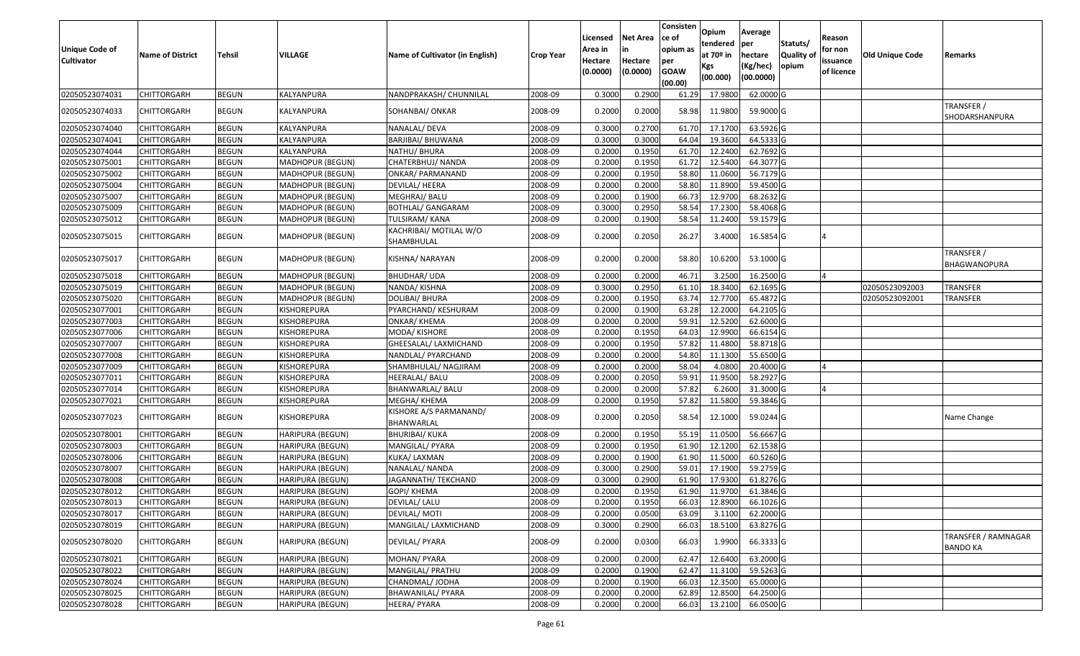| <b>Unique Code of</b><br><b>Cultivator</b> | <b>Name of District</b> | <b>Tehsil</b> | VILLAGE                 | Name of Cultivator (in English)      | <b>Crop Year</b> | Licensed<br>Area in<br>Hectare<br>(0.0000) | <b>Net Area</b><br>Hectare<br>(0.0000) | Consisten<br>ce of<br>opium as<br>per<br><b>GOAW</b><br>(00.00) | Opium<br>tendered<br>at $70°$ in<br>Kgs<br>(00.000) | Average<br>per<br>hectare<br>(Kg/hec)<br>(00.0000) | Statuts/<br><b>Quality of</b><br>opium | Reason<br>for non<br>issuance<br>of licence | <b>Old Unique Code</b> | Remarks                                |
|--------------------------------------------|-------------------------|---------------|-------------------------|--------------------------------------|------------------|--------------------------------------------|----------------------------------------|-----------------------------------------------------------------|-----------------------------------------------------|----------------------------------------------------|----------------------------------------|---------------------------------------------|------------------------|----------------------------------------|
| 02050523074031                             | CHITTORGARH             | <b>BEGUN</b>  | KALYANPURA              | NANDPRAKASH/ CHUNNILAL               | 2008-09          | 0.3000                                     | 0.2900                                 | 61.29                                                           | 17.980                                              | 62.0000G                                           |                                        |                                             |                        |                                        |
| 02050523074033                             | CHITTORGARH             | <b>BEGUN</b>  | KALYANPURA              | SOHANBAI/ ONKAR                      | 2008-09          | 0.2000                                     | 0.2000                                 | 58.98                                                           | 11.9800                                             | 59.9000 G                                          |                                        |                                             |                        | TRANSFER /<br>SHODARSHANPURA           |
| 02050523074040                             | <b>CHITTORGARH</b>      | <b>BEGUN</b>  | KALYANPURA              | NANALAL/ DEVA                        | 2008-09          | 0.300                                      | 0.2700                                 | 61.70                                                           | 17.1700                                             | 63.5926 G                                          |                                        |                                             |                        |                                        |
| 02050523074041                             | CHITTORGARH             | <b>BEGUN</b>  | KALYANPURA              | <b>BARJIBAI/ BHUWANA</b>             | 2008-09          | 0.3000                                     | 0.3000                                 | 64.04                                                           | 19.3600                                             | 64.5333 G                                          |                                        |                                             |                        |                                        |
| 02050523074044                             | CHITTORGARH             | <b>BEGUN</b>  | KALYANPURA              | NATHU/BHURA                          | 2008-09          | 0.2000                                     | 0.1950                                 | 61.70                                                           | 12.2400                                             | 62.7692 G                                          |                                        |                                             |                        |                                        |
| 02050523075001                             | <b>CHITTORGARH</b>      | <b>BEGUN</b>  | MADHOPUR (BEGUN)        | CHATERBHUJ/ NANDA                    | 2008-09          | 0.2000                                     | 0.1950                                 | 61.72                                                           | 12.5400                                             | 64.3077 G                                          |                                        |                                             |                        |                                        |
| 02050523075002                             | <b>CHITTORGARH</b>      | <b>BEGUN</b>  | <b>MADHOPUR (BEGUN)</b> | <b>ONKAR/ PARMANAND</b>              | 2008-09          | 0.2000                                     | 0.1950                                 | 58.80                                                           | 11.0600                                             | 56.7179 G                                          |                                        |                                             |                        |                                        |
| 02050523075004                             | CHITTORGARH             | <b>BEGUN</b>  | MADHOPUR (BEGUN)        | DEVILAL/ HEERA                       | 2008-09          | 0.2000                                     | 0.2000                                 | 58.80                                                           | 11.8900                                             | 59.4500 G                                          |                                        |                                             |                        |                                        |
| 02050523075007                             | CHITTORGARH             | <b>BEGUN</b>  | MADHOPUR (BEGUN)        | MEGHRAJ/ BALU                        | 2008-09          | 0.2000                                     | 0.1900                                 | 66.73                                                           | 12.9700                                             | 68.2632 G                                          |                                        |                                             |                        |                                        |
| 02050523075009                             | <b>CHITTORGARH</b>      | <b>BEGUN</b>  | MADHOPUR (BEGUN)        | BOTHLAL/ GANGARAM                    | 2008-09          | 0.3000                                     | 0.2950                                 | 58.54                                                           | 17.2300                                             | 58.4068 G                                          |                                        |                                             |                        |                                        |
| 02050523075012                             | <b>CHITTORGARH</b>      | <b>BEGUN</b>  | MADHOPUR (BEGUN)        | <b>TULSIRAM/ KANA</b>                | 2008-09          | 0.2000                                     | 0.1900                                 | 58.54                                                           | 11.2400                                             | 59.1579 G                                          |                                        |                                             |                        |                                        |
| 02050523075015                             | CHITTORGARH             | <b>BEGUN</b>  | MADHOPUR (BEGUN)        | KACHRIBAI/ MOTILAL W/O<br>SHAMBHULAL | 2008-09          | 0.2000                                     | 0.2050                                 | 26.27                                                           | 3.4000                                              | 16.5854 G                                          |                                        |                                             |                        |                                        |
| 02050523075017                             | CHITTORGARH             | <b>BEGUN</b>  | MADHOPUR (BEGUN)        | KISHNA/ NARAYAN                      | 2008-09          | 0.2000                                     | 0.2000                                 | 58.80                                                           | 10.6200                                             | 53.1000 G                                          |                                        |                                             |                        | TRANSFER /<br>BHAGWANOPURA             |
| 02050523075018                             | CHITTORGARH             | <b>BEGUN</b>  | <b>MADHOPUR (BEGUN)</b> | <b>BHUDHAR/ UDA</b>                  | 2008-09          | 0.2000                                     | 0.2000                                 | 46.71                                                           | 3.2500                                              | 16.2500 G                                          |                                        |                                             |                        |                                        |
| 02050523075019                             | <b>CHITTORGARH</b>      | <b>BEGUN</b>  | MADHOPUR (BEGUN)        | NANDA/KISHNA                         | 2008-09          | 0.3000                                     | 0.2950                                 | 61.10                                                           | 18.3400                                             | 62.1695 G                                          |                                        |                                             | 02050523092003         | <b>TRANSFER</b>                        |
| 02050523075020                             | CHITTORGARH             | <b>BEGUN</b>  | MADHOPUR (BEGUN)        | DOLIBAI/ BHURA                       | 2008-09          | 0.2000                                     | 0.1950                                 | 63.74                                                           | 12.7700                                             | 65.4872 G                                          |                                        |                                             | 02050523092001         | TRANSFER                               |
| 02050523077001                             | <b>CHITTORGARH</b>      | <b>BEGUN</b>  | KISHOREPURA             | PYARCHAND/ KESHURAM                  | 2008-09          | 0.2000                                     | 0.1900                                 | 63.28                                                           | 12.2000                                             | 64.2105 G                                          |                                        |                                             |                        |                                        |
| 02050523077003                             | <b>CHITTORGARH</b>      | <b>BEGUN</b>  | KISHOREPURA             | ONKAR/ KHEMA                         | 2008-09          | 0.2000                                     | 0.2000                                 | 59.91                                                           | 12.5200                                             | 62.6000 G                                          |                                        |                                             |                        |                                        |
| 02050523077006                             | <b>CHITTORGARH</b>      | <b>BEGUN</b>  | KISHOREPURA             | MODA/KISHORE                         | 2008-09          | 0.2000                                     | 0.1950                                 | 64.03                                                           | 12.9900                                             | 66.6154 G                                          |                                        |                                             |                        |                                        |
| 02050523077007                             | CHITTORGARH             | <b>BEGUN</b>  | KISHOREPURA             | GHEESALAL/ LAXMICHAND                | 2008-09          | 0.2000                                     | 0.1950                                 | 57.82                                                           | 11.4800                                             | 58.8718 G                                          |                                        |                                             |                        |                                        |
| 02050523077008                             | CHITTORGARH             | <b>BEGUN</b>  | KISHOREPURA             | NANDLAL/ PYARCHAND                   | 2008-09          | 0.2000                                     | 0.2000                                 | 54.80                                                           | 11.1300                                             | 55.6500 G                                          |                                        |                                             |                        |                                        |
| 02050523077009                             | <b>CHITTORGARH</b>      | <b>BEGUN</b>  | KISHOREPURA             | SHAMBHULAL/ NAGJIRAM                 | 2008-09          | 0.2000                                     | 0.2000                                 | 58.04                                                           | 4.0800                                              | 20.4000 G                                          |                                        |                                             |                        |                                        |
| 02050523077011                             | CHITTORGARH             | <b>BEGUN</b>  | KISHOREPURA             | HEERALAL/ BALU                       | 2008-09          | 0.2000                                     | 0.2050                                 | 59.91                                                           | 11.9500                                             | 58.2927 G                                          |                                        |                                             |                        |                                        |
| 02050523077014                             | <b>CHITTORGARH</b>      | <b>BEGUN</b>  | KISHOREPURA             | BHANWARLAL/ BALU                     | 2008-09          | 0.2000                                     | 0.2000                                 | 57.82                                                           | 6.2600                                              | 31.3000 G                                          |                                        |                                             |                        |                                        |
| 02050523077021                             | CHITTORGARH             | <b>BEGUN</b>  | KISHOREPURA             | MEGHA/ KHEMA                         | 2008-09          | 0.2000                                     | 0.1950                                 | 57.82                                                           | 11.5800                                             | 59.3846 G                                          |                                        |                                             |                        |                                        |
| 02050523077023                             | CHITTORGARH             | <b>BEGUN</b>  | KISHOREPURA             | KISHORE A/S PARMANAND/<br>BHANWARLAL | 2008-09          | 0.2000                                     | 0.2050                                 | 58.54                                                           | 12.1000                                             | 59.0244 G                                          |                                        |                                             |                        | Name Change                            |
| 02050523078001                             | CHITTORGARH             | <b>BEGUN</b>  | HARIPURA (BEGUN)        | <b>BHURIBAI/ KUKA</b>                | 2008-09          | 0.2000                                     | 0.1950                                 | 55.19                                                           | 11.0500                                             | 56.6667 G                                          |                                        |                                             |                        |                                        |
| 02050523078003                             | CHITTORGARH             | <b>BEGUN</b>  | <b>HARIPURA (BEGUN)</b> | MANGILAL/ PYARA                      | 2008-09          | 0.2000                                     | 0.1950                                 | 61.90                                                           | 12.1200                                             | 62.1538 G                                          |                                        |                                             |                        |                                        |
| 02050523078006                             | CHITTORGARH             | <b>BEGUN</b>  | HARIPURA (BEGUN)        | KUKA/ LAXMAN                         | 2008-09          | 0.2000                                     | 0.1900                                 | 61.90                                                           | 11.5000                                             | 60.5260 G                                          |                                        |                                             |                        |                                        |
| 02050523078007                             | CHITTORGARH             | <b>BEGUN</b>  | HARIPURA (BEGUN)        | NANALAL/ NANDA                       | 2008-09          | 0.3000                                     | 0.2900                                 | 59.01                                                           | 17.1900                                             | 59.2759 G                                          |                                        |                                             |                        |                                        |
| 02050523078008                             | CHITTORGARH             | <b>BEGUN</b>  | HARIPURA (BEGUN)        | JAGANNATH/ TEKCHAND                  | 2008-09          | 0.300                                      | 0.2900                                 | 61.90                                                           | 17.9300                                             | 61.8276 G                                          |                                        |                                             |                        |                                        |
| 02050523078012                             | CHITTORGARH             | <b>BEGUN</b>  | <b>HARIPURA (BEGUN)</b> | GOPI/ KHEMA                          | 2008-09          | 0.2000                                     | 0.1950                                 | 61.90                                                           | 11.9700                                             | 61.3846 G                                          |                                        |                                             |                        |                                        |
| 02050523078013                             | <b>CHITTORGARH</b>      | <b>BEGUN</b>  | HARIPURA (BEGUN)        | DEVILAL/ LALU                        | 2008-09          | 0.2000                                     | 0.1950                                 | 66.03                                                           | 12.8900                                             | 66.1026 G                                          |                                        |                                             |                        |                                        |
| 02050523078017                             | <b>CHITTORGARH</b>      | <b>BEGUN</b>  | HARIPURA (BEGUN)        | <b>DEVILAL/ MOTI</b>                 | 2008-09          | 0.2000                                     | 0.0500                                 | 63.09                                                           | 3.1100                                              | 62.2000 G                                          |                                        |                                             |                        |                                        |
| 02050523078019                             | <b>CHITTORGARH</b>      | <b>BEGUN</b>  | HARIPURA (BEGUN)        | MANGILAL/ LAXMICHAND                 | 2008-09          | 0.3000                                     | 0.2900                                 | 66.03                                                           | 18.5100                                             | 63.8276 G                                          |                                        |                                             |                        |                                        |
| 02050523078020                             | <b>CHITTORGARH</b>      | <b>BEGUN</b>  | HARIPURA (BEGUN)        | DEVILAL/ PYARA                       | 2008-09          | 0.2000                                     | 0.0300                                 | 66.03                                                           | 1.9900                                              | 66.3333 G                                          |                                        |                                             |                        | TRANSFER / RAMNAGAR<br><b>BANDO KA</b> |
| 02050523078021                             | <b>CHITTORGARH</b>      | <b>BEGUN</b>  | HARIPURA (BEGUN)        | MOHAN/ PYARA                         | 2008-09          | 0.2000                                     | 0.2000                                 | 62.47                                                           | 12.6400                                             | 63.2000 G                                          |                                        |                                             |                        |                                        |
| 02050523078022                             | <b>CHITTORGARH</b>      | <b>BEGUN</b>  | HARIPURA (BEGUN)        | MANGILAL/ PRATHU                     | 2008-09          | 0.2000                                     | 0.1900                                 | 62.47                                                           | 11.3100                                             | 59.5263 G                                          |                                        |                                             |                        |                                        |
| 02050523078024                             | <b>CHITTORGARH</b>      | <b>BEGUN</b>  | HARIPURA (BEGUN)        | CHANDMAL/ JODHA                      | 2008-09          | 0.2000                                     | 0.1900                                 | 66.03                                                           | 12.3500                                             | 65.0000 G                                          |                                        |                                             |                        |                                        |
| 02050523078025                             | <b>CHITTORGARH</b>      | <b>BEGUN</b>  | HARIPURA (BEGUN)        | BHAWANILAL/ PYARA                    | 2008-09          | 0.2000                                     | 0.2000                                 | 62.89                                                           | 12.8500                                             | 64.2500 G                                          |                                        |                                             |                        |                                        |
| 02050523078028                             | CHITTORGARH             | <b>BEGUN</b>  | HARIPURA (BEGUN)        | <b>HEERA/ PYARA</b>                  | 2008-09          | 0.2000                                     | 0.2000                                 | 66.03                                                           | 13.2100                                             | 66.0500 G                                          |                                        |                                             |                        |                                        |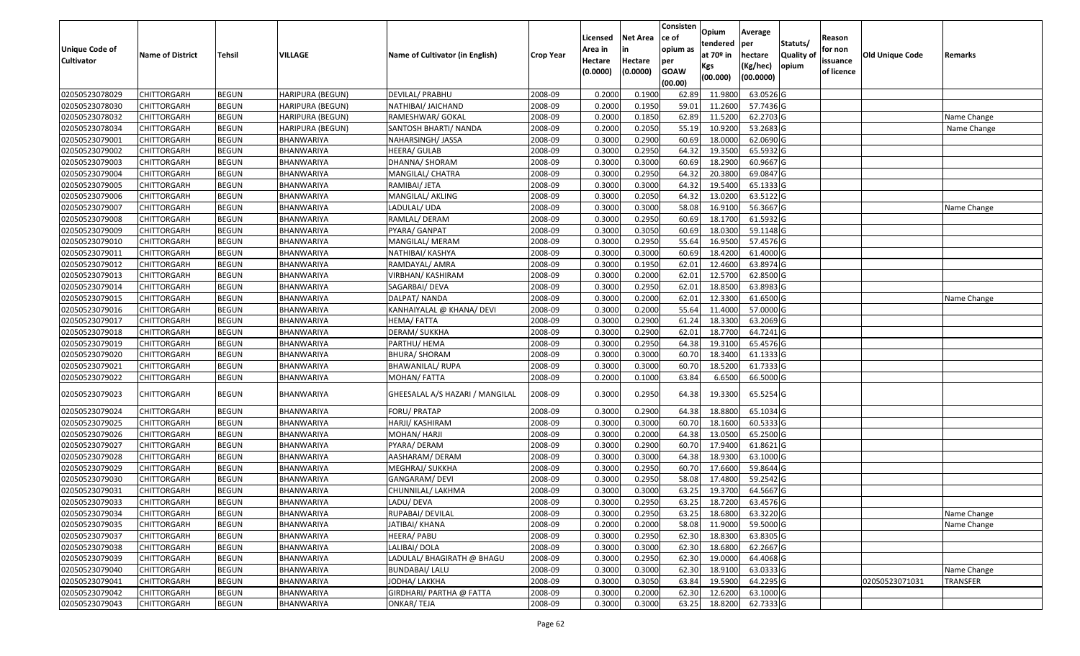| <b>Unique Code of</b> |                         |               |                         |                                 |                  | Licensed<br>Area in | <b>Net Area</b>     | Consisten<br>ce of<br>opium as | Opium<br>tendered              | Average<br>per                   | Statuts/            | Reason<br>for non      |                        |                 |
|-----------------------|-------------------------|---------------|-------------------------|---------------------------------|------------------|---------------------|---------------------|--------------------------------|--------------------------------|----------------------------------|---------------------|------------------------|------------------------|-----------------|
| <b>Cultivator</b>     | <b>Name of District</b> | <b>Tehsil</b> | VILLAGE                 | Name of Cultivator (in English) | <b>Crop Year</b> | Hectare<br>(0.0000) | Hectare<br>(0.0000) | per<br><b>GOAW</b><br>(00.00)  | at $70°$ in<br>Kgs<br>(00.000) | hectare<br>(Kg/hec)<br>(00.0000) | Quality of<br>opium | issuance<br>of licence | <b>Old Unique Code</b> | Remarks         |
| 02050523078029        | <b>CHITTORGARH</b>      | <b>BEGUN</b>  | <b>HARIPURA (BEGUN)</b> | DEVILAL/ PRABHU                 | 2008-09          | 0.2000              | 0.1900              | 62.89                          | 11.9800                        | 63.0526 G                        |                     |                        |                        |                 |
| 02050523078030        | CHITTORGARH             | <b>BEGUN</b>  | <b>HARIPURA (BEGUN)</b> | NATHIBAI/ JAICHAND              | 2008-09          | 0.2000              | 0.1950              | 59.01                          | 11.2600                        | 57.7436 G                        |                     |                        |                        |                 |
| 02050523078032        | <b>CHITTORGARH</b>      | <b>BEGUN</b>  | HARIPURA (BEGUN)        | RAMESHWAR/ GOKAL                | 2008-09          | 0.2000              | 0.1850              | 62.89                          | 11.5200                        | 62.2703 G                        |                     |                        |                        | Name Change     |
| 02050523078034        | <b>CHITTORGARH</b>      | <b>BEGUN</b>  | <b>HARIPURA (BEGUN)</b> | SANTOSH BHARTI/ NANDA           | 2008-09          | 0.2000              | 0.2050              | 55.19                          | 10.9200                        | 53.2683 G                        |                     |                        |                        | Name Change     |
| 02050523079001        | <b>CHITTORGARH</b>      | <b>BEGUN</b>  | BHANWARIYA              | NAHARSINGH/ JASSA               | 2008-09          | 0.3000              | 0.2900              | 60.69                          | 18.0000                        | 62.0690 G                        |                     |                        |                        |                 |
| 02050523079002        | <b>CHITTORGARH</b>      | <b>BEGUN</b>  | BHANWARIYA              | HEERA/ GULAB                    | 2008-09          | 0.3000              | 0.2950              | 64.32                          | 19.3500                        | 65.5932 G                        |                     |                        |                        |                 |
| 02050523079003        | CHITTORGARH             | <b>BEGUN</b>  | BHANWARIYA              | DHANNA/ SHORAM                  | 2008-09          | 0.3000              | 0.3000              | 60.69                          | 18.2900                        | 60.9667 G                        |                     |                        |                        |                 |
| 02050523079004        | <b>CHITTORGARH</b>      | <b>BEGUN</b>  | <b>BHANWARIYA</b>       | MANGILAL/ CHATRA                | 2008-09          | 0.3000              | 0.2950              | 64.32                          | 20.3800                        | 69.0847 G                        |                     |                        |                        |                 |
| 02050523079005        | CHITTORGARH             | <b>BEGUN</b>  | <b>BHANWARIYA</b>       | RAMIBAI/ JETA                   | 2008-09          | 0.3000              | 0.3000              | 64.32                          | 19.5400                        | 65.1333 G                        |                     |                        |                        |                 |
| 02050523079006        | CHITTORGARH             | <b>BEGUN</b>  | BHANWARIYA              | MANGILAL/ AKLING                | 2008-09          | 0.3000              | 0.2050              | 64.32                          | 13.0200                        | 63.5122 G                        |                     |                        |                        |                 |
| 02050523079007        | <b>CHITTORGARH</b>      | <b>BEGUN</b>  | <b>BHANWARIYA</b>       | LADULAL/UDA                     | 2008-09          | 0.3000              | 0.3000              | 58.08                          | 16.9100                        | 56.3667 G                        |                     |                        |                        | Name Change     |
| 02050523079008        | <b>CHITTORGARH</b>      | <b>BEGUN</b>  | <b>BHANWARIYA</b>       | RAMLAL/ DERAM                   | 2008-09          | 0.3000              | 0.2950              | 60.69                          | 18.1700                        | 61.5932 G                        |                     |                        |                        |                 |
| 02050523079009        | <b>CHITTORGARH</b>      | <b>BEGUN</b>  | <b>BHANWARIYA</b>       | PYARA/ GANPAT                   | 2008-09          | 0.3000              | 0.3050              | 60.69                          | 18.0300                        | 59.1148 G                        |                     |                        |                        |                 |
| 02050523079010        | <b>CHITTORGARH</b>      | <b>BEGUN</b>  | BHANWARIYA              | MANGILAL/ MERAM                 | 2008-09          | 0.3000              | 0.2950              | 55.64                          | 16.9500                        | 57.4576 G                        |                     |                        |                        |                 |
| 02050523079011        | <b>CHITTORGARH</b>      | <b>BEGUN</b>  | BHANWARIYA              | NATHIBAI/ KASHYA                | 2008-09          | 0.3000              | 0.3000              | 60.69                          | 18.4200                        | 61.4000 G                        |                     |                        |                        |                 |
| 02050523079012        | <b>CHITTORGARH</b>      | <b>BEGUN</b>  | BHANWARIYA              | RAMDAYAL/ AMRA                  | 2008-09          | 0.3000              | 0.1950              | 62.01                          | 12.4600                        | 63.8974 G                        |                     |                        |                        |                 |
| 02050523079013        | <b>CHITTORGARH</b>      | <b>BEGUN</b>  | <b>BHANWARIYA</b>       | VIRBHAN/ KASHIRAM               | 2008-09          | 0.3000              | 0.2000              | 62.01                          | 12.5700                        | 62.8500 G                        |                     |                        |                        |                 |
| 02050523079014        | <b>CHITTORGARH</b>      | <b>BEGUN</b>  | BHANWARIYA              | SAGARBAI/ DEVA                  | 2008-09          | 0.3000              | 0.2950              | 62.01                          | 18.8500                        | $\overline{63.8983}$ G           |                     |                        |                        |                 |
| 02050523079015        | CHITTORGARH             | <b>BEGUN</b>  | BHANWARIYA              | DALPAT/ NANDA                   | 2008-09          | 0.3000              | 0.2000              | 62.01                          | 12.3300                        | 61.6500 G                        |                     |                        |                        | Name Change     |
| 02050523079016        | <b>CHITTORGARH</b>      | <b>BEGUN</b>  | BHANWARIYA              | KANHAIYALAL @ KHANA/ DEVI       | 2008-09          | 0.3000              | 0.2000              | 55.64                          | 11.4000                        | 57.0000 G                        |                     |                        |                        |                 |
| 02050523079017        | <b>CHITTORGARH</b>      | <b>BEGUN</b>  | BHANWARIYA              | HEMA/ FATTA                     | 2008-09          | 0.3000              | 0.2900              | 61.24                          | 18.3300                        | 63.2069 G                        |                     |                        |                        |                 |
| 02050523079018        | CHITTORGARH             | <b>BEGUN</b>  | BHANWARIYA              | DERAM/ SUKKHA                   | 2008-09          | 0.3000              | 0.2900              | 62.0                           | 18.7700                        | 64.7241 G                        |                     |                        |                        |                 |
| 02050523079019        | CHITTORGARH             | <b>BEGUN</b>  | BHANWARIYA              | PARTHU/ HEMA                    | 2008-09          | 0.3000              | 0.2950              | 64.38                          | 19.3100                        | 65.4576 G                        |                     |                        |                        |                 |
| 02050523079020        | <b>CHITTORGARH</b>      | <b>BEGUN</b>  | BHANWARIYA              | <b>BHURA/ SHORAM</b>            | 2008-09          | 0.3000              | 0.3000              | 60.70                          | 18.3400                        | $61.1333$ G                      |                     |                        |                        |                 |
| 02050523079021        | <b>CHITTORGARH</b>      | <b>BEGUN</b>  | <b>BHANWARIYA</b>       | <b>BHAWANILAL/ RUPA</b>         | 2008-09          | 0.3000              | 0.3000              | 60.70                          | 18.5200                        | 61.7333 G                        |                     |                        |                        |                 |
| 02050523079022        | <b>CHITTORGARH</b>      | <b>BEGUN</b>  | BHANWARIYA              | MOHAN/ FATTA                    | 2008-09          | 0.2000              | 0.1000              | 63.84                          | 6.6500                         | 66.5000 G                        |                     |                        |                        |                 |
| 02050523079023        | CHITTORGARH             | <b>BEGUN</b>  | BHANWARIYA              | GHEESALAL A/S HAZARI / MANGILAL | 2008-09          | 0.3000              | 0.2950              | 64.38                          | 19.3300                        | 65.5254 G                        |                     |                        |                        |                 |
| 02050523079024        | <b>CHITTORGARH</b>      | <b>BEGUN</b>  | <b>BHANWARIYA</b>       | FORU/ PRATAP                    | 2008-09          | 0.3000              | 0.2900              | 64.38                          | 18.8800                        | 65.1034 G                        |                     |                        |                        |                 |
| 02050523079025        | <b>CHITTORGARH</b>      | <b>BEGUN</b>  | <b>BHANWARIYA</b>       | HARJI/ KASHIRAM                 | 2008-09          | 0.3000              | 0.3000              | 60.70                          | 18.1600                        | 60.5333 G                        |                     |                        |                        |                 |
| 02050523079026        | <b>CHITTORGARH</b>      | <b>BEGUN</b>  | BHANWARIYA              | MOHAN/ HARJI                    | 2008-09          | 0.3000              | 0.2000              | 64.38                          | 13.0500                        | 65.2500 G                        |                     |                        |                        |                 |
| 02050523079027        | CHITTORGARH             | <b>BEGUN</b>  | BHANWARIYA              | PYARA/ DERAM                    | 2008-09          | 0.3000              | 0.2900              | 60.7                           | 17.9400                        | 61.8621 G                        |                     |                        |                        |                 |
| 02050523079028        | <b>CHITTORGARH</b>      | <b>BEGUN</b>  | BHANWARIYA              | AASHARAM/ DERAM                 | 2008-09          | 0.3000              | 0.3000              | 64.38                          | 18.9300                        | 63.1000 G                        |                     |                        |                        |                 |
| 02050523079029        | <b>CHITTORGARH</b>      | <b>BEGUN</b>  | <b>BHANWARIYA</b>       | MEGHRAJ/ SUKKHA                 | 2008-09          | 0.3000              | 0.2950              | 60.70                          | 17.6600                        | 59.8644 G                        |                     |                        |                        |                 |
| 02050523079030        | <b>CHITTORGARH</b>      | <b>BEGUN</b>  | BHANWARIYA              | GANGARAM/ DEVI                  | 2008-09          | 0.3000              | 0.2950              | 58.08                          | 17.4800                        | 59.2542 G                        |                     |                        |                        |                 |
| 02050523079031        | <b>CHITTORGARH</b>      | <b>BEGUN</b>  | BHANWARIYA              | CHUNNILAL/ LAKHMA               | 2008-09          | 0.3000              | 0.3000              | 63.25                          | 19.3700                        | 64.5667 G                        |                     |                        |                        |                 |
| 02050523079033        | <b>CHITTORGARH</b>      | <b>BEGUN</b>  | BHANWARIYA              | LADU/ DEVA                      | 2008-09          | 0.3000              | 0.2950              | 63.25                          | 18.7200                        | 63.4576 G                        |                     |                        |                        |                 |
| 02050523079034        | <b>CHITTORGARH</b>      | <b>BEGUN</b>  | <b>BHANWARIYA</b>       | RUPABAI/ DEVILAL                | 2008-09          | 0.3000              | 0.2950              | 63.25                          | 18.6800                        | 63.3220 G                        |                     |                        |                        | Name Change     |
| 02050523079035        | <b>CHITTORGARH</b>      | <b>BEGUN</b>  | BHANWARIYA              | JATIBAI/ KHANA                  | 2008-09          | 0.2000              | 0.2000              | 58.08                          | 11.9000                        | 59.5000 G                        |                     |                        |                        | Name Change     |
| 02050523079037        | CHITTORGARH             | <b>BEGUN</b>  | BHANWARIYA              | <b>HEERA/ PABU</b>              | 2008-09          | 0.3000              | 0.2950              | 62.30                          | 18.8300                        | 63.8305 G                        |                     |                        |                        |                 |
| 02050523079038        | CHITTORGARH             | <b>BEGUN</b>  | BHANWARIYA              | LALIBAI/ DOLA                   | 2008-09          | 0.3000              | 0.3000              | 62.30                          | 18.6800                        | 62.2667 G                        |                     |                        |                        |                 |
| 02050523079039        | <b>CHITTORGARH</b>      | <b>BEGUN</b>  | <b>BHANWARIYA</b>       | LADULAL/ BHAGIRATH @ BHAGU      | 2008-09          | 0.3000              | 0.2950              | 62.30                          | 19.0000                        | 64.4068 G                        |                     |                        |                        |                 |
| 02050523079040        | <b>CHITTORGARH</b>      | <b>BEGUN</b>  | BHANWARIYA              | <b>BUNDABAI/ LALU</b>           | 2008-09          | 0.3000              | 0.3000              | 62.30                          | 18.9100                        | 63.0333 G                        |                     |                        |                        | Name Change     |
| 02050523079041        | <b>CHITTORGARH</b>      | <b>BEGUN</b>  | BHANWARIYA              | JODHA/ LAKKHA                   | 2008-09          | 0.3000              | 0.3050              | 63.84                          | 19.5900                        | 64.2295 G                        |                     |                        | 02050523071031         | <b>TRANSFER</b> |
| 02050523079042        | CHITTORGARH             | <b>BEGUN</b>  | BHANWARIYA              | GIRDHARI/ PARTHA @ FATTA        | 2008-09          | 0.3000              | 0.2000              | 62.30                          | 12.6200                        | 63.1000 G                        |                     |                        |                        |                 |
| 02050523079043        | <b>CHITTORGARH</b>      | <b>BEGUN</b>  | BHANWARIYA              | ONKAR/TEJA                      | 2008-09          | 0.3000              | 0.3000              | 63.25                          | 18.8200                        | 62.7333 G                        |                     |                        |                        |                 |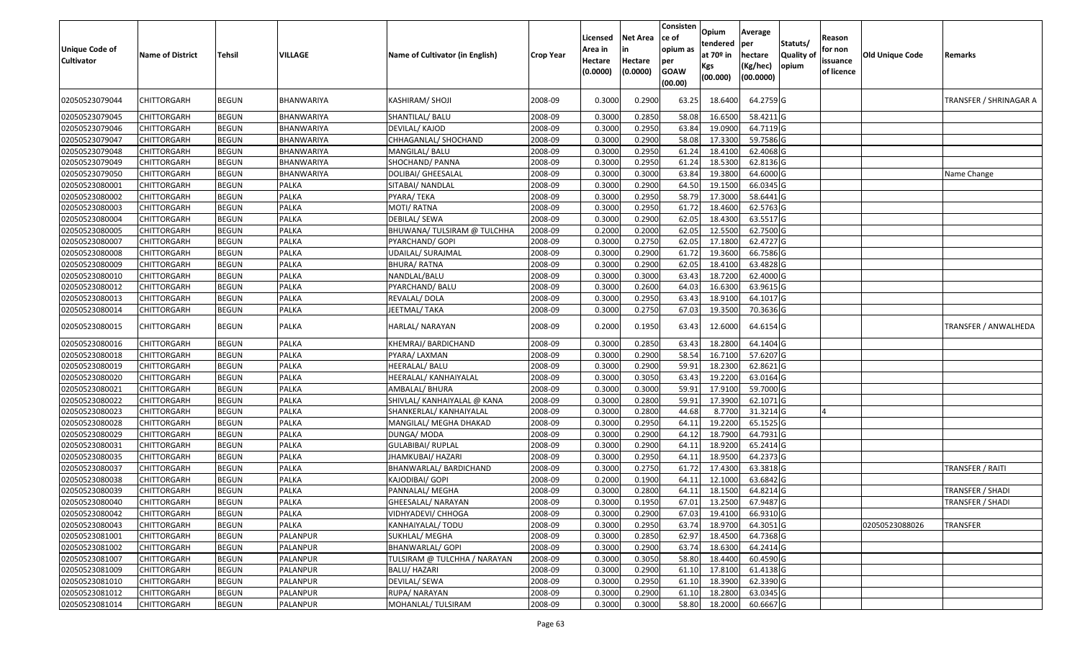| <b>Unique Code of</b><br><b>Cultivator</b> | <b>Name of District</b> | Tehsil       | VILLAGE      | Name of Cultivator (in English) | <b>Crop Year</b> | Licensed<br>Area in<br>Hectare<br>(0.0000) | <b>Net Area</b><br>in<br>Hectare<br>(0.0000) | Consisten<br>lce of<br>opium as<br>per<br><b>GOAW</b><br>(00.00) | Opium<br>tendered<br>at $70°$ in<br>Kgs<br>(00.000) | Average<br>per<br>hectare<br>(Kg/hec)<br>(00.0000) | Statuts/<br><b>Quality o</b><br>opium | Reason<br>for non<br>issuance<br>of licence | Old Unique Code | Remarks                |
|--------------------------------------------|-------------------------|--------------|--------------|---------------------------------|------------------|--------------------------------------------|----------------------------------------------|------------------------------------------------------------------|-----------------------------------------------------|----------------------------------------------------|---------------------------------------|---------------------------------------------|-----------------|------------------------|
| 02050523079044                             | CHITTORGARH             | <b>BEGUN</b> | BHANWARIYA   | KASHIRAM/ SHOJI                 | 2008-09          | 0.3000                                     | 0.2900                                       | 63.25                                                            | 18.6400                                             | 64.2759 G                                          |                                       |                                             |                 | TRANSFER / SHRINAGAR A |
| 02050523079045                             | <b>CHITTORGARH</b>      | <b>BEGUN</b> | BHANWARIYA   | SHANTILAL/ BALU                 | 2008-09          | 0.3000                                     | 0.2850                                       | 58.08                                                            | 16.6500                                             | 58.4211 G                                          |                                       |                                             |                 |                        |
| 02050523079046                             | <b>CHITTORGARH</b>      | <b>BEGUN</b> | BHANWARIYA   | DEVILAL/ KAJOD                  | 2008-09          | 0.3000                                     | 0.2950                                       | 63.84                                                            | 19.0900                                             | 64.7119 G                                          |                                       |                                             |                 |                        |
| 02050523079047                             | <b>CHITTORGARH</b>      | <b>BEGUN</b> | BHANWARIYA   | CHHAGANLAL/ SHOCHAND            | 2008-09          | 0.3000                                     | 0.2900                                       | 58.08                                                            | 17.3300                                             | 59.7586 G                                          |                                       |                                             |                 |                        |
| 02050523079048                             | <b>CHITTORGARH</b>      | <b>BEGUN</b> | BHANWARIYA   | MANGILAL/ BALU                  | 2008-09          | 0.3000                                     | 0.2950                                       | 61.24                                                            | 18.4100                                             | 62.4068 G                                          |                                       |                                             |                 |                        |
| 02050523079049                             | CHITTORGARH             | <b>BEGUN</b> | BHANWARIYA   | SHOCHAND/ PANNA                 | 2008-09          | 0.3000                                     | 0.2950                                       | 61.24                                                            | 18.5300                                             | 62.8136 G                                          |                                       |                                             |                 |                        |
| 02050523079050                             | <b>CHITTORGARH</b>      | <b>BEGUN</b> | BHANWARIYA   | DOLIBAI/ GHEESALAL              | 2008-09          | 0.3000                                     | 0.3000                                       | 63.84                                                            | 19.3800                                             | 64.6000 G                                          |                                       |                                             |                 | Name Change            |
| 02050523080001                             | <b>CHITTORGARH</b>      | <b>BEGUN</b> | PALKA        | SITABAI/ NANDLAL                | 2008-09          | 0.3000                                     | 0.2900                                       | 64.50                                                            | 19.1500                                             | 66.0345 G                                          |                                       |                                             |                 |                        |
| 02050523080002                             | <b>CHITTORGARH</b>      | <b>BEGUN</b> | <b>PALKA</b> | PYARA/TEKA                      | 2008-09          | 0.3000                                     | 0.2950                                       | 58.79                                                            | 17.3000                                             | 58.6441 G                                          |                                       |                                             |                 |                        |
| 02050523080003                             | <b>CHITTORGARH</b>      | <b>BEGUN</b> | <b>PALKA</b> | MOTI/ RATNA                     | 2008-09          | 0.3000                                     | 0.2950                                       | 61.72                                                            | 18.4600                                             | 62.5763 G                                          |                                       |                                             |                 |                        |
| 02050523080004                             | <b>CHITTORGARH</b>      | <b>BEGUN</b> | <b>PALKA</b> | DEBILAL/ SEWA                   | 2008-09          | 0.3000                                     | 0.2900                                       | 62.05                                                            | 18.4300                                             | 63.5517 G                                          |                                       |                                             |                 |                        |
| 02050523080005                             | <b>CHITTORGARH</b>      | <b>BEGUN</b> | <b>PALKA</b> | BHUWANA/ TULSIRAM @ TULCHHA     | 2008-09          | 0.2000                                     | 0.2000                                       | 62.05                                                            | 12.5500                                             | 62.7500 G                                          |                                       |                                             |                 |                        |
| 02050523080007                             | <b>CHITTORGARH</b>      | <b>BEGUN</b> | <b>PALKA</b> | PYARCHAND/ GOPI                 | 2008-09          | 0.3000                                     | 0.2750                                       | 62.05                                                            | 17.1800                                             | 62.4727 G                                          |                                       |                                             |                 |                        |
| 02050523080008                             | <b>CHITTORGARH</b>      | <b>BEGUN</b> | <b>PALKA</b> | UDAILAL/ SURAJMAL               | 2008-09          | 0.3000                                     | 0.2900                                       | 61.72                                                            | 19.3600                                             | 66.7586 G                                          |                                       |                                             |                 |                        |
| 02050523080009                             | <b>CHITTORGARH</b>      | <b>BEGUN</b> | <b>PALKA</b> | <b>BHURA/ RATNA</b>             | 2008-09          | 0.3000                                     | 0.2900                                       | 62.05                                                            | 18.4100                                             | 63.4828 G                                          |                                       |                                             |                 |                        |
| 02050523080010                             | <b>CHITTORGARH</b>      | <b>BEGUN</b> | <b>PALKA</b> | NANDLAL/BALU                    | 2008-09          | 0.3000                                     | 0.3000                                       | 63.43                                                            | 18.7200                                             | 62.4000 G                                          |                                       |                                             |                 |                        |
| 02050523080012                             | CHITTORGARH             | <b>BEGUN</b> | PALKA        | PYARCHAND/ BALU                 | 2008-09          | 0.3000                                     | 0.2600                                       | 64.03                                                            | 16.6300                                             | 63.9615 G                                          |                                       |                                             |                 |                        |
| 02050523080013                             | CHITTORGARH             | <b>BEGUN</b> | PALKA        | REVALAL/DOLA                    | 2008-09          | 0.3000                                     | 0.2950                                       | 63.43                                                            | 18.9100                                             | 64.1017 G                                          |                                       |                                             |                 |                        |
| 02050523080014                             | CHITTORGARH             | <b>BEGUN</b> | <b>PALKA</b> | <b>JEETMAL/ TAKA</b>            | 2008-09          | 0.3000                                     | 0.2750                                       | 67.03                                                            | 19.3500                                             | 70.3636 G                                          |                                       |                                             |                 |                        |
| 02050523080015                             | <b>CHITTORGARH</b>      | <b>BEGUN</b> | PALKA        | HARLAL/ NARAYAN                 | 2008-09          | 0.2000                                     | 0.1950                                       | 63.43                                                            | 12.6000                                             | 64.6154 G                                          |                                       |                                             |                 | TRANSFER / ANWALHEDA   |
| 02050523080016                             | CHITTORGARH             | <b>BEGUN</b> | PALKA        | KHEMRAJ/ BARDICHAND             | 2008-09          | 0.3000                                     | 0.2850                                       | 63.43                                                            | 18.2800                                             | 64.1404 G                                          |                                       |                                             |                 |                        |
| 02050523080018                             | CHITTORGARH             | <b>BEGUN</b> | <b>PALKA</b> | PYARA/ LAXMAN                   | 2008-09          | 0.3000                                     | 0.2900                                       | 58.54                                                            | 16.7100                                             | 57.6207 G                                          |                                       |                                             |                 |                        |
| 02050523080019                             | <b>CHITTORGARH</b>      | <b>BEGUN</b> | <b>PALKA</b> | HEERALAL/ BALU                  | 2008-09          | 0.3000                                     | 0.2900                                       | 59.91                                                            | 18.2300                                             | 62.8621 G                                          |                                       |                                             |                 |                        |
| 02050523080020                             | <b>CHITTORGARH</b>      | <b>BEGUN</b> | PALKA        | HEERALAL/ KANHAIYALAL           | 2008-09          | 0.3000                                     | 0.3050                                       | 63.43                                                            | 19.2200                                             | 63.0164 G                                          |                                       |                                             |                 |                        |
| 02050523080021                             | <b>CHITTORGARH</b>      | <b>BEGUN</b> | <b>PALKA</b> | AMBALAL/ BHURA                  | 2008-09          | 0.3000                                     | 0.3000                                       | 59.91                                                            | 17.9100                                             | 59.7000 G                                          |                                       |                                             |                 |                        |
| 02050523080022                             | <b>CHITTORGARH</b>      | <b>BEGUN</b> | <b>PALKA</b> | SHIVLAL/ KANHAIYALAL @ KANA     | 2008-09          | 0.3000                                     | 0.2800                                       | 59.91                                                            | 17.3900                                             | 62.1071 G                                          |                                       |                                             |                 |                        |
| 02050523080023                             | <b>CHITTORGARH</b>      | <b>BEGUN</b> | <b>PALKA</b> | SHANKERLAL/ KANHAIYALAL         | 2008-09          | 0.3000                                     | 0.2800                                       | 44.68                                                            | 8.7700                                              | 31.3214 G                                          |                                       |                                             |                 |                        |
| 02050523080028                             | <b>CHITTORGARH</b>      | <b>BEGUN</b> | <b>PALKA</b> | MANGILAL/ MEGHA DHAKAD          | 2008-09          | 0.3000                                     | 0.2950                                       | 64.11                                                            | 19.2200                                             | 65.1525 G                                          |                                       |                                             |                 |                        |
| 02050523080029                             | <b>CHITTORGARH</b>      | <b>BEGUN</b> | <b>PALKA</b> | DUNGA/ MODA                     | 2008-09          | 0.3000                                     | 0.2900                                       | 64.12                                                            | 18.7900                                             | 64.7931 G                                          |                                       |                                             |                 |                        |
| 02050523080031                             | <b>CHITTORGARH</b>      | <b>BEGUN</b> | <b>PALKA</b> | <b>GULABIBAI/ RUPLAL</b>        | 2008-09          | 0.3000                                     | 0.2900                                       | 64.1                                                             | 18.9200                                             | 65.2414 G                                          |                                       |                                             |                 |                        |
| 02050523080035                             | <b>CHITTORGARH</b>      | <b>BEGUN</b> | <b>PALKA</b> | JHAMKUBAI/ HAZARI               | 2008-09          | 0.3000                                     | 0.2950                                       | 64.1                                                             | 18.9500                                             | 64.2373 G                                          |                                       |                                             |                 |                        |
| 02050523080037                             | <b>CHITTORGARH</b>      | <b>BEGUN</b> | PALKA        | BHANWARLAL/ BARDICHAND          | 2008-09          | 0.3000                                     | 0.2750                                       | 61.72                                                            | 17.4300                                             | 63.3818 G                                          |                                       |                                             |                 | TRANSFER / RAITI       |
| 02050523080038                             | <b>CHITTORGARH</b>      | <b>BEGUN</b> | <b>PALKA</b> | KAJODIBAI/ GOPI                 | 2008-09          | 0.2000                                     | 0.1900                                       | 64.1                                                             | 12.1000                                             | 63.6842 G                                          |                                       |                                             |                 |                        |
| 02050523080039                             | <b>CHITTORGARH</b>      | <b>BEGUN</b> | <b>PALKA</b> | PANNALAL/ MEGHA                 | 2008-09          | 0.3000                                     | 0.2800                                       | 64.11                                                            | 18.1500                                             | 64.8214 G                                          |                                       |                                             |                 | TRANSFER / SHADI       |
| 02050523080040                             | CHITTORGARH             | <b>BEGUN</b> | <b>PALKA</b> | GHEESALAL/ NARAYAN              | 2008-09          | 0.3000                                     | 0.1950                                       |                                                                  | 67.01 13.2500                                       | 67.9487 G                                          |                                       |                                             |                 | TRANSFER / SHADI       |
| 02050523080042                             | <b>CHITTORGARH</b>      | <b>BEGUN</b> | PALKA        | VIDHYADEVI/ CHHOGA              | 2008-09          | 0.3000                                     | 0.2900                                       | 67.03                                                            | 19.4100                                             | 66.9310 G                                          |                                       |                                             |                 |                        |
| 02050523080043                             | <b>CHITTORGARH</b>      | <b>BEGUN</b> | PALKA        | KANHAIYALAL/ TODU               | 2008-09          | 0.3000                                     | 0.2950                                       | 63.74                                                            | 18.9700                                             | 64.3051 G                                          |                                       |                                             | 02050523088026  | TRANSFER               |
| 02050523081001                             | <b>CHITTORGARH</b>      | <b>BEGUN</b> | PALANPUR     | SUKHLAL/ MEGHA                  | 2008-09          | 0.3000                                     | 0.2850                                       | 62.97                                                            | 18.4500                                             | 64.7368 G                                          |                                       |                                             |                 |                        |
| 02050523081002                             | <b>CHITTORGARH</b>      | <b>BEGUN</b> | PALANPUR     | BHANWARLAL/ GOPI                | 2008-09          | 0.3000                                     | 0.2900                                       | 63.74                                                            | 18.6300                                             | 64.2414 G                                          |                                       |                                             |                 |                        |
| 02050523081007                             | <b>CHITTORGARH</b>      | <b>BEGUN</b> | PALANPUR     | TULSIRAM @ TULCHHA / NARAYAN    | 2008-09          | 0.3000                                     | 0.3050                                       | 58.80                                                            | 18.4400                                             | 60.4590 G                                          |                                       |                                             |                 |                        |
| 02050523081009                             | <b>CHITTORGARH</b>      | <b>BEGUN</b> | PALANPUR     | <b>BALU/ HAZARI</b>             | 2008-09          | 0.3000                                     | 0.2900                                       | 61.10                                                            | 17.8100                                             | 61.4138 G                                          |                                       |                                             |                 |                        |
| 02050523081010                             | <b>CHITTORGARH</b>      | <b>BEGUN</b> | PALANPUR     | DEVILAL/ SEWA                   | 2008-09          | 0.3000                                     | 0.2950                                       | 61.10                                                            | 18.3900                                             | 62.3390 G                                          |                                       |                                             |                 |                        |
| 02050523081012                             | <b>CHITTORGARH</b>      | <b>BEGUN</b> | PALANPUR     | RUPA/ NARAYAN                   | 2008-09          | 0.3000                                     | 0.2900                                       | 61.10                                                            | 18.2800                                             | 63.0345 G                                          |                                       |                                             |                 |                        |
| 02050523081014                             | <b>CHITTORGARH</b>      | <b>BEGUN</b> | PALANPUR     | MOHANLAL/ TULSIRAM              | 2008-09          | 0.3000                                     | 0.3000                                       | 58.80                                                            | 18.2000                                             | 60.6667 G                                          |                                       |                                             |                 |                        |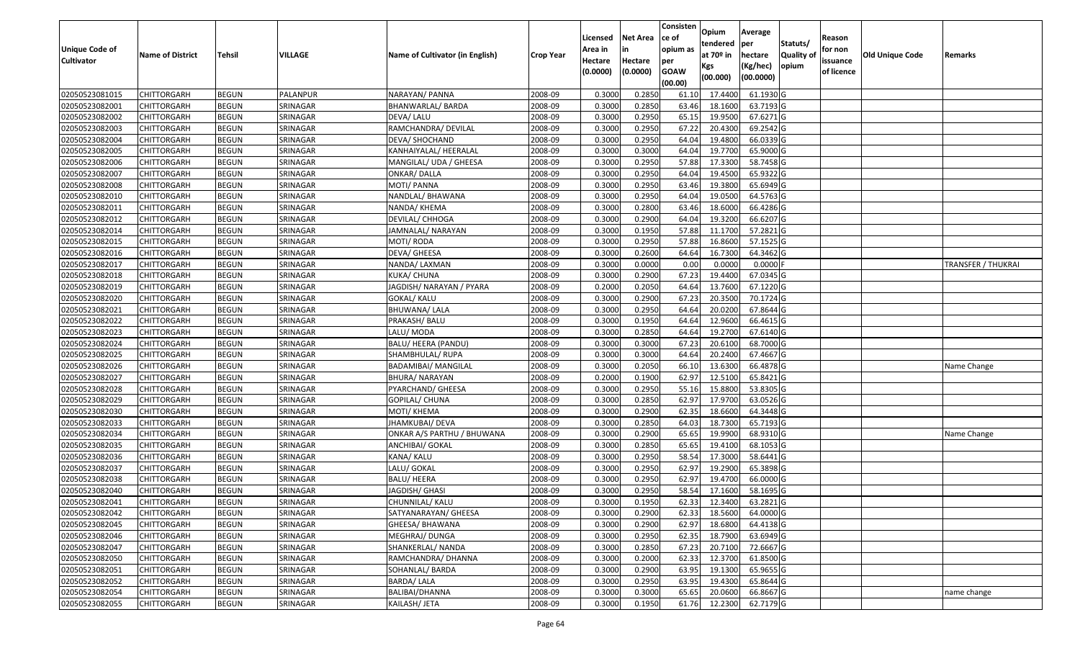|                       |                         |               |          |                                 |                  | Licensed | <b>Net Area</b> | Consisten<br>ce of | Opium                 | Average    |                  | Reason     |                 |                           |
|-----------------------|-------------------------|---------------|----------|---------------------------------|------------------|----------|-----------------|--------------------|-----------------------|------------|------------------|------------|-----------------|---------------------------|
| <b>Unique Code of</b> |                         |               |          |                                 |                  | Area in  |                 | opium as           | tendered              | per        | Statuts/         | for non    |                 |                           |
| <b>Cultivator</b>     | <b>Name of District</b> | <b>Tehsil</b> | VILLAGE  | Name of Cultivator (in English) | <b>Crop Year</b> | Hectare  | Hectare         | per                | at 70 <sup>o</sup> in | hectare    | <b>Quality o</b> | issuance   | Old Unique Code | Remarks                   |
|                       |                         |               |          |                                 |                  | (0.0000) | (0.0000)        | <b>GOAW</b>        | Kgs                   | (Kg/hec)   | opium            | of licence |                 |                           |
|                       |                         |               |          |                                 |                  |          |                 | (00.00)            | (00.000)              | (00.0000)  |                  |            |                 |                           |
| 02050523081015        | CHITTORGARH             | <b>BEGUN</b>  | PALANPUR | NARAYAN/ PANNA                  | 2008-09          | 0.3000   | 0.2850          | 61.10              | 17.4400               | 61.1930 G  |                  |            |                 |                           |
| 02050523082001        | CHITTORGARH             | <b>BEGUN</b>  | SRINAGAR | BHANWARLAL/ BARDA               | 2008-09          | 0.3000   | 0.2850          | 63.46              | 18.1600               | 63.7193 G  |                  |            |                 |                           |
| 02050523082002        | CHITTORGARH             | <b>BEGUN</b>  | SRINAGAR | DEVA/ LALU                      | 2008-09          | 0.3000   | 0.2950          | 65.15              | 19.9500               | 67.6271 G  |                  |            |                 |                           |
| 02050523082003        | <b>CHITTORGARH</b>      | <b>BEGUN</b>  | SRINAGAR | RAMCHANDRA/ DEVILAL             | 2008-09          | 0.3000   | 0.2950          | 67.22              | 20.4300               | 69.2542 G  |                  |            |                 |                           |
| 02050523082004        | CHITTORGARH             | <b>BEGUN</b>  | SRINAGAR | DEVA/ SHOCHAND                  | 2008-09          | 0.3000   | 0.2950          | 64.04              | 19.4800               | 66.0339 G  |                  |            |                 |                           |
| 02050523082005        | CHITTORGARH             | <b>BEGUN</b>  | SRINAGAR | KANHAIYALAL/ HEERALAL           | 2008-09          | 0.3000   | 0.3000          | 64.04              | 19.7700               | 65.9000 G  |                  |            |                 |                           |
| 02050523082006        | CHITTORGARH             | <b>BEGUN</b>  | SRINAGAR | MANGILAL/ UDA / GHEESA          | 2008-09          | 0.3000   | 0.2950          | 57.88              | 17.3300               | 58.7458 G  |                  |            |                 |                           |
| 02050523082007        | CHITTORGARH             | <b>BEGUN</b>  | SRINAGAR | <b>ONKAR/DALLA</b>              | 2008-09          | 0.3000   | 0.2950          | 64.04              | 19.4500               | 65.9322 G  |                  |            |                 |                           |
| 02050523082008        | CHITTORGARH             | <b>BEGUN</b>  | SRINAGAR | MOTI/ PANNA                     | 2008-09          | 0.3000   | 0.2950          | 63.46              | 19.3800               | 65.6949 G  |                  |            |                 |                           |
| 02050523082010        | CHITTORGARH             | <b>BEGUN</b>  | SRINAGAR | NANDLAL/ BHAWANA                | 2008-09          | 0.3000   | 0.2950          | 64.04              | 19.0500               | 64.5763 G  |                  |            |                 |                           |
| 02050523082011        | CHITTORGARH             | <b>BEGUN</b>  | SRINAGAR | NANDA/ KHEMA                    | 2008-09          | 0.3000   | 0.2800          | 63.46              | 18.6000               | 66.4286 G  |                  |            |                 |                           |
| 02050523082012        | CHITTORGARH             | <b>BEGUN</b>  | SRINAGAR | DEVILAL/ CHHOGA                 | 2008-09          | 0.3000   | 0.2900          | 64.04              | 19.3200               | 66.6207 G  |                  |            |                 |                           |
| 02050523082014        | <b>CHITTORGARH</b>      | <b>BEGUN</b>  | SRINAGAR | JAMNALAL/ NARAYAN               | 2008-09          | 0.3000   | 0.1950          | 57.88              | 11.1700               | 57.2821 G  |                  |            |                 |                           |
| 02050523082015        | CHITTORGARH             | <b>BEGUN</b>  | SRINAGAR | MOTI/ RODA                      | 2008-09          | 0.3000   | 0.2950          | 57.88              | 16.8600               | 57.1525 G  |                  |            |                 |                           |
| 02050523082016        | CHITTORGARH             | <b>BEGUN</b>  | SRINAGAR | DEVA/ GHEESA                    | 2008-09          | 0.3000   | 0.2600          | 64.64              | 16.7300               | 64.3462 G  |                  |            |                 |                           |
| 02050523082017        | CHITTORGARH             | <b>BEGUN</b>  | SRINAGAR | NANDA/ LAXMAN                   | 2008-09          | 0.3000   | 0.0000          | 0.00               | 0.0000                | $0.0000$ F |                  |            |                 | <b>TRANSFER / THUKRAI</b> |
| 02050523082018        | CHITTORGARH             | <b>BEGUN</b>  | SRINAGAR | KUKA/ CHUNA                     | 2008-09          | 0.3000   | 0.2900          | 67.23              | 19.4400               | 67.0345 G  |                  |            |                 |                           |
| 02050523082019        | CHITTORGARH             | <b>BEGUN</b>  | SRINAGAR | JAGDISH/NARAYAN / PYARA         | 2008-09          | 0.2000   | 0.2050          | 64.64              | 13.7600               | 67.1220 G  |                  |            |                 |                           |
| 02050523082020        | CHITTORGARH             | <b>BEGUN</b>  | SRINAGAR | GOKAL/ KALU                     | 2008-09          | 0.300    | 0.2900          | 67.23              | 20.3500               | 70.1724 G  |                  |            |                 |                           |
| 02050523082021        | CHITTORGARH             | <b>BEGUN</b>  | SRINAGAR | BHUWANA/ LALA                   | 2008-09          | 0.3000   | 0.2950          | 64.64              | 20.0200               | 67.8644 G  |                  |            |                 |                           |
| 02050523082022        | CHITTORGARH             | <b>BEGUN</b>  | SRINAGAR | PRAKASH/ BALU                   | 2008-09          | 0.3000   | 0.1950          | 64.64              | 12.9600               | 66.4615 G  |                  |            |                 |                           |
| 02050523082023        | CHITTORGARH             | <b>BEGUN</b>  | SRINAGAR | LALU/ MODA                      | 2008-09          | 0.300    | 0.2850          | 64.64              | 19.2700               | 67.6140G   |                  |            |                 |                           |
| 02050523082024        | CHITTORGARH             | <b>BEGUN</b>  | SRINAGAR | BALU/ HEERA (PANDU)             | 2008-09          | 0.3000   | 0.3000          | 67.23              | 20.6100               | 68.7000 G  |                  |            |                 |                           |
| 02050523082025        | CHITTORGARH             | <b>BEGUN</b>  | SRINAGAR | SHAMBHULAL/ RUPA                | 2008-09          | 0.3000   | 0.3000          | 64.64              | 20.2400               | 67.4667 G  |                  |            |                 |                           |
| 02050523082026        | CHITTORGARH             | <b>BEGUN</b>  | SRINAGAR | <b>BADAMIBAI/ MANGILAL</b>      | 2008-09          | 0.3000   | 0.2050          | 66.10              | 13.6300               | 66.4878 G  |                  |            |                 | Name Change               |
| 02050523082027        | CHITTORGARH             | <b>BEGUN</b>  | SRINAGAR | <b>BHURA/ NARAYAN</b>           | 2008-09          | 0.2000   | 0.1900          | 62.97              | 12.5100               | 65.8421G   |                  |            |                 |                           |
| 02050523082028        | CHITTORGARH             | <b>BEGUN</b>  | SRINAGAR | PYARCHAND/ GHEESA               | 2008-09          | 0.3000   | 0.2950          | 55.16              | 15.8800               | 53.8305 G  |                  |            |                 |                           |
| 02050523082029        | CHITTORGARH             | <b>BEGUN</b>  | SRINAGAR | GOPILAL/ CHUNA                  | 2008-09          | 0.3000   | 0.2850          | 62.97              | 17.9700               | 63.0526 G  |                  |            |                 |                           |
| 02050523082030        | CHITTORGARH             | <b>BEGUN</b>  | SRINAGAR | MOTI/ KHEMA                     | 2008-09          | 0.3000   | 0.2900          | 62.35              | 18.6600               | 64.3448 G  |                  |            |                 |                           |
| 02050523082033        | CHITTORGARH             | <b>BEGUN</b>  | SRINAGAR | JHAMKUBAI/ DEVA                 | 2008-09          | 0.3000   | 0.2850          | 64.03              | 18.7300               | 65.7193 G  |                  |            |                 |                           |
| 02050523082034        | CHITTORGARH             | <b>BEGUN</b>  | SRINAGAR | ONKAR A/S PARTHU / BHUWANA      | 2008-09          | 0.300    | 0.2900          | 65.65              | 19.9900               | 68.9310 G  |                  |            |                 | Name Change               |
| 02050523082035        | CHITTORGARH             | <b>BEGUN</b>  | SRINAGAR | ANCHIBAI/ GOKAL                 | 2008-09          | 0.3000   | 0.2850          | 65.65              | 19.4100               | 68.1053 G  |                  |            |                 |                           |
| 02050523082036        | CHITTORGARH             | <b>BEGUN</b>  | SRINAGAR | KANA/ KALU                      | 2008-09          | 0.3000   | 0.2950          | 58.54              | 17.3000               | 58.6441 G  |                  |            |                 |                           |
| 02050523082037        | CHITTORGARH             | <b>BEGUN</b>  | SRINAGAR | LALU/ GOKAL                     | 2008-09          | 0.300    | 0.2950          | 62.97              | 19.2900               | 65.3898 G  |                  |            |                 |                           |
| 02050523082038        | CHITTORGARH             | <b>BEGUN</b>  | SRINAGAR | BALU/ HEERA                     | 2008-09          | 0.300    | 0.2950          | 62.97              | 19.4700               | 66.0000 G  |                  |            |                 |                           |
| 02050523082040        | CHITTORGARH             | <b>BEGUN</b>  | SRINAGAR | JAGDISH/ GHASI                  | 2008-09          | 0.3000   | 0.2950          | 58.54              | 17.1600               | 58.1695 G  |                  |            |                 |                           |
| 02050523082041        | <b>CHITTORGARH</b>      | <b>BEGUN</b>  | SRINAGAR | CHUNNILAL/ KALU                 | 2008-09          | 0.3000   | 0.1950          | 62.33              | 12.3400               | 63.2821 G  |                  |            |                 |                           |
| 02050523082042        | <b>CHITTORGARH</b>      | <b>BEGUN</b>  | SRINAGAR | SATYANARAYAN/ GHEESA            | 2008-09          | 0.3000   | 0.2900          | 62.33              | 18.5600               | 64.0000 G  |                  |            |                 |                           |
| 02050523082045        | <b>CHITTORGARH</b>      | <b>BEGUN</b>  | SRINAGAR | GHEESA/ BHAWANA                 | 2008-09          | 0.3000   | 0.2900          | 62.97              | 18.6800               | 64.4138 G  |                  |            |                 |                           |
| 02050523082046        | <b>CHITTORGARH</b>      | <b>BEGUN</b>  | SRINAGAR | MEGHRAJ/ DUNGA                  | 2008-09          | 0.3000   | 0.2950          | 62.35              | 18.7900               | 63.6949 G  |                  |            |                 |                           |
| 02050523082047        | <b>CHITTORGARH</b>      | <b>BEGUN</b>  | SRINAGAR | SHANKERLAL/ NANDA               | 2008-09          | 0.3000   | 0.2850          | 67.23              | 20.7100               | 72.6667 G  |                  |            |                 |                           |
| 02050523082050        | <b>CHITTORGARH</b>      | <b>BEGUN</b>  | SRINAGAR | RAMCHANDRA/ DHANNA              | 2008-09          | 0.3000   | 0.2000          | 62.33              | 12.3700               | 61.8500 G  |                  |            |                 |                           |
| 02050523082051        | <b>CHITTORGARH</b>      | <b>BEGUN</b>  | SRINAGAR | SOHANLAL/ BARDA                 | 2008-09          | 0.3000   | 0.2900          | 63.95              | 19.1300               | 65.9655 G  |                  |            |                 |                           |
| 02050523082052        | <b>CHITTORGARH</b>      | <b>BEGUN</b>  | SRINAGAR | BARDA/ LALA                     | 2008-09          | 0.3000   | 0.2950          | 63.95              | 19.4300               | 65.8644 G  |                  |            |                 |                           |
| 02050523082054        | <b>CHITTORGARH</b>      | <b>BEGUN</b>  | SRINAGAR | BALIBAI/DHANNA                  | 2008-09          | 0.3000   | 0.3000          | 65.65              | 20.0600               | 66.8667 G  |                  |            |                 | name change               |
| 02050523082055        | <b>CHITTORGARH</b>      | <b>BEGUN</b>  | SRINAGAR | KAILASH/ JETA                   | 2008-09          | 0.3000   | 0.1950          | 61.76              | 12.2300               | 62.7179 G  |                  |            |                 |                           |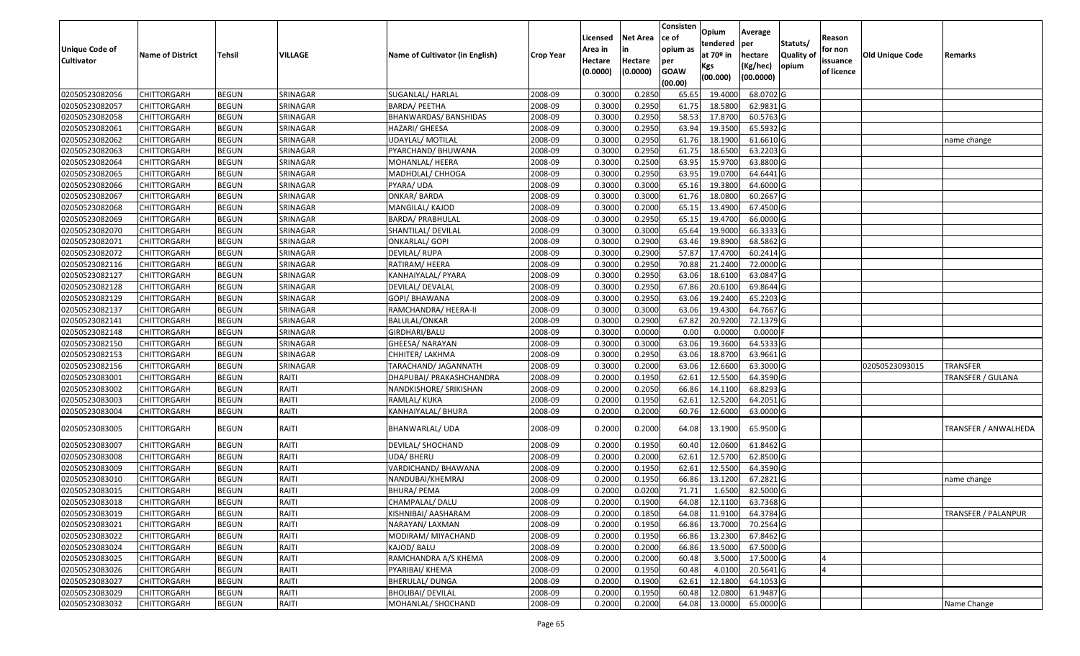|                                     |                         |               |          |                                 |                  |                     |                     | Consisten          | Opium         | Average                |                  |                        |                        |                            |
|-------------------------------------|-------------------------|---------------|----------|---------------------------------|------------------|---------------------|---------------------|--------------------|---------------|------------------------|------------------|------------------------|------------------------|----------------------------|
|                                     |                         |               |          |                                 |                  | Licensed            | <b>Net Area</b>     | ce of              | tendered      | per                    | Statuts/         | Reason                 |                        |                            |
| Unique Code of<br><b>Cultivator</b> | <b>Name of District</b> | <b>Tehsil</b> | VILLAGE  | Name of Cultivator (in English) | <b>Crop Year</b> | Area in             |                     | opium as           | at $70°$ in   | hectare                | <b>Quality o</b> | for non                | <b>Old Unique Code</b> | Remarks                    |
|                                     |                         |               |          |                                 |                  | Hectare<br>(0.0000) | Hectare<br>(0.0000) | per<br><b>GOAW</b> | Kgs           | (Kg/hec)               | opium            | issuance<br>of licence |                        |                            |
|                                     |                         |               |          |                                 |                  |                     |                     | (00.00)            | (00.000)      | (00.0000)              |                  |                        |                        |                            |
| 02050523082056                      | CHITTORGARH             | <b>BEGUN</b>  | SRINAGAR | SUGANLAL/ HARLAL                | 2008-09          | 0.3000              | 0.2850              | 65.65              | 19.4000       | 68.0702G               |                  |                        |                        |                            |
| 02050523082057                      | CHITTORGARH             | <b>BEGUN</b>  | SRINAGAR | <b>BARDA/ PEETHA</b>            | 2008-09          | 0.3000              | 0.2950              | 61.75              | 18.5800       | 62.9831G               |                  |                        |                        |                            |
| 02050523082058                      | CHITTORGARH             | <b>BEGUN</b>  | SRINAGAR | BHANWARDAS/ BANSHIDAS           | 2008-09          | 0.3000              | 0.2950              | 58.53              | 17.8700       | 60.5763 G              |                  |                        |                        |                            |
| 02050523082061                      | <b>CHITTORGARH</b>      | <b>BEGUN</b>  | SRINAGAR | HAZARI/ GHEESA                  | 2008-09          | 0.3000              | 0.2950              | 63.94              | 19.3500       | 65.5932 G              |                  |                        |                        |                            |
| 02050523082062                      | CHITTORGARH             | <b>BEGUN</b>  | SRINAGAR | UDAYLAL/ MOTILAL                | 2008-09          | 0.3000              | 0.2950              | 61.76              | 18.1900       | 61.6610 G              |                  |                        |                        | name change                |
| 02050523082063                      | <b>CHITTORGARH</b>      | <b>BEGUN</b>  | SRINAGAR | PYARCHAND/ BHUWANA              | 2008-09          | 0.3000              | 0.2950              | 61.75              | 18.6500       | $63.2203$ G            |                  |                        |                        |                            |
| 02050523082064                      | CHITTORGARH             | <b>BEGUN</b>  | SRINAGAR | MOHANLAL/ HEERA                 | 2008-09          | 0.3000              | 0.2500              | 63.95              | 15.9700       | 63.8800 G              |                  |                        |                        |                            |
| 02050523082065                      | CHITTORGARH             | <b>BEGUN</b>  | SRINAGAR | MADHOLAL/ CHHOGA                | 2008-09          | 0.3000              | 0.2950              | 63.95              | 19.0700       | 64.6441 G              |                  |                        |                        |                            |
| 02050523082066                      | CHITTORGARH             | <b>BEGUN</b>  | SRINAGAR | PYARA/ UDA                      | 2008-09          | 0.3000              | 0.3000              | 65.16              | 19.3800       | 64.6000 G              |                  |                        |                        |                            |
| 02050523082067                      | CHITTORGARH             | <b>BEGUN</b>  | SRINAGAR | <b>ONKAR/ BARDA</b>             | 2008-09          | 0.3000              | 0.3000              | 61.76              | 18.0800       | 60.2667 G              |                  |                        |                        |                            |
| 02050523082068                      | CHITTORGARH             | <b>BEGUN</b>  | SRINAGAR | MANGILAL/ KAJOD                 | 2008-09          | 0.3000              | 0.2000              | 65.15              | 13.4900       | 67.4500 G              |                  |                        |                        |                            |
| 02050523082069                      | CHITTORGARH             | <b>BEGUN</b>  | SRINAGAR | <b>BARDA/ PRABHULAL</b>         | 2008-09          | 0.3000              | 0.2950              | 65.15              | 19.4700       | 66.0000 G              |                  |                        |                        |                            |
| 02050523082070                      | <b>CHITTORGARH</b>      | <b>BEGUN</b>  | SRINAGAR | SHANTILAL/ DEVILAL              | 2008-09          | 0.3000              | 0.3000              | 65.64              | 19.9000       | 66.3333 G              |                  |                        |                        |                            |
| 02050523082071                      | CHITTORGARH             | <b>BEGUN</b>  | SRINAGAR | <b>ONKARLAL/ GOPI</b>           | 2008-09          | 0.3000              | 0.2900              | 63.46              | 19.8900       | 68.5862 G              |                  |                        |                        |                            |
| 02050523082072                      | <b>CHITTORGARH</b>      | <b>BEGUN</b>  | SRINAGAR | DEVILAL/ RUPA                   | 2008-09          | 0.3000              | 0.2900              | 57.87              | 17.4700       | 60.2414 G              |                  |                        |                        |                            |
| 02050523082116                      | <b>CHITTORGARH</b>      | <b>BEGUN</b>  | SRINAGAR | RATIRAM/HEERA                   | 2008-09          | 0.3000              | 0.2950              | 70.88              | 21.2400       | 72.0000 G              |                  |                        |                        |                            |
| 02050523082127                      | CHITTORGARH             | <b>BEGUN</b>  | SRINAGAR | KANHAIYALAL/ PYARA              | 2008-09          | 0.3000              | 0.2950              | 63.06              | 18.6100       | 63.0847 G              |                  |                        |                        |                            |
| 02050523082128                      | CHITTORGARH             | <b>BEGUN</b>  | SRINAGAR | DEVILAL/ DEVALAL                | 2008-09          | 0.3000              | 0.2950              | 67.86              | 20.6100       | 69.8644 G              |                  |                        |                        |                            |
| 02050523082129                      | CHITTORGARH             | <b>BEGUN</b>  | SRINAGAR | GOPI/ BHAWANA                   | 2008-09          | 0.3000              | 0.2950              | 63.06              | 19.2400       | 65.2203 G              |                  |                        |                        |                            |
| 02050523082137                      | CHITTORGARH             | <b>BEGUN</b>  | SRINAGAR | RAMCHANDRA/ HEERA-II            | 2008-09          | 0.3000              | 0.3000              | 63.06              | 19.4300       | 64.7667 G              |                  |                        |                        |                            |
| 02050523082141                      | CHITTORGARH             | <b>BEGUN</b>  | SRINAGAR | BALULAL/ONKAR                   | 2008-09          | 0.3000              | 0.2900              | 67.82              | 20.9200       | 72.1379 G              |                  |                        |                        |                            |
| 02050523082148                      | CHITTORGARH             | <b>BEGUN</b>  | SRINAGAR | GIRDHARI/BALU                   | 2008-09          | 0.3000              | 0.0000              | 0.00               | 0.000         | 0.0000                 |                  |                        |                        |                            |
| 02050523082150                      | CHITTORGARH             | <b>BEGUN</b>  | SRINAGAR | GHEESA/ NARAYAN                 | 2008-09          | 0.3000              | 0.3000              | 63.06              | 19.3600       | 64.5333 G              |                  |                        |                        |                            |
| 02050523082153                      | <b>CHITTORGARH</b>      | <b>BEGUN</b>  | SRINAGAR | CHHITER/ LAKHMA                 | 2008-09          | 0.3000              | 0.2950              | 63.06              | 18.8700       | 63.9661G               |                  |                        |                        |                            |
| 02050523082156                      | <b>CHITTORGARH</b>      | <b>BEGUN</b>  | SRINAGAR | TARACHAND/ JAGANNATH            | 2008-09          | 0.3000              | 0.2000              | 63.06              | 12.6600       | 63.3000 G              |                  |                        | 02050523093015         | <b>TRANSFER</b>            |
| 02050523083001                      | CHITTORGARH             | <b>BEGUN</b>  | RAITI    | DHAPUBAI/ PRAKASHCHANDRA        | 2008-09          | 0.2000              | 0.1950              | 62.6               | 12.5500       | 64.3590 G              |                  |                        |                        | <b>TRANSFER / GULANA</b>   |
| 02050523083002                      | CHITTORGARH             | <b>BEGUN</b>  | RAITI    | NANDKISHORE/ SRIKISHAN          | 2008-09          | 0.2000              | 0.2050              | 66.86              | 14.1100       | 68.8293 G              |                  |                        |                        |                            |
| 02050523083003                      | CHITTORGARH             | <b>BEGUN</b>  | RAITI    | RAMLAL/ KUKA                    | 2008-09          | 0.2000              | 0.1950              | 62.6               | 12.5200       | 64.2051 G              |                  |                        |                        |                            |
| 02050523083004                      | CHITTORGARH             | <b>BEGUN</b>  | RAITI    | KANHAIYALAL/ BHURA              | 2008-09          | 0.2000              | 0.2000              | 60.76              | 12.6000       | 63.0000G               |                  |                        |                        |                            |
| 02050523083005                      | CHITTORGARH             | <b>BEGUN</b>  | RAITI    | BHANWARLAL/ UDA                 | 2008-09          | 0.2000              | 0.2000              | 64.08              | 13.1900       | 65.9500 G              |                  |                        |                        | TRANSFER / ANWALHEDA       |
| 02050523083007                      | CHITTORGARH             | <b>BEGUN</b>  | RAITI    | DEVILAL/ SHOCHAND               | 2008-09          | 0.2000              | 0.1950              | 60.40              | 12.0600       | 61.8462 G              |                  |                        |                        |                            |
| 02050523083008                      | CHITTORGARH             | <b>BEGUN</b>  | RAITI    | UDA/BHERU                       | 2008-09          | 0.2000              | 0.2000              | 62.61              | 12.5700       | 62.8500 G              |                  |                        |                        |                            |
| 02050523083009                      | <b>CHITTORGARH</b>      | <b>BEGUN</b>  | RAITI    | VARDICHAND/ BHAWANA             | 2008-09          | 0.2000              | 0.1950              | 62.61              | 12.5500       | 64.3590 G              |                  |                        |                        |                            |
| 02050523083010                      | CHITTORGARH             | <b>BEGUN</b>  | RAITI    | NANDUBAI/KHEMRAJ                | 2008-09          | 0.2000              | 0.1950              | 66.86              | 13.1200       | 67.2821 G              |                  |                        |                        | name change                |
| 02050523083015                      | CHITTORGARH             | <b>BEGUN</b>  | RAITI    | BHURA/ PEMA                     | 2008-09          | 0.2000              | 0.0200              | 71.71              | 1.6500        | 82.5000G               |                  |                        |                        |                            |
| 02050523083018                      | <b>CHITTORGARH</b>      | <b>BEGUN</b>  | RAITI    | CHAMPALAL/DALU                  | 2008-09          | 0.2000              | 0.1900              |                    | 64.08 12.1100 | 63.7368 G              |                  |                        |                        |                            |
| 02050523083019                      | <b>CHITTORGARH</b>      | <b>BEGUN</b>  | RAITI    | KISHNIBAI/ AASHARAM             | 2008-09          | 0.2000              | 0.1850              | 64.08              | 11.9100       | 64.3784 G              |                  |                        |                        | <b>TRANSFER / PALANPUR</b> |
| 02050523083021                      | <b>CHITTORGARH</b>      | <b>BEGUN</b>  | RAITI    | NARAYAN/ LAXMAN                 | 2008-09          | 0.2000              | 0.1950              | 66.86              | 13.7000       | 70.2564 G              |                  |                        |                        |                            |
| 02050523083022                      | <b>CHITTORGARH</b>      | <b>BEGUN</b>  | RAITI    | MODIRAM/ MIYACHAND              | 2008-09          | 0.2000              | 0.1950              | 66.86              | 13.2300       | 67.8462 G              |                  |                        |                        |                            |
| 02050523083024                      | CHITTORGARH             | <b>BEGUN</b>  | RAITI    | KAJOD/ BALU                     | 2008-09          | 0.2000              | 0.2000              | 66.86              | 13.5000       | 67.5000 G              |                  |                        |                        |                            |
| 02050523083025                      | <b>CHITTORGARH</b>      | <b>BEGUN</b>  | RAITI    | RAMCHANDRA A/S KHEMA            | 2008-09          | 0.2000              | 0.2000              | 60.48              | 3.5000        | 17.5000 G              |                  |                        |                        |                            |
| 02050523083026                      | <b>CHITTORGARH</b>      | <b>BEGUN</b>  | RAITI    | PYARIBAI/ KHEMA                 | 2008-09          | 0.2000              | 0.1950              | 60.48              | 4.0100        | 20.5641 G              |                  |                        |                        |                            |
| 02050523083027                      | <b>CHITTORGARH</b>      | <b>BEGUN</b>  | RAITI    | <b>BHERULAL/ DUNGA</b>          | 2008-09          | 0.2000              | 0.1900              | 62.61              | 12.1800       | $\overline{64.1053}$ G |                  |                        |                        |                            |
| 02050523083029                      | <b>CHITTORGARH</b>      | <b>BEGUN</b>  | RAITI    | BHOLIBAI/ DEVILAL               | 2008-09          | 0.2000              | 0.1950              | 60.48              | 12.0800       | 61.9487 G              |                  |                        |                        |                            |
| 02050523083032                      | <b>CHITTORGARH</b>      | <b>BEGUN</b>  | RAITI    | MOHANLAL/ SHOCHAND              | 2008-09          | 0.2000              | 0.2000              | 64.08              | 13.0000       | 65.0000G               |                  |                        |                        | Name Change                |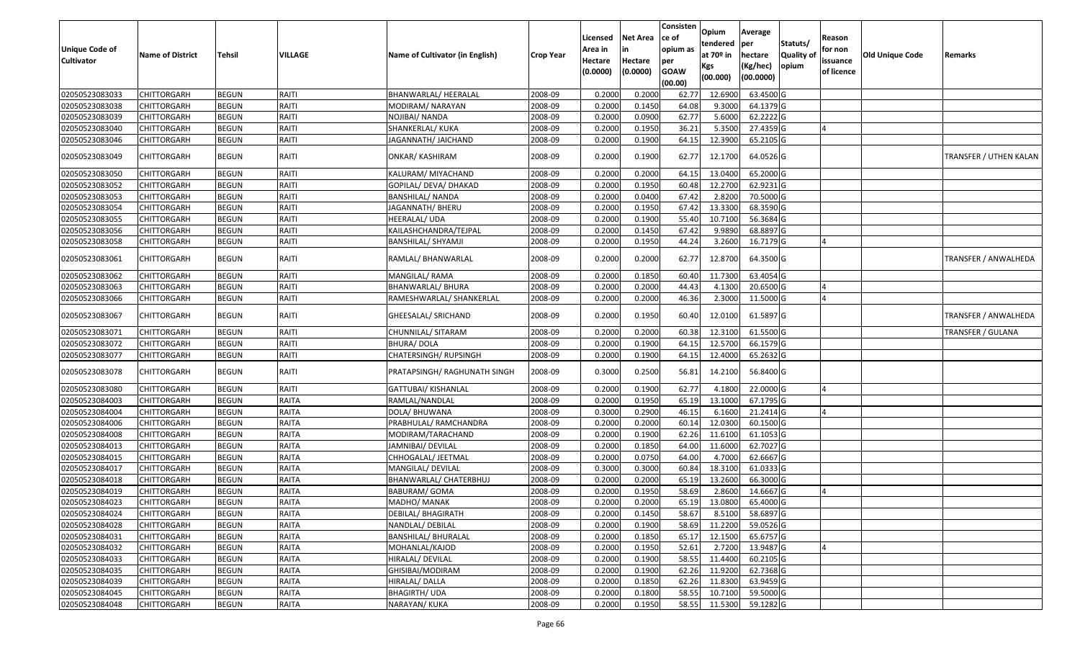| Unique Code of |                         |              |         |                                 |                  | Licensed<br>Area in | Net Area            | Consisten<br>ce of<br>opium as | Opium<br>tendered            | Average<br>per                   | Statuts/            | Reason<br>for non      |                        |                        |
|----------------|-------------------------|--------------|---------|---------------------------------|------------------|---------------------|---------------------|--------------------------------|------------------------------|----------------------------------|---------------------|------------------------|------------------------|------------------------|
| Cultivator     | <b>Name of District</b> | Tehsil       | VILLAGE | Name of Cultivator (in English) | <b>Crop Year</b> | Hectare<br>(0.0000) | Hectare<br>(0.0000) | per<br><b>GOAW</b><br>(00.00)  | at 70º in<br>Kgs<br>(00.000) | hectare<br>(Kg/hec)<br>(00.0000) | Quality of<br>opium | issuance<br>of licence | <b>Old Unique Code</b> | Remarks                |
| 02050523083033 | CHITTORGARH             | <b>BEGUN</b> | RAITI   | BHANWARLAL/ HEERALAL            | 2008-09          | 0.2000              | 0.2000              | 62.77                          | 12.6900                      | 63.4500 G                        |                     |                        |                        |                        |
| 02050523083038 | CHITTORGARH             | <b>BEGUN</b> | RAITI   | MODIRAM/ NARAYAN                | 2008-09          | 0.2000              | 0.1450              | 64.08                          | 9.3000                       | 64.1379 G                        |                     |                        |                        |                        |
| 02050523083039 | CHITTORGARH             | <b>BEGUN</b> | RAITI   | NOJIBAI/ NANDA                  | 2008-09          | 0.2000              | 0.0900              | 62.77                          | 5.6000                       | 62.2222 G                        |                     |                        |                        |                        |
| 02050523083040 | <b>CHITTORGARH</b>      | <b>BEGUN</b> | RAITI   | SHANKERLAL/ KUKA                | 2008-09          | 0.2000              | 0.1950              | 36.21                          | 5.3500                       | 27.4359 G                        |                     |                        |                        |                        |
| 02050523083046 | CHITTORGARH             | <b>BEGUN</b> | RAITI   | JAGANNATH/ JAICHAND             | 2008-09          | 0.2000              | 0.1900              | 64.15                          | 12.3900                      | 65.2105 G                        |                     |                        |                        |                        |
| 02050523083049 | CHITTORGARH             | <b>BEGUN</b> | RAITI   | ONKAR/ KASHIRAM                 | 2008-09          | 0.2000              | 0.1900              | 62.77                          | 12.1700                      | 64.0526 G                        |                     |                        |                        | TRANSFER / UTHEN KALAN |
| 02050523083050 | CHITTORGARH             | <b>BEGUN</b> | RAITI   | KALURAM/ MIYACHAND              | 2008-09          | 0.2000              | 0.2000              | 64.15                          | 13.0400                      | 65.2000 G                        |                     |                        |                        |                        |
| 02050523083052 | CHITTORGARH             | <b>BEGUN</b> | RAITI   | GOPILAL/ DEVA/ DHAKAD           | 2008-09          | 0.2000              | 0.1950              | 60.48                          | 12.2700                      | 62.9231 G                        |                     |                        |                        |                        |
| 02050523083053 | CHITTORGARH             | <b>BEGUN</b> | RAITI   | <b>BANSHILAL/ NANDA</b>         | 2008-09          | 0.2000              | 0.0400              | 67.42                          | 2.8200                       | 70.5000 G                        |                     |                        |                        |                        |
| 02050523083054 | CHITTORGARH             | <b>BEGUN</b> | RAITI   | JAGANNATH/BHERU                 | 2008-09          | 0.2000              | 0.1950              | 67.42                          | 13.3300                      | 68.3590 G                        |                     |                        |                        |                        |
| 02050523083055 | <b>CHITTORGARH</b>      | <b>BEGUN</b> | RAITI   | HEERALAL/ UDA                   | 2008-09          | 0.2000              | 0.1900              | 55.40                          | 10.7100                      | 56.3684 G                        |                     |                        |                        |                        |
| 02050523083056 | <b>CHITTORGARH</b>      | <b>BEGUN</b> | RAITI   | KAILASHCHANDRA/TEJPAL           | 2008-09          | 0.2000              | 0.1450              | 67.42                          | 9.9890                       | 68.8897 G                        |                     |                        |                        |                        |
| 02050523083058 | <b>CHITTORGARH</b>      | <b>BEGUN</b> | RAITI   | BANSHILAL/ SHYAMJI              | 2008-09          | 0.2000              | 0.1950              | 44.24                          | 3.2600                       | 16.7179 G                        |                     |                        |                        |                        |
| 02050523083061 | CHITTORGARH             | <b>BEGUN</b> | RAITI   | RAMLAL/ BHANWARLAL              | 2008-09          | 0.2000              | 0.2000              | 62.77                          | 12.8700                      | 64.3500 G                        |                     |                        |                        | TRANSFER / ANWALHEDA   |
| 02050523083062 | CHITTORGARH             | <b>BEGUN</b> | RAITI   | MANGILAL/RAMA                   | 2008-09          | 0.2000              | 0.1850              | 60.40                          | 11.7300                      | 63.4054 G                        |                     |                        |                        |                        |
| 02050523083063 | CHITTORGARH             | <b>BEGUN</b> | RAITI   | BHANWARLAL/ BHURA               | 2008-09          | 0.2000              | 0.2000              | 44.43                          | 4.1300                       | 20.6500 G                        |                     |                        |                        |                        |
| 02050523083066 | CHITTORGARH             | <b>BEGUN</b> | RAITI   | RAMESHWARLAL/ SHANKERLAL        | 2008-09          | 0.2000              | 0.2000              | 46.36                          | 2.3000                       | 11.5000 G                        |                     |                        |                        |                        |
| 02050523083067 | CHITTORGARH             | <b>BEGUN</b> | RAITI   | GHEESALAL/ SRICHAND             | 2008-09          | 0.2000              | 0.1950              | 60.40                          | 12.0100                      | 61.5897 G                        |                     |                        |                        | TRANSFER / ANWALHEDA   |
| 02050523083071 | CHITTORGARH             | <b>BEGUN</b> | RAITI   | CHUNNILAL/ SITARAM              | 2008-09          | 0.2000              | 0.2000              | 60.38                          | 12.310                       | 61.5500 G                        |                     |                        |                        | TRANSFER / GULANA      |
| 02050523083072 | CHITTORGARH             | <b>BEGUN</b> | RAITI   | BHURA/ DOLA                     | 2008-09          | 0.2000              | 0.1900              | 64.15                          | 12.5700                      | 66.1579 G                        |                     |                        |                        |                        |
| 02050523083077 | CHITTORGARH             | <b>BEGUN</b> | RAITI   | CHATERSINGH/ RUPSINGH           | 2008-09          | 0.2000              | 0.1900              | 64.15                          | 12.4000                      | 65.2632 G                        |                     |                        |                        |                        |
| 02050523083078 | CHITTORGARH             | <b>BEGUN</b> | RAITI   | PRATAPSINGH/ RAGHUNATH SINGH    | 2008-09          | 0.3000              | 0.2500              | 56.81                          | 14.2100                      | 56.8400 G                        |                     |                        |                        |                        |
| 02050523083080 | CHITTORGARH             | <b>BEGUN</b> | RAITI   | GATTUBAI/ KISHANLAL             | 2008-09          | 0.2000              | 0.1900              | 62.77                          | 4.1800                       | 22.0000 G                        |                     |                        |                        |                        |
| 02050523084003 | CHITTORGARH             | <b>BEGUN</b> | RAITA   | RAMLAL/NANDLAL                  | 2008-09          | 0.2000              | 0.1950              | 65.19                          | 13.1000                      | 67.1795 G                        |                     |                        |                        |                        |
| 02050523084004 | <b>CHITTORGARH</b>      | <b>BEGUN</b> | RAITA   | DOLA/ BHUWANA                   | 2008-09          | 0.3000              | 0.2900              | 46.15                          | 6.1600                       | 21.2414 G                        |                     |                        |                        |                        |
| 02050523084006 | <b>CHITTORGARH</b>      | <b>BEGUN</b> | RAITA   | PRABHULAL/ RAMCHANDRA           | 2008-09          | 0.2000              | 0.2000              | 60.14                          | 12.0300                      | 60.1500 G                        |                     |                        |                        |                        |
| 02050523084008 | <b>CHITTORGARH</b>      | <b>BEGUN</b> | RAITA   | MODIRAM/TARACHAND               | 2008-09          | 0.2000              | 0.1900              | 62.26                          | 11.6100                      | 61.1053 G                        |                     |                        |                        |                        |
| 02050523084013 | CHITTORGARH             | <b>BEGUN</b> | RAITA   | JAMNIBAI/ DEVILAL               | 2008-09          | 0.2000              | 0.1850              | 64.00                          | 11.6000                      | 62.7027 G                        |                     |                        |                        |                        |
| 02050523084015 | <b>CHITTORGARH</b>      | <b>BEGUN</b> | RAITA   | CHHOGALAL/ JEETMAL              | 2008-09          | 0.2000              | 0.0750              | 64.00                          | 4.7000                       | 62.6667 G                        |                     |                        |                        |                        |
| 02050523084017 | <b>CHITTORGARH</b>      | <b>BEGUN</b> | RAITA   | MANGILAL/ DEVILAL               | 2008-09          | 0.3000              | 0.3000              | 60.84                          | 18.3100                      | 61.0333 G                        |                     |                        |                        |                        |
| 02050523084018 | CHITTORGARH             | <b>BEGUN</b> | RAITA   | BHANWARLAL/ CHATERBHUJ          | 2008-09          | 0.2000              | 0.2000              | 65.1                           | 13.2600                      | 66.3000 G                        |                     |                        |                        |                        |
| 02050523084019 | CHITTORGARH             | <b>BEGUN</b> | RAITA   | BABURAM/ GOMA                   | 2008-09          | 0.2000              | 0.1950              | 58.69                          | 2.8600                       | 14.6667 G                        |                     |                        |                        |                        |
| 02050523084023 | <b>CHITTORGARH</b>      | <b>BEGUN</b> | RAITA   | MADHO/ MANAK                    | 2008-09          | 0.2000              | 0.2000              | 65.19                          | 13.0800                      | 65.4000 G                        |                     |                        |                        |                        |
| 02050523084024 | <b>CHITTORGARH</b>      | <b>BEGUN</b> | RAITA   | DEBILAL/ BHAGIRATH              | 2008-09          | 0.2000              | 0.1450              | 58.67                          | 8.5100                       | 58.6897 G                        |                     |                        |                        |                        |
| 02050523084028 | <b>CHITTORGARH</b>      | <b>BEGUN</b> | RAITA   | NANDLAL/ DEBILAL                | 2008-09          | 0.2000              | 0.1900              | 58.69                          | 11.2200                      | 59.0526 G                        |                     |                        |                        |                        |
| 02050523084031 | <b>CHITTORGARH</b>      | <b>BEGUN</b> | RAITA   | BANSHILAL/ BHURALAL             | 2008-09          | 0.2000              | 0.1850              | 65.17                          | 12.1500                      | 65.6757 G                        |                     |                        |                        |                        |
| 02050523084032 | <b>CHITTORGARH</b>      | <b>BEGUN</b> | RAITA   | MOHANLAL/KAJOD                  | 2008-09          | 0.2000              | 0.1950              | 52.61                          | 2.7200                       | 13.9487 G                        |                     |                        |                        |                        |
| 02050523084033 | <b>CHITTORGARH</b>      | <b>BEGUN</b> | RAITA   | HIRALAL/ DEVILAL                | 2008-09          | 0.2000              | 0.1900              | 58.55                          | 11.4400                      | $60.2105$ G                      |                     |                        |                        |                        |
| 02050523084035 | <b>CHITTORGARH</b>      | <b>BEGUN</b> | RAITA   | GHISIBAI/MODIRAM                | 2008-09          | 0.2000              | 0.1900              | 62.26                          | 11.9200                      | 62.7368 G                        |                     |                        |                        |                        |
| 02050523084039 | <b>CHITTORGARH</b>      | <b>BEGUN</b> | RAITA   | HIRALAL/DALLA                   | 2008-09          | 0.2000              | 0.1850              | 62.26                          | 11.8300                      | 63.9459 G                        |                     |                        |                        |                        |
| 02050523084045 | <b>CHITTORGARH</b>      | <b>BEGUN</b> | RAITA   | <b>BHAGIRTH/ UDA</b>            | 2008-09          | 0.2000              | 0.1800              | 58.55                          | 10.7100                      | 59.5000 G                        |                     |                        |                        |                        |
| 02050523084048 | <b>CHITTORGARH</b>      | <b>BEGUN</b> | RAITA   | NARAYAN/ KUKA                   | 2008-09          | 0.2000              | 0.1950              | 58.55                          | 11.5300                      | 59.1282 G                        |                     |                        |                        |                        |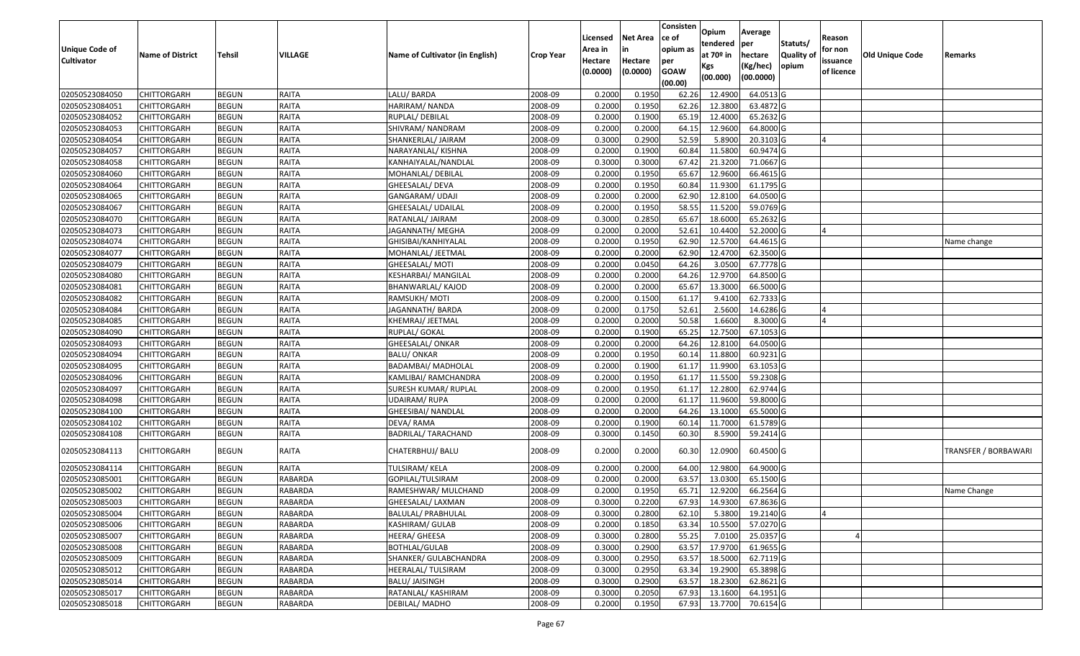|                       |                         |               |                |                                 |                  | Licensed | <b>Net Area</b> | Consisten<br>ce of | Opium                 | Average               |                  | Reason     |                        |                      |
|-----------------------|-------------------------|---------------|----------------|---------------------------------|------------------|----------|-----------------|--------------------|-----------------------|-----------------------|------------------|------------|------------------------|----------------------|
| <b>Unique Code of</b> |                         |               |                |                                 |                  | Area in  |                 | opium as           | tendered              | per                   | Statuts/         | for non    |                        |                      |
| <b>Cultivator</b>     | <b>Name of District</b> | <b>Tehsil</b> | VILLAGE        | Name of Cultivator (in English) | <b>Crop Year</b> | Hectare  | Hectare         | per                | at 70 <sup>o</sup> in | hectare               | <b>Quality o</b> | issuance   | <b>Old Unique Code</b> | Remarks              |
|                       |                         |               |                |                                 |                  | (0.0000) | (0.0000)        | <b>GOAW</b>        | Kgs<br>(00.000)       | (Kg/hec)<br>(00.0000) | opium            | of licence |                        |                      |
| 02050523084050        | CHITTORGARH             | <b>BEGUN</b>  | RAITA          | LALU/BARDA                      | 2008-09          | 0.2000   | 0.1950          | (00.00)<br>62.26   | 12.4900               | 64.0513 G             |                  |            |                        |                      |
| 02050523084051        | CHITTORGARH             | <b>BEGUN</b>  | RAITA          | HARIRAM/ NANDA                  | 2008-09          | 0.2000   | 0.1950          | 62.26              | 12.3800               | 63.4872 G             |                  |            |                        |                      |
| 02050523084052        | CHITTORGARH             | <b>BEGUN</b>  | <b>RAITA</b>   | RUPLAL/DEBILAL                  | 2008-09          | 0.2000   | 0.1900          | 65.19              | 12.4000               | 65.2632 G             |                  |            |                        |                      |
| 02050523084053        | <b>CHITTORGARH</b>      | <b>BEGUN</b>  | RAITA          | SHIVRAM/NANDRAM                 | 2008-09          | 0.2000   | 0.2000          | 64.15              | 12.9600               | 64.8000 G             |                  |            |                        |                      |
| 02050523084054        | CHITTORGARH             | <b>BEGUN</b>  | <b>RAITA</b>   | SHANKERLAL/ JAIRAM              | 2008-09          | 0.3000   | 0.2900          | 52.59              | 5.8900                | 20.3103 G             |                  |            |                        |                      |
| 02050523084057        | CHITTORGARH             | <b>BEGUN</b>  | RAITA          | NARAYANLAL/ KISHNA              | 2008-09          | 0.2000   | 0.1900          | 60.84              | 11.5800               | $60.9474$ G           |                  |            |                        |                      |
| 02050523084058        | CHITTORGARH             | <b>BEGUN</b>  | RAITA          | KANHAIYALAL/NANDLAL             | 2008-09          | 0.3000   | 0.3000          | 67.42              | 21.3200               | 71.0667G              |                  |            |                        |                      |
| 02050523084060        | CHITTORGARH             | <b>BEGUN</b>  | RAITA          | MOHANLAL/ DEBILAL               | 2008-09          | 0.2000   | 0.1950          | 65.67              | 12.9600               | 66.4615 G             |                  |            |                        |                      |
| 02050523084064        | CHITTORGARH             | <b>BEGUN</b>  | RAITA          | GHEESALAL/ DEVA                 | 2008-09          | 0.2000   | 0.1950          | 60.84              | 11.9300               | 61.1795 G             |                  |            |                        |                      |
| 02050523084065        | CHITTORGARH             | <b>BEGUN</b>  | RAITA          | GANGARAM/ UDAJI                 | 2008-09          | 0.2000   | 0.2000          | 62.90              | 12.8100               | 64.0500 G             |                  |            |                        |                      |
| 02050523084067        | CHITTORGARH             | <b>BEGUN</b>  | <b>RAITA</b>   | GHEESALAL/ UDAILAL              | 2008-09          | 0.2000   | 0.1950          | 58.55              | 11.5200               | 59.0769 G             |                  |            |                        |                      |
| 02050523084070        | CHITTORGARH             | <b>BEGUN</b>  | <b>RAITA</b>   | RATANLAL/ JAIRAM                | 2008-09          | 0.3000   | 0.2850          | 65.67              | 18.6000               | 65.2632 G             |                  |            |                        |                      |
| 02050523084073        | <b>CHITTORGARH</b>      | <b>BEGUN</b>  | <b>RAITA</b>   | JAGANNATH/ MEGHA                | 2008-09          | 0.2000   | 0.2000          | 52.61              | 10.4400               | 52.2000 G             |                  |            |                        |                      |
| 02050523084074        | <b>CHITTORGARH</b>      | <b>BEGUN</b>  | <b>RAITA</b>   | GHISIBAI/KANHIYALAL             | 2008-09          | 0.2000   | 0.1950          | 62.90              | 12.5700               | 64.4615 G             |                  |            |                        | Name change          |
| 02050523084077        | CHITTORGARH             | <b>BEGUN</b>  | <b>RAITA</b>   | MOHANLAL/ JEETMAL               | 2008-09          | 0.2000   | 0.2000          | 62.90              | 12.4700               | 62.3500 G             |                  |            |                        |                      |
| 02050523084079        | <b>CHITTORGARH</b>      | <b>BEGUN</b>  | <b>RAITA</b>   | GHEESALAL/ MOTI                 | 2008-09          | 0.2000   | 0.0450          | 64.26              | 3.0500                | 67.7778 G             |                  |            |                        |                      |
| 02050523084080        | CHITTORGARH             | <b>BEGUN</b>  | <b>RAITA</b>   | KESHARBAI/ MANGILAL             | 2008-09          | 0.2000   | 0.2000          | 64.26              | 12.9700               | 64.8500 G             |                  |            |                        |                      |
| 02050523084081        | CHITTORGARH             | <b>BEGUN</b>  | <b>RAITA</b>   | BHANWARLAL/ KAJOD               | 2008-09          | 0.2000   | 0.2000          | 65.67              | 13.3000               | 66.5000 G             |                  |            |                        |                      |
| 02050523084082        | CHITTORGARH             | <b>BEGUN</b>  | RAITA          | RAMSUKH/MOTI                    | 2008-09          | 0.2000   | 0.1500          | 61.1               | 9.4100                | 62.7333 G             |                  |            |                        |                      |
| 02050523084084        | CHITTORGARH             | <b>BEGUN</b>  | <b>RAITA</b>   | JAGANNATH/ BARDA                | 2008-09          | 0.2000   | 0.1750          | 52.61              | 2.5600                | 14.6286 G             |                  |            |                        |                      |
| 02050523084085        | CHITTORGARH             | <b>BEGUN</b>  | RAITA          | KHEMRAJ/ JEETMAL                | 2008-09          | 0.2000   | 0.2000          | 50.58              | 1.6600                | 8.3000 G              |                  |            |                        |                      |
| 02050523084090        | CHITTORGARH             | <b>BEGUN</b>  | <b>RAITA</b>   | RUPLAL/ GOKAL                   | 2008-09          | 0.2000   | 0.1900          | 65.25              | 12.7500               | 67.1053 G             |                  |            |                        |                      |
| 02050523084093        | CHITTORGARH             | <b>BEGUN</b>  | RAITA          | GHEESALAL/ ONKAR                | 2008-09          | 0.2000   | 0.2000          | 64.26              | 12.8100               | 64.0500 G             |                  |            |                        |                      |
| 02050523084094        | CHITTORGARH             | <b>BEGUN</b>  | <b>RAITA</b>   | <b>BALU/ONKAR</b>               | 2008-09          | 0.2000   | 0.1950          | 60.1               | 11.8800               | 60.9231 G             |                  |            |                        |                      |
| 02050523084095        | CHITTORGARH             | <b>BEGUN</b>  | RAITA          | <b>BADAMBAI/ MADHOLAL</b>       | 2008-09          | 0.2000   | 0.1900          | 61.17              | 11.9900               | 63.1053 G             |                  |            |                        |                      |
| 02050523084096        | CHITTORGARH             | <b>BEGUN</b>  | RAITA          | KAMLIBAI/ RAMCHANDRA            | 2008-09          | 0.2000   | 0.1950          | 61.17              | 11.5500               | 59.2308 G             |                  |            |                        |                      |
| 02050523084097        | CHITTORGARH             | <b>BEGUN</b>  | RAITA          | SURESH KUMAR/ RUPLAL            | 2008-09          | 0.2000   | 0.1950          | 61.17              | 12.2800               | 62.9744 G             |                  |            |                        |                      |
| 02050523084098        | CHITTORGARH             | <b>BEGUN</b>  | <b>RAITA</b>   | JDAIRAM/ RUPA                   | 2008-09          | 0.2000   | 0.2000          | 61.17              | 11.9600               | 59.8000 G             |                  |            |                        |                      |
| 02050523084100        | CHITTORGARH             | <b>BEGUN</b>  | RAITA          | GHEESIBAI/ NANDLAL              | 2008-09          | 0.2000   | 0.2000          | 64.26              | 13.1000               | 65.5000 G             |                  |            |                        |                      |
| 02050523084102        | CHITTORGARH             | <b>BEGUN</b>  | RAITA          | DEVA/RAMA                       | 2008-09          | 0.2000   | 0.1900          | 60.14              | 11.7000               | 61.5789 G             |                  |            |                        |                      |
| 02050523084108        | CHITTORGARH             | <b>BEGUN</b>  | RAITA          | <b>BADRILAL/ TARACHAND</b>      | 2008-09          | 0.3000   | 0.1450          | 60.30              | 8.5900                | 59.2414 G             |                  |            |                        |                      |
| 02050523084113        | CHITTORGARH             | <b>BEGUN</b>  | RAITA          | CHATERBHUJ/ BALU                | 2008-09          | 0.2000   | 0.2000          | 60.30              | 12.0900               | 60.4500 G             |                  |            |                        | TRANSFER / BORBAWARI |
| 02050523084114        | <b>CHITTORGARH</b>      | <b>BEGUN</b>  | <b>RAITA</b>   | TULSIRAM/KELA                   | 2008-09          | 0.2000   | 0.2000          | 64.00              | 12.9800               | 64.9000 G             |                  |            |                        |                      |
| 02050523085001        | CHITTORGARH             | <b>BEGUN</b>  | RABARDA        | GOPILAL/TULSIRAM                | 2008-09          | 0.2000   | 0.2000          | 63.57              | 13.0300               | 65.1500 G             |                  |            |                        |                      |
| 02050523085002        | CHITTORGARH             | <b>BEGUN</b>  | RABARDA        | RAMESHWAR/ MULCHAND             | 2008-09          | 0.2000   | 0.1950          | 65.71              | 12.9200               | 66.2564 G             |                  |            |                        | Name Change          |
| 02050523085003        | <b>CHITTORGARH</b>      | <b>BEGUN</b>  | <b>RABARDA</b> | GHEESALAL/ LAXMAN               | 2008-09          | 0.3000   | 0.2200          |                    | 67.93 14.9300         | 67.8636 G             |                  |            |                        |                      |
| 02050523085004        | <b>CHITTORGARH</b>      | <b>BEGUN</b>  | RABARDA        | BALULAL/ PRABHULAL              | 2008-09          | 0.3000   | 0.2800          | 62.10              | 5.3800                | 19.2140 G             |                  |            |                        |                      |
| 02050523085006        | <b>CHITTORGARH</b>      | <b>BEGUN</b>  | <b>RABARDA</b> | KASHIRAM/ GULAB                 | 2008-09          | 0.2000   | 0.1850          | 63.34              | 10.5500               | 57.0270 G             |                  |            |                        |                      |
| 02050523085007        | <b>CHITTORGARH</b>      | <b>BEGUN</b>  | <b>RABARDA</b> | HEERA/ GHEESA                   | 2008-09          | 0.3000   | 0.2800          | 55.25              | 7.0100                | 25.0357 G             |                  |            |                        |                      |
| 02050523085008        | CHITTORGARH             | <b>BEGUN</b>  | <b>RABARDA</b> | <b>BOTHLAL/GULAB</b>            | 2008-09          | 0.3000   | 0.2900          | 63.57              | 17.9700               | 61.9655 G             |                  |            |                        |                      |
| 02050523085009        | <b>CHITTORGARH</b>      | <b>BEGUN</b>  | <b>RABARDA</b> | SHANKER/ GULABCHANDRA           | 2008-09          | 0.3000   | 0.2950          | 63.57              | 18.5000               | 62.7119 G             |                  |            |                        |                      |
| 02050523085012        | <b>CHITTORGARH</b>      | <b>BEGUN</b>  | <b>RABARDA</b> | HEERALAL/ TULSIRAM              | 2008-09          | 0.3000   | 0.2950          | 63.34              | 19.2900               | 65.3898 G             |                  |            |                        |                      |
| 02050523085014        | CHITTORGARH             | <b>BEGUN</b>  | RABARDA        | BALU/ JAISINGH                  | 2008-09          | 0.3000   | 0.2900          | 63.57              | 18.2300               | 62.8621 G             |                  |            |                        |                      |
| 02050523085017        | CHITTORGARH             | <b>BEGUN</b>  | RABARDA        | RATANLAL/ KASHIRAM              | 2008-09          | 0.3000   | 0.2050          | 67.93              | 13.1600               | 64.1951 G             |                  |            |                        |                      |
| 02050523085018        | <b>CHITTORGARH</b>      | <b>BEGUN</b>  | <b>RABARDA</b> | DEBILAL/MADHO                   | 2008-09          | 0.2000   | 0.1950          | 67.93              | 13.7700               | 70.6154 G             |                  |            |                        |                      |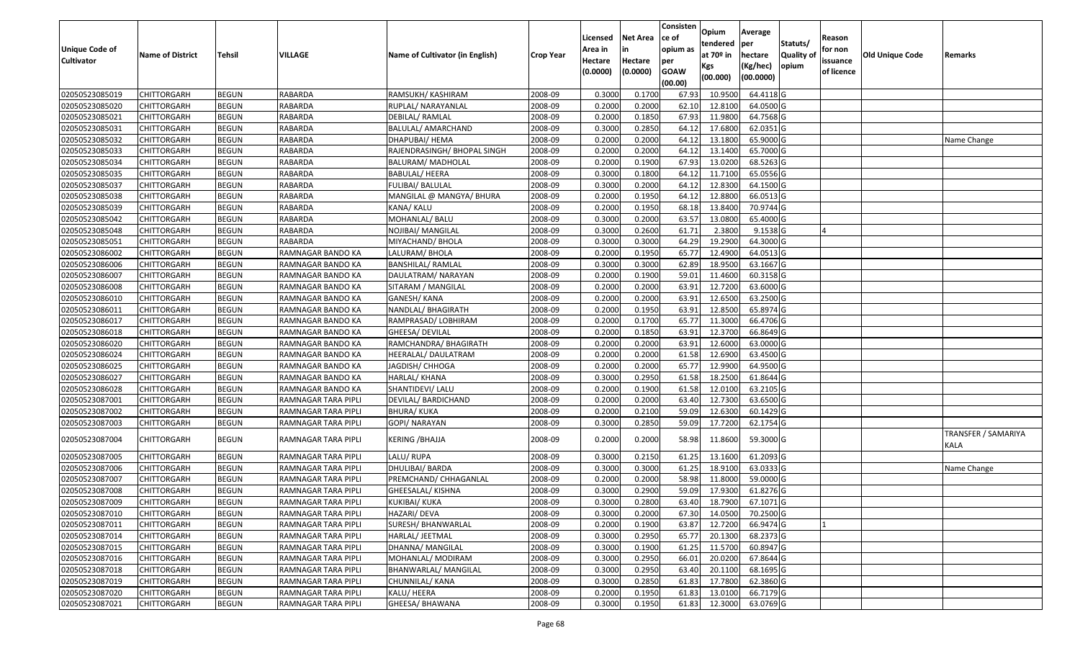| <b>Unique Code of</b><br><b>Cultivator</b> | <b>Name of District</b> | <b>Tehsil</b> | VILLAGE             | Name of Cultivator (in English) | <b>Crop Year</b> | Licensed<br>Area in<br>Hectare<br>(0.0000) | <b>Net Area</b><br>in<br>Hectare<br>(0.0000) | Consisten<br>ce of<br>opium as<br>per<br><b>GOAW</b><br>(00.00) | Opium<br>tendered<br>at $70°$ in<br>Kgs<br>(00.000) | Average<br>per<br>hectare<br>(Kg/hec)<br>(00.0000) | Statuts/<br>Quality of<br>opium | Reason<br>for non<br>issuance<br>of licence | <b>Old Unique Code</b> | Remarks                     |
|--------------------------------------------|-------------------------|---------------|---------------------|---------------------------------|------------------|--------------------------------------------|----------------------------------------------|-----------------------------------------------------------------|-----------------------------------------------------|----------------------------------------------------|---------------------------------|---------------------------------------------|------------------------|-----------------------------|
| 02050523085019                             | <b>CHITTORGARH</b>      | <b>BEGUN</b>  | RABARDA             | RAMSUKH/KASHIRAM                | 2008-09          | 0.3000                                     | 0.1700                                       | 67.93                                                           | 10.9500                                             | 64.4118 G                                          |                                 |                                             |                        |                             |
| 02050523085020                             | CHITTORGARH             | <b>BEGUN</b>  | RABARDA             | RUPLAL/ NARAYANLAL              | 2008-09          | 0.2000                                     | 0.2000                                       | 62.10                                                           | 12.8100                                             | 64.0500 G                                          |                                 |                                             |                        |                             |
| 02050523085021                             | CHITTORGARH             | <b>BEGUN</b>  | RABARDA             | DEBILAL/ RAMLAL                 | 2008-09          | 0.2000                                     | 0.1850                                       | 67.93                                                           | 11.9800                                             | 64.7568 G                                          |                                 |                                             |                        |                             |
| 02050523085031                             | <b>CHITTORGARH</b>      | <b>BEGUN</b>  | RABARDA             | BALULAL/ AMARCHAND              | 2008-09          | 0.3000                                     | 0.2850                                       | 64.12                                                           | 17.6800                                             | 62.0351 G                                          |                                 |                                             |                        |                             |
| 02050523085032                             | <b>CHITTORGARH</b>      | <b>BEGUN</b>  | RABARDA             | DHAPUBAI/ HEMA                  | 2008-09          | 0.2000                                     | 0.2000                                       | 64.12                                                           | 13.1800                                             | 65.9000 G                                          |                                 |                                             |                        | Name Change                 |
| 02050523085033                             | CHITTORGARH             | <b>BEGUN</b>  | RABARDA             | RAJENDRASINGH/ BHOPAL SINGH     | 2008-09          | 0.2000                                     | 0.2000                                       | 64.12                                                           | 13.1400                                             | 65.7000 G                                          |                                 |                                             |                        |                             |
| 02050523085034                             | <b>CHITTORGARH</b>      | <b>BEGUN</b>  | RABARDA             | BALURAM/ MADHOLAL               | 2008-09          | 0.2000                                     | 0.1900                                       | 67.93                                                           | 13.0200                                             | 68.5263 G                                          |                                 |                                             |                        |                             |
| 02050523085035                             | <b>CHITTORGARH</b>      | <b>BEGUN</b>  | <b>RABARDA</b>      | <b>BABULAL/ HEERA</b>           | 2008-09          | 0.3000                                     | 0.1800                                       | 64.12                                                           | 11.7100                                             | 65.0556 G                                          |                                 |                                             |                        |                             |
| 02050523085037                             | CHITTORGARH             | <b>BEGUN</b>  | <b>RABARDA</b>      | FULIBAI/ BALULAL                | 2008-09          | 0.3000                                     | 0.2000                                       | 64.12                                                           | 12.8300                                             | 64.1500 G                                          |                                 |                                             |                        |                             |
| 02050523085038                             | CHITTORGARH             | <b>BEGUN</b>  | RABARDA             | MANGILAL @ MANGYA/ BHURA        | 2008-09          | 0.2000                                     | 0.1950                                       | 64.12                                                           | 12.8800                                             | 66.0513 G                                          |                                 |                                             |                        |                             |
| 02050523085039                             | <b>CHITTORGARH</b>      | <b>BEGUN</b>  | RABARDA             | KANA/ KALU                      | 2008-09          | 0.2000                                     | 0.1950                                       | 68.18                                                           | 13.8400                                             | 70.9744 G                                          |                                 |                                             |                        |                             |
| 02050523085042                             | CHITTORGARH             | <b>BEGUN</b>  | RABARDA             | MOHANLAL/ BALU                  | 2008-09          | 0.3000                                     | 0.2000                                       | 63.57                                                           | 13.0800                                             | 65.4000 G                                          |                                 |                                             |                        |                             |
| 02050523085048                             | CHITTORGARH             | <b>BEGUN</b>  | <b>RABARDA</b>      | NOJIBAI/ MANGILAL               | 2008-09          | 0.3000                                     | 0.2600                                       | 61.71                                                           | 2.3800                                              | $9.1538$ G                                         |                                 |                                             |                        |                             |
| 02050523085051                             | CHITTORGARH             | <b>BEGUN</b>  | <b>RABARDA</b>      | MIYACHAND/ BHOLA                | 2008-09          | 0.3000                                     | 0.3000                                       | 64.29                                                           | 19.2900                                             | 64.3000 G                                          |                                 |                                             |                        |                             |
| 02050523086002                             | CHITTORGARH             | <b>BEGUN</b>  | RAMNAGAR BANDO KA   | LALURAM/ BHOLA                  | 2008-09          | 0.2000                                     | 0.1950                                       | 65.77                                                           | 12.4900                                             | 64.0513 G                                          |                                 |                                             |                        |                             |
| 02050523086006                             | CHITTORGARH             | <b>BEGUN</b>  | RAMNAGAR BANDO KA   | BANSHILAL/ RAMLAL               | 2008-09          | 0.3000                                     | 0.3000                                       | 62.89                                                           | 18.9500                                             | 63.1667 G                                          |                                 |                                             |                        |                             |
| 02050523086007                             | CHITTORGARH             | <b>BEGUN</b>  | RAMNAGAR BANDO KA   | DAULATRAM/ NARAYAN              | 2008-09          | 0.2000                                     | 0.1900                                       | 59.01                                                           | 11.4600                                             | 60.3158 G                                          |                                 |                                             |                        |                             |
| 02050523086008                             | CHITTORGARH             | <b>BEGUN</b>  | RAMNAGAR BANDO KA   | SITARAM / MANGILAL              | 2008-09          | 0.2000                                     | 0.2000                                       | 63.91                                                           | 12.7200                                             | 63.6000 G                                          |                                 |                                             |                        |                             |
| 02050523086010                             | <b>CHITTORGARH</b>      | <b>BEGUN</b>  | RAMNAGAR BANDO KA   | GANESH/ KANA                    | 2008-09          | 0.2000                                     | 0.2000                                       | 63.91                                                           | 12.6500                                             | 63.2500 G                                          |                                 |                                             |                        |                             |
| 02050523086011                             | CHITTORGARH             | <b>BEGUN</b>  | RAMNAGAR BANDO KA   | NANDLAL/ BHAGIRATH              | 2008-09          | 0.2000                                     | 0.1950                                       | 63.91                                                           | 12.8500                                             | 65.8974 G                                          |                                 |                                             |                        |                             |
| 02050523086017                             | <b>CHITTORGARH</b>      | <b>BEGUN</b>  | RAMNAGAR BANDO KA   | RAMPRASAD/ LOBHIRAM             | 2008-09          | 0.2000                                     | 0.1700                                       | 65.77                                                           | 11.3000                                             | 66.4706 G                                          |                                 |                                             |                        |                             |
| 02050523086018                             | CHITTORGARH             | <b>BEGUN</b>  | RAMNAGAR BANDO KA   | GHEESA/ DEVILAL                 | 2008-09          | 0.2000                                     | 0.1850                                       | 63.91                                                           | 12.3700                                             | 66.8649 G                                          |                                 |                                             |                        |                             |
| 02050523086020                             | CHITTORGARH             | <b>BEGUN</b>  | RAMNAGAR BANDO KA   | RAMCHANDRA/ BHAGIRATH           | 2008-09          | 0.2000                                     | 0.2000                                       | 63.9                                                            | 12.6000                                             | 63.0000G                                           |                                 |                                             |                        |                             |
| 02050523086024                             | CHITTORGARH             | <b>BEGUN</b>  | RAMNAGAR BANDO KA   | HEERALAL/ DAULATRAM             | 2008-09          | 0.2000                                     | 0.2000                                       | 61.58                                                           | 12.6900                                             | 63.4500 G                                          |                                 |                                             |                        |                             |
| 02050523086025                             | CHITTORGARH             | <b>BEGUN</b>  | RAMNAGAR BANDO KA   | JAGDISH/ CHHOGA                 | 2008-09          | 0.2000                                     | 0.2000                                       | 65.77                                                           | 12.9900                                             | 64.9500 G                                          |                                 |                                             |                        |                             |
| 02050523086027                             | CHITTORGARH             | <b>BEGUN</b>  | RAMNAGAR BANDO KA   | HARLAL/ KHANA                   | 2008-09          | 0.3000                                     | 0.2950                                       | 61.58                                                           | 18.2500                                             | 61.8644 G                                          |                                 |                                             |                        |                             |
| 02050523086028                             | CHITTORGARH             | <b>BEGUN</b>  | RAMNAGAR BANDO KA   | SHANTIDEVI/ LALU                | 2008-09          | 0.2000                                     | 0.1900                                       | 61.58                                                           | 12.0100                                             | 63.2105 G                                          |                                 |                                             |                        |                             |
| 02050523087001                             | CHITTORGARH             | <b>BEGUN</b>  | RAMNAGAR TARA PIPLI | DEVILAL/ BARDICHAND             | 2008-09          | 0.2000                                     | 0.2000                                       | 63.40                                                           | 12.7300                                             | 63.6500 G                                          |                                 |                                             |                        |                             |
| 02050523087002                             | <b>CHITTORGARH</b>      | <b>BEGUN</b>  | RAMNAGAR TARA PIPLI | <b>BHURA/ KUKA</b>              | 2008-09          | 0.2000                                     | 0.2100                                       | 59.09                                                           | 12.6300                                             | 60.1429 G                                          |                                 |                                             |                        |                             |
| 02050523087003                             | <b>CHITTORGARH</b>      | <b>BEGUN</b>  | RAMNAGAR TARA PIPLI | GOPI/ NARAYAN                   | 2008-09          | 0.3000                                     | 0.2850                                       | 59.09                                                           | 17.7200                                             | 62.1754 G                                          |                                 |                                             |                        |                             |
| 02050523087004                             | CHITTORGARH             | <b>BEGUN</b>  | RAMNAGAR TARA PIPLI | <b>KERING / BHAJJA</b>          | 2008-09          | 0.2000                                     | 0.2000                                       | 58.98                                                           | 11.8600                                             | 59.3000 G                                          |                                 |                                             |                        | TRANSFER / SAMARIYA<br>KALA |
| 02050523087005                             | CHITTORGARH             | <b>BEGUN</b>  | RAMNAGAR TARA PIPLI | LALU/RUPA                       | 2008-09          | 0.3000                                     | 0.2150                                       | 61.25                                                           | 13.1600                                             | 61.2093 G                                          |                                 |                                             |                        |                             |
| 02050523087006                             | CHITTORGARH             | <b>BEGUN</b>  | RAMNAGAR TARA PIPLI | DHULIBAI/ BARDA                 | 2008-09          | 0.3000                                     | 0.3000                                       | 61.25                                                           | 18.9100                                             | 63.0333 G                                          |                                 |                                             |                        | Name Change                 |
| 02050523087007                             | CHITTORGARH             | <b>BEGUN</b>  | RAMNAGAR TARA PIPLI | PREMCHAND/ CHHAGANLAL           | 2008-09          | 0.2000                                     | 0.2000                                       | 58.98                                                           | 11.8000                                             | 59.0000G                                           |                                 |                                             |                        |                             |
| 02050523087008                             | CHITTORGARH             | <b>BEGUN</b>  | RAMNAGAR TARA PIPLI | GHEESALAL/ KISHNA               | 2008-09          | 0.3000                                     | 0.2900                                       | 59.09                                                           | 17.9300                                             | 61.8276 G                                          |                                 |                                             |                        |                             |
| 02050523087009                             | <b>CHITTORGARH</b>      | <b>BEGUN</b>  | RAMNAGAR TARA PIPLI | KUKIBAI/ KUKA                   | 2008-09          | 0.3000                                     | 0.2800                                       | 63.40                                                           | 18.7900                                             | 67.1071 G                                          |                                 |                                             |                        |                             |
| 02050523087010                             | <b>CHITTORGARH</b>      | <b>BEGUN</b>  | RAMNAGAR TARA PIPLI | HAZARI/ DEVA                    | 2008-09          | 0.3000                                     | 0.2000                                       | 67.30                                                           | 14.0500                                             | 70.2500 G                                          |                                 |                                             |                        |                             |
| 02050523087011                             | <b>CHITTORGARH</b>      | <b>BEGUN</b>  | RAMNAGAR TARA PIPLI | SURESH/ BHANWARLAL              | 2008-09          | 0.2000                                     | 0.1900                                       | 63.87                                                           | 12.7200                                             | 66.9474 G                                          |                                 |                                             |                        |                             |
| 02050523087014                             | <b>CHITTORGARH</b>      | <b>BEGUN</b>  | RAMNAGAR TARA PIPLI | HARLAL/ JEETMAL                 | 2008-09          | 0.3000                                     | 0.2950                                       | 65.77                                                           | 20.1300                                             | 68.2373 G                                          |                                 |                                             |                        |                             |
| 02050523087015                             | <b>CHITTORGARH</b>      | <b>BEGUN</b>  | RAMNAGAR TARA PIPLI | DHANNA/ MANGILAL                | 2008-09          | 0.3000                                     | 0.1900                                       | 61.25                                                           | 11.5700                                             | 60.8947 G                                          |                                 |                                             |                        |                             |
| 02050523087016                             | <b>CHITTORGARH</b>      | <b>BEGUN</b>  | RAMNAGAR TARA PIPLI | MOHANLAL/ MODIRAM               | 2008-09          | 0.3000                                     | 0.2950                                       | 66.01                                                           | 20.0200                                             | 67.8644 G                                          |                                 |                                             |                        |                             |
| 02050523087018                             | <b>CHITTORGARH</b>      | <b>BEGUN</b>  | RAMNAGAR TARA PIPLI | BHANWARLAL/ MANGILAL            | 2008-09          | 0.3000                                     | 0.2950                                       | 63.40                                                           | 20.1100                                             | 68.1695 G                                          |                                 |                                             |                        |                             |
| 02050523087019                             | <b>CHITTORGARH</b>      | <b>BEGUN</b>  | RAMNAGAR TARA PIPLI | CHUNNILAL/ KANA                 | 2008-09          | 0.3000                                     | 0.2850                                       | 61.83                                                           | 17.7800                                             | 62.3860 G                                          |                                 |                                             |                        |                             |
| 02050523087020                             | CHITTORGARH             | <b>BEGUN</b>  | RAMNAGAR TARA PIPLI | KALU/ HEERA                     | 2008-09          | 0.2000                                     | 0.1950                                       | 61.83                                                           | 13.0100                                             | 66.7179 G                                          |                                 |                                             |                        |                             |
| 02050523087021                             | <b>CHITTORGARH</b>      | <b>BEGUN</b>  | RAMNAGAR TARA PIPLI | GHEESA/ BHAWANA                 | 2008-09          | 0.3000                                     | 0.1950                                       | 61.83                                                           | 12.3000                                             | 63.0769 G                                          |                                 |                                             |                        |                             |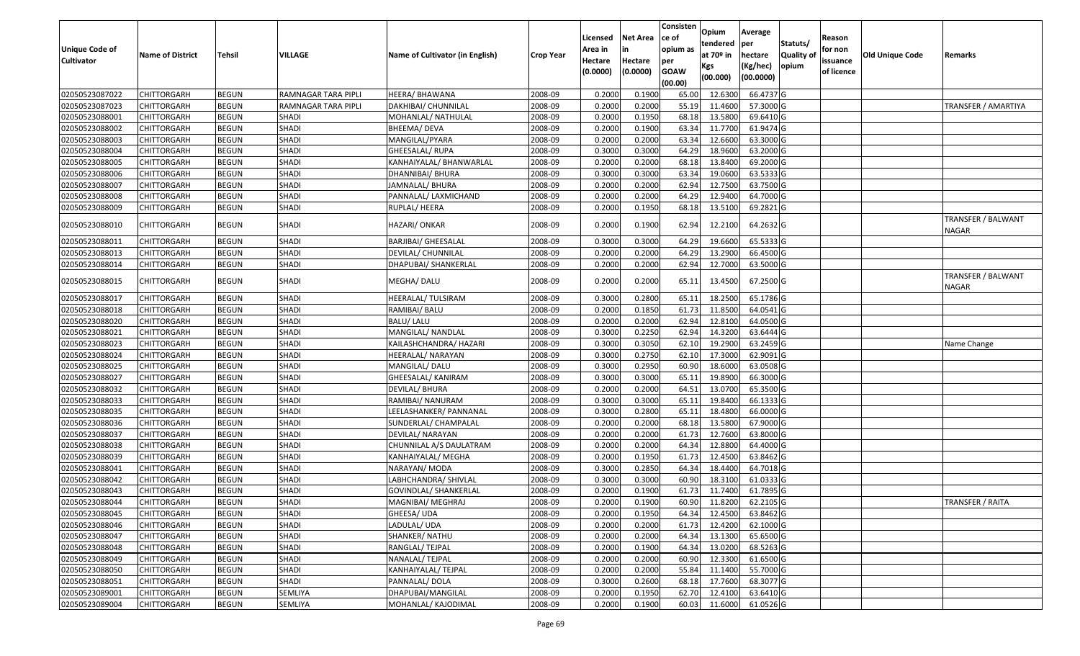| Unique Code of<br>Cultivator | <b>Name of District</b> | Tehsil       | <b>VILLAGE</b>      | Name of Cultivator (in English) | <b>Crop Year</b> | Licensed<br>Area in<br>Hectare<br>(0.0000) | Net Area<br>Hectare<br>(0.0000) | Consisten<br>ce of<br>opium as<br>per<br><b>GOAW</b><br>(00.00) | Opium<br>tendered<br>at 70º in<br>Kgs<br>(00.000) | Average<br>per<br>hectare<br>(Kg/hec)<br>(00.0000) | Statuts/<br>Quality of<br>opium | Reason<br>for non<br>issuance<br>of licence | Old Unique Code | Remarks                     |
|------------------------------|-------------------------|--------------|---------------------|---------------------------------|------------------|--------------------------------------------|---------------------------------|-----------------------------------------------------------------|---------------------------------------------------|----------------------------------------------------|---------------------------------|---------------------------------------------|-----------------|-----------------------------|
| 02050523087022               | <b>CHITTORGARH</b>      | <b>BEGUN</b> | RAMNAGAR TARA PIPLI | HEERA/ BHAWANA                  | 2008-09          | 0.2000                                     | 0.1900                          | 65.00                                                           | 12.6300                                           | 66.4737 G                                          |                                 |                                             |                 |                             |
| 02050523087023               | <b>CHITTORGARH</b>      | <b>BEGUN</b> | RAMNAGAR TARA PIPLI | DAKHIBAI/ CHUNNILAL             | 2008-09          | 0.2000                                     | 0.2000                          | 55.19                                                           | 11.4600                                           | 57.3000 G                                          |                                 |                                             |                 | TRANSFER / AMARTIYA         |
| 02050523088001               | CHITTORGARH             | <b>BEGUN</b> | SHADI               | MOHANLAL/ NATHULAL              | 2008-09          | 0.2000                                     | 0.1950                          | 68.18                                                           | 13.5800                                           | 69.6410 G                                          |                                 |                                             |                 |                             |
| 02050523088002               | <b>CHITTORGARH</b>      | <b>BEGUN</b> | <b>SHADI</b>        | <b>BHEEMA/ DEVA</b>             | 2008-09          | 0.2000                                     | 0.1900                          | 63.34                                                           | 11.7700                                           | 61.9474 G                                          |                                 |                                             |                 |                             |
| 02050523088003               | CHITTORGARH             | <b>BEGUN</b> | <b>SHADI</b>        | MANGILAL/PYARA                  | 2008-09          | 0.2000                                     | 0.2000                          | 63.34                                                           | 12.6600                                           | 63.3000 G                                          |                                 |                                             |                 |                             |
| 02050523088004               | <b>CHITTORGARH</b>      | <b>BEGUN</b> | <b>SHADI</b>        | GHEESALAL/RUPA                  | 2008-09          | 0.3000                                     | 0.3000                          | 64.29                                                           | 18.9600                                           | 63.2000 G                                          |                                 |                                             |                 |                             |
| 02050523088005               | CHITTORGARH             | <b>BEGUN</b> | <b>SHADI</b>        | KANHAIYALAL/ BHANWARLAL         | 2008-09          | 0.2000                                     | 0.2000                          | 68.18                                                           | 13.8400                                           | 69.2000 G                                          |                                 |                                             |                 |                             |
| 02050523088006               | CHITTORGARH             | <b>BEGUN</b> | <b>SHADI</b>        | <b>DHANNIBAI/ BHURA</b>         | 2008-09          | 0.3000                                     | 0.3000                          | 63.34                                                           | 19.0600                                           | 63.5333 G                                          |                                 |                                             |                 |                             |
| 02050523088007               | CHITTORGARH             | <b>BEGUN</b> | <b>SHADI</b>        | JAMNALAL/ BHURA                 | 2008-09          | 0.2000                                     | 0.2000                          | 62.94                                                           | 12.7500                                           | 63.7500 G                                          |                                 |                                             |                 |                             |
| 02050523088008               | <b>CHITTORGARH</b>      | <b>BEGUN</b> | <b>SHADI</b>        | PANNALAL/ LAXMICHAND            | 2008-09          | 0.2000                                     | 0.2000                          | 64.29                                                           | 12.9400                                           | 64.7000 G                                          |                                 |                                             |                 |                             |
| 02050523088009               | <b>CHITTORGARH</b>      | <b>BEGUN</b> | <b>SHADI</b>        | RUPLAL/ HEERA                   | 2008-09          | 0.2000                                     | 0.1950                          | 68.18                                                           | 13.5100                                           | 69.2821 G                                          |                                 |                                             |                 |                             |
| 02050523088010               | CHITTORGARH             | <b>BEGUN</b> | SHADI               | HAZARI/ ONKAR                   | 2008-09          | 0.2000                                     | 0.1900                          | 62.94                                                           | 12.2100                                           | 64.2632 G                                          |                                 |                                             |                 | TRANSFER / BALWANT<br>NAGAR |
| 02050523088011               | CHITTORGARH             | <b>BEGUN</b> | <b>SHADI</b>        | BARJIBAI/ GHEESALAL             | 2008-09          | 0.3000                                     | 0.3000                          | 64.29                                                           | 19.6600                                           | 65.5333 G                                          |                                 |                                             |                 |                             |
| 02050523088013               | CHITTORGARH             | <b>BEGUN</b> | <b>SHADI</b>        | DEVILAL/ CHUNNILAL              | 2008-09          | 0.2000                                     | 0.2000                          | 64.29                                                           | 13.2900                                           | 66.4500 G                                          |                                 |                                             |                 |                             |
| 02050523088014               | CHITTORGARH             | <b>BEGUN</b> | <b>SHADI</b>        | DHAPUBAI/ SHANKERLAL            | 2008-09          | 0.2000                                     | 0.2000                          | 62.94                                                           | 12.7000                                           | 63.5000 G                                          |                                 |                                             |                 |                             |
| 02050523088015               | <b>CHITTORGARH</b>      | <b>BEGUN</b> | SHADI               | MEGHA/ DALU                     | 2008-09          | 0.2000                                     | 0.2000                          | 65.11                                                           | 13.4500                                           | 67.2500 G                                          |                                 |                                             |                 | TRANSFER / BALWANT<br>NAGAR |
| 02050523088017               | <b>CHITTORGARH</b>      | <b>BEGUN</b> | <b>SHADI</b>        | HEERALAL/ TULSIRAM              | 2008-09          | 0.3000                                     | 0.2800                          | 65.11                                                           | 18.2500                                           | 65.1786 G                                          |                                 |                                             |                 |                             |
| 02050523088018               | CHITTORGARH             | <b>BEGUN</b> | <b>SHADI</b>        | RAMIBAI/ BALU                   | 2008-09          | 0.2000                                     | 0.1850                          | 61.73                                                           | 11.8500                                           | 64.0541 G                                          |                                 |                                             |                 |                             |
| 02050523088020               | <b>CHITTORGARH</b>      | <b>BEGUN</b> | <b>SHADI</b>        | <b>BALU/LALU</b>                | 2008-09          | 0.2000                                     | 0.2000                          | 62.94                                                           | 12.8100                                           | 64.0500 G                                          |                                 |                                             |                 |                             |
| 02050523088021               | <b>CHITTORGARH</b>      | <b>BEGUN</b> | <b>SHADI</b>        | MANGILAL/ NANDLAL               | 2008-09          | 0.3000                                     | 0.2250                          | 62.94                                                           | 14.3200                                           | 63.6444 G                                          |                                 |                                             |                 |                             |
| 02050523088023               | <b>CHITTORGARH</b>      | <b>BEGUN</b> | <b>SHADI</b>        | KAILASHCHANDRA/ HAZARI          | 2008-09          | 0.3000                                     | 0.3050                          | 62.10                                                           | 19.2900                                           | 63.2459 G                                          |                                 |                                             |                 | Name Change                 |
| 02050523088024               | CHITTORGARH             | <b>BEGUN</b> | <b>SHADI</b>        | HEERALAL/ NARAYAN               | 2008-09          | 0.3000                                     | 0.2750                          | 62.10                                                           | 17.3000                                           | 62.9091 G                                          |                                 |                                             |                 |                             |
| 02050523088025               | CHITTORGARH             | <b>BEGUN</b> | <b>SHADI</b>        | MANGILAL/DALU                   | 2008-09          | 0.3000                                     | 0.2950                          | 60.90                                                           | 18.6000                                           | 63.0508 G                                          |                                 |                                             |                 |                             |
| 02050523088027               | CHITTORGARH             | <b>BEGUN</b> | <b>SHADI</b>        | GHEESALAL/ KANIRAM              | 2008-09          | 0.3000                                     | 0.3000                          | 65.11                                                           | 19.8900                                           | 66.3000 G                                          |                                 |                                             |                 |                             |
| 02050523088032               | CHITTORGARH             | <b>BEGUN</b> | <b>SHADI</b>        | <b>DEVILAL/ BHURA</b>           | 2008-09          | 0.2000                                     | 0.2000                          | 64.51                                                           | 13.0700                                           | 65.3500 G                                          |                                 |                                             |                 |                             |
| 02050523088033               | <b>CHITTORGARH</b>      | <b>BEGUN</b> | <b>SHADI</b>        | RAMIBAI/ NANURAM                | 2008-09          | 0.3000                                     | 0.3000                          | 65.11                                                           | 19.8400                                           | 66.1333 G                                          |                                 |                                             |                 |                             |
| 02050523088035               | CHITTORGARH             | <b>BEGUN</b> | <b>SHADI</b>        | LEELASHANKER/ PANNANAL          | 2008-09          | 0.3000                                     | 0.2800                          | 65.11                                                           | 18.4800                                           | 66.0000 G                                          |                                 |                                             |                 |                             |
| 02050523088036               | <b>CHITTORGARH</b>      | <b>BEGUN</b> | <b>SHADI</b>        | SUNDERLAL/ CHAMPALAL            | 2008-09          | 0.2000                                     | 0.2000                          | 68.18                                                           | 13.5800                                           | 67.9000 G                                          |                                 |                                             |                 |                             |
| 02050523088037               | CHITTORGARH             | <b>BEGUN</b> | <b>SHADI</b>        | DEVILAL/ NARAYAN                | 2008-09          | 0.2000                                     | 0.2000                          | 61.73                                                           | 12.7600                                           | 63.8000 G                                          |                                 |                                             |                 |                             |
| 02050523088038               | <b>CHITTORGARH</b>      | <b>BEGUN</b> | <b>SHADI</b>        | CHUNNILAL A/S DAULATRAM         | 2008-09          | 0.2000                                     | 0.2000                          | 64.34                                                           | 12.8800                                           | 64.4000 G                                          |                                 |                                             |                 |                             |
| 02050523088039               | CHITTORGARH             | <b>BEGUN</b> | <b>SHADI</b>        | KANHAIYALAL/ MEGHA              | 2008-09          | 0.2000                                     | 0.1950                          | 61.73                                                           | 12.4500                                           | 63.8462 G                                          |                                 |                                             |                 |                             |
| 02050523088041               | <b>CHITTORGARH</b>      | <b>BEGUN</b> | <b>SHADI</b>        | NARAYAN/ MODA                   | 2008-09          | 0.3000                                     | 0.2850                          | 64.34                                                           | 18.4400                                           | 64.7018 G                                          |                                 |                                             |                 |                             |
| 02050523088042               | CHITTORGARH             | <b>BEGUN</b> | <b>SHADI</b>        | LABHCHANDRA/ SHIVLAL            | 2008-09          | 0.3000                                     | 0.3000                          | 60.90                                                           | 18.3100                                           | 61.0333 G                                          |                                 |                                             |                 |                             |
| 02050523088043               | <b>CHITTORGARH</b>      | <b>BEGUN</b> | <b>SHADI</b>        | GOVINDLAL/ SHANKERLAL           | 2008-09          | 0.2000                                     | 0.1900                          | 61.73                                                           | 11.7400                                           | 61.7895 G                                          |                                 |                                             |                 |                             |
| 02050523088044               | <b>CHITTORGARH</b>      | <b>BEGUN</b> | SHADI               | MAGNIBAI/ MEGHRAJ               | 2008-09          | 0.2000                                     | 0.1900                          | 60.90                                                           | 11.8200                                           | $62.2105$ G                                        |                                 |                                             |                 | TRANSFER / RAITA            |
| 02050523088045               | <b>CHITTORGARH</b>      | <b>BEGUN</b> | SHADI               | GHEESA/ UDA                     | 2008-09          | 0.2000                                     | 0.1950                          | 64.34                                                           | 12.4500                                           | 63.8462 G                                          |                                 |                                             |                 |                             |
| 02050523088046               | <b>CHITTORGARH</b>      | <b>BEGUN</b> | SHADI               | LADULAL/ UDA                    | 2008-09          | 0.2000                                     | 0.2000                          | 61.73                                                           | 12.4200                                           | 62.1000 G                                          |                                 |                                             |                 |                             |
| 02050523088047               | <b>CHITTORGARH</b>      | <b>BEGUN</b> | <b>SHADI</b>        | <b>SHANKER/ NATHU</b>           | 2008-09          | 0.2000                                     | 0.2000                          | 64.34                                                           | 13.1300                                           | 65.6500 G                                          |                                 |                                             |                 |                             |
| 02050523088048               | <b>CHITTORGARH</b>      | <b>BEGUN</b> | SHADI               | RANGLAL/ TEJPAL                 | 2008-09          | 0.2000                                     | 0.1900                          | 64.34                                                           | 13.0200                                           | 68.5263 G                                          |                                 |                                             |                 |                             |
| 02050523088049               | <b>CHITTORGARH</b>      | <b>BEGUN</b> | <b>SHADI</b>        | NANALAL/TEJPAL                  | 2008-09          | 0.2000                                     | 0.2000                          | 60.90                                                           | 12.3300                                           | 61.6500 G                                          |                                 |                                             |                 |                             |
| 02050523088050               | <b>CHITTORGARH</b>      | <b>BEGUN</b> | <b>SHADI</b>        | KANHAIYALAL/ TEJPAL             | 2008-09          | 0.2000                                     | 0.2000                          | 55.84                                                           | 11.1400                                           | 55.7000 G                                          |                                 |                                             |                 |                             |
| 02050523088051               | <b>CHITTORGARH</b>      | <b>BEGUN</b> | <b>SHADI</b>        | PANNALAL/DOLA                   | 2008-09          | 0.3000                                     | 0.2600                          | 68.18                                                           | 17.7600                                           | 68.3077 G                                          |                                 |                                             |                 |                             |
| 02050523089001               | <b>CHITTORGARH</b>      | <b>BEGUN</b> | SEMLIYA             | DHAPUBAI/MANGILAL               | 2008-09          | 0.2000                                     | 0.1950                          | 62.70                                                           | 12.4100                                           | 63.6410 G                                          |                                 |                                             |                 |                             |
| 02050523089004               | <b>CHITTORGARH</b>      | <b>BEGUN</b> | SEMLIYA             | MOHANLAL/ KAJODIMAL             | 2008-09          | 0.2000                                     | 0.1900                          |                                                                 | 60.03 11.6000                                     | 61.0526 G                                          |                                 |                                             |                 |                             |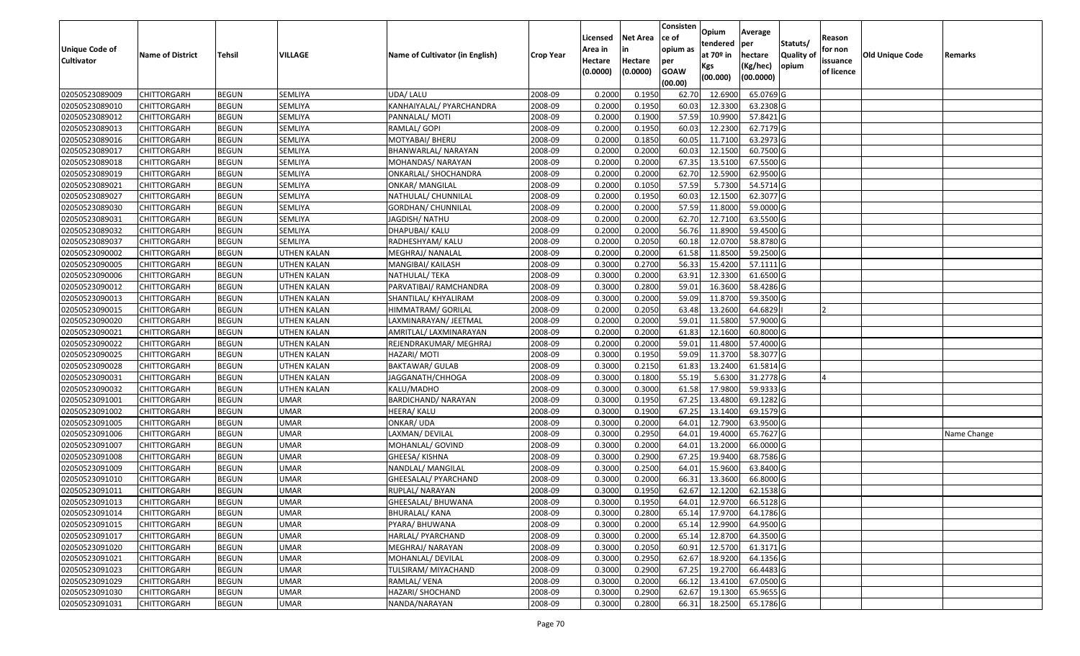|                                  |                            |                              |                            |                                    |                    | Licensed         | <b>Net Area</b>  | Consisten<br>ce of | Opium              | Average                |                  | Reason     |                        |             |
|----------------------------------|----------------------------|------------------------------|----------------------------|------------------------------------|--------------------|------------------|------------------|--------------------|--------------------|------------------------|------------------|------------|------------------------|-------------|
| <b>Unique Code of</b>            |                            |                              |                            |                                    |                    | Area in          |                  | opium as           | tendered           | per                    | Statuts/         | for non    |                        |             |
| <b>Cultivator</b>                | <b>Name of District</b>    | <b>Tehsil</b>                | VILLAGE                    | Name of Cultivator (in English)    | <b>Crop Year</b>   | Hectare          | Hectare          | per                | at $70°$ in        | hectare                | <b>Quality o</b> | issuance   | <b>Old Unique Code</b> | Remarks     |
|                                  |                            |                              |                            |                                    |                    | (0.0000)         | (0.0000)         | <b>GOAW</b>        | Kgs                | (Kg/hec)               | opium            | of licence |                        |             |
|                                  |                            |                              |                            |                                    |                    |                  |                  | (00.00)            | (00.000)           | (00.0000)              |                  |            |                        |             |
| 02050523089009                   | CHITTORGARH                | <b>BEGUN</b>                 | SEMLIYA                    | UDA/ LALU                          | 2008-09            | 0.2000           | 0.1950           | 62.70              | 12.6900            | 65.0769 G              |                  |            |                        |             |
| 02050523089010                   | CHITTORGARH                | <b>BEGUN</b>                 | SEMLIYA                    | KANHAIYALAL/ PYARCHANDRA           | 2008-09            | 0.2000           | 0.1950           | 60.03              | 12.3300            | 63.2308 G              |                  |            |                        |             |
| 02050523089012                   | CHITTORGARH                | <b>BEGUN</b>                 | <b>SEMLIYA</b>             | PANNALAL/ MOTI                     | 2008-09            | 0.2000           | 0.1900           | 57.59              | 10.9900            | 57.8421 G              |                  |            |                        |             |
| 02050523089013                   | <b>CHITTORGARH</b>         | <b>BEGUN</b>                 | SEMLIYA                    | RAMLAL/ GOPI                       | 2008-09            | 0.2000           | 0.1950           | 60.03              | 12.2300            | 62.7179 G              |                  |            |                        |             |
| 02050523089016                   | CHITTORGARH                | <b>BEGUN</b>                 | <b>SEMLIYA</b>             | MOTYABAI/ BHERU                    | 2008-09            | 0.2000           | 0.1850           | 60.05              | 11.7100            | 63.2973 G              |                  |            |                        |             |
| 02050523089017                   | CHITTORGARH                | <b>BEGUN</b>                 | SEMLIYA                    | BHANWARLAL/ NARAYAN                | 2008-09            | 0.2000           | 0.2000           | 60.03              | 12.1500            | 60.7500 G              |                  |            |                        |             |
| 02050523089018                   | CHITTORGARH                | <b>BEGUN</b>                 | SEMLIYA                    | MOHANDAS/ NARAYAN                  | 2008-09            | 0.2000           | 0.2000           | 67.35              | 13.5100            | 67.5500 G              |                  |            |                        |             |
| 02050523089019                   | CHITTORGARH                | <b>BEGUN</b>                 | <b>SEMLIYA</b>             | ONKARLAL/ SHOCHANDRA               | 2008-09            | 0.2000           | 0.2000           | 62.70              | 12.5900            | 62.9500 G              |                  |            |                        |             |
| 02050523089021                   | CHITTORGARH                | <b>BEGUN</b>                 | <b>SEMLIYA</b>             | <b>ONKAR/ MANGILAL</b>             | 2008-09            | 0.2000           | 0.1050           | 57.59              | 5.7300             | 54.5714 G              |                  |            |                        |             |
| 02050523089027                   | CHITTORGARH                | <b>BEGUN</b>                 | SEMLIYA                    | NATHULAL/ CHUNNILAL                | 2008-09            | 0.2000           | 0.1950           | 60.03              | 12.1500            | 62.3077 G              |                  |            |                        |             |
| 02050523089030                   | CHITTORGARH                | <b>BEGUN</b>                 | SEMLIYA                    | GORDHAN/ CHUNNILAL                 | 2008-09            | 0.2000           | 0.2000           | 57.59              | 11.8000            | 59.0000 G              |                  |            |                        |             |
| 02050523089031                   | <b>CHITTORGARH</b>         | <b>BEGUN</b>                 | <b>SEMLIYA</b>             | JAGDISH/ NATHU                     | 2008-09            | 0.2000           | 0.2000           | 62.70              | 12.7100            | 63.5500 G              |                  |            |                        |             |
| 02050523089032                   | <b>CHITTORGARH</b>         | <b>BEGUN</b>                 | SEMLIYA                    | DHAPUBAI/ KALU                     | 2008-09            | 0.2000           | 0.2000           | 56.76              | 11.8900            | 59.4500 G              |                  |            |                        |             |
| 02050523089037                   | CHITTORGARH                | <b>BEGUN</b>                 | <b>SEMLIYA</b>             | RADHESHYAM/ KALU                   | 2008-09            | 0.2000           | 0.2050           | 60.18              | 12.0700            | 58.8780 G              |                  |            |                        |             |
| 02050523090002                   | CHITTORGARH                | <b>BEGUN</b>                 | UTHEN KALAN                | MEGHRAJ/ NANALAL                   | 2008-09            | 0.2000           | 0.2000           | 61.58              | 11.8500            | 59.2500 G              |                  |            |                        |             |
| 02050523090005                   | <b>CHITTORGARH</b>         | <b>BEGUN</b>                 | <b>UTHEN KALAN</b>         | MANGIBAI/ KAILASH                  | 2008-09            | 0.3000           | 0.2700           | 56.33              | 15.4200            | 57.1111G               |                  |            |                        |             |
| 02050523090006                   | CHITTORGARH                | <b>BEGUN</b>                 | <b>UTHEN KALAN</b>         | NATHULAL/ TEKA                     | 2008-09            | 0.3000           | 0.2000           | 63.91              | 12.3300            | 61.6500 G              |                  |            |                        |             |
| 02050523090012                   | CHITTORGARH                | <b>BEGUN</b>                 | UTHEN KALAN                | PARVATIBAI/ RAMCHANDRA             | 2008-09            | 0.3000           | 0.2800           | 59.01              | 16.3600            | 58.4286 G              |                  |            |                        |             |
| 02050523090013                   | CHITTORGARH                | <b>BEGUN</b>                 | UTHEN KALAN                | SHANTILAL/ KHYALIRAM               | 2008-09            | 0.3000           | 0.2000           | 59.09              | 11.8700            | 59.3500G               |                  |            |                        |             |
| 02050523090015                   | CHITTORGARH                | <b>BEGUN</b>                 | UTHEN KALAN                | HIMMATRAM/ GORILAL                 | 2008-09            | 0.2000           | 0.2050           | 63.48              | 13.2600            | 64.6829                |                  |            |                        |             |
| 02050523090020                   | CHITTORGARH                | <b>BEGUN</b>                 | UTHEN KALAN                | LAXMINARAYAN/JEETMAL               | 2008-09            | 0.2000           | 0.2000           | 59.01              | 11.5800            | 57.9000 G              |                  |            |                        |             |
| 02050523090021                   | CHITTORGARH                | <b>BEGUN</b>                 | UTHEN KALAN                | AMRITLAL/ LAXMINARAYAN             | 2008-09            | 0.2000           | 0.2000           | 61.83              | 12.1600            | 60.8000 G              |                  |            |                        |             |
| 02050523090022                   | CHITTORGARH                | <b>BEGUN</b>                 | UTHEN KALAN                | REJENDRAKUMAR/ MEGHRAJ             | 2008-09            | 0.2000           | 0.2000           | 59.01              | 11.4800            | 57.4000 G              |                  |            |                        |             |
| 02050523090025                   | CHITTORGARH                | <b>BEGUN</b>                 | UTHEN KALAN                | HAZARI/ MOTI                       | 2008-09            | 0.3000           | 0.1950           | 59.09              | 11.3700            | 58.3077 G              |                  |            |                        |             |
| 02050523090028                   | CHITTORGARH                | <b>BEGUN</b>                 | <b>UTHEN KALAN</b>         | <b>BAKTAWAR/ GULAB</b>             | 2008-09            | 0.3000           | 0.2150           | 61.83              | 13.2400            | 61.5814 G              |                  |            |                        |             |
| 02050523090031                   | CHITTORGARH                | <b>BEGUN</b>                 | UTHEN KALAN                | JAGGANATH/CHHOGA                   | 2008-09            | 0.3000           | 0.1800           | 55.19              | 5.6300             | 31.2778 G              |                  |            |                        |             |
| 02050523090032                   | CHITTORGARH                | <b>BEGUN</b>                 | UTHEN KALAN                | KALU/MADHO                         | 2008-09            | 0.3000           | 0.3000           | 61.58              | 17.9800            | 59.9333 G              |                  |            |                        |             |
| 02050523091001                   | CHITTORGARH                | <b>BEGUN</b>                 | <b>UMAR</b>                | BARDICHAND/ NARAYAN                | 2008-09            | 0.3000           | 0.1950           | 67.25              | 13.4800            | 69.1282G               |                  |            |                        |             |
| 02050523091002                   | CHITTORGARH                | <b>BEGUN</b>                 | <b>UMAR</b>                | HEERA/ KALU                        | 2008-09            | 0.3000           | 0.1900           | 67.25              | 13.1400            | 69.1579 G              |                  |            |                        |             |
| 02050523091005                   | CHITTORGARH                | <b>BEGUN</b>                 | <b>UMAR</b>                | ONKAR/ UDA                         | 2008-09            | 0.3000           | 0.2000           | 64.01              | 12.7900            | 63.9500 G              |                  |            |                        |             |
| 02050523091006                   | CHITTORGARH                | <b>BEGUN</b>                 | <b>UMAR</b><br><b>UMAR</b> | LAXMAN/ DEVILAL                    | 2008-09            | 0.3000<br>0.3000 | 0.2950<br>0.2000 | 64.0<br>64.0       | 19.4000<br>13.2000 | 65.7627 G<br>66.0000 G |                  |            |                        | Name Change |
| 02050523091007<br>02050523091008 | CHITTORGARH<br>CHITTORGARH | <b>BEGUN</b><br><b>BEGUN</b> | <b>UMAR</b>                | MOHANLAL/ GOVIND<br>GHEESA/ KISHNA | 2008-09<br>2008-09 | 0.3000           | 0.2900           | 67.25              | 19.9400            | 68.7586 G              |                  |            |                        |             |
| 02050523091009                   | CHITTORGARH                | <b>BEGUN</b>                 | <b>UMAR</b>                | NANDLAL/ MANGILAL                  | 2008-09            | 0.3000           | 0.2500           | 64.01              | 15.9600            | 63.8400 G              |                  |            |                        |             |
| 02050523091010                   | CHITTORGARH                | <b>BEGUN</b>                 | <b>UMAR</b>                | GHEESALAL/ PYARCHAND               | 2008-09            | 0.300            | 0.2000           | 66.3               | 13.3600            | 66.8000 G              |                  |            |                        |             |
| 02050523091011                   | CHITTORGARH                | <b>BEGUN</b>                 | <b>UMAR</b>                | RUPLAL/ NARAYAN                    | 2008-09            | 0.3000           | 0.1950           | 62.67              | 12.1200            | 62.1538 G              |                  |            |                        |             |
| 02050523091013                   | <b>CHITTORGARH</b>         | <b>BEGUN</b>                 | <b>UMAR</b>                | GHEESALAL/ BHUWANA                 | 2008-09            | 0.3000           | 0.1950           |                    | 64.01 12.9700      | 66.5128 G              |                  |            |                        |             |
| 02050523091014                   | <b>CHITTORGARH</b>         | <b>BEGUN</b>                 | <b>UMAR</b>                | <b>BHURALAL/ KANA</b>              | 2008-09            | 0.3000           | 0.2800           | 65.14              | 17.9700            | 64.1786 G              |                  |            |                        |             |
| 02050523091015                   | <b>CHITTORGARH</b>         | <b>BEGUN</b>                 | <b>UMAR</b>                | PYARA/ BHUWANA                     | 2008-09            | 0.3000           | 0.2000           | 65.14              | 12.9900            | 64.9500 G              |                  |            |                        |             |
| 02050523091017                   | <b>CHITTORGARH</b>         | <b>BEGUN</b>                 | <b>UMAR</b>                | HARLAL/ PYARCHAND                  | 2008-09            | 0.3000           | 0.2000           | 65.14              | 12.8700            | 64.3500 G              |                  |            |                        |             |
| 02050523091020                   | <b>CHITTORGARH</b>         | <b>BEGUN</b>                 | <b>UMAR</b>                | MEGHRAJ/ NARAYAN                   | 2008-09            | 0.3000           | 0.2050           | 60.91              | 12.5700            | 61.3171 G              |                  |            |                        |             |
| 02050523091021                   | <b>CHITTORGARH</b>         | <b>BEGUN</b>                 | <b>UMAR</b>                | MOHANLAL/ DEVILAL                  | 2008-09            | 0.3000           | 0.2950           | 62.67              | 18.9200            | 64.1356 G              |                  |            |                        |             |
| 02050523091023                   | <b>CHITTORGARH</b>         | <b>BEGUN</b>                 | UMAR                       | TULSIRAM/ MIYACHAND                | 2008-09            | 0.3000           | 0.2900           | 67.25              | 19.2700            | 66.4483 G              |                  |            |                        |             |
| 02050523091029                   | <b>CHITTORGARH</b>         | <b>BEGUN</b>                 | <b>UMAR</b>                | RAMLAL/VENA                        | 2008-09            | 0.3000           | 0.2000           | 66.12              | 13.4100            | 67.0500 G              |                  |            |                        |             |
| 02050523091030                   | <b>CHITTORGARH</b>         | <b>BEGUN</b>                 | UMAR                       | HAZARI/ SHOCHAND                   | 2008-09            | 0.3000           | 0.2900           | 62.67              | 19.1300            | 65.9655 G              |                  |            |                        |             |
| 02050523091031                   | <b>CHITTORGARH</b>         | <b>BEGUN</b>                 | <b>UMAR</b>                | NANDA/NARAYAN                      | 2008-09            | 0.3000           | 0.2800           | 66.31              | 18.2500            | 65.1786 G              |                  |            |                        |             |
|                                  |                            |                              |                            |                                    |                    |                  |                  |                    |                    |                        |                  |            |                        |             |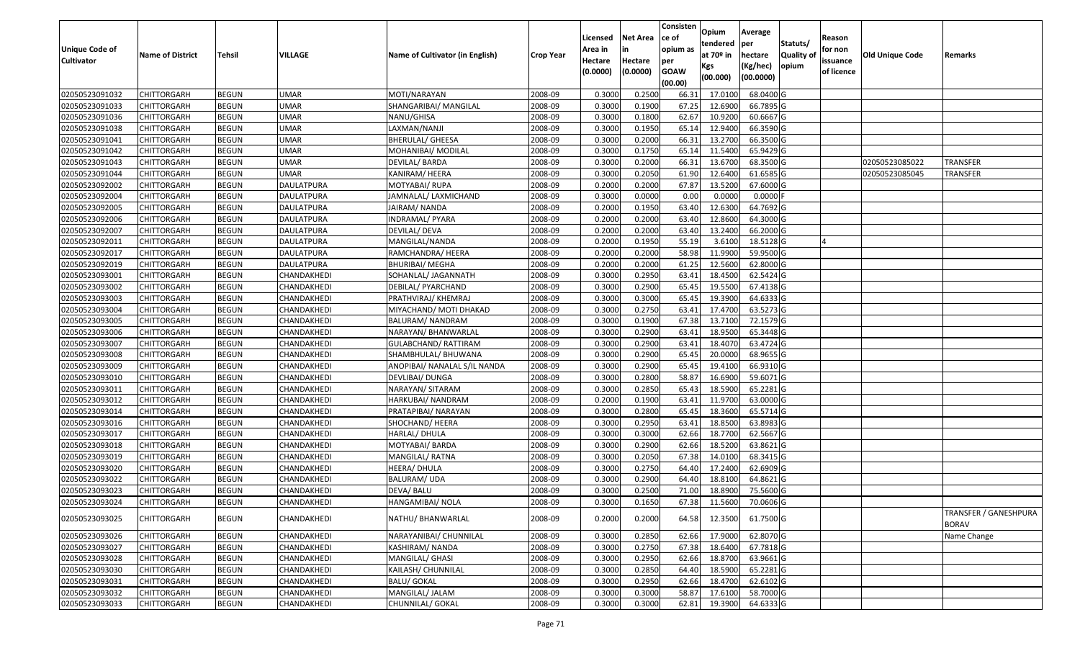|                       |                         |               |                   |                                 |                  |                     |                     | Consisten          | Opium       | Average     |                  |                        |                 |                                       |
|-----------------------|-------------------------|---------------|-------------------|---------------------------------|------------------|---------------------|---------------------|--------------------|-------------|-------------|------------------|------------------------|-----------------|---------------------------------------|
|                       |                         |               |                   |                                 |                  | Licensed            | <b>Net Area</b>     | ce of              | tendered    | per         | Statuts/         | Reason                 |                 |                                       |
| <b>Unique Code of</b> | <b>Name of District</b> | <b>Tehsil</b> | VILLAGE           | Name of Cultivator (in English) | <b>Crop Year</b> | Area in             | in                  | opium as           | at $70°$ in | hectare     | <b>Quality o</b> | for non                | Old Unique Code | Remarks                               |
| <b>Cultivator</b>     |                         |               |                   |                                 |                  | Hectare<br>(0.0000) | Hectare<br>(0.0000) | per<br><b>GOAW</b> | Kgs         | (Kg/hec)    | opium            | issuance<br>of licence |                 |                                       |
|                       |                         |               |                   |                                 |                  |                     |                     | (00.00)            | (00.000)    | (00.0000)   |                  |                        |                 |                                       |
| 02050523091032        | CHITTORGARH             | <b>BEGUN</b>  | <b>UMAR</b>       | MOTI/NARAYAN                    | 2008-09          | 0.3000              | 0.2500              | 66.3               | 17.0100     | 68.0400 G   |                  |                        |                 |                                       |
| 02050523091033        | CHITTORGARH             | <b>BEGUN</b>  | <b>UMAR</b>       | SHANGARIBAI/ MANGILAL           | 2008-09          | 0.3000              | 0.1900              | 67.25              | 12.6900     | 66.7895 G   |                  |                        |                 |                                       |
| 02050523091036        | CHITTORGARH             | <b>BEGUN</b>  | <b>UMAR</b>       | NANU/GHISA                      | 2008-09          | 0.3000              | 0.1800              | 62.67              | 10.9200     | 60.6667 G   |                  |                        |                 |                                       |
| 02050523091038        | <b>CHITTORGARH</b>      | <b>BEGUN</b>  | <b>UMAR</b>       | LAXMAN/NANJI                    | 2008-09          | 0.3000              | 0.1950              | 65.14              | 12.9400     | 66.3590 G   |                  |                        |                 |                                       |
| 02050523091041        | CHITTORGARH             | <b>BEGUN</b>  | <b>UMAR</b>       | <b>BHERULAL/ GHEESA</b>         | 2008-09          | 0.3000              | 0.2000              | 66.3               | 13.2700     | 66.3500 G   |                  |                        |                 |                                       |
| 02050523091042        | CHITTORGARH             | <b>BEGUN</b>  | <b>UMAR</b>       | MOHANIBAI/ MODILAL              | 2008-09          | 0.3000              | 0.1750              | 65.14              | 11.5400     | $65.9429$ G |                  |                        |                 |                                       |
| 02050523091043        | CHITTORGARH             | <b>BEGUN</b>  | <b>UMAR</b>       | DEVILAL/ BARDA                  | 2008-09          | 0.3000              | 0.2000              | 66.3               | 13.6700     | 68.3500 G   |                  |                        | 02050523085022  | TRANSFER                              |
| 02050523091044        | CHITTORGARH             | <b>BEGUN</b>  | <b>UMAR</b>       | KANIRAM/HEERA                   | 2008-09          | 0.3000              | 0.2050              | 61.90              | 12.6400     | 61.6585G    |                  |                        | 02050523085045  | <b>TRANSFER</b>                       |
| 02050523092002        | CHITTORGARH             | <b>BEGUN</b>  | DAULATPURA        | MOTYABAI/ RUPA                  | 2008-09          | 0.2000              | 0.2000              | 67.87              | 13.5200     | 67.6000 G   |                  |                        |                 |                                       |
| 02050523092004        | CHITTORGARH             | <b>BEGUN</b>  | <b>DAULATPURA</b> | JAMNALAL/ LAXMICHAND            | 2008-09          | 0.3000              | 0.0000              | 0.00               | 0.0000      | $0.0000$ F  |                  |                        |                 |                                       |
| 02050523092005        | CHITTORGARH             | <b>BEGUN</b>  | DAULATPURA        | JAIRAM/ NANDA                   | 2008-09          | 0.2000              | 0.1950              | 63.40              | 12.6300     | 64.7692 G   |                  |                        |                 |                                       |
| 02050523092006        | CHITTORGARH             | <b>BEGUN</b>  | <b>DAULATPURA</b> | INDRAMAL/ PYARA                 | 2008-09          | 0.2000              | 0.2000              | 63.40              | 12.8600     | 64.3000 G   |                  |                        |                 |                                       |
| 02050523092007        | <b>CHITTORGARH</b>      | <b>BEGUN</b>  | <b>DAULATPURA</b> | DEVILAL/ DEVA                   | 2008-09          | 0.2000              | 0.2000              | 63.40              | 13.2400     | 66.2000 G   |                  |                        |                 |                                       |
| 02050523092011        | <b>CHITTORGARH</b>      | <b>BEGUN</b>  | <b>DAULATPURA</b> | MANGILAL/NANDA                  | 2008-09          | 0.2000              | 0.1950              | 55.19              | 3.6100      | 18.5128 G   |                  |                        |                 |                                       |
| 02050523092017        | CHITTORGARH             | <b>BEGUN</b>  | DAULATPURA        | RAMCHANDRA/ HEERA               | 2008-09          | 0.2000              | 0.2000              | 58.98              | 11.9900     | 59.9500G    |                  |                        |                 |                                       |
| 02050523092019        | CHITTORGARH             | <b>BEGUN</b>  | DAULATPURA        | <b>BHURIBAI/ MEGHA</b>          | 2008-09          | 0.2000              | 0.2000              | 61.25              | 12.5600     | 62.8000 G   |                  |                        |                 |                                       |
| 02050523093001        | CHITTORGARH             | <b>BEGUN</b>  | CHANDAKHEDI       | SOHANLAL/ JAGANNATH             | 2008-09          | 0.3000              | 0.2950              | 63.41              | 18.4500     | 62.5424 G   |                  |                        |                 |                                       |
| 02050523093002        | CHITTORGARH             | <b>BEGUN</b>  | CHANDAKHEDI       | DEBILAL/ PYARCHAND              | 2008-09          | 0.3000              | 0.2900              | 65.45              | 19.5500     | 67.4138 G   |                  |                        |                 |                                       |
| 02050523093003        | CHITTORGARH             | <b>BEGUN</b>  | CHANDAKHEDI       | PRATHVIRAJ/ KHEMRAJ             | 2008-09          | 0.3000              | 0.3000              | 65.45              | 19.3900     | 64.6333 G   |                  |                        |                 |                                       |
| 02050523093004        | CHITTORGARH             | <b>BEGUN</b>  | CHANDAKHEDI       | MIYACHAND/ MOTI DHAKAD          | 2008-09          | 0.3000              | 0.2750              | 63.41              | 17.4700     | 63.5273 G   |                  |                        |                 |                                       |
| 02050523093005        | CHITTORGARH             | <b>BEGUN</b>  | CHANDAKHEDI       | BALURAM/ NANDRAM                | 2008-09          | 0.3000              | 0.1900              | 67.38              | 13.7100     | 72.1579 G   |                  |                        |                 |                                       |
| 02050523093006        | CHITTORGARH             | <b>BEGUN</b>  | CHANDAKHEDI       | NARAYAN/ BHANWARLAL             | 2008-09          | 0.3000              | 0.2900              | 63.41              | 18.9500     | 65.3448 G   |                  |                        |                 |                                       |
| 02050523093007        | CHITTORGARH             | <b>BEGUN</b>  | CHANDAKHEDI       | <b>GULABCHAND/ RATTIRAM</b>     | 2008-09          | 0.3000              | 0.2900              | 63.41              | 18.4070     | 63.4724 G   |                  |                        |                 |                                       |
| 02050523093008        | CHITTORGARH             | <b>BEGUN</b>  | CHANDAKHEDI       | SHAMBHULAL/ BHUWANA             | 2008-09          | 0.3000              | 0.2900              | 65.45              | 20.0000     | 68.9655 G   |                  |                        |                 |                                       |
| 02050523093009        | CHITTORGARH             | <b>BEGUN</b>  | CHANDAKHEDI       | ANOPIBAI/ NANALAL S/IL NANDA    | 2008-09          | 0.3000              | 0.2900              | 65.45              | 19.4100     | 66.9310 G   |                  |                        |                 |                                       |
| 02050523093010        | CHITTORGARH             | <b>BEGUN</b>  | CHANDAKHEDI       | DEVLIBAI/ DUNGA                 | 2008-09          | 0.3000              | 0.2800              | 58.87              | 16.6900     | 59.6071G    |                  |                        |                 |                                       |
| 02050523093011        | CHITTORGARH             | <b>BEGUN</b>  | CHANDAKHEDI       | NARAYAN/ SITARAM                | 2008-09          | 0.3000              | 0.2850              | 65.43              | 18.5900     | 65.2281G    |                  |                        |                 |                                       |
| 02050523093012        | CHITTORGARH             | <b>BEGUN</b>  | CHANDAKHEDI       | HARKUBAI/ NANDRAM               | 2008-09          | 0.2000              | 0.1900              | 63.41              | 11.9700     | 63.0000G    |                  |                        |                 |                                       |
| 02050523093014        | CHITTORGARH             | <b>BEGUN</b>  | CHANDAKHEDI       | PRATAPIBAI/ NARAYAN             | 2008-09          | 0.3000              | 0.2800              | 65.45              | 18.3600     | 65.5714 G   |                  |                        |                 |                                       |
| 02050523093016        | CHITTORGARH             | <b>BEGUN</b>  | CHANDAKHEDI       | SHOCHAND/ HEERA                 | 2008-09          | 0.3000              | 0.2950              | 63.41              | 18.8500     | 63.8983 G   |                  |                        |                 |                                       |
| 02050523093017        | CHITTORGARH             | <b>BEGUN</b>  | CHANDAKHEDI       | HARLAL/ DHULA                   | 2008-09          | 0.3000              | 0.3000              | 62.66              | 18.7700     | 62.5667 G   |                  |                        |                 |                                       |
| 02050523093018        | CHITTORGARH             | <b>BEGUN</b>  | CHANDAKHEDI       | MOTYABAI/ BARDA                 | 2008-09          | 0.3000              | 0.2900              | 62.66              | 18.5200     | 63.8621 G   |                  |                        |                 |                                       |
| 02050523093019        | CHITTORGARH             | <b>BEGUN</b>  | CHANDAKHEDI       | MANGILAL/RATNA                  | 2008-09          | 0.3000              | 0.2050              | 67.38              | 14.0100     | 68.3415 G   |                  |                        |                 |                                       |
| 02050523093020        | CHITTORGARH             | <b>BEGUN</b>  | CHANDAKHEDI       | HEERA/ DHULA                    | 2008-09          | 0.3000              | 0.2750              | 64.40              | 17.2400     | 62.6909 G   |                  |                        |                 |                                       |
| 02050523093022        | CHITTORGARH             | <b>BEGUN</b>  | CHANDAKHEDI       | BALURAM/ UDA                    | 2008-09          | 0.300               | 0.2900              | 64.40              | 18.8100     | 64.8621 G   |                  |                        |                 |                                       |
| 02050523093023        | CHITTORGARH             | <b>BEGUN</b>  | CHANDAKHEDI       | DEVA/ BALU                      | 2008-09          | 0.3000              | 0.2500              | 71.00              | 18.8900     | 75.5600G    |                  |                        |                 |                                       |
| 02050523093024        | CHITTORGARH             | <b>BEGUN</b>  | CHANDAKHEDI       | HANGAMIBAI/ NOLA                | 2008-09          | 0.3000              | 0.1650              | 67.38              | 11.5600     | 70.0606 G   |                  |                        |                 |                                       |
| 02050523093025        | <b>CHITTORGARH</b>      | <b>BEGUN</b>  | CHANDAKHEDI       | NATHU/ BHANWARLAL               | 2008-09          | 0.2000              | 0.2000              | 64.58              | 12.3500     | 61.7500 G   |                  |                        |                 | TRANSFER / GANESHPURA<br><b>BORAV</b> |
| 02050523093026        | <b>CHITTORGARH</b>      | <b>BEGUN</b>  | CHANDAKHEDI       | NARAYANIBAI/ CHUNNILAL          | 2008-09          | 0.3000              | 0.2850              | 62.66              | 17.9000     | 62.8070 G   |                  |                        |                 | Name Change                           |
| 02050523093027        | CHITTORGARH             | <b>BEGUN</b>  | CHANDAKHEDI       | KASHIRAM/ NANDA                 | 2008-09          | 0.3000              | 0.2750              | 67.38              | 18.6400     | 67.7818 G   |                  |                        |                 |                                       |
| 02050523093028        | <b>CHITTORGARH</b>      | <b>BEGUN</b>  | CHANDAKHEDI       | MANGILAL/ GHASI                 | 2008-09          | 0.3000              | 0.2950              | 62.66              | 18.8700     | 63.9661G    |                  |                        |                 |                                       |
| 02050523093030        | <b>CHITTORGARH</b>      | <b>BEGUN</b>  | CHANDAKHEDI       | KAILASH/ CHUNNILAL              | 2008-09          | 0.3000              | 0.2850              | 64.40              | 18.5900     | 65.2281 G   |                  |                        |                 |                                       |
| 02050523093031        | CHITTORGARH             | <b>BEGUN</b>  | CHANDAKHEDI       | <b>BALU/ GOKAL</b>              | 2008-09          | 0.3000              | 0.2950              | 62.66              | 18.4700     | 62.6102 G   |                  |                        |                 |                                       |
| 02050523093032        | <b>CHITTORGARH</b>      | <b>BEGUN</b>  | CHANDAKHEDI       | MANGILAL/ JALAM                 | 2008-09          | 0.3000              | 0.3000              | 58.87              | 17.6100     | 58.7000 G   |                  |                        |                 |                                       |
| 02050523093033        | <b>CHITTORGARH</b>      | <b>BEGUN</b>  | CHANDAKHEDI       | CHUNNILAL/ GOKAL                | 2008-09          | 0.3000              | 0.3000              | 62.81              | 19.3900     | 64.6333 G   |                  |                        |                 |                                       |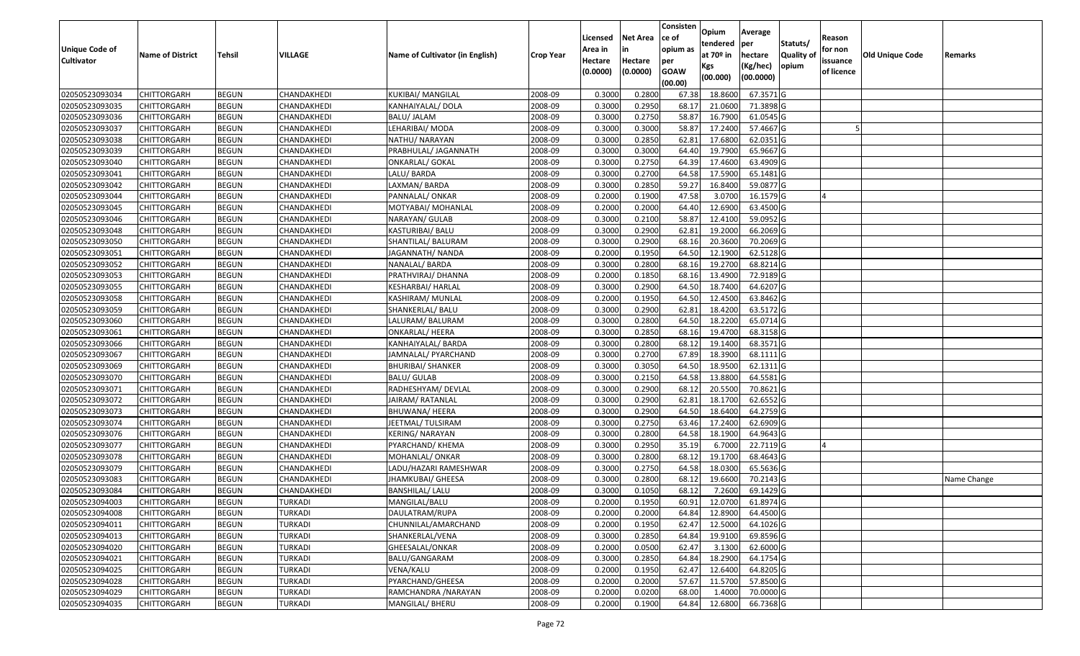|                       |                         |               |                |                                 |                  |          |                 | Consisten          | Opium         | Average   |                  |            |                 |             |
|-----------------------|-------------------------|---------------|----------------|---------------------------------|------------------|----------|-----------------|--------------------|---------------|-----------|------------------|------------|-----------------|-------------|
|                       |                         |               |                |                                 |                  | Licensed | <b>Net Area</b> | ce of              | tendered      | per       | Statuts/         | Reason     |                 |             |
| <b>Unique Code of</b> | <b>Name of District</b> | <b>Tehsil</b> | VILLAGE        | Name of Cultivator (in English) | <b>Crop Year</b> | Area in  | in              | opium as           | at $70°$ in   | hectare   | <b>Quality o</b> | for non    | Old Unique Code | Remarks     |
| <b>Cultivator</b>     |                         |               |                |                                 |                  | Hectare  | Hectare         | per<br><b>GOAW</b> | Kgs           | (Kg/hec)  | opium            | issuance   |                 |             |
|                       |                         |               |                |                                 |                  | (0.0000) | (0.0000)        | (00.00)            | (00.000)      | (00.0000) |                  | of licence |                 |             |
| 02050523093034        | CHITTORGARH             | <b>BEGUN</b>  | CHANDAKHEDI    | <b>KUKIBAI/ MANGILAL</b>        | 2008-09          | 0.3000   | 0.2800          | 67.38              | 18.8600       | 67.3571G  |                  |            |                 |             |
| 02050523093035        | CHITTORGARH             | <b>BEGUN</b>  | CHANDAKHEDI    | KANHAIYALAL/ DOLA               | 2008-09          | 0.3000   | 0.2950          | 68.17              | 21.0600       | 71.3898 G |                  |            |                 |             |
| 02050523093036        | CHITTORGARH             | <b>BEGUN</b>  | CHANDAKHEDI    | BALU/ JALAM                     | 2008-09          | 0.3000   | 0.2750          | 58.87              | 16.7900       | 61.0545 G |                  |            |                 |             |
| 02050523093037        | <b>CHITTORGARH</b>      | <b>BEGUN</b>  | CHANDAKHEDI    | LEHARIBAI/ MODA                 | 2008-09          | 0.3000   | 0.3000          | 58.87              | 17.2400       | 57.4667 G |                  |            |                 |             |
| 02050523093038        | CHITTORGARH             | <b>BEGUN</b>  | CHANDAKHEDI    | NATHU/ NARAYAN                  | 2008-09          | 0.3000   | 0.2850          | 62.8               | 17.6800       | 62.0351 G |                  |            |                 |             |
| 02050523093039        | <b>CHITTORGARH</b>      | <b>BEGUN</b>  | CHANDAKHEDI    | PRABHULAL/ JAGANNATH            | 2008-09          | 0.3000   | 0.3000          | 64.40              | 19.7900       | 65.9667 G |                  |            |                 |             |
| 02050523093040        | CHITTORGARH             | <b>BEGUN</b>  | CHANDAKHEDI    | ONKARLAL/ GOKAL                 | 2008-09          | 0.3000   | 0.2750          | 64.39              | 17.4600       | 63.4909 G |                  |            |                 |             |
| 02050523093041        | CHITTORGARH             | <b>BEGUN</b>  | CHANDAKHEDI    | LALU/ BARDA                     | 2008-09          | 0.3000   | 0.2700          | 64.58              | 17.5900       | 65.1481 G |                  |            |                 |             |
| 02050523093042        | CHITTORGARH             | <b>BEGUN</b>  | CHANDAKHEDI    | LAXMAN/BARDA                    | 2008-09          | 0.3000   | 0.2850          | 59.27              | 16.8400       | 59.0877 G |                  |            |                 |             |
| 02050523093044        | CHITTORGARH             | <b>BEGUN</b>  | CHANDAKHEDI    | PANNALAL/ ONKAR                 | 2008-09          | 0.2000   | 0.1900          | 47.58              | 3.0700        | 16.1579 G |                  |            |                 |             |
| 02050523093045        | CHITTORGARH             | <b>BEGUN</b>  | CHANDAKHEDI    | MOTYABAI/ MOHANLAL              | 2008-09          | 0.2000   | 0.2000          | 64.40              | 12.6900       | 63.4500 G |                  |            |                 |             |
| 02050523093046        | <b>CHITTORGARH</b>      | <b>BEGUN</b>  | CHANDAKHEDI    | NARAYAN/ GULAB                  | 2008-09          | 0.3000   | 0.2100          | 58.87              | 12.4100       | 59.0952 G |                  |            |                 |             |
| 02050523093048        | <b>CHITTORGARH</b>      | <b>BEGUN</b>  | CHANDAKHEDI    | KASTURIBAI/ BALU                | 2008-09          | 0.3000   | 0.2900          | 62.81              | 19.2000       | 66.2069 G |                  |            |                 |             |
| 02050523093050        | <b>CHITTORGARH</b>      | <b>BEGUN</b>  | CHANDAKHEDI    | SHANTILAL/ BALURAM              | 2008-09          | 0.3000   | 0.2900          | 68.16              | 20.3600       | 70.2069 G |                  |            |                 |             |
| 02050523093051        | <b>CHITTORGARH</b>      | <b>BEGUN</b>  | CHANDAKHEDI    | JAGANNATH/ NANDA                | 2008-09          | 0.2000   | 0.1950          | 64.50              | 12.1900       | 62.5128 G |                  |            |                 |             |
| 02050523093052        | <b>CHITTORGARH</b>      | <b>BEGUN</b>  | CHANDAKHEDI    | NANALAL/ BARDA                  | 2008-09          | 0.3000   | 0.2800          | 68.16              | 19.2700       | 68.8214 G |                  |            |                 |             |
| 02050523093053        | CHITTORGARH             | <b>BEGUN</b>  | CHANDAKHEDI    | PRATHVIRAJ/ DHANNA              | 2008-09          | 0.2000   | 0.1850          | 68.16              | 13.4900       | 72.9189 G |                  |            |                 |             |
| 02050523093055        | CHITTORGARH             | <b>BEGUN</b>  | CHANDAKHEDI    | KESHARBAI/ HARLAL               | 2008-09          | 0.3000   | 0.2900          | 64.50              | 18.7400       | 64.6207 G |                  |            |                 |             |
| 02050523093058        | CHITTORGARH             | <b>BEGUN</b>  | CHANDAKHEDI    | KASHIRAM/ MUNLAL                | 2008-09          | 0.2000   | 0.1950          | 64.50              | 12.4500       | 63.8462G  |                  |            |                 |             |
| 02050523093059        | CHITTORGARH             | <b>BEGUN</b>  | CHANDAKHEDI    | SHANKERLAL/ BALU                | 2008-09          | 0.3000   | 0.2900          | 62.81              | 18.4200       | 63.5172 G |                  |            |                 |             |
| 02050523093060        | CHITTORGARH             | <b>BEGUN</b>  | CHANDAKHEDI    | LALURAM/ BALURAM                | 2008-09          | 0.3000   | 0.2800          | 64.50              | 18.2200       | 65.0714 G |                  |            |                 |             |
| 02050523093061        | CHITTORGARH             | <b>BEGUN</b>  | CHANDAKHEDI    | <b>ONKARLAL/ HEERA</b>          | 2008-09          | 0.3000   | 0.2850          | 68.16              | 19.4700       | 68.3158 G |                  |            |                 |             |
| 02050523093066        | CHITTORGARH             | <b>BEGUN</b>  | CHANDAKHEDI    | KANHAIYALAL/ BARDA              | 2008-09          | 0.3000   | 0.2800          | 68.12              | 19.1400       | 68.3571 G |                  |            |                 |             |
| 02050523093067        | <b>CHITTORGARH</b>      | <b>BEGUN</b>  | CHANDAKHEDI    | JAMNALAL/ PYARCHAND             | 2008-09          | 0.3000   | 0.2700          | 67.89              | 18.3900       | 68.1111G  |                  |            |                 |             |
| 02050523093069        | <b>CHITTORGARH</b>      | <b>BEGUN</b>  | CHANDAKHEDI    | <b>BHURIBAI/ SHANKER</b>        | 2008-09          | 0.3000   | 0.3050          | 64.50              | 18.9500       | 62.1311 G |                  |            |                 |             |
| 02050523093070        | CHITTORGARH             | <b>BEGUN</b>  | CHANDAKHEDI    | <b>BALU/ GULAB</b>              | 2008-09          | 0.3000   | 0.2150          | 64.58              | 13.8800       | 64.5581 G |                  |            |                 |             |
| 02050523093071        | CHITTORGARH             | <b>BEGUN</b>  | CHANDAKHEDI    | RADHESHYAM/ DEVLAL              | 2008-09          | 0.3000   | 0.2900          | 68.12              | 20.5500       | 70.8621G  |                  |            |                 |             |
| 02050523093072        | CHITTORGARH             | <b>BEGUN</b>  | CHANDAKHEDI    | JAIRAM/ RATANLAL                | 2008-09          | 0.3000   | 0.2900          | 62.81              | 18.1700       | 62.6552G  |                  |            |                 |             |
| 02050523093073        | CHITTORGARH             | <b>BEGUN</b>  | CHANDAKHEDI    | BHUWANA/ HEERA                  | 2008-09          | 0.3000   | 0.2900          | 64.50              | 18.6400       | 64.2759 G |                  |            |                 |             |
| 02050523093074        | CHITTORGARH             | <b>BEGUN</b>  | CHANDAKHEDI    | JEETMAL/ TULSIRAM               | 2008-09          | 0.3000   | 0.2750          | 63.46              | 17.2400       | 62.6909 G |                  |            |                 |             |
| 02050523093076        | CHITTORGARH             | <b>BEGUN</b>  | CHANDAKHEDI    | <b>KERING/ NARAYAN</b>          | 2008-09          | 0.3000   | 0.2800          | 64.58              | 18.1900       | 64.9643 G |                  |            |                 |             |
| 02050523093077        | CHITTORGARH             | <b>BEGUN</b>  | CHANDAKHEDI    | PYARCHAND/ KHEMA                | 2008-09          | 0.3000   | 0.2950          | 35.19              | 6.7000        | 22.7119 G |                  |            |                 |             |
| 02050523093078        | CHITTORGARH             | <b>BEGUN</b>  | CHANDAKHEDI    | MOHANLAL/ ONKAR                 | 2008-09          | 0.3000   | 0.2800          | 68.12              | 19.1700       | 68.4643 G |                  |            |                 |             |
| 02050523093079        | CHITTORGARH             | <b>BEGUN</b>  | CHANDAKHEDI    | LADU/HAZARI RAMESHWAR           | 2008-09          | 0.3000   | 0.2750          | 64.58              | 18.0300       | 65.5636 G |                  |            |                 |             |
| 02050523093083        | CHITTORGARH             | <b>BEGUN</b>  | CHANDAKHEDI    | JHAMKUBAI/ GHEESA               | 2008-09          | 0.300    | 0.2800          | 68.1               | 19.6600       | 70.2143 G |                  |            |                 | Name Change |
| 02050523093084        | CHITTORGARH             | <b>BEGUN</b>  | CHANDAKHEDI    | BANSHILAL/ LALU                 | 2008-09          | 0.3000   | 0.1050          | 68.12              | 7.2600        | 69.1429 G |                  |            |                 |             |
| 02050523094003        | <b>CHITTORGARH</b>      | <b>BEGUN</b>  | <b>TURKADI</b> | MANGILAL/BALU                   | 2008-09          | 0.2000   | 0.1950          |                    | 60.91 12.0700 | 61.8974 G |                  |            |                 |             |
| 02050523094008        | <b>CHITTORGARH</b>      | <b>BEGUN</b>  | TURKADI        | DAULATRAM/RUPA                  | 2008-09          | 0.2000   | 0.2000          | 64.84              | 12.8900       | 64.4500 G |                  |            |                 |             |
| 02050523094011        | <b>CHITTORGARH</b>      | <b>BEGUN</b>  | <b>TURKADI</b> | CHUNNILAL/AMARCHAND             | 2008-09          | 0.2000   | 0.1950          | 62.47              | 12.5000       | 64.1026 G |                  |            |                 |             |
| 02050523094013        | <b>CHITTORGARH</b>      | <b>BEGUN</b>  | <b>TURKADI</b> | SHANKERLAL/VENA                 | 2008-09          | 0.3000   | 0.2850          | 64.84              | 19.9100       | 69.8596 G |                  |            |                 |             |
| 02050523094020        | <b>CHITTORGARH</b>      | <b>BEGUN</b>  | <b>TURKADI</b> | GHEESALAL/ONKAR                 | 2008-09          | 0.2000   | 0.0500          | 62.47              | 3.1300        | 62.6000 G |                  |            |                 |             |
| 02050523094021        | <b>CHITTORGARH</b>      | <b>BEGUN</b>  | <b>TURKADI</b> | BALU/GANGARAM                   | 2008-09          | 0.3000   | 0.2850          | 64.84              | 18.2900       | 64.1754 G |                  |            |                 |             |
| 02050523094025        | <b>CHITTORGARH</b>      | <b>BEGUN</b>  | <b>TURKADI</b> | VENA/KALU                       | 2008-09          | 0.2000   | 0.1950          | 62.47              | 12.6400       | 64.8205 G |                  |            |                 |             |
| 02050523094028        | CHITTORGARH             | <b>BEGUN</b>  | <b>TURKADI</b> | PYARCHAND/GHEESA                | 2008-09          | 0.2000   | 0.2000          | 57.67              | 11.5700       | 57.8500 G |                  |            |                 |             |
| 02050523094029        | <b>CHITTORGARH</b>      | <b>BEGUN</b>  | <b>TURKADI</b> | RAMCHANDRA /NARAYAN             | 2008-09          | 0.2000   | 0.0200          | 68.00              | 1.4000        | 70.0000 G |                  |            |                 |             |
| 02050523094035        | <b>CHITTORGARH</b>      | <b>BEGUN</b>  | <b>TURKADI</b> | MANGILAL/ BHERU                 | 2008-09          | 0.2000   | 0.1900          | 64.84              | 12.6800       | 66.7368 G |                  |            |                 |             |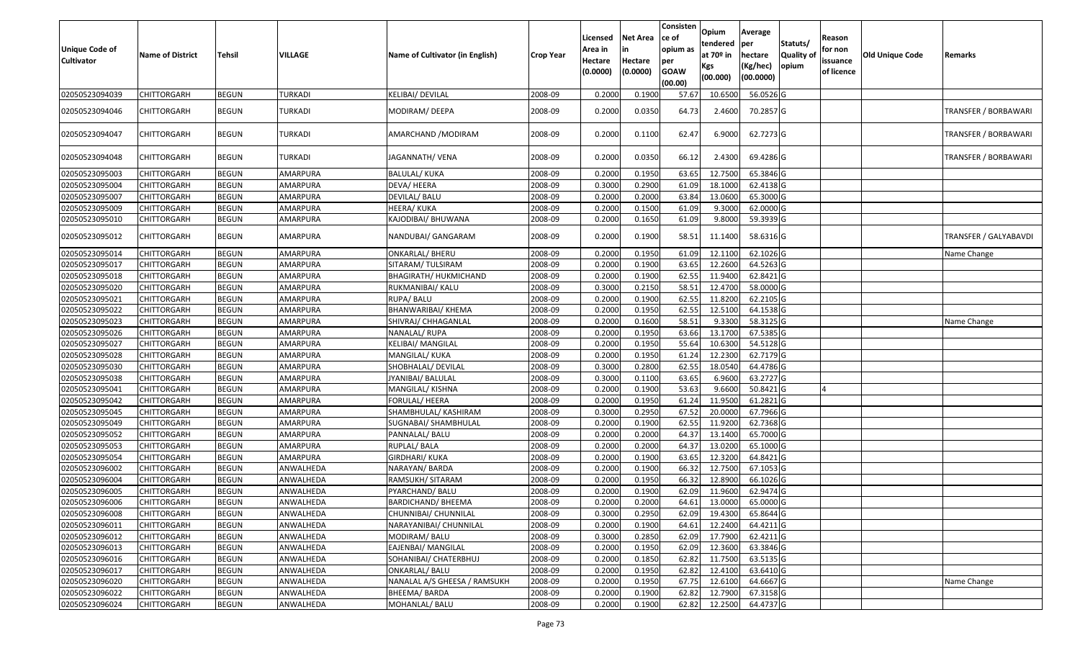| <b>Unique Code of</b><br><b>Cultivator</b> | <b>Name of District</b> | Tehsil       | VILLAGE   | Name of Cultivator (in English) | <b>Crop Year</b> | Licensed<br>Area in<br>Hectare<br>(0.0000) | <b>Net Area</b><br>in<br>Hectare<br>(0.0000) | Consisten<br>ce of<br>opium as<br>per<br><b>GOAW</b><br>(00.00) | Opium<br>tendered<br>at 70º in<br>Kgs<br>(00.000) | Average<br>per<br>hectare<br>(Kg/hec)<br>(00.0000) | Statuts/<br>Quality of<br>opium | Reason<br>for non<br>issuance<br>of licence | Old Unique Code | Remarks               |
|--------------------------------------------|-------------------------|--------------|-----------|---------------------------------|------------------|--------------------------------------------|----------------------------------------------|-----------------------------------------------------------------|---------------------------------------------------|----------------------------------------------------|---------------------------------|---------------------------------------------|-----------------|-----------------------|
| 02050523094039                             | <b>CHITTORGARH</b>      | <b>BEGUN</b> | TURKADI   | KELIBAI/ DEVILAL                | 2008-09          | 0.2000                                     | 0.190                                        | 57.67                                                           | 10.6500                                           | 56.0526 G                                          |                                 |                                             |                 |                       |
| 02050523094046                             | CHITTORGARH             | <b>BEGUN</b> | TURKADI   | MODIRAM/ DEEPA                  | 2008-09          | 0.2000                                     | 0.0350                                       | 64.73                                                           | 2.4600                                            | 70.2857 G                                          |                                 |                                             |                 | TRANSFER / BORBAWARI  |
| 02050523094047                             | CHITTORGARH             | <b>BEGUN</b> | TURKADI   | AMARCHAND / MODIRAM             | 2008-09          | 0.2000                                     | 0.1100                                       | 62.47                                                           | 6.9000                                            | 62.7273 G                                          |                                 |                                             |                 | TRANSFER / BORBAWARI  |
| 02050523094048                             | CHITTORGARH             | <b>BEGUN</b> | TURKADI   | JAGANNATH/ VENA                 | 2008-09          | 0.2000                                     | 0.0350                                       | 66.12                                                           | 2.4300                                            | 69.4286 G                                          |                                 |                                             |                 | TRANSFER / BORBAWARI  |
| 02050523095003                             | <b>CHITTORGARH</b>      | <b>BEGUN</b> | AMARPURA  | <b>BALULAL/ KUKA</b>            | 2008-09          | 0.2000                                     | 0.1950                                       | 63.65                                                           | 12.7500                                           | 65.3846 G                                          |                                 |                                             |                 |                       |
| 02050523095004                             | CHITTORGARH             | <b>BEGUN</b> | AMARPURA  | DEVA/HEERA                      | 2008-09          | 0.3000                                     | 0.2900                                       | 61.09                                                           | 18.1000                                           | 62.4138 G                                          |                                 |                                             |                 |                       |
| 02050523095007                             | <b>CHITTORGARH</b>      | <b>BEGUN</b> | AMARPURA  | DEVILAL/ BALU                   | 2008-09          | 0.2000                                     | 0.2000                                       | 63.84                                                           | 13.0600                                           | 65.3000 G                                          |                                 |                                             |                 |                       |
| 02050523095009                             | CHITTORGARH             | <b>BEGUN</b> | AMARPURA  | HEERA/ KUKA                     | 2008-09          | 0.2000                                     | 0.1500                                       | 61.09                                                           | 9.3000                                            | 62.0000 G                                          |                                 |                                             |                 |                       |
| 02050523095010                             | <b>CHITTORGARH</b>      | <b>BEGUN</b> | AMARPURA  | KAJODIBAI/ BHUWANA              | 2008-09          | 0.2000                                     | 0.1650                                       | 61.09                                                           | 9.8000                                            | 59.3939 G                                          |                                 |                                             |                 |                       |
| 02050523095012                             | <b>CHITTORGARH</b>      | <b>BEGUN</b> | AMARPURA  | NANDUBAI/ GANGARAM              | 2008-09          | 0.2000                                     | 0.1900                                       | 58.51                                                           | 11.1400                                           | 58.6316 G                                          |                                 |                                             |                 | TRANSFER / GALYABAVDI |
| 02050523095014                             | CHITTORGARH             | <b>BEGUN</b> | AMARPURA  | <b>ONKARLAL/ BHERU</b>          | 2008-09          | 0.2000                                     | 0.1950                                       | 61.09                                                           | 12.1100                                           | 62.1026 G                                          |                                 |                                             |                 | Name Change           |
| 02050523095017                             | <b>CHITTORGARH</b>      | <b>BEGUN</b> | AMARPURA  | SITARAM/ TULSIRAM               | 2008-09          | 0.2000                                     | 0.1900                                       | 63.65                                                           | 12.2600                                           | 64.5263 G                                          |                                 |                                             |                 |                       |
| 02050523095018                             | <b>CHITTORGARH</b>      | <b>BEGUN</b> | AMARPURA  | BHAGIRATH/ HUKMICHAND           | 2008-09          | 0.2000                                     | 0.1900                                       | 62.55                                                           | 11.9400                                           | 62.8421 G                                          |                                 |                                             |                 |                       |
| 02050523095020                             | CHITTORGARH             | <b>BEGUN</b> | AMARPURA  | RUKMANIBAI/ KALU                | 2008-09          | 0.3000                                     | 0.2150                                       | 58.5                                                            | 12.4700                                           | 58.0000 G                                          |                                 |                                             |                 |                       |
| 02050523095021                             | <b>CHITTORGARH</b>      | <b>BEGUN</b> | AMARPURA  | RUPA/ BALU                      | 2008-09          | 0.2000                                     | 0.1900                                       | 62.55                                                           | 11.8200                                           | 62.2105 G                                          |                                 |                                             |                 |                       |
| 02050523095022                             | <b>CHITTORGARH</b>      | <b>BEGUN</b> | AMARPURA  | BHANWARIBAI/ KHEMA              | 2008-09          | 0.2000                                     | 0.1950                                       | 62.55                                                           | 12.5100                                           | 64.1538 G                                          |                                 |                                             |                 |                       |
| 02050523095023                             | <b>CHITTORGARH</b>      | <b>BEGUN</b> | AMARPURA  | SHIVRAJ/ CHHAGANLAL             | 2008-09          | 0.2000                                     | 0.1600                                       | 58.51                                                           | 9.3300                                            | 58.3125 G                                          |                                 |                                             |                 | Name Change           |
| 02050523095026                             | <b>CHITTORGARH</b>      | <b>BEGUN</b> | AMARPURA  | NANALAL/RUPA                    | 2008-09          | 0.2000                                     | 0.1950                                       | 63.66                                                           | 13.1700                                           | 67.5385 G                                          |                                 |                                             |                 |                       |
| 02050523095027                             | <b>CHITTORGARH</b>      | <b>BEGUN</b> | AMARPURA  | KELIBAI/ MANGILAL               | 2008-09          | 0.2000                                     | 0.1950                                       | 55.64                                                           | 10.6300                                           | 54.5128 G                                          |                                 |                                             |                 |                       |
| 02050523095028                             | CHITTORGARH             | <b>BEGUN</b> | AMARPURA  | MANGILAL/ KUKA                  | 2008-09          | 0.2000                                     | 0.1950                                       | 61.24                                                           | 12.2300                                           | 62.7179 G                                          |                                 |                                             |                 |                       |
| 02050523095030                             | <b>CHITTORGARH</b>      | <b>BEGUN</b> | AMARPURA  | SHOBHALAL/ DEVILAL              | 2008-09          | 0.3000                                     | 0.2800                                       | 62.55                                                           | 18.0540                                           | 64.4786 G                                          |                                 |                                             |                 |                       |
| 02050523095038                             | <b>CHITTORGARH</b>      | <b>BEGUN</b> | AMARPURA  | JYANIBAI/ BALULAL               | 2008-09          | 0.3000                                     | 0.1100                                       | 63.65                                                           | 6.9600                                            | 63.2727 G                                          |                                 |                                             |                 |                       |
| 02050523095041                             | <b>CHITTORGARH</b>      | <b>BEGUN</b> | AMARPURA  | MANGILAL/ KISHNA                | 2008-09          | 0.2000                                     | 0.1900                                       | 53.63                                                           | 9.6600                                            | 50.8421 G                                          |                                 |                                             |                 |                       |
| 02050523095042                             | <b>CHITTORGARH</b>      | <b>BEGUN</b> | AMARPURA  | FORULAL/ HEERA                  | 2008-09          | 0.2000                                     | 0.1950                                       | 61.24                                                           | 11.9500                                           | 61.2821 G                                          |                                 |                                             |                 |                       |
| 02050523095045                             | <b>CHITTORGARH</b>      | <b>BEGUN</b> | AMARPURA  | SHAMBHULAL/ KASHIRAM            | 2008-09          | 0.3000                                     | 0.2950                                       | 67.52                                                           | 20.0000                                           | 67.7966 G                                          |                                 |                                             |                 |                       |
| 02050523095049                             | <b>CHITTORGARH</b>      | <b>BEGUN</b> | AMARPURA  | SUGNABAI/ SHAMBHULAL            | 2008-09          | 0.2000                                     | 0.1900                                       | 62.55                                                           | 11.9200                                           | 62.7368 G                                          |                                 |                                             |                 |                       |
| 02050523095052                             | <b>CHITTORGARH</b>      | <b>BEGUN</b> | AMARPURA  | PANNALAL/ BALU                  | 2008-09          | 0.2000                                     | 0.2000                                       | 64.37                                                           | 13.1400                                           | 65.7000 G                                          |                                 |                                             |                 |                       |
| 02050523095053                             | CHITTORGARH             | <b>BEGUN</b> | AMARPURA  | RUPLAL/ BALA                    | 2008-09          | 0.2000                                     | 0.2000                                       | 64.37                                                           | 13.0200                                           | 65.1000 G                                          |                                 |                                             |                 |                       |
| 02050523095054                             | <b>CHITTORGARH</b>      | <b>BEGUN</b> | AMARPURA  | <b>GIRDHARI/ KUKA</b>           | 2008-09          | 0.2000                                     | 0.1900                                       | 63.65                                                           | 12.3200                                           | 64.8421 G                                          |                                 |                                             |                 |                       |
| 02050523096002                             | <b>CHITTORGARH</b>      | <b>BEGUN</b> | ANWALHEDA | NARAYAN/ BARDA                  | 2008-09          | 0.2000                                     | 0.1900                                       | 66.32                                                           | 12.7500                                           | 67.1053 G                                          |                                 |                                             |                 |                       |
| 02050523096004                             | <b>CHITTORGARH</b>      | <b>BEGUN</b> | ANWALHEDA | RAMSUKH/SITARAM                 | 2008-09          | 0.2000                                     | 0.1950                                       | 66.32                                                           | 12.8900                                           | 66.1026 G                                          |                                 |                                             |                 |                       |
| 02050523096005                             | CHITTORGARH             | <b>BEGUN</b> | ANWALHEDA | PYARCHAND/ BALU                 | 2008-09          | 0.2000                                     | 0.1900                                       | 62.09                                                           | 11.9600                                           | 62.9474 G                                          |                                 |                                             |                 |                       |
| 02050523096006                             | <b>CHITTORGARH</b>      | <b>BEGUN</b> | ANWALHEDA | <b>BARDICHAND/ BHEEMA</b>       | 2008-09          | 0.2000                                     | 0.2000                                       |                                                                 | 64.61 13.0000                                     | 65.0000G                                           |                                 |                                             |                 |                       |
| 02050523096008                             | <b>CHITTORGARH</b>      | <b>BEGUN</b> | ANWALHEDA | CHUNNIBAI/ CHUNNILAL            | 2008-09          | 0.3000                                     | 0.2950                                       | 62.09                                                           | 19.4300                                           | 65.8644 G                                          |                                 |                                             |                 |                       |
| 02050523096011                             | <b>CHITTORGARH</b>      | <b>BEGUN</b> | ANWALHEDA | NARAYANIBAI/ CHUNNILAL          | 2008-09          | 0.2000                                     | 0.1900                                       | 64.61                                                           | 12.2400                                           | 64.4211 G                                          |                                 |                                             |                 |                       |
| 02050523096012                             | <b>CHITTORGARH</b>      | <b>BEGUN</b> | ANWALHEDA | MODIRAM/BALU                    | 2008-09          | 0.3000                                     | 0.2850                                       | 62.09                                                           | 17.7900                                           | 62.4211G                                           |                                 |                                             |                 |                       |
| 02050523096013                             | <b>CHITTORGARH</b>      | <b>BEGUN</b> | ANWALHEDA | EAJENBAI/ MANGILAL              | 2008-09          | 0.2000                                     | 0.1950                                       | 62.09                                                           | 12.3600                                           | 63.3846 G                                          |                                 |                                             |                 |                       |
| 02050523096016                             | <b>CHITTORGARH</b>      | <b>BEGUN</b> | ANWALHEDA | SOHANIBAI/ CHATERBHUJ           | 2008-09          | 0.2000                                     | 0.1850                                       | 62.82                                                           | 11.7500                                           | 63.5135 G                                          |                                 |                                             |                 |                       |
| 02050523096017                             | <b>CHITTORGARH</b>      | <b>BEGUN</b> | ANWALHEDA | ONKARLAL/ BALU                  | 2008-09          | 0.2000                                     | 0.1950                                       | 62.82                                                           | 12.4100                                           | 63.6410 G                                          |                                 |                                             |                 |                       |
| 02050523096020                             | <b>CHITTORGARH</b>      | <b>BEGUN</b> | ANWALHEDA | NANALAL A/S GHEESA / RAMSUKH    | 2008-09          | 0.2000                                     | 0.1950                                       | 67.75                                                           | 12.6100                                           | 64.6667 G                                          |                                 |                                             |                 | Name Change           |
| 02050523096022                             | <b>CHITTORGARH</b>      | <b>BEGUN</b> | ANWALHEDA | BHEEMA/BARDA                    | 2008-09          | 0.2000                                     | 0.1900                                       | 62.82                                                           | 12.7900                                           | 67.3158 G                                          |                                 |                                             |                 |                       |
| 02050523096024                             | <b>CHITTORGARH</b>      | <b>BEGUN</b> | ANWALHEDA | MOHANLAL/ BALU                  | 2008-09          | 0.2000                                     | 0.1900                                       | 62.82                                                           | 12.2500                                           | 64.4737 G                                          |                                 |                                             |                 |                       |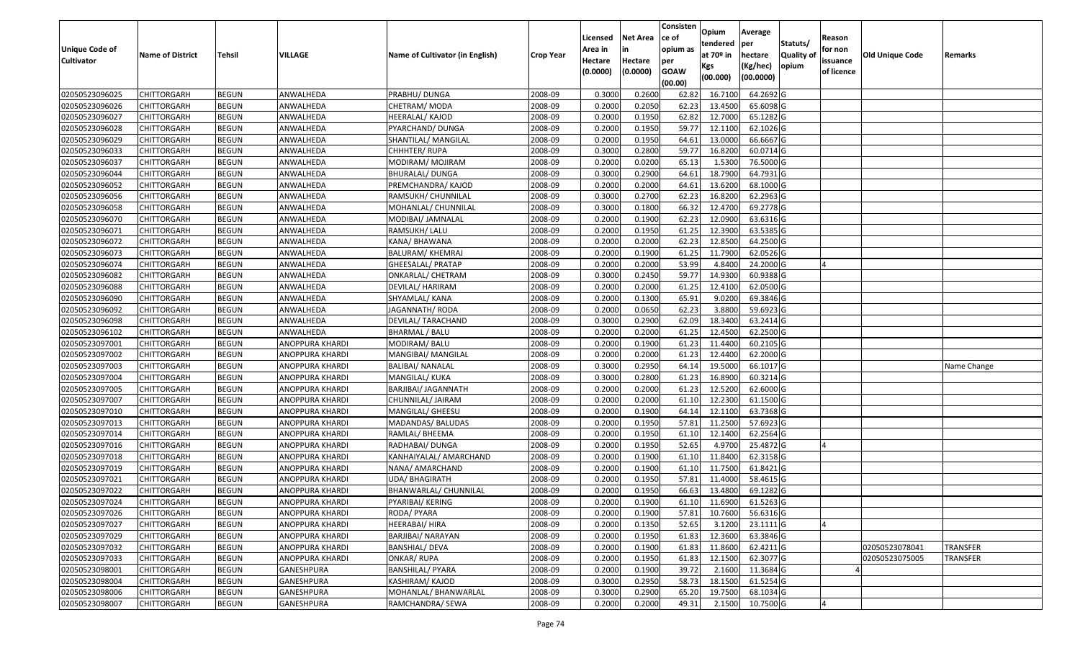|                       |                         |               |                        |                                 |                  |          |                 | Consisten              | Opium         | Average     |                  |            |                        |                 |
|-----------------------|-------------------------|---------------|------------------------|---------------------------------|------------------|----------|-----------------|------------------------|---------------|-------------|------------------|------------|------------------------|-----------------|
|                       |                         |               |                        |                                 |                  | Licensed | <b>Net Area</b> | ce of                  | tendered      | per         | Statuts/         | Reason     |                        |                 |
| <b>Unique Code of</b> | <b>Name of District</b> | <b>Tehsil</b> | VILLAGE                | Name of Cultivator (in English) | <b>Crop Year</b> | Area in  |                 | opium as               | at $70°$ in   | hectare     | <b>Quality o</b> | for non    | <b>Old Unique Code</b> | Remarks         |
| <b>Cultivator</b>     |                         |               |                        |                                 |                  | Hectare  | Hectare         | per                    | Kgs           | (Kg/hec)    | opium            | issuance   |                        |                 |
|                       |                         |               |                        |                                 |                  | (0.0000) | (0.0000)        | <b>GOAW</b><br>(00.00) | (00.000)      | (00.0000)   |                  | of licence |                        |                 |
| 02050523096025        | CHITTORGARH             | <b>BEGUN</b>  | ANWALHEDA              | PRABHU/ DUNGA                   | 2008-09          | 0.3000   | 0.2600          | 62.82                  | 16.7100       | 64.2692 G   |                  |            |                        |                 |
| 02050523096026        | CHITTORGARH             | <b>BEGUN</b>  | ANWALHEDA              | CHETRAM/ MODA                   | 2008-09          | 0.2000   | 0.2050          | 62.23                  | 13.4500       | 65.6098 G   |                  |            |                        |                 |
| 02050523096027        | CHITTORGARH             | <b>BEGUN</b>  | ANWALHEDA              | HEERALAL/ KAJOD                 | 2008-09          | 0.2000   | 0.1950          | 62.82                  | 12.7000       | 65.1282 G   |                  |            |                        |                 |
| 02050523096028        | CHITTORGARH             | <b>BEGUN</b>  | ANWALHEDA              | PYARCHAND/ DUNGA                | 2008-09          | 0.2000   | 0.1950          | 59.77                  | 12.1100       | 62.1026 G   |                  |            |                        |                 |
| 02050523096029        | CHITTORGARH             | <b>BEGUN</b>  | ANWALHEDA              | SHANTILAL/ MANGILAL             | 2008-09          | 0.2000   | 0.1950          | 64.6                   | 13.0000       | 66.6667 G   |                  |            |                        |                 |
| 02050523096033        | CHITTORGARH             | <b>BEGUN</b>  | ANWALHEDA              | CHHHTER/RUPA                    | 2008-09          | 0.3000   | 0.2800          | 59.77                  | 16.8200       | 60.0714 G   |                  |            |                        |                 |
| 02050523096037        | CHITTORGARH             | <b>BEGUN</b>  | ANWALHEDA              | MODIRAM/ MOJIRAM                | 2008-09          | 0.2000   | 0.0200          | 65.1                   | 1.5300        | 76.5000G    |                  |            |                        |                 |
| 02050523096044        | CHITTORGARH             | <b>BEGUN</b>  | ANWALHEDA              | <b>BHURALAL/ DUNGA</b>          | 2008-09          | 0.3000   | 0.2900          | 64.61                  | 18.7900       | 64.7931 G   |                  |            |                        |                 |
| 02050523096052        | CHITTORGARH             | <b>BEGUN</b>  | ANWALHEDA              | PREMCHANDRA/ KAJOD              | 2008-09          | 0.2000   | 0.2000          | 64.6                   | 13.6200       | 68.1000 G   |                  |            |                        |                 |
| 02050523096056        | CHITTORGARH             | <b>BEGUN</b>  | ANWALHEDA              | RAMSUKH/ CHUNNILAL              | 2008-09          | 0.3000   | 0.2700          | 62.23                  | 16.8200       | 62.2963 G   |                  |            |                        |                 |
| 02050523096058        | CHITTORGARH             | <b>BEGUN</b>  | ANWALHEDA              | MOHANLAL/ CHUNNILAL             | 2008-09          | 0.3000   | 0.1800          | 66.32                  | 12.4700       | 69.2778 G   |                  |            |                        |                 |
| 02050523096070        | <b>CHITTORGARH</b>      | <b>BEGUN</b>  | ANWALHEDA              | MODIBAI/ JAMNALAL               | 2008-09          | 0.2000   | 0.1900          | 62.23                  | 12.0900       | 63.6316 G   |                  |            |                        |                 |
| 02050523096071        | <b>CHITTORGARH</b>      | <b>BEGUN</b>  | ANWALHEDA              | RAMSUKH/ LALU                   | 2008-09          | 0.2000   | 0.1950          | 61.25                  | 12.3900       | 63.5385 G   |                  |            |                        |                 |
| 02050523096072        | <b>CHITTORGARH</b>      | <b>BEGUN</b>  | ANWALHEDA              | KANA/ BHAWANA                   | 2008-09          | 0.2000   | 0.2000          | 62.23                  | 12.8500       | 64.2500 G   |                  |            |                        |                 |
| 02050523096073        | CHITTORGARH             | <b>BEGUN</b>  | ANWALHEDA              | BALURAM/ KHEMRAJ                | 2008-09          | 0.2000   | 0.1900          | 61.25                  | 11.7900       | 62.0526 G   |                  |            |                        |                 |
| 02050523096074        | <b>CHITTORGARH</b>      | <b>BEGUN</b>  | ANWALHEDA              | GHEESALAL/ PRATAP               | 2008-09          | 0.2000   | 0.2000          | 53.99                  | 4.8400        | 24.2000 G   |                  |            |                        |                 |
| 02050523096082        | CHITTORGARH             | <b>BEGUN</b>  | ANWALHEDA              | ONKARLAL/ CHETRAM               | 2008-09          | 0.3000   | 0.2450          | 59.77                  | 14.9300       | 60.9388 G   |                  |            |                        |                 |
| 02050523096088        | CHITTORGARH             | <b>BEGUN</b>  | ANWALHEDA              | DEVILAL/ HARIRAM                | 2008-09          | 0.2000   | 0.2000          | 61.25                  | 12.4100       | 62.0500 G   |                  |            |                        |                 |
| 02050523096090        | CHITTORGARH             | <b>BEGUN</b>  | ANWALHEDA              | SHYAMLAL/ KANA                  | 2008-09          | 0.2000   | 0.1300          | 65.9                   | 9.0200        | 69.3846 G   |                  |            |                        |                 |
| 02050523096092        | CHITTORGARH             | <b>BEGUN</b>  | ANWALHEDA              | JAGANNATH/ RODA                 | 2008-09          | 0.2000   | 0.0650          | 62.23                  | 3.8800        | 59.6923 G   |                  |            |                        |                 |
| 02050523096098        | CHITTORGARH             | <b>BEGUN</b>  | ANWALHEDA              | DEVILAL/ TARACHAND              | 2008-09          | 0.3000   | 0.2900          | 62.09                  | 18.3400       | 63.2414 G   |                  |            |                        |                 |
| 02050523096102        | CHITTORGARH             | <b>BEGUN</b>  | ANWALHEDA              | <b>BHARMAL / BALU</b>           | 2008-09          | 0.2000   | 0.2000          | 61.25                  | 12.4500       | 62.2500 G   |                  |            |                        |                 |
| 02050523097001        | CHITTORGARH             | <b>BEGUN</b>  | ANOPPURA KHARDI        | MODIRAM/ BALU                   | 2008-09          | 0.2000   | 0.1900          | 61.23                  | 11.4400       | 60.2105 G   |                  |            |                        |                 |
| 02050523097002        | CHITTORGARH             | <b>BEGUN</b>  | ANOPPURA KHARDI        | MANGIBAI/ MANGILAL              | 2008-09          | 0.2000   | 0.2000          | 61.23                  | 12.4400       | 62.2000 G   |                  |            |                        |                 |
| 02050523097003        | CHITTORGARH             | <b>BEGUN</b>  | ANOPPURA KHARDI        | <b>BALIBAI/ NANALAL</b>         | 2008-09          | 0.3000   | 0.2950          | 64.1                   | 19.5000       | 66.1017 G   |                  |            |                        | Name Change     |
| 02050523097004        | CHITTORGARH             | <b>BEGUN</b>  | ANOPPURA KHARDI        | MANGILAL/ KUKA                  | 2008-09          | 0.3000   | 0.2800          | 61.23                  | 16.8900       | 60.3214 G   |                  |            |                        |                 |
| 02050523097005        | CHITTORGARH             | <b>BEGUN</b>  | ANOPPURA KHARDI        | <b>BARJIBAI/ JAGANNATH</b>      | 2008-09          | 0.2000   | 0.2000          | 61.23                  | 12.5200       | 62.6000G    |                  |            |                        |                 |
| 02050523097007        | CHITTORGARH             | <b>BEGUN</b>  | ANOPPURA KHARDI        | CHUNNILAL/ JAIRAM               | 2008-09          | 0.2000   | 0.2000          | 61.10                  | 12.2300       | 61.1500 G   |                  |            |                        |                 |
| 02050523097010        | CHITTORGARH             | <b>BEGUN</b>  | ANOPPURA KHARDI        | MANGILAL/ GHEESU                | 2008-09          | 0.2000   | 0.1900          | 64.14                  | 12.1100       | 63.7368 G   |                  |            |                        |                 |
| 02050523097013        | CHITTORGARH             | <b>BEGUN</b>  | ANOPPURA KHARDI        | MADANDAS/ BALUDAS               | 2008-09          | 0.2000   | 0.1950          | 57.8                   | 11.2500       | 57.6923 G   |                  |            |                        |                 |
| 02050523097014        | CHITTORGARH             | <b>BEGUN</b>  | ANOPPURA KHARDI        | RAMLAL/ BHEEMA                  | 2008-09          | 0.2000   | 0.1950          | 61.1                   | 12.1400       | 62.2564 G   |                  |            |                        |                 |
| 02050523097016        | CHITTORGARH             | <b>BEGUN</b>  | ANOPPURA KHARDI        | RADHABAI/ DUNGA                 | 2008-09          | 0.2000   | 0.1950          | 52.65                  | 4.9700        | 25.4872G    |                  |            |                        |                 |
| 02050523097018        | CHITTORGARH             | <b>BEGUN</b>  | ANOPPURA KHARDI        | KANHAIYALAL/ AMARCHAND          | 2008-09          | 0.2000   | 0.1900          | 61.10                  | 11.8400       | 62.3158 G   |                  |            |                        |                 |
| 02050523097019        | CHITTORGARH             | <b>BEGUN</b>  | ANOPPURA KHARDI        | NANA/ AMARCHAND                 | 2008-09          | 0.2000   | 0.1900          | 61.1                   | 11.7500       | $61.8421$ G |                  |            |                        |                 |
| 02050523097021        | CHITTORGARH             | <b>BEGUN</b>  | ANOPPURA KHARDI        | UDA/ BHAGIRATH                  | 2008-09          | 0.2000   | 0.1950          | 57.81                  | 11.4000       | 58.4615 G   |                  |            |                        |                 |
| 02050523097022        | CHITTORGARH             | <b>BEGUN</b>  | ANOPPURA KHARDI        | BHANWARLAL/ CHUNNILAL           | 2008-09          | 0.2000   | 0.1950          | 66.63                  | 13.4800       | 69.1282 G   |                  |            |                        |                 |
| 02050523097024        | <b>CHITTORGARH</b>      | <b>BEGUN</b>  | <b>ANOPPURA KHARDI</b> | PYARIBAI/ KERING                | 2008-09          | 0.2000   | 0.1900          |                        | 61.10 11.6900 | 61.5263 G   |                  |            |                        |                 |
| 02050523097026        | <b>CHITTORGARH</b>      | <b>BEGUN</b>  | ANOPPURA KHARDI        | RODA/ PYARA                     | 2008-09          | 0.2000   | 0.1900          | 57.81                  | 10.7600       | 56.6316 G   |                  |            |                        |                 |
| 02050523097027        | <b>CHITTORGARH</b>      | <b>BEGUN</b>  | ANOPPURA KHARDI        | HEERABAI/ HIRA                  | 2008-09          | 0.2000   | 0.1350          | 52.65                  | 3.1200        | 23.1111G    |                  |            |                        |                 |
| 02050523097029        | <b>CHITTORGARH</b>      | <b>BEGUN</b>  | ANOPPURA KHARDI        | BARJIBAI/ NARAYAN               | 2008-09          | 0.2000   | 0.1950          | 61.83                  | 12.3600       | 63.3846 G   |                  |            |                        |                 |
| 02050523097032        | CHITTORGARH             | <b>BEGUN</b>  | ANOPPURA KHARDI        | <b>BANSHIAL/ DEVA</b>           | 2008-09          | 0.2000   | 0.1900          | 61.83                  | 11.8600       | 62.4211 G   |                  |            | 02050523078041         | <b>TRANSFER</b> |
| 02050523097033        | <b>CHITTORGARH</b>      | <b>BEGUN</b>  | ANOPPURA KHARDI        | <b>ONKAR/ RUPA</b>              | 2008-09          | 0.2000   | 0.1950          | 61.83                  | 12.1500       | 62.3077 G   |                  |            | 02050523075005         | <b>TRANSFER</b> |
| 02050523098001        | <b>CHITTORGARH</b>      | <b>BEGUN</b>  | <b>GANESHPURA</b>      | <b>BANSHILAL/ PYARA</b>         | 2008-09          | 0.2000   | 0.1900          | 39.72                  | 2.1600        | 11.3684 G   |                  |            |                        |                 |
| 02050523098004        | CHITTORGARH             | <b>BEGUN</b>  | GANESHPURA             | KASHIRAM/ KAJOD                 | 2008-09          | 0.3000   | 0.2950          | 58.73                  | 18.1500       | 61.5254 G   |                  |            |                        |                 |
| 02050523098006        | CHITTORGARH             | <b>BEGUN</b>  | GANESHPURA             | MOHANLAL/ BHANWARLAL            | 2008-09          | 0.3000   | 0.2900          | 65.20                  | 19.7500       | 68.1034 G   |                  |            |                        |                 |
| 02050523098007        | <b>CHITTORGARH</b>      | <b>BEGUN</b>  | GANESHPURA             | RAMCHANDRA/ SEWA                | 2008-09          | 0.2000   | 0.2000          | 49.31                  | 2.1500        | 10.7500 G   |                  |            |                        |                 |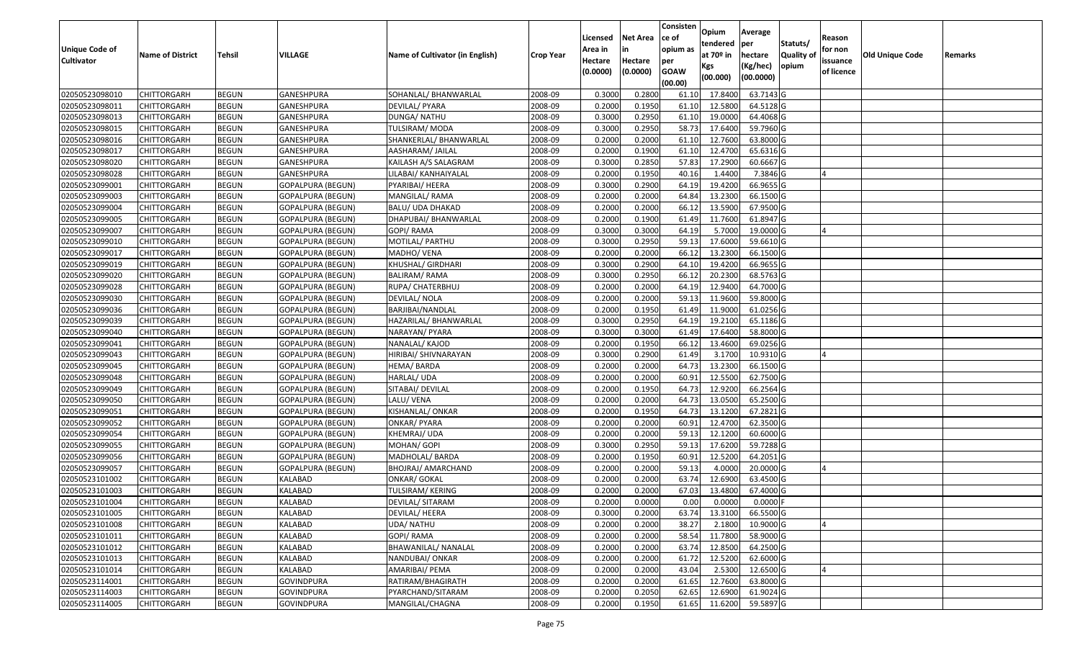|                       |                         |               |                          |                                 |                  |          |                 | Consisten   | Opium       | Average    |                  |            |                        |         |
|-----------------------|-------------------------|---------------|--------------------------|---------------------------------|------------------|----------|-----------------|-------------|-------------|------------|------------------|------------|------------------------|---------|
|                       |                         |               |                          |                                 |                  | Licensed | <b>Net Area</b> | ce of       | tendered    | per        | Statuts/         | Reason     |                        |         |
| <b>Unique Code of</b> | <b>Name of District</b> | <b>Tehsil</b> | VILLAGE                  | Name of Cultivator (in English) | <b>Crop Year</b> | Area in  |                 | opium as    | at $70°$ in | hectare    | <b>Quality o</b> | for non    | <b>Old Unique Code</b> | Remarks |
| <b>Cultivator</b>     |                         |               |                          |                                 |                  | Hectare  | Hectare         | per         | Kgs         | (Kg/hec)   | opium            | issuance   |                        |         |
|                       |                         |               |                          |                                 |                  | (0.0000) | (0.0000)        | <b>GOAW</b> | (00.000)    | (00.0000)  |                  | of licence |                        |         |
|                       |                         |               |                          |                                 |                  |          |                 | (00.00)     |             |            |                  |            |                        |         |
| 02050523098010        | CHITTORGARH             | <b>BEGUN</b>  | <b>GANESHPURA</b>        | SOHANLAL/ BHANWARLAL            | 2008-09          | 0.3000   | 0.2800          | 61.10       | 17.8400     | 63.7143 G  |                  |            |                        |         |
| 02050523098011        | CHITTORGARH             | <b>BEGUN</b>  | GANESHPURA               | DEVILAL/ PYARA                  | 2008-09          | 0.2000   | 0.1950          | 61.10       | 12.5800     | 64.5128 G  |                  |            |                        |         |
| 02050523098013        | CHITTORGARH             | <b>BEGUN</b>  | GANESHPURA               | DUNGA/ NATHU                    | 2008-09          | 0.3000   | 0.2950          | 61.10       | 19.0000     | 64.4068 G  |                  |            |                        |         |
| 02050523098015        | <b>CHITTORGARH</b>      | <b>BEGUN</b>  | <b>GANESHPURA</b>        | TULSIRAM/MODA                   | 2008-09          | 0.3000   | 0.2950          | 58.73       | 17.6400     | 59.7960 G  |                  |            |                        |         |
| 02050523098016        | CHITTORGARH             | <b>BEGUN</b>  | GANESHPURA               | SHANKERLAL/ BHANWARLAL          | 2008-09          | 0.2000   | 0.2000          | 61.1        | 12.7600     | 63.8000 G  |                  |            |                        |         |
| 02050523098017        | CHITTORGARH             | <b>BEGUN</b>  | GANESHPURA               | AASHARAM/ JAILAL                | 2008-09          | 0.2000   | 0.1900          | 61.10       | 12.4700     | 65.6316 G  |                  |            |                        |         |
| 02050523098020        | CHITTORGARH             | <b>BEGUN</b>  | GANESHPURA               | KAILASH A/S SALAGRAM            | 2008-09          | 0.3000   | 0.2850          | 57.83       | 17.2900     | 60.6667 G  |                  |            |                        |         |
| 02050523098028        | CHITTORGARH             | <b>BEGUN</b>  | GANESHPURA               | LILABAI/ KANHAIYALAL            | 2008-09          | 0.2000   | 0.1950          | 40.16       | 1.4400      | 7.3846 G   |                  |            |                        |         |
| 02050523099001        | CHITTORGARH             | <b>BEGUN</b>  | <b>GOPALPURA (BEGUN)</b> | PYARIBAI/ HEERA                 | 2008-09          | 0.3000   | 0.2900          | 64.19       | 19.4200     | 66.9655 G  |                  |            |                        |         |
| 02050523099003        | CHITTORGARH             | <b>BEGUN</b>  | <b>GOPALPURA (BEGUN)</b> | MANGILAL/RAMA                   | 2008-09          | 0.2000   | 0.2000          | 64.84       | 13.2300     | 66.1500 G  |                  |            |                        |         |
| 02050523099004        | CHITTORGARH             | <b>BEGUN</b>  | <b>GOPALPURA (BEGUN)</b> | BALU/ UDA DHAKAD                | 2008-09          | 0.2000   | 0.2000          | 66.12       | 13.5900     | 67.9500 G  |                  |            |                        |         |
| 02050523099005        | CHITTORGARH             | <b>BEGUN</b>  | <b>GOPALPURA (BEGUN)</b> | DHAPUBAI/ BHANWARLAL            | 2008-09          | 0.2000   | 0.1900          | 61.49       | 11.7600     | 61.8947 G  |                  |            |                        |         |
| 02050523099007        | <b>CHITTORGARH</b>      | <b>BEGUN</b>  | <b>GOPALPURA (BEGUN)</b> | GOPI/RAMA                       | 2008-09          | 0.3000   | 0.3000          | 64.19       | 5.7000      | 19.0000 G  |                  |            |                        |         |
| 02050523099010        | <b>CHITTORGARH</b>      | <b>BEGUN</b>  | <b>GOPALPURA (BEGUN)</b> | MOTILAL/ PARTHU                 | 2008-09          | 0.3000   | 0.2950          | 59.13       | 17.6000     | 59.6610G   |                  |            |                        |         |
| 02050523099017        | CHITTORGARH             | <b>BEGUN</b>  | <b>GOPALPURA (BEGUN)</b> | MADHO/ VENA                     | 2008-09          | 0.2000   | 0.2000          | 66.12       | 13.2300     | 66.1500G   |                  |            |                        |         |
| 02050523099019        | <b>CHITTORGARH</b>      | <b>BEGUN</b>  | GOPALPURA (BEGUN)        | KHUSHAL/ GIRDHARI               | 2008-09          | 0.3000   | 0.2900          | 64.10       | 19.4200     | 66.9655 G  |                  |            |                        |         |
| 02050523099020        | <b>CHITTORGARH</b>      | <b>BEGUN</b>  | <b>GOPALPURA (BEGUN)</b> | <b>BALIRAM/ RAMA</b>            | 2008-09          | 0.3000   | 0.2950          | 66.12       | 20.2300     | 68.5763 G  |                  |            |                        |         |
| 02050523099028        | CHITTORGARH             | <b>BEGUN</b>  | <b>GOPALPURA (BEGUN)</b> | RUPA/ CHATERBHUJ                | 2008-09          | 0.2000   | 0.2000          | 64.19       | 12.9400     | 64.7000 G  |                  |            |                        |         |
| 02050523099030        | CHITTORGARH             | <b>BEGUN</b>  | <b>GOPALPURA (BEGUN)</b> | DEVILAL/ NOLA                   | 2008-09          | 0.2000   | 0.2000          | 59.13       | 11.9600     | 59.8000 G  |                  |            |                        |         |
| 02050523099036        | CHITTORGARH             | <b>BEGUN</b>  | <b>GOPALPURA (BEGUN)</b> | BARJIBAI/NANDLAL                | 2008-09          | 0.2000   | 0.1950          | 61.49       | 11.9000     | 61.0256 G  |                  |            |                        |         |
| 02050523099039        | CHITTORGARH             | <b>BEGUN</b>  | <b>GOPALPURA (BEGUN)</b> | HAZARILAL/ BHANWARLAL           | 2008-09          | 0.3000   | 0.2950          | 64.19       | 19.2100     | 65.1186 G  |                  |            |                        |         |
| 02050523099040        | CHITTORGARH             | <b>BEGUN</b>  | <b>GOPALPURA (BEGUN)</b> | NARAYAN/ PYARA                  | 2008-09          | 0.3000   | 0.3000          | 61.49       | 17.6400     | 58.8000 G  |                  |            |                        |         |
| 02050523099041        | CHITTORGARH             | <b>BEGUN</b>  | <b>GOPALPURA (BEGUN)</b> | NANALAL/ KAJOD                  | 2008-09          | 0.2000   | 0.1950          | 66.12       | 13.4600     | 69.0256 G  |                  |            |                        |         |
| 02050523099043        | <b>CHITTORGARH</b>      | <b>BEGUN</b>  | <b>GOPALPURA (BEGUN)</b> | HIRIBAI/ SHIVNARAYAN            | 2008-09          | 0.3000   | 0.2900          | 61.49       | 3.1700      | 10.9310 G  |                  |            |                        |         |
| 02050523099045        | CHITTORGARH             | <b>BEGUN</b>  | <b>GOPALPURA (BEGUN)</b> | <b>HEMA/BARDA</b>               | 2008-09          | 0.2000   | 0.2000          | 64.73       | 13.2300     | 66.1500 G  |                  |            |                        |         |
| 02050523099048        | CHITTORGARH             | <b>BEGUN</b>  | <b>GOPALPURA (BEGUN)</b> | HARLAL/ UDA                     | 2008-09          | 0.2000   | 0.2000          | 60.91       | 12.5500     | 62.7500 G  |                  |            |                        |         |
| 02050523099049        | CHITTORGARH             | <b>BEGUN</b>  | <b>GOPALPURA (BEGUN)</b> | SITABAI/ DEVILAL                | 2008-09          | 0.2000   | 0.1950          | 64.73       | 12.9200     | 66.2564 G  |                  |            |                        |         |
| 02050523099050        | CHITTORGARH             | <b>BEGUN</b>  | <b>GOPALPURA (BEGUN)</b> | LALU/ VENA                      | 2008-09          | 0.2000   | 0.2000          | 64.73       | 13.0500     | 65.2500 G  |                  |            |                        |         |
| 02050523099051        | CHITTORGARH             | <b>BEGUN</b>  | <b>GOPALPURA (BEGUN)</b> | KISHANLAL/ ONKAR                | 2008-09          | 0.2000   | 0.1950          | 64.73       | 13.1200     | 67.2821 G  |                  |            |                        |         |
| 02050523099052        | CHITTORGARH             | <b>BEGUN</b>  | <b>GOPALPURA (BEGUN)</b> | ONKAR/ PYARA                    | 2008-09          | 0.2000   | 0.2000          | 60.91       | 12.4700     | 62.3500 G  |                  |            |                        |         |
| 02050523099054        | CHITTORGARH             | <b>BEGUN</b>  | <b>GOPALPURA (BEGUN)</b> | KHEMRAJ/ UDA                    | 2008-09          | 0.2000   | 0.2000          | 59.1        | 12.1200     | 60.6000 G  |                  |            |                        |         |
| 02050523099055        | CHITTORGARH             | <b>BEGUN</b>  | GOPALPURA (BEGUN)        | MOHAN/ GOPI                     | 2008-09          | 0.3000   | 0.2950          | 59.1        | 17.6200     | 59.7288 G  |                  |            |                        |         |
| 02050523099056        | CHITTORGARH             | <b>BEGUN</b>  | <b>GOPALPURA (BEGUN)</b> | MADHOLAL/ BARDA                 | 2008-09          | 0.2000   | 0.1950          | 60.91       | 12.5200     | 64.2051 G  |                  |            |                        |         |
| 02050523099057        | <b>CHITTORGARH</b>      | <b>BEGUN</b>  | <b>GOPALPURA (BEGUN)</b> | BHOJRAJ/ AMARCHAND              | 2008-09          | 0.2000   | 0.2000          | 59.13       | 4.0000      | 20.0000 G  |                  |            |                        |         |
| 02050523101002        | CHITTORGARH             | <b>BEGUN</b>  | KALABAD                  | <b>ONKAR/ GOKAL</b>             | 2008-09          | 0.2000   | 0.2000          | 63.7        | 12.6900     | 63.4500 G  |                  |            |                        |         |
| 02050523101003        | CHITTORGARH             | <b>BEGUN</b>  | KALABAD                  | TULSIRAM/ KERING                | 2008-09          | 0.2000   | 0.2000          | 67.03       | 13.4800     | 67.4000 G  |                  |            |                        |         |
| 02050523101004        | <b>CHITTORGARH</b>      | <b>BEGUN</b>  | <b>KALABAD</b>           | <b>DEVILAL/ SITARAM</b>         | 2008-09          | 0.2000   | 0.0000          | 0.00        | 0.0000      | $0.0000$ F |                  |            |                        |         |
| 02050523101005        | <b>CHITTORGARH</b>      | <b>BEGUN</b>  | KALABAD                  | DEVILAL/ HEERA                  | 2008-09          | 0.3000   | 0.2000          | 63.74       | 13.3100     | 66.5500 G  |                  |            |                        |         |
| 02050523101008        | <b>CHITTORGARH</b>      | <b>BEGUN</b>  | KALABAD                  | UDA/ NATHU                      | 2008-09          | 0.2000   | 0.2000          | 38.27       | 2.1800      | 10.9000 G  |                  |            |                        |         |
| 02050523101011        | <b>CHITTORGARH</b>      | <b>BEGUN</b>  | KALABAD                  | GOPI/ RAMA                      | 2008-09          | 0.2000   | 0.2000          | 58.54       | 11.7800     | 58.9000 G  |                  |            |                        |         |
| 02050523101012        | <b>CHITTORGARH</b>      | <b>BEGUN</b>  | KALABAD                  | BHAWANILAL/ NANALAL             | 2008-09          | 0.2000   | 0.2000          | 63.74       | 12.8500     | 64.2500 G  |                  |            |                        |         |
| 02050523101013        | <b>CHITTORGARH</b>      | <b>BEGUN</b>  | <b>KALABAD</b>           | NANDUBAI/ ONKAR                 | 2008-09          | 0.2000   | 0.2000          | 61.72       | 12.5200     | 62.6000 G  |                  |            |                        |         |
| 02050523101014        | <b>CHITTORGARH</b>      | <b>BEGUN</b>  | KALABAD                  | AMARIBAI/ PEMA                  | 2008-09          | 0.2000   | 0.2000          | 43.04       | 2.5300      | 12.6500 G  |                  |            |                        |         |
| 02050523114001        | <b>CHITTORGARH</b>      | <b>BEGUN</b>  | <b>GOVINDPURA</b>        | RATIRAM/BHAGIRATH               | 2008-09          | 0.2000   | 0.2000          | 61.65       | 12.7600     | 63.8000 G  |                  |            |                        |         |
| 02050523114003        | <b>CHITTORGARH</b>      | <b>BEGUN</b>  | <b>GOVINDPURA</b>        | PYARCHAND/SITARAM               | 2008-09          | 0.2000   | 0.2050          | 62.65       | 12.6900     | 61.9024 G  |                  |            |                        |         |
| 02050523114005        | <b>CHITTORGARH</b>      | <b>BEGUN</b>  | <b>GOVINDPURA</b>        | MANGILAL/CHAGNA                 | 2008-09          | 0.2000   | 0.1950          | 61.65       | 11.6200     | 59.5897 G  |                  |            |                        |         |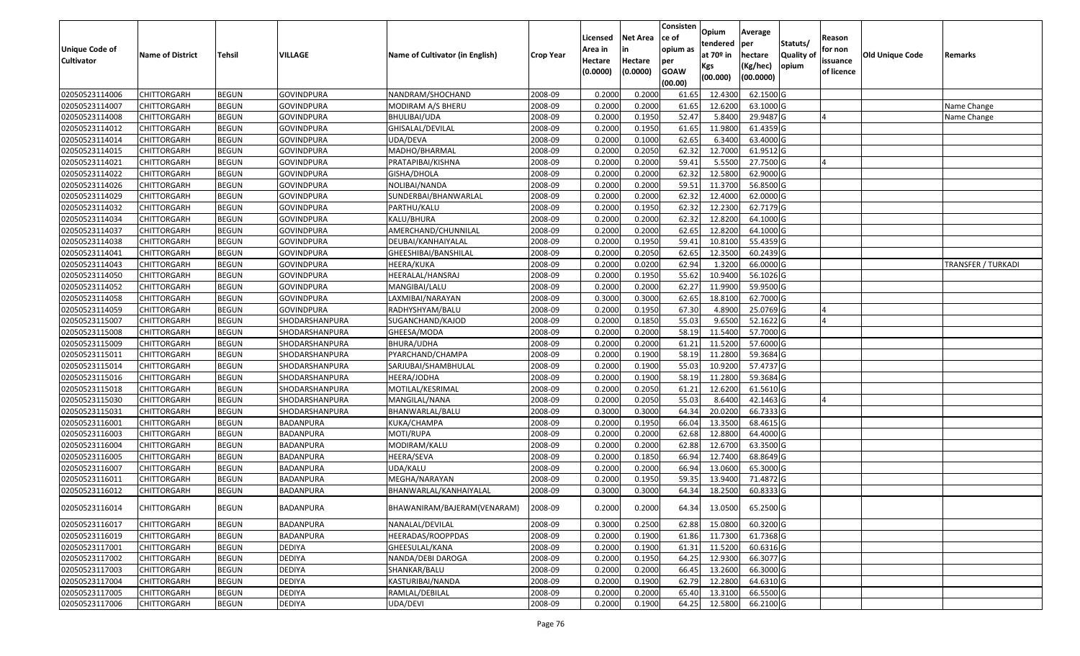| <b>Unique Code of</b> | <b>Name of District</b> | <b>Tehsil</b> | VILLAGE           | Name of Cultivator (in English) | <b>Crop Year</b> | Licensed<br>Area in | <b>Net Area</b>     | Consisten<br>ce of<br>opium as | Opium<br>tendered<br>at 70 <sup>o</sup> in | Average<br>per<br>hectare | Statuts/<br><b>Quality o</b> | Reason<br>for non      | Old Unique Code | Remarks            |
|-----------------------|-------------------------|---------------|-------------------|---------------------------------|------------------|---------------------|---------------------|--------------------------------|--------------------------------------------|---------------------------|------------------------------|------------------------|-----------------|--------------------|
| <b>Cultivator</b>     |                         |               |                   |                                 |                  | Hectare<br>(0.0000) | Hectare<br>(0.0000) | per<br><b>GOAW</b><br>(00.00)  | Kgs<br>(00.000)                            | (Kg/hec)<br>(00.0000)     | opium                        | issuance<br>of licence |                 |                    |
| 02050523114006        | CHITTORGARH             | <b>BEGUN</b>  | <b>GOVINDPURA</b> | NANDRAM/SHOCHAND                | 2008-09          | 0.2000              | 0.2000              | 61.65                          | 12.4300                                    | 62.1500 G                 |                              |                        |                 |                    |
| 02050523114007        | CHITTORGARH             | <b>BEGUN</b>  | <b>GOVINDPURA</b> | MODIRAM A/S BHERU               | 2008-09          | 0.2000              | 0.2000              | 61.65                          | 12.6200                                    | 63.1000G                  |                              |                        |                 | Name Change        |
| 02050523114008        | CHITTORGARH             | <b>BEGUN</b>  | <b>GOVINDPURA</b> | BHULIBAI/UDA                    | 2008-09          | 0.2000              | 0.1950              | 52.47                          | 5.8400                                     | 29.9487 G                 |                              |                        |                 | Name Change        |
| 02050523114012        | <b>CHITTORGARH</b>      | <b>BEGUN</b>  | <b>GOVINDPURA</b> | GHISALAL/DEVILAL                | 2008-09          | 0.2000              | 0.1950              | 61.65                          | 11.9800                                    | 61.4359 G                 |                              |                        |                 |                    |
| 02050523114014        | CHITTORGARH             | <b>BEGUN</b>  | <b>GOVINDPURA</b> | UDA/DEVA                        | 2008-09          | 0.2000              | 0.1000              | 62.65                          | 6.3400                                     | 63.4000 G                 |                              |                        |                 |                    |
| 02050523114015        | CHITTORGARH             | <b>BEGUN</b>  | <b>GOVINDPURA</b> | MADHO/BHARMAL                   | 2008-09          | 0.2000              | 0.2050              | 62.32                          | 12.7000                                    | 61.9512 G                 |                              |                        |                 |                    |
| 02050523114021        | CHITTORGARH             | <b>BEGUN</b>  | GOVINDPURA        | PRATAPIBAI/KISHNA               | 2008-09          | 0.2000              | 0.2000              | 59.41                          | 5.5500                                     | 27.7500 G                 |                              |                        |                 |                    |
| 02050523114022        | CHITTORGARH             | <b>BEGUN</b>  | <b>GOVINDPURA</b> | GISHA/DHOLA                     | 2008-09          | 0.2000              | 0.2000              | 62.32                          | 12.5800                                    | 62.9000 G                 |                              |                        |                 |                    |
| 02050523114026        | CHITTORGARH             | <b>BEGUN</b>  | <b>GOVINDPURA</b> | NOLIBAI/NANDA                   | 2008-09          | 0.2000              | 0.2000              | 59.5                           | 11.3700                                    | 56.8500 G                 |                              |                        |                 |                    |
| 02050523114029        | CHITTORGARH             | <b>BEGUN</b>  | GOVINDPURA        | SUNDERBAI/BHANWARLAL            | 2008-09          | 0.2000              | 0.2000              | 62.32                          | 12.4000                                    | 62.0000 G                 |                              |                        |                 |                    |
| 02050523114032        | CHITTORGARH             | <b>BEGUN</b>  | <b>GOVINDPURA</b> | PARTHU/KALU                     | 2008-09          | 0.2000              | 0.1950              | 62.32                          | 12.2300                                    | 62.7179 G                 |                              |                        |                 |                    |
| 02050523114034        | CHITTORGARH             | <b>BEGUN</b>  | <b>GOVINDPURA</b> | KALU/BHURA                      | 2008-09          | 0.2000              | 0.2000              | 62.32                          | 12.8200                                    | 64.1000 G                 |                              |                        |                 |                    |
| 02050523114037        | <b>CHITTORGARH</b>      | <b>BEGUN</b>  | <b>GOVINDPURA</b> | AMERCHAND/CHUNNILAL             | 2008-09          | 0.2000              | 0.2000              | 62.65                          | 12.8200                                    | 64.1000 G                 |                              |                        |                 |                    |
| 02050523114038        | <b>CHITTORGARH</b>      | <b>BEGUN</b>  | <b>GOVINDPURA</b> | DEUBAI/KANHAIYALAL              | 2008-09          | 0.2000              | 0.1950              | 59.41                          | 10.8100                                    | 55.4359 G                 |                              |                        |                 |                    |
| 02050523114041        | CHITTORGARH             | <b>BEGUN</b>  | <b>GOVINDPURA</b> | GHEESHIBAI/BANSHILAL            | 2008-09          | 0.2000              | 0.2050              | 62.65                          | 12.3500                                    | 60.2439 G                 |                              |                        |                 |                    |
| 02050523114043        | <b>CHITTORGARH</b>      | <b>BEGUN</b>  | <b>GOVINDPURA</b> | HEERA/KUKA                      | 2008-09          | 0.2000              | 0.0200              | 62.94                          | 1.3200                                     | 66.0000 G                 |                              |                        |                 | TRANSFER / TURKADI |
| 02050523114050        | <b>CHITTORGARH</b>      | <b>BEGUN</b>  | <b>GOVINDPURA</b> | HEERALAL/HANSRAJ                | 2008-09          | 0.2000              | 0.1950              | 55.62                          | 10.9400                                    | 56.1026 G                 |                              |                        |                 |                    |
| 02050523114052        | CHITTORGARH             | <b>BEGUN</b>  | <b>GOVINDPURA</b> | MANGIBAI/LALU                   | 2008-09          | 0.2000              | 0.2000              | 62.27                          | 11.9900                                    | 59.9500 G                 |                              |                        |                 |                    |
| 02050523114058        | CHITTORGARH             | <b>BEGUN</b>  | <b>GOVINDPURA</b> | LAXMIBAI/NARAYAN                | 2008-09          | 0.3000              | 0.3000              | 62.65                          | 18.8100                                    | 62.7000 G                 |                              |                        |                 |                    |
| 02050523114059        | CHITTORGARH             | <b>BEGUN</b>  | <b>GOVINDPURA</b> | RADHYSHYAM/BALU                 | 2008-09          | 0.2000              | 0.1950              | 67.30                          | 4.8900                                     | 25.0769 G                 |                              |                        |                 |                    |
| 02050523115007        | CHITTORGARH             | <b>BEGUN</b>  | SHODARSHANPURA    | SUGANCHAND/KAJOD                | 2008-09          | 0.2000              | 0.1850              | 55.03                          | 9.6500                                     | 52.1622 G                 |                              |                        |                 |                    |
| 02050523115008        | CHITTORGARH             | <b>BEGUN</b>  | SHODARSHANPURA    | GHEESA/MODA                     | 2008-09          | 0.2000              | 0.2000              | 58.19                          | 11.5400                                    | 57.7000G                  |                              |                        |                 |                    |
| 02050523115009        | CHITTORGARH             | <b>BEGUN</b>  | SHODARSHANPURA    | <b>BHURA/UDHA</b>               | 2008-09          | 0.2000              | 0.2000              | 61.21                          | 11.5200                                    | 57.6000 G                 |                              |                        |                 |                    |
| 02050523115011        | <b>CHITTORGARH</b>      | <b>BEGUN</b>  | SHODARSHANPURA    | PYARCHAND/CHAMPA                | 2008-09          | 0.2000              | 0.1900              | 58.19                          | 11.2800                                    | 59.3684 G                 |                              |                        |                 |                    |
| 02050523115014        | CHITTORGARH             | <b>BEGUN</b>  | SHODARSHANPURA    | SARJUBAI/SHAMBHULAL             | 2008-09          | 0.2000              | 0.1900              | 55.03                          | 10.9200                                    | 57.4737 G                 |                              |                        |                 |                    |
| 02050523115016        | CHITTORGARH             | <b>BEGUN</b>  | SHODARSHANPURA    | HEERA/JODHA                     | 2008-09          | 0.2000              | 0.1900              | 58.19                          | 11.2800                                    | 59.3684 G                 |                              |                        |                 |                    |
| 02050523115018        | CHITTORGARH             | <b>BEGUN</b>  | SHODARSHANPURA    | MOTILAL/KESRIMAL                | 2008-09          | 0.2000              | 0.2050              | 61.21                          | 12.6200                                    | 61.5610G                  |                              |                        |                 |                    |
| 02050523115030        | CHITTORGARH             | <b>BEGUN</b>  | SHODARSHANPURA    | MANGILAL/NANA                   | 2008-09          | 0.2000              | 0.2050              | 55.03                          | 8.6400                                     | 42.1463 G                 |                              |                        |                 |                    |
| 02050523115031        | CHITTORGARH             | <b>BEGUN</b>  | SHODARSHANPURA    | BHANWARLAL/BALU                 | 2008-09          | 0.3000              | 0.3000              | 64.34                          | 20.0200                                    | 66.7333 G                 |                              |                        |                 |                    |
| 02050523116001        | CHITTORGARH             | <b>BEGUN</b>  | BADANPURA         | KUKA/CHAMPA                     | 2008-09          | 0.2000              | 0.1950              | 66.04                          | 13.3500                                    | 68.4615 G                 |                              |                        |                 |                    |
| 02050523116003        | CHITTORGARH             | <b>BEGUN</b>  | BADANPURA         | MOTI/RUPA                       | 2008-09          | 0.2000              | 0.2000              | 62.68                          | 12.8800                                    | 64.4000 G                 |                              |                        |                 |                    |
| 02050523116004        | CHITTORGARH             | <b>BEGUN</b>  | BADANPURA         | MODIRAM/KALU                    | 2008-09          | 0.2000              | 0.2000              | 62.88                          | 12.6700                                    | 63.3500 G                 |                              |                        |                 |                    |
| 02050523116005        | CHITTORGARH             | <b>BEGUN</b>  | <b>BADANPURA</b>  | HEERA/SEVA                      | 2008-09          | 0.2000              | 0.1850              | 66.94                          | 12.7400                                    | 68.8649 G                 |                              |                        |                 |                    |
| 02050523116007        | CHITTORGARH             | <b>BEGUN</b>  | BADANPURA         | UDA/KALU                        | 2008-09          | 0.2000              | 0.2000              | 66.94                          | 13.0600                                    | 65.3000 G                 |                              |                        |                 |                    |
| 02050523116011        | CHITTORGARH             | <b>BEGUN</b>  | BADANPURA         | MEGHA/NARAYAN                   | 2008-09          | 0.2000              | 0.1950              | 59.3                           | 13.9400                                    | 71.4872 G                 |                              |                        |                 |                    |
| 02050523116012        | CHITTORGARH             | <b>BEGUN</b>  | BADANPURA         | BHANWARLAL/KANHAIYALAL          | 2008-09          | 0.3000              | 0.3000              | 64.34                          | 18.2500                                    | 60.8333 G                 |                              |                        |                 |                    |
| 02050523116014        | <b>CHITTORGARH</b>      | <b>BEGUN</b>  | BADANPURA         | BHAWANIRAM/BAJERAM(VENARAM)     | 2008-09          | 0.2000              | 0.2000              | 64.34                          | 13.0500                                    | 65.2500 G                 |                              |                        |                 |                    |
| 02050523116017        | <b>CHITTORGARH</b>      | <b>BEGUN</b>  | BADANPURA         | NANALAL/DEVILAL                 | 2008-09          | 0.3000              | 0.2500              | 62.88                          | 15.0800                                    | $60.3200$ G               |                              |                        |                 |                    |
| 02050523116019        | <b>CHITTORGARH</b>      | <b>BEGUN</b>  | BADANPURA         | HEERADAS/ROOPPDAS               | 2008-09          | 0.2000              | 0.1900              | 61.86                          | 11.7300                                    | 61.7368 G                 |                              |                        |                 |                    |
| 02050523117001        | CHITTORGARH             | <b>BEGUN</b>  | <b>DEDIYA</b>     | GHEESULAL/KANA                  | 2008-09          | 0.2000              | 0.1900              | 61.31                          | 11.5200                                    | 60.6316 G                 |                              |                        |                 |                    |
| 02050523117002        | <b>CHITTORGARH</b>      | <b>BEGUN</b>  | <b>DEDIYA</b>     | NANDA/DEBI DAROGA               | 2008-09          | 0.2000              | 0.1950              | 64.25                          | 12.9300                                    | 66.3077 G                 |                              |                        |                 |                    |
| 02050523117003        | <b>CHITTORGARH</b>      | <b>BEGUN</b>  | <b>DEDIYA</b>     | SHANKAR/BALU                    | 2008-09          | 0.2000              | 0.2000              | 66.45                          | 13.2600                                    | 66.3000 G                 |                              |                        |                 |                    |
| 02050523117004        | CHITTORGARH             | <b>BEGUN</b>  | <b>DEDIYA</b>     | KASTURIBAI/NANDA                | 2008-09          | 0.2000              | 0.1900              | 62.79                          | 12.2800                                    | 64.6310 G                 |                              |                        |                 |                    |
| 02050523117005        | <b>CHITTORGARH</b>      | <b>BEGUN</b>  | <b>DEDIYA</b>     | RAMLAL/DEBILAL                  | 2008-09          | 0.2000              | 0.2000              | 65.40                          | 13.3100                                    | 66.5500 G                 |                              |                        |                 |                    |
| 02050523117006        | <b>CHITTORGARH</b>      | <b>BEGUN</b>  | <b>DEDIYA</b>     | UDA/DEVI                        | 2008-09          | 0.2000              | 0.1900              | 64.25                          | 12.5800                                    | 66.2100 G                 |                              |                        |                 |                    |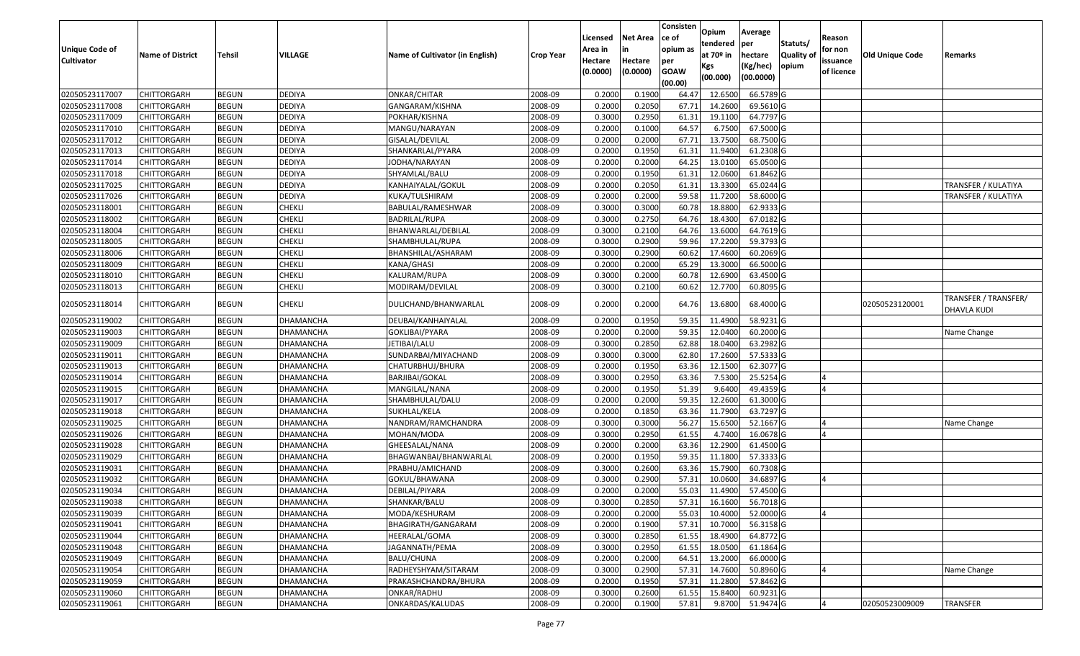|                       |                         |               |                  |                                 |                  |          |                 | Consisten              | Opium                 | Average   |                  |            |                 |                                     |
|-----------------------|-------------------------|---------------|------------------|---------------------------------|------------------|----------|-----------------|------------------------|-----------------------|-----------|------------------|------------|-----------------|-------------------------------------|
|                       |                         |               |                  |                                 |                  | Licensed | <b>Net Area</b> | ce of                  | tendered              | per       | Statuts/         | Reason     |                 |                                     |
| <b>Unique Code of</b> | <b>Name of District</b> | <b>Tehsil</b> | VILLAGE          | Name of Cultivator (in English) | <b>Crop Year</b> | Area in  |                 | opium as               | at 70 <sup>o</sup> in | hectare   | <b>Quality o</b> | for non    | Old Unique Code | Remarks                             |
| <b>Cultivator</b>     |                         |               |                  |                                 |                  | Hectare  | Hectare         | per                    | Kgs                   | (Kg/hec)  | opium            | issuance   |                 |                                     |
|                       |                         |               |                  |                                 |                  | (0.0000) | (0.0000)        | <b>GOAW</b><br>(00.00) | (00.000)              | (00.0000) |                  | of licence |                 |                                     |
| 02050523117007        | CHITTORGARH             | <b>BEGUN</b>  | <b>DEDIYA</b>    | ONKAR/CHITAR                    | 2008-09          | 0.2000   | 0.1900          | 64.47                  | 12.6500               | 66.5789 G |                  |            |                 |                                     |
| 02050523117008        | CHITTORGARH             | <b>BEGUN</b>  | <b>DEDIYA</b>    | GANGARAM/KISHNA                 | 2008-09          | 0.2000   | 0.2050          | 67.7                   | 14.2600               | 69.5610 G |                  |            |                 |                                     |
| 02050523117009        | CHITTORGARH             | <b>BEGUN</b>  | <b>DEDIYA</b>    | POKHAR/KISHNA                   | 2008-09          | 0.3000   | 0.2950          | 61.31                  | 19.1100               | 64.7797 G |                  |            |                 |                                     |
| 02050523117010        | <b>CHITTORGARH</b>      | <b>BEGUN</b>  | <b>DEDIYA</b>    | MANGU/NARAYAN                   | 2008-09          | 0.2000   | 0.1000          | 64.57                  | 6.7500                | 67.5000G  |                  |            |                 |                                     |
| 02050523117012        | CHITTORGARH             | <b>BEGUN</b>  | <b>DEDIYA</b>    | GISALAL/DEVILAL                 | 2008-09          | 0.2000   | 0.2000          | 67.72                  | 13.7500               | 68.7500 G |                  |            |                 |                                     |
| 02050523117013        | CHITTORGARH             | <b>BEGUN</b>  | <b>DEDIYA</b>    | SHANKARLAL/PYARA                | 2008-09          | 0.2000   | 0.1950          | 61.3                   | 11.9400               | 61.2308 G |                  |            |                 |                                     |
| 02050523117014        | CHITTORGARH             | <b>BEGUN</b>  | <b>DEDIYA</b>    | IODHA/NARAYAN                   | 2008-09          | 0.2000   | 0.2000          | 64.25                  | 13.0100               | 65.0500 G |                  |            |                 |                                     |
| 02050523117018        | CHITTORGARH             | <b>BEGUN</b>  | <b>DEDIYA</b>    | SHYAMLAL/BALU                   | 2008-09          | 0.2000   | 0.1950          | 61.31                  | 12.0600               | 61.8462G  |                  |            |                 |                                     |
| 02050523117025        | CHITTORGARH             | <b>BEGUN</b>  | DEDIYA           | KANHAIYALAL/GOKUL               | 2008-09          | 0.2000   | 0.2050          | 61.3                   | 13.3300               | 65.0244 G |                  |            |                 | TRANSFER / KULATIYA                 |
| 02050523117026        | CHITTORGARH             | <b>BEGUN</b>  | <b>DEDIYA</b>    | KUKA/TULSHIRAM                  | 2008-09          | 0.2000   | 0.2000          | 59.58                  | 11.7200               | 58.6000 G |                  |            |                 | TRANSFER / KULATIYA                 |
| 02050523118001        | CHITTORGARH             | <b>BEGUN</b>  | <b>CHEKLI</b>    | BABULAL/RAMESHWAR               | 2008-09          | 0.3000   | 0.3000          | 60.78                  | 18.8800               | 62.9333 G |                  |            |                 |                                     |
| 02050523118002        | CHITTORGARH             | <b>BEGUN</b>  | <b>CHEKLI</b>    | BADRILAL/RUPA                   | 2008-09          | 0.3000   | 0.2750          | 64.76                  | 18.4300               | 67.0182 G |                  |            |                 |                                     |
| 02050523118004        | <b>CHITTORGARH</b>      | <b>BEGUN</b>  | <b>CHEKLI</b>    | BHANWARLAL/DEBILAL              | 2008-09          | 0.3000   | 0.2100          | 64.76                  | 13.6000               | 64.7619 G |                  |            |                 |                                     |
| 02050523118005        | <b>CHITTORGARH</b>      | <b>BEGUN</b>  | <b>CHEKLI</b>    | SHAMBHULAL/RUPA                 | 2008-09          | 0.3000   | 0.2900          | 59.96                  | 17.2200               | 59.3793 G |                  |            |                 |                                     |
| 02050523118006        | CHITTORGARH             | <b>BEGUN</b>  | <b>CHEKLI</b>    | BHANSHILAL/ASHARAM              | 2008-09          | 0.3000   | 0.2900          | 60.62                  | 17.4600               | 60.2069 G |                  |            |                 |                                     |
| 02050523118009        | <b>CHITTORGARH</b>      | <b>BEGUN</b>  | <b>CHEKLI</b>    | KANA/GHASI                      | 2008-09          | 0.2000   | 0.2000          | 65.29                  | 13.3000               | 66.5000 G |                  |            |                 |                                     |
| 02050523118010        | CHITTORGARH             | <b>BEGUN</b>  | <b>CHEKLI</b>    | KALURAM/RUPA                    | 2008-09          | 0.3000   | 0.2000          | 60.78                  | 12.6900               | 63.4500 G |                  |            |                 |                                     |
| 02050523118013        | CHITTORGARH             | <b>BEGUN</b>  | <b>CHEKLI</b>    | MODIRAM/DEVILAL                 | 2008-09          | 0.3000   | 0.2100          | 60.62                  | 12.7700               | 60.8095 G |                  |            |                 |                                     |
| 02050523118014        | CHITTORGARH             | <b>BEGUN</b>  | <b>CHEKLI</b>    | DULICHAND/BHANWARLAL            | 2008-09          | 0.2000   | 0.2000          | 64.76                  | 13.6800               | 68.4000 G |                  |            | 02050523120001  | TRANSFER / TRANSFER/<br>DHAVLA KUDI |
| 02050523119002        | CHITTORGARH             | <b>BEGUN</b>  | DHAMANCHA        | DEUBAI/KANHAIYALAL              | 2008-09          | 0.2000   | 0.1950          | 59.35                  | 11.4900               | 58.9231G  |                  |            |                 |                                     |
| 02050523119003        | CHITTORGARH             | <b>BEGUN</b>  | DHAMANCHA        | GOKLIBAI/PYARA                  | 2008-09          | 0.2000   | 0.2000          | 59.35                  | 12.0400               | 60.2000 G |                  |            |                 | Name Change                         |
| 02050523119009        | CHITTORGARH             | <b>BEGUN</b>  | DHAMANCHA        | JETIBAI/LALU                    | 2008-09          | 0.3000   | 0.2850          | 62.88                  | 18.0400               | 63.2982 G |                  |            |                 |                                     |
| 02050523119011        | CHITTORGARH             | <b>BEGUN</b>  | DHAMANCHA        | SUNDARBAI/MIYACHAND             | 2008-09          | 0.3000   | 0.3000          | 62.80                  | 17.2600               | 57.5333 G |                  |            |                 |                                     |
| 02050523119013        | CHITTORGARH             | <b>BEGUN</b>  | DHAMANCHA        | CHATURBHUJ/BHURA                | 2008-09          | 0.2000   | 0.1950          | 63.36                  | 12.1500               | 62.3077 G |                  |            |                 |                                     |
| 02050523119014        | CHITTORGARH             | <b>BEGUN</b>  | DHAMANCHA        | BARJIBAI/GOKAL                  | 2008-09          | 0.3000   | 0.2950          | 63.36                  | 7.5300                | 25.5254 G |                  |            |                 |                                     |
| 02050523119015        | CHITTORGARH             | <b>BEGUN</b>  | DHAMANCHA        | MANGILAL/NANA                   | 2008-09          | 0.2000   | 0.1950          | 51.39                  | 9.6400                | 49.4359 G |                  |            |                 |                                     |
| 02050523119017        | CHITTORGARH             | <b>BEGUN</b>  | DHAMANCHA        | SHAMBHULAL/DALU                 | 2008-09          | 0.2000   | 0.2000          | 59.35                  | 12.2600               | 61.3000G  |                  |            |                 |                                     |
| 02050523119018        | <b>CHITTORGARH</b>      | <b>BEGUN</b>  | DHAMANCHA        | SUKHLAL/KELA                    | 2008-09          | 0.2000   | 0.1850          | 63.36                  | 11.7900               | 63.7297 G |                  |            |                 |                                     |
| 02050523119025        | CHITTORGARH             | <b>BEGUN</b>  | DHAMANCHA        | NANDRAM/RAMCHANDRA              | 2008-09          | 0.3000   | 0.3000          | 56.27                  | 15.6500               | 52.1667 G |                  |            |                 | Name Change                         |
| 02050523119026        | CHITTORGARH             | <b>BEGUN</b>  | DHAMANCHA        | MOHAN/MODA                      | 2008-09          | 0.3000   | 0.2950          | 61.55                  | 4.7400                | 16.0678 G |                  |            |                 |                                     |
| 02050523119028        | CHITTORGARH             | <b>BEGUN</b>  | DHAMANCHA        | GHEESALAL/NANA                  | 2008-09          | 0.2000   | 0.2000          | 63.36                  | 12.2900               | 61.4500G  |                  |            |                 |                                     |
| 02050523119029        | CHITTORGARH             | <b>BEGUN</b>  | DHAMANCHA        | BHAGWANBAI/BHANWARLAL           | 2008-09          | 0.2000   | 0.1950          | 59.35                  | 11.1800               | 57.3333 G |                  |            |                 |                                     |
| 02050523119031        | <b>CHITTORGARH</b>      | <b>BEGUN</b>  | DHAMANCHA        | PRABHU/AMICHAND                 | 2008-09          | 0.3000   | 0.2600          | 63.36                  | 15.7900               | 60.7308 G |                  |            |                 |                                     |
| 02050523119032        | CHITTORGARH             | <b>BEGUN</b>  | DHAMANCHA        | GOKUL/BHAWANA                   | 2008-09          | 0.300    | 0.2900          | 57.33                  | 10.0600               | 34.6897 G |                  |            |                 |                                     |
| 02050523119034        | CHITTORGARH             | <b>BEGUN</b>  | DHAMANCHA        | DEBILAL/PIYARA                  | 2008-09          | 0.2000   | 0.2000          | 55.03                  | 11.4900               | 57.4500 G |                  |            |                 |                                     |
| 02050523119038        | <b>CHITTORGARH</b>      | <b>BEGUN</b>  | DHAMANCHA        | SHANKAR/BALU                    | 2008-09          | 0.3000   | 0.2850          |                        | 57.31 16.1600         | 56.7018 G |                  |            |                 |                                     |
| 02050523119039        | <b>CHITTORGARH</b>      | <b>BEGUN</b>  | DHAMANCHA        | MODA/KESHURAM                   | 2008-09          | 0.2000   | 0.2000          | 55.03                  | 10.4000               | 52.0000 G |                  |            |                 |                                     |
| 02050523119041        | <b>CHITTORGARH</b>      | <b>BEGUN</b>  | DHAMANCHA        | BHAGIRATH/GANGARAM              | 2008-09          | 0.2000   | 0.1900          | 57.31                  | 10.7000               | 56.3158 G |                  |            |                 |                                     |
| 02050523119044        | <b>CHITTORGARH</b>      | <b>BEGUN</b>  | DHAMANCHA        | HEERALAL/GOMA                   | 2008-09          | 0.3000   | 0.2850          | 61.55                  | 18.4900               | 64.8772 G |                  |            |                 |                                     |
| 02050523119048        | CHITTORGARH             | <b>BEGUN</b>  | DHAMANCHA        | JAGANNATH/PEMA                  | 2008-09          | 0.3000   | 0.2950          | 61.55                  | 18.0500               | 61.1864 G |                  |            |                 |                                     |
| 02050523119049        | <b>CHITTORGARH</b>      | <b>BEGUN</b>  | <b>DHAMANCHA</b> | BALU/CHUNA                      | 2008-09          | 0.2000   | 0.2000          | 64.51                  | 13.2000               | 66.0000G  |                  |            |                 |                                     |
| 02050523119054        | <b>CHITTORGARH</b>      | <b>BEGUN</b>  | DHAMANCHA        | RADHEYSHYAM/SITARAM             | 2008-09          | 0.3000   | 0.2900          | 57.31                  | 14.7600               | 50.8960 G |                  |            |                 | Name Change                         |
| 02050523119059        | CHITTORGARH             | <b>BEGUN</b>  | DHAMANCHA        | PRAKASHCHANDRA/BHURA            | 2008-09          | 0.2000   | 0.1950          | 57.31                  | 11.2800               | 57.8462 G |                  |            |                 |                                     |
| 02050523119060        | <b>CHITTORGARH</b>      | <b>BEGUN</b>  | DHAMANCHA        | ONKAR/RADHU                     | 2008-09          | 0.3000   | 0.2600          | 61.55                  | 15.8400               | 60.9231 G |                  |            |                 |                                     |
| 02050523119061        | <b>CHITTORGARH</b>      | <b>BEGUN</b>  | DHAMANCHA        | ONKARDAS/KALUDAS                | 2008-09          | 0.2000   | 0.1900          | 57.81                  | 9.8700                | 51.9474 G |                  |            | 02050523009009  | <b>TRANSFER</b>                     |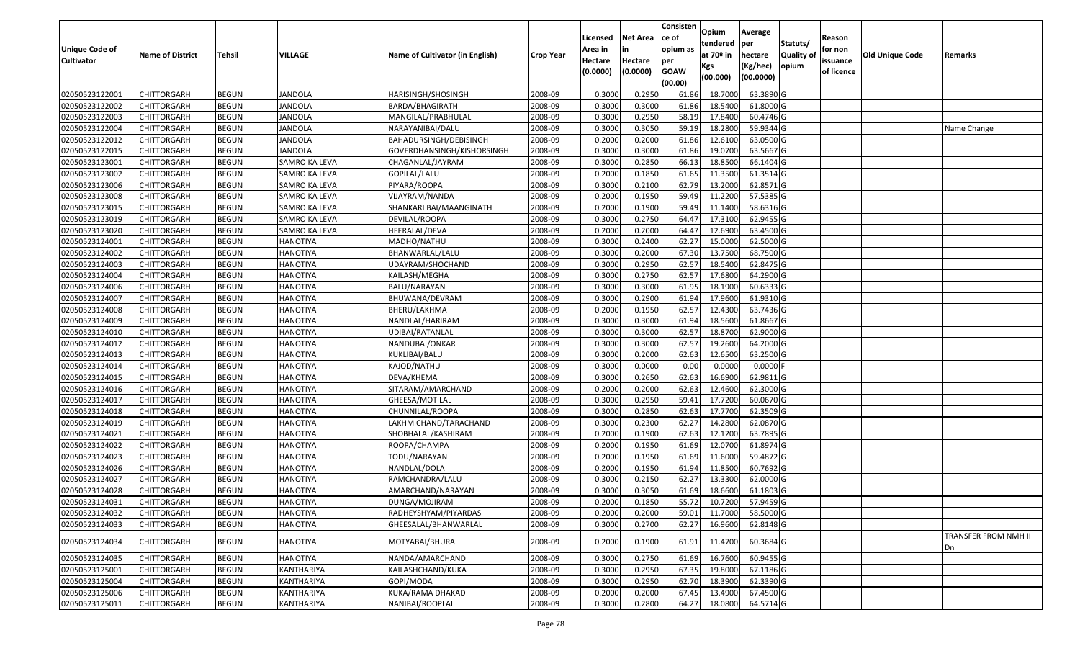|                       |                         |               |                 |                                 |                  | Licensed | <b>Net Area</b> | Consisten<br>ce of | Opium<br>tendered | Average<br>per | Statuts/         | Reason     |                 |                            |
|-----------------------|-------------------------|---------------|-----------------|---------------------------------|------------------|----------|-----------------|--------------------|-------------------|----------------|------------------|------------|-----------------|----------------------------|
| <b>Unique Code of</b> | <b>Name of District</b> | <b>Tehsil</b> | VILLAGE         | Name of Cultivator (in English) | <b>Crop Year</b> | Area in  |                 | opium as           | at $70°$ in       | hectare        | <b>Quality o</b> | for non    | Old Unique Code | Remarks                    |
| <b>Cultivator</b>     |                         |               |                 |                                 |                  | Hectare  | Hectare         | per<br><b>GOAW</b> | Kgs               | (Kg/hec)       | opium            | issuance   |                 |                            |
|                       |                         |               |                 |                                 |                  | (0.0000) | (0.0000)        | (00.00)            | (00.000)          | (00.0000)      |                  | of licence |                 |                            |
| 02050523122001        | CHITTORGARH             | <b>BEGUN</b>  | JANDOLA         | HARISINGH/SHOSINGH              | 2008-09          | 0.3000   | 0.2950          | 61.86              | 18.700            | 63.3890 G      |                  |            |                 |                            |
| 02050523122002        | CHITTORGARH             | <b>BEGUN</b>  | JANDOLA         | BARDA/BHAGIRATH                 | 2008-09          | 0.3000   | 0.3000          | 61.86              | 18.5400           | 61.8000G       |                  |            |                 |                            |
| 02050523122003        | CHITTORGARH             | <b>BEGUN</b>  | <b>JANDOLA</b>  | MANGILAL/PRABHULAL              | 2008-09          | 0.3000   | 0.2950          | 58.19              | 17.8400           | 60.4746 G      |                  |            |                 |                            |
| 02050523122004        | <b>CHITTORGARH</b>      | <b>BEGUN</b>  | <b>JANDOLA</b>  | NARAYANIBAI/DALU                | 2008-09          | 0.3000   | 0.3050          | 59.19              | 18.2800           | 59.9344 G      |                  |            |                 | Name Change                |
| 02050523122012        | CHITTORGARH             | <b>BEGUN</b>  | <b>JANDOLA</b>  | BAHADURSINGH/DEBISINGH          | 2008-09          | 0.2000   | 0.2000          | 61.86              | 12.6100           | 63.0500 G      |                  |            |                 |                            |
| 02050523122015        | CHITTORGARH             | <b>BEGUN</b>  | <b>JANDOLA</b>  | GOVERDHANSINGH/KISHORSINGH      | 2008-09          | 0.3000   | 0.3000          | 61.86              | 19.0700           | 63.5667 G      |                  |            |                 |                            |
| 02050523123001        | CHITTORGARH             | <b>BEGUN</b>  | SAMRO KA LEVA   | CHAGANLAL/JAYRAM                | 2008-09          | 0.3000   | 0.2850          | 66.1               | 18.8500           | 66.1404 G      |                  |            |                 |                            |
| 02050523123002        | CHITTORGARH             | <b>BEGUN</b>  | SAMRO KA LEVA   | GOPILAL/LALU                    | 2008-09          | 0.2000   | 0.1850          | 61.65              | 11.3500           | $61.3514$ G    |                  |            |                 |                            |
| 02050523123006        | CHITTORGARH             | <b>BEGUN</b>  | SAMRO KA LEVA   | PIYARA/ROOPA                    | 2008-09          | 0.3000   | 0.2100          | 62.79              | 13.2000           | 62.8571 G      |                  |            |                 |                            |
| 02050523123008        | CHITTORGARH             | <b>BEGUN</b>  | SAMRO KA LEVA   | VIJAYRAM/NANDA                  | 2008-09          | 0.2000   | 0.1950          | 59.49              | 11.2200           | 57.5385 G      |                  |            |                 |                            |
| 02050523123015        | CHITTORGARH             | <b>BEGUN</b>  | SAMRO KA LEVA   | SHANKARI BAI/MAANGINATH         | 2008-09          | 0.2000   | 0.1900          | 59.49              | 11.1400           | 58.6316 G      |                  |            |                 |                            |
| 02050523123019        | CHITTORGARH             | <b>BEGUN</b>  | SAMRO KA LEVA   | DEVILAL/ROOPA                   | 2008-09          | 0.3000   | 0.2750          | 64.47              | 17.3100           | 62.9455 G      |                  |            |                 |                            |
| 02050523123020        | <b>CHITTORGARH</b>      | <b>BEGUN</b>  | SAMRO KA LEVA   | HEERALAL/DEVA                   | 2008-09          | 0.2000   | 0.2000          | 64.47              | 12.6900           | 63.4500 G      |                  |            |                 |                            |
| 02050523124001        | CHITTORGARH             | <b>BEGUN</b>  | <b>HANOTIYA</b> | MADHO/NATHU                     | 2008-09          | 0.3000   | 0.2400          | 62.27              | 15.0000           | 62.5000G       |                  |            |                 |                            |
| 02050523124002        | CHITTORGARH             | <b>BEGUN</b>  | <b>HANOTIYA</b> | BHANWARLAL/LALU                 | 2008-09          | 0.3000   | 0.2000          | 67.30              | 13.7500           | 68.7500 G      |                  |            |                 |                            |
| 02050523124003        | <b>CHITTORGARH</b>      | <b>BEGUN</b>  | <b>HANOTIYA</b> | UDAYRAM/SHOCHAND                | 2008-09          | 0.3000   | 0.2950          | 62.57              | 18.5400           | 62.8475 G      |                  |            |                 |                            |
| 02050523124004        | CHITTORGARH             | <b>BEGUN</b>  | <b>HANOTIYA</b> | KAILASH/MEGHA                   | 2008-09          | 0.3000   | 0.2750          | 62.57              | 17.6800           | 64.2900 G      |                  |            |                 |                            |
| 02050523124006        | CHITTORGARH             | <b>BEGUN</b>  | <b>HANOTIYA</b> | BALU/NARAYAN                    | 2008-09          | 0.3000   | 0.3000          | 61.95              | 18.1900           | 60.6333 G      |                  |            |                 |                            |
| 02050523124007        | CHITTORGARH             | <b>BEGUN</b>  | <b>HANOTIYA</b> | BHUWANA/DEVRAM                  | 2008-09          | 0.3000   | 0.2900          | 61.94              | 17.9600           | 61.9310 G      |                  |            |                 |                            |
| 02050523124008        | CHITTORGARH             | <b>BEGUN</b>  | <b>HANOTIYA</b> | BHERU/LAKHMA                    | 2008-09          | 0.2000   | 0.1950          | 62.57              | 12.4300           | 63.7436 G      |                  |            |                 |                            |
| 02050523124009        | CHITTORGARH             | <b>BEGUN</b>  | <b>HANOTIYA</b> | NANDLAL/HARIRAM                 | 2008-09          | 0.3000   | 0.3000          | 61.94              | 18.5600           | 61.8667G       |                  |            |                 |                            |
| 02050523124010        | CHITTORGARH             | <b>BEGUN</b>  | <b>HANOTIYA</b> | UDIBAI/RATANLAL                 | 2008-09          | 0.3000   | 0.3000          | 62.57              | 18.8700           | 62.9000 G      |                  |            |                 |                            |
| 02050523124012        | CHITTORGARH             | <b>BEGUN</b>  | <b>HANOTIYA</b> | NANDUBAI/ONKAR                  | 2008-09          | 0.3000   | 0.3000          | 62.57              | 19.2600           | 64.2000 G      |                  |            |                 |                            |
| 02050523124013        | CHITTORGARH             | <b>BEGUN</b>  | <b>HANOTIYA</b> | KUKLIBAI/BALU                   | 2008-09          | 0.3000   | 0.2000          | 62.63              | 12.6500           | 63.2500 G      |                  |            |                 |                            |
| 02050523124014        | CHITTORGARH             | <b>BEGUN</b>  | <b>HANOTIYA</b> | KAJOD/NATHU                     | 2008-09          | 0.3000   | 0.0000          | 0.00               | 0.0000            | 0.0000F        |                  |            |                 |                            |
| 02050523124015        | CHITTORGARH             | <b>BEGUN</b>  | <b>HANOTIYA</b> | DEVA/KHEMA                      | 2008-09          | 0.3000   | 0.2650          | 62.63              | 16.6900           | 62.9811 G      |                  |            |                 |                            |
| 02050523124016        | CHITTORGARH             | <b>BEGUN</b>  | <b>HANOTIYA</b> | SITARAM/AMARCHAND               | 2008-09          | 0.2000   | 0.2000          | 62.63              | 12.4600           | 62.3000G       |                  |            |                 |                            |
| 02050523124017        | CHITTORGARH             | <b>BEGUN</b>  | <b>HANOTIYA</b> | GHEESA/MOTILAL                  | 2008-09          | 0.3000   | 0.2950          | 59.41              | 17.7200           | 60.0670 G      |                  |            |                 |                            |
| 02050523124018        | CHITTORGARH             | <b>BEGUN</b>  | <b>HANOTIYA</b> | CHUNNILAL/ROOPA                 | 2008-09          | 0.3000   | 0.2850          | 62.63              | 17.7700           | 62.3509 G      |                  |            |                 |                            |
| 02050523124019        | CHITTORGARH             | <b>BEGUN</b>  | <b>HANOTIYA</b> | LAKHMICHAND/TARACHAND           | 2008-09          | 0.3000   | 0.2300          | 62.27              | 14.2800           | 62.0870 G      |                  |            |                 |                            |
| 02050523124021        | CHITTORGARH             | <b>BEGUN</b>  | <b>HANOTIYA</b> | SHOBHALAL/KASHIRAM              | 2008-09          | 0.2000   | 0.1900          | 62.63              | 12.1200           | 63.7895 G      |                  |            |                 |                            |
| 02050523124022        | CHITTORGARH             | <b>BEGUN</b>  | <b>HANOTIYA</b> | ROOPA/CHAMPA                    | 2008-09          | 0.2000   | 0.1950          | 61.69              | 12.0700           | 61.8974 G      |                  |            |                 |                            |
| 02050523124023        | CHITTORGARH             | <b>BEGUN</b>  | <b>HANOTIYA</b> | TODU/NARAYAN                    | 2008-09          | 0.2000   | 0.1950          | 61.69              | 11.6000           | 59.4872G       |                  |            |                 |                            |
| 02050523124026        | CHITTORGARH             | <b>BEGUN</b>  | <b>HANOTIYA</b> | NANDLAL/DOLA                    | 2008-09          | 0.2000   | 0.1950          | 61.94              | 11.8500           | 60.7692 G      |                  |            |                 |                            |
| 02050523124027        | CHITTORGARH             | <b>BEGUN</b>  | <b>HANOTIYA</b> | RAMCHANDRA/LALU                 | 2008-09          | 0.300    | 0.2150          | 62.27              | 13.3300           | 62.0000 G      |                  |            |                 |                            |
| 02050523124028        | CHITTORGARH             | <b>BEGUN</b>  | <b>HANOTIYA</b> | AMARCHAND/NARAYAN               | 2008-09          | 0.3000   | 0.3050          | 61.69              | 18.6600           | 61.1803 G      |                  |            |                 |                            |
| 02050523124031        | <b>CHITTORGARH</b>      | <b>BEGUN</b>  | <b>HANOTIYA</b> | DUNGA/MOJIRAM                   | 2008-09          | 0.2000   | 0.1850          |                    | 55.72 10.7200     | 57.9459 G      |                  |            |                 |                            |
| 02050523124032        | <b>CHITTORGARH</b>      | <b>BEGUN</b>  | <b>HANOTIYA</b> | RADHEYSHYAM/PIYARDAS            | 2008-09          | 0.2000   | 0.2000          | 59.01              | 11.7000           | 58.5000 G      |                  |            |                 |                            |
| 02050523124033        | CHITTORGARH             | <b>BEGUN</b>  | <b>HANOTIYA</b> | GHEESALAL/BHANWARLAL            | 2008-09          | 0.3000   | 0.2700          | 62.27              | 16.9600           | 62.8148 G      |                  |            |                 |                            |
| 02050523124034        | <b>CHITTORGARH</b>      | <b>BEGUN</b>  | <b>HANOTIYA</b> | MOTYABAI/BHURA                  | 2008-09          | 0.2000   | 0.1900          | 61.91              | 11.4700           | 60.3684 G      |                  |            |                 | TRANSFER FROM NMH II<br>Dn |
| 02050523124035        | <b>CHITTORGARH</b>      | <b>BEGUN</b>  | <b>HANOTIYA</b> | NANDA/AMARCHAND                 | 2008-09          | 0.3000   | 0.2750          | 61.69              | 16.7600           | 60.9455 G      |                  |            |                 |                            |
| 02050523125001        | <b>CHITTORGARH</b>      | <b>BEGUN</b>  | KANTHARIYA      | KAILASHCHAND/KUKA               | 2008-09          | 0.3000   | 0.2950          | 67.35              | 19.8000           | 67.1186 G      |                  |            |                 |                            |
| 02050523125004        | CHITTORGARH             | <b>BEGUN</b>  | KANTHARIYA      | GOPI/MODA                       | 2008-09          | 0.3000   | 0.2950          | 62.70              | 18.3900           | 62.3390 G      |                  |            |                 |                            |
| 02050523125006        | <b>CHITTORGARH</b>      | <b>BEGUN</b>  | KANTHARIYA      | KUKA/RAMA DHAKAD                | 2008-09          | 0.2000   | 0.2000          | 67.45              | 13.4900           | 67.4500 G      |                  |            |                 |                            |
| 02050523125011        | <b>CHITTORGARH</b>      | <b>BEGUN</b>  | KANTHARIYA      | NANIBAI/ROOPLAL                 | 2008-09          | 0.3000   | 0.2800          | 64.27              | 18.0800           | 64.5714 G      |                  |            |                 |                            |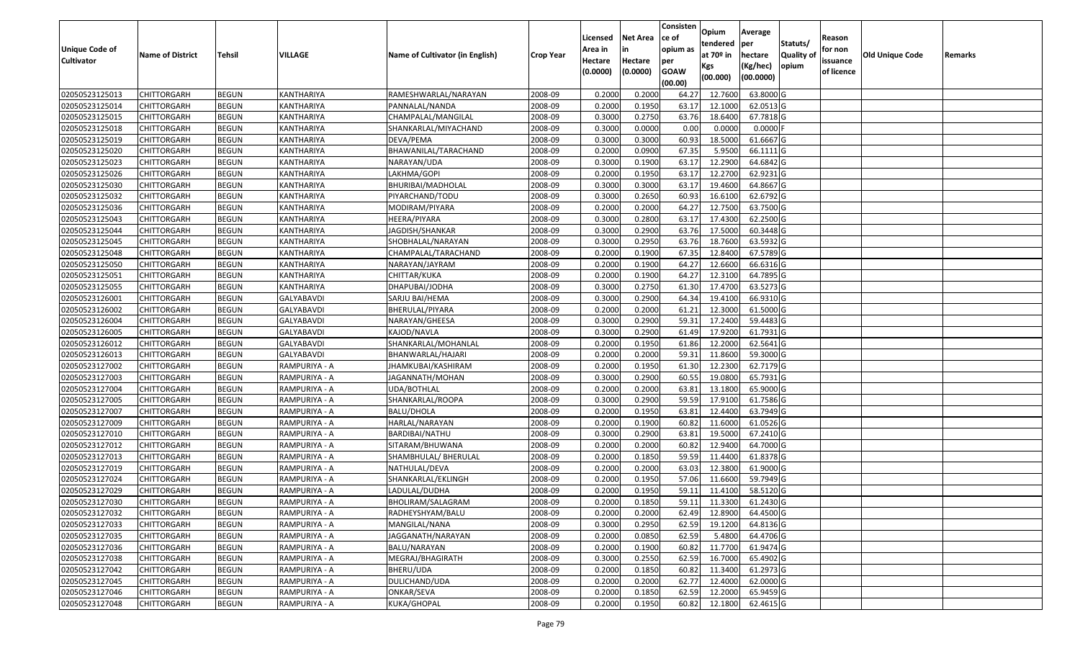| <b>Unique Code of</b><br><b>Cultivator</b> | <b>Name of District</b> | <b>Tehsil</b> | VILLAGE           | Name of Cultivator (in English) | <b>Crop Year</b> | Licensed<br>Area in<br>Hectare<br>(0.0000) | <b>Net Area</b><br>in<br>Hectare<br>(0.0000) | Consisten<br>ce of<br>opium as<br>per<br><b>GOAW</b><br>(00.00) | Opium<br>tendered<br>at $70°$ in<br>Kgs<br>(00.000) | Average<br>per<br>hectare<br>(Kg/hec)<br>(00.0000) | Statuts/<br>Quality of<br>opium | Reason<br>for non<br>issuance<br>of licence | <b>Old Unique Code</b> | Remarks |
|--------------------------------------------|-------------------------|---------------|-------------------|---------------------------------|------------------|--------------------------------------------|----------------------------------------------|-----------------------------------------------------------------|-----------------------------------------------------|----------------------------------------------------|---------------------------------|---------------------------------------------|------------------------|---------|
| 02050523125013                             | <b>CHITTORGARH</b>      | <b>BEGUN</b>  | KANTHARIYA        | RAMESHWARLAL/NARAYAN            | 2008-09          | 0.2000                                     | 0.2000                                       | 64.27                                                           | 12.7600                                             | 63.8000 G                                          |                                 |                                             |                        |         |
| 02050523125014                             | CHITTORGARH             | <b>BEGUN</b>  | KANTHARIYA        | PANNALAL/NANDA                  | 2008-09          | 0.2000                                     | 0.1950                                       | 63.17                                                           | 12.1000                                             | 62.0513 G                                          |                                 |                                             |                        |         |
| 02050523125015                             | CHITTORGARH             | <b>BEGUN</b>  | KANTHARIYA        | CHAMPALAL/MANGILAL              | 2008-09          | 0.3000                                     | 0.2750                                       | 63.76                                                           | 18.6400                                             | 67.7818 G                                          |                                 |                                             |                        |         |
| 02050523125018                             | <b>CHITTORGARH</b>      | <b>BEGUN</b>  | KANTHARIYA        | SHANKARLAL/MIYACHAND            | 2008-09          | 0.3000                                     | 0.0000                                       | 0.00                                                            | 0.0000                                              | $0.0000$ F                                         |                                 |                                             |                        |         |
| 02050523125019                             | <b>CHITTORGARH</b>      | <b>BEGUN</b>  | KANTHARIYA        | DEVA/PEMA                       | 2008-09          | 0.3000                                     | 0.3000                                       | 60.93                                                           | 18.5000                                             | 61.6667 G                                          |                                 |                                             |                        |         |
| 02050523125020                             | CHITTORGARH             | <b>BEGUN</b>  | KANTHARIYA        | BHAWANILAL/TARACHAND            | 2008-09          | 0.2000                                     | 0.0900                                       | 67.35                                                           | 5.9500                                              | 66.1111G                                           |                                 |                                             |                        |         |
| 02050523125023                             | <b>CHITTORGARH</b>      | <b>BEGUN</b>  | KANTHARIYA        | NARAYAN/UDA                     | 2008-09          | 0.3000                                     | 0.1900                                       | 63.17                                                           | 12.2900                                             | 64.6842 G                                          |                                 |                                             |                        |         |
| 02050523125026                             | <b>CHITTORGARH</b>      | <b>BEGUN</b>  | KANTHARIYA        | LAKHMA/GOPI                     | 2008-09          | 0.2000                                     | 0.1950                                       | 63.17                                                           | 12.2700                                             | 62.9231 G                                          |                                 |                                             |                        |         |
| 02050523125030                             | CHITTORGARH             | <b>BEGUN</b>  | KANTHARIYA        | BHURIBAI/MADHOLAL               | 2008-09          | 0.3000                                     | 0.3000                                       | 63.17                                                           | 19.4600                                             | 64.8667 G                                          |                                 |                                             |                        |         |
| 02050523125032                             | CHITTORGARH             | <b>BEGUN</b>  | KANTHARIYA        | PIYARCHAND/TODU                 | 2008-09          | 0.3000                                     | 0.2650                                       | 60.93                                                           | 16.6100                                             | 62.6792 G                                          |                                 |                                             |                        |         |
| 02050523125036                             | <b>CHITTORGARH</b>      | <b>BEGUN</b>  | KANTHARIYA        | MODIRAM/PIYARA                  | 2008-09          | 0.2000                                     | 0.2000                                       | 64.27                                                           | 12.7500                                             | 63.7500 G                                          |                                 |                                             |                        |         |
| 02050523125043                             | CHITTORGARH             | <b>BEGUN</b>  | KANTHARIYA        | HEERA/PIYARA                    | 2008-09          | 0.3000                                     | 0.2800                                       | 63.17                                                           | 17.4300                                             | 62.2500 G                                          |                                 |                                             |                        |         |
| 02050523125044                             | CHITTORGARH             | <b>BEGUN</b>  | KANTHARIYA        | JAGDISH/SHANKAR                 | 2008-09          | 0.3000                                     | 0.2900                                       | 63.76                                                           | 17.5000                                             | 60.3448 G                                          |                                 |                                             |                        |         |
| 02050523125045                             | CHITTORGARH             | <b>BEGUN</b>  | KANTHARIYA        | SHOBHALAL/NARAYAN               | 2008-09          | 0.3000                                     | 0.2950                                       | 63.76                                                           | 18.7600                                             | 63.5932 G                                          |                                 |                                             |                        |         |
| 02050523125048                             | CHITTORGARH             | <b>BEGUN</b>  | KANTHARIYA        | CHAMPALAL/TARACHAND             | 2008-09          | 0.2000                                     | 0.1900                                       | 67.35                                                           | 12.8400                                             | 67.5789 G                                          |                                 |                                             |                        |         |
| 02050523125050                             | CHITTORGARH             | <b>BEGUN</b>  | KANTHARIYA        | NARAYAN/JAYRAM                  | 2008-09          | 0.2000                                     | 0.1900                                       | 64.27                                                           | 12.6600                                             | 66.6316 G                                          |                                 |                                             |                        |         |
| 02050523125051                             | CHITTORGARH             | <b>BEGUN</b>  | <b>KANTHARIYA</b> | CHITTAR/KUKA                    | 2008-09          | 0.2000                                     | 0.1900                                       | 64.27                                                           | 12.3100                                             | 64.7895 G                                          |                                 |                                             |                        |         |
| 02050523125055                             | CHITTORGARH             | <b>BEGUN</b>  | KANTHARIYA        | DHAPUBAI/JODHA                  | 2008-09          | 0.3000                                     | 0.2750                                       | 61.30                                                           | 17.4700                                             | 63.5273 G                                          |                                 |                                             |                        |         |
| 02050523126001                             | CHITTORGARH             | <b>BEGUN</b>  | <b>GALYABAVDI</b> | SARJU BAI/HEMA                  | 2008-09          | 0.3000                                     | 0.2900                                       | 64.34                                                           | 19.4100                                             | 66.9310 G                                          |                                 |                                             |                        |         |
| 02050523126002                             | CHITTORGARH             | <b>BEGUN</b>  | <b>GALYABAVDI</b> | BHERULAL/PIYARA                 | 2008-09          | 0.2000                                     | 0.2000                                       | 61.21                                                           | 12.3000                                             | 61.5000G                                           |                                 |                                             |                        |         |
| 02050523126004                             | <b>CHITTORGARH</b>      | <b>BEGUN</b>  | <b>GALYABAVDI</b> | NARAYAN/GHEESA                  | 2008-09          | 0.3000                                     | 0.2900                                       | 59.31                                                           | 17.2400                                             | 59.4483 G                                          |                                 |                                             |                        |         |
| 02050523126005                             | CHITTORGARH             | <b>BEGUN</b>  | <b>GALYABAVDI</b> | KAJOD/NAVLA                     | 2008-09          | 0.3000                                     | 0.2900                                       | 61.49                                                           | 17.9200                                             | 61.7931G                                           |                                 |                                             |                        |         |
| 02050523126012                             | CHITTORGARH             | <b>BEGUN</b>  | <b>GALYABAVDI</b> | SHANKARLAL/MOHANLAL             | 2008-09          | 0.2000                                     | 0.1950                                       | 61.86                                                           | 12.2000                                             | 62.5641 G                                          |                                 |                                             |                        |         |
| 02050523126013                             | CHITTORGARH             | <b>BEGUN</b>  | GALYABAVDI        | BHANWARLAL/HAJARI               | 2008-09          | 0.2000                                     | 0.2000                                       | 59.31                                                           | 11.8600                                             | 59.3000G                                           |                                 |                                             |                        |         |
| 02050523127002                             | CHITTORGARH             | <b>BEGUN</b>  | RAMPURIYA - A     | IHAMKUBAI/KASHIRAM              | 2008-09          | 0.2000                                     | 0.1950                                       | 61.30                                                           | 12.2300                                             | 62.7179 G                                          |                                 |                                             |                        |         |
| 02050523127003                             | CHITTORGARH             | <b>BEGUN</b>  | RAMPURIYA - A     | JAGANNATH/MOHAN                 | 2008-09          | 0.3000                                     | 0.2900                                       | 60.55                                                           | 19.0800                                             | 65.7931 G                                          |                                 |                                             |                        |         |
| 02050523127004                             | CHITTORGARH             | <b>BEGUN</b>  | RAMPURIYA - A     | UDA/BOTHLAL                     | 2008-09          | 0.2000                                     | 0.2000                                       | 63.8                                                            | 13.1800                                             | 65.9000 G                                          |                                 |                                             |                        |         |
| 02050523127005                             | CHITTORGARH             | <b>BEGUN</b>  | RAMPURIYA - A     | SHANKARLAL/ROOPA                | 2008-09          | 0.3000                                     | 0.2900                                       | 59.59                                                           | 17.9100                                             | 61.7586 G                                          |                                 |                                             |                        |         |
| 02050523127007                             | <b>CHITTORGARH</b>      | <b>BEGUN</b>  | RAMPURIYA - A     | <b>BALU/DHOLA</b>               | 2008-09          | 0.2000                                     | 0.1950                                       | 63.81                                                           | 12.4400                                             | 63.7949 G                                          |                                 |                                             |                        |         |
| 02050523127009                             | <b>CHITTORGARH</b>      | <b>BEGUN</b>  | RAMPURIYA - A     | HARLAL/NARAYAN                  | 2008-09          | 0.2000                                     | 0.1900                                       | 60.82                                                           | 11.6000                                             | 61.0526 G                                          |                                 |                                             |                        |         |
| 02050523127010                             | CHITTORGARH             | <b>BEGUN</b>  | RAMPURIYA - A     | BARDIBAI/NATHU                  | 2008-09          | 0.3000                                     | 0.2900                                       | 63.8                                                            | 19.5000                                             | 67.2410 G                                          |                                 |                                             |                        |         |
| 02050523127012                             | CHITTORGARH             | <b>BEGUN</b>  | RAMPURIYA - A     | SITARAM/BHUWANA                 | 2008-09          | 0.2000                                     | 0.2000                                       | 60.82                                                           | 12.9400                                             | 64.7000 G                                          |                                 |                                             |                        |         |
| 02050523127013                             | <b>CHITTORGARH</b>      | <b>BEGUN</b>  | RAMPURIYA - A     | SHAMBHULAL/ BHERULAL            | 2008-09          | 0.2000                                     | 0.1850                                       | 59.59                                                           | 11.4400                                             | 61.8378 G                                          |                                 |                                             |                        |         |
| 02050523127019                             | <b>CHITTORGARH</b>      | <b>BEGUN</b>  | RAMPURIYA - A     | NATHULAL/DEVA                   | 2008-09          | 0.2000                                     | 0.2000                                       | 63.03                                                           | 12.3800                                             | 61.9000G                                           |                                 |                                             |                        |         |
| 02050523127024                             | CHITTORGARH             | <b>BEGUN</b>  | RAMPURIYA - A     | SHANKARLAL/EKLINGH              | 2008-09          | 0.2000                                     | 0.1950                                       | 57.06                                                           | 11.6600                                             | 59.7949 G                                          |                                 |                                             |                        |         |
| 02050523127029                             | CHITTORGARH             | <b>BEGUN</b>  | RAMPURIYA - A     | LADULAL/DUDHA                   | 2008-09          | 0.2000                                     | 0.1950                                       | 59.11                                                           | 11.4100                                             | 58.5120G                                           |                                 |                                             |                        |         |
| 02050523127030                             | <b>CHITTORGARH</b>      | <b>BEGUN</b>  | RAMPURIYA - A     | BHOLIRAM/SALAGRAM               | 2008-09          | 0.2000                                     | 0.1850                                       | 59.11                                                           | 11.3300                                             | 61.2430 G                                          |                                 |                                             |                        |         |
| 02050523127032                             | <b>CHITTORGARH</b>      | <b>BEGUN</b>  | RAMPURIYA - A     | RADHEYSHYAM/BALU                | 2008-09          | 0.2000                                     | 0.2000                                       | 62.49                                                           | 12.8900                                             | 64.4500 G                                          |                                 |                                             |                        |         |
| 02050523127033                             | <b>CHITTORGARH</b>      | <b>BEGUN</b>  | RAMPURIYA - A     | MANGILAL/NANA                   | 2008-09          | 0.3000                                     | 0.2950                                       | 62.59                                                           | 19.1200                                             | 64.8136 G                                          |                                 |                                             |                        |         |
| 02050523127035                             | <b>CHITTORGARH</b>      | <b>BEGUN</b>  | RAMPURIYA - A     | JAGGANATH/NARAYAN               | 2008-09          | 0.2000                                     | 0.0850                                       | 62.59                                                           | 5.4800                                              | 64.4706 G                                          |                                 |                                             |                        |         |
| 02050523127036                             | <b>CHITTORGARH</b>      | <b>BEGUN</b>  | RAMPURIYA - A     | BALU/NARAYAN                    | 2008-09          | 0.2000                                     | 0.1900                                       | 60.82                                                           | 11.7700                                             | 61.9474 G                                          |                                 |                                             |                        |         |
| 02050523127038                             | <b>CHITTORGARH</b>      | <b>BEGUN</b>  | RAMPURIYA - A     | MEGRAJ/BHAGIRATH                | 2008-09          | 0.3000                                     | 0.2550                                       | 62.59                                                           | 16.7000                                             | 65.4902 G                                          |                                 |                                             |                        |         |
| 02050523127042                             | <b>CHITTORGARH</b>      | <b>BEGUN</b>  | RAMPURIYA - A     | BHERU/UDA                       | 2008-09          | 0.2000                                     | 0.1850                                       | 60.82                                                           | 11.3400                                             | 61.2973 G                                          |                                 |                                             |                        |         |
| 02050523127045                             | <b>CHITTORGARH</b>      | <b>BEGUN</b>  | RAMPURIYA - A     | DULICHAND/UDA                   | 2008-09          | 0.2000                                     | 0.2000                                       | 62.77                                                           | 12.4000                                             | 62.0000 G                                          |                                 |                                             |                        |         |
| 02050523127046                             | <b>CHITTORGARH</b>      | <b>BEGUN</b>  | RAMPURIYA - A     | ONKAR/SEVA                      | 2008-09          | 0.2000                                     | 0.1850                                       | 62.59                                                           | 12.2000                                             | 65.9459 G                                          |                                 |                                             |                        |         |
| 02050523127048                             | <b>CHITTORGARH</b>      | <b>BEGUN</b>  | RAMPURIYA - A     | KUKA/GHOPAL                     | 2008-09          | 0.2000                                     | 0.1950                                       | 60.82                                                           | 12.1800                                             | 62.4615 G                                          |                                 |                                             |                        |         |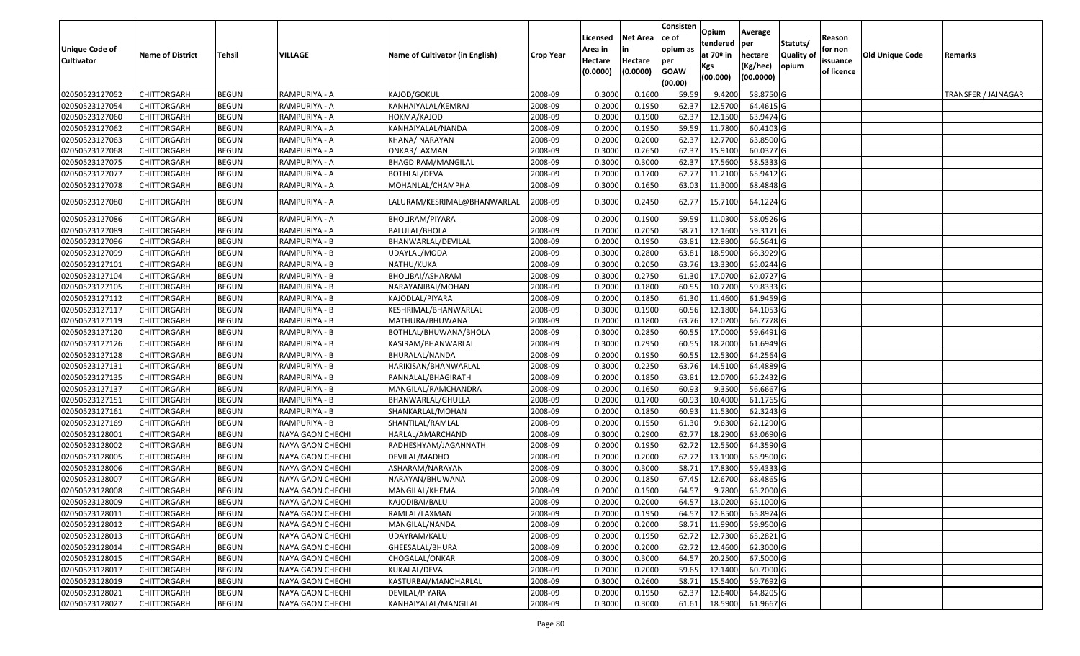| <b>Net Area</b><br>Licensed<br>ce of<br>Reason<br>Statuts/<br>tendered<br>per<br><b>Unique Code of</b><br>Area in<br>opium as<br>for non<br>in<br>at 70º in<br>Old Unique Code<br>VILLAGE<br>Name of Cultivator (in English)<br>Quality of<br><b>Name of District</b><br><b>Tehsil</b><br>hectare<br><b>Crop Year</b><br>Remarks<br><b>Cultivator</b><br>Hectare<br>Hectare<br>issuance<br>per<br>(Kg/hec)<br>opium<br>Kgs<br>(0.0000)<br>(0.0000)<br><b>GOAW</b><br>of licence<br>(00.0000)<br>(00.000)<br>(00.00)<br>02050523127052<br>KAJOD/GOKUL<br>0.3000<br>0.1600<br>9.4200<br>58.8750 G<br>CHITTORGARH<br><b>BEGUN</b><br>RAMPURIYA - A<br>2008-09<br>59.59<br><b>TRANSFER / JAINAGAR</b><br>02050523127054<br>0.2000<br>0.1950<br>12.5700<br>CHITTORGARH<br><b>BEGUN</b><br>RAMPURIYA - A<br>KANHAIYALAL/KEMRAJ<br>2008-09<br>62.37<br>64.4615 G<br>62.37<br>0.2000<br>0.1900<br>12.1500<br>02050523127060<br>CHITTORGARH<br><b>BEGUN</b><br>RAMPURIYA - A<br>2008-09<br>63.9474 G<br>HOKMA/KAJOD<br>02050523127062<br><b>BEGUN</b><br>RAMPURIYA - A<br>KANHAIYALAL/NANDA<br>2008-09<br>0.2000<br>0.1950<br>59.59<br>11.7800<br>60.4103 G<br>CHITTORGARH<br>02050523127063<br>2008-09<br>0.2000<br>0.2000<br>62.37<br>12.7700<br>63.8500 G<br>CHITTORGARH<br><b>BEGUN</b><br>RAMPURIYA - A<br>KHANA/ NARAYAN<br>02050523127068<br><b>BEGUN</b><br>RAMPURIYA - A<br>2008-09<br>0.3000<br>0.2650<br>62.37<br>15.9100<br>60.0377 G<br>CHITTORGARH<br>ONKAR/LAXMAN<br><b>BEGUN</b><br>2008-09<br>0.3000<br>0.3000<br>62.37<br>17.5600<br>58.5333 G<br>02050523127075<br>CHITTORGARH<br>RAMPURIYA - A<br>BHAGDIRAM/MANGILAL<br>02050523127077<br>CHITTORGARH<br><b>BEGUN</b><br>RAMPURIYA - A<br>BOTHLAL/DEVA<br>2008-09<br>0.2000<br>0.1700<br>62.77<br>11.2100<br>65.9412 G<br>02050523127078<br>0.1650<br>CHITTORGARH<br><b>BEGUN</b><br>RAMPURIYA - A<br>MOHANLAL/CHAMPHA<br>2008-09<br>0.3000<br>63.03<br>11.3000<br>68.4848 G<br>02050523127080<br>CHITTORGARH<br><b>BEGUN</b><br>RAMPURIYA - A<br>LALURAM/KESRIMAL@BHANWARLAL<br>2008-09<br>0.3000<br>0.2450<br>62.77<br>15.7100<br>64.1224 G<br>2008-09<br>0.2000<br>0.1900<br>59.59<br>11.0300<br>58.0526 G<br>02050523127086<br>CHITTORGARH<br><b>BEGUN</b><br>RAMPURIYA - A<br>BHOLIRAM/PIYARA<br>02050523127089<br>RAMPURIYA - A<br>0.2000<br>0.2050<br>58.71<br>12.1600<br>59.3171 G<br>CHITTORGARH<br><b>BEGUN</b><br>BALULAL/BHOLA<br>2008-09<br>02050523127096<br>2008-09<br>0.2000<br>0.1950<br>63.81<br>12.9800<br>66.5641 G<br><b>CHITTORGARH</b><br><b>BEGUN</b><br>RAMPURIYA - B<br>BHANWARLAL/DEVILAL<br>0.3000<br>0.2800<br>63.81<br>18.5900<br>02050523127099<br><b>BEGUN</b><br>RAMPURIYA - B<br>2008-09<br>66.3929 G<br>CHITTORGARH<br>UDAYLAL/MODA<br>02050523127101<br><b>BEGUN</b><br>2008-09<br>0.3000<br>0.2050<br>63.76<br>13.3300<br>65.0244 G<br>CHITTORGARH<br>RAMPURIYA - B<br>NATHU/KUKA<br>0.2750<br>02050523127104<br>RAMPURIYA - B<br>2008-09<br>0.3000<br>61.30<br>17.0700<br>62.0727 G<br>CHITTORGARH<br><b>BEGUN</b><br>BHOLIBAI/ASHARAM<br>02050523127105<br>0.1800<br>60.5<br>10.7700<br>59.8333 G<br>CHITTORGARH<br><b>BEGUN</b><br>RAMPURIYA - B<br>NARAYANIBAI/MOHAN<br>2008-09<br>0.2000<br>02050523127112<br>0.2000<br>0.1850<br>61.30<br>11.4600<br>CHITTORGARH<br><b>BEGUN</b><br>RAMPURIYA - B<br>KAJODLAL/PIYARA<br>2008-09<br>61.9459 G<br>02050523127117<br><b>BEGUN</b><br>2008-09<br>0.3000<br>0.1900<br>60.56<br>12.1800<br>CHITTORGARH<br>RAMPURIYA - B<br>KESHRIMAL/BHANWARLAL<br>64.1053 G<br>02050523127119<br>RAMPURIYA - B<br>0.2000<br>0.1800<br>63.76<br>12.0200<br>66.7778 G<br>CHITTORGARH<br><b>BEGUN</b><br>MATHURA/BHUWANA<br>2008-09<br>02050523127120<br>0.3000<br>0.2850<br>60.5<br>17.0000<br>59.6491 G<br>CHITTORGARH<br><b>BEGUN</b><br>RAMPURIYA - B<br>BOTHLAL/BHUWANA/BHOLA<br>2008-09<br>02050523127126<br>RAMPURIYA - B<br>2008-09<br>0.3000<br>0.2950<br>60.55<br>18.2000<br>CHITTORGARH<br><b>BEGUN</b><br>KASIRAM/BHANWARLAL<br>61.6949 G<br>02050523127128<br>2008-09<br>0.2000<br>0.1950<br>60.5<br>12.5300<br>64.2564 G<br>CHITTORGARH<br><b>BEGUN</b><br>RAMPURIYA - B<br>BHURALAL/NANDA<br>02050523127131<br><b>BEGUN</b><br>RAMPURIYA - B<br>2008-09<br>0.3000<br>0.2250<br>63.76<br>14.5100<br>64.4889 G<br>CHITTORGARH<br>HARIKISAN/BHANWARLAL<br>02050523127135<br>RAMPURIYA - B<br>0.2000<br>12.0700<br>65.2432 G<br>CHITTORGARH<br><b>BEGUN</b><br>PANNALAL/BHAGIRATH<br>2008-09<br>0.1850<br>63.81<br>02050523127137<br>RAMPURIYA - B<br>2008-09<br>0.2000<br>0.1650<br>60.93<br>9.3500<br>56.6667 G<br>CHITTORGARH<br><b>BEGUN</b><br>MANGILAL/RAMCHANDRA<br>0.2000<br>0.1700<br>60.93<br>10.4000<br>02050523127151<br>CHITTORGARH<br><b>BEGUN</b><br>RAMPURIYA - B<br>2008-09<br>61.1765 G<br>BHANWARLAL/GHULLA<br>02050523127161<br>0.1850<br>11.5300<br>CHITTORGARH<br><b>BEGUN</b><br>RAMPURIYA - B<br>SHANKARLAL/MOHAN<br>2008-09<br>0.2000<br>60.93<br>62.3243 G<br>02050523127169<br>RAMPURIYA - B<br>2008-09<br>0.2000<br>0.1550<br>61.30<br>62.1290 G<br>CHITTORGARH<br><b>BEGUN</b><br>SHANTILAL/RAMLAL<br>9.6300<br>02050523128001<br><b>BEGUN</b><br>2008-09<br>0.3000<br>0.2900<br>62.77<br>18.2900<br>63.0690 G<br>CHITTORGARH<br>NAYA GAON CHECHI<br>HARLAL/AMARCHAND<br>0.2000<br>0.1950<br>62.72<br>12.5500<br>64.3590 G<br>02050523128002<br><b>BEGUN</b><br>2008-09<br>CHITTORGARH<br>NAYA GAON CHECHI<br>RADHESHYAM/JAGANNATH<br>02050523128005<br>CHITTORGARH<br><b>BEGUN</b><br>2008-09<br>0.2000<br>0.2000<br>62.72<br>13.1900<br>65.9500 G<br>NAYA GAON CHECHI<br>DEVILAL/MADHO<br>02050523128006<br>2008-09<br>0.3000<br>0.3000<br>58.71<br>17.8300<br>59.4333 G<br><b>CHITTORGARH</b><br><b>BEGUN</b><br>NAYA GAON CHECHI<br>ASHARAM/NARAYAN<br>02050523128007<br>0.2000<br>12.6700<br>CHITTORGARH<br><b>BEGUN</b><br>NAYA GAON CHECHI<br>NARAYAN/BHUWANA<br>2008-09<br>0.1850<br>67.45<br>68.4865 G<br>0.2000<br>0.1500<br>64.57<br>9.7800<br>02050523128008<br><b>BEGUN</b><br>2008-09<br>65.2000 G<br>CHITTORGARH<br>NAYA GAON CHECHI<br>MANGILAL/KHEMA<br>02050523128009<br><b>BEGUN</b><br>2008-09<br>0.2000<br>0.2000<br>64.57 13.0200<br>65.1000G<br><b>CHITTORGARH</b><br>NAYA GAON CHECHI<br>KAJODIBAI/BALU<br>02050523128011<br><b>CHITTORGARH</b><br><b>BEGUN</b><br>RAMLAL/LAXMAN<br>2008-09<br>0.2000<br>0.1950<br>64.57<br>12.8500<br>65.8974 G<br>NAYA GAON CHECHI<br>02050523128012<br><b>CHITTORGARH</b><br><b>BEGUN</b><br>NAYA GAON CHECHI<br>2008-09<br>0.2000<br>0.2000<br>58.71<br>11.9900<br>59.9500 G<br>MANGILAL/NANDA<br>02050523128013<br>2008-09<br>0.2000<br>0.1950<br>62.72<br>12.7300<br>65.2821 G<br><b>CHITTORGARH</b><br><b>BEGUN</b><br>NAYA GAON CHECHI<br>UDAYRAM/KALU<br>62.72<br>02050523128014<br><b>BEGUN</b><br>2008-09<br>0.2000<br>0.2000<br>12.4600<br>62.3000 G<br><b>CHITTORGARH</b><br>NAYA GAON CHECHI<br>GHEESALAL/BHURA<br>0.3000<br>20.2500<br>02050523128015<br><b>CHITTORGARH</b><br>NAYA GAON CHECHI<br>CHOGALAL/ONKAR<br>2008-09<br>0.3000<br>64.57<br>67.5000 G<br><b>BEGUN</b><br>02050523128017<br><b>CHITTORGARH</b><br><b>BEGUN</b><br>KUKALAL/DEVA<br>2008-09<br>0.2000<br>0.2000<br>59.65<br>12.1400<br>60.7000 G<br>NAYA GAON CHECHI<br>02050523128019<br><b>BEGUN</b><br>0.3000<br>0.2600<br>58.71<br>15.5400<br>59.7692 G<br>CHITTORGARH<br>NAYA GAON CHECHI<br>KASTURBAI/MANOHARLAL<br>2008-09<br>02050523128021<br>2008-09<br>0.1950<br>62.37<br>12.6400<br>64.8205 G<br>CHITTORGARH<br><b>BEGUN</b><br>NAYA GAON CHECHI<br>DEVILAL/PIYARA<br>0.2000<br>02050523128027<br>0.3000<br>0.3000<br>61.61<br>18.5900<br>61.9667 G<br><b>CHITTORGARH</b><br><b>BEGUN</b><br>NAYA GAON CHECHI<br>KANHAIYALAL/MANGILAL<br>2008-09 |  |  |  |  | Consisten | Opium | Average |  |  |
|-------------------------------------------------------------------------------------------------------------------------------------------------------------------------------------------------------------------------------------------------------------------------------------------------------------------------------------------------------------------------------------------------------------------------------------------------------------------------------------------------------------------------------------------------------------------------------------------------------------------------------------------------------------------------------------------------------------------------------------------------------------------------------------------------------------------------------------------------------------------------------------------------------------------------------------------------------------------------------------------------------------------------------------------------------------------------------------------------------------------------------------------------------------------------------------------------------------------------------------------------------------------------------------------------------------------------------------------------------------------------------------------------------------------------------------------------------------------------------------------------------------------------------------------------------------------------------------------------------------------------------------------------------------------------------------------------------------------------------------------------------------------------------------------------------------------------------------------------------------------------------------------------------------------------------------------------------------------------------------------------------------------------------------------------------------------------------------------------------------------------------------------------------------------------------------------------------------------------------------------------------------------------------------------------------------------------------------------------------------------------------------------------------------------------------------------------------------------------------------------------------------------------------------------------------------------------------------------------------------------------------------------------------------------------------------------------------------------------------------------------------------------------------------------------------------------------------------------------------------------------------------------------------------------------------------------------------------------------------------------------------------------------------------------------------------------------------------------------------------------------------------------------------------------------------------------------------------------------------------------------------------------------------------------------------------------------------------------------------------------------------------------------------------------------------------------------------------------------------------------------------------------------------------------------------------------------------------------------------------------------------------------------------------------------------------------------------------------------------------------------------------------------------------------------------------------------------------------------------------------------------------------------------------------------------------------------------------------------------------------------------------------------------------------------------------------------------------------------------------------------------------------------------------------------------------------------------------------------------------------------------------------------------------------------------------------------------------------------------------------------------------------------------------------------------------------------------------------------------------------------------------------------------------------------------------------------------------------------------------------------------------------------------------------------------------------------------------------------------------------------------------------------------------------------------------------------------------------------------------------------------------------------------------------------------------------------------------------------------------------------------------------------------------------------------------------------------------------------------------------------------------------------------------------------------------------------------------------------------------------------------------------------------------------------------------------------------------------------------------------------------------------------------------------------------------------------------------------------------------------------------------------------------------------------------------------------------------------------------------------------------------------------------------------------------------------------------------------------------------------------------------------------------------------------------------------------------------------------------------------------------------------------------------------------------------------------------------------------------------------------------------------------------------------------------------------------------------------------------------------------------------------------------------------------------------------------------------------------------------------------------------------------------------------------------------------------------------------------------------------------------------------------------------------------------------------------------------------------------------------------------------------------------------------------------------------------------------------------------------------------------------------------------------------------------------------------------------------------------------------------------------------------------------------------------------------------------------------------------------------------------------------------------------------------------------------------------------------------------------------------------------------------------------------------------------------------------------------------------------------------------------------------------------------------------------------------------------------------------------------------------------------------------------------------------------------------------------------------------------------------------------------------------------------------------------------------------------------------------------------------------------------------------------------------------------------------------------------------------------------------------------------------------------------------------|--|--|--|--|-----------|-------|---------|--|--|
|                                                                                                                                                                                                                                                                                                                                                                                                                                                                                                                                                                                                                                                                                                                                                                                                                                                                                                                                                                                                                                                                                                                                                                                                                                                                                                                                                                                                                                                                                                                                                                                                                                                                                                                                                                                                                                                                                                                                                                                                                                                                                                                                                                                                                                                                                                                                                                                                                                                                                                                                                                                                                                                                                                                                                                                                                                                                                                                                                                                                                                                                                                                                                                                                                                                                                                                                                                                                                                                                                                                                                                                                                                                                                                                                                                                                                                                                                                                                                                                                                                                                                                                                                                                                                                                                                                                                                                                                                                                                                                                                                                                                                                                                                                                                                                                                                                                                                                                                                                                                                                                                                                                                                                                                                                                                                                                                                                                                                                                                                                                                                                                                                                                                                                                                                                                                                                                                                                                                                                                                                                                                                                                                                                                                                                                                                                                                                                                                                                                                                                                                                                                                                                                                                                                                                                                                                                                                                                                                                                                                                                                                                                                                                                                                                                                                                                                                                                                                                                                                                                                                                                                                                                                                               |  |  |  |  |           |       |         |  |  |
|                                                                                                                                                                                                                                                                                                                                                                                                                                                                                                                                                                                                                                                                                                                                                                                                                                                                                                                                                                                                                                                                                                                                                                                                                                                                                                                                                                                                                                                                                                                                                                                                                                                                                                                                                                                                                                                                                                                                                                                                                                                                                                                                                                                                                                                                                                                                                                                                                                                                                                                                                                                                                                                                                                                                                                                                                                                                                                                                                                                                                                                                                                                                                                                                                                                                                                                                                                                                                                                                                                                                                                                                                                                                                                                                                                                                                                                                                                                                                                                                                                                                                                                                                                                                                                                                                                                                                                                                                                                                                                                                                                                                                                                                                                                                                                                                                                                                                                                                                                                                                                                                                                                                                                                                                                                                                                                                                                                                                                                                                                                                                                                                                                                                                                                                                                                                                                                                                                                                                                                                                                                                                                                                                                                                                                                                                                                                                                                                                                                                                                                                                                                                                                                                                                                                                                                                                                                                                                                                                                                                                                                                                                                                                                                                                                                                                                                                                                                                                                                                                                                                                                                                                                                                               |  |  |  |  |           |       |         |  |  |
|                                                                                                                                                                                                                                                                                                                                                                                                                                                                                                                                                                                                                                                                                                                                                                                                                                                                                                                                                                                                                                                                                                                                                                                                                                                                                                                                                                                                                                                                                                                                                                                                                                                                                                                                                                                                                                                                                                                                                                                                                                                                                                                                                                                                                                                                                                                                                                                                                                                                                                                                                                                                                                                                                                                                                                                                                                                                                                                                                                                                                                                                                                                                                                                                                                                                                                                                                                                                                                                                                                                                                                                                                                                                                                                                                                                                                                                                                                                                                                                                                                                                                                                                                                                                                                                                                                                                                                                                                                                                                                                                                                                                                                                                                                                                                                                                                                                                                                                                                                                                                                                                                                                                                                                                                                                                                                                                                                                                                                                                                                                                                                                                                                                                                                                                                                                                                                                                                                                                                                                                                                                                                                                                                                                                                                                                                                                                                                                                                                                                                                                                                                                                                                                                                                                                                                                                                                                                                                                                                                                                                                                                                                                                                                                                                                                                                                                                                                                                                                                                                                                                                                                                                                                                               |  |  |  |  |           |       |         |  |  |
|                                                                                                                                                                                                                                                                                                                                                                                                                                                                                                                                                                                                                                                                                                                                                                                                                                                                                                                                                                                                                                                                                                                                                                                                                                                                                                                                                                                                                                                                                                                                                                                                                                                                                                                                                                                                                                                                                                                                                                                                                                                                                                                                                                                                                                                                                                                                                                                                                                                                                                                                                                                                                                                                                                                                                                                                                                                                                                                                                                                                                                                                                                                                                                                                                                                                                                                                                                                                                                                                                                                                                                                                                                                                                                                                                                                                                                                                                                                                                                                                                                                                                                                                                                                                                                                                                                                                                                                                                                                                                                                                                                                                                                                                                                                                                                                                                                                                                                                                                                                                                                                                                                                                                                                                                                                                                                                                                                                                                                                                                                                                                                                                                                                                                                                                                                                                                                                                                                                                                                                                                                                                                                                                                                                                                                                                                                                                                                                                                                                                                                                                                                                                                                                                                                                                                                                                                                                                                                                                                                                                                                                                                                                                                                                                                                                                                                                                                                                                                                                                                                                                                                                                                                                                               |  |  |  |  |           |       |         |  |  |
|                                                                                                                                                                                                                                                                                                                                                                                                                                                                                                                                                                                                                                                                                                                                                                                                                                                                                                                                                                                                                                                                                                                                                                                                                                                                                                                                                                                                                                                                                                                                                                                                                                                                                                                                                                                                                                                                                                                                                                                                                                                                                                                                                                                                                                                                                                                                                                                                                                                                                                                                                                                                                                                                                                                                                                                                                                                                                                                                                                                                                                                                                                                                                                                                                                                                                                                                                                                                                                                                                                                                                                                                                                                                                                                                                                                                                                                                                                                                                                                                                                                                                                                                                                                                                                                                                                                                                                                                                                                                                                                                                                                                                                                                                                                                                                                                                                                                                                                                                                                                                                                                                                                                                                                                                                                                                                                                                                                                                                                                                                                                                                                                                                                                                                                                                                                                                                                                                                                                                                                                                                                                                                                                                                                                                                                                                                                                                                                                                                                                                                                                                                                                                                                                                                                                                                                                                                                                                                                                                                                                                                                                                                                                                                                                                                                                                                                                                                                                                                                                                                                                                                                                                                                                               |  |  |  |  |           |       |         |  |  |
|                                                                                                                                                                                                                                                                                                                                                                                                                                                                                                                                                                                                                                                                                                                                                                                                                                                                                                                                                                                                                                                                                                                                                                                                                                                                                                                                                                                                                                                                                                                                                                                                                                                                                                                                                                                                                                                                                                                                                                                                                                                                                                                                                                                                                                                                                                                                                                                                                                                                                                                                                                                                                                                                                                                                                                                                                                                                                                                                                                                                                                                                                                                                                                                                                                                                                                                                                                                                                                                                                                                                                                                                                                                                                                                                                                                                                                                                                                                                                                                                                                                                                                                                                                                                                                                                                                                                                                                                                                                                                                                                                                                                                                                                                                                                                                                                                                                                                                                                                                                                                                                                                                                                                                                                                                                                                                                                                                                                                                                                                                                                                                                                                                                                                                                                                                                                                                                                                                                                                                                                                                                                                                                                                                                                                                                                                                                                                                                                                                                                                                                                                                                                                                                                                                                                                                                                                                                                                                                                                                                                                                                                                                                                                                                                                                                                                                                                                                                                                                                                                                                                                                                                                                                                               |  |  |  |  |           |       |         |  |  |
|                                                                                                                                                                                                                                                                                                                                                                                                                                                                                                                                                                                                                                                                                                                                                                                                                                                                                                                                                                                                                                                                                                                                                                                                                                                                                                                                                                                                                                                                                                                                                                                                                                                                                                                                                                                                                                                                                                                                                                                                                                                                                                                                                                                                                                                                                                                                                                                                                                                                                                                                                                                                                                                                                                                                                                                                                                                                                                                                                                                                                                                                                                                                                                                                                                                                                                                                                                                                                                                                                                                                                                                                                                                                                                                                                                                                                                                                                                                                                                                                                                                                                                                                                                                                                                                                                                                                                                                                                                                                                                                                                                                                                                                                                                                                                                                                                                                                                                                                                                                                                                                                                                                                                                                                                                                                                                                                                                                                                                                                                                                                                                                                                                                                                                                                                                                                                                                                                                                                                                                                                                                                                                                                                                                                                                                                                                                                                                                                                                                                                                                                                                                                                                                                                                                                                                                                                                                                                                                                                                                                                                                                                                                                                                                                                                                                                                                                                                                                                                                                                                                                                                                                                                                                               |  |  |  |  |           |       |         |  |  |
|                                                                                                                                                                                                                                                                                                                                                                                                                                                                                                                                                                                                                                                                                                                                                                                                                                                                                                                                                                                                                                                                                                                                                                                                                                                                                                                                                                                                                                                                                                                                                                                                                                                                                                                                                                                                                                                                                                                                                                                                                                                                                                                                                                                                                                                                                                                                                                                                                                                                                                                                                                                                                                                                                                                                                                                                                                                                                                                                                                                                                                                                                                                                                                                                                                                                                                                                                                                                                                                                                                                                                                                                                                                                                                                                                                                                                                                                                                                                                                                                                                                                                                                                                                                                                                                                                                                                                                                                                                                                                                                                                                                                                                                                                                                                                                                                                                                                                                                                                                                                                                                                                                                                                                                                                                                                                                                                                                                                                                                                                                                                                                                                                                                                                                                                                                                                                                                                                                                                                                                                                                                                                                                                                                                                                                                                                                                                                                                                                                                                                                                                                                                                                                                                                                                                                                                                                                                                                                                                                                                                                                                                                                                                                                                                                                                                                                                                                                                                                                                                                                                                                                                                                                                                               |  |  |  |  |           |       |         |  |  |
|                                                                                                                                                                                                                                                                                                                                                                                                                                                                                                                                                                                                                                                                                                                                                                                                                                                                                                                                                                                                                                                                                                                                                                                                                                                                                                                                                                                                                                                                                                                                                                                                                                                                                                                                                                                                                                                                                                                                                                                                                                                                                                                                                                                                                                                                                                                                                                                                                                                                                                                                                                                                                                                                                                                                                                                                                                                                                                                                                                                                                                                                                                                                                                                                                                                                                                                                                                                                                                                                                                                                                                                                                                                                                                                                                                                                                                                                                                                                                                                                                                                                                                                                                                                                                                                                                                                                                                                                                                                                                                                                                                                                                                                                                                                                                                                                                                                                                                                                                                                                                                                                                                                                                                                                                                                                                                                                                                                                                                                                                                                                                                                                                                                                                                                                                                                                                                                                                                                                                                                                                                                                                                                                                                                                                                                                                                                                                                                                                                                                                                                                                                                                                                                                                                                                                                                                                                                                                                                                                                                                                                                                                                                                                                                                                                                                                                                                                                                                                                                                                                                                                                                                                                                                               |  |  |  |  |           |       |         |  |  |
|                                                                                                                                                                                                                                                                                                                                                                                                                                                                                                                                                                                                                                                                                                                                                                                                                                                                                                                                                                                                                                                                                                                                                                                                                                                                                                                                                                                                                                                                                                                                                                                                                                                                                                                                                                                                                                                                                                                                                                                                                                                                                                                                                                                                                                                                                                                                                                                                                                                                                                                                                                                                                                                                                                                                                                                                                                                                                                                                                                                                                                                                                                                                                                                                                                                                                                                                                                                                                                                                                                                                                                                                                                                                                                                                                                                                                                                                                                                                                                                                                                                                                                                                                                                                                                                                                                                                                                                                                                                                                                                                                                                                                                                                                                                                                                                                                                                                                                                                                                                                                                                                                                                                                                                                                                                                                                                                                                                                                                                                                                                                                                                                                                                                                                                                                                                                                                                                                                                                                                                                                                                                                                                                                                                                                                                                                                                                                                                                                                                                                                                                                                                                                                                                                                                                                                                                                                                                                                                                                                                                                                                                                                                                                                                                                                                                                                                                                                                                                                                                                                                                                                                                                                                                               |  |  |  |  |           |       |         |  |  |
|                                                                                                                                                                                                                                                                                                                                                                                                                                                                                                                                                                                                                                                                                                                                                                                                                                                                                                                                                                                                                                                                                                                                                                                                                                                                                                                                                                                                                                                                                                                                                                                                                                                                                                                                                                                                                                                                                                                                                                                                                                                                                                                                                                                                                                                                                                                                                                                                                                                                                                                                                                                                                                                                                                                                                                                                                                                                                                                                                                                                                                                                                                                                                                                                                                                                                                                                                                                                                                                                                                                                                                                                                                                                                                                                                                                                                                                                                                                                                                                                                                                                                                                                                                                                                                                                                                                                                                                                                                                                                                                                                                                                                                                                                                                                                                                                                                                                                                                                                                                                                                                                                                                                                                                                                                                                                                                                                                                                                                                                                                                                                                                                                                                                                                                                                                                                                                                                                                                                                                                                                                                                                                                                                                                                                                                                                                                                                                                                                                                                                                                                                                                                                                                                                                                                                                                                                                                                                                                                                                                                                                                                                                                                                                                                                                                                                                                                                                                                                                                                                                                                                                                                                                                                               |  |  |  |  |           |       |         |  |  |
|                                                                                                                                                                                                                                                                                                                                                                                                                                                                                                                                                                                                                                                                                                                                                                                                                                                                                                                                                                                                                                                                                                                                                                                                                                                                                                                                                                                                                                                                                                                                                                                                                                                                                                                                                                                                                                                                                                                                                                                                                                                                                                                                                                                                                                                                                                                                                                                                                                                                                                                                                                                                                                                                                                                                                                                                                                                                                                                                                                                                                                                                                                                                                                                                                                                                                                                                                                                                                                                                                                                                                                                                                                                                                                                                                                                                                                                                                                                                                                                                                                                                                                                                                                                                                                                                                                                                                                                                                                                                                                                                                                                                                                                                                                                                                                                                                                                                                                                                                                                                                                                                                                                                                                                                                                                                                                                                                                                                                                                                                                                                                                                                                                                                                                                                                                                                                                                                                                                                                                                                                                                                                                                                                                                                                                                                                                                                                                                                                                                                                                                                                                                                                                                                                                                                                                                                                                                                                                                                                                                                                                                                                                                                                                                                                                                                                                                                                                                                                                                                                                                                                                                                                                                                               |  |  |  |  |           |       |         |  |  |
|                                                                                                                                                                                                                                                                                                                                                                                                                                                                                                                                                                                                                                                                                                                                                                                                                                                                                                                                                                                                                                                                                                                                                                                                                                                                                                                                                                                                                                                                                                                                                                                                                                                                                                                                                                                                                                                                                                                                                                                                                                                                                                                                                                                                                                                                                                                                                                                                                                                                                                                                                                                                                                                                                                                                                                                                                                                                                                                                                                                                                                                                                                                                                                                                                                                                                                                                                                                                                                                                                                                                                                                                                                                                                                                                                                                                                                                                                                                                                                                                                                                                                                                                                                                                                                                                                                                                                                                                                                                                                                                                                                                                                                                                                                                                                                                                                                                                                                                                                                                                                                                                                                                                                                                                                                                                                                                                                                                                                                                                                                                                                                                                                                                                                                                                                                                                                                                                                                                                                                                                                                                                                                                                                                                                                                                                                                                                                                                                                                                                                                                                                                                                                                                                                                                                                                                                                                                                                                                                                                                                                                                                                                                                                                                                                                                                                                                                                                                                                                                                                                                                                                                                                                                                               |  |  |  |  |           |       |         |  |  |
|                                                                                                                                                                                                                                                                                                                                                                                                                                                                                                                                                                                                                                                                                                                                                                                                                                                                                                                                                                                                                                                                                                                                                                                                                                                                                                                                                                                                                                                                                                                                                                                                                                                                                                                                                                                                                                                                                                                                                                                                                                                                                                                                                                                                                                                                                                                                                                                                                                                                                                                                                                                                                                                                                                                                                                                                                                                                                                                                                                                                                                                                                                                                                                                                                                                                                                                                                                                                                                                                                                                                                                                                                                                                                                                                                                                                                                                                                                                                                                                                                                                                                                                                                                                                                                                                                                                                                                                                                                                                                                                                                                                                                                                                                                                                                                                                                                                                                                                                                                                                                                                                                                                                                                                                                                                                                                                                                                                                                                                                                                                                                                                                                                                                                                                                                                                                                                                                                                                                                                                                                                                                                                                                                                                                                                                                                                                                                                                                                                                                                                                                                                                                                                                                                                                                                                                                                                                                                                                                                                                                                                                                                                                                                                                                                                                                                                                                                                                                                                                                                                                                                                                                                                                                               |  |  |  |  |           |       |         |  |  |
|                                                                                                                                                                                                                                                                                                                                                                                                                                                                                                                                                                                                                                                                                                                                                                                                                                                                                                                                                                                                                                                                                                                                                                                                                                                                                                                                                                                                                                                                                                                                                                                                                                                                                                                                                                                                                                                                                                                                                                                                                                                                                                                                                                                                                                                                                                                                                                                                                                                                                                                                                                                                                                                                                                                                                                                                                                                                                                                                                                                                                                                                                                                                                                                                                                                                                                                                                                                                                                                                                                                                                                                                                                                                                                                                                                                                                                                                                                                                                                                                                                                                                                                                                                                                                                                                                                                                                                                                                                                                                                                                                                                                                                                                                                                                                                                                                                                                                                                                                                                                                                                                                                                                                                                                                                                                                                                                                                                                                                                                                                                                                                                                                                                                                                                                                                                                                                                                                                                                                                                                                                                                                                                                                                                                                                                                                                                                                                                                                                                                                                                                                                                                                                                                                                                                                                                                                                                                                                                                                                                                                                                                                                                                                                                                                                                                                                                                                                                                                                                                                                                                                                                                                                                                               |  |  |  |  |           |       |         |  |  |
|                                                                                                                                                                                                                                                                                                                                                                                                                                                                                                                                                                                                                                                                                                                                                                                                                                                                                                                                                                                                                                                                                                                                                                                                                                                                                                                                                                                                                                                                                                                                                                                                                                                                                                                                                                                                                                                                                                                                                                                                                                                                                                                                                                                                                                                                                                                                                                                                                                                                                                                                                                                                                                                                                                                                                                                                                                                                                                                                                                                                                                                                                                                                                                                                                                                                                                                                                                                                                                                                                                                                                                                                                                                                                                                                                                                                                                                                                                                                                                                                                                                                                                                                                                                                                                                                                                                                                                                                                                                                                                                                                                                                                                                                                                                                                                                                                                                                                                                                                                                                                                                                                                                                                                                                                                                                                                                                                                                                                                                                                                                                                                                                                                                                                                                                                                                                                                                                                                                                                                                                                                                                                                                                                                                                                                                                                                                                                                                                                                                                                                                                                                                                                                                                                                                                                                                                                                                                                                                                                                                                                                                                                                                                                                                                                                                                                                                                                                                                                                                                                                                                                                                                                                                                               |  |  |  |  |           |       |         |  |  |
|                                                                                                                                                                                                                                                                                                                                                                                                                                                                                                                                                                                                                                                                                                                                                                                                                                                                                                                                                                                                                                                                                                                                                                                                                                                                                                                                                                                                                                                                                                                                                                                                                                                                                                                                                                                                                                                                                                                                                                                                                                                                                                                                                                                                                                                                                                                                                                                                                                                                                                                                                                                                                                                                                                                                                                                                                                                                                                                                                                                                                                                                                                                                                                                                                                                                                                                                                                                                                                                                                                                                                                                                                                                                                                                                                                                                                                                                                                                                                                                                                                                                                                                                                                                                                                                                                                                                                                                                                                                                                                                                                                                                                                                                                                                                                                                                                                                                                                                                                                                                                                                                                                                                                                                                                                                                                                                                                                                                                                                                                                                                                                                                                                                                                                                                                                                                                                                                                                                                                                                                                                                                                                                                                                                                                                                                                                                                                                                                                                                                                                                                                                                                                                                                                                                                                                                                                                                                                                                                                                                                                                                                                                                                                                                                                                                                                                                                                                                                                                                                                                                                                                                                                                                                               |  |  |  |  |           |       |         |  |  |
|                                                                                                                                                                                                                                                                                                                                                                                                                                                                                                                                                                                                                                                                                                                                                                                                                                                                                                                                                                                                                                                                                                                                                                                                                                                                                                                                                                                                                                                                                                                                                                                                                                                                                                                                                                                                                                                                                                                                                                                                                                                                                                                                                                                                                                                                                                                                                                                                                                                                                                                                                                                                                                                                                                                                                                                                                                                                                                                                                                                                                                                                                                                                                                                                                                                                                                                                                                                                                                                                                                                                                                                                                                                                                                                                                                                                                                                                                                                                                                                                                                                                                                                                                                                                                                                                                                                                                                                                                                                                                                                                                                                                                                                                                                                                                                                                                                                                                                                                                                                                                                                                                                                                                                                                                                                                                                                                                                                                                                                                                                                                                                                                                                                                                                                                                                                                                                                                                                                                                                                                                                                                                                                                                                                                                                                                                                                                                                                                                                                                                                                                                                                                                                                                                                                                                                                                                                                                                                                                                                                                                                                                                                                                                                                                                                                                                                                                                                                                                                                                                                                                                                                                                                                                               |  |  |  |  |           |       |         |  |  |
|                                                                                                                                                                                                                                                                                                                                                                                                                                                                                                                                                                                                                                                                                                                                                                                                                                                                                                                                                                                                                                                                                                                                                                                                                                                                                                                                                                                                                                                                                                                                                                                                                                                                                                                                                                                                                                                                                                                                                                                                                                                                                                                                                                                                                                                                                                                                                                                                                                                                                                                                                                                                                                                                                                                                                                                                                                                                                                                                                                                                                                                                                                                                                                                                                                                                                                                                                                                                                                                                                                                                                                                                                                                                                                                                                                                                                                                                                                                                                                                                                                                                                                                                                                                                                                                                                                                                                                                                                                                                                                                                                                                                                                                                                                                                                                                                                                                                                                                                                                                                                                                                                                                                                                                                                                                                                                                                                                                                                                                                                                                                                                                                                                                                                                                                                                                                                                                                                                                                                                                                                                                                                                                                                                                                                                                                                                                                                                                                                                                                                                                                                                                                                                                                                                                                                                                                                                                                                                                                                                                                                                                                                                                                                                                                                                                                                                                                                                                                                                                                                                                                                                                                                                                                               |  |  |  |  |           |       |         |  |  |
|                                                                                                                                                                                                                                                                                                                                                                                                                                                                                                                                                                                                                                                                                                                                                                                                                                                                                                                                                                                                                                                                                                                                                                                                                                                                                                                                                                                                                                                                                                                                                                                                                                                                                                                                                                                                                                                                                                                                                                                                                                                                                                                                                                                                                                                                                                                                                                                                                                                                                                                                                                                                                                                                                                                                                                                                                                                                                                                                                                                                                                                                                                                                                                                                                                                                                                                                                                                                                                                                                                                                                                                                                                                                                                                                                                                                                                                                                                                                                                                                                                                                                                                                                                                                                                                                                                                                                                                                                                                                                                                                                                                                                                                                                                                                                                                                                                                                                                                                                                                                                                                                                                                                                                                                                                                                                                                                                                                                                                                                                                                                                                                                                                                                                                                                                                                                                                                                                                                                                                                                                                                                                                                                                                                                                                                                                                                                                                                                                                                                                                                                                                                                                                                                                                                                                                                                                                                                                                                                                                                                                                                                                                                                                                                                                                                                                                                                                                                                                                                                                                                                                                                                                                                                               |  |  |  |  |           |       |         |  |  |
|                                                                                                                                                                                                                                                                                                                                                                                                                                                                                                                                                                                                                                                                                                                                                                                                                                                                                                                                                                                                                                                                                                                                                                                                                                                                                                                                                                                                                                                                                                                                                                                                                                                                                                                                                                                                                                                                                                                                                                                                                                                                                                                                                                                                                                                                                                                                                                                                                                                                                                                                                                                                                                                                                                                                                                                                                                                                                                                                                                                                                                                                                                                                                                                                                                                                                                                                                                                                                                                                                                                                                                                                                                                                                                                                                                                                                                                                                                                                                                                                                                                                                                                                                                                                                                                                                                                                                                                                                                                                                                                                                                                                                                                                                                                                                                                                                                                                                                                                                                                                                                                                                                                                                                                                                                                                                                                                                                                                                                                                                                                                                                                                                                                                                                                                                                                                                                                                                                                                                                                                                                                                                                                                                                                                                                                                                                                                                                                                                                                                                                                                                                                                                                                                                                                                                                                                                                                                                                                                                                                                                                                                                                                                                                                                                                                                                                                                                                                                                                                                                                                                                                                                                                                                               |  |  |  |  |           |       |         |  |  |
|                                                                                                                                                                                                                                                                                                                                                                                                                                                                                                                                                                                                                                                                                                                                                                                                                                                                                                                                                                                                                                                                                                                                                                                                                                                                                                                                                                                                                                                                                                                                                                                                                                                                                                                                                                                                                                                                                                                                                                                                                                                                                                                                                                                                                                                                                                                                                                                                                                                                                                                                                                                                                                                                                                                                                                                                                                                                                                                                                                                                                                                                                                                                                                                                                                                                                                                                                                                                                                                                                                                                                                                                                                                                                                                                                                                                                                                                                                                                                                                                                                                                                                                                                                                                                                                                                                                                                                                                                                                                                                                                                                                                                                                                                                                                                                                                                                                                                                                                                                                                                                                                                                                                                                                                                                                                                                                                                                                                                                                                                                                                                                                                                                                                                                                                                                                                                                                                                                                                                                                                                                                                                                                                                                                                                                                                                                                                                                                                                                                                                                                                                                                                                                                                                                                                                                                                                                                                                                                                                                                                                                                                                                                                                                                                                                                                                                                                                                                                                                                                                                                                                                                                                                                                               |  |  |  |  |           |       |         |  |  |
|                                                                                                                                                                                                                                                                                                                                                                                                                                                                                                                                                                                                                                                                                                                                                                                                                                                                                                                                                                                                                                                                                                                                                                                                                                                                                                                                                                                                                                                                                                                                                                                                                                                                                                                                                                                                                                                                                                                                                                                                                                                                                                                                                                                                                                                                                                                                                                                                                                                                                                                                                                                                                                                                                                                                                                                                                                                                                                                                                                                                                                                                                                                                                                                                                                                                                                                                                                                                                                                                                                                                                                                                                                                                                                                                                                                                                                                                                                                                                                                                                                                                                                                                                                                                                                                                                                                                                                                                                                                                                                                                                                                                                                                                                                                                                                                                                                                                                                                                                                                                                                                                                                                                                                                                                                                                                                                                                                                                                                                                                                                                                                                                                                                                                                                                                                                                                                                                                                                                                                                                                                                                                                                                                                                                                                                                                                                                                                                                                                                                                                                                                                                                                                                                                                                                                                                                                                                                                                                                                                                                                                                                                                                                                                                                                                                                                                                                                                                                                                                                                                                                                                                                                                                                               |  |  |  |  |           |       |         |  |  |
|                                                                                                                                                                                                                                                                                                                                                                                                                                                                                                                                                                                                                                                                                                                                                                                                                                                                                                                                                                                                                                                                                                                                                                                                                                                                                                                                                                                                                                                                                                                                                                                                                                                                                                                                                                                                                                                                                                                                                                                                                                                                                                                                                                                                                                                                                                                                                                                                                                                                                                                                                                                                                                                                                                                                                                                                                                                                                                                                                                                                                                                                                                                                                                                                                                                                                                                                                                                                                                                                                                                                                                                                                                                                                                                                                                                                                                                                                                                                                                                                                                                                                                                                                                                                                                                                                                                                                                                                                                                                                                                                                                                                                                                                                                                                                                                                                                                                                                                                                                                                                                                                                                                                                                                                                                                                                                                                                                                                                                                                                                                                                                                                                                                                                                                                                                                                                                                                                                                                                                                                                                                                                                                                                                                                                                                                                                                                                                                                                                                                                                                                                                                                                                                                                                                                                                                                                                                                                                                                                                                                                                                                                                                                                                                                                                                                                                                                                                                                                                                                                                                                                                                                                                                                               |  |  |  |  |           |       |         |  |  |
|                                                                                                                                                                                                                                                                                                                                                                                                                                                                                                                                                                                                                                                                                                                                                                                                                                                                                                                                                                                                                                                                                                                                                                                                                                                                                                                                                                                                                                                                                                                                                                                                                                                                                                                                                                                                                                                                                                                                                                                                                                                                                                                                                                                                                                                                                                                                                                                                                                                                                                                                                                                                                                                                                                                                                                                                                                                                                                                                                                                                                                                                                                                                                                                                                                                                                                                                                                                                                                                                                                                                                                                                                                                                                                                                                                                                                                                                                                                                                                                                                                                                                                                                                                                                                                                                                                                                                                                                                                                                                                                                                                                                                                                                                                                                                                                                                                                                                                                                                                                                                                                                                                                                                                                                                                                                                                                                                                                                                                                                                                                                                                                                                                                                                                                                                                                                                                                                                                                                                                                                                                                                                                                                                                                                                                                                                                                                                                                                                                                                                                                                                                                                                                                                                                                                                                                                                                                                                                                                                                                                                                                                                                                                                                                                                                                                                                                                                                                                                                                                                                                                                                                                                                                                               |  |  |  |  |           |       |         |  |  |
|                                                                                                                                                                                                                                                                                                                                                                                                                                                                                                                                                                                                                                                                                                                                                                                                                                                                                                                                                                                                                                                                                                                                                                                                                                                                                                                                                                                                                                                                                                                                                                                                                                                                                                                                                                                                                                                                                                                                                                                                                                                                                                                                                                                                                                                                                                                                                                                                                                                                                                                                                                                                                                                                                                                                                                                                                                                                                                                                                                                                                                                                                                                                                                                                                                                                                                                                                                                                                                                                                                                                                                                                                                                                                                                                                                                                                                                                                                                                                                                                                                                                                                                                                                                                                                                                                                                                                                                                                                                                                                                                                                                                                                                                                                                                                                                                                                                                                                                                                                                                                                                                                                                                                                                                                                                                                                                                                                                                                                                                                                                                                                                                                                                                                                                                                                                                                                                                                                                                                                                                                                                                                                                                                                                                                                                                                                                                                                                                                                                                                                                                                                                                                                                                                                                                                                                                                                                                                                                                                                                                                                                                                                                                                                                                                                                                                                                                                                                                                                                                                                                                                                                                                                                                               |  |  |  |  |           |       |         |  |  |
|                                                                                                                                                                                                                                                                                                                                                                                                                                                                                                                                                                                                                                                                                                                                                                                                                                                                                                                                                                                                                                                                                                                                                                                                                                                                                                                                                                                                                                                                                                                                                                                                                                                                                                                                                                                                                                                                                                                                                                                                                                                                                                                                                                                                                                                                                                                                                                                                                                                                                                                                                                                                                                                                                                                                                                                                                                                                                                                                                                                                                                                                                                                                                                                                                                                                                                                                                                                                                                                                                                                                                                                                                                                                                                                                                                                                                                                                                                                                                                                                                                                                                                                                                                                                                                                                                                                                                                                                                                                                                                                                                                                                                                                                                                                                                                                                                                                                                                                                                                                                                                                                                                                                                                                                                                                                                                                                                                                                                                                                                                                                                                                                                                                                                                                                                                                                                                                                                                                                                                                                                                                                                                                                                                                                                                                                                                                                                                                                                                                                                                                                                                                                                                                                                                                                                                                                                                                                                                                                                                                                                                                                                                                                                                                                                                                                                                                                                                                                                                                                                                                                                                                                                                                                               |  |  |  |  |           |       |         |  |  |
|                                                                                                                                                                                                                                                                                                                                                                                                                                                                                                                                                                                                                                                                                                                                                                                                                                                                                                                                                                                                                                                                                                                                                                                                                                                                                                                                                                                                                                                                                                                                                                                                                                                                                                                                                                                                                                                                                                                                                                                                                                                                                                                                                                                                                                                                                                                                                                                                                                                                                                                                                                                                                                                                                                                                                                                                                                                                                                                                                                                                                                                                                                                                                                                                                                                                                                                                                                                                                                                                                                                                                                                                                                                                                                                                                                                                                                                                                                                                                                                                                                                                                                                                                                                                                                                                                                                                                                                                                                                                                                                                                                                                                                                                                                                                                                                                                                                                                                                                                                                                                                                                                                                                                                                                                                                                                                                                                                                                                                                                                                                                                                                                                                                                                                                                                                                                                                                                                                                                                                                                                                                                                                                                                                                                                                                                                                                                                                                                                                                                                                                                                                                                                                                                                                                                                                                                                                                                                                                                                                                                                                                                                                                                                                                                                                                                                                                                                                                                                                                                                                                                                                                                                                                                               |  |  |  |  |           |       |         |  |  |
|                                                                                                                                                                                                                                                                                                                                                                                                                                                                                                                                                                                                                                                                                                                                                                                                                                                                                                                                                                                                                                                                                                                                                                                                                                                                                                                                                                                                                                                                                                                                                                                                                                                                                                                                                                                                                                                                                                                                                                                                                                                                                                                                                                                                                                                                                                                                                                                                                                                                                                                                                                                                                                                                                                                                                                                                                                                                                                                                                                                                                                                                                                                                                                                                                                                                                                                                                                                                                                                                                                                                                                                                                                                                                                                                                                                                                                                                                                                                                                                                                                                                                                                                                                                                                                                                                                                                                                                                                                                                                                                                                                                                                                                                                                                                                                                                                                                                                                                                                                                                                                                                                                                                                                                                                                                                                                                                                                                                                                                                                                                                                                                                                                                                                                                                                                                                                                                                                                                                                                                                                                                                                                                                                                                                                                                                                                                                                                                                                                                                                                                                                                                                                                                                                                                                                                                                                                                                                                                                                                                                                                                                                                                                                                                                                                                                                                                                                                                                                                                                                                                                                                                                                                                                               |  |  |  |  |           |       |         |  |  |
|                                                                                                                                                                                                                                                                                                                                                                                                                                                                                                                                                                                                                                                                                                                                                                                                                                                                                                                                                                                                                                                                                                                                                                                                                                                                                                                                                                                                                                                                                                                                                                                                                                                                                                                                                                                                                                                                                                                                                                                                                                                                                                                                                                                                                                                                                                                                                                                                                                                                                                                                                                                                                                                                                                                                                                                                                                                                                                                                                                                                                                                                                                                                                                                                                                                                                                                                                                                                                                                                                                                                                                                                                                                                                                                                                                                                                                                                                                                                                                                                                                                                                                                                                                                                                                                                                                                                                                                                                                                                                                                                                                                                                                                                                                                                                                                                                                                                                                                                                                                                                                                                                                                                                                                                                                                                                                                                                                                                                                                                                                                                                                                                                                                                                                                                                                                                                                                                                                                                                                                                                                                                                                                                                                                                                                                                                                                                                                                                                                                                                                                                                                                                                                                                                                                                                                                                                                                                                                                                                                                                                                                                                                                                                                                                                                                                                                                                                                                                                                                                                                                                                                                                                                                                               |  |  |  |  |           |       |         |  |  |
|                                                                                                                                                                                                                                                                                                                                                                                                                                                                                                                                                                                                                                                                                                                                                                                                                                                                                                                                                                                                                                                                                                                                                                                                                                                                                                                                                                                                                                                                                                                                                                                                                                                                                                                                                                                                                                                                                                                                                                                                                                                                                                                                                                                                                                                                                                                                                                                                                                                                                                                                                                                                                                                                                                                                                                                                                                                                                                                                                                                                                                                                                                                                                                                                                                                                                                                                                                                                                                                                                                                                                                                                                                                                                                                                                                                                                                                                                                                                                                                                                                                                                                                                                                                                                                                                                                                                                                                                                                                                                                                                                                                                                                                                                                                                                                                                                                                                                                                                                                                                                                                                                                                                                                                                                                                                                                                                                                                                                                                                                                                                                                                                                                                                                                                                                                                                                                                                                                                                                                                                                                                                                                                                                                                                                                                                                                                                                                                                                                                                                                                                                                                                                                                                                                                                                                                                                                                                                                                                                                                                                                                                                                                                                                                                                                                                                                                                                                                                                                                                                                                                                                                                                                                                               |  |  |  |  |           |       |         |  |  |
|                                                                                                                                                                                                                                                                                                                                                                                                                                                                                                                                                                                                                                                                                                                                                                                                                                                                                                                                                                                                                                                                                                                                                                                                                                                                                                                                                                                                                                                                                                                                                                                                                                                                                                                                                                                                                                                                                                                                                                                                                                                                                                                                                                                                                                                                                                                                                                                                                                                                                                                                                                                                                                                                                                                                                                                                                                                                                                                                                                                                                                                                                                                                                                                                                                                                                                                                                                                                                                                                                                                                                                                                                                                                                                                                                                                                                                                                                                                                                                                                                                                                                                                                                                                                                                                                                                                                                                                                                                                                                                                                                                                                                                                                                                                                                                                                                                                                                                                                                                                                                                                                                                                                                                                                                                                                                                                                                                                                                                                                                                                                                                                                                                                                                                                                                                                                                                                                                                                                                                                                                                                                                                                                                                                                                                                                                                                                                                                                                                                                                                                                                                                                                                                                                                                                                                                                                                                                                                                                                                                                                                                                                                                                                                                                                                                                                                                                                                                                                                                                                                                                                                                                                                                                               |  |  |  |  |           |       |         |  |  |
|                                                                                                                                                                                                                                                                                                                                                                                                                                                                                                                                                                                                                                                                                                                                                                                                                                                                                                                                                                                                                                                                                                                                                                                                                                                                                                                                                                                                                                                                                                                                                                                                                                                                                                                                                                                                                                                                                                                                                                                                                                                                                                                                                                                                                                                                                                                                                                                                                                                                                                                                                                                                                                                                                                                                                                                                                                                                                                                                                                                                                                                                                                                                                                                                                                                                                                                                                                                                                                                                                                                                                                                                                                                                                                                                                                                                                                                                                                                                                                                                                                                                                                                                                                                                                                                                                                                                                                                                                                                                                                                                                                                                                                                                                                                                                                                                                                                                                                                                                                                                                                                                                                                                                                                                                                                                                                                                                                                                                                                                                                                                                                                                                                                                                                                                                                                                                                                                                                                                                                                                                                                                                                                                                                                                                                                                                                                                                                                                                                                                                                                                                                                                                                                                                                                                                                                                                                                                                                                                                                                                                                                                                                                                                                                                                                                                                                                                                                                                                                                                                                                                                                                                                                                                               |  |  |  |  |           |       |         |  |  |
|                                                                                                                                                                                                                                                                                                                                                                                                                                                                                                                                                                                                                                                                                                                                                                                                                                                                                                                                                                                                                                                                                                                                                                                                                                                                                                                                                                                                                                                                                                                                                                                                                                                                                                                                                                                                                                                                                                                                                                                                                                                                                                                                                                                                                                                                                                                                                                                                                                                                                                                                                                                                                                                                                                                                                                                                                                                                                                                                                                                                                                                                                                                                                                                                                                                                                                                                                                                                                                                                                                                                                                                                                                                                                                                                                                                                                                                                                                                                                                                                                                                                                                                                                                                                                                                                                                                                                                                                                                                                                                                                                                                                                                                                                                                                                                                                                                                                                                                                                                                                                                                                                                                                                                                                                                                                                                                                                                                                                                                                                                                                                                                                                                                                                                                                                                                                                                                                                                                                                                                                                                                                                                                                                                                                                                                                                                                                                                                                                                                                                                                                                                                                                                                                                                                                                                                                                                                                                                                                                                                                                                                                                                                                                                                                                                                                                                                                                                                                                                                                                                                                                                                                                                                                               |  |  |  |  |           |       |         |  |  |
|                                                                                                                                                                                                                                                                                                                                                                                                                                                                                                                                                                                                                                                                                                                                                                                                                                                                                                                                                                                                                                                                                                                                                                                                                                                                                                                                                                                                                                                                                                                                                                                                                                                                                                                                                                                                                                                                                                                                                                                                                                                                                                                                                                                                                                                                                                                                                                                                                                                                                                                                                                                                                                                                                                                                                                                                                                                                                                                                                                                                                                                                                                                                                                                                                                                                                                                                                                                                                                                                                                                                                                                                                                                                                                                                                                                                                                                                                                                                                                                                                                                                                                                                                                                                                                                                                                                                                                                                                                                                                                                                                                                                                                                                                                                                                                                                                                                                                                                                                                                                                                                                                                                                                                                                                                                                                                                                                                                                                                                                                                                                                                                                                                                                                                                                                                                                                                                                                                                                                                                                                                                                                                                                                                                                                                                                                                                                                                                                                                                                                                                                                                                                                                                                                                                                                                                                                                                                                                                                                                                                                                                                                                                                                                                                                                                                                                                                                                                                                                                                                                                                                                                                                                                                               |  |  |  |  |           |       |         |  |  |
|                                                                                                                                                                                                                                                                                                                                                                                                                                                                                                                                                                                                                                                                                                                                                                                                                                                                                                                                                                                                                                                                                                                                                                                                                                                                                                                                                                                                                                                                                                                                                                                                                                                                                                                                                                                                                                                                                                                                                                                                                                                                                                                                                                                                                                                                                                                                                                                                                                                                                                                                                                                                                                                                                                                                                                                                                                                                                                                                                                                                                                                                                                                                                                                                                                                                                                                                                                                                                                                                                                                                                                                                                                                                                                                                                                                                                                                                                                                                                                                                                                                                                                                                                                                                                                                                                                                                                                                                                                                                                                                                                                                                                                                                                                                                                                                                                                                                                                                                                                                                                                                                                                                                                                                                                                                                                                                                                                                                                                                                                                                                                                                                                                                                                                                                                                                                                                                                                                                                                                                                                                                                                                                                                                                                                                                                                                                                                                                                                                                                                                                                                                                                                                                                                                                                                                                                                                                                                                                                                                                                                                                                                                                                                                                                                                                                                                                                                                                                                                                                                                                                                                                                                                                                               |  |  |  |  |           |       |         |  |  |
|                                                                                                                                                                                                                                                                                                                                                                                                                                                                                                                                                                                                                                                                                                                                                                                                                                                                                                                                                                                                                                                                                                                                                                                                                                                                                                                                                                                                                                                                                                                                                                                                                                                                                                                                                                                                                                                                                                                                                                                                                                                                                                                                                                                                                                                                                                                                                                                                                                                                                                                                                                                                                                                                                                                                                                                                                                                                                                                                                                                                                                                                                                                                                                                                                                                                                                                                                                                                                                                                                                                                                                                                                                                                                                                                                                                                                                                                                                                                                                                                                                                                                                                                                                                                                                                                                                                                                                                                                                                                                                                                                                                                                                                                                                                                                                                                                                                                                                                                                                                                                                                                                                                                                                                                                                                                                                                                                                                                                                                                                                                                                                                                                                                                                                                                                                                                                                                                                                                                                                                                                                                                                                                                                                                                                                                                                                                                                                                                                                                                                                                                                                                                                                                                                                                                                                                                                                                                                                                                                                                                                                                                                                                                                                                                                                                                                                                                                                                                                                                                                                                                                                                                                                                                               |  |  |  |  |           |       |         |  |  |
|                                                                                                                                                                                                                                                                                                                                                                                                                                                                                                                                                                                                                                                                                                                                                                                                                                                                                                                                                                                                                                                                                                                                                                                                                                                                                                                                                                                                                                                                                                                                                                                                                                                                                                                                                                                                                                                                                                                                                                                                                                                                                                                                                                                                                                                                                                                                                                                                                                                                                                                                                                                                                                                                                                                                                                                                                                                                                                                                                                                                                                                                                                                                                                                                                                                                                                                                                                                                                                                                                                                                                                                                                                                                                                                                                                                                                                                                                                                                                                                                                                                                                                                                                                                                                                                                                                                                                                                                                                                                                                                                                                                                                                                                                                                                                                                                                                                                                                                                                                                                                                                                                                                                                                                                                                                                                                                                                                                                                                                                                                                                                                                                                                                                                                                                                                                                                                                                                                                                                                                                                                                                                                                                                                                                                                                                                                                                                                                                                                                                                                                                                                                                                                                                                                                                                                                                                                                                                                                                                                                                                                                                                                                                                                                                                                                                                                                                                                                                                                                                                                                                                                                                                                                                               |  |  |  |  |           |       |         |  |  |
|                                                                                                                                                                                                                                                                                                                                                                                                                                                                                                                                                                                                                                                                                                                                                                                                                                                                                                                                                                                                                                                                                                                                                                                                                                                                                                                                                                                                                                                                                                                                                                                                                                                                                                                                                                                                                                                                                                                                                                                                                                                                                                                                                                                                                                                                                                                                                                                                                                                                                                                                                                                                                                                                                                                                                                                                                                                                                                                                                                                                                                                                                                                                                                                                                                                                                                                                                                                                                                                                                                                                                                                                                                                                                                                                                                                                                                                                                                                                                                                                                                                                                                                                                                                                                                                                                                                                                                                                                                                                                                                                                                                                                                                                                                                                                                                                                                                                                                                                                                                                                                                                                                                                                                                                                                                                                                                                                                                                                                                                                                                                                                                                                                                                                                                                                                                                                                                                                                                                                                                                                                                                                                                                                                                                                                                                                                                                                                                                                                                                                                                                                                                                                                                                                                                                                                                                                                                                                                                                                                                                                                                                                                                                                                                                                                                                                                                                                                                                                                                                                                                                                                                                                                                                               |  |  |  |  |           |       |         |  |  |
|                                                                                                                                                                                                                                                                                                                                                                                                                                                                                                                                                                                                                                                                                                                                                                                                                                                                                                                                                                                                                                                                                                                                                                                                                                                                                                                                                                                                                                                                                                                                                                                                                                                                                                                                                                                                                                                                                                                                                                                                                                                                                                                                                                                                                                                                                                                                                                                                                                                                                                                                                                                                                                                                                                                                                                                                                                                                                                                                                                                                                                                                                                                                                                                                                                                                                                                                                                                                                                                                                                                                                                                                                                                                                                                                                                                                                                                                                                                                                                                                                                                                                                                                                                                                                                                                                                                                                                                                                                                                                                                                                                                                                                                                                                                                                                                                                                                                                                                                                                                                                                                                                                                                                                                                                                                                                                                                                                                                                                                                                                                                                                                                                                                                                                                                                                                                                                                                                                                                                                                                                                                                                                                                                                                                                                                                                                                                                                                                                                                                                                                                                                                                                                                                                                                                                                                                                                                                                                                                                                                                                                                                                                                                                                                                                                                                                                                                                                                                                                                                                                                                                                                                                                                                               |  |  |  |  |           |       |         |  |  |
|                                                                                                                                                                                                                                                                                                                                                                                                                                                                                                                                                                                                                                                                                                                                                                                                                                                                                                                                                                                                                                                                                                                                                                                                                                                                                                                                                                                                                                                                                                                                                                                                                                                                                                                                                                                                                                                                                                                                                                                                                                                                                                                                                                                                                                                                                                                                                                                                                                                                                                                                                                                                                                                                                                                                                                                                                                                                                                                                                                                                                                                                                                                                                                                                                                                                                                                                                                                                                                                                                                                                                                                                                                                                                                                                                                                                                                                                                                                                                                                                                                                                                                                                                                                                                                                                                                                                                                                                                                                                                                                                                                                                                                                                                                                                                                                                                                                                                                                                                                                                                                                                                                                                                                                                                                                                                                                                                                                                                                                                                                                                                                                                                                                                                                                                                                                                                                                                                                                                                                                                                                                                                                                                                                                                                                                                                                                                                                                                                                                                                                                                                                                                                                                                                                                                                                                                                                                                                                                                                                                                                                                                                                                                                                                                                                                                                                                                                                                                                                                                                                                                                                                                                                                                               |  |  |  |  |           |       |         |  |  |
|                                                                                                                                                                                                                                                                                                                                                                                                                                                                                                                                                                                                                                                                                                                                                                                                                                                                                                                                                                                                                                                                                                                                                                                                                                                                                                                                                                                                                                                                                                                                                                                                                                                                                                                                                                                                                                                                                                                                                                                                                                                                                                                                                                                                                                                                                                                                                                                                                                                                                                                                                                                                                                                                                                                                                                                                                                                                                                                                                                                                                                                                                                                                                                                                                                                                                                                                                                                                                                                                                                                                                                                                                                                                                                                                                                                                                                                                                                                                                                                                                                                                                                                                                                                                                                                                                                                                                                                                                                                                                                                                                                                                                                                                                                                                                                                                                                                                                                                                                                                                                                                                                                                                                                                                                                                                                                                                                                                                                                                                                                                                                                                                                                                                                                                                                                                                                                                                                                                                                                                                                                                                                                                                                                                                                                                                                                                                                                                                                                                                                                                                                                                                                                                                                                                                                                                                                                                                                                                                                                                                                                                                                                                                                                                                                                                                                                                                                                                                                                                                                                                                                                                                                                                                               |  |  |  |  |           |       |         |  |  |
|                                                                                                                                                                                                                                                                                                                                                                                                                                                                                                                                                                                                                                                                                                                                                                                                                                                                                                                                                                                                                                                                                                                                                                                                                                                                                                                                                                                                                                                                                                                                                                                                                                                                                                                                                                                                                                                                                                                                                                                                                                                                                                                                                                                                                                                                                                                                                                                                                                                                                                                                                                                                                                                                                                                                                                                                                                                                                                                                                                                                                                                                                                                                                                                                                                                                                                                                                                                                                                                                                                                                                                                                                                                                                                                                                                                                                                                                                                                                                                                                                                                                                                                                                                                                                                                                                                                                                                                                                                                                                                                                                                                                                                                                                                                                                                                                                                                                                                                                                                                                                                                                                                                                                                                                                                                                                                                                                                                                                                                                                                                                                                                                                                                                                                                                                                                                                                                                                                                                                                                                                                                                                                                                                                                                                                                                                                                                                                                                                                                                                                                                                                                                                                                                                                                                                                                                                                                                                                                                                                                                                                                                                                                                                                                                                                                                                                                                                                                                                                                                                                                                                                                                                                                                               |  |  |  |  |           |       |         |  |  |
|                                                                                                                                                                                                                                                                                                                                                                                                                                                                                                                                                                                                                                                                                                                                                                                                                                                                                                                                                                                                                                                                                                                                                                                                                                                                                                                                                                                                                                                                                                                                                                                                                                                                                                                                                                                                                                                                                                                                                                                                                                                                                                                                                                                                                                                                                                                                                                                                                                                                                                                                                                                                                                                                                                                                                                                                                                                                                                                                                                                                                                                                                                                                                                                                                                                                                                                                                                                                                                                                                                                                                                                                                                                                                                                                                                                                                                                                                                                                                                                                                                                                                                                                                                                                                                                                                                                                                                                                                                                                                                                                                                                                                                                                                                                                                                                                                                                                                                                                                                                                                                                                                                                                                                                                                                                                                                                                                                                                                                                                                                                                                                                                                                                                                                                                                                                                                                                                                                                                                                                                                                                                                                                                                                                                                                                                                                                                                                                                                                                                                                                                                                                                                                                                                                                                                                                                                                                                                                                                                                                                                                                                                                                                                                                                                                                                                                                                                                                                                                                                                                                                                                                                                                                                               |  |  |  |  |           |       |         |  |  |
|                                                                                                                                                                                                                                                                                                                                                                                                                                                                                                                                                                                                                                                                                                                                                                                                                                                                                                                                                                                                                                                                                                                                                                                                                                                                                                                                                                                                                                                                                                                                                                                                                                                                                                                                                                                                                                                                                                                                                                                                                                                                                                                                                                                                                                                                                                                                                                                                                                                                                                                                                                                                                                                                                                                                                                                                                                                                                                                                                                                                                                                                                                                                                                                                                                                                                                                                                                                                                                                                                                                                                                                                                                                                                                                                                                                                                                                                                                                                                                                                                                                                                                                                                                                                                                                                                                                                                                                                                                                                                                                                                                                                                                                                                                                                                                                                                                                                                                                                                                                                                                                                                                                                                                                                                                                                                                                                                                                                                                                                                                                                                                                                                                                                                                                                                                                                                                                                                                                                                                                                                                                                                                                                                                                                                                                                                                                                                                                                                                                                                                                                                                                                                                                                                                                                                                                                                                                                                                                                                                                                                                                                                                                                                                                                                                                                                                                                                                                                                                                                                                                                                                                                                                                                               |  |  |  |  |           |       |         |  |  |
|                                                                                                                                                                                                                                                                                                                                                                                                                                                                                                                                                                                                                                                                                                                                                                                                                                                                                                                                                                                                                                                                                                                                                                                                                                                                                                                                                                                                                                                                                                                                                                                                                                                                                                                                                                                                                                                                                                                                                                                                                                                                                                                                                                                                                                                                                                                                                                                                                                                                                                                                                                                                                                                                                                                                                                                                                                                                                                                                                                                                                                                                                                                                                                                                                                                                                                                                                                                                                                                                                                                                                                                                                                                                                                                                                                                                                                                                                                                                                                                                                                                                                                                                                                                                                                                                                                                                                                                                                                                                                                                                                                                                                                                                                                                                                                                                                                                                                                                                                                                                                                                                                                                                                                                                                                                                                                                                                                                                                                                                                                                                                                                                                                                                                                                                                                                                                                                                                                                                                                                                                                                                                                                                                                                                                                                                                                                                                                                                                                                                                                                                                                                                                                                                                                                                                                                                                                                                                                                                                                                                                                                                                                                                                                                                                                                                                                                                                                                                                                                                                                                                                                                                                                                                               |  |  |  |  |           |       |         |  |  |
|                                                                                                                                                                                                                                                                                                                                                                                                                                                                                                                                                                                                                                                                                                                                                                                                                                                                                                                                                                                                                                                                                                                                                                                                                                                                                                                                                                                                                                                                                                                                                                                                                                                                                                                                                                                                                                                                                                                                                                                                                                                                                                                                                                                                                                                                                                                                                                                                                                                                                                                                                                                                                                                                                                                                                                                                                                                                                                                                                                                                                                                                                                                                                                                                                                                                                                                                                                                                                                                                                                                                                                                                                                                                                                                                                                                                                                                                                                                                                                                                                                                                                                                                                                                                                                                                                                                                                                                                                                                                                                                                                                                                                                                                                                                                                                                                                                                                                                                                                                                                                                                                                                                                                                                                                                                                                                                                                                                                                                                                                                                                                                                                                                                                                                                                                                                                                                                                                                                                                                                                                                                                                                                                                                                                                                                                                                                                                                                                                                                                                                                                                                                                                                                                                                                                                                                                                                                                                                                                                                                                                                                                                                                                                                                                                                                                                                                                                                                                                                                                                                                                                                                                                                                                               |  |  |  |  |           |       |         |  |  |
|                                                                                                                                                                                                                                                                                                                                                                                                                                                                                                                                                                                                                                                                                                                                                                                                                                                                                                                                                                                                                                                                                                                                                                                                                                                                                                                                                                                                                                                                                                                                                                                                                                                                                                                                                                                                                                                                                                                                                                                                                                                                                                                                                                                                                                                                                                                                                                                                                                                                                                                                                                                                                                                                                                                                                                                                                                                                                                                                                                                                                                                                                                                                                                                                                                                                                                                                                                                                                                                                                                                                                                                                                                                                                                                                                                                                                                                                                                                                                                                                                                                                                                                                                                                                                                                                                                                                                                                                                                                                                                                                                                                                                                                                                                                                                                                                                                                                                                                                                                                                                                                                                                                                                                                                                                                                                                                                                                                                                                                                                                                                                                                                                                                                                                                                                                                                                                                                                                                                                                                                                                                                                                                                                                                                                                                                                                                                                                                                                                                                                                                                                                                                                                                                                                                                                                                                                                                                                                                                                                                                                                                                                                                                                                                                                                                                                                                                                                                                                                                                                                                                                                                                                                                                               |  |  |  |  |           |       |         |  |  |
|                                                                                                                                                                                                                                                                                                                                                                                                                                                                                                                                                                                                                                                                                                                                                                                                                                                                                                                                                                                                                                                                                                                                                                                                                                                                                                                                                                                                                                                                                                                                                                                                                                                                                                                                                                                                                                                                                                                                                                                                                                                                                                                                                                                                                                                                                                                                                                                                                                                                                                                                                                                                                                                                                                                                                                                                                                                                                                                                                                                                                                                                                                                                                                                                                                                                                                                                                                                                                                                                                                                                                                                                                                                                                                                                                                                                                                                                                                                                                                                                                                                                                                                                                                                                                                                                                                                                                                                                                                                                                                                                                                                                                                                                                                                                                                                                                                                                                                                                                                                                                                                                                                                                                                                                                                                                                                                                                                                                                                                                                                                                                                                                                                                                                                                                                                                                                                                                                                                                                                                                                                                                                                                                                                                                                                                                                                                                                                                                                                                                                                                                                                                                                                                                                                                                                                                                                                                                                                                                                                                                                                                                                                                                                                                                                                                                                                                                                                                                                                                                                                                                                                                                                                                                               |  |  |  |  |           |       |         |  |  |
|                                                                                                                                                                                                                                                                                                                                                                                                                                                                                                                                                                                                                                                                                                                                                                                                                                                                                                                                                                                                                                                                                                                                                                                                                                                                                                                                                                                                                                                                                                                                                                                                                                                                                                                                                                                                                                                                                                                                                                                                                                                                                                                                                                                                                                                                                                                                                                                                                                                                                                                                                                                                                                                                                                                                                                                                                                                                                                                                                                                                                                                                                                                                                                                                                                                                                                                                                                                                                                                                                                                                                                                                                                                                                                                                                                                                                                                                                                                                                                                                                                                                                                                                                                                                                                                                                                                                                                                                                                                                                                                                                                                                                                                                                                                                                                                                                                                                                                                                                                                                                                                                                                                                                                                                                                                                                                                                                                                                                                                                                                                                                                                                                                                                                                                                                                                                                                                                                                                                                                                                                                                                                                                                                                                                                                                                                                                                                                                                                                                                                                                                                                                                                                                                                                                                                                                                                                                                                                                                                                                                                                                                                                                                                                                                                                                                                                                                                                                                                                                                                                                                                                                                                                                                               |  |  |  |  |           |       |         |  |  |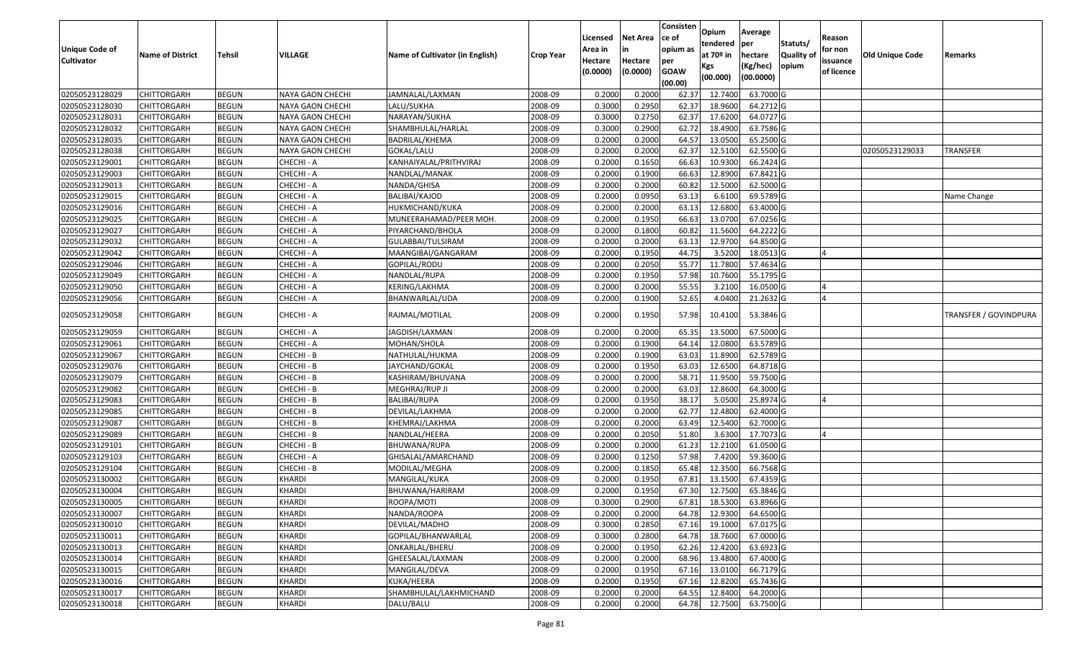| <b>Unique Code of</b><br><b>Cultivator</b> | <b>Name of District</b> | <b>Tehsil</b> | <b>VILLAGE</b>          | <b>Name of Cultivator (in English)</b> | <b>Crop Year</b> | Licensed<br>Area in<br>Hectare | <b>Net Area</b><br>Hectare | Consisten<br>ce of<br>opium as<br>per | Opium<br>tendered<br>at $70°$ in<br>Kgs | Average<br>per<br>hectare<br>(Kg/hec) | Statuts/<br>Quality of<br>opium | Reason<br>for non<br>issuance | <b>Old Unique Code</b> | Remarks               |
|--------------------------------------------|-------------------------|---------------|-------------------------|----------------------------------------|------------------|--------------------------------|----------------------------|---------------------------------------|-----------------------------------------|---------------------------------------|---------------------------------|-------------------------------|------------------------|-----------------------|
|                                            |                         |               |                         |                                        |                  | (0.0000)                       | (0.0000)                   | <b>GOAW</b><br>(00.00)                | (00.000)                                | (00.0000)                             |                                 | of licence                    |                        |                       |
| 02050523128029                             | <b>CHITTORGARH</b>      | <b>BEGUN</b>  | <b>NAYA GAON CHECHI</b> | JAMNALAL/LAXMAN                        | 2008-09          | 0.2000                         | 0.2000                     | 62.37                                 | 12.7400                                 | 63.7000 G                             |                                 |                               |                        |                       |
| 02050523128030                             | CHITTORGARH             | <b>BEGUN</b>  | NAYA GAON CHECHI        | LALU/SUKHA                             | 2008-09          | 0.3000                         | 0.2950                     | 62.37                                 | 18.9600                                 | 64.2712 G                             |                                 |                               |                        |                       |
| 02050523128031                             | <b>CHITTORGARH</b>      | <b>BEGUN</b>  | NAYA GAON CHECHI        | NARAYAN/SUKHA                          | 2008-09          | 0.3000                         | 0.2750                     | 62.37                                 | 17.6200                                 | 64.0727 G                             |                                 |                               |                        |                       |
| 02050523128032                             | <b>CHITTORGARH</b>      | <b>BEGUN</b>  | NAYA GAON CHECHI        | SHAMBHULAL/HARLAL                      | 2008-09          | 0.3000                         | 0.2900                     | 62.72                                 | 18.4900                                 | 63.7586 G                             |                                 |                               |                        |                       |
| 02050523128035                             | <b>CHITTORGARH</b>      | <b>BEGUN</b>  | NAYA GAON CHECHI        | BADRILAL/KHEMA                         | 2008-09          | 0.2000                         | 0.2000                     | 64.57                                 | 13.0500                                 | 65.2500 G                             |                                 |                               |                        |                       |
| 02050523128038                             | CHITTORGARH             | <b>BEGUN</b>  | NAYA GAON CHECHI        | GOKAL/LALU                             | 2008-09          | 0.2000                         | 0.2000                     | 62.37                                 | 12.5100                                 | 62.5500 G                             |                                 |                               | 02050523129033         | TRANSFER              |
| 02050523129001                             | CHITTORGARH             | <b>BEGUN</b>  | CHECHI - A              | KANHAIYALAL/PRITHVIRAJ                 | 2008-09          | 0.2000                         | 0.1650                     | 66.63                                 | 10.9300                                 | 66.2424 G                             |                                 |                               |                        |                       |
| 02050523129003                             | <b>CHITTORGARH</b>      | <b>BEGUN</b>  | CHECHI - A              | NANDLAL/MANAK                          | 2008-09          | 0.2000                         | 0.1900                     | 66.63                                 | 12.8900                                 | 67.8421 G                             |                                 |                               |                        |                       |
| 02050523129013                             | <b>CHITTORGARH</b>      | <b>BEGUN</b>  | CHECHI - A              | NANDA/GHISA                            | 2008-09          | 0.2000                         | 0.2000                     | 60.82                                 | 12.5000                                 | 62.5000 G                             |                                 |                               |                        |                       |
| 02050523129015                             | CHITTORGARH             | <b>BEGUN</b>  | CHECHI - A              | BALIBAI/KAJOD                          | 2008-09          | 0.2000                         | 0.0950                     | 63.13                                 | 6.6100                                  | 69.5789 G                             |                                 |                               |                        | Name Change           |
| 02050523129016                             | <b>CHITTORGARH</b>      | <b>BEGUN</b>  | CHECHI - A              | HUKMICHAND/KUKA                        | 2008-09          | 0.2000                         | 0.2000                     | 63.13                                 | 12.6800                                 | 63.4000 G                             |                                 |                               |                        |                       |
| 02050523129025                             | <b>CHITTORGARH</b>      | <b>BEGUN</b>  | CHECHI - A              | MUNEERAHAMAD/PEER MOH                  | 2008-09          | 0.2000                         | 0.1950                     | 66.63                                 | 13.0700                                 | 67.0256 G                             |                                 |                               |                        |                       |
| 02050523129027                             | <b>CHITTORGARH</b>      | <b>BEGUN</b>  | CHECHI - A              | PIYARCHAND/BHOLA                       | 2008-09          | 0.2000                         | 0.1800                     | 60.82                                 | 11.5600                                 | 64.2222 G                             |                                 |                               |                        |                       |
| 02050523129032                             | <b>CHITTORGARH</b>      | <b>BEGUN</b>  | CHECHI - A              | GULABBAI/TULSIRAM                      | 2008-09          | 0.2000                         | 0.2000                     | 63.13                                 | 12.9700                                 | 64.8500 G                             |                                 |                               |                        |                       |
| 02050523129042                             | <b>CHITTORGARH</b>      | <b>BEGUN</b>  | CHECHI - A              | MAANGIBAI/GANGARAM                     | 2008-09          | 0.2000                         | 0.1950                     | 44.75                                 | 3.5200                                  | 18.0513 G                             |                                 | $\overline{a}$                |                        |                       |
| 02050523129046                             | <b>CHITTORGARH</b>      | <b>BEGUN</b>  | CHECHI - A              | GOPILAL/RODU                           | 2008-09          | 0.2000                         | 0.2050                     | 55.77                                 | 11.7800                                 | 57.4634 G                             |                                 |                               |                        |                       |
| 02050523129049                             | <b>CHITTORGARH</b>      | <b>BEGUN</b>  | CHECHI - A              | NANDLAL/RUPA                           | 2008-09          | 0.2000                         | 0.1950                     | 57.98                                 | 10.7600                                 | 55.1795 G                             |                                 |                               |                        |                       |
| 02050523129050                             | CHITTORGARH             | <b>BEGUN</b>  | CHECHI - A              | KERING/LAKHMA                          | 2008-09          | 0.2000                         | 0.2000                     | 55.55                                 | 3.2100                                  | 16.0500 G                             |                                 |                               |                        |                       |
| 02050523129056                             | CHITTORGARH             | <b>BEGUN</b>  | CHECHI - A              | BHANWARLAL/UDA                         | 2008-09          | 0.2000                         | 0.1900                     | 52.65                                 | 4.0400                                  | 21.2632 G                             |                                 | $\overline{a}$                |                        |                       |
| 02050523129058                             | CHITTORGARH             | <b>BEGUN</b>  | CHECHI - A              | RAJMAL/MOTILAL                         | 2008-09          | 0.2000                         | 0.1950                     | 57.98                                 | 10.4100                                 | 53.3846 G                             |                                 |                               |                        | TRANSFER / GOVINDPURA |
| 02050523129059                             | CHITTORGARH             | <b>BEGUN</b>  | CHECHI - A              | JAGDISH/LAXMAN                         | 2008-09          | 0.2000                         | 0.2000                     | 65.35                                 | 13.5000                                 | 67.5000 G                             |                                 |                               |                        |                       |
| 02050523129061                             | CHITTORGARH             | <b>BEGUN</b>  | CHECHI - A              | MOHAN/SHOLA                            | 2008-09          | 0.2000                         | 0.1900                     | 64.14                                 | 12.0800                                 | 63.5789 G                             |                                 |                               |                        |                       |
| 02050523129067                             | <b>CHITTORGARH</b>      | <b>BEGUN</b>  | CHECHI - B              | NATHULAL/HUKMA                         | 2008-09          | 0.2000                         | 0.1900                     | 63.03                                 | 11.8900                                 | 62.5789 G                             |                                 |                               |                        |                       |
| 02050523129076                             | <b>CHITTORGARH</b>      | <b>BEGUN</b>  | CHECHI - B              | JAYCHAND/GOKAL                         | 2008-09          | 0.2000                         | 0.1950                     | 63.03                                 | 12.6500                                 | 64.8718 G                             |                                 |                               |                        |                       |
| 02050523129079                             | <b>CHITTORGARH</b>      | <b>BEGUN</b>  | CHECHI - B              | KASHIRAM/BHUVANA                       | 2008-09          | 0.2000                         | 0.2000                     | 58.7                                  | 11.9500                                 | 59.7500 G                             |                                 |                               |                        |                       |
| 02050523129082                             | CHITTORGARH             | <b>BEGUN</b>  | CHECHI - B              | MEGHRAJ/RUP JI                         | 2008-09          | 0.2000                         | 0.2000                     | 63.03                                 | 12.8600                                 | 64.3000 G                             |                                 |                               |                        |                       |
| 02050523129083                             | <b>CHITTORGARH</b>      | <b>BEGUN</b>  | CHECHI - B              | BALIBAI/RUPA                           | 2008-09          | 0.2000                         | 0.1950                     | 38.17                                 | 5.0500                                  | 25.8974 G                             |                                 | $\overline{a}$                |                        |                       |
| 02050523129085                             | <b>CHITTORGARH</b>      | <b>BEGUN</b>  | CHECHI - B              | DEVILAL/LAKHMA                         | 2008-09          | 0.2000                         | 0.2000                     | 62.77                                 | 12.4800                                 | 62.4000 G                             |                                 |                               |                        |                       |
| 02050523129087                             | CHITTORGARH             | <b>BEGUN</b>  | CHECHI - B              | KHEMRAJ/LAKHMA                         | 2008-09          | 0.2000                         | 0.2000                     | 63.49                                 | 12.5400                                 | 62.7000 G                             |                                 |                               |                        |                       |
| 02050523129089                             | CHITTORGARH             | <b>BEGUN</b>  | CHECHI - B              | NANDLAL/HEERA                          | 2008-09          | 0.2000                         | 0.2050                     | 51.80                                 | 3.6300                                  | 17.7073 G                             |                                 |                               |                        |                       |
| 02050523129101                             | CHITTORGARH             | <b>BEGUN</b>  | CHECHI - B              | BHUWANA/RUPA                           | 2008-09          | 0.2000                         | 0.2000                     | 61.2                                  | 12.2100                                 | 61.0500 G                             |                                 |                               |                        |                       |
| 02050523129103                             | <b>CHITTORGARH</b>      | <b>BEGUN</b>  | CHECHI - A              | GHISALAL/AMARCHAND                     | 2008-09          | 0.2000                         | 0.1250                     | 57.98                                 | 7.4200                                  | 59.3600 G                             |                                 |                               |                        |                       |
| 02050523129104                             | <b>CHITTORGARH</b>      | <b>BEGUN</b>  | CHECHI - B              | MODILAL/MEGHA                          | 2008-09          | 0.2000                         | 0.1850                     | 65.48                                 | 12.3500                                 | 66.7568 G                             |                                 |                               |                        |                       |
| 02050523130002                             | CHITTORGARH             | <b>BEGUN</b>  | KHARDI                  | MANGILAL/KUKA                          | 2008-09          | 0.2000                         | 0.1950                     | 67.8                                  | 13.1500                                 | 67.4359 G                             |                                 |                               |                        |                       |
| 02050523130004                             | <b>CHITTORGARH</b>      | <b>BEGUN</b>  | <b>KHARDI</b>           | BHUWANA/HARIRAM                        | 2008-09          | 0.2000                         | 0.1950                     | 67.30                                 | 12.7500                                 | 65.3846 G                             |                                 |                               |                        |                       |
| 02050523130005                             | <b>CHITTORGARH</b>      | <b>BEGUN</b>  | <b>KHARDI</b>           | ROOPA/MOTI                             | 2008-09          | 0.3000                         | 0.2900                     | 67.81                                 | 18.5300                                 | 63.8966 G                             |                                 |                               |                        |                       |
| 02050523130007                             | <b>CHITTORGARH</b>      | <b>BEGUN</b>  | KHARDI                  | NANDA/ROOPA                            | 2008-09          | 0.2000                         | 0.2000                     | 64.78                                 | 12.9300                                 | 64.6500 G                             |                                 |                               |                        |                       |
| 02050523130010                             | <b>CHITTORGARH</b>      | <b>BEGUN</b>  | <b>KHARDI</b>           | DEVILAL/MADHO                          | 2008-09          | 0.3000                         | 0.2850                     | 67.16                                 | 19.1000                                 | 67.0175 G                             |                                 |                               |                        |                       |
| 02050523130011                             | <b>CHITTORGARH</b>      | <b>BEGUN</b>  | <b>KHARDI</b>           | GOPILAL/BHANWARLAL                     | 2008-09          | 0.3000                         | 0.2800                     | 64.78                                 | 18.7600                                 | 67.0000 G                             |                                 |                               |                        |                       |
| 02050523130013                             | <b>CHITTORGARH</b>      | <b>BEGUN</b>  | <b>KHARDI</b>           | ONKARLAL/BHERU                         | 2008-09          | 0.2000                         | 0.1950                     | 62.26                                 | 12.4200                                 | 63.6923 G                             |                                 |                               |                        |                       |
| 02050523130014                             | <b>CHITTORGARH</b>      | <b>BEGUN</b>  | <b>KHARDI</b>           | GHEESALAL/LAXMAN                       | 2008-09          | 0.2000                         | 0.2000                     | 68.96                                 | 13.4800                                 | 67.4000 G                             |                                 |                               |                        |                       |
| 02050523130015                             | <b>CHITTORGARH</b>      | <b>BEGUN</b>  | <b>KHARDI</b>           | MANGILAL/DEVA                          | 2008-09          | 0.2000                         | 0.1950                     | 67.16                                 | 13.0100                                 | 66.7179 G                             |                                 |                               |                        |                       |
| 02050523130016                             | <b>CHITTORGARH</b>      | <b>BEGUN</b>  | KHARDI                  | KUKA/HEERA                             | 2008-09          | 0.2000                         | 0.1950                     | 67.16                                 | 12.8200                                 | 65.7436 G                             |                                 |                               |                        |                       |
| 02050523130017                             | <b>CHITTORGARH</b>      | <b>BEGUN</b>  | <b>KHARDI</b>           | SHAMBHULAL/LAKHMICHAND                 | 2008-09          | 0.2000                         | 0.2000                     | 64.55                                 | 12.8400                                 | 64.2000 G                             |                                 |                               |                        |                       |
| 02050523130018                             | <b>CHITTORGARH</b>      | <b>BEGUN</b>  | <b>KHARDI</b>           | DALU/BALU                              | 2008-09          | 0.2000                         | 0.2000                     | 64.78                                 | 12.7500                                 | 63.7500 G                             |                                 |                               |                        |                       |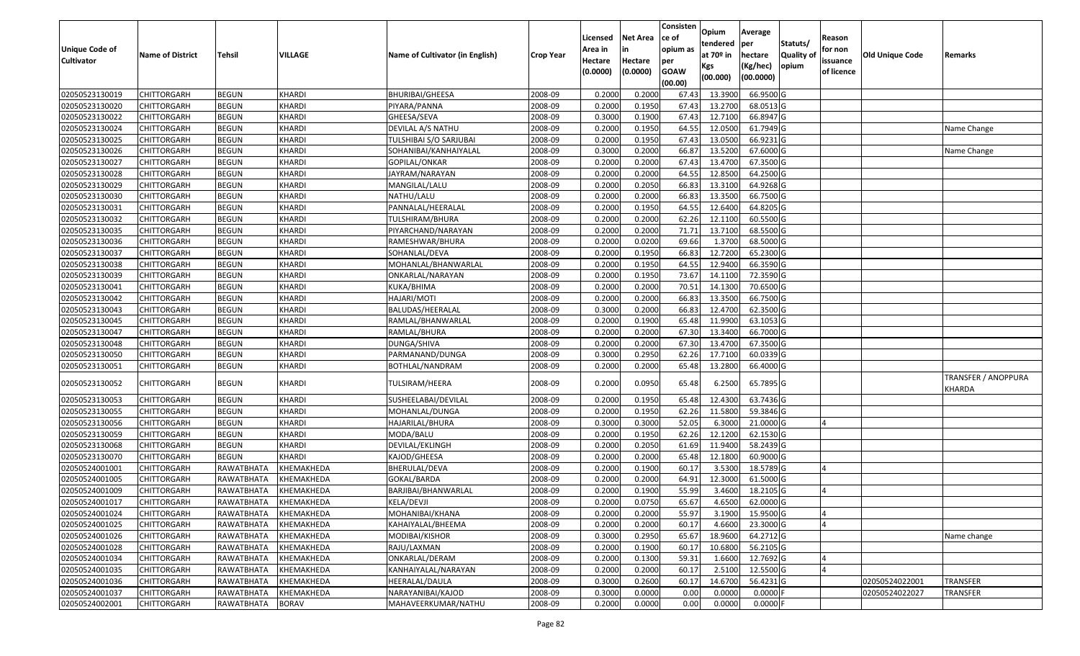| <b>Unique Code of</b> | <b>Name of District</b> | <b>Tehsil</b>     | VILLAGE       | Name of Cultivator (in English) | <b>Crop Year</b> | Licensed<br>Area in | Net Area<br>in      | Consisten<br>ce of<br>opium as | Opium<br>tendered<br>at 70º in | Average<br>per<br>hectare | Statuts/<br><b>Quality of</b> | Reason<br>for non      | <b>Old Unique Code</b> | Remarks                       |
|-----------------------|-------------------------|-------------------|---------------|---------------------------------|------------------|---------------------|---------------------|--------------------------------|--------------------------------|---------------------------|-------------------------------|------------------------|------------------------|-------------------------------|
| <b>Cultivator</b>     |                         |                   |               |                                 |                  | Hectare<br>(0.0000) | Hectare<br>(0.0000) | per<br><b>GOAW</b><br>(00.00)  | Kgs<br>(00.000)                | (Kg/hec)<br>(00.0000)     | opium                         | issuance<br>of licence |                        |                               |
| 02050523130019        | <b>CHITTORGARH</b>      | <b>BEGUN</b>      | KHARDI        | <b>BHURIBAI/GHEESA</b>          | 2008-09          | 0.2000              | 0.2000              | 67.43                          | 13.3900                        | 66.9500 G                 |                               |                        |                        |                               |
| 02050523130020        | CHITTORGARH             | <b>BEGUN</b>      | KHARDI        | PIYARA/PANNA                    | 2008-09          | 0.2000              | 0.1950              | 67.43                          | 13.2700                        | 68.0513 G                 |                               |                        |                        |                               |
| 02050523130022        | CHITTORGARH             | <b>BEGUN</b>      | KHARDI        | GHEESA/SEVA                     | 2008-09          | 0.3000              | 0.1900              | 67.43                          | 12.7100                        | 66.8947 G                 |                               |                        |                        |                               |
| 02050523130024        | <b>CHITTORGARH</b>      | <b>BEGUN</b>      | KHARDI        | DEVILAL A/S NATHU               | 2008-09          | 0.2000              | 0.1950              | 64.55                          | 12.0500                        | 61.7949 G                 |                               |                        |                        | Name Change                   |
| 02050523130025        | CHITTORGARH             | <b>BEGUN</b>      | KHARDI        | TULSHIBAI S/O SARJUBAI          | 2008-09          | 0.2000              | 0.1950              | 67.43                          | 13.0500                        | 66.9231 G                 |                               |                        |                        |                               |
| 02050523130026        | CHITTORGARH             | <b>BEGUN</b>      | KHARDI        | SOHANIBAI/KANHAIYALAL           | 2008-09          | 0.3000              | 0.2000              | 66.87                          | 13.5200                        | 67.6000 G                 |                               |                        |                        | Name Change                   |
| 02050523130027        | CHITTORGARH             | <b>BEGUN</b>      | KHARDI        | GOPILAL/ONKAR                   | 2008-09          | 0.2000              | 0.2000              | 67.43                          | 13.4700                        | 67.3500 G                 |                               |                        |                        |                               |
| 02050523130028        | <b>CHITTORGARH</b>      | <b>BEGUN</b>      | KHARDI        | JAYRAM/NARAYAN                  | 2008-09          | 0.2000              | 0.2000              | 64.55                          | 12.8500                        | 64.2500 G                 |                               |                        |                        |                               |
| 02050523130029        | CHITTORGARH             | <b>BEGUN</b>      | KHARDI        | MANGILAL/LALU                   | 2008-09          | 0.2000              | 0.2050              | 66.83                          | 13.3100                        | 64.9268 G                 |                               |                        |                        |                               |
| 02050523130030        | CHITTORGARH             | <b>BEGUN</b>      | KHARDI        | NATHU/LALU                      | 2008-09          | 0.2000              | 0.2000              | 66.83                          | 13.3500                        | 66.7500 G                 |                               |                        |                        |                               |
| 02050523130031        | CHITTORGARH             | <b>BEGUN</b>      | KHARDI        | PANNALAL/HEERALAL               | 2008-09          | 0.2000              | 0.1950              | 64.55                          | 12.6400                        | 64.8205 G                 |                               |                        |                        |                               |
| 02050523130032        | <b>CHITTORGARH</b>      | <b>BEGUN</b>      | KHARDI        | TULSHIRAM/BHURA                 | 2008-09          | 0.2000              | 0.2000              | 62.26                          | 12.1100                        | 60.5500 G                 |                               |                        |                        |                               |
| 02050523130035        | <b>CHITTORGARH</b>      | <b>BEGUN</b>      | <b>KHARDI</b> | PIYARCHAND/NARAYAN              | 2008-09          | 0.2000              | 0.2000              | 71.71                          | 13.7100                        | 68.5500 G                 |                               |                        |                        |                               |
| 02050523130036        | <b>CHITTORGARH</b>      | <b>BEGUN</b>      | KHARDI        | RAMESHWAR/BHURA                 | 2008-09          | 0.2000              | 0.0200              | 69.66                          | 1.3700                         | 68.5000 G                 |                               |                        |                        |                               |
| 02050523130037        | CHITTORGARH             | <b>BEGUN</b>      | KHARDI        | SOHANLAL/DEVA                   | 2008-09          | 0.2000              | 0.1950              | 66.83                          | 12.7200                        | 65.2300 G                 |                               |                        |                        |                               |
| 02050523130038        | <b>CHITTORGARH</b>      | <b>BEGUN</b>      | KHARDI        | MOHANLAL/BHANWARLAL             | 2008-09          | 0.2000              | 0.1950              | 64.55                          | 12.9400                        | 66.3590 G                 |                               |                        |                        |                               |
| 02050523130039        | CHITTORGARH             | <b>BEGUN</b>      | KHARDI        | ONKARLAL/NARAYAN                | 2008-09          | 0.2000              | 0.1950              | 73.67                          | 14.1100                        | 72.3590 G                 |                               |                        |                        |                               |
| 02050523130041        | CHITTORGARH             | <b>BEGUN</b>      | KHARDI        | KUKA/BHIMA                      | 2008-09          | 0.2000              | 0.2000              | 70.51                          | 14.1300                        | 70.6500 G                 |                               |                        |                        |                               |
| 02050523130042        | CHITTORGARH             | <b>BEGUN</b>      | KHARDI        | HAJARI/MOTI                     | 2008-09          | 0.2000              | 0.2000              | 66.83                          | 13.3500                        | 66.7500 G                 |                               |                        |                        |                               |
| 02050523130043        | CHITTORGARH             | <b>BEGUN</b>      | KHARDI        | BALUDAS/HEERALAL                | 2008-09          | 0.3000              | 0.2000              | 66.83                          | 12.4700                        | 62.3500 G                 |                               |                        |                        |                               |
| 02050523130045        | CHITTORGARH             | <b>BEGUN</b>      | KHARDI        | RAMLAL/BHANWARLAL               | 2008-09          | 0.2000              | 0.1900              | 65.48                          | 11.9900                        | 63.1053 G                 |                               |                        |                        |                               |
| 02050523130047        | CHITTORGARH             | <b>BEGUN</b>      | KHARDI        | RAMLAL/BHURA                    | 2008-09          | 0.2000              | 0.2000              | 67.30                          | 13.3400                        | 66.7000 G                 |                               |                        |                        |                               |
| 02050523130048        | CHITTORGARH             | <b>BEGUN</b>      | KHARDI        | DUNGA/SHIVA                     | 2008-09          | 0.2000              | 0.2000              | 67.30                          | 13.4700                        | 67.3500 G                 |                               |                        |                        |                               |
| 02050523130050        | CHITTORGARH             | <b>BEGUN</b>      | KHARDI        | PARMANAND/DUNGA                 | 2008-09          | 0.3000              | 0.2950              | 62.26                          | 17.7100                        | 60.0339 G                 |                               |                        |                        |                               |
| 02050523130051        | CHITTORGARH             | <b>BEGUN</b>      | <b>KHARDI</b> | BOTHLAL/NANDRAM                 | 2008-09          | 0.2000              | 0.2000              | 65.48                          | 13.2800                        | 66.4000 G                 |                               |                        |                        |                               |
| 02050523130052        | CHITTORGARH             | <b>BEGUN</b>      | KHARDI        | TULSIRAM/HEERA                  | 2008-09          | 0.2000              | 0.0950              | 65.48                          | 6.2500                         | 65.7895 G                 |                               |                        |                        | TRANSFER / ANOPPURA<br>KHARDA |
| 02050523130053        | CHITTORGARH             | <b>BEGUN</b>      | KHARDI        | SUSHEELABAI/DEVILAL             | 2008-09          | 0.2000              | 0.1950              | 65.48                          | 12.4300                        | 63.7436 G                 |                               |                        |                        |                               |
| 02050523130055        | <b>CHITTORGARH</b>      | <b>BEGUN</b>      | KHARDI        | MOHANLAL/DUNGA                  | 2008-09          | 0.2000              | 0.1950              | 62.26                          | 11.5800                        | 59.3846 G                 |                               |                        |                        |                               |
| 02050523130056        | CHITTORGARH             | <b>BEGUN</b>      | <b>KHARDI</b> | HAJARILAL/BHURA                 | 2008-09          | 0.3000              | 0.3000              | 52.05                          | 6.3000                         | 21.0000 G                 |                               |                        |                        |                               |
| 02050523130059        | CHITTORGARH             | <b>BEGUN</b>      | KHARDI        | MODA/BALU                       | 2008-09          | 0.2000              | 0.1950              | 62.26                          | 12.1200                        | 62.1530 G                 |                               |                        |                        |                               |
| 02050523130068        | CHITTORGARH             | <b>BEGUN</b>      | KHARDI        | DEVILAL/EKLINGH                 | 2008-09          | 0.2000              | 0.2050              | 61.69                          | 11.9400                        | 58.2439 G                 |                               |                        |                        |                               |
| 02050523130070        | <b>CHITTORGARH</b>      | <b>BEGUN</b>      | KHARDI        | KAJOD/GHEESA                    | 2008-09          | 0.2000              | 0.2000              | 65.48                          | 12.1800                        | 60.9000 G                 |                               |                        |                        |                               |
| 02050524001001        | <b>CHITTORGARH</b>      | RAWATBHATA        | KHEMAKHEDA    | BHERULAL/DEVA                   | 2008-09          | 0.2000              | 0.1900              | 60.17                          | 3.5300                         | 18.5789 G                 |                               | IΔ                     |                        |                               |
| 02050524001005        | CHITTORGARH             | RAWATBHATA        | KHEMAKHEDA    | GOKAL/BARDA                     | 2008-09          | 0.2000              | 0.2000              | 64.91                          | 12.3000                        | 61.5000 G                 |                               |                        |                        |                               |
| 02050524001009        | CHITTORGARH             | RAWATBHATA        | KHEMAKHEDA    | BARJIBAI/BHANWARLAL             | 2008-09          | 0.2000              | 0.1900              | 55.99                          | 3.4600                         | 18.2105 G                 |                               |                        |                        |                               |
| 02050524001017        | <b>CHITTORGARH</b>      | RAWATBHATA        | KHEMAKHEDA    | KELA/DEVJI                      | 2008-09          | 0.2000              | 0.0750              | 65.67                          |                                | 4.6500 62.0000 G          |                               |                        |                        |                               |
| 02050524001024        | <b>CHITTORGARH</b>      | RAWATBHATA        | KHEMAKHEDA    | MOHANIBAI/KHANA                 | 2008-09          | 0.2000              | 0.2000              | 55.97                          | 3.1900                         | 15.9500 G                 |                               | IΔ                     |                        |                               |
| 02050524001025        | <b>CHITTORGARH</b>      | RAWATBHATA        | KHEMAKHEDA    | KAHAIYALAL/BHEEMA               | 2008-09          | 0.2000              | 0.2000              | 60.17                          | 4.6600                         | 23.3000 G                 |                               |                        |                        |                               |
| 02050524001026        | <b>CHITTORGARH</b>      | RAWATBHATA        | KHEMAKHEDA    | MODIBAI/KISHOR                  | 2008-09          | 0.3000              | 0.2950              | 65.67                          | 18.9600                        | 64.2712 G                 |                               |                        |                        | Name change                   |
| 02050524001028        | <b>CHITTORGARH</b>      | RAWATBHATA        | KHEMAKHEDA    | RAJU/LAXMAN                     | 2008-09          | 0.2000              | 0.1900              | 60.17                          | 10.6800                        | 56.2105 G                 |                               |                        |                        |                               |
| 02050524001034        | <b>CHITTORGARH</b>      | RAWATBHATA        | KHEMAKHEDA    | ONKARLAL/DERAM                  | 2008-09          | 0.2000              | 0.1300              | 59.31                          | 1.6600                         | 12.7692 G                 |                               |                        |                        |                               |
| 02050524001035        | <b>CHITTORGARH</b>      | RAWATBHATA        | KHEMAKHEDA    | KANHAIYALAL/NARAYAN             | 2008-09          | 0.2000              | 0.2000              | 60.17                          | 2.5100                         | 12.5500 G                 |                               | $\Delta$               |                        |                               |
| 02050524001036        | <b>CHITTORGARH</b>      | RAWATBHATA        | KHEMAKHEDA    | HEERALAL/DAULA                  | 2008-09          | 0.3000              | 0.2600              | 60.17                          | 14.6700                        | 56.4231 G                 |                               |                        | 02050524022001         | <b>TRANSFER</b>               |
| 02050524001037        | <b>CHITTORGARH</b>      | <b>RAWATBHATA</b> | KHEMAKHEDA    | NARAYANIBAI/KAJOD               | 2008-09          | 0.3000              | 0.0000              | 0.00                           | 0.0000                         | $0.0000$ F                |                               |                        | 02050524022027         | TRANSFER                      |
| 02050524002001        | <b>CHITTORGARH</b>      | RAWATBHATA        | <b>BORAV</b>  | MAHAVEERKUMAR/NATHU             | 2008-09          | 0.2000              | 0.0000              | 0.00                           | 0.0000                         | $0.0000$ F                |                               |                        |                        |                               |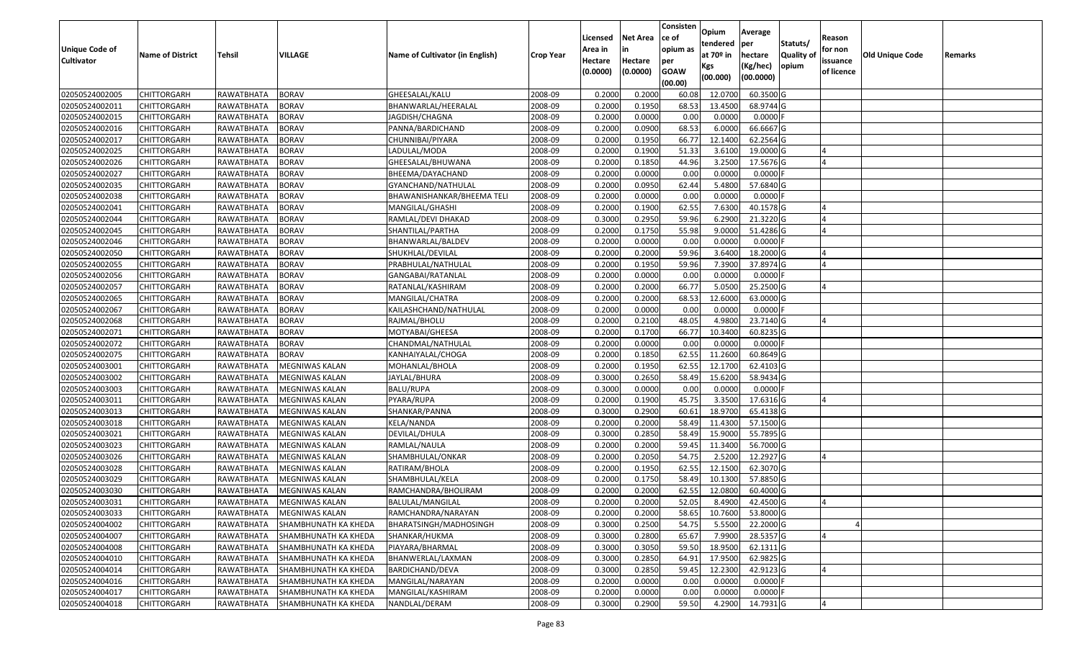|                       |                         |               |                             |                                 |                  | Licensed | <b>Net Area</b> | Consisten<br>ce of | Opium           | Average               |                  | Reason     |                 |         |
|-----------------------|-------------------------|---------------|-----------------------------|---------------------------------|------------------|----------|-----------------|--------------------|-----------------|-----------------------|------------------|------------|-----------------|---------|
| <b>Unique Code of</b> |                         |               |                             |                                 |                  | Area in  |                 | opium as           | tendered        | per                   | Statuts/         | for non    |                 |         |
| <b>Cultivator</b>     | <b>Name of District</b> | <b>Tehsil</b> | <b>VILLAGE</b>              | Name of Cultivator (in English) | <b>Crop Year</b> | Hectare  | Hectare         | per                | at $70°$ in     | hectare               | <b>Quality o</b> | issuance   | Old Unique Code | Remarks |
|                       |                         |               |                             |                                 |                  | (0.0000) | (0.0000)        | <b>GOAW</b>        | Kgs<br>(00.000) | (Kg/hec)<br>(00.0000) | opium            | of licence |                 |         |
|                       |                         |               |                             |                                 |                  |          |                 | (00.00)            |                 |                       |                  |            |                 |         |
| 02050524002005        | CHITTORGARH             | RAWATBHATA    | <b>BORAV</b>                | GHEESALAL/KALU                  | 2008-09          | 0.2000   | 0.2000          | 60.08              | 12.0700         | 60.3500 G             |                  |            |                 |         |
| 02050524002011        | CHITTORGARH             | RAWATBHATA    | <b>BORAV</b>                | BHANWARLAL/HEERALAL             | 2008-09          | 0.2000   | 0.1950          | 68.53              | 13.4500         | 68.9744 G             |                  |            |                 |         |
| 02050524002015        | CHITTORGARH             | RAWATBHATA    | <b>BORAV</b>                | JAGDISH/CHAGNA                  | 2008-09          | 0.2000   | 0.0000          | 0.00               | 0.0000          | 0.0000                |                  |            |                 |         |
| 02050524002016        | <b>CHITTORGARH</b>      | RAWATBHATA    | <b>BORAV</b>                | PANNA/BARDICHAND                | 2008-09          | 0.2000   | 0.0900          | 68.53              | 6.0000          | 66.6667 G             |                  |            |                 |         |
| 02050524002017        | CHITTORGARH             | RAWATBHATA    | <b>BORAV</b>                | CHUNNIBAI/PIYARA                | 2008-09          | 0.2000   | 0.1950          | 66.77              | 12.1400         | 62.2564 G             |                  |            |                 |         |
| 02050524002025        | CHITTORGARH             | RAWATBHATA    | <b>BORAV</b>                | LADULAL/MODA                    | 2008-09          | 0.2000   | 0.1900          | 51.33              | 3.6100          | 19.0000 G             |                  |            |                 |         |
| 02050524002026        | CHITTORGARH             | RAWATBHATA    | <b>BORAV</b>                | GHEESALAL/BHUWANA               | 2008-09          | 0.2000   | 0.1850          | 44.96              | 3.2500          | 17.5676 G             |                  |            |                 |         |
| 02050524002027        | CHITTORGARH             | RAWATBHATA    | <b>BORAV</b>                | BHEEMA/DAYACHAND                | 2008-09          | 0.2000   | 0.0000          | 0.00               | 0.0000          | $0.0000$ F            |                  |            |                 |         |
| 02050524002035        | CHITTORGARH             | RAWATBHATA    | <b>BORAV</b>                | GYANCHAND/NATHULAL              | 2008-09          | 0.2000   | 0.0950          | 62.44              | 5.4800          | 57.6840 G             |                  |            |                 |         |
| 02050524002038        | CHITTORGARH             | RAWATBHATA    | <b>BORAV</b>                | BHAWANISHANKAR/BHEEMA TELI      | 2008-09          | 0.2000   | 0.0000          | 0.00               | 0.0000          | $0.0000$ F            |                  |            |                 |         |
| 02050524002041        | CHITTORGARH             | RAWATBHATA    | <b>BORAV</b>                | MANGILAL/GHASHI                 | 2008-09          | 0.2000   | 0.1900          | 62.55              | 7.6300          | 40.1578 G             |                  |            |                 |         |
| 02050524002044        | CHITTORGARH             | RAWATBHATA    | <b>BORAV</b>                | RAMLAL/DEVI DHAKAD              | 2008-09          | 0.3000   | 0.2950          | 59.96              | 6.2900          | 21.3220 G             |                  |            |                 |         |
| 02050524002045        | <b>CHITTORGARH</b>      | RAWATBHATA    | <b>BORAV</b>                | SHANTILAL/PARTHA                | 2008-09          | 0.2000   | 0.1750          | 55.98              | 9.0000          | 51.4286 G             |                  |            |                 |         |
| 02050524002046        | CHITTORGARH             | RAWATBHATA    | <b>BORAV</b>                | BHANWARLAL/BALDEV               | 2008-09          | 0.2000   | 0.0000          | 0.00               | 0.0000          | $0.0000$ F            |                  |            |                 |         |
| 02050524002050        | CHITTORGARH             | RAWATBHATA    | <b>BORAV</b>                | SHUKHLAL/DEVILAL                | 2008-09          | 0.2000   | 0.2000          | 59.96              | 3.6400          | 18.2000 G             |                  |            |                 |         |
| 02050524002055        | CHITTORGARH             | RAWATBHATA    | <b>BORAV</b>                | PRABHULAL/NATHULAL              | 2008-09          | 0.2000   | 0.1950          | 59.96              | 7.3900          | 37.8974 G             |                  |            |                 |         |
| 02050524002056        | CHITTORGARH             | RAWATBHATA    | <b>BORAV</b>                | GANGABAI/RATANLAL               | 2008-09          | 0.2000   | 0.0000          | 0.00               | 0.0000          | $0.0000$ F            |                  |            |                 |         |
| 02050524002057        | CHITTORGARH             | RAWATBHATA    | <b>BORAV</b>                | RATANLAL/KASHIRAM               | 2008-09          | 0.2000   | 0.2000          | 66.77              | 5.0500          | 25.2500 G             |                  |            |                 |         |
| 02050524002065        | CHITTORGARH             | RAWATBHATA    | <b>BORAV</b>                | MANGILAL/CHATRA                 | 2008-09          | 0.2000   | 0.2000          | 68.53              | 12.6000         | 63.0000G              |                  |            |                 |         |
| 02050524002067        | CHITTORGARH             | RAWATBHATA    | <b>BORAV</b>                | KAILASHCHAND/NATHULAL           | 2008-09          | 0.2000   | 0.0000          | 0.00               | 0.0000          | 0.0000                |                  |            |                 |         |
| 02050524002068        | CHITTORGARH             | RAWATBHATA    | <b>BORAV</b>                | RAJMAL/BHOLU                    | 2008-09          | 0.2000   | 0.2100          | 48.05              | 4.9800          | 23.7140 G             |                  |            |                 |         |
| 02050524002071        | CHITTORGARH             | RAWATBHATA    | <b>BORAV</b>                | MOTYABAI/GHEESA                 | 2008-09          | 0.2000   | 0.1700          | 66.77              | 10.3400         | 60.8235 G             |                  |            |                 |         |
| 02050524002072        | CHITTORGARH             | RAWATBHATA    | <b>BORAV</b>                | CHANDMAL/NATHULAL               | 2008-09          | 0.2000   | 0.0000          | 0.00               | 0.0000          | $0.0000$ F            |                  |            |                 |         |
| 02050524002075        | CHITTORGARH             | RAWATBHATA    | <b>BORAV</b>                | KANHAIYALAL/CHOGA               | 2008-09          | 0.2000   | 0.1850          | 62.55              | 11.2600         | 60.8649 G             |                  |            |                 |         |
| 02050524003001        | <b>CHITTORGARH</b>      | RAWATBHATA    | MEGNIWAS KALAN              | MOHANLAL/BHOLA                  | 2008-09          | 0.2000   | 0.1950          | 62.55              | 12.1700         | 62.4103 G             |                  |            |                 |         |
| 02050524003002        | CHITTORGARH             | RAWATBHATA    | MEGNIWAS KALAN              | JAYLAL/BHURA                    | 2008-09          | 0.3000   | 0.2650          | 58.49              | 15.6200         | 58.9434 G             |                  |            |                 |         |
| 02050524003003        | CHITTORGARH             | RAWATBHATA    | MEGNIWAS KALAN              | BALU/RUPA                       | 2008-09          | 0.3000   | 0.0000          | 0.00               | 0.0000          | $0.0000$ F            |                  |            |                 |         |
| 02050524003011        | CHITTORGARH             | RAWATBHATA    | MEGNIWAS KALAN              | PYARA/RUPA                      | 2008-09          | 0.2000   | 0.1900          | 45.75              | 3.3500          | 17.6316 G             |                  |            |                 |         |
| 02050524003013        | CHITTORGARH             | RAWATBHATA    | MEGNIWAS KALAN              | SHANKAR/PANNA                   | 2008-09          | 0.3000   | 0.2900          | 60.61              | 18.9700         | 65.4138 G             |                  |            |                 |         |
| 02050524003018        | CHITTORGARH             | RAWATBHATA    | MEGNIWAS KALAN              | <b>KELA/NANDA</b>               | 2008-09          | 0.2000   | 0.2000          | 58.49              | 11.4300         | 57.1500 G             |                  |            |                 |         |
| 02050524003021        | CHITTORGARH             | RAWATBHATA    | MEGNIWAS KALAN              | DEVILAL/DHULA                   | 2008-09          | 0.3000   | 0.2850          | 58.49              | 15.9000         | 55.7895 G             |                  |            |                 |         |
| 02050524003023        | CHITTORGARH             | RAWATBHATA    | MEGNIWAS KALAN              | RAMLAL/NAULA                    | 2008-09          | 0.2000   | 0.2000          | 59.45              | 11.3400         | 56.7000 G             |                  |            |                 |         |
| 02050524003026        | CHITTORGARH             | RAWATBHATA    | MEGNIWAS KALAN              | SHAMBHULAL/ONKAR                | 2008-09          | 0.2000   | 0.2050          | 54.75              | 2.5200          | 12.2927 G             |                  |            |                 |         |
| 02050524003028        | CHITTORGARH             | RAWATBHATA    | MEGNIWAS KALAN              | RATIRAM/BHOLA                   | 2008-09          | 0.2000   | 0.1950          | 62.55              | 12.1500         | 62.3070 G             |                  |            |                 |         |
| 02050524003029        | CHITTORGARH             | RAWATBHATA    | MEGNIWAS KALAN              | SHAMBHULAL/KELA                 | 2008-09          | 0.2000   | 0.1750          | 58.49              | 10.1300         | 57.8850G              |                  |            |                 |         |
| 02050524003030        | CHITTORGARH             | RAWATBHATA    | MEGNIWAS KALAN              | RAMCHANDRA/BHOLIRAM             | 2008-09          | 0.2000   | 0.2000          | 62.55              | 12.0800         | 60.4000 G             |                  |            |                 |         |
| 02050524003031        | <b>CHITTORGARH</b>      | RAWATBHATA    | <b>MEGNIWAS KALAN</b>       | BALULAL/MANGILAL                | 2008-09          | 0.2000   | 0.2000          | 52.05              | 8.4900          | 42.4500 G             |                  |            |                 |         |
| 02050524003033        | CHITTORGARH             | RAWATBHATA    | MEGNIWAS KALAN              | RAMCHANDRA/NARAYAN              | 2008-09          | 0.2000   | 0.2000          | 58.65              | 10.7600         | 53.8000 G             |                  |            |                 |         |
| 02050524004002        | <b>CHITTORGARH</b>      | RAWATBHATA    | <b>SHAMBHUNATH KA KHEDA</b> | BHARATSINGH/MADHOSINGH          | 2008-09          | 0.3000   | 0.2500          | 54.75              | 5.5500          | 22.2000 G             |                  |            |                 |         |
| 02050524004007        | <b>CHITTORGARH</b>      | RAWATBHATA    | SHAMBHUNATH KA KHEDA        | SHANKAR/HUKMA                   | 2008-09          | 0.3000   | 0.2800          | 65.67              | 7.9900          | 28.5357 G             |                  |            |                 |         |
| 02050524004008        | <b>CHITTORGARH</b>      | RAWATBHATA    | SHAMBHUNATH KA KHEDA        | PIAYARA/BHARMAL                 | 2008-09          | 0.3000   | 0.3050          | 59.50              | 18.9500         | 62.1311 G             |                  |            |                 |         |
| 02050524004010        | <b>CHITTORGARH</b>      | RAWATBHATA    | SHAMBHUNATH KA KHEDA        | BHANWERLAL/LAXMAN               | 2008-09          | 0.3000   | 0.2850          | 64.91              | 17.9500         | 62.9825 G             |                  |            |                 |         |
| 02050524004014        | <b>CHITTORGARH</b>      | RAWATBHATA    | SHAMBHUNATH KA KHEDA        | <b>BARDICHAND/DEVA</b>          | 2008-09          | 0.3000   | 0.2850          | 59.45              | 12.2300         | 42.9123 G             |                  |            |                 |         |
| 02050524004016        | CHITTORGARH             | RAWATBHATA    | <b>SHAMBHUNATH KA KHEDA</b> | MANGILAL/NARAYAN                | 2008-09          | 0.2000   | 0.0000          | 0.00               | 0.0000          | $0.0000$ F            |                  |            |                 |         |
| 02050524004017        | CHITTORGARH             | RAWATBHATA    | SHAMBHUNATH KA KHEDA        | MANGILAL/KASHIRAM               | 2008-09          | 0.2000   | 0.0000          | 0.00               | 0.0000          | 0.0000F               |                  |            |                 |         |
| 02050524004018        | <b>CHITTORGARH</b>      | RAWATBHATA    | <b>SHAMBHUNATH KA KHEDA</b> | NANDLAL/DERAM                   | 2008-09          | 0.3000   | 0.2900          | 59.50              | 4.2900          | 14.7931 G             |                  |            |                 |         |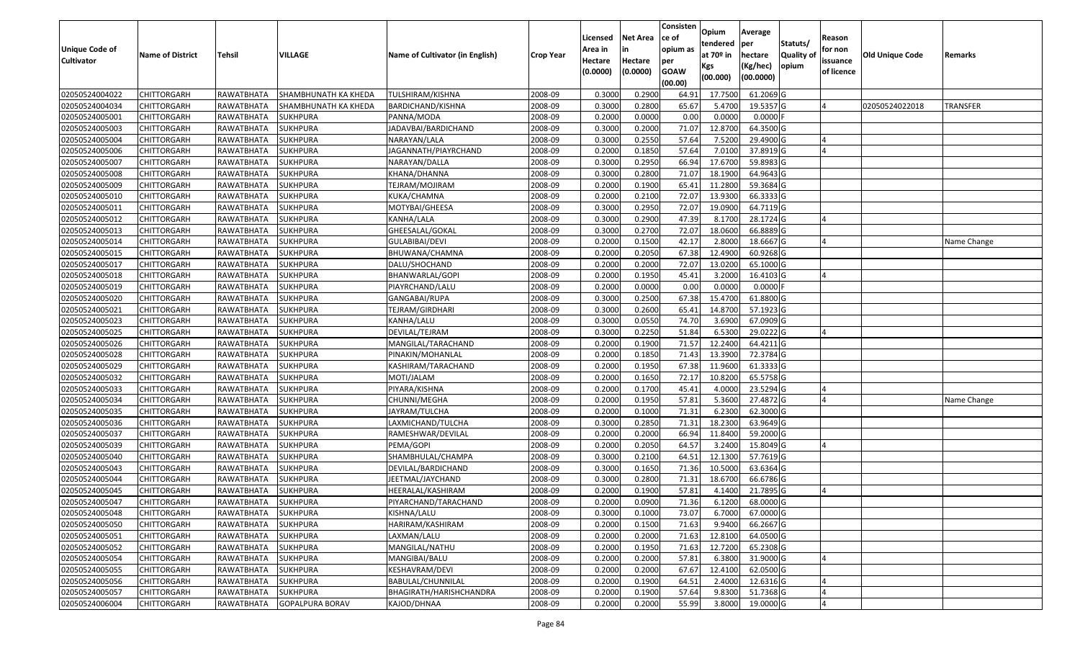| <b>Unique Code of</b><br><b>Cultivator</b> | <b>Name of District</b> | Tehsil              | VILLAGE                | Name of Cultivator (in English) | <b>Crop Year</b> | Licensed<br>Area in<br>Hectare<br>(0.0000) | <b>Net Area</b><br>in<br>Hectare<br>(0.0000) | Consisten<br>lce of<br>opium as<br>per<br><b>GOAW</b><br>(00.00) | Opium<br>tendered<br>at $70°$ in<br>Kgs<br>(00.000) | Average<br>per<br>hectare<br>(Kg/hec)<br>(00.0000) | Statuts/<br><b>Quality o</b><br>opium | Reason<br>for non<br>issuance<br>of licence | Old Unique Code | Remarks         |
|--------------------------------------------|-------------------------|---------------------|------------------------|---------------------------------|------------------|--------------------------------------------|----------------------------------------------|------------------------------------------------------------------|-----------------------------------------------------|----------------------------------------------------|---------------------------------------|---------------------------------------------|-----------------|-----------------|
| 02050524004022                             | <b>CHITTORGARH</b>      | RAWATBHATA          | SHAMBHUNATH KA KHEDA   | TULSHIRAM/KISHNA                | 2008-09          | 0.3000                                     | 0.2900                                       | 64.91                                                            | 17.7500                                             | 61.2069 G                                          |                                       |                                             |                 |                 |
| 02050524004034                             | CHITTORGARH             | RAWATBHATA          | SHAMBHUNATH KA KHEDA   | BARDICHAND/KISHNA               | 2008-09          | 0.3000                                     | 0.2800                                       | 65.67                                                            | 5.4700                                              | 19.5357 G                                          |                                       |                                             | 02050524022018  | <b>TRANSFER</b> |
| 02050524005001                             | <b>CHITTORGARH</b>      | RAWATBHATA          | <b>SUKHPURA</b>        | PANNA/MODA                      | 2008-09          | 0.2000                                     | 0.0000                                       | 0.00                                                             | 0.0000                                              | 0.0000                                             |                                       |                                             |                 |                 |
| 02050524005003                             | <b>CHITTORGARH</b>      | RAWATBHATA          | <b>SUKHPURA</b>        | JADAVBAI/BARDICHAND             | 2008-09          | 0.3000                                     | 0.2000                                       | 71.07                                                            | 12.8700                                             | 64.3500 G                                          |                                       |                                             |                 |                 |
| 02050524005004                             | <b>CHITTORGARH</b>      | RAWATBHATA          | <b>SUKHPURA</b>        | NARAYAN/LALA                    | 2008-09          | 0.3000                                     | 0.2550                                       | 57.64                                                            | 7.5200                                              | 29.4900 G                                          |                                       |                                             |                 |                 |
| 02050524005006                             | <b>CHITTORGARH</b>      | RAWATBHATA          | <b>SUKHPURA</b>        | JAGANNATH/PIAYRCHAND            | 2008-09          | 0.2000                                     | 0.1850                                       | 57.64                                                            | 7.0100                                              | 37.8919 G                                          |                                       |                                             |                 |                 |
| 02050524005007                             | CHITTORGARH             | RAWATBHATA          | SUKHPURA               | NARAYAN/DALLA                   | 2008-09          | 0.3000                                     | 0.2950                                       | 66.94                                                            | 17.6700                                             | 59.8983 G                                          |                                       |                                             |                 |                 |
| 02050524005008                             | <b>CHITTORGARH</b>      | RAWATBHATA          | <b>SUKHPURA</b>        | KHANA/DHANNA                    | 2008-09          | 0.3000                                     | 0.2800                                       | 71.07                                                            | 18.1900                                             | 64.9643 G                                          |                                       |                                             |                 |                 |
| 02050524005009                             | <b>CHITTORGARH</b>      | RAWATBHATA          | <b>SUKHPURA</b>        | TEJRAM/MOJIRAM                  | 2008-09          | 0.2000                                     | 0.1900                                       | 65.41                                                            | 11.2800                                             | 59.3684 G                                          |                                       |                                             |                 |                 |
| 02050524005010                             | <b>CHITTORGARH</b>      | RAWATBHATA          | <b>SUKHPURA</b>        | KUKA/CHAMNA                     | 2008-09          | 0.2000                                     | 0.2100                                       | 72.07                                                            | 13.9300                                             | 66.3333 G                                          |                                       |                                             |                 |                 |
| 02050524005011                             | <b>CHITTORGARH</b>      | RAWATBHATA          | <b>SUKHPURA</b>        | MOTYBAI/GHEESA                  | 2008-09          | 0.3000                                     | 0.2950                                       | 72.07                                                            | 19.0900                                             | 64.7119 G                                          |                                       |                                             |                 |                 |
| 02050524005012                             | <b>CHITTORGARH</b>      | RAWATBHATA          | <b>SUKHPURA</b>        | KANHA/LALA                      | 2008-09          | 0.3000                                     | 0.2900                                       | 47.39                                                            | 8.1700                                              | 28.1724 G                                          |                                       |                                             |                 |                 |
| 02050524005013                             | <b>CHITTORGARH</b>      | RAWATBHATA          | <b>SUKHPURA</b>        | GHEESALAL/GOKAL                 | 2008-09          | 0.3000                                     | 0.2700                                       | 72.07                                                            | 18.0600                                             | 66.8889 G                                          |                                       |                                             |                 |                 |
| 02050524005014                             | <b>CHITTORGARH</b>      | RAWATBHATA          | <b>SUKHPURA</b>        | GULABIBAI/DEVI                  | 2008-09          | 0.2000                                     | 0.1500                                       | 42.17                                                            | 2.8000                                              | 18.6667 G                                          |                                       |                                             |                 | Name Change     |
| 02050524005015                             | CHITTORGARH             | RAWATBHATA          | <b>SUKHPURA</b>        | BHUWANA/CHAMNA                  | 2008-09          | 0.2000                                     | 0.2050                                       | 67.38                                                            | 12.4900                                             | 60.9268 G                                          |                                       |                                             |                 |                 |
| 02050524005017                             | <b>CHITTORGARH</b>      | RAWATBHATA          | <b>SUKHPURA</b>        | DALU/SHOCHAND                   | 2008-09          | 0.2000                                     | 0.2000                                       | 72.07                                                            | 13.0200                                             | 65.1000 G                                          |                                       |                                             |                 |                 |
| 02050524005018                             | <b>CHITTORGARH</b>      | RAWATBHATA          | <b>SUKHPURA</b>        | BHANWARLAL/GOPI                 | 2008-09          | 0.2000                                     | 0.1950                                       | 45.41                                                            | 3.2000                                              | 16.4103 G                                          |                                       |                                             |                 |                 |
| 02050524005019                             | <b>CHITTORGARH</b>      | RAWATBHATA          | <b>SUKHPURA</b>        | PIAYRCHAND/LALU                 | 2008-09          | 0.2000                                     | 0.0000                                       | 0.00                                                             | 0.0000                                              | 0.0000                                             |                                       |                                             |                 |                 |
| 02050524005020                             | <b>CHITTORGARH</b>      | RAWATBHATA          | <b>SUKHPURA</b>        | GANGABAI/RUPA                   | 2008-09          | 0.3000                                     | 0.2500                                       | 67.38                                                            | 15.4700                                             | 61.8800 G                                          |                                       |                                             |                 |                 |
| 02050524005021                             | <b>CHITTORGARH</b>      | RAWATBHATA          | SUKHPURA               | TEJRAM/GIRDHARI                 | 2008-09          | 0.3000                                     | 0.2600                                       | 65.41                                                            | 14.8700                                             | 57.1923 G                                          |                                       |                                             |                 |                 |
| 02050524005023                             | <b>CHITTORGARH</b>      | RAWATBHATA          | <b>SUKHPURA</b>        | KANHA/LALU                      | 2008-09          | 0.3000                                     | 0.0550                                       | 74.70                                                            | 3.6900                                              | 67.0909 G                                          |                                       |                                             |                 |                 |
| 02050524005025                             | <b>CHITTORGARH</b>      | RAWATBHATA          | <b>SUKHPURA</b>        | DEVILAL/TEJRAM                  | 2008-09          | 0.3000                                     | 0.2250                                       | 51.84                                                            | 6.5300                                              | 29.0222G                                           |                                       |                                             |                 |                 |
| 02050524005026                             | <b>CHITTORGARH</b>      | RAWATBHATA          | <b>SUKHPURA</b>        | MANGILAL/TARACHAND              | 2008-09          | 0.2000                                     | 0.1900                                       | 71.57                                                            | 12.2400                                             | 64.4211 G                                          |                                       |                                             |                 |                 |
| 02050524005028                             | <b>CHITTORGARH</b>      | RAWATBHATA          | <b>SUKHPURA</b>        | PINAKIN/MOHANLAL                | 2008-09          | 0.2000                                     | 0.1850                                       | 71.43                                                            | 13.3900                                             | 72.3784 G                                          |                                       |                                             |                 |                 |
| 02050524005029                             | <b>CHITTORGARH</b>      | RAWATBHATA          | <b>SUKHPURA</b>        | KASHIRAM/TARACHAND              | 2008-09          | 0.2000                                     | 0.1950                                       | 67.38                                                            | 11.9600                                             | 61.3333 G                                          |                                       |                                             |                 |                 |
| 02050524005032                             | <b>CHITTORGARH</b>      | RAWATBHATA          | <b>SUKHPURA</b>        | MOTI/JALAM                      | 2008-09          | 0.2000                                     | 0.1650                                       | 72.1                                                             | 10.8200                                             | 65.5758 G                                          |                                       |                                             |                 |                 |
| 02050524005033                             | <b>CHITTORGARH</b>      | RAWATBHATA          | <b>SUKHPURA</b>        | PIYARA/KISHNA                   | 2008-09          | 0.2000                                     | 0.1700                                       | 45.41                                                            | 4.0000                                              | 23.5294 G                                          |                                       |                                             |                 |                 |
| 02050524005034                             | <b>CHITTORGARH</b>      | RAWATBHATA          | <b>SUKHPURA</b>        | CHUNNI/MEGHA                    | 2008-09          | 0.2000                                     | 0.1950                                       | 57.81                                                            | 5.3600                                              | 27.4872 G                                          |                                       |                                             |                 | Name Change     |
| 02050524005035                             | <b>CHITTORGARH</b>      | RAWATBHATA          | <b>SUKHPURA</b>        | JAYRAM/TULCHA                   | 2008-09          | 0.2000                                     | 0.1000                                       | 71.31                                                            | 6.2300                                              | 62.3000 G                                          |                                       |                                             |                 |                 |
| 02050524005036                             | <b>CHITTORGARH</b>      | RAWATBHATA          | <b>SUKHPURA</b>        | LAXMICHAND/TULCHA               | 2008-09          | 0.3000                                     | 0.2850                                       | 71.31                                                            | 18.2300                                             | 63.9649 G                                          |                                       |                                             |                 |                 |
| 02050524005037                             | <b>CHITTORGARH</b>      | RAWATBHATA          | <b>SUKHPURA</b>        | RAMESHWAR/DEVILAL               | 2008-09          | 0.2000                                     | 0.2000                                       | 66.94                                                            | 11.8400                                             | 59.2000 G                                          |                                       |                                             |                 |                 |
| 02050524005039                             | CHITTORGARH             | RAWATBHATA          | <b>SUKHPURA</b>        | PEMA/GOPI                       | 2008-09          | 0.2000                                     | 0.2050                                       | 64.57                                                            | 3.2400                                              | 15.8049 G                                          |                                       |                                             |                 |                 |
| 02050524005040                             | <b>CHITTORGARH</b>      | RAWATBHATA          | <b>SUKHPURA</b>        | SHAMBHULAL/CHAMPA               | 2008-09          | 0.3000                                     | 0.2100                                       | 64.5                                                             | 12.1300                                             | 57.7619 G                                          |                                       |                                             |                 |                 |
| 02050524005043                             | <b>CHITTORGARH</b>      | RAWATBHATA          | <b>SUKHPURA</b>        | DEVILAL/BARDICHAND              | 2008-09          | 0.3000                                     | 0.1650                                       | 71.36                                                            | 10.5000                                             | 63.6364 G                                          |                                       |                                             |                 |                 |
| 02050524005044                             | CHITTORGARH             | RAWATBHATA          | SUKHPURA               | JEETMAL/JAYCHAND                | 2008-09          | 0.3000                                     | 0.2800                                       | 71.31                                                            | 18.6700                                             | 66.6786 G                                          |                                       |                                             |                 |                 |
| 02050524005045                             | <b>CHITTORGARH</b>      | RAWATBHATA          | <b>SUKHPURA</b>        | HEERALAL/KASHIRAM               | 2008-09          | 0.2000                                     | 0.1900                                       | 57.8                                                             | 4.1400                                              | 21.7895 G                                          |                                       |                                             |                 |                 |
| 02050524005047                             | <b>CHITTORGARH</b>      | RAWATBHATA SUKHPURA |                        | PIYARCHAND/TARACHAND            | 2008-09          | 0.2000                                     | 0.0900                                       | 71.36                                                            | 6.1200                                              | 68.0000 G                                          |                                       |                                             |                 |                 |
| 02050524005048                             | <b>CHITTORGARH</b>      | RAWATBHATA          | <b>SUKHPURA</b>        | KISHNA/LALU                     | 2008-09          | 0.3000                                     | 0.1000                                       | 73.07                                                            | 6.7000                                              | 67.0000 G                                          |                                       |                                             |                 |                 |
| 02050524005050                             | <b>CHITTORGARH</b>      | RAWATBHATA          | <b>SUKHPURA</b>        | HARIRAM/KASHIRAM                | 2008-09          | 0.2000                                     | 0.1500                                       | 71.63                                                            | 9.9400                                              | 66.2667 G                                          |                                       |                                             |                 |                 |
| 02050524005051                             | <b>CHITTORGARH</b>      | RAWATBHATA          | <b>SUKHPURA</b>        | LAXMAN/LALU                     | 2008-09          | 0.2000                                     | 0.2000                                       | 71.63                                                            | 12.8100                                             | 64.0500G                                           |                                       |                                             |                 |                 |
| 02050524005052                             | <b>CHITTORGARH</b>      | RAWATBHATA          | <b>SUKHPURA</b>        | MANGILAL/NATHU                  | 2008-09          | 0.2000                                     | 0.1950                                       | 71.63                                                            | 12.7200                                             | 65.2308 G                                          |                                       |                                             |                 |                 |
| 02050524005054                             | <b>CHITTORGARH</b>      | RAWATBHATA          | <b>SUKHPURA</b>        | MANGIBAI/BALU                   | 2008-09          | 0.2000                                     | 0.2000                                       | 57.81                                                            | 6.3800                                              | 31.9000 G                                          |                                       |                                             |                 |                 |
| 02050524005055                             | <b>CHITTORGARH</b>      | RAWATBHATA          | SUKHPURA               | KESHAVRAM/DEVI                  | 2008-09          | 0.2000                                     | 0.2000                                       | 67.67                                                            | 12.4100                                             | 62.0500 G                                          |                                       |                                             |                 |                 |
| 02050524005056                             | <b>CHITTORGARH</b>      | RAWATBHATA          | <b>SUKHPURA</b>        | BABULAL/CHUNNILAL               | 2008-09          | 0.2000                                     | 0.1900                                       | 64.51                                                            | 2.4000                                              | 12.6316 G                                          |                                       |                                             |                 |                 |
| 02050524005057                             | <b>CHITTORGARH</b>      | RAWATBHATA          | SUKHPURA               | BHAGIRATH/HARISHCHANDRA         | 2008-09          | 0.2000                                     | 0.1900                                       | 57.64                                                            | 9.8300                                              | 51.7368 G                                          |                                       |                                             |                 |                 |
| 02050524006004                             | <b>CHITTORGARH</b>      | RAWATBHATA          | <b>GOPALPURA BORAV</b> | KAJOD/DHNAA                     | 2008-09          | 0.2000                                     | 0.2000                                       | 55.99                                                            | 3.8000                                              | 19.0000 G                                          |                                       |                                             |                 |                 |
|                                            |                         |                     |                        |                                 |                  |                                            |                                              |                                                                  |                                                     |                                                    |                                       |                                             |                 |                 |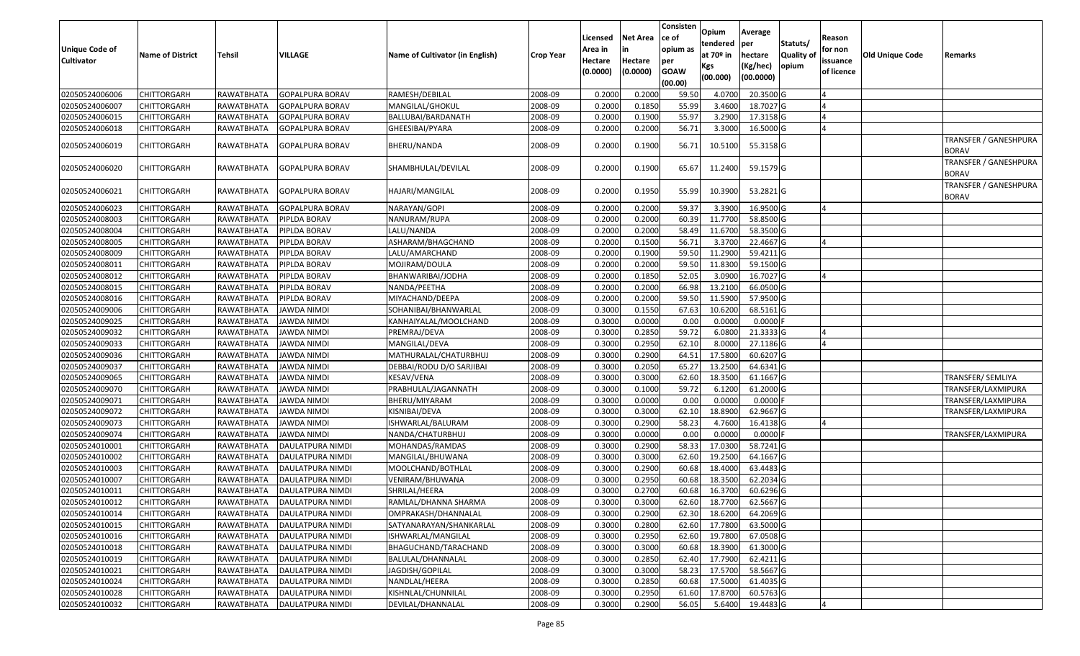| <b>Unique Code of</b><br><b>Cultivator</b> | <b>Name of District</b> | <b>Tehsil</b> | VILLAGE            | Name of Cultivator (in English) | <b>Crop Year</b> | Licensed<br>Area in<br>Hectare | <b>Net Area</b><br>in<br>Hectare | Consisten<br>ce of<br>opium as<br>per | Opium<br>tendered<br>at 70º in | Average<br><b>per</b><br>hectare | Statuts/<br><b>Quality of</b> | Reason<br>for non<br>issuance | Old Unique Code | Remarks                               |
|--------------------------------------------|-------------------------|---------------|--------------------|---------------------------------|------------------|--------------------------------|----------------------------------|---------------------------------------|--------------------------------|----------------------------------|-------------------------------|-------------------------------|-----------------|---------------------------------------|
|                                            |                         |               |                    |                                 |                  | (0.0000)                       | (0.0000)                         | <b>GOAW</b><br>(00.00)                | Kgs<br>(00.000)                | (Kg/hec)<br>(00.0000)            | opium                         | of licence                    |                 |                                       |
| 02050524006006                             | <b>CHITTORGARH</b>      | RAWATBHATA    | GOPALPURA BORAV    | RAMESH/DEBILAL                  | 2008-09          | 0.2000                         | 0.2000                           | 59.50                                 | 4.0700                         | 20.3500 G                        |                               |                               |                 |                                       |
| 02050524006007                             | <b>CHITTORGARH</b>      | RAWATBHATA    | GOPALPURA BORAV    | MANGILAL/GHOKUL                 | 2008-09          | 0.2000                         | 0.1850                           | 55.99                                 | 3.4600                         | 18.7027 G                        |                               |                               |                 |                                       |
| 02050524006015                             | <b>CHITTORGARH</b>      | RAWATBHATA    | GOPALPURA BORAV    | BALLUBAI/BARDANATH              | 2008-09          | 0.2000                         | 0.1900                           | 55.97                                 | 3.2900                         | 17.3158 G                        |                               | 4                             |                 |                                       |
| 02050524006018                             | <b>CHITTORGARH</b>      | RAWATBHATA    | GOPALPURA BORAV    | GHEESIBAI/PYARA                 | 2008-09          | 0.2000                         | 0.2000                           | 56.71                                 | 3.3000                         | 16.5000 G                        |                               | $\overline{A}$                |                 |                                       |
| 02050524006019                             | <b>CHITTORGARH</b>      | RAWATBHATA    | GOPALPURA BORAV    | BHERU/NANDA                     | 2008-09          | 0.2000                         | 0.1900                           | 56.71                                 | 10.5100                        | 55.3158 G                        |                               |                               |                 | TRANSFER / GANESHPURA<br><b>BORAV</b> |
| 02050524006020                             | <b>CHITTORGARH</b>      | RAWATBHATA    | GOPALPURA BORAV    | SHAMBHULAL/DEVILAL              | 2008-09          | 0.2000                         | 0.1900                           | 65.67                                 | 11.2400                        | 59.1579 G                        |                               |                               |                 | TRANSFER / GANESHPURA<br><b>BORAV</b> |
| 02050524006021                             | <b>CHITTORGARH</b>      | RAWATBHATA    | GOPALPURA BORAV    | HAJARI/MANGILAL                 | 2008-09          | 0.2000                         | 0.1950                           | 55.99                                 | 10.3900                        | 53.2821 G                        |                               |                               |                 | TRANSFER / GANESHPURA<br>BORAV        |
| 02050524006023                             | <b>CHITTORGARH</b>      | RAWATBHATA    | GOPALPURA BORAV    | NARAYAN/GOPI                    | 2008-09          | 0.2000                         | 0.2000                           | 59.37                                 | 3.3900                         | 16.9500 G                        |                               | 4                             |                 |                                       |
| 02050524008003                             | <b>CHITTORGARH</b>      | RAWATBHATA    | PIPLDA BORAV       | NANURAM/RUPA                    | 2008-09          | 0.2000                         | 0.2000                           | 60.39                                 | 11.7700                        | 58.8500 G                        |                               |                               |                 |                                       |
| 02050524008004                             | <b>CHITTORGARH</b>      | RAWATBHATA    | PIPLDA BORAV       | LALU/NANDA                      | 2008-09          | 0.2000                         | 0.2000                           | 58.49                                 | 11.6700                        | 58.3500 G                        |                               |                               |                 |                                       |
| 02050524008005                             | <b>CHITTORGARH</b>      | RAWATBHATA    | PIPLDA BORAV       | ASHARAM/BHAGCHAND               | 2008-09          | 0.2000                         | 0.1500                           | 56.71                                 | 3.3700                         | 22.4667 G                        |                               |                               |                 |                                       |
| 02050524008009                             | <b>CHITTORGARH</b>      | RAWATBHATA    | PIPLDA BORAV       | LALU/AMARCHAND                  | 2008-09          | 0.2000                         | 0.1900                           | 59.50                                 | 11.2900                        | 59.4211 G                        |                               |                               |                 |                                       |
| 02050524008011                             | <b>CHITTORGARH</b>      | RAWATBHATA    | PIPLDA BORAV       | MOJIRAM/DOULA                   | 2008-09          | 0.2000                         | 0.2000                           | 59.50                                 | 11.8300                        | 59.1500 G                        |                               |                               |                 |                                       |
| 02050524008012                             | <b>CHITTORGARH</b>      | RAWATBHATA    | PIPLDA BORAV       | BHANWARIBAI/JODHA               | 2008-09          | 0.2000                         | 0.1850                           | 52.05                                 | 3.0900                         | 16.7027 G                        |                               |                               |                 |                                       |
| 02050524008015                             | <b>CHITTORGARH</b>      | RAWATBHATA    | PIPLDA BORAV       | NANDA/PEETHA                    | 2008-09          | 0.2000                         | 0.2000                           | 66.98                                 | 13.2100                        | 66.0500 G                        |                               |                               |                 |                                       |
| 02050524008016                             | <b>CHITTORGARH</b>      | RAWATBHATA    | PIPLDA BORAV       | MIYACHAND/DEEPA                 | 2008-09          | 0.2000                         | 0.2000                           | 59.50                                 | 11.5900                        | 57.9500 G                        |                               |                               |                 |                                       |
| 02050524009006                             | <b>CHITTORGARH</b>      | RAWATBHATA    | IAWDA NIMDI        | SOHANIBAI/BHANWARLAL            | 2008-09          | 0.3000                         | 0.1550                           | 67.63                                 | 10.6200                        | 68.5161 G                        |                               |                               |                 |                                       |
| 02050524009025                             | <b>CHITTORGARH</b>      | RAWATBHATA    | <b>JAWDA NIMDI</b> | KANHAIYALAL/MOOLCHAND           | 2008-09          | 0.3000                         | 0.0000                           | 0.00                                  | 0.0000                         | $0.0000$ F                       |                               |                               |                 |                                       |
| 02050524009032                             | <b>CHITTORGARH</b>      | RAWATBHATA    | IAWDA NIMDI        | PREMRAJ/DEVA                    | 2008-09          | 0.3000                         | 0.2850                           | 59.72                                 | 6.0800                         | 21.3333 G                        |                               |                               |                 |                                       |
| 02050524009033                             | <b>CHITTORGARH</b>      | RAWATBHATA    | JAWDA NIMDI        | MANGILAL/DEVA                   | 2008-09          | 0.3000                         | 0.2950                           | 62.10                                 | 8.0000                         | 27.1186 G                        |                               |                               |                 |                                       |
| 02050524009036                             | <b>CHITTORGARH</b>      | RAWATBHATA    | JAWDA NIMDI        | MATHURALAL/CHATURBHUJ           | 2008-09          | 0.3000                         | 0.2900                           | 64.51                                 | 17.5800                        | 60.6207 G                        |                               |                               |                 |                                       |
| 02050524009037                             | <b>CHITTORGARH</b>      | RAWATBHATA    | <b>JAWDA NIMDI</b> | DEBBAI/RODU D/O SARJIBAI        | 2008-09          | 0.3000                         | 0.2050                           | 65.27                                 | 13.2500                        | 64.6341 G                        |                               |                               |                 |                                       |
| 02050524009065                             | <b>CHITTORGARH</b>      | RAWATBHATA    | JAWDA NIMDI        | KESAV/VENA                      | 2008-09          | 0.3000                         | 0.3000                           | 62.60                                 | 18.3500                        | 61.1667 G                        |                               |                               |                 | <b>TRANSFER/ SEMLIYA</b>              |
| 02050524009070                             | <b>CHITTORGARH</b>      | RAWATBHATA    | JAWDA NIMDI        | PRABHULAL/JAGANNATH             | 2008-09          | 0.3000                         | 0.1000                           | 59.72                                 | 6.1200                         | 61.2000 G                        |                               |                               |                 | TRANSFER/LAXMIPURA                    |
| 02050524009071                             | <b>CHITTORGARH</b>      | RAWATBHATA    | JAWDA NIMDI        | BHERU/MIYARAM                   | 2008-09          | 0.3000                         | 0.0000                           | 0.00                                  | 0.0000                         | $0.0000$ F                       |                               |                               |                 | TRANSFER/LAXMIPURA                    |
| 02050524009072                             | <b>CHITTORGARH</b>      | RAWATBHATA    | <b>JAWDA NIMDI</b> | KISNIBAI/DEVA                   | 2008-09          | 0.3000                         | 0.3000                           | 62.10                                 | 18.8900                        | 62.9667 G                        |                               |                               |                 | TRANSFER/LAXMIPURA                    |
| 02050524009073                             | <b>CHITTORGARH</b>      | RAWATBHATA    | JAWDA NIMDI        | ISHWARLAL/BALURAM               | 2008-09          | 0.3000                         | 0.2900                           | 58.23                                 | 4.7600                         | 16.4138 G                        |                               | IΔ                            |                 |                                       |
| 02050524009074                             | <b>CHITTORGARH</b>      | RAWATBHATA    | JAWDA NIMDI        | NANDA/CHATURBHUJ                | 2008-09          | 0.3000                         | 0.0000                           | 0.00                                  | 0.0000                         | $0.0000$ F                       |                               |                               |                 | TRANSFER/LAXMIPURA                    |
| 02050524010001                             | <b>CHITTORGARH</b>      | RAWATBHATA    | DAULATPURA NIMDI   | MOHANDAS/RAMDAS                 | 2008-09          | 0.3000                         | 0.2900                           | 58.33                                 | 17.0300                        | 58.7241 G                        |                               |                               |                 |                                       |
| 02050524010002                             | <b>CHITTORGARH</b>      | RAWATBHATA    | DAULATPURA NIMDI   | MANGILAL/BHUWANA                | 2008-09          | 0.3000                         | 0.3000                           | 62.60                                 | 19.2500                        | 64.1667 G                        |                               |                               |                 |                                       |
| 02050524010003                             | <b>CHITTORGARH</b>      | RAWATBHATA    | DAULATPURA NIMDI   | MOOLCHAND/BOTHLAL               | 2008-09          | 0.3000                         | 0.2900                           | 60.68                                 | 18.4000                        | 63.4483 G                        |                               |                               |                 |                                       |
| 02050524010007                             | <b>CHITTORGARH</b>      | RAWATBHATA    | DAULATPURA NIMDI   | VENIRAM/BHUWANA                 | 2008-09          | 0.3000                         | 0.2950                           | 60.68                                 | 18.3500                        | 62.2034 G                        |                               |                               |                 |                                       |
| 02050524010011                             | <b>CHITTORGARH</b>      | RAWATBHATA    | DAULATPURA NIMDI   | SHRILAL/HEERA                   | 2008-09          | 0.3000                         | 0.2700                           | 60.68                                 | 16.3700                        | 60.6296 G                        |                               |                               |                 |                                       |
| 02050524010012                             | <b>CHITTORGARH</b>      | RAWATBHATA    | DAULATPURA NIMDI   | RAMLAL/DHANNA SHARMA            | 2008-09          | 0.3000                         | 0.3000                           | 62.60                                 | 18.7700                        | 62.5667 G                        |                               |                               |                 |                                       |
| 02050524010014                             | <b>CHITTORGARH</b>      | RAWATBHATA    | DAULATPURA NIMDI   | OMPRAKASH/DHANNALAL             | 2008-09          | 0.3000                         | 0.2900                           | 62.30                                 | 18.6200                        | 64.2069 G                        |                               |                               |                 |                                       |
| 02050524010015                             | <b>CHITTORGARH</b>      | RAWATBHATA    | DAULATPURA NIMDI   | SATYANARAYAN/SHANKARLAL         | 2008-09          | 0.3000                         | 0.2800                           | 62.60                                 | 17.7800                        | 63.5000 G                        |                               |                               |                 |                                       |
| 02050524010016                             | <b>CHITTORGARH</b>      | RAWATBHATA    | DAULATPURA NIMDI   | ISHWARLAL/MANGILAL              | 2008-09          | 0.3000                         | 0.2950                           | 62.60                                 | 19.7800                        | 67.0508 G                        |                               |                               |                 |                                       |
| 02050524010018                             | <b>CHITTORGARH</b>      | RAWATBHATA    | DAULATPURA NIMDI   | BHAGUCHAND/TARACHAND            | 2008-09          | 0.3000                         | 0.3000                           | 60.68                                 | 18.3900                        | 61.3000 G                        |                               |                               |                 |                                       |
| 02050524010019                             | <b>CHITTORGARH</b>      | RAWATBHATA    | DAULATPURA NIMDI   | BALULAL/DHANNALAL               | 2008-09          | 0.3000                         | 0.2850                           | 62.40                                 | 17.7900                        | 62.4211 G                        |                               |                               |                 |                                       |
| 02050524010021                             | <b>CHITTORGARH</b>      | RAWATBHATA    | DAULATPURA NIMDI   | JAGDISH/GOPILAL                 | 2008-09          | 0.3000                         | 0.3000                           | 58.23                                 | 17.5700                        | 58.5667 G                        |                               |                               |                 |                                       |
| 02050524010024                             | <b>CHITTORGARH</b>      | RAWATBHATA    | DAULATPURA NIMDI   | NANDLAL/HEERA                   | 2008-09          | 0.3000                         | 0.2850                           | 60.68                                 | 17.5000                        | 61.4035 G                        |                               |                               |                 |                                       |
| 02050524010028                             | <b>CHITTORGARH</b>      | RAWATBHATA    | DAULATPURA NIMDI   | KISHNLAL/CHUNNILAL              | 2008-09          | 0.3000                         | 0.2950                           | 61.60                                 | 17.8700                        | 60.5763 G                        |                               |                               |                 |                                       |
| 02050524010032                             | <b>CHITTORGARH</b>      | RAWATBHATA    | DAULATPURA NIMDI   | DEVILAL/DHANNALAL               | 2008-09          | 0.3000                         | 0.2900                           | 56.05                                 | 5.6400                         | 19.4483 G                        |                               | 4                             |                 |                                       |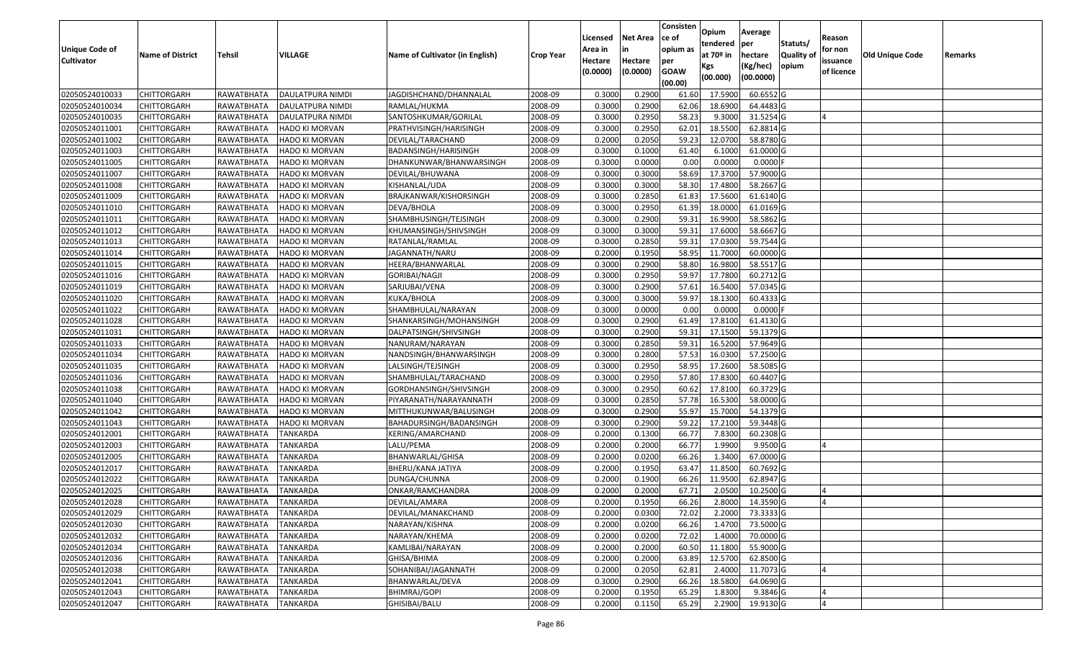| <b>Unique Code of</b><br><b>Cultivator</b> | <b>Name of District</b> | Tehsil              | VILLAGE               | Name of Cultivator (in English) | <b>Crop Year</b> | Licensed<br>Area in<br>Hectare<br>(0.0000) | <b>Net Area</b><br>in<br>Hectare<br>(0.0000) | Consisten<br>ce of<br>opium as<br>per<br><b>GOAW</b> | Opium<br>tendered<br>at $70°$ in<br>Kgs | Average<br>per<br>hectare<br>(Kg/hec) | Statuts/<br>Quality o<br>opium | Reason<br>for non<br>issuance<br>of licence | Old Unique Code | Remarks |
|--------------------------------------------|-------------------------|---------------------|-----------------------|---------------------------------|------------------|--------------------------------------------|----------------------------------------------|------------------------------------------------------|-----------------------------------------|---------------------------------------|--------------------------------|---------------------------------------------|-----------------|---------|
|                                            |                         |                     |                       |                                 |                  |                                            |                                              | (00.00)                                              | (00.000)                                | (00.0000)                             |                                |                                             |                 |         |
| 02050524010033                             | <b>CHITTORGARH</b>      | RAWATBHATA          | DAULATPURA NIMDI      | JAGDISHCHAND/DHANNALAL          | 2008-09          | 0.3000                                     | 0.2900                                       | 61.60                                                | 17.5900                                 | 60.6552 G                             |                                |                                             |                 |         |
| 02050524010034                             | <b>CHITTORGARH</b>      | RAWATBHATA          | DAULATPURA NIMDI      | RAMLAL/HUKMA                    | 2008-09          | 0.3000                                     | 0.2900                                       | 62.06                                                | 18.6900                                 | 64.4483 G                             |                                |                                             |                 |         |
| 02050524010035                             | <b>CHITTORGARH</b>      | RAWATBHATA          | DAULATPURA NIMDI      | SANTOSHKUMAR/GORILAL            | 2008-09          | 0.3000                                     | 0.2950                                       | 58.23                                                | 9.3000                                  | 31.5254 G                             |                                |                                             |                 |         |
| 02050524011001                             | <b>CHITTORGARH</b>      | RAWATBHATA          | <b>HADO KI MORVAN</b> | PRATHVISINGH/HARISINGH          | 2008-09          | 0.3000                                     | 0.2950                                       | 62.01                                                | 18.5500                                 | 62.8814 G                             |                                |                                             |                 |         |
| 02050524011002                             | <b>CHITTORGARH</b>      | RAWATBHATA          | HADO KI MORVAN        | DEVILAL/TARACHAND               | 2008-09          | 0.2000                                     | 0.2050                                       | 59.23                                                | 12.0700                                 | 58.8780 G                             |                                |                                             |                 |         |
| 02050524011003                             | <b>CHITTORGARH</b>      | RAWATBHATA          | <b>HADO KI MORVAN</b> | BADANSINGH/HARISINGH            | 2008-09          | 0.3000                                     | 0.1000                                       | 61.40                                                | 6.1000                                  | 61.0000 G                             |                                |                                             |                 |         |
| 02050524011005                             | CHITTORGARH             | RAWATBHATA          | HADO KI MORVAN        | DHANKUNWAR/BHANWARSINGH         | 2008-09          | 0.3000                                     | 0.0000                                       | 0.00                                                 | 0.0000                                  | 0.0000                                |                                |                                             |                 |         |
| 02050524011007                             | <b>CHITTORGARH</b>      | RAWATBHATA          | HADO KI MORVAN        | DEVILAL/BHUWANA                 | 2008-09          | 0.3000                                     | 0.3000                                       | 58.69                                                | 17.3700                                 | 57.9000 G                             |                                |                                             |                 |         |
| 02050524011008                             | <b>CHITTORGARH</b>      | RAWATBHATA          | <b>HADO KI MORVAN</b> | KISHANLAL/UDA                   | 2008-09          | 0.3000                                     | 0.3000                                       | 58.30                                                | 17.4800                                 | 58.2667 G                             |                                |                                             |                 |         |
| 02050524011009                             | <b>CHITTORGARH</b>      | RAWATBHATA          | <b>HADO KI MORVAN</b> | BRAJKANWAR/KISHORSINGH          | 2008-09          | 0.3000                                     | 0.2850                                       | 61.83                                                | 17.5600                                 | 61.6140 G                             |                                |                                             |                 |         |
| 02050524011010                             | <b>CHITTORGARH</b>      | RAWATBHATA          | <b>HADO KI MORVAN</b> | DEVA/BHOLA                      | 2008-09          | 0.3000                                     | 0.2950                                       | 61.39                                                | 18.0000                                 | 61.0169 G                             |                                |                                             |                 |         |
| 02050524011011                             | <b>CHITTORGARH</b>      | RAWATBHATA          | <b>HADO KI MORVAN</b> | SHAMBHUSINGH/TEJSINGH           | 2008-09          | 0.3000                                     | 0.2900                                       | 59.33                                                | 16.9900                                 | 58.5862 G                             |                                |                                             |                 |         |
| 02050524011012                             | <b>CHITTORGARH</b>      | RAWATBHATA          | <b>HADO KI MORVAN</b> | KHUMANSINGH/SHIVSINGH           | 2008-09          | 0.3000                                     | 0.3000                                       | 59.31                                                | 17.6000                                 | 58.6667 G                             |                                |                                             |                 |         |
| 02050524011013                             | <b>CHITTORGARH</b>      | RAWATBHATA          | <b>HADO KI MORVAN</b> | RATANLAL/RAMLAL                 | 2008-09          | 0.3000                                     | 0.2850                                       | 59.33                                                | 17.0300                                 | 59.7544 G                             |                                |                                             |                 |         |
| 02050524011014                             | CHITTORGARH             | RAWATBHATA          | <b>HADO KI MORVAN</b> | JAGANNATH/NARU                  | 2008-09          | 0.2000                                     | 0.1950                                       | 58.95                                                | 11.7000                                 | 60.0000 G                             |                                |                                             |                 |         |
| 02050524011015                             | <b>CHITTORGARH</b>      | RAWATBHATA          | <b>HADO KI MORVAN</b> | HEERA/BHANWARLAL                | 2008-09          | 0.3000                                     | 0.2900                                       | 58.80                                                | 16.9800                                 | 58.5517 G                             |                                |                                             |                 |         |
| 02050524011016                             | <b>CHITTORGARH</b>      | RAWATBHATA          | <b>HADO KI MORVAN</b> | <b>GORIBAI/NAGJI</b>            | 2008-09          | 0.3000                                     | 0.2950                                       | 59.97                                                | 17.7800                                 | 60.2712 G                             |                                |                                             |                 |         |
| 02050524011019                             | <b>CHITTORGARH</b>      | RAWATBHATA          | <b>HADO KI MORVAN</b> | SARJUBAI/VENA                   | 2008-09          | 0.3000                                     | 0.2900                                       | 57.61                                                | 16.5400                                 | 57.0345 G                             |                                |                                             |                 |         |
| 02050524011020                             | <b>CHITTORGARH</b>      | RAWATBHATA          | <b>HADO KI MORVAN</b> | KUKA/BHOLA                      | 2008-09          | 0.3000                                     | 0.3000                                       | 59.97                                                | 18.1300                                 | 60.4333 G                             |                                |                                             |                 |         |
| 02050524011022                             | <b>CHITTORGARH</b>      | RAWATBHATA          | <b>HADO KI MORVAN</b> | SHAMBHULAL/NARAYAN              | 2008-09          | 0.3000                                     | 0.0000                                       | 0.00                                                 | 0.0000                                  | 0.0000                                |                                |                                             |                 |         |
| 02050524011028                             | <b>CHITTORGARH</b>      | RAWATBHATA          | <b>HADO KI MORVAN</b> | SHANKARSINGH/MOHANSINGH         | 2008-09          | 0.3000                                     | 0.2900                                       | 61.49                                                | 17.8100                                 | 61.4130 G                             |                                |                                             |                 |         |
| 02050524011031                             | <b>CHITTORGARH</b>      | RAWATBHATA          | <b>HADO KI MORVAN</b> | DALPATSINGH/SHIVSINGH           | 2008-09          | 0.3000                                     | 0.2900                                       | 59.33                                                | 17.1500                                 | 59.1379 G                             |                                |                                             |                 |         |
| 02050524011033                             | <b>CHITTORGARH</b>      | RAWATBHATA          | <b>HADO KI MORVAN</b> | NANURAM/NARAYAN                 | 2008-09          | 0.3000                                     | 0.2850                                       | 59.33                                                | 16.5200                                 | 57.9649 G                             |                                |                                             |                 |         |
| 02050524011034                             | <b>CHITTORGARH</b>      | RAWATBHATA          | <b>HADO KI MORVAN</b> | NANDSINGH/BHANWARSINGH          | 2008-09          | 0.3000                                     | 0.2800                                       | 57.53                                                | 16.0300                                 | 57.2500 G                             |                                |                                             |                 |         |
| 02050524011035                             | <b>CHITTORGARH</b>      | RAWATBHATA          | <b>HADO KI MORVAN</b> | LALSINGH/TEJSINGH               | 2008-09          | 0.3000                                     | 0.2950                                       | 58.95                                                | 17.2600                                 | 58.5085 G                             |                                |                                             |                 |         |
| 02050524011036                             | <b>CHITTORGARH</b>      | RAWATBHATA          | <b>HADO KI MORVAN</b> | SHAMBHULAL/TARACHAND            | 2008-09          | 0.3000                                     | 0.2950                                       | 57.80                                                | 17.8300                                 | 60.4407 G                             |                                |                                             |                 |         |
| 02050524011038                             | <b>CHITTORGARH</b>      | RAWATBHATA          | <b>HADO KI MORVAN</b> | GORDHANSINGH/SHIVSINGH          | 2008-09          | 0.3000                                     | 0.2950                                       | 60.62                                                | 17.8100                                 | 60.3729 G                             |                                |                                             |                 |         |
| 02050524011040                             | <b>CHITTORGARH</b>      | RAWATBHATA          | HADO KI MORVAN        | PIYARANATH/NARAYANNATH          | 2008-09          | 0.3000                                     | 0.2850                                       | 57.78                                                | 16.5300                                 | 58.0000 G                             |                                |                                             |                 |         |
| 02050524011042                             | <b>CHITTORGARH</b>      | RAWATBHATA          | <b>HADO KI MORVAN</b> | MITTHUKUNWAR/BALUSINGH          | 2008-09          | 0.3000                                     | 0.2900                                       | 55.97                                                | 15.7000                                 | 54.1379 G                             |                                |                                             |                 |         |
| 02050524011043                             | <b>CHITTORGARH</b>      | RAWATBHATA          | <b>HADO KI MORVAN</b> | BAHADURSINGH/BADANSINGH         | 2008-09          | 0.3000                                     | 0.2900                                       | 59.22                                                | 17.2100                                 | 59.3448 G                             |                                |                                             |                 |         |
| 02050524012001                             | <b>CHITTORGARH</b>      | RAWATBHATA          | TANKARDA              | KERING/AMARCHAND                | 2008-09          | 0.2000                                     | 0.1300                                       | 66.7                                                 | 7.8300                                  | 60.2308 G                             |                                |                                             |                 |         |
| 02050524012003                             | CHITTORGARH             | RAWATBHATA          | TANKARDA              | LALU/PEMA                       | 2008-09          | 0.2000                                     | 0.2000                                       | 66.77                                                | 1.9900                                  | $9.9500$ G                            |                                |                                             |                 |         |
| 02050524012005                             | <b>CHITTORGARH</b>      | RAWATBHATA          | <b>TANKARDA</b>       | BHANWARLAL/GHISA                | 2008-09          | 0.2000                                     | 0.0200                                       | 66.26                                                | 1.3400                                  | 67.0000 G                             |                                |                                             |                 |         |
| 02050524012017                             | <b>CHITTORGARH</b>      | RAWATBHATA          | TANKARDA              | BHERU/KANA JATIYA               | 2008-09          | 0.2000                                     | 0.1950                                       | 63.47                                                | 11.8500                                 | 60.7692 G                             |                                |                                             |                 |         |
| 02050524012022                             | <b>CHITTORGARH</b>      | RAWATBHATA          | TANKARDA              | DUNGA/CHUNNA                    | 2008-09          | 0.2000                                     | 0.1900                                       | 66.26                                                | 11.9500                                 | 62.8947 G                             |                                |                                             |                 |         |
| 02050524012025                             | <b>CHITTORGARH</b>      | RAWATBHATA          | TANKARDA              | ONKAR/RAMCHANDRA                | 2008-09          | 0.2000                                     | 0.2000                                       | 67.72                                                | 2.0500                                  | 10.2500 G                             |                                |                                             |                 |         |
| 02050524012028                             | <b>CHITTORGARH</b>      | RAWATBHATA TANKARDA |                       | DEVILAL/AMARA                   | 2008-09          | 0.2000                                     | 0.1950                                       | 66.26                                                |                                         | 2.8000 14.3590 G                      |                                |                                             |                 |         |
| 02050524012029                             | <b>CHITTORGARH</b>      | RAWATBHATA          | <b>TANKARDA</b>       | DEVILAL/MANAKCHAND              | 2008-09          | 0.2000                                     | 0.0300                                       | 72.02                                                | 2.2000                                  | 73.3333 G                             |                                |                                             |                 |         |
| 02050524012030                             | <b>CHITTORGARH</b>      | RAWATBHATA          | <b>TANKARDA</b>       | NARAYAN/KISHNA                  | 2008-09          | 0.2000                                     | 0.0200                                       | 66.26                                                | 1.4700                                  | 73.5000 G                             |                                |                                             |                 |         |
| 02050524012032                             | <b>CHITTORGARH</b>      | RAWATBHATA          | <b>TANKARDA</b>       | NARAYAN/KHEMA                   | 2008-09          | 0.2000                                     | 0.0200                                       | 72.02                                                | 1.4000                                  | 70.0000 G                             |                                |                                             |                 |         |
| 02050524012034                             | <b>CHITTORGARH</b>      | RAWATBHATA          | <b>TANKARDA</b>       | KAMLIBAI/NARAYAN                | 2008-09          | 0.2000                                     | 0.2000                                       | 60.50                                                | 11.1800                                 | 55.9000 G                             |                                |                                             |                 |         |
| 02050524012036                             | <b>CHITTORGARH</b>      | RAWATBHATA          | <b>TANKARDA</b>       | GHISA/BHIMA                     | 2008-09          | 0.2000                                     | 0.2000                                       | 63.89                                                | 12.5700                                 | 62.8500 G                             |                                |                                             |                 |         |
| 02050524012038                             | <b>CHITTORGARH</b>      | RAWATBHATA          | <b>TANKARDA</b>       | SOHANIBAI/JAGANNATH             | 2008-09          | 0.2000                                     | 0.2050                                       | 62.81                                                | 2.4000                                  | 11.7073 G                             |                                |                                             |                 |         |
| 02050524012041                             | <b>CHITTORGARH</b>      | RAWATBHATA          | TANKARDA              | BHANWARLAL/DEVA                 | 2008-09          | 0.3000                                     | 0.2900                                       | 66.26                                                | 18.5800                                 | 64.0690 G                             |                                |                                             |                 |         |
| 02050524012043                             | <b>CHITTORGARH</b>      | RAWATBHATA          | <b>TANKARDA</b>       | BHIMRAJ/GOPI                    | 2008-09          | 0.2000                                     | 0.1950                                       | 65.29                                                | 1.8300                                  | 9.3846 G                              |                                |                                             |                 |         |
| 02050524012047                             | <b>CHITTORGARH</b>      | RAWATBHATA          | <b>TANKARDA</b>       | GHISIBAI/BALU                   | 2008-09          | 0.2000                                     | 0.1150                                       | 65.29                                                | 2.2900                                  | 19.9130 G                             |                                |                                             |                 |         |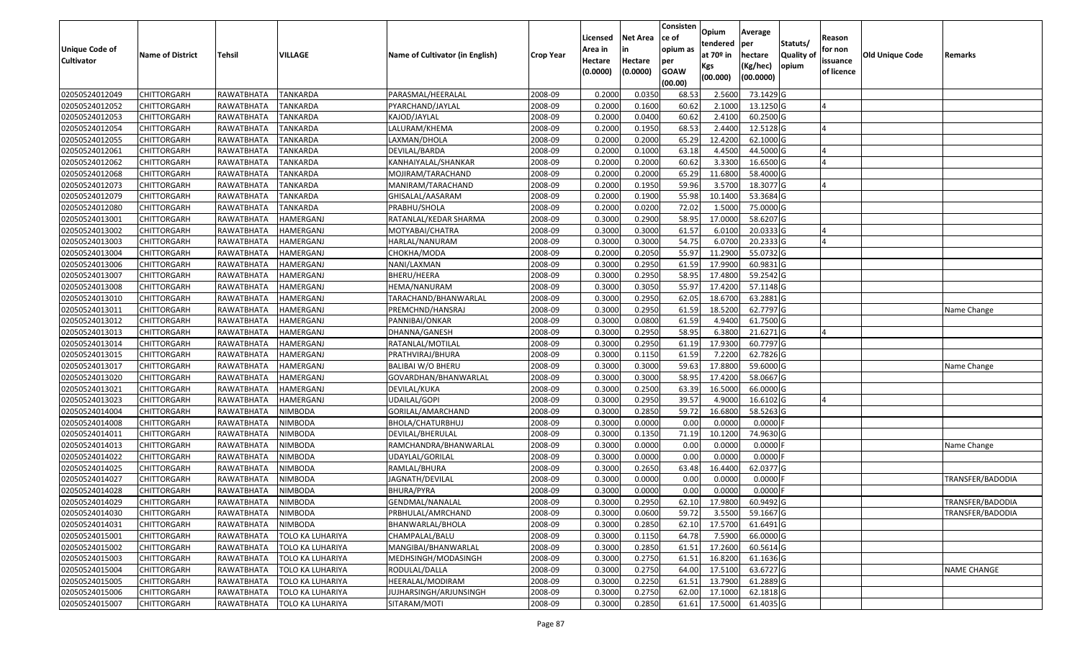|                       |                         |                    |                         |                                        |                  | Licensed | <b>Net Area</b> | Consisten<br>ce of     | Opium           | Average             |                     | Reason         |                 |                    |
|-----------------------|-------------------------|--------------------|-------------------------|----------------------------------------|------------------|----------|-----------------|------------------------|-----------------|---------------------|---------------------|----------------|-----------------|--------------------|
| <b>Unique Code of</b> |                         |                    |                         |                                        |                  | Area in  |                 | opium as               | tendered        | per                 | Statuts/            | for non        |                 |                    |
| <b>Cultivator</b>     | <b>Name of District</b> | <b>Tehsil</b>      | VILLAGE                 | <b>Name of Cultivator (in English)</b> | <b>Crop Year</b> | Hectare  | Hectare         | per                    | at $70°$ in     | hectare<br>(Kg/hec) | Quality of<br>opium | issuance       | Old Unique Code | Remarks            |
|                       |                         |                    |                         |                                        |                  | (0.0000) | (0.0000)        | <b>GOAW</b><br>(00.00) | Kgs<br>(00.000) | (00.0000)           |                     | of licence     |                 |                    |
| 02050524012049        | <b>CHITTORGARH</b>      | RAWATBHATA         | <b>TANKARDA</b>         | PARASMAL/HEERALAL                      | 2008-09          | 0.2000   | 0.0350          | 68.53                  | 2.5600          | 73.1429 G           |                     |                |                 |                    |
| 02050524012052        | CHITTORGARH             | RAWATBHATA         | <b>TANKARDA</b>         | PYARCHAND/JAYLAL                       | 2008-09          | 0.2000   | 0.1600          | 60.62                  | 2.1000          | 13.1250 G           |                     |                |                 |                    |
| 02050524012053        | <b>CHITTORGARH</b>      | RAWATBHATA         | <b>TANKARDA</b>         | KAJOD/JAYLAL                           | 2008-09          | 0.2000   | 0.0400          | 60.62                  | 2.4100          | 60.2500 G           |                     |                |                 |                    |
| 02050524012054        | <b>CHITTORGARH</b>      | RAWATBHATA         | <b>TANKARDA</b>         | LALURAM/KHEMA                          | 2008-09          | 0.2000   | 0.1950          | 68.53                  | 2.4400          | 12.5128 G           |                     |                |                 |                    |
| 02050524012055        | <b>CHITTORGARH</b>      | RAWATBHATA         | <b>TANKARDA</b>         | LAXMAN/DHOLA                           | 2008-09          | 0.2000   | 0.2000          | 65.29                  | 12.4200         | 62.1000 G           |                     |                |                 |                    |
| 02050524012061        | <b>CHITTORGARH</b>      | <b>RAWATBHATA</b>  | <b>TANKARDA</b>         | DEVILAL/BARDA                          | 2008-09          | 0.2000   | 0.1000          | 63.18                  | 4.4500          | 44.5000 G           |                     |                |                 |                    |
| 02050524012062        | CHITTORGARH             | RAWATBHATA         | TANKARDA                | KANHAIYALAL/SHANKAR                    | 2008-09          | 0.2000   | 0.2000          | 60.62                  | 3.3300          | 16.6500 G           |                     | $\overline{a}$ |                 |                    |
| 02050524012068        | <b>CHITTORGARH</b>      | RAWATBHATA         | <b>TANKARDA</b>         | MOJIRAM/TARACHAND                      | 2008-09          | 0.2000   | 0.2000          | 65.29                  | 11.6800         | 58.4000 G           |                     |                |                 |                    |
| 02050524012073        | <b>CHITTORGARH</b>      | RAWATBHATA         | <b>TANKARDA</b>         | MANIRAM/TARACHAND                      | 2008-09          | 0.2000   | 0.1950          | 59.96                  | 3.5700          | 18.3077 G           |                     |                |                 |                    |
| 02050524012079        | CHITTORGARH             | RAWATBHATA         | <b>TANKARDA</b>         | GHISALAL/AASARAM                       | 2008-09          | 0.2000   | 0.1900          | 55.98                  | 10.1400         | 53.3684 G           |                     |                |                 |                    |
| 02050524012080        | <b>CHITTORGARH</b>      | RAWATBHATA         | <b>TANKARDA</b>         | PRABHU/SHOLA                           | 2008-09          | 0.2000   | 0.0200          | 72.02                  | 1.5000          | 75.0000 G           |                     |                |                 |                    |
| 02050524013001        | <b>CHITTORGARH</b>      | RAWATBHATA         | HAMERGANJ               | RATANLAL/KEDAR SHARMA                  | 2008-09          | 0.3000   | 0.2900          | 58.95                  | 17.0000         | 58.6207 G           |                     |                |                 |                    |
| 02050524013002        | <b>CHITTORGARH</b>      | RAWATBHATA         | HAMERGANJ               | MOTYABAI/CHATRA                        | 2008-09          | 0.3000   | 0.3000          | 61.57                  | 6.0100          | 20.0333 G           |                     | IΔ             |                 |                    |
| 02050524013003        | <b>CHITTORGARH</b>      | RAWATBHATA         | HAMERGANJ               | HARLAL/NANURAM                         | 2008-09          | 0.3000   | 0.3000          | 54.75                  | 6.070           | 20.2333 G           |                     |                |                 |                    |
| 02050524013004        | <b>CHITTORGARH</b>      | RAWATBHATA         | HAMERGANJ               | CHOKHA/MODA                            | 2008-09          | 0.2000   | 0.2050          | 55.97                  | 11.2900         | 55.0732 G           |                     |                |                 |                    |
| 02050524013006        | <b>CHITTORGARH</b>      | RAWATBHATA         | HAMERGANJ               | NANI/LAXMAN                            | 2008-09          | 0.3000   | 0.2950          | 61.59                  | 17.9900         | 60.9831 G           |                     |                |                 |                    |
| 02050524013007        | <b>CHITTORGARH</b>      | RAWATBHATA         | HAMERGANJ               | BHERU/HEERA                            | 2008-09          | 0.3000   | 0.2950          | 58.95                  | 17.4800         | 59.2542 G           |                     |                |                 |                    |
| 02050524013008        | <b>CHITTORGARH</b>      | RAWATBHATA         | HAMERGANJ               | HEMA/NANURAM                           | 2008-09          | 0.300    | 0.3050          | 55.97                  | 17.4200         | 57.1148 G           |                     |                |                 |                    |
| 02050524013010        | <b>CHITTORGARH</b>      | RAWATBHATA         | HAMERGANJ               | TARACHAND/BHANWARLAL                   | 2008-09          | 0.3000   | 0.2950          | 62.05                  | 18.6700         | 63.2881 G           |                     |                |                 |                    |
| 02050524013011        | <b>CHITTORGARH</b>      | RAWATBHATA         | HAMERGANJ               | PREMCHND/HANSRAJ                       | 2008-09          | 0.3000   | 0.2950          | 61.59                  | 18.5200         | 62.7797 G           |                     |                |                 | Name Change        |
| 02050524013012        | <b>CHITTORGARH</b>      | RAWATBHATA         | HAMERGANJ               | PANNIBAI/ONKAR                         | 2008-09          | 0.3000   | 0.0800          | 61.59                  | 4.9400          | 61.7500 G           |                     |                |                 |                    |
| 02050524013013        | <b>CHITTORGARH</b>      | RAWATBHATA         | HAMERGANJ               | DHANNA/GANESH                          | 2008-09          | 0.3000   | 0.2950          | 58.95                  | 6.3800          | 21.6271 G           |                     | $\overline{a}$ |                 |                    |
| 02050524013014        | CHITTORGARH             | RAWATBHATA         | HAMERGANJ               | RATANLAL/MOTILAL                       | 2008-09          | 0.3000   | 0.2950          | 61.19                  | 17.9300         | 60.7797 G           |                     |                |                 |                    |
| 02050524013015        | <b>CHITTORGARH</b>      | RAWATBHATA         | HAMERGANJ               | PRATHVIRAJ/BHURA                       | 2008-09          | 0.3000   | 0.1150          | 61.59                  | 7.2200          | 62.7826 G           |                     |                |                 |                    |
| 02050524013017        | <b>CHITTORGARH</b>      | RAWATBHATA         | <b>HAMERGANJ</b>        | BALIBAI W/O BHERU                      | 2008-09          | 0.3000   | 0.3000          | 59.63                  | 17.8800         | 59.6000 G           |                     |                |                 | Name Change        |
| 02050524013020        | <b>CHITTORGARH</b>      | RAWATBHATA         | HAMERGANJ               | GOVARDHAN/BHANWARLAL                   | 2008-09          | 0.3000   | 0.3000          | 58.95                  | 17.4200         | 58.0667 G           |                     |                |                 |                    |
| 02050524013021        | <b>CHITTORGARH</b>      | RAWATBHATA         | HAMERGANJ               | DEVILAL/KUKA                           | 2008-09          | 0.3000   | 0.2500          | 63.39                  | 16.5000         | 66.0000 G           |                     |                |                 |                    |
| 02050524013023        | <b>CHITTORGARH</b>      | RAWATBHATA         | HAMERGANJ               | UDAILAL/GOPI                           | 2008-09          | 0.3000   | 0.2950          | 39.57                  | 4.9000          | 16.6102 G           |                     |                |                 |                    |
| 02050524014004        | <b>CHITTORGARH</b>      | RAWATBHATA         | <b>NIMBODA</b>          | GORILAL/AMARCHAND                      | 2008-09          | 0.3000   | 0.2850          | 59.72                  | 16.6800         | 58.5263 G           |                     |                |                 |                    |
| 02050524014008        | <b>CHITTORGARH</b>      | RAWATBHATA         | <b>NIMBODA</b>          | BHOLA/CHATURBHUJ                       | 2008-09          | 0.3000   | 0.0000          | 0.00                   | 0.0000          | 0.0000F             |                     |                |                 |                    |
| 02050524014011        | CHITTORGARH             | RAWATBHATA         | <b>NIMBODA</b>          | DEVILAL/BHERULAL                       | 2008-09          | 0.3000   | 0.1350          | 71.19                  | 10.1200         | 74.9630 G           |                     |                |                 |                    |
| 02050524014013        | CHITTORGARH             | RAWATBHATA         | <b>NIMBODA</b>          | RAMCHANDRA/BHANWARLAL                  | 2008-09          | 0.3000   | 0.0000          | 0.00                   | 0.0000          | 0.0000              |                     |                |                 | Name Change        |
| 02050524014022        | <b>CHITTORGARH</b>      | RAWATBHATA         | <b>NIMBODA</b>          | UDAYLAL/GORILAI                        | 2008-09          | 0.3000   | 0.0000          | 0.00                   | 0.0000          | $0.0000$ F          |                     |                |                 |                    |
| 02050524014025        | CHITTORGARH             | RAWATBHATA         | NIMBODA                 | RAMLAL/BHURA                           | 2008-09          | 0.300    | 0.2650          | 63.48                  | 16.4400         | 62.0377 G           |                     |                |                 |                    |
| 02050524014027        | <b>CHITTORGARH</b>      | RAWATBHATA         | <b>NIMBODA</b>          | IAGNATH/DEVILAL                        | 2008-09          | 0.300    | 0.0000          | 0.00                   | 0.0000          | 0.0000              |                     |                |                 | TRANSFER/BADODIA   |
| 02050524014028        | <b>CHITTORGARH</b>      | RAWATBHATA         | <b>NIMBODA</b>          | BHURA/PYRA                             | 2008-09          | 0.3000   | 0.0000          | 0.00                   | 0.0000          | 0.0000F             |                     |                |                 |                    |
| 02050524014029        | <b>CHITTORGARH</b>      | RAWATBHATA NIMBODA |                         | GENDMAL/NANALAL                        | 2008-09          | 0.3000   | 0.2950          | 62.10                  | 17.9800         | 60.9492 G           |                     |                |                 | TRANSFER/BADODIA   |
| 02050524014030        | <b>CHITTORGARH</b>      | RAWATBHATA         | <b>NIMBODA</b>          | PRBHULAL/AMRCHAND                      | 2008-09          | 0.3000   | 0.0600          | 59.72                  | 3.5500          | 59.1667 G           |                     |                |                 | TRANSFER/BADODIA   |
| 02050524014031        | CHITTORGARH             | RAWATBHATA         | <b>NIMBODA</b>          | BHANWARLAL/BHOLA                       | 2008-09          | 0.3000   | 0.2850          | 62.10                  | 17.5700         | 61.6491 G           |                     |                |                 |                    |
| 02050524015001        | <b>CHITTORGARH</b>      | RAWATBHATA         | <b>TOLO KA LUHARIYA</b> | CHAMPALAL/BALU                         | 2008-09          | 0.3000   | 0.1150          | 64.78                  | 7.5900          | 66.0000 G           |                     |                |                 |                    |
| 02050524015002        | CHITTORGARH             | RAWATBHATA         | TOLO KA LUHARIYA        | MANGIBAI/BHANWARLAL                    | 2008-09          | 0.3000   | 0.2850          | 61.5                   | 17.2600         | 60.5614 G           |                     |                |                 |                    |
| 02050524015003        | <b>CHITTORGARH</b>      | RAWATBHATA         | <b>TOLO KA LUHARIYA</b> | MEDHSINGH/MODASINGH                    | 2008-09          | 0.3000   | 0.2750          | 61.51                  | 16.8200         | 61.1636 G           |                     |                |                 |                    |
| 02050524015004        | <b>CHITTORGARH</b>      | RAWATBHATA         | TOLO KA LUHARIYA        | RODULAL/DALLA                          | 2008-09          | 0.3000   | 0.2750          | 64.00                  | 17.5100         | 63.6727 G           |                     |                |                 | <b>NAME CHANGE</b> |
| 02050524015005        | <b>CHITTORGARH</b>      | RAWATBHATA         | TOLO KA LUHARIYA        | HEERALAL/MODIRAM                       | 2008-09          | 0.3000   | 0.2250          | 61.51                  | 13.7900         | 61.2889 G           |                     |                |                 |                    |
| 02050524015006        | <b>CHITTORGARH</b>      | RAWATBHATA         | TOLO KA LUHARIYA        | JUJHARSINGH/ARJUNSINGH                 | 2008-09          | 0.3000   | 0.2750          | 62.00                  | 17.1000         | 62.1818 G           |                     |                |                 |                    |
| 02050524015007        | <b>CHITTORGARH</b>      | RAWATBHATA         | <b>TOLO KA LUHARIYA</b> | SITARAM/MOTI                           | 2008-09          | 0.3000   | 0.2850          | 61.61                  | 17.5000         | 61.4035 G           |                     |                |                 |                    |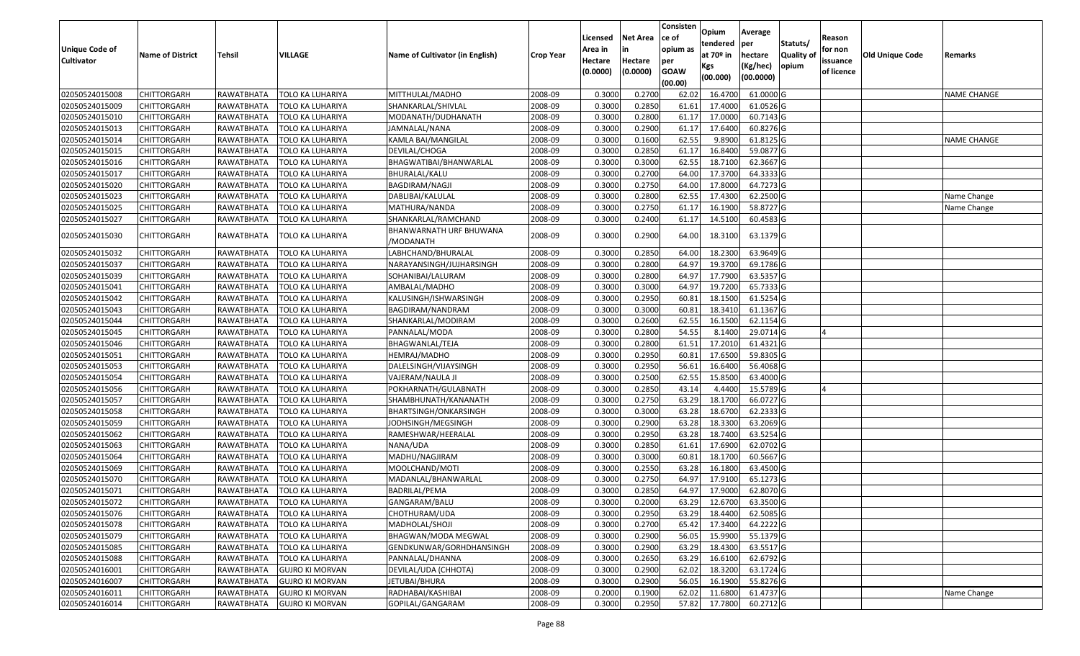| <b>Unique Code of</b> | <b>Name of District</b> | <b>Tehsil</b> | VILLAGE                 | Name of Cultivator (in English)      | <b>Crop Year</b> | Licensed<br>Area in | <b>Net Area</b>     | Consisten<br>ce of<br>opium as | Opium<br>tendered<br>at 70º in | Average<br>per<br>hectare | Statuts/<br>Quality of | Reason<br>for non      | <b>Old Unique Code</b> | Remarks     |
|-----------------------|-------------------------|---------------|-------------------------|--------------------------------------|------------------|---------------------|---------------------|--------------------------------|--------------------------------|---------------------------|------------------------|------------------------|------------------------|-------------|
| <b>Cultivator</b>     |                         |               |                         |                                      |                  | Hectare<br>(0.0000) | Hectare<br>(0.0000) | per<br><b>GOAW</b><br>(00.00)  | Kgs<br>(00.000)                | (Kg/hec)<br>(00.0000)     | opium                  | issuance<br>of licence |                        |             |
| 02050524015008        | <b>CHITTORGARH</b>      | RAWATBHATA    | TOLO KA LUHARIYA        | MITTHULAL/MADHO                      | 2008-09          | 0.300               | 0.2700              | 62.02                          | 16.4700                        | 61.0000 G                 |                        |                        |                        | NAME CHANGE |
| 02050524015009        | CHITTORGARH             | RAWATBHATA    | <b>TOLO KA LUHARIYA</b> | SHANKARLAL/SHIVLAL                   | 2008-09          | 0.3000              | 0.2850              | 61.61                          | 17.4000                        | 61.0526 G                 |                        |                        |                        |             |
| 02050524015010        | <b>CHITTORGARH</b>      | RAWATBHATA    | TOLO KA LUHARIYA        | MODANATH/DUDHANATH                   | 2008-09          | 0.3000              | 0.2800              | 61.17                          | 17.0000                        | 60.7143 G                 |                        |                        |                        |             |
| 02050524015013        | <b>CHITTORGARH</b>      | RAWATBHATA    | <b>TOLO KA LUHARIYA</b> | JAMNALAL/NANA                        | 2008-09          | 0.3000              | 0.2900              | 61.17                          | 17.6400                        | 60.8276 G                 |                        |                        |                        |             |
| 02050524015014        | <b>CHITTORGARH</b>      | RAWATBHATA    | TOLO KA LUHARIYA        | KAMLA BAI/MANGILAL                   | 2008-09          | 0.3000              | 0.1600              | 62.55                          | 9.8900                         | 61.8125 G                 |                        |                        |                        | NAME CHANGE |
| 02050524015015        | CHITTORGARH             | RAWATBHATA    | TOLO KA LUHARIYA        | DEVILAL/CHOGA                        | 2008-09          | 0.3000              | 0.2850              | 61.17                          | 16.8400                        | 59.0877 G                 |                        |                        |                        |             |
| 02050524015016        | CHITTORGARH             | RAWATBHATA    | TOLO KA LUHARIYA        | BHAGWATIBAI/BHANWARLAL               | 2008-09          | 0.3000              | 0.3000              | 62.55                          | 18.7100                        | 62.3667 G                 |                        |                        |                        |             |
| 02050524015017        | <b>CHITTORGARH</b>      | RAWATBHATA    | TOLO KA LUHARIYA        | BHURALAL/KALU                        | 2008-09          | 0.3000              | 0.2700              | 64.00                          | 17.3700                        | 64.3333 G                 |                        |                        |                        |             |
| 02050524015020        | <b>CHITTORGARH</b>      | RAWATBHATA    | TOLO KA LUHARIYA        | BAGDIRAM/NAGJI                       | 2008-09          | 0.3000              | 0.2750              | 64.00                          | 17.8000                        | 64.7273 G                 |                        |                        |                        |             |
| 02050524015023        | CHITTORGARH             | RAWATBHATA    | TOLO KA LUHARIYA        | DABLIBAI/KALULAL                     | 2008-09          | 0.3000              | 0.2800              | 62.55                          | 17.4300                        | 62.2500 G                 |                        |                        |                        | Name Change |
| 02050524015025        | <b>CHITTORGARH</b>      | RAWATBHATA    | TOLO KA LUHARIYA        | MATHURA/NANDA                        | 2008-09          | 0.3000              | 0.2750              | 61.17                          | 16.1900                        | 58.8727 G                 |                        |                        |                        | Name Change |
| 02050524015027        | CHITTORGARH             | RAWATBHATA    | TOLO KA LUHARIYA        | SHANKARLAL/RAMCHAND                  | 2008-09          | 0.3000              | 0.2400              | 61.1                           | 14.5100                        | 60.4583 G                 |                        |                        |                        |             |
| 02050524015030        | CHITTORGARH             | RAWATBHATA    | TOLO KA LUHARIYA        | BHANWARNATH URF BHUWANA<br>/MODANATH | 2008-09          | 0.3000              | 0.2900              | 64.00                          | 18.3100                        | 63.1379 G                 |                        |                        |                        |             |
| 02050524015032        | <b>CHITTORGARH</b>      | RAWATBHATA    | TOLO KA LUHARIYA        | LABHCHAND/BHURALAL                   | 2008-09          | 0.3000              | 0.2850              | 64.00                          | 18.2300                        | 63.9649 G                 |                        |                        |                        |             |
| 02050524015037        | <b>CHITTORGARH</b>      | RAWATBHATA    | TOLO KA LUHARIYA        | NARAYANSINGH/JUJHARSINGH             | 2008-09          | 0.3000              | 0.2800              | 64.97                          | 19.3700                        | 69.1786 G                 |                        |                        |                        |             |
| 02050524015039        | <b>CHITTORGARH</b>      | RAWATBHATA    | TOLO KA LUHARIYA        | SOHANIBAI/LALURAM                    | 2008-09          | 0.3000              | 0.2800              | 64.97                          | 17.7900                        | 63.5357 G                 |                        |                        |                        |             |
| 02050524015041        | <b>CHITTORGARH</b>      | RAWATBHATA    | TOLO KA LUHARIYA        | AMBALAL/MADHO                        | 2008-09          | 0.3000              | 0.3000              | 64.97                          | 19.7200                        | 65.7333 G                 |                        |                        |                        |             |
| 02050524015042        | <b>CHITTORGARH</b>      | RAWATBHATA    | TOLO KA LUHARIYA        | KALUSINGH/ISHWARSINGH                | 2008-09          | 0.3000              | 0.2950              | 60.8                           | 18.1500                        | 61.5254 G                 |                        |                        |                        |             |
| 02050524015043        | <b>CHITTORGARH</b>      | RAWATBHATA    | TOLO KA LUHARIYA        | BAGDIRAM/NANDRAM                     | 2008-09          | 0.3000              | 0.3000              | 60.81                          | 18.3410                        | 61.1367 G                 |                        |                        |                        |             |
| 02050524015044        | <b>CHITTORGARH</b>      | RAWATBHATA    | <b>TOLO KA LUHARIYA</b> | SHANKARLAL/MODIRAM                   | 2008-09          | 0.3000              | 0.2600              | 62.5                           | 16.1500                        | 62.1154 G                 |                        |                        |                        |             |
| 02050524015045        | <b>CHITTORGARH</b>      | RAWATBHATA    | TOLO KA LUHARIYA        | PANNALAL/MODA                        | 2008-09          | 0.3000              | 0.2800              | 54.55                          | 8.1400                         | 29.0714 G                 |                        | $\overline{a}$         |                        |             |
| 02050524015046        | CHITTORGARH             | RAWATBHATA    | TOLO KA LUHARIYA        | BHAGWANLAL/TEJA                      | 2008-09          | 0.3000              | 0.2800              | 61.5                           | 17.2010                        | 61.4321 G                 |                        |                        |                        |             |
| 02050524015051        | <b>CHITTORGARH</b>      | RAWATBHATA    | TOLO KA LUHARIYA        | HEMRAJ/MADHO                         | 2008-09          | 0.3000              | 0.2950              | 60.8                           | 17.6500                        | 59.8305 G                 |                        |                        |                        |             |
| 02050524015053        | <b>CHITTORGARH</b>      | RAWATBHATA    | <b>TOLO KA LUHARIYA</b> | DALELSINGH/VIJAYSINGH                | 2008-09          | 0.3000              | 0.2950              | 56.6                           | 16.6400                        | 56.4068 G                 |                        |                        |                        |             |
| 02050524015054        | <b>CHITTORGARH</b>      | RAWATBHATA    | TOLO KA LUHARIYA        | VAJERAM/NAULA JI                     | 2008-09          | 0.3000              | 0.2500              | 62.55                          | 15.8500                        | 63.4000 G                 |                        |                        |                        |             |
| 02050524015056        | CHITTORGARH             | RAWATBHATA    | TOLO KA LUHARIYA        | POKHARNATH/GULABNATH                 | 2008-09          | 0.3000              | 0.2850              | 43.14                          | 4.4400                         | 15.5789 G                 |                        |                        |                        |             |
| 02050524015057        | <b>CHITTORGARH</b>      | RAWATBHATA    | TOLO KA LUHARIYA        | SHAMBHUNATH/KANANATH                 | 2008-09          | 0.3000              | 0.2750              | 63.29                          | 18.1700                        | 66.0727 G                 |                        |                        |                        |             |
| 02050524015058        | <b>CHITTORGARH</b>      | RAWATBHATA    | TOLO KA LUHARIYA        | BHARTSINGH/ONKARSINGH                | 2008-09          | 0.3000              | 0.3000              | 63.28                          | 18.6700                        | 62.2333 G                 |                        |                        |                        |             |
| 02050524015059        | CHITTORGARH             | RAWATBHATA    | TOLO KA LUHARIYA        | JODHSINGH/MEGSINGH                   | 2008-09          | 0.3000              | 0.2900              | 63.28                          | 18.3300                        | 63.2069 G                 |                        |                        |                        |             |
| 02050524015062        | <b>CHITTORGARH</b>      | RAWATBHATA    | TOLO KA LUHARIYA        | RAMESHWAR/HEERALAL                   | 2008-09          | 0.3000              | 0.2950              | 63.28                          | 18.7400                        | 63.5254 G                 |                        |                        |                        |             |
| 02050524015063        | CHITTORGARH             | RAWATBHATA    | TOLO KA LUHARIYA        | NANA/UDA                             | 2008-09          | 0.3000              | 0.2850              | 61.6                           | 17.6900                        | 62.0702 G                 |                        |                        |                        |             |
| 02050524015064        | <b>CHITTORGARH</b>      | RAWATBHATA    | TOLO KA LUHARIYA        | MADHU/NAGJIRAM                       | 2008-09          | 0.3000              | 0.3000              | 60.8                           | 18.1700                        | 60.5667 G                 |                        |                        |                        |             |
| 02050524015069        | <b>CHITTORGARH</b>      | RAWATBHATA    | TOLO KA LUHARIYA        | MOOLCHAND/MOTI                       | 2008-09          | 0.3000              | 0.2550              | 63.28                          | 16.1800                        | 63.4500 G                 |                        |                        |                        |             |
| 02050524015070        | <b>CHITTORGARH</b>      | RAWATBHATA    | TOLO KA LUHARIYA        | MADANLAL/BHANWARLAL                  | 2008-09          | 0.300               | 0.2750              | 64.97                          | 17.9100                        | 65.1273 G                 |                        |                        |                        |             |
| 02050524015071        | <b>CHITTORGARH</b>      | RAWATBHATA    | <b>TOLO KA LUHARIYA</b> | BADRILAL/PEMA                        | 2008-09          | 0.3000              | 0.2850              | 64.97                          | 17.9000                        | 62.8070 G                 |                        |                        |                        |             |
| 02050524015072        | <b>CHITTORGARH</b>      | RAWATBHATA    | <b>TOLO KA LUHARIYA</b> | GANGARAM/BALU                        | 2008-09          | 0.3000              | 0.2000              | 63.29                          | 12.6700                        | 63.3500 G                 |                        |                        |                        |             |
| 02050524015076        | <b>CHITTORGARH</b>      | RAWATBHATA    | <b>TOLO KA LUHARIYA</b> | CHOTHURAM/UDA                        | 2008-09          | 0.3000              | 0.2950              | 63.29                          | 18.4400                        | 62.5085 G                 |                        |                        |                        |             |
| 02050524015078        | <b>CHITTORGARH</b>      | RAWATBHATA    | TOLO KA LUHARIYA        | MADHOLAL/SHOJI                       | 2008-09          | 0.3000              | 0.2700              | 65.42                          | 17.3400                        | 64.2222 G                 |                        |                        |                        |             |
| 02050524015079        | <b>CHITTORGARH</b>      | RAWATBHATA    | <b>TOLO KA LUHARIYA</b> | BHAGWAN/MODA MEGWAL                  | 2008-09          | 0.3000              | 0.2900              | 56.05                          | 15.9900                        | 55.1379 G                 |                        |                        |                        |             |
| 02050524015085        | CHITTORGARH             | RAWATBHATA    | TOLO KA LUHARIYA        | GENDKUNWAR/GORHDHANSINGH             | 2008-09          | 0.3000              | 0.2900              | 63.29                          | 18.4300                        | 63.5517 G                 |                        |                        |                        |             |
| 02050524015088        | <b>CHITTORGARH</b>      | RAWATBHATA    | <b>TOLO KA LUHARIYA</b> | PANNALAL/DHANNA                      | 2008-09          | 0.3000              | 0.2650              | 63.29                          | 16.6100                        | 62.6792 G                 |                        |                        |                        |             |
| 02050524016001        | <b>CHITTORGARH</b>      | RAWATBHATA    | <b>GUJRO KI MORVAN</b>  | DEVILAL/UDA (CHHOTA)                 | 2008-09          | 0.3000              | 0.2900              | 62.02                          | 18.3200                        | 63.1724 G                 |                        |                        |                        |             |
| 02050524016007        | <b>CHITTORGARH</b>      | RAWATBHATA    | <b>GUJRO KI MORVAN</b>  | JETUBAI/BHURA                        | 2008-09          | 0.3000              | 0.2900              | 56.05                          | 16.1900                        | 55.8276 G                 |                        |                        |                        |             |
| 02050524016011        | CHITTORGARH             | RAWATBHATA    | <b>GUJRO KI MORVAN</b>  | RADHABAI/KASHIBAI                    | 2008-09          | 0.2000              | 0.1900              | 62.02                          | 11.6800                        | 61.4737 G                 |                        |                        |                        | Name Change |
| 02050524016014        | <b>CHITTORGARH</b>      | RAWATBHATA    | <b>GUJRO KI MORVAN</b>  | GOPILAL/GANGARAM                     | 2008-09          | 0.3000              | 0.2950              | 57.82                          | 17.7800                        | 60.2712 G                 |                        |                        |                        |             |